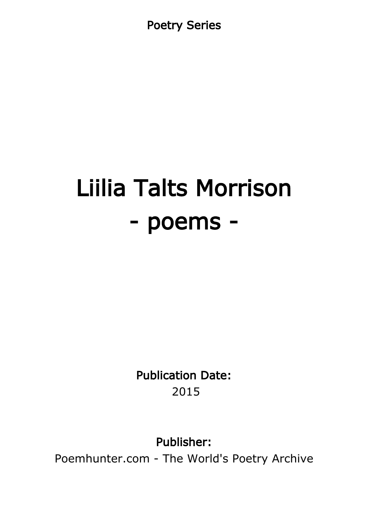Poetry Series

# Liilia Talts Morrison - poems -

Publication Date: 2015

Publisher:

Poemhunter.com - The World's Poetry Archive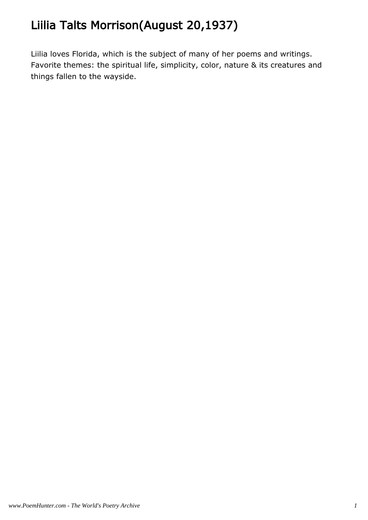# Liilia Talts Morrison(August 20,1937)

Liilia loves Florida, which is the subject of many of her poems and writings. Favorite themes: the spiritual life, simplicity, color, nature & its creatures and things fallen to the wayside.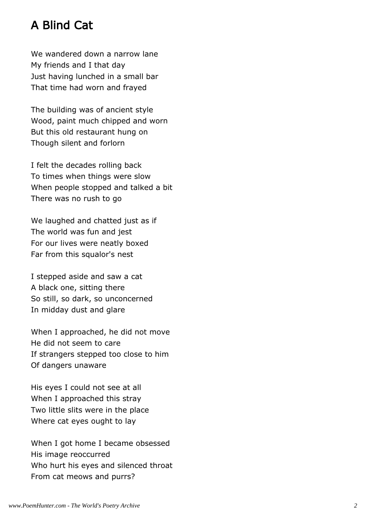### A Blind Cat

We wandered down a narrow lane My friends and I that day Just having lunched in a small bar That time had worn and frayed

The building was of ancient style Wood, paint much chipped and worn But this old restaurant hung on Though silent and forlorn

I felt the decades rolling back To times when things were slow When people stopped and talked a bit There was no rush to go

We laughed and chatted just as if The world was fun and jest For our lives were neatly boxed Far from this squalor's nest

I stepped aside and saw a cat A black one, sitting there So still, so dark, so unconcerned In midday dust and glare

When I approached, he did not move He did not seem to care If strangers stepped too close to him Of dangers unaware

His eyes I could not see at all When I approached this stray Two little slits were in the place Where cat eyes ought to lay

When I got home I became obsessed His image reoccurred Who hurt his eyes and silenced throat From cat meows and purrs?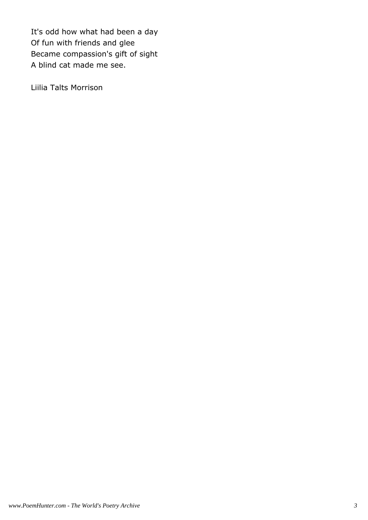It's odd how what had been a day Of fun with friends and glee Became compassion's gift of sight A blind cat made me see.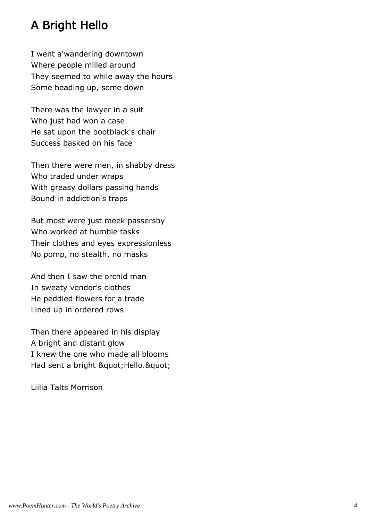## A Bright Hello

I went a'wandering downtown Where people milled around They seemed to while away the hours Some heading up, some down

There was the lawyer in a suit Who just had won a case He sat upon the bootblack's chair Success basked on his face

Then there were men, in shabby dress Who traded under wraps With greasy dollars passing hands Bound in addiction's traps

But most were just meek passersby Who worked at humble tasks Their clothes and eyes expressionless No pomp, no stealth, no masks

And then I saw the orchid man In sweaty vendor's clothes He peddled flowers for a trade Lined up in ordered rows

Then there appeared in his display A bright and distant glow I knew the one who made all blooms Had sent a bright " Hello. "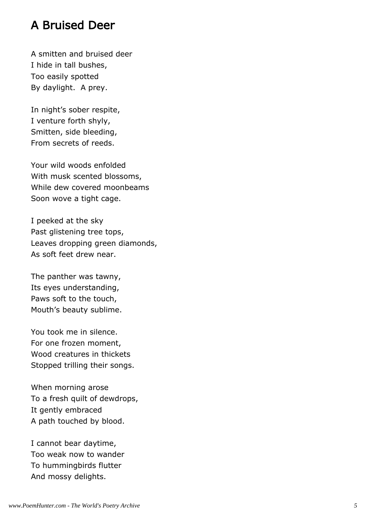#### A Bruised Deer

A smitten and bruised deer I hide in tall bushes, Too easily spotted By daylight. A prey.

In night's sober respite, I venture forth shyly, Smitten, side bleeding, From secrets of reeds.

Your wild woods enfolded With musk scented blossoms, While dew covered moonbeams Soon wove a tight cage.

I peeked at the sky Past glistening tree tops, Leaves dropping green diamonds, As soft feet drew near.

The panther was tawny, Its eyes understanding, Paws soft to the touch, Mouth's beauty sublime.

You took me in silence. For one frozen moment, Wood creatures in thickets Stopped trilling their songs.

When morning arose To a fresh quilt of dewdrops, It gently embraced A path touched by blood.

I cannot bear daytime, Too weak now to wander To hummingbirds flutter And mossy delights.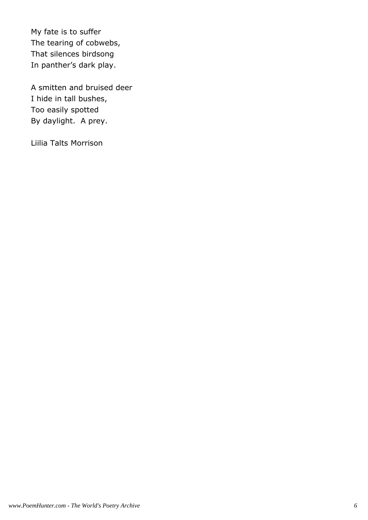My fate is to suffer The tearing of cobwebs, That silences birdsong In panther's dark play.

A smitten and bruised deer I hide in tall bushes, Too easily spotted By daylight. A prey.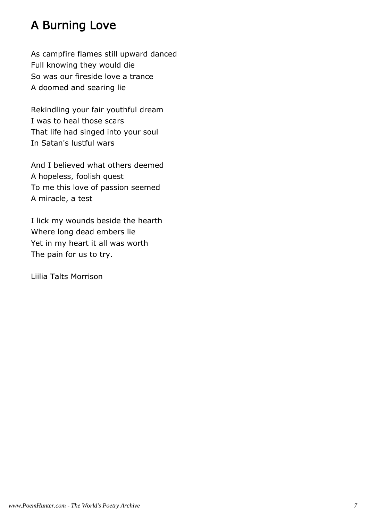# A Burning Love

As campfire flames still upward danced Full knowing they would die So was our fireside love a trance A doomed and searing lie

Rekindling your fair youthful dream I was to heal those scars That life had singed into your soul In Satan's lustful wars

And I believed what others deemed A hopeless, foolish quest To me this love of passion seemed A miracle, a test

I lick my wounds beside the hearth Where long dead embers lie Yet in my heart it all was worth The pain for us to try.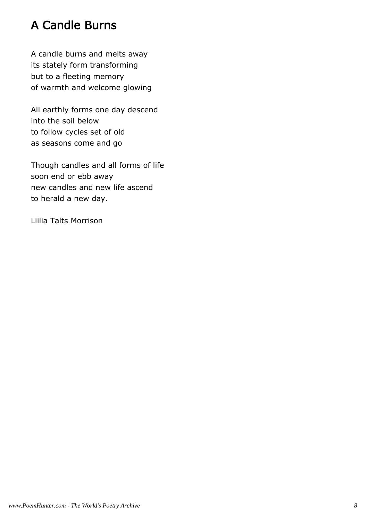# A Candle Burns

A candle burns and melts away its stately form transforming but to a fleeting memory of warmth and welcome glowing

All earthly forms one day descend into the soil below to follow cycles set of old as seasons come and go

Though candles and all forms of life soon end or ebb away new candles and new life ascend to herald a new day.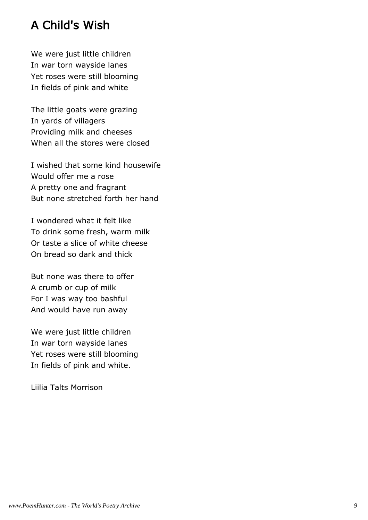# A Child's Wish

We were just little children In war torn wayside lanes Yet roses were still blooming In fields of pink and white

The little goats were grazing In yards of villagers Providing milk and cheeses When all the stores were closed

I wished that some kind housewife Would offer me a rose A pretty one and fragrant But none stretched forth her hand

I wondered what it felt like To drink some fresh, warm milk Or taste a slice of white cheese On bread so dark and thick

But none was there to offer A crumb or cup of milk For I was way too bashful And would have run away

We were just little children In war torn wayside lanes Yet roses were still blooming In fields of pink and white.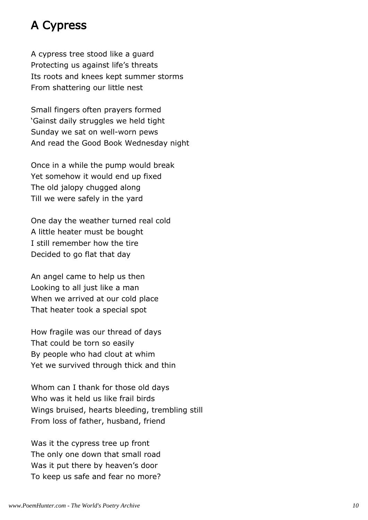## A Cypress

A cypress tree stood like a guard Protecting us against life's threats Its roots and knees kept summer storms From shattering our little nest

Small fingers often prayers formed 'Gainst daily struggles we held tight Sunday we sat on well-worn pews And read the Good Book Wednesday night

Once in a while the pump would break Yet somehow it would end up fixed The old jalopy chugged along Till we were safely in the yard

One day the weather turned real cold A little heater must be bought I still remember how the tire Decided to go flat that day

An angel came to help us then Looking to all just like a man When we arrived at our cold place That heater took a special spot

How fragile was our thread of days That could be torn so easily By people who had clout at whim Yet we survived through thick and thin

Whom can I thank for those old days Who was it held us like frail birds Wings bruised, hearts bleeding, trembling still From loss of father, husband, friend

Was it the cypress tree up front The only one down that small road Was it put there by heaven's door To keep us safe and fear no more?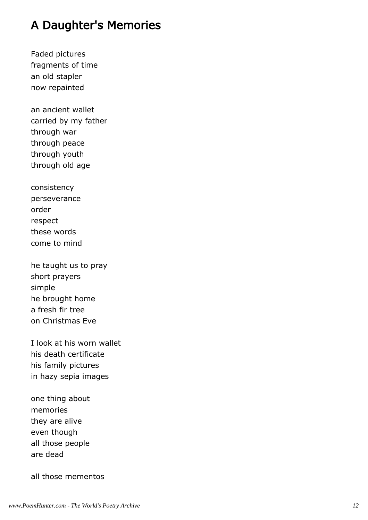# A Daughter's Memories

Faded pictures fragments of time an old stapler now repainted

an ancient wallet carried by my father through war through peace through youth through old age

consistency perseverance order respect these words come to mind

he taught us to pray short prayers simple he brought home a fresh fir tree on Christmas Eve

I look at his worn wallet his death certificate his family pictures in hazy sepia images

one thing about memories they are alive even though all those people are dead

all those mementos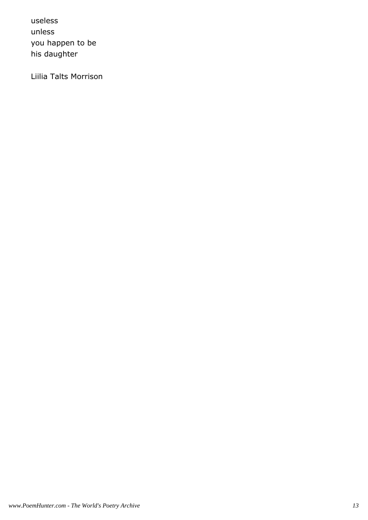useless unless you happen to be his daughter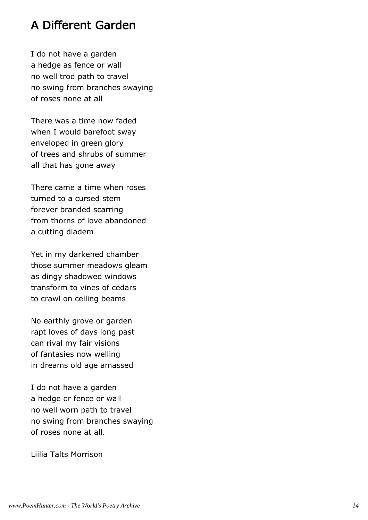#### A Different Garden

I do not have a garden a hedge as fence or wall no well trod path to travel no swing from branches swaying of roses none at all

There was a time now faded when I would barefoot sway enveloped in green glory of trees and shrubs of summer all that has gone away

There came a time when roses turned to a cursed stem forever branded scarring from thorns of love abandoned a cutting diadem

Yet in my darkened chamber those summer meadows gleam as dingy shadowed windows transform to vines of cedars to crawl on ceiling beams

No earthly grove or garden rapt loves of days long past can rival my fair visions of fantasies now welling in dreams old age amassed

I do not have a garden a hedge or fence or wall no well worn path to travel no swing from branches swaying of roses none at all.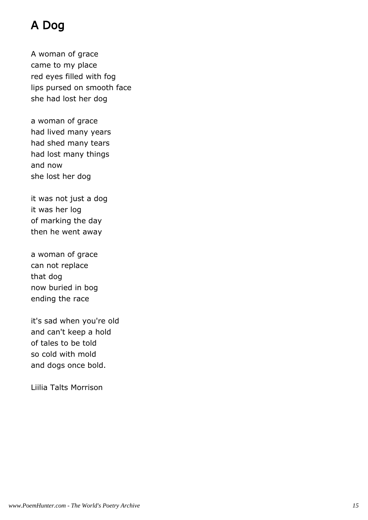# A Dog

A woman of grace came to my place red eyes filled with fog lips pursed on smooth face she had lost her dog

a woman of grace had lived many years had shed many tears had lost many things and now she lost her dog

it was not just a dog it was her log of marking the day then he went away

a woman of grace can not replace that dog now buried in bog ending the race

it's sad when you're old and can't keep a hold of tales to be told so cold with mold and dogs once bold.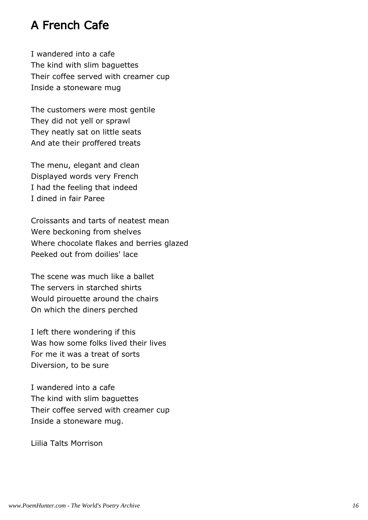## A French Cafe

I wandered into a cafe The kind with slim baguettes Their coffee served with creamer cup Inside a stoneware mug

The customers were most gentile They did not yell or sprawl They neatly sat on little seats And ate their proffered treats

The menu, elegant and clean Displayed words very French I had the feeling that indeed I dined in fair Paree

Croissants and tarts of neatest mean Were beckoning from shelves Where chocolate flakes and berries glazed Peeked out from doilies' lace

The scene was much like a ballet The servers in starched shirts Would pirouette around the chairs On which the diners perched

I left there wondering if this Was how some folks lived their lives For me it was a treat of sorts Diversion, to be sure

I wandered into a cafe The kind with slim baguettes Their coffee served with creamer cup Inside a stoneware mug.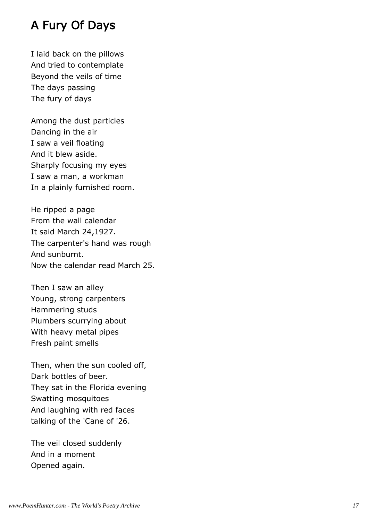## A Fury Of Days

I laid back on the pillows And tried to contemplate Beyond the veils of time The days passing The fury of days

Among the dust particles Dancing in the air I saw a veil floating And it blew aside. Sharply focusing my eyes I saw a man, a workman In a plainly furnished room.

He ripped a page From the wall calendar It said March 24,1927. The carpenter's hand was rough And sunburnt. Now the calendar read March 25.

Then I saw an alley Young, strong carpenters Hammering studs Plumbers scurrying about With heavy metal pipes Fresh paint smells

Then, when the sun cooled off, Dark bottles of beer. They sat in the Florida evening Swatting mosquitoes And laughing with red faces talking of the 'Cane of '26.

The veil closed suddenly And in a moment Opened again.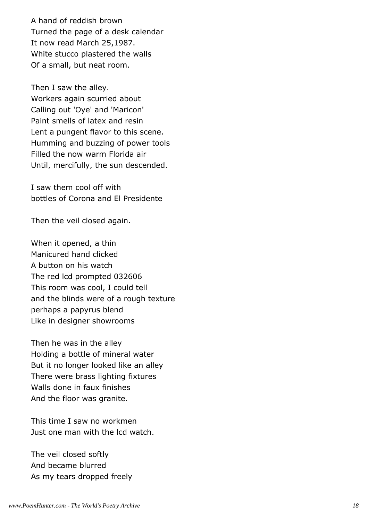A hand of reddish brown Turned the page of a desk calendar It now read March 25,1987. White stucco plastered the walls Of a small, but neat room.

Then I saw the alley. Workers again scurried about Calling out 'Oye' and 'Maricon' Paint smells of latex and resin Lent a pungent flavor to this scene. Humming and buzzing of power tools Filled the now warm Florida air Until, mercifully, the sun descended.

I saw them cool off with bottles of Corona and El Presidente

Then the veil closed again.

When it opened, a thin Manicured hand clicked A button on his watch The red lcd prompted 032606 This room was cool, I could tell and the blinds were of a rough texture perhaps a papyrus blend Like in designer showrooms

Then he was in the alley Holding a bottle of mineral water But it no longer looked like an alley There were brass lighting fixtures Walls done in faux finishes And the floor was granite.

This time I saw no workmen Just one man with the lcd watch.

The veil closed softly And became blurred As my tears dropped freely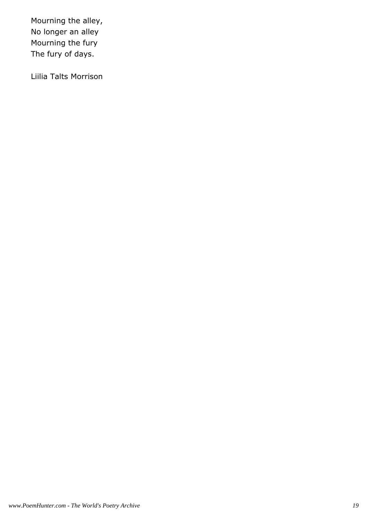Mourning the alley, No longer an alley Mourning the fury The fury of days.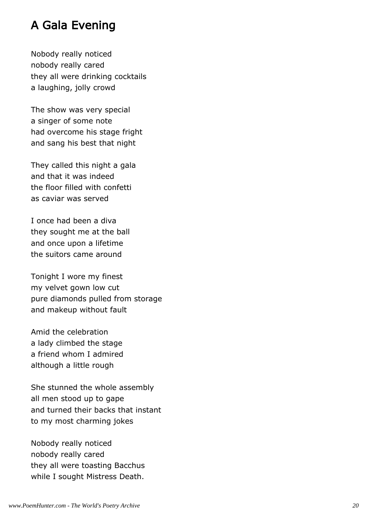#### A Gala Evening

Nobody really noticed nobody really cared they all were drinking cocktails a laughing, jolly crowd

The show was very special a singer of some note had overcome his stage fright and sang his best that night

They called this night a gala and that it was indeed the floor filled with confetti as caviar was served

I once had been a diva they sought me at the ball and once upon a lifetime the suitors came around

Tonight I wore my finest my velvet gown low cut pure diamonds pulled from storage and makeup without fault

Amid the celebration a lady climbed the stage a friend whom I admired although a little rough

She stunned the whole assembly all men stood up to gape and turned their backs that instant to my most charming jokes

Nobody really noticed nobody really cared they all were toasting Bacchus while I sought Mistress Death.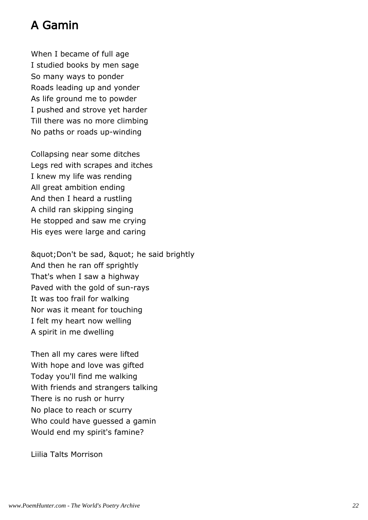# A Gamin

When I became of full age I studied books by men sage So many ways to ponder Roads leading up and yonder As life ground me to powder I pushed and strove yet harder Till there was no more climbing No paths or roads up-winding

Collapsing near some ditches Legs red with scrapes and itches I knew my life was rending All great ambition ending And then I heard a rustling A child ran skipping singing He stopped and saw me crying His eyes were large and caring

" Don't be sad, " he said brightly And then he ran off sprightly That's when I saw a highway Paved with the gold of sun-rays It was too frail for walking Nor was it meant for touching I felt my heart now welling A spirit in me dwelling

Then all my cares were lifted With hope and love was gifted Today you'll find me walking With friends and strangers talking There is no rush or hurry No place to reach or scurry Who could have guessed a gamin Would end my spirit's famine?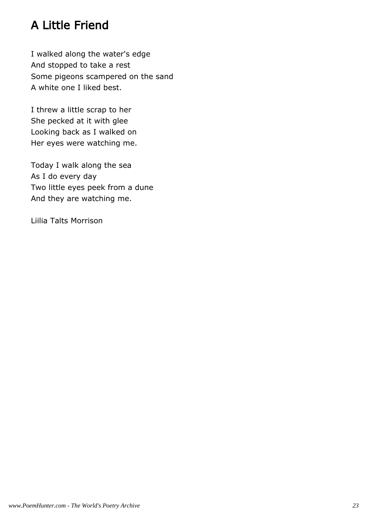# A Little Friend

I walked along the water's edge And stopped to take a rest Some pigeons scampered on the sand A white one I liked best.

I threw a little scrap to her She pecked at it with glee Looking back as I walked on Her eyes were watching me.

Today I walk along the sea As I do every day Two little eyes peek from a dune And they are watching me.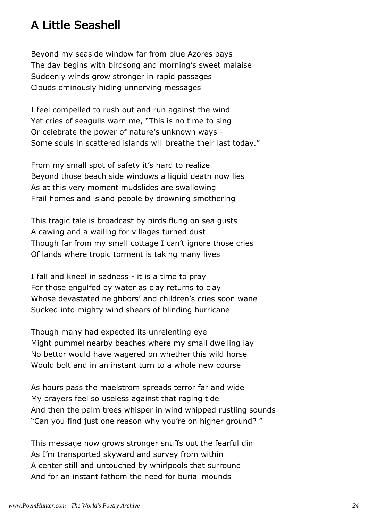## A Little Seashell

Beyond my seaside window far from blue Azores bays The day begins with birdsong and morning's sweet malaise Suddenly winds grow stronger in rapid passages Clouds ominously hiding unnerving messages

I feel compelled to rush out and run against the wind Yet cries of seagulls warn me, "This is no time to sing Or celebrate the power of nature's unknown ways - Some souls in scattered islands will breathe their last today."

From my small spot of safety it's hard to realize Beyond those beach side windows a liquid death now lies As at this very moment mudslides are swallowing Frail homes and island people by drowning smothering

This tragic tale is broadcast by birds flung on sea gusts A cawing and a wailing for villages turned dust Though far from my small cottage I can't ignore those cries Of lands where tropic torment is taking many lives

I fall and kneel in sadness - it is a time to pray For those engulfed by water as clay returns to clay Whose devastated neighbors' and children's cries soon wane Sucked into mighty wind shears of blinding hurricane

Though many had expected its unrelenting eye Might pummel nearby beaches where my small dwelling lay No bettor would have wagered on whether this wild horse Would bolt and in an instant turn to a whole new course

As hours pass the maelstrom spreads terror far and wide My prayers feel so useless against that raging tide And then the palm trees whisper in wind whipped rustling sounds "Can you find just one reason why you're on higher ground? "

This message now grows stronger snuffs out the fearful din As I'm transported skyward and survey from within A center still and untouched by whirlpools that surround And for an instant fathom the need for burial mounds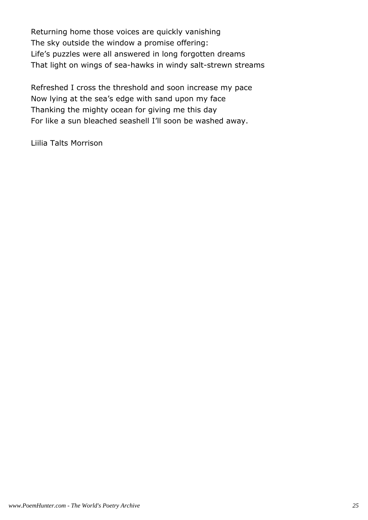Returning home those voices are quickly vanishing The sky outside the window a promise offering: Life's puzzles were all answered in long forgotten dreams That light on wings of sea-hawks in windy salt-strewn streams

Refreshed I cross the threshold and soon increase my pace Now lying at the sea's edge with sand upon my face Thanking the mighty ocean for giving me this day For like a sun bleached seashell I'll soon be washed away.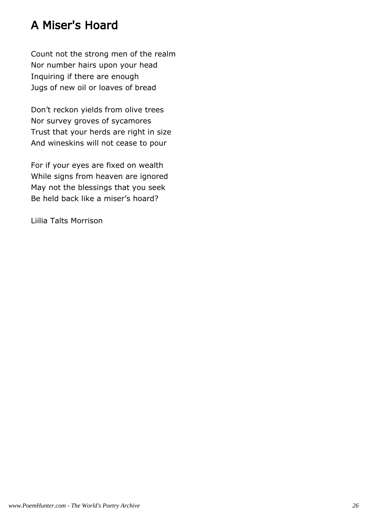# A Miser's Hoard

Count not the strong men of the realm Nor number hairs upon your head Inquiring if there are enough Jugs of new oil or loaves of bread

Don't reckon yields from olive trees Nor survey groves of sycamores Trust that your herds are right in size And wineskins will not cease to pour

For if your eyes are fixed on wealth While signs from heaven are ignored May not the blessings that you seek Be held back like a miser's hoard?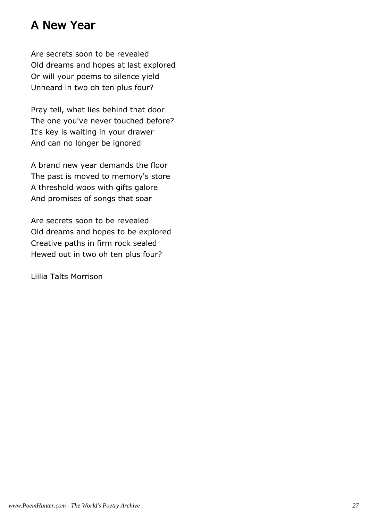#### A New Year

Are secrets soon to be revealed Old dreams and hopes at last explored Or will your poems to silence yield Unheard in two oh ten plus four?

Pray tell, what lies behind that door The one you've never touched before? It's key is waiting in your drawer And can no longer be ignored

A brand new year demands the floor The past is moved to memory's store A threshold woos with gifts galore And promises of songs that soar

Are secrets soon to be revealed Old dreams and hopes to be explored Creative paths in firm rock sealed Hewed out in two oh ten plus four?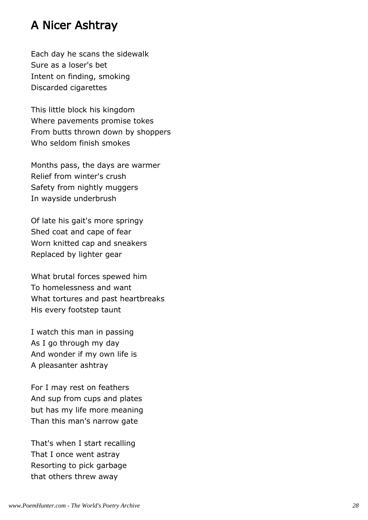#### A Nicer Ashtray

Each day he scans the sidewalk Sure as a loser's bet Intent on finding, smoking Discarded cigarettes

This little block his kingdom Where pavements promise tokes From butts thrown down by shoppers Who seldom finish smokes

Months pass, the days are warmer Relief from winter's crush Safety from nightly muggers In wayside underbrush

Of late his gait's more springy Shed coat and cape of fear Worn knitted cap and sneakers Replaced by lighter gear

What brutal forces spewed him To homelessness and want What tortures and past heartbreaks His every footstep taunt

I watch this man in passing As I go through my day And wonder if my own life is A pleasanter ashtray

For I may rest on feathers And sup from cups and plates but has my life more meaning Than this man's narrow gate

That's when I start recalling That I once went astray Resorting to pick garbage that others threw away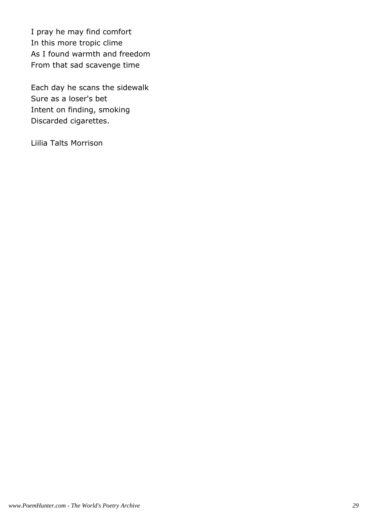I pray he may find comfort In this more tropic clime As I found warmth and freedom From that sad scavenge time

Each day he scans the sidewalk Sure as a loser's bet Intent on finding, smoking Discarded cigarettes.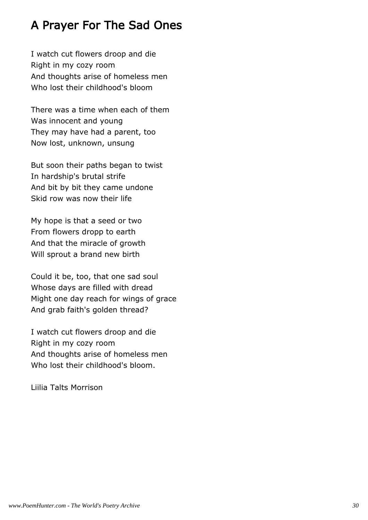# A Prayer For The Sad Ones

I watch cut flowers droop and die Right in my cozy room And thoughts arise of homeless men Who lost their childhood's bloom

There was a time when each of them Was innocent and young They may have had a parent, too Now lost, unknown, unsung

But soon their paths began to twist In hardship's brutal strife And bit by bit they came undone Skid row was now their life

My hope is that a seed or two From flowers dropp to earth And that the miracle of growth Will sprout a brand new birth

Could it be, too, that one sad soul Whose days are filled with dread Might one day reach for wings of grace And grab faith's golden thread?

I watch cut flowers droop and die Right in my cozy room And thoughts arise of homeless men Who lost their childhood's bloom.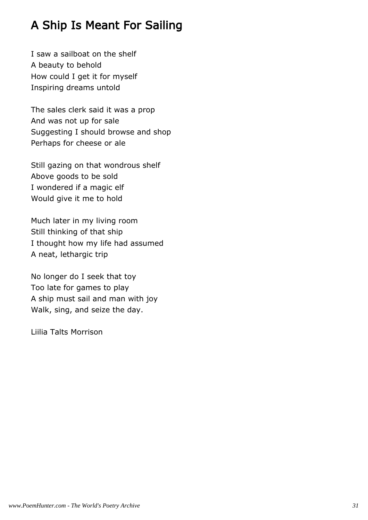# A Ship Is Meant For Sailing

I saw a sailboat on the shelf A beauty to behold How could I get it for myself Inspiring dreams untold

The sales clerk said it was a prop And was not up for sale Suggesting I should browse and shop Perhaps for cheese or ale

Still gazing on that wondrous shelf Above goods to be sold I wondered if a magic elf Would give it me to hold

Much later in my living room Still thinking of that ship I thought how my life had assumed A neat, lethargic trip

No longer do I seek that toy Too late for games to play A ship must sail and man with joy Walk, sing, and seize the day.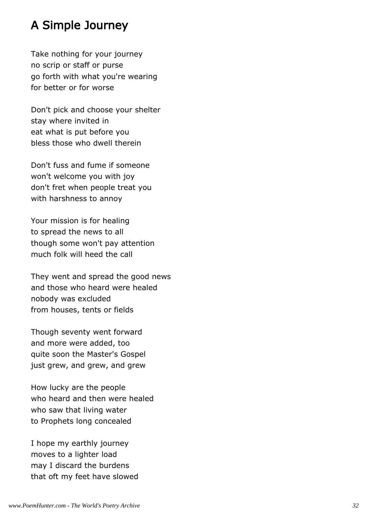#### A Simple Journey

Take nothing for your journey no scrip or staff or purse go forth with what you're wearing for better or for worse

Don't pick and choose your shelter stay where invited in eat what is put before you bless those who dwell therein

Don't fuss and fume if someone won't welcome you with joy don't fret when people treat you with harshness to annoy

Your mission is for healing to spread the news to all though some won't pay attention much folk will heed the call

They went and spread the good news and those who heard were healed nobody was excluded from houses, tents or fields

Though seventy went forward and more were added, too quite soon the Master's Gospel just grew, and grew, and grew

How lucky are the people who heard and then were healed who saw that living water to Prophets long concealed

I hope my earthly journey moves to a lighter load may I discard the burdens that oft my feet have slowed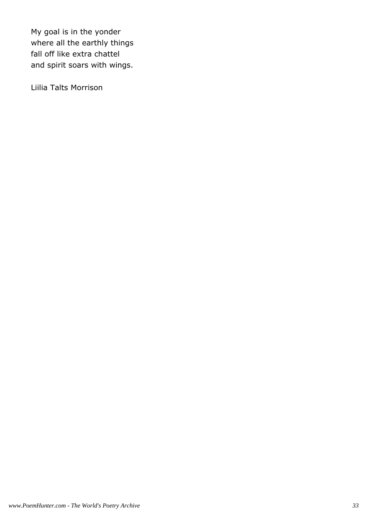My goal is in the yonder where all the earthly things fall off like extra chattel and spirit soars with wings.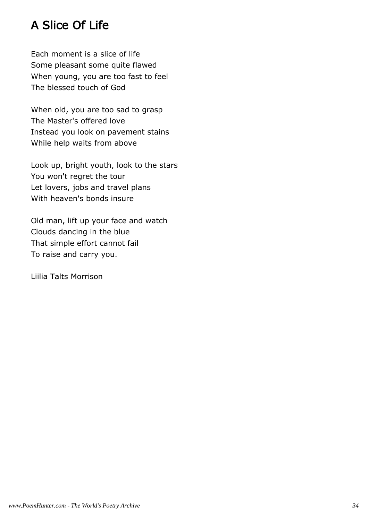# A Slice Of Life

Each moment is a slice of life Some pleasant some quite flawed When young, you are too fast to feel The blessed touch of God

When old, you are too sad to grasp The Master's offered love Instead you look on pavement stains While help waits from above

Look up, bright youth, look to the stars You won't regret the tour Let lovers, jobs and travel plans With heaven's bonds insure

Old man, lift up your face and watch Clouds dancing in the blue That simple effort cannot fail To raise and carry you.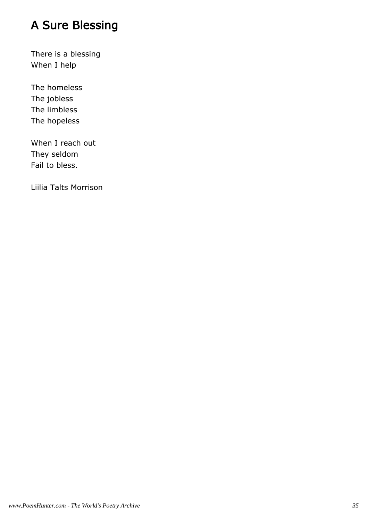# A Sure Blessing

There is a blessing When I help

The homeless The jobless The limbless The hopeless

When I reach out They seldom Fail to bless.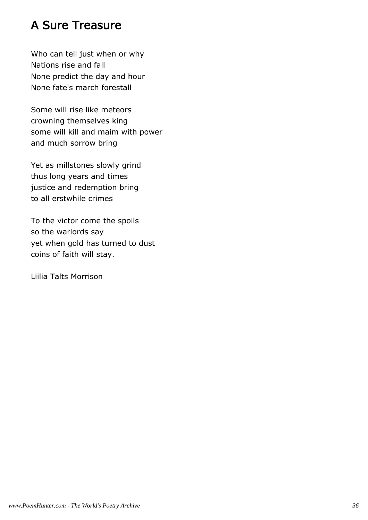## A Sure Treasure

Who can tell just when or why Nations rise and fall None predict the day and hour None fate's march forestall

Some will rise like meteors crowning themselves king some will kill and maim with power and much sorrow bring

Yet as millstones slowly grind thus long years and times justice and redemption bring to all erstwhile crimes

To the victor come the spoils so the warlords say yet when gold has turned to dust coins of faith will stay.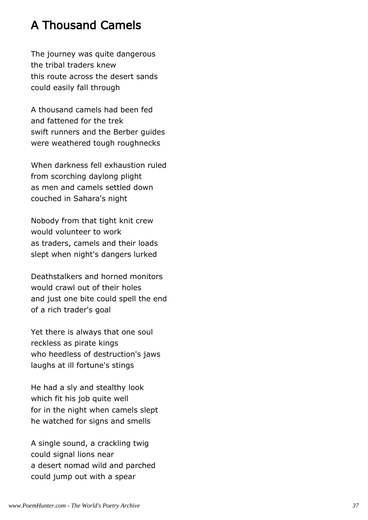# A Thousand Camels

The journey was quite dangerous the tribal traders knew this route across the desert sands could easily fall through

A thousand camels had been fed and fattened for the trek swift runners and the Berber guides were weathered tough roughnecks

When darkness fell exhaustion ruled from scorching daylong plight as men and camels settled down couched in Sahara's night

Nobody from that tight knit crew would volunteer to work as traders, camels and their loads slept when night's dangers lurked

Deathstalkers and horned monitors would crawl out of their holes and just one bite could spell the end of a rich trader's goal

Yet there is always that one soul reckless as pirate kings who heedless of destruction's jaws laughs at ill fortune's stings

He had a sly and stealthy look which fit his job quite well for in the night when camels slept he watched for signs and smells

A single sound, a crackling twig could signal lions near a desert nomad wild and parched could jump out with a spear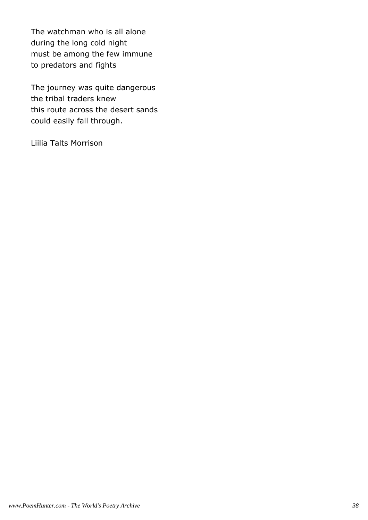The watchman who is all alone during the long cold night must be among the few immune to predators and fights

The journey was quite dangerous the tribal traders knew this route across the desert sands could easily fall through.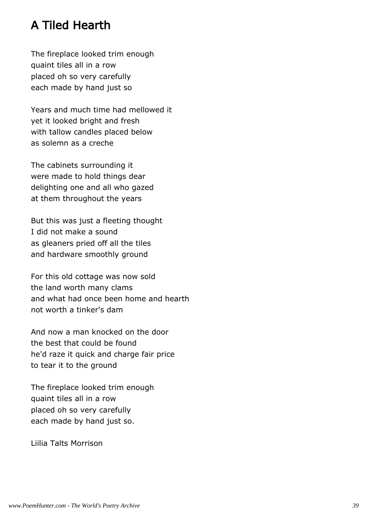## A Tiled Hearth

The fireplace looked trim enough quaint tiles all in a row placed oh so very carefully each made by hand just so

Years and much time had mellowed it yet it looked bright and fresh with tallow candles placed below as solemn as a creche

The cabinets surrounding it were made to hold things dear delighting one and all who gazed at them throughout the years

But this was just a fleeting thought I did not make a sound as gleaners pried off all the tiles and hardware smoothly ground

For this old cottage was now sold the land worth many clams and what had once been home and hearth not worth a tinker's dam

And now a man knocked on the door the best that could be found he'd raze it quick and charge fair price to tear it to the ground

The fireplace looked trim enough quaint tiles all in a row placed oh so very carefully each made by hand just so.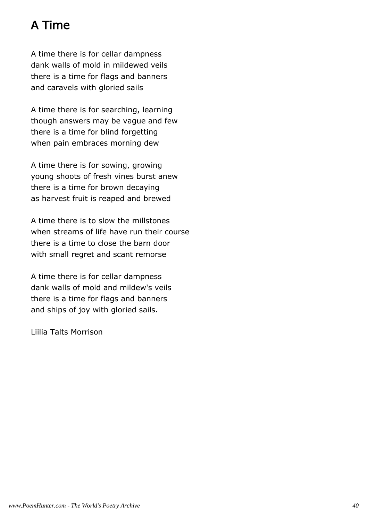# A Time

A time there is for cellar dampness dank walls of mold in mildewed veils there is a time for flags and banners and caravels with gloried sails

A time there is for searching, learning though answers may be vague and few there is a time for blind forgetting when pain embraces morning dew

A time there is for sowing, growing young shoots of fresh vines burst anew there is a time for brown decaying as harvest fruit is reaped and brewed

A time there is to slow the millstones when streams of life have run their course there is a time to close the barn door with small regret and scant remorse

A time there is for cellar dampness dank walls of mold and mildew's veils there is a time for flags and banners and ships of joy with gloried sails.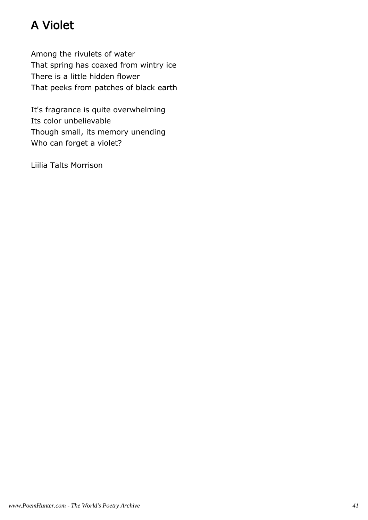# A Violet

Among the rivulets of water That spring has coaxed from wintry ice There is a little hidden flower That peeks from patches of black earth

It's fragrance is quite overwhelming Its color unbelievable Though small, its memory unending Who can forget a violet?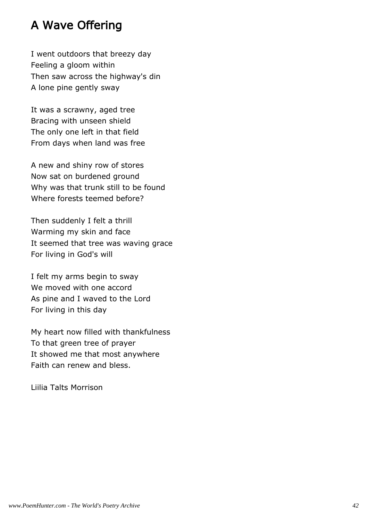# A Wave Offering

I went outdoors that breezy day Feeling a gloom within Then saw across the highway's din A lone pine gently sway

It was a scrawny, aged tree Bracing with unseen shield The only one left in that field From days when land was free

A new and shiny row of stores Now sat on burdened ground Why was that trunk still to be found Where forests teemed before?

Then suddenly I felt a thrill Warming my skin and face It seemed that tree was waving grace For living in God's will

I felt my arms begin to sway We moved with one accord As pine and I waved to the Lord For living in this day

My heart now filled with thankfulness To that green tree of prayer It showed me that most anywhere Faith can renew and bless.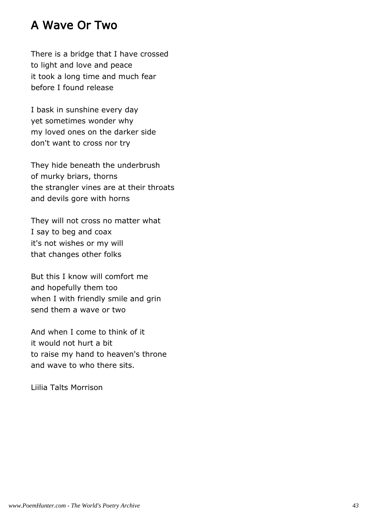### A Wave Or Two

There is a bridge that I have crossed to light and love and peace it took a long time and much fear before I found release

I bask in sunshine every day yet sometimes wonder why my loved ones on the darker side don't want to cross nor try

They hide beneath the underbrush of murky briars, thorns the strangler vines are at their throats and devils gore with horns

They will not cross no matter what I say to beg and coax it's not wishes or my will that changes other folks

But this I know will comfort me and hopefully them too when I with friendly smile and grin send them a wave or two

And when I come to think of it it would not hurt a bit to raise my hand to heaven's throne and wave to who there sits.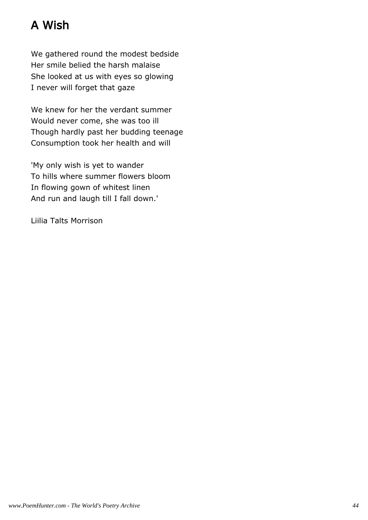# A Wish

We gathered round the modest bedside Her smile belied the harsh malaise She looked at us with eyes so glowing I never will forget that gaze

We knew for her the verdant summer Would never come, she was too ill Though hardly past her budding teenage Consumption took her health and will

'My only wish is yet to wander To hills where summer flowers bloom In flowing gown of whitest linen And run and laugh till I fall down.'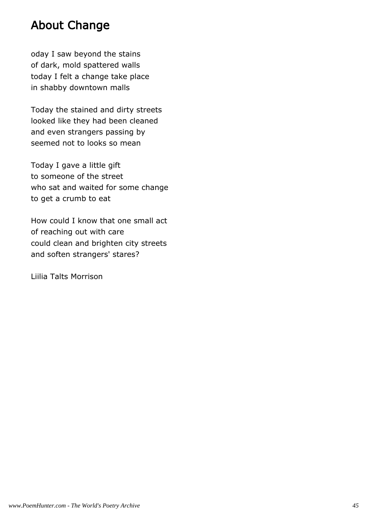### About Change

oday I saw beyond the stains of dark, mold spattered walls today I felt a change take place in shabby downtown malls

Today the stained and dirty streets looked like they had been cleaned and even strangers passing by seemed not to looks so mean

Today I gave a little gift to someone of the street who sat and waited for some change to get a crumb to eat

How could I know that one small act of reaching out with care could clean and brighten city streets and soften strangers' stares?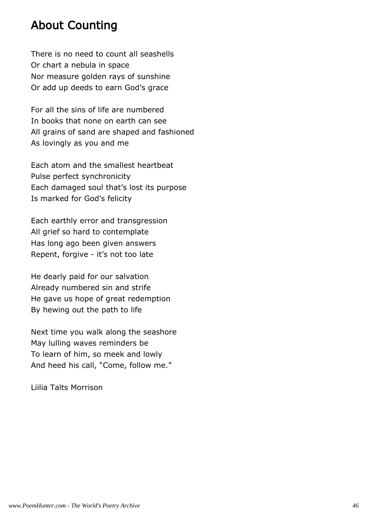### About Counting

There is no need to count all seashells Or chart a nebula in space Nor measure golden rays of sunshine Or add up deeds to earn God's grace

For all the sins of life are numbered In books that none on earth can see All grains of sand are shaped and fashioned As lovingly as you and me

Each atom and the smallest heartbeat Pulse perfect synchronicity Each damaged soul that's lost its purpose Is marked for God's felicity

Each earthly error and transgression All grief so hard to contemplate Has long ago been given answers Repent, forgive - it's not too late

He dearly paid for our salvation Already numbered sin and strife He gave us hope of great redemption By hewing out the path to life

Next time you walk along the seashore May lulling waves reminders be To learn of him, so meek and lowly And heed his call, "Come, follow me."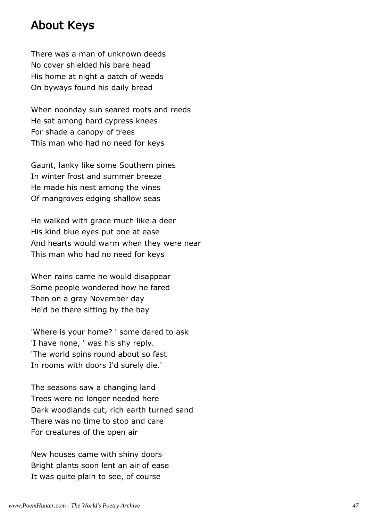#### About Keys

There was a man of unknown deeds No cover shielded his bare head His home at night a patch of weeds On byways found his daily bread

When noonday sun seared roots and reeds He sat among hard cypress knees For shade a canopy of trees This man who had no need for keys

Gaunt, lanky like some Southern pines In winter frost and summer breeze He made his nest among the vines Of mangroves edging shallow seas

He walked with grace much like a deer His kind blue eyes put one at ease And hearts would warm when they were near This man who had no need for keys

When rains came he would disappear Some people wondered how he fared Then on a gray November day He'd be there sitting by the bay

'Where is your home? ' some dared to ask 'I have none, ' was his shy reply. 'The world spins round about so fast In rooms with doors I'd surely die.'

The seasons saw a changing land Trees were no longer needed here Dark woodlands cut, rich earth turned sand There was no time to stop and care For creatures of the open air

New houses came with shiny doors Bright plants soon lent an air of ease It was quite plain to see, of course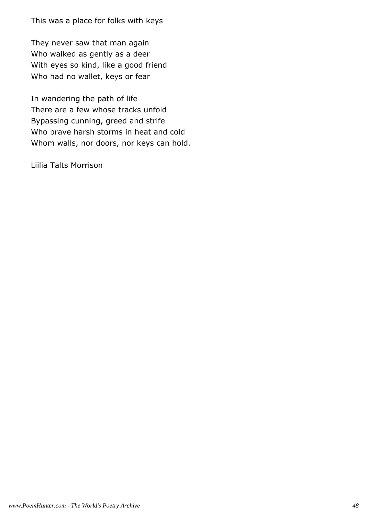This was a place for folks with keys

They never saw that man again Who walked as gently as a deer With eyes so kind, like a good friend Who had no wallet, keys or fear

In wandering the path of life There are a few whose tracks unfold Bypassing cunning, greed and strife Who brave harsh storms in heat and cold Whom walls, nor doors, nor keys can hold.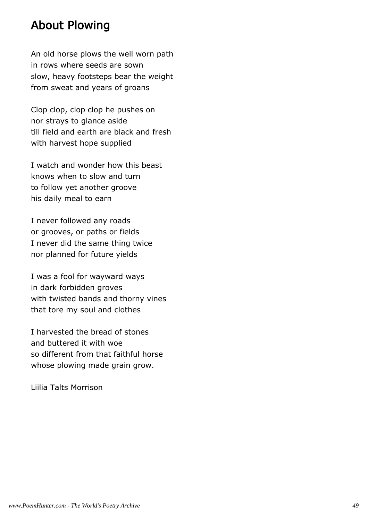### About Plowing

An old horse plows the well worn path in rows where seeds are sown slow, heavy footsteps bear the weight from sweat and years of groans

Clop clop, clop clop he pushes on nor strays to glance aside till field and earth are black and fresh with harvest hope supplied

I watch and wonder how this beast knows when to slow and turn to follow yet another groove his daily meal to earn

I never followed any roads or grooves, or paths or fields I never did the same thing twice nor planned for future yields

I was a fool for wayward ways in dark forbidden groves with twisted bands and thorny vines that tore my soul and clothes

I harvested the bread of stones and buttered it with woe so different from that faithful horse whose plowing made grain grow.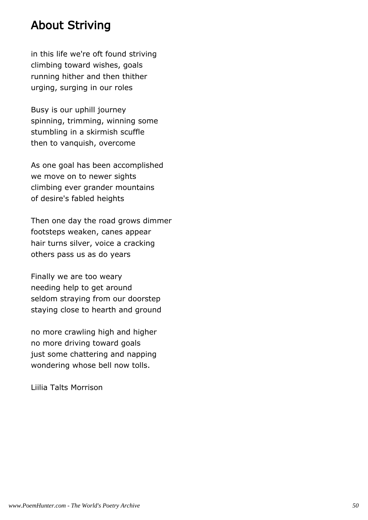### About Striving

in this life we're oft found striving climbing toward wishes, goals running hither and then thither urging, surging in our roles

Busy is our uphill journey spinning, trimming, winning some stumbling in a skirmish scuffle then to vanquish, overcome

As one goal has been accomplished we move on to newer sights climbing ever grander mountains of desire's fabled heights

Then one day the road grows dimmer footsteps weaken, canes appear hair turns silver, voice a cracking others pass us as do years

Finally we are too weary needing help to get around seldom straying from our doorstep staying close to hearth and ground

no more crawling high and higher no more driving toward goals just some chattering and napping wondering whose bell now tolls.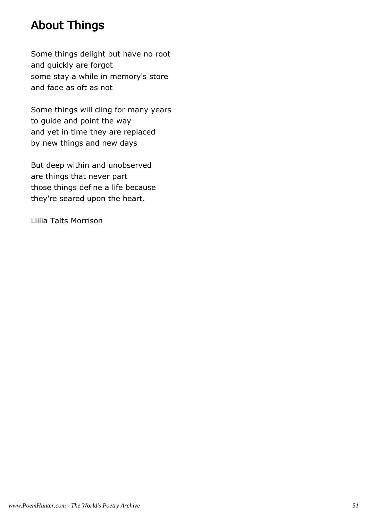# About Things

Some things delight but have no root and quickly are forgot some stay a while in memory's store and fade as oft as not

Some things will cling for many years to guide and point the way and yet in time they are replaced by new things and new days

But deep within and unobserved are things that never part those things define a life because they're seared upon the heart.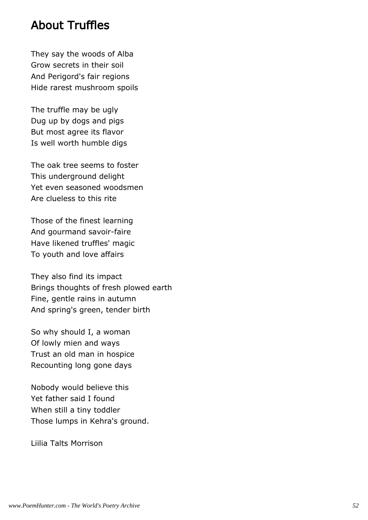#### About Truffles

They say the woods of Alba Grow secrets in their soil And Perigord's fair regions Hide rarest mushroom spoils

The truffle may be ugly Dug up by dogs and pigs But most agree its flavor Is well worth humble digs

The oak tree seems to foster This underground delight Yet even seasoned woodsmen Are clueless to this rite

Those of the finest learning And gourmand savoir-faire Have likened truffles' magic To youth and love affairs

They also find its impact Brings thoughts of fresh plowed earth Fine, gentle rains in autumn And spring's green, tender birth

So why should I, a woman Of lowly mien and ways Trust an old man in hospice Recounting long gone days

Nobody would believe this Yet father said I found When still a tiny toddler Those lumps in Kehra's ground.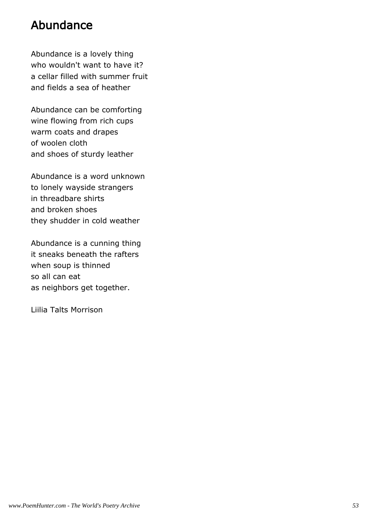### Abundance

Abundance is a lovely thing who wouldn't want to have it? a cellar filled with summer fruit and fields a sea of heather

Abundance can be comforting wine flowing from rich cups warm coats and drapes of woolen cloth and shoes of sturdy leather

Abundance is a word unknown to lonely wayside strangers in threadbare shirts and broken shoes they shudder in cold weather

Abundance is a cunning thing it sneaks beneath the rafters when soup is thinned so all can eat as neighbors get together.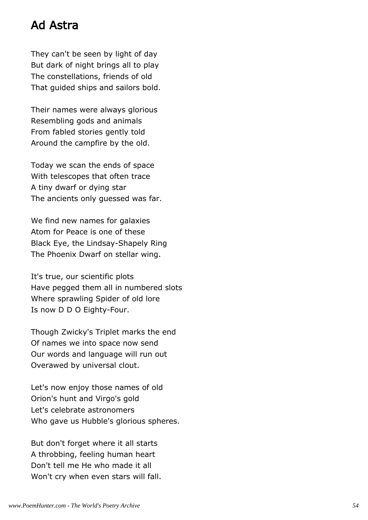### Ad Astra

They can't be seen by light of day But dark of night brings all to play The constellations, friends of old That guided ships and sailors bold.

Their names were always glorious Resembling gods and animals From fabled stories gently told Around the campfire by the old.

Today we scan the ends of space With telescopes that often trace A tiny dwarf or dying star The ancients only guessed was far.

We find new names for galaxies Atom for Peace is one of these Black Eye, the Lindsay-Shapely Ring The Phoenix Dwarf on stellar wing.

It's true, our scientific plots Have pegged them all in numbered slots Where sprawling Spider of old lore Is now D D O Eighty-Four.

Though Zwicky's Triplet marks the end Of names we into space now send Our words and language will run out Overawed by universal clout.

Let's now enjoy those names of old Orion's hunt and Virgo's gold Let's celebrate astronomers Who gave us Hubble's glorious spheres.

But don't forget where it all starts A throbbing, feeling human heart Don't tell me He who made it all Won't cry when even stars will fall.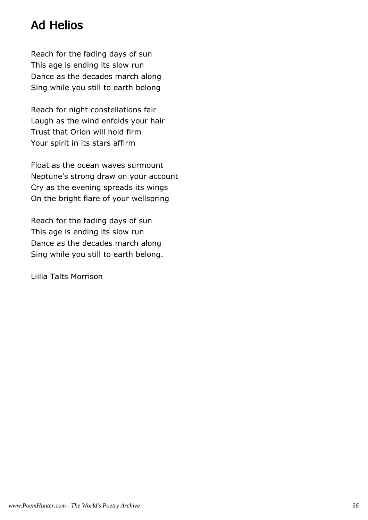# Ad Helios

Reach for the fading days of sun This age is ending its slow run Dance as the decades march along Sing while you still to earth belong

Reach for night constellations fair Laugh as the wind enfolds your hair Trust that Orion will hold firm Your spirit in its stars affirm

Float as the ocean waves surmount Neptune's strong draw on your account Cry as the evening spreads its wings On the bright flare of your wellspring

Reach for the fading days of sun This age is ending its slow run Dance as the decades march along Sing while you still to earth belong.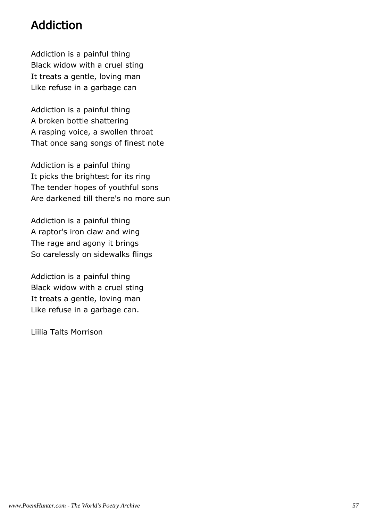# Addiction

Addiction is a painful thing Black widow with a cruel sting It treats a gentle, loving man Like refuse in a garbage can

Addiction is a painful thing A broken bottle shattering A rasping voice, a swollen throat That once sang songs of finest note

Addiction is a painful thing It picks the brightest for its ring The tender hopes of youthful sons Are darkened till there's no more sun

Addiction is a painful thing A raptor's iron claw and wing The rage and agony it brings So carelessly on sidewalks flings

Addiction is a painful thing Black widow with a cruel sting It treats a gentle, loving man Like refuse in a garbage can.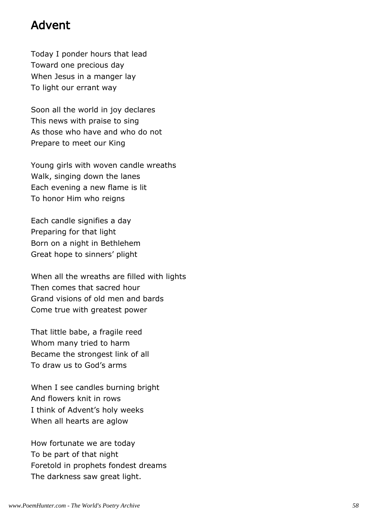### Advent

Today I ponder hours that lead Toward one precious day When Jesus in a manger lay To light our errant way

Soon all the world in joy declares This news with praise to sing As those who have and who do not Prepare to meet our King

Young girls with woven candle wreaths Walk, singing down the lanes Each evening a new flame is lit To honor Him who reigns

Each candle signifies a day Preparing for that light Born on a night in Bethlehem Great hope to sinners' plight

When all the wreaths are filled with lights Then comes that sacred hour Grand visions of old men and bards Come true with greatest power

That little babe, a fragile reed Whom many tried to harm Became the strongest link of all To draw us to God's arms

When I see candles burning bright And flowers knit in rows I think of Advent's holy weeks When all hearts are aglow

How fortunate we are today To be part of that night Foretold in prophets fondest dreams The darkness saw great light.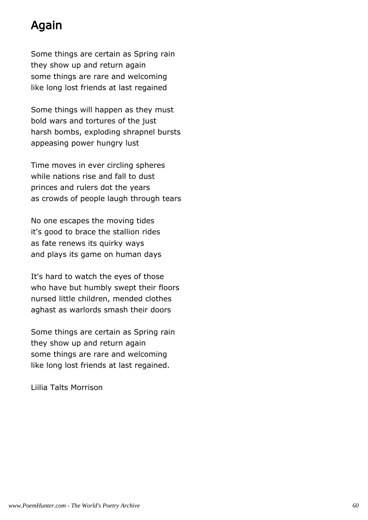# Again

Some things are certain as Spring rain they show up and return again some things are rare and welcoming like long lost friends at last regained

Some things will happen as they must bold wars and tortures of the just harsh bombs, exploding shrapnel bursts appeasing power hungry lust

Time moves in ever circling spheres while nations rise and fall to dust princes and rulers dot the years as crowds of people laugh through tears

No one escapes the moving tides it's good to brace the stallion rides as fate renews its quirky ways and plays its game on human days

It's hard to watch the eyes of those who have but humbly swept their floors nursed little children, mended clothes aghast as warlords smash their doors

Some things are certain as Spring rain they show up and return again some things are rare and welcoming like long lost friends at last regained.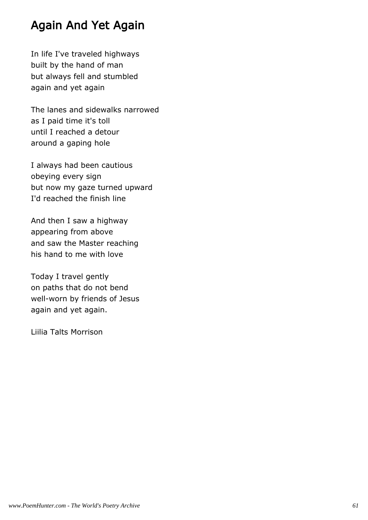## Again And Yet Again

In life I've traveled highways built by the hand of man but always fell and stumbled again and yet again

The lanes and sidewalks narrowed as I paid time it's toll until I reached a detour around a gaping hole

I always had been cautious obeying every sign but now my gaze turned upward I'd reached the finish line

And then I saw a highway appearing from above and saw the Master reaching his hand to me with love

Today I travel gently on paths that do not bend well-worn by friends of Jesus again and yet again.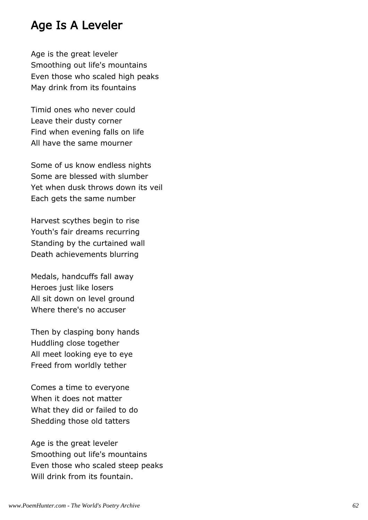### Age Is A Leveler

Age is the great leveler Smoothing out life's mountains Even those who scaled high peaks May drink from its fountains

Timid ones who never could Leave their dusty corner Find when evening falls on life All have the same mourner

Some of us know endless nights Some are blessed with slumber Yet when dusk throws down its veil Each gets the same number

Harvest scythes begin to rise Youth's fair dreams recurring Standing by the curtained wall Death achievements blurring

Medals, handcuffs fall away Heroes just like losers All sit down on level ground Where there's no accuser

Then by clasping bony hands Huddling close together All meet looking eye to eye Freed from worldly tether

Comes a time to everyone When it does not matter What they did or failed to do Shedding those old tatters

Age is the great leveler Smoothing out life's mountains Even those who scaled steep peaks Will drink from its fountain.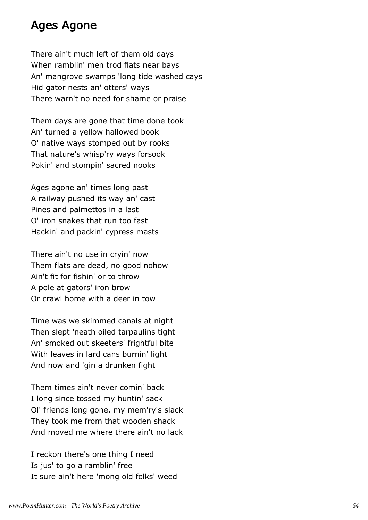### Ages Agone

There ain't much left of them old days When ramblin' men trod flats near bays An' mangrove swamps 'long tide washed cays Hid gator nests an' otters' ways There warn't no need for shame or praise

Them days are gone that time done took An' turned a yellow hallowed book O' native ways stomped out by rooks That nature's whisp'ry ways forsook Pokin' and stompin' sacred nooks

Ages agone an' times long past A railway pushed its way an' cast Pines and palmettos in a last O' iron snakes that run too fast Hackin' and packin' cypress masts

There ain't no use in cryin' now Them flats are dead, no good nohow Ain't fit for fishin' or to throw A pole at gators' iron brow Or crawl home with a deer in tow

Time was we skimmed canals at night Then slept 'neath oiled tarpaulins tight An' smoked out skeeters' frightful bite With leaves in lard cans burnin' light And now and 'gin a drunken fight

Them times ain't never comin' back I long since tossed my huntin' sack Ol' friends long gone, my mem'ry's slack They took me from that wooden shack And moved me where there ain't no lack

I reckon there's one thing I need Is jus' to go a ramblin' free It sure ain't here 'mong old folks' weed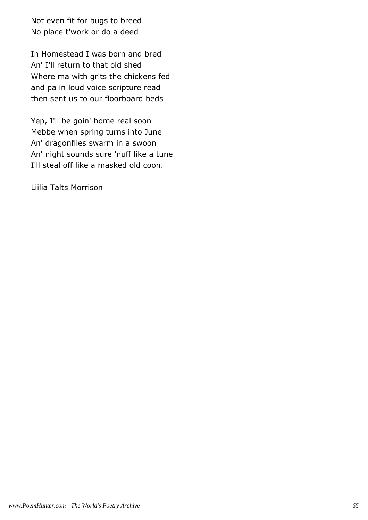Not even fit for bugs to breed No place t'work or do a deed

In Homestead I was born and bred An' I'll return to that old shed Where ma with grits the chickens fed and pa in loud voice scripture read then sent us to our floorboard beds

Yep, I'll be goin' home real soon Mebbe when spring turns into June An' dragonflies swarm in a swoon An' night sounds sure 'nuff like a tune I'll steal off like a masked old coon.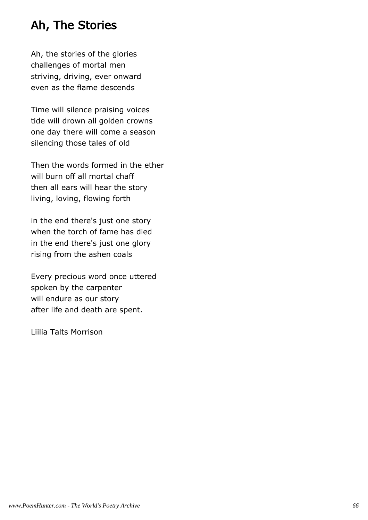# Ah, The Stories

Ah, the stories of the glories challenges of mortal men striving, driving, ever onward even as the flame descends

Time will silence praising voices tide will drown all golden crowns one day there will come a season silencing those tales of old

Then the words formed in the ether will burn off all mortal chaff then all ears will hear the story living, loving, flowing forth

in the end there's just one story when the torch of fame has died in the end there's just one glory rising from the ashen coals

Every precious word once uttered spoken by the carpenter will endure as our story after life and death are spent.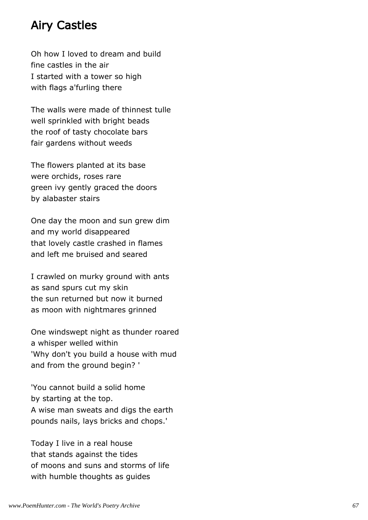### Airy Castles

Oh how I loved to dream and build fine castles in the air I started with a tower so high with flags a'furling there

The walls were made of thinnest tulle well sprinkled with bright beads the roof of tasty chocolate bars fair gardens without weeds

The flowers planted at its base were orchids, roses rare green ivy gently graced the doors by alabaster stairs

One day the moon and sun grew dim and my world disappeared that lovely castle crashed in flames and left me bruised and seared

I crawled on murky ground with ants as sand spurs cut my skin the sun returned but now it burned as moon with nightmares grinned

One windswept night as thunder roared a whisper welled within 'Why don't you build a house with mud and from the ground begin? '

'You cannot build a solid home by starting at the top. A wise man sweats and digs the earth pounds nails, lays bricks and chops.'

Today I live in a real house that stands against the tides of moons and suns and storms of life with humble thoughts as guides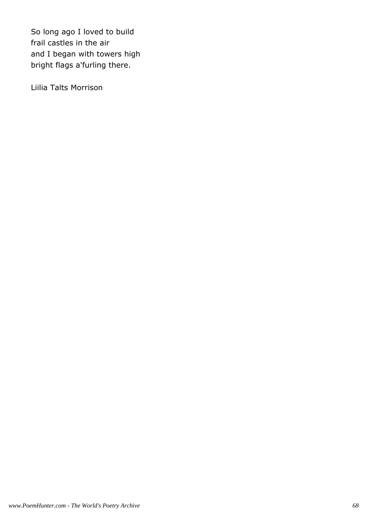So long ago I loved to build frail castles in the air and I began with towers high bright flags a'furling there.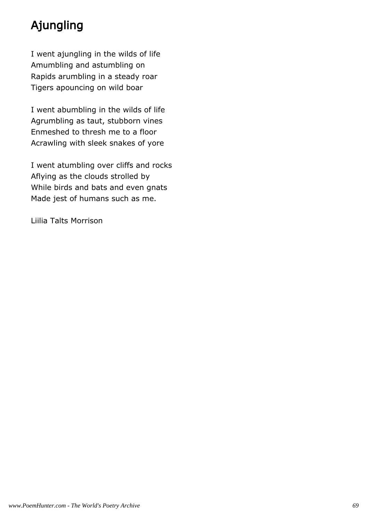# Ajungling

I went ajungling in the wilds of life Amumbling and astumbling on Rapids arumbling in a steady roar Tigers apouncing on wild boar

I went abumbling in the wilds of life Agrumbling as taut, stubborn vines Enmeshed to thresh me to a floor Acrawling with sleek snakes of yore

I went atumbling over cliffs and rocks Aflying as the clouds strolled by While birds and bats and even gnats Made jest of humans such as me.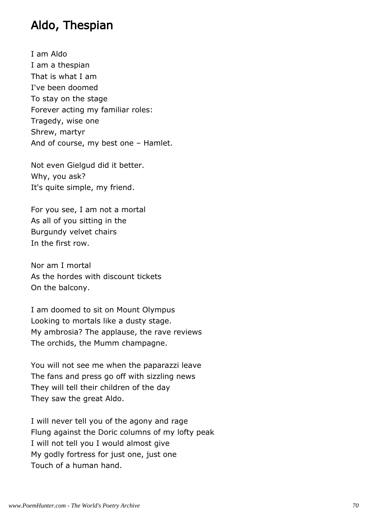### Aldo, Thespian

I am Aldo I am a thespian That is what I am I've been doomed To stay on the stage Forever acting my familiar roles: Tragedy, wise one Shrew, martyr And of course, my best one – Hamlet.

Not even Gielgud did it better. Why, you ask? It's quite simple, my friend.

For you see, I am not a mortal As all of you sitting in the Burgundy velvet chairs In the first row.

Nor am I mortal As the hordes with discount tickets On the balcony.

I am doomed to sit on Mount Olympus Looking to mortals like a dusty stage. My ambrosia? The applause, the rave reviews The orchids, the Mumm champagne.

You will not see me when the paparazzi leave The fans and press go off with sizzling news They will tell their children of the day They saw the great Aldo.

I will never tell you of the agony and rage Flung against the Doric columns of my lofty peak I will not tell you I would almost give My godly fortress for just one, just one Touch of a human hand.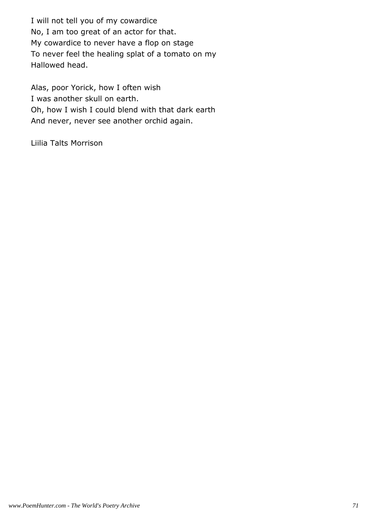I will not tell you of my cowardice No, I am too great of an actor for that. My cowardice to never have a flop on stage To never feel the healing splat of a tomato on my Hallowed head.

Alas, poor Yorick, how I often wish I was another skull on earth. Oh, how I wish I could blend with that dark earth And never, never see another orchid again.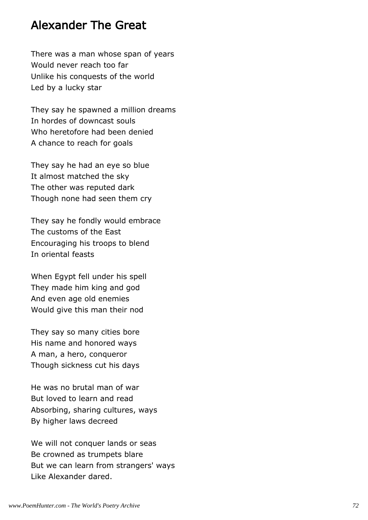### Alexander The Great

There was a man whose span of years Would never reach too far Unlike his conquests of the world Led by a lucky star

They say he spawned a million dreams In hordes of downcast souls Who heretofore had been denied A chance to reach for goals

They say he had an eye so blue It almost matched the sky The other was reputed dark Though none had seen them cry

They say he fondly would embrace The customs of the East Encouraging his troops to blend In oriental feasts

When Egypt fell under his spell They made him king and god And even age old enemies Would give this man their nod

They say so many cities bore His name and honored ways A man, a hero, conqueror Though sickness cut his days

He was no brutal man of war But loved to learn and read Absorbing, sharing cultures, ways By higher laws decreed

We will not conquer lands or seas Be crowned as trumpets blare But we can learn from strangers' ways Like Alexander dared.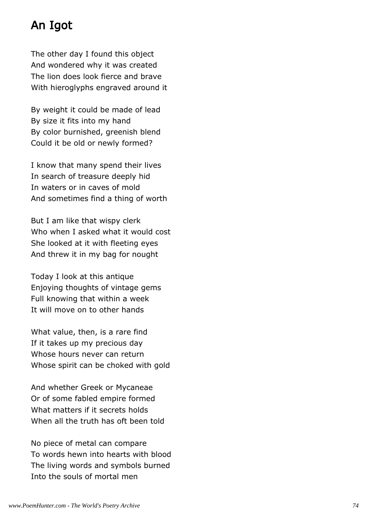# An Igot

The other day I found this object And wondered why it was created The lion does look fierce and brave With hieroglyphs engraved around it

By weight it could be made of lead By size it fits into my hand By color burnished, greenish blend Could it be old or newly formed?

I know that many spend their lives In search of treasure deeply hid In waters or in caves of mold And sometimes find a thing of worth

But I am like that wispy clerk Who when I asked what it would cost She looked at it with fleeting eyes And threw it in my bag for nought

Today I look at this antique Enjoying thoughts of vintage gems Full knowing that within a week It will move on to other hands

What value, then, is a rare find If it takes up my precious day Whose hours never can return Whose spirit can be choked with gold

And whether Greek or Mycaneae Or of some fabled empire formed What matters if it secrets holds When all the truth has oft been told

No piece of metal can compare To words hewn into hearts with blood The living words and symbols burned Into the souls of mortal men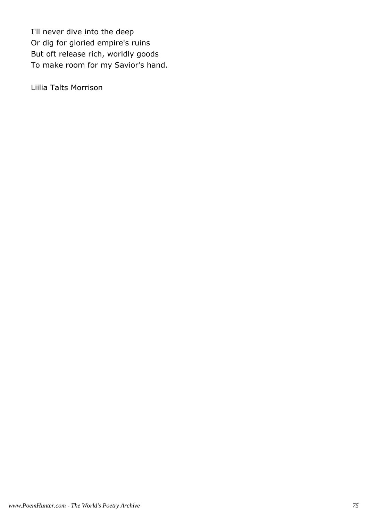I'll never dive into the deep Or dig for gloried empire's ruins But oft release rich, worldly goods To make room for my Savior's hand.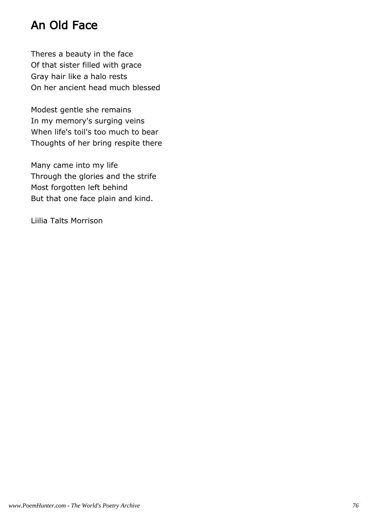# An Old Face

Theres a beauty in the face Of that sister filled with grace Gray hair like a halo rests On her ancient head much blessed

Modest gentle she remains In my memory's surging veins When life's toil's too much to bear Thoughts of her bring respite there

Many came into my life Through the glories and the strife Most forgotten left behind But that one face plain and kind.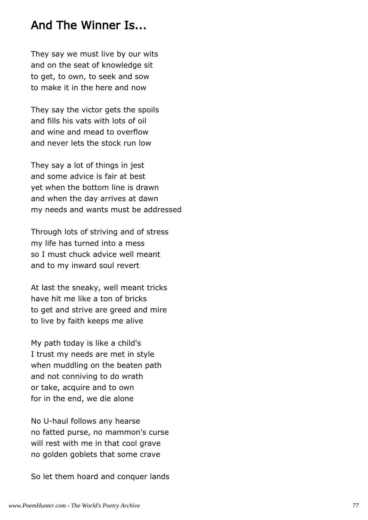### And The Winner Is...

They say we must live by our wits and on the seat of knowledge sit to get, to own, to seek and sow to make it in the here and now

They say the victor gets the spoils and fills his vats with lots of oil and wine and mead to overflow and never lets the stock run low

They say a lot of things in jest and some advice is fair at best yet when the bottom line is drawn and when the day arrives at dawn my needs and wants must be addressed

Through lots of striving and of stress my life has turned into a mess so I must chuck advice well meant and to my inward soul revert

At last the sneaky, well meant tricks have hit me like a ton of bricks to get and strive are greed and mire to live by faith keeps me alive

My path today is like a child's I trust my needs are met in style when muddling on the beaten path and not conniving to do wrath or take, acquire and to own for in the end, we die alone

No U-haul follows any hearse no fatted purse, no mammon's curse will rest with me in that cool grave no golden goblets that some crave

So let them hoard and conquer lands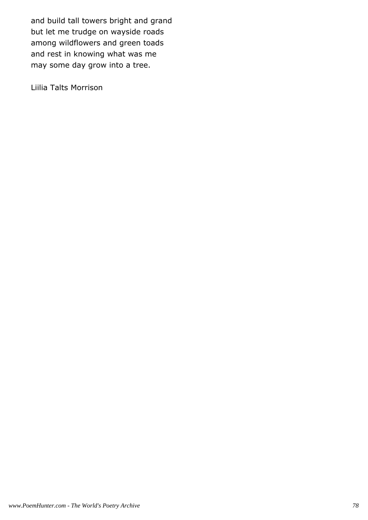and build tall towers bright and grand but let me trudge on wayside roads among wildflowers and green toads and rest in knowing what was me may some day grow into a tree.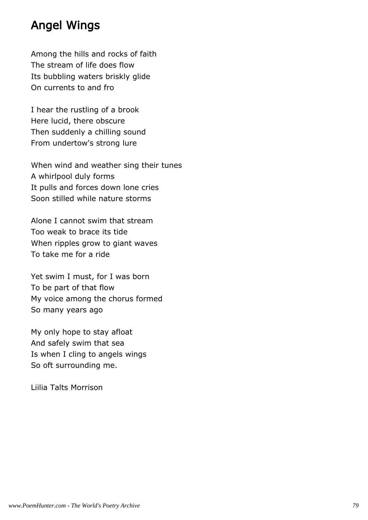## Angel Wings

Among the hills and rocks of faith The stream of life does flow Its bubbling waters briskly glide On currents to and fro

I hear the rustling of a brook Here lucid, there obscure Then suddenly a chilling sound From undertow's strong lure

When wind and weather sing their tunes A whirlpool duly forms It pulls and forces down lone cries Soon stilled while nature storms

Alone I cannot swim that stream Too weak to brace its tide When ripples grow to giant waves To take me for a ride

Yet swim I must, for I was born To be part of that flow My voice among the chorus formed So many years ago

My only hope to stay afloat And safely swim that sea Is when I cling to angels wings So oft surrounding me.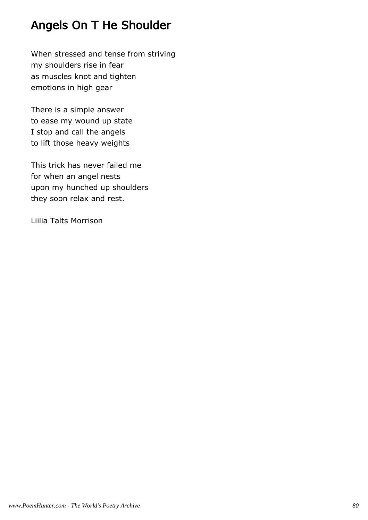# Angels On T He Shoulder

When stressed and tense from striving my shoulders rise in fear as muscles knot and tighten emotions in high gear

There is a simple answer to ease my wound up state I stop and call the angels to lift those heavy weights

This trick has never failed me for when an angel nests upon my hunched up shoulders they soon relax and rest.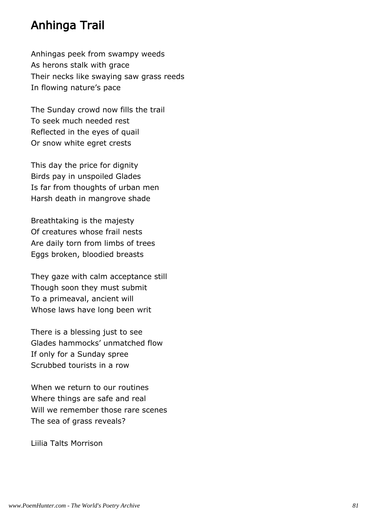## Anhinga Trail

Anhingas peek from swampy weeds As herons stalk with grace Their necks like swaying saw grass reeds In flowing nature's pace

The Sunday crowd now fills the trail To seek much needed rest Reflected in the eyes of quail Or snow white egret crests

This day the price for dignity Birds pay in unspoiled Glades Is far from thoughts of urban men Harsh death in mangrove shade

Breathtaking is the majesty Of creatures whose frail nests Are daily torn from limbs of trees Eggs broken, bloodied breasts

They gaze with calm acceptance still Though soon they must submit To a primeaval, ancient will Whose laws have long been writ

There is a blessing just to see Glades hammocks' unmatched flow If only for a Sunday spree Scrubbed tourists in a row

When we return to our routines Where things are safe and real Will we remember those rare scenes The sea of grass reveals?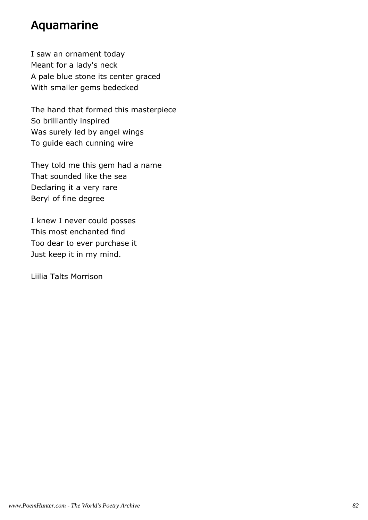## Aquamarine

I saw an ornament today Meant for a lady's neck A pale blue stone its center graced With smaller gems bedecked

The hand that formed this masterpiece So brilliantly inspired Was surely led by angel wings To guide each cunning wire

They told me this gem had a name That sounded like the sea Declaring it a very rare Beryl of fine degree

I knew I never could posses This most enchanted find Too dear to ever purchase it Just keep it in my mind.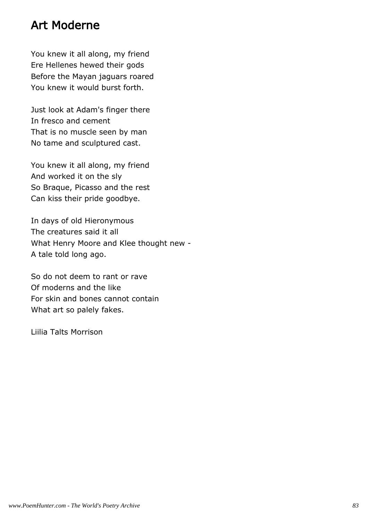## Art Moderne

You knew it all along, my friend Ere Hellenes hewed their gods Before the Mayan jaguars roared You knew it would burst forth.

Just look at Adam's finger there In fresco and cement That is no muscle seen by man No tame and sculptured cast.

You knew it all along, my friend And worked it on the sly So Braque, Picasso and the rest Can kiss their pride goodbye.

In days of old Hieronymous The creatures said it all What Henry Moore and Klee thought new - A tale told long ago.

So do not deem to rant or rave Of moderns and the like For skin and bones cannot contain What art so palely fakes.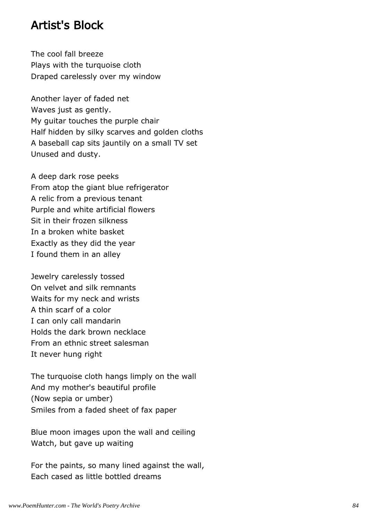### Artist's Block

The cool fall breeze Plays with the turquoise cloth Draped carelessly over my window

Another layer of faded net Waves just as gently. My guitar touches the purple chair Half hidden by silky scarves and golden cloths A baseball cap sits jauntily on a small TV set Unused and dusty.

A deep dark rose peeks From atop the giant blue refrigerator A relic from a previous tenant Purple and white artificial flowers Sit in their frozen silkness In a broken white basket Exactly as they did the year I found them in an alley

Jewelry carelessly tossed On velvet and silk remnants Waits for my neck and wrists A thin scarf of a color I can only call mandarin Holds the dark brown necklace From an ethnic street salesman It never hung right

The turquoise cloth hangs limply on the wall And my mother's beautiful profile (Now sepia or umber) Smiles from a faded sheet of fax paper

Blue moon images upon the wall and ceiling Watch, but gave up waiting

For the paints, so many lined against the wall, Each cased as little bottled dreams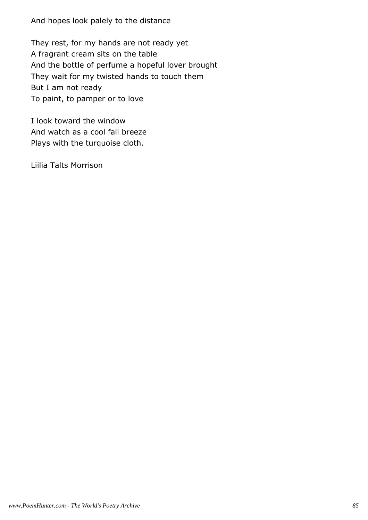And hopes look palely to the distance

They rest, for my hands are not ready yet A fragrant cream sits on the table And the bottle of perfume a hopeful lover brought They wait for my twisted hands to touch them But I am not ready To paint, to pamper or to love

I look toward the window And watch as a cool fall breeze Plays with the turquoise cloth.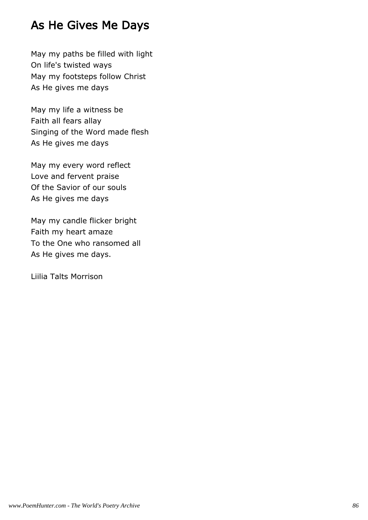## As He Gives Me Days

May my paths be filled with light On life's twisted ways May my footsteps follow Christ As He gives me days

May my life a witness be Faith all fears allay Singing of the Word made flesh As He gives me days

May my every word reflect Love and fervent praise Of the Savior of our souls As He gives me days

May my candle flicker bright Faith my heart amaze To the One who ransomed all As He gives me days.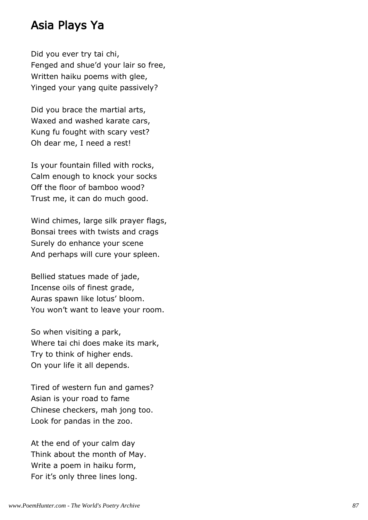### Asia Plays Ya

Did you ever try tai chi, Fenged and shue'd your lair so free, Written haiku poems with glee, Yinged your yang quite passively?

Did you brace the martial arts, Waxed and washed karate cars, Kung fu fought with scary vest? Oh dear me, I need a rest!

Is your fountain filled with rocks, Calm enough to knock your socks Off the floor of bamboo wood? Trust me, it can do much good.

Wind chimes, large silk prayer flags, Bonsai trees with twists and crags Surely do enhance your scene And perhaps will cure your spleen.

Bellied statues made of jade, Incense oils of finest grade, Auras spawn like lotus' bloom. You won't want to leave your room.

So when visiting a park, Where tai chi does make its mark, Try to think of higher ends. On your life it all depends.

Tired of western fun and games? Asian is your road to fame Chinese checkers, mah jong too. Look for pandas in the zoo.

At the end of your calm day Think about the month of May. Write a poem in haiku form, For it's only three lines long.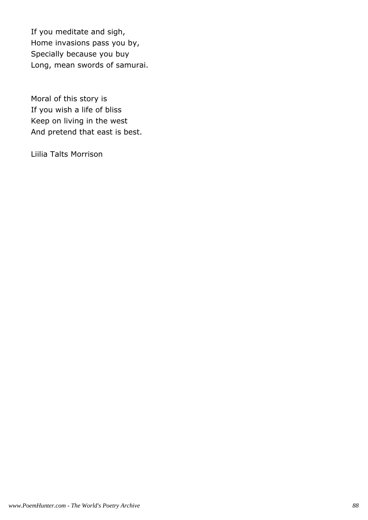If you meditate and sigh, Home invasions pass you by, Specially because you buy Long, mean swords of samurai.

Moral of this story is If you wish a life of bliss Keep on living in the west And pretend that east is best.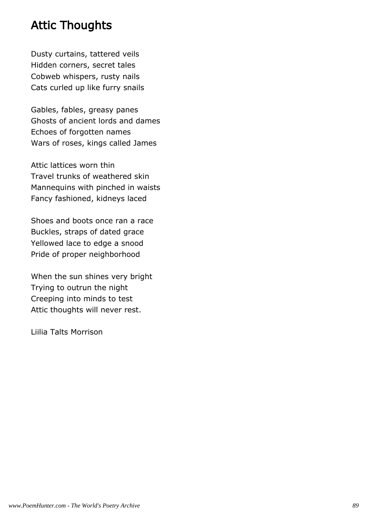## Attic Thoughts

Dusty curtains, tattered veils Hidden corners, secret tales Cobweb whispers, rusty nails Cats curled up like furry snails

Gables, fables, greasy panes Ghosts of ancient lords and dames Echoes of forgotten names Wars of roses, kings called James

Attic lattices worn thin Travel trunks of weathered skin Mannequins with pinched in waists Fancy fashioned, kidneys laced

Shoes and boots once ran a race Buckles, straps of dated grace Yellowed lace to edge a snood Pride of proper neighborhood

When the sun shines very bright Trying to outrun the night Creeping into minds to test Attic thoughts will never rest.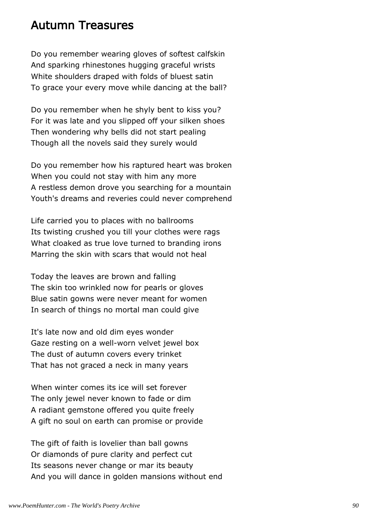### Autumn Treasures

Do you remember wearing gloves of softest calfskin And sparking rhinestones hugging graceful wrists White shoulders draped with folds of bluest satin To grace your every move while dancing at the ball?

Do you remember when he shyly bent to kiss you? For it was late and you slipped off your silken shoes Then wondering why bells did not start pealing Though all the novels said they surely would

Do you remember how his raptured heart was broken When you could not stay with him any more A restless demon drove you searching for a mountain Youth's dreams and reveries could never comprehend

Life carried you to places with no ballrooms Its twisting crushed you till your clothes were rags What cloaked as true love turned to branding irons Marring the skin with scars that would not heal

Today the leaves are brown and falling The skin too wrinkled now for pearls or gloves Blue satin gowns were never meant for women In search of things no mortal man could give

It's late now and old dim eyes wonder Gaze resting on a well-worn velvet jewel box The dust of autumn covers every trinket That has not graced a neck in many years

When winter comes its ice will set forever The only jewel never known to fade or dim A radiant gemstone offered you quite freely A gift no soul on earth can promise or provide

The gift of faith is lovelier than ball gowns Or diamonds of pure clarity and perfect cut Its seasons never change or mar its beauty And you will dance in golden mansions without end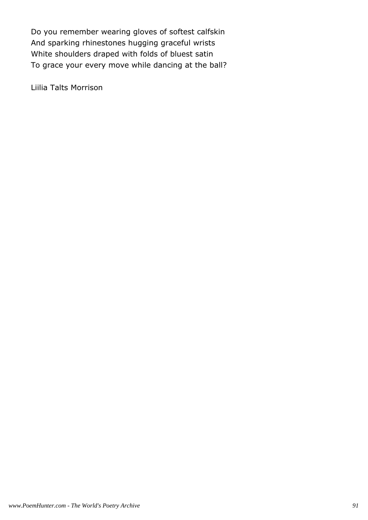Do you remember wearing gloves of softest calfskin And sparking rhinestones hugging graceful wrists White shoulders draped with folds of bluest satin To grace your every move while dancing at the ball?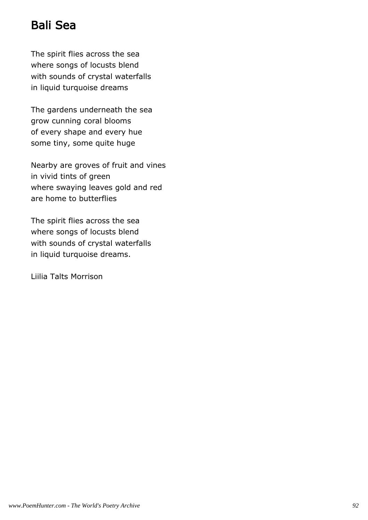# Bali Sea

The spirit flies across the sea where songs of locusts blend with sounds of crystal waterfalls in liquid turquoise dreams

The gardens underneath the sea grow cunning coral blooms of every shape and every hue some tiny, some quite huge

Nearby are groves of fruit and vines in vivid tints of green where swaying leaves gold and red are home to butterflies

The spirit flies across the sea where songs of locusts blend with sounds of crystal waterfalls in liquid turquoise dreams.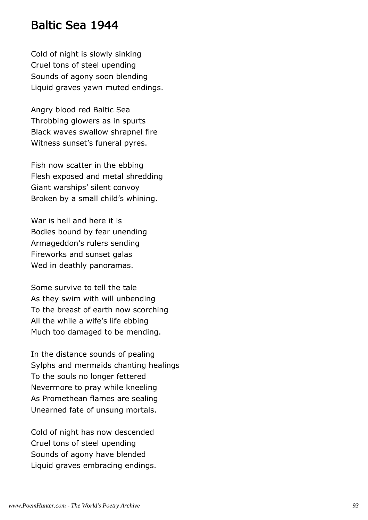### Baltic Sea 1944

Cold of night is slowly sinking Cruel tons of steel upending Sounds of agony soon blending Liquid graves yawn muted endings.

Angry blood red Baltic Sea Throbbing glowers as in spurts Black waves swallow shrapnel fire Witness sunset's funeral pyres.

Fish now scatter in the ebbing Flesh exposed and metal shredding Giant warships' silent convoy Broken by a small child's whining.

War is hell and here it is Bodies bound by fear unending Armageddon's rulers sending Fireworks and sunset galas Wed in deathly panoramas.

Some survive to tell the tale As they swim with will unbending To the breast of earth now scorching All the while a wife's life ebbing Much too damaged to be mending.

In the distance sounds of pealing Sylphs and mermaids chanting healings To the souls no longer fettered Nevermore to pray while kneeling As Promethean flames are sealing Unearned fate of unsung mortals.

Cold of night has now descended Cruel tons of steel upending Sounds of agony have blended Liquid graves embracing endings.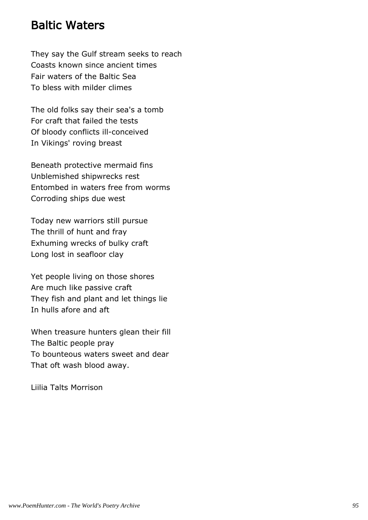### Baltic Waters

They say the Gulf stream seeks to reach Coasts known since ancient times Fair waters of the Baltic Sea To bless with milder climes

The old folks say their sea's a tomb For craft that failed the tests Of bloody conflicts ill-conceived In Vikings' roving breast

Beneath protective mermaid fins Unblemished shipwrecks rest Entombed in waters free from worms Corroding ships due west

Today new warriors still pursue The thrill of hunt and fray Exhuming wrecks of bulky craft Long lost in seafloor clay

Yet people living on those shores Are much like passive craft They fish and plant and let things lie In hulls afore and aft

When treasure hunters glean their fill The Baltic people pray To bounteous waters sweet and dear That oft wash blood away.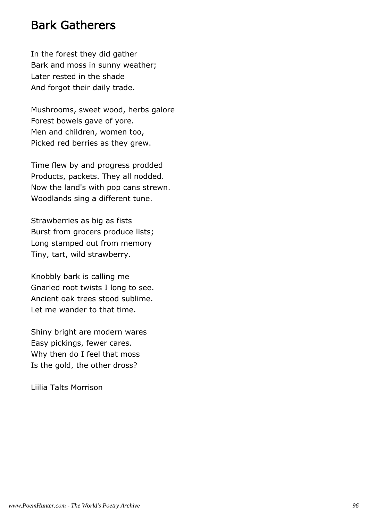### Bark Gatherers

In the forest they did gather Bark and moss in sunny weather; Later rested in the shade And forgot their daily trade.

Mushrooms, sweet wood, herbs galore Forest bowels gave of yore. Men and children, women too, Picked red berries as they grew.

Time flew by and progress prodded Products, packets. They all nodded. Now the land's with pop cans strewn. Woodlands sing a different tune.

Strawberries as big as fists Burst from grocers produce lists; Long stamped out from memory Tiny, tart, wild strawberry.

Knobbly bark is calling me Gnarled root twists I long to see. Ancient oak trees stood sublime. Let me wander to that time.

Shiny bright are modern wares Easy pickings, fewer cares. Why then do I feel that moss Is the gold, the other dross?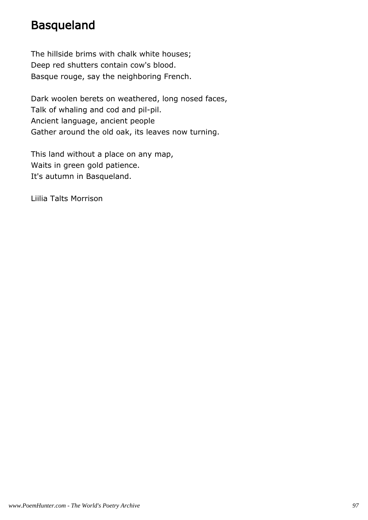## Basqueland

The hillside brims with chalk white houses; Deep red shutters contain cow's blood. Basque rouge, say the neighboring French.

Dark woolen berets on weathered, long nosed faces, Talk of whaling and cod and pil-pil. Ancient language, ancient people Gather around the old oak, its leaves now turning.

This land without a place on any map, Waits in green gold patience. It's autumn in Basqueland.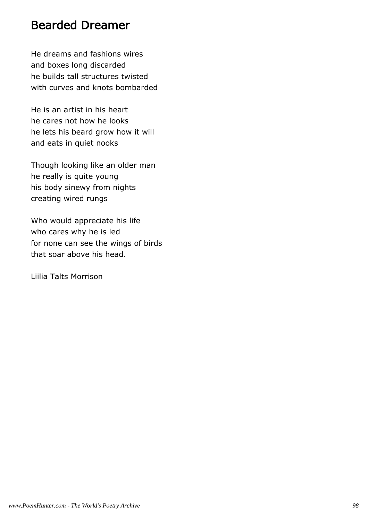### Bearded Dreamer

He dreams and fashions wires and boxes long discarded he builds tall structures twisted with curves and knots bombarded

He is an artist in his heart he cares not how he looks he lets his beard grow how it will and eats in quiet nooks

Though looking like an older man he really is quite young his body sinewy from nights creating wired rungs

Who would appreciate his life who cares why he is led for none can see the wings of birds that soar above his head.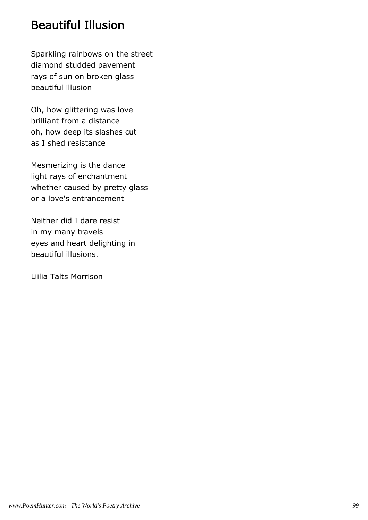## Beautiful Illusion

Sparkling rainbows on the street diamond studded pavement rays of sun on broken glass beautiful illusion

Oh, how glittering was love brilliant from a distance oh, how deep its slashes cut as I shed resistance

Mesmerizing is the dance light rays of enchantment whether caused by pretty glass or a love's entrancement

Neither did I dare resist in my many travels eyes and heart delighting in beautiful illusions.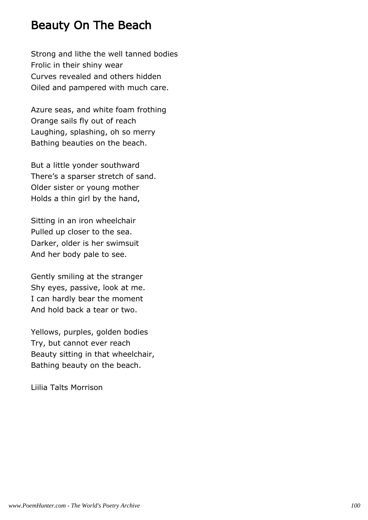## Beauty On The Beach

Strong and lithe the well tanned bodies Frolic in their shiny wear Curves revealed and others hidden Oiled and pampered with much care.

Azure seas, and white foam frothing Orange sails fly out of reach Laughing, splashing, oh so merry Bathing beauties on the beach.

But a little yonder southward There's a sparser stretch of sand. Older sister or young mother Holds a thin girl by the hand,

Sitting in an iron wheelchair Pulled up closer to the sea. Darker, older is her swimsuit And her body pale to see.

Gently smiling at the stranger Shy eyes, passive, look at me. I can hardly bear the moment And hold back a tear or two.

Yellows, purples, golden bodies Try, but cannot ever reach Beauty sitting in that wheelchair, Bathing beauty on the beach.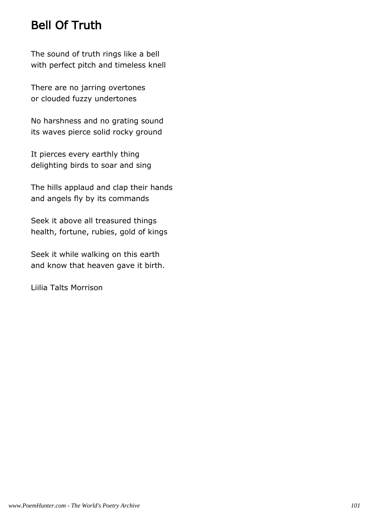# Bell Of Truth

The sound of truth rings like a bell with perfect pitch and timeless knell

There are no jarring overtones or clouded fuzzy undertones

No harshness and no grating sound its waves pierce solid rocky ground

It pierces every earthly thing delighting birds to soar and sing

The hills applaud and clap their hands and angels fly by its commands

Seek it above all treasured things health, fortune, rubies, gold of kings

Seek it while walking on this earth and know that heaven gave it birth.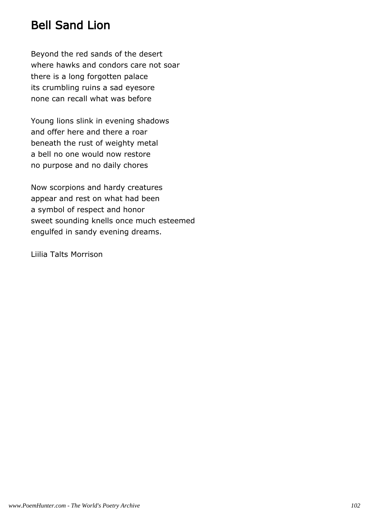# Bell Sand Lion

Beyond the red sands of the desert where hawks and condors care not soar there is a long forgotten palace its crumbling ruins a sad eyesore none can recall what was before

Young lions slink in evening shadows and offer here and there a roar beneath the rust of weighty metal a bell no one would now restore no purpose and no daily chores

Now scorpions and hardy creatures appear and rest on what had been a symbol of respect and honor sweet sounding knells once much esteemed engulfed in sandy evening dreams.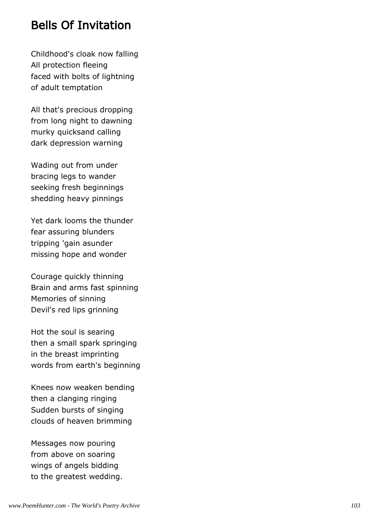## Bells Of Invitation

Childhood's cloak now falling All protection fleeing faced with bolts of lightning of adult temptation

All that's precious dropping from long night to dawning murky quicksand calling dark depression warning

Wading out from under bracing legs to wander seeking fresh beginnings shedding heavy pinnings

Yet dark looms the thunder fear assuring blunders tripping 'gain asunder missing hope and wonder

Courage quickly thinning Brain and arms fast spinning Memories of sinning Devil's red lips grinning

Hot the soul is searing then a small spark springing in the breast imprinting words from earth's beginning

Knees now weaken bending then a clanging ringing Sudden bursts of singing clouds of heaven brimming

Messages now pouring from above on soaring wings of angels bidding to the greatest wedding.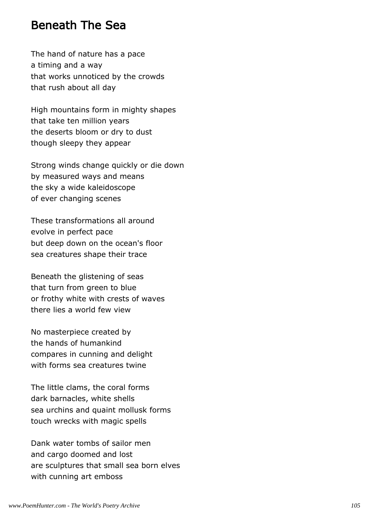### Beneath The Sea

The hand of nature has a pace a timing and a way that works unnoticed by the crowds that rush about all day

High mountains form in mighty shapes that take ten million years the deserts bloom or dry to dust though sleepy they appear

Strong winds change quickly or die down by measured ways and means the sky a wide kaleidoscope of ever changing scenes

These transformations all around evolve in perfect pace but deep down on the ocean's floor sea creatures shape their trace

Beneath the glistening of seas that turn from green to blue or frothy white with crests of waves there lies a world few view

No masterpiece created by the hands of humankind compares in cunning and delight with forms sea creatures twine

The little clams, the coral forms dark barnacles, white shells sea urchins and quaint mollusk forms touch wrecks with magic spells

Dank water tombs of sailor men and cargo doomed and lost are sculptures that small sea born elves with cunning art emboss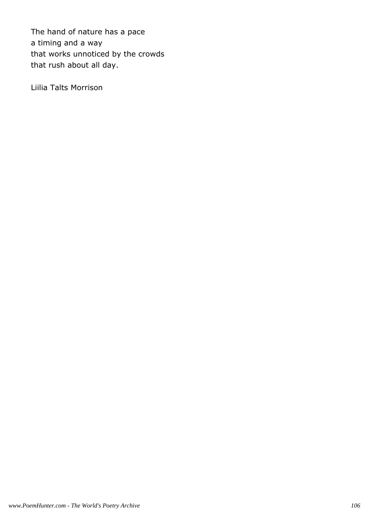The hand of nature has a pace a timing and a way that works unnoticed by the crowds that rush about all day.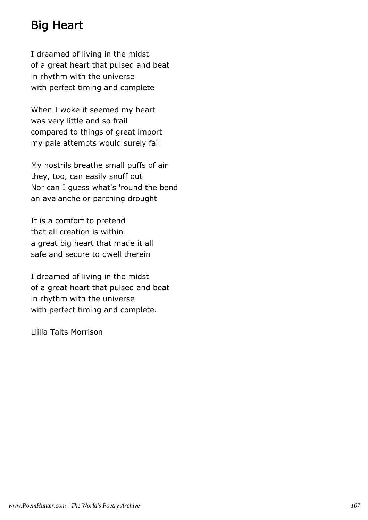# Big Heart

I dreamed of living in the midst of a great heart that pulsed and beat in rhythm with the universe with perfect timing and complete

When I woke it seemed my heart was very little and so frail compared to things of great import my pale attempts would surely fail

My nostrils breathe small puffs of air they, too, can easily snuff out Nor can I guess what's 'round the bend an avalanche or parching drought

It is a comfort to pretend that all creation is within a great big heart that made it all safe and secure to dwell therein

I dreamed of living in the midst of a great heart that pulsed and beat in rhythm with the universe with perfect timing and complete.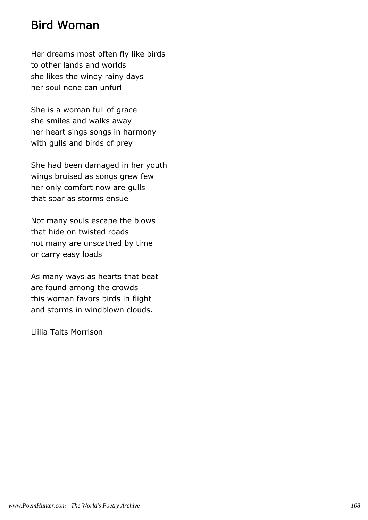## Bird Woman

Her dreams most often fly like birds to other lands and worlds she likes the windy rainy days her soul none can unfurl

She is a woman full of grace she smiles and walks away her heart sings songs in harmony with gulls and birds of prey

She had been damaged in her youth wings bruised as songs grew few her only comfort now are gulls that soar as storms ensue

Not many souls escape the blows that hide on twisted roads not many are unscathed by time or carry easy loads

As many ways as hearts that beat are found among the crowds this woman favors birds in flight and storms in windblown clouds.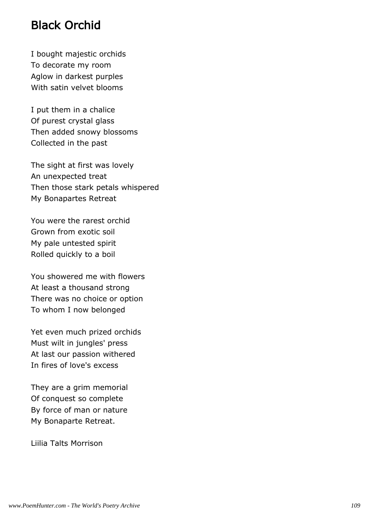### Black Orchid

I bought majestic orchids To decorate my room Aglow in darkest purples With satin velvet blooms

I put them in a chalice Of purest crystal glass Then added snowy blossoms Collected in the past

The sight at first was lovely An unexpected treat Then those stark petals whispered My Bonapartes Retreat

You were the rarest orchid Grown from exotic soil My pale untested spirit Rolled quickly to a boil

You showered me with flowers At least a thousand strong There was no choice or option To whom I now belonged

Yet even much prized orchids Must wilt in jungles' press At last our passion withered In fires of love's excess

They are a grim memorial Of conquest so complete By force of man or nature My Bonaparte Retreat.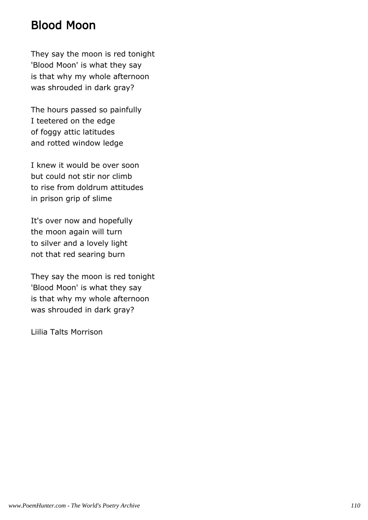#### Blood Moon

They say the moon is red tonight 'Blood Moon' is what they say is that why my whole afternoon was shrouded in dark gray?

The hours passed so painfully I teetered on the edge of foggy attic latitudes and rotted window ledge

I knew it would be over soon but could not stir nor climb to rise from doldrum attitudes in prison grip of slime

It's over now and hopefully the moon again will turn to silver and a lovely light not that red searing burn

They say the moon is red tonight 'Blood Moon' is what they say is that why my whole afternoon was shrouded in dark gray?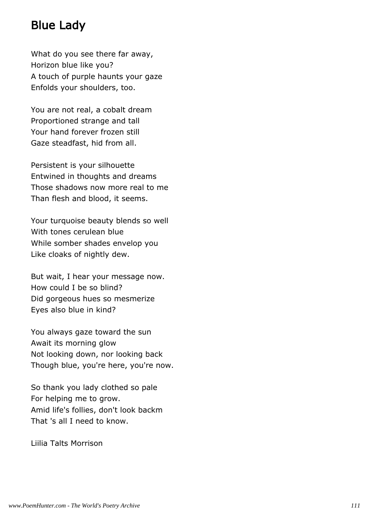#### Blue Lady

What do you see there far away, Horizon blue like you? A touch of purple haunts your gaze Enfolds your shoulders, too.

You are not real, a cobalt dream Proportioned strange and tall Your hand forever frozen still Gaze steadfast, hid from all.

Persistent is your silhouette Entwined in thoughts and dreams Those shadows now more real to me Than flesh and blood, it seems.

Your turquoise beauty blends so well With tones cerulean blue While somber shades envelop you Like cloaks of nightly dew.

But wait, I hear your message now. How could I be so blind? Did gorgeous hues so mesmerize Eyes also blue in kind?

You always gaze toward the sun Await its morning glow Not looking down, nor looking back Though blue, you're here, you're now.

So thank you lady clothed so pale For helping me to grow. Amid life's follies, don't look backm That 's all I need to know.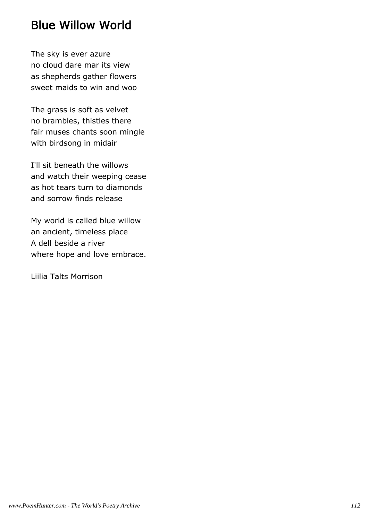## Blue Willow World

The sky is ever azure no cloud dare mar its view as shepherds gather flowers sweet maids to win and woo

The grass is soft as velvet no brambles, thistles there fair muses chants soon mingle with birdsong in midair

I'll sit beneath the willows and watch their weeping cease as hot tears turn to diamonds and sorrow finds release

My world is called blue willow an ancient, timeless place A dell beside a river where hope and love embrace.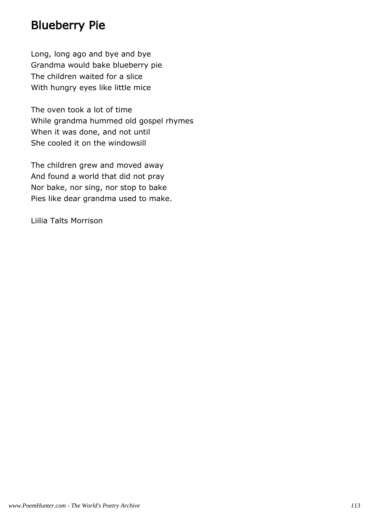## Blueberry Pie

Long, long ago and bye and bye Grandma would bake blueberry pie The children waited for a slice With hungry eyes like little mice

The oven took a lot of time While grandma hummed old gospel rhymes When it was done, and not until She cooled it on the windowsill

The children grew and moved away And found a world that did not pray Nor bake, nor sing, nor stop to bake Pies like dear grandma used to make.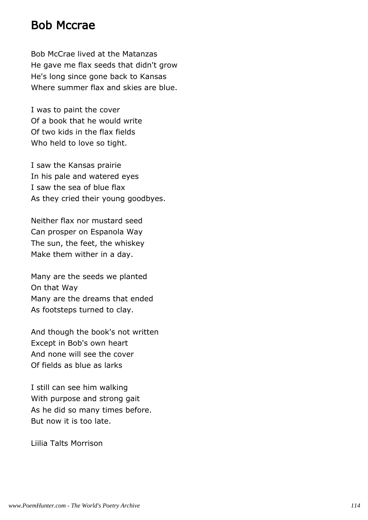#### Bob Mccrae

Bob McCrae lived at the Matanzas He gave me flax seeds that didn't grow He's long since gone back to Kansas Where summer flax and skies are blue.

I was to paint the cover Of a book that he would write Of two kids in the flax fields Who held to love so tight.

I saw the Kansas prairie In his pale and watered eyes I saw the sea of blue flax As they cried their young goodbyes.

Neither flax nor mustard seed Can prosper on Espanola Way The sun, the feet, the whiskey Make them wither in a day.

Many are the seeds we planted On that Way Many are the dreams that ended As footsteps turned to clay.

And though the book's not written Except in Bob's own heart And none will see the cover Of fields as blue as larks

I still can see him walking With purpose and strong gait As he did so many times before. But now it is too late.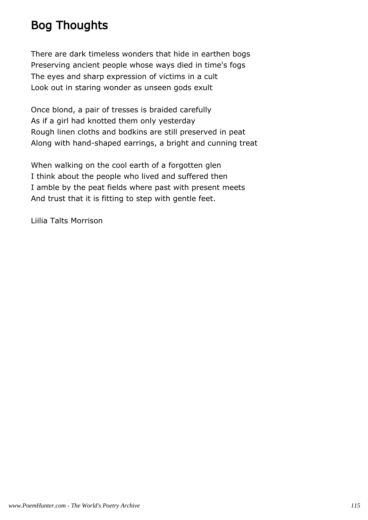# Bog Thoughts

There are dark timeless wonders that hide in earthen bogs Preserving ancient people whose ways died in time's fogs The eyes and sharp expression of victims in a cult Look out in staring wonder as unseen gods exult

Once blond, a pair of tresses is braided carefully As if a girl had knotted them only yesterday Rough linen cloths and bodkins are still preserved in peat Along with hand-shaped earrings, a bright and cunning treat

When walking on the cool earth of a forgotten glen I think about the people who lived and suffered then I amble by the peat fields where past with present meets And trust that it is fitting to step with gentle feet.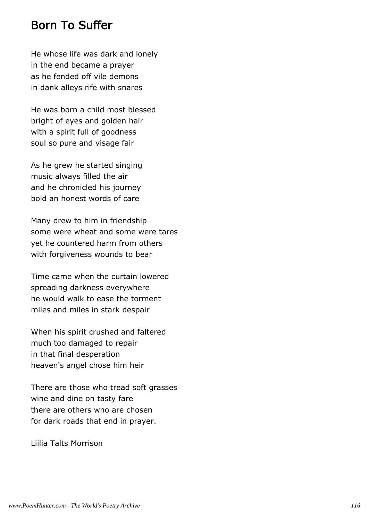#### Born To Suffer

He whose life was dark and lonely in the end became a prayer as he fended off vile demons in dank alleys rife with snares

He was born a child most blessed bright of eyes and golden hair with a spirit full of goodness soul so pure and visage fair

As he grew he started singing music always filled the air and he chronicled his journey bold an honest words of care

Many drew to him in friendship some were wheat and some were tares yet he countered harm from others with forgiveness wounds to bear

Time came when the curtain lowered spreading darkness everywhere he would walk to ease the torment miles and miles in stark despair

When his spirit crushed and faltered much too damaged to repair in that final desperation heaven's angel chose him heir

There are those who tread soft grasses wine and dine on tasty fare there are others who are chosen for dark roads that end in prayer.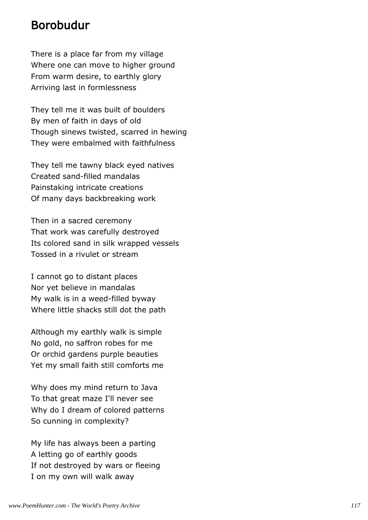#### Borobudur

There is a place far from my village Where one can move to higher ground From warm desire, to earthly glory Arriving last in formlessness

They tell me it was built of boulders By men of faith in days of old Though sinews twisted, scarred in hewing They were embalmed with faithfulness

They tell me tawny black eyed natives Created sand-filled mandalas Painstaking intricate creations Of many days backbreaking work

Then in a sacred ceremony That work was carefully destroyed Its colored sand in silk wrapped vessels Tossed in a rivulet or stream

I cannot go to distant places Nor yet believe in mandalas My walk is in a weed-filled byway Where little shacks still dot the path

Although my earthly walk is simple No gold, no saffron robes for me Or orchid gardens purple beauties Yet my small faith still comforts me

Why does my mind return to Java To that great maze I'll never see Why do I dream of colored patterns So cunning in complexity?

My life has always been a parting A letting go of earthly goods If not destroyed by wars or fleeing I on my own will walk away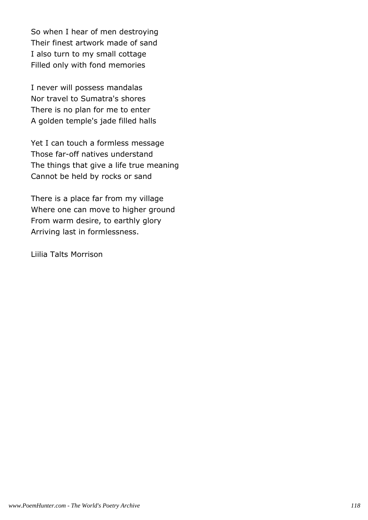So when I hear of men destroying Their finest artwork made of sand I also turn to my small cottage Filled only with fond memories

I never will possess mandalas Nor travel to Sumatra's shores There is no plan for me to enter A golden temple's jade filled halls

Yet I can touch a formless message Those far-off natives understand The things that give a life true meaning Cannot be held by rocks or sand

There is a place far from my village Where one can move to higher ground From warm desire, to earthly glory Arriving last in formlessness.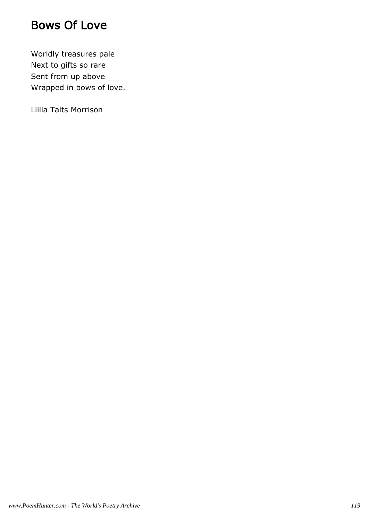### Bows Of Love

Worldly treasures pale Next to gifts so rare Sent from up above Wrapped in bows of love.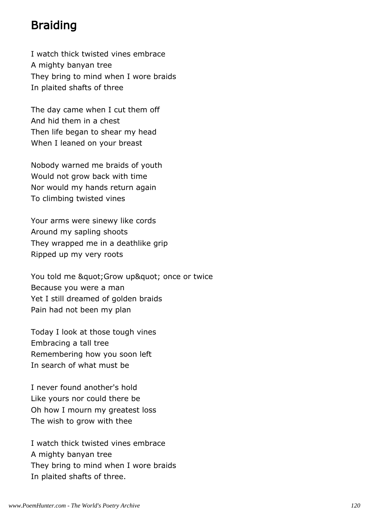## Braiding

I watch thick twisted vines embrace A mighty banyan tree They bring to mind when I wore braids In plaited shafts of three

The day came when I cut them off And hid them in a chest Then life began to shear my head When I leaned on your breast

Nobody warned me braids of youth Would not grow back with time Nor would my hands return again To climbing twisted vines

Your arms were sinewy like cords Around my sapling shoots They wrapped me in a deathlike grip Ripped up my very roots

You told me " Grow up" once or twice Because you were a man Yet I still dreamed of golden braids Pain had not been my plan

Today I look at those tough vines Embracing a tall tree Remembering how you soon left In search of what must be

I never found another's hold Like yours nor could there be Oh how I mourn my greatest loss The wish to grow with thee

I watch thick twisted vines embrace A mighty banyan tree They bring to mind when I wore braids In plaited shafts of three.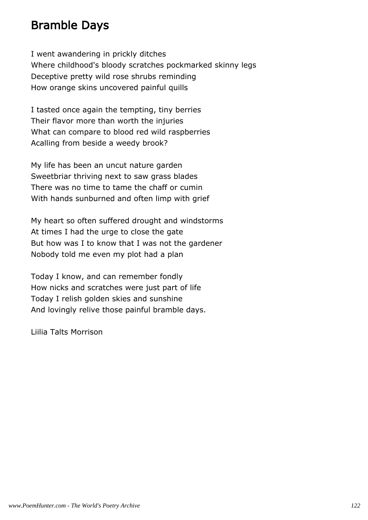## Bramble Days

I went awandering in prickly ditches Where childhood's bloody scratches pockmarked skinny legs Deceptive pretty wild rose shrubs reminding How orange skins uncovered painful quills

I tasted once again the tempting, tiny berries Their flavor more than worth the injuries What can compare to blood red wild raspberries Acalling from beside a weedy brook?

My life has been an uncut nature garden Sweetbriar thriving next to saw grass blades There was no time to tame the chaff or cumin With hands sunburned and often limp with grief

My heart so often suffered drought and windstorms At times I had the urge to close the gate But how was I to know that I was not the gardener Nobody told me even my plot had a plan

Today I know, and can remember fondly How nicks and scratches were just part of life Today I relish golden skies and sunshine And lovingly relive those painful bramble days.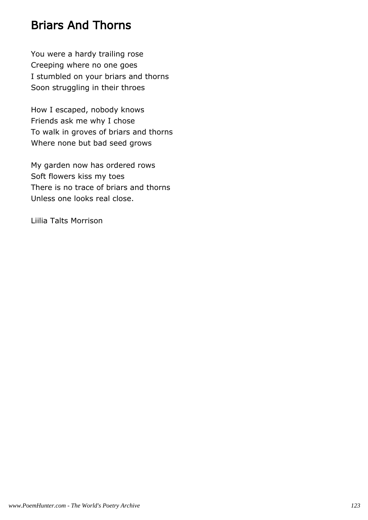### Briars And Thorns

You were a hardy trailing rose Creeping where no one goes I stumbled on your briars and thorns Soon struggling in their throes

How I escaped, nobody knows Friends ask me why I chose To walk in groves of briars and thorns Where none but bad seed grows

My garden now has ordered rows Soft flowers kiss my toes There is no trace of briars and thorns Unless one looks real close.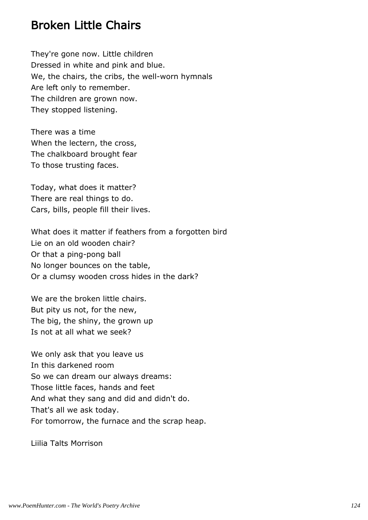## Broken Little Chairs

They're gone now. Little children Dressed in white and pink and blue. We, the chairs, the cribs, the well-worn hymnals Are left only to remember. The children are grown now. They stopped listening.

There was a time When the lectern, the cross, The chalkboard brought fear To those trusting faces.

Today, what does it matter? There are real things to do. Cars, bills, people fill their lives.

What does it matter if feathers from a forgotten bird Lie on an old wooden chair? Or that a ping-pong ball No longer bounces on the table, Or a clumsy wooden cross hides in the dark?

We are the broken little chairs. But pity us not, for the new, The big, the shiny, the grown up Is not at all what we seek?

We only ask that you leave us In this darkened room So we can dream our always dreams: Those little faces, hands and feet And what they sang and did and didn't do. That's all we ask today. For tomorrow, the furnace and the scrap heap.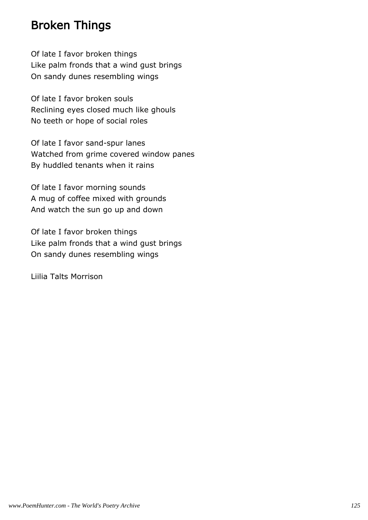## Broken Things

Of late I favor broken things Like palm fronds that a wind gust brings On sandy dunes resembling wings

Of late I favor broken souls Reclining eyes closed much like ghouls No teeth or hope of social roles

Of late I favor sand-spur lanes Watched from grime covered window panes By huddled tenants when it rains

Of late I favor morning sounds A mug of coffee mixed with grounds And watch the sun go up and down

Of late I favor broken things Like palm fronds that a wind gust brings On sandy dunes resembling wings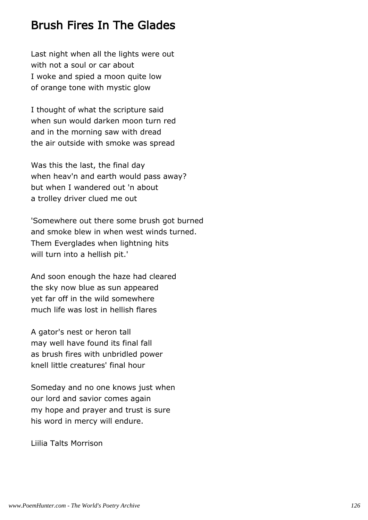#### Brush Fires In The Glades

Last night when all the lights were out with not a soul or car about I woke and spied a moon quite low of orange tone with mystic glow

I thought of what the scripture said when sun would darken moon turn red and in the morning saw with dread the air outside with smoke was spread

Was this the last, the final day when heav'n and earth would pass away? but when I wandered out 'n about a trolley driver clued me out

'Somewhere out there some brush got burned and smoke blew in when west winds turned. Them Everglades when lightning hits will turn into a hellish pit.'

And soon enough the haze had cleared the sky now blue as sun appeared yet far off in the wild somewhere much life was lost in hellish flares

A gator's nest or heron tall may well have found its final fall as brush fires with unbridled power knell little creatures' final hour

Someday and no one knows just when our lord and savior comes again my hope and prayer and trust is sure his word in mercy will endure.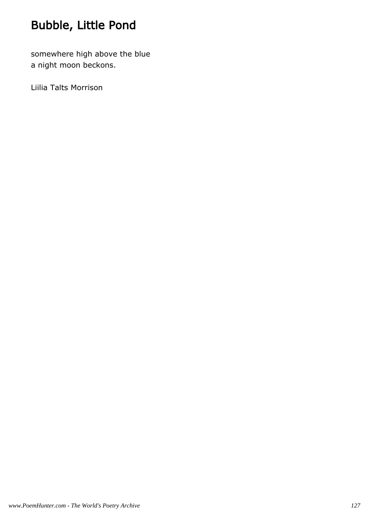# Bubble, Little Pond

somewhere high above the blue a night moon beckons.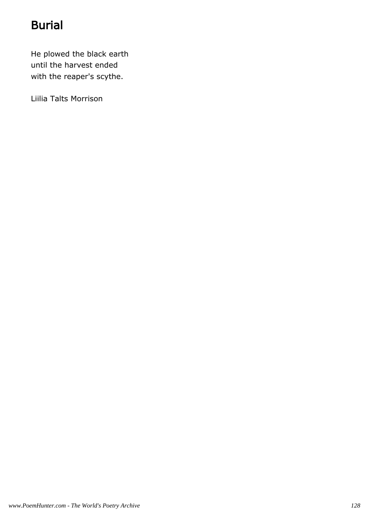# Burial

He plowed the black earth until the harvest ended with the reaper's scythe.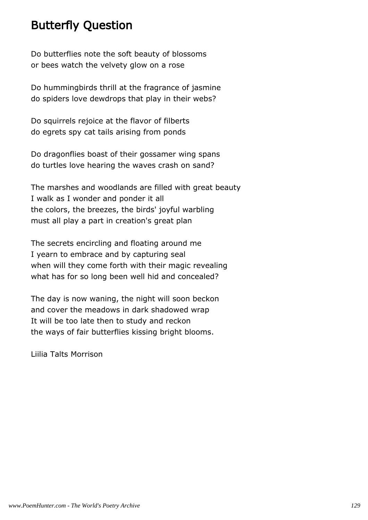#### Butterfly Question

Do butterflies note the soft beauty of blossoms or bees watch the velvety glow on a rose

Do hummingbirds thrill at the fragrance of jasmine do spiders love dewdrops that play in their webs?

Do squirrels rejoice at the flavor of filberts do egrets spy cat tails arising from ponds

Do dragonflies boast of their gossamer wing spans do turtles love hearing the waves crash on sand?

The marshes and woodlands are filled with great beauty I walk as I wonder and ponder it all the colors, the breezes, the birds' joyful warbling must all play a part in creation's great plan

The secrets encircling and floating around me I yearn to embrace and by capturing seal when will they come forth with their magic revealing what has for so long been well hid and concealed?

The day is now waning, the night will soon beckon and cover the meadows in dark shadowed wrap It will be too late then to study and reckon the ways of fair butterflies kissing bright blooms.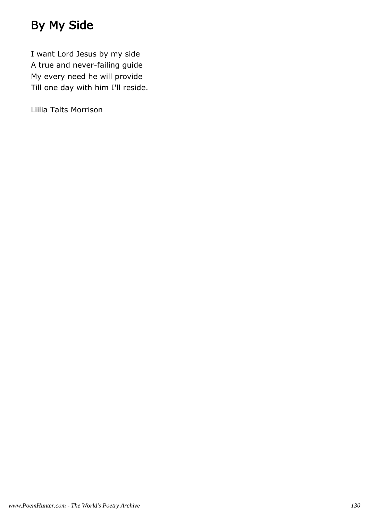# By My Side

I want Lord Jesus by my side A true and never-failing guide My every need he will provide Till one day with him I'll reside.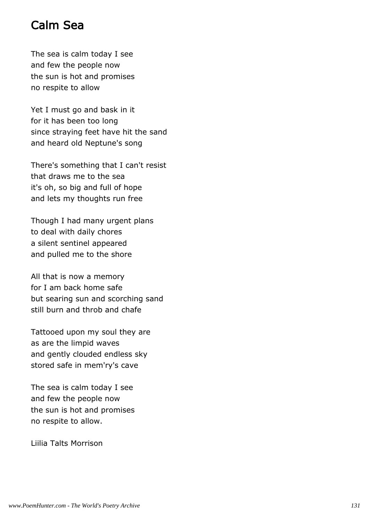## Calm Sea

The sea is calm today I see and few the people now the sun is hot and promises no respite to allow

Yet I must go and bask in it for it has been too long since straying feet have hit the sand and heard old Neptune's song

There's something that I can't resist that draws me to the sea it's oh, so big and full of hope and lets my thoughts run free

Though I had many urgent plans to deal with daily chores a silent sentinel appeared and pulled me to the shore

All that is now a memory for I am back home safe but searing sun and scorching sand still burn and throb and chafe

Tattooed upon my soul they are as are the limpid waves and gently clouded endless sky stored safe in mem'ry's cave

The sea is calm today I see and few the people now the sun is hot and promises no respite to allow.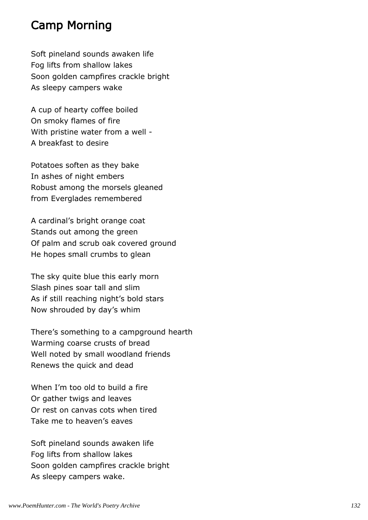#### Camp Morning

Soft pineland sounds awaken life Fog lifts from shallow lakes Soon golden campfires crackle bright As sleepy campers wake

A cup of hearty coffee boiled On smoky flames of fire With pristine water from a well -A breakfast to desire

Potatoes soften as they bake In ashes of night embers Robust among the morsels gleaned from Everglades remembered

A cardinal's bright orange coat Stands out among the green Of palm and scrub oak covered ground He hopes small crumbs to glean

The sky quite blue this early morn Slash pines soar tall and slim As if still reaching night's bold stars Now shrouded by day's whim

There's something to a campground hearth Warming coarse crusts of bread Well noted by small woodland friends Renews the quick and dead

When I'm too old to build a fire Or gather twigs and leaves Or rest on canvas cots when tired Take me to heaven's eaves

Soft pineland sounds awaken life Fog lifts from shallow lakes Soon golden campfires crackle bright As sleepy campers wake.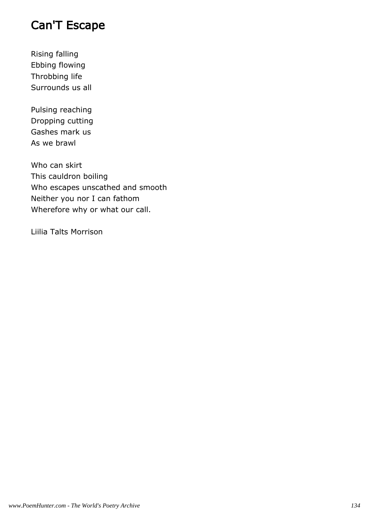### Can'T Escape

Rising falling Ebbing flowing Throbbing life Surrounds us all

Pulsing reaching Dropping cutting Gashes mark us As we brawl

Who can skirt This cauldron boiling Who escapes unscathed and smooth Neither you nor I can fathom Wherefore why or what our call.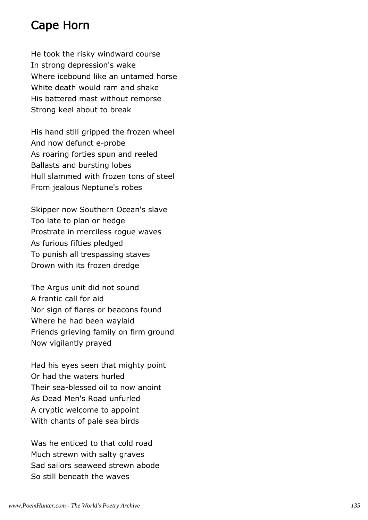#### Cape Horn

He took the risky windward course In strong depression's wake Where icebound like an untamed horse White death would ram and shake His battered mast without remorse Strong keel about to break

His hand still gripped the frozen wheel And now defunct e-probe As roaring forties spun and reeled Ballasts and bursting lobes Hull slammed with frozen tons of steel From jealous Neptune's robes

Skipper now Southern Ocean's slave Too late to plan or hedge Prostrate in merciless rogue waves As furious fifties pledged To punish all trespassing staves Drown with its frozen dredge

The Argus unit did not sound A frantic call for aid Nor sign of flares or beacons found Where he had been waylaid Friends grieving family on firm ground Now vigilantly prayed

Had his eyes seen that mighty point Or had the waters hurled Their sea-blessed oil to now anoint As Dead Men's Road unfurled A cryptic welcome to appoint With chants of pale sea birds

Was he enticed to that cold road Much strewn with salty graves Sad sailors seaweed strewn abode So still beneath the waves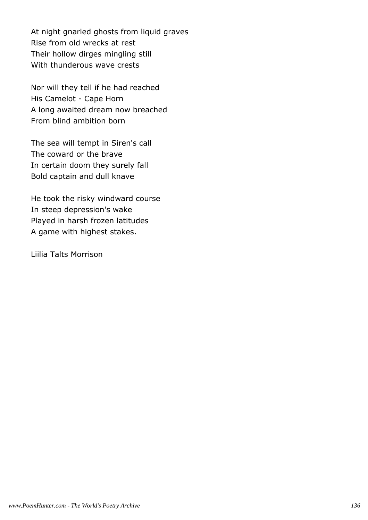At night gnarled ghosts from liquid graves Rise from old wrecks at rest Their hollow dirges mingling still With thunderous wave crests

Nor will they tell if he had reached His Camelot - Cape Horn A long awaited dream now breached From blind ambition born

The sea will tempt in Siren's call The coward or the brave In certain doom they surely fall Bold captain and dull knave

He took the risky windward course In steep depression's wake Played in harsh frozen latitudes A game with highest stakes.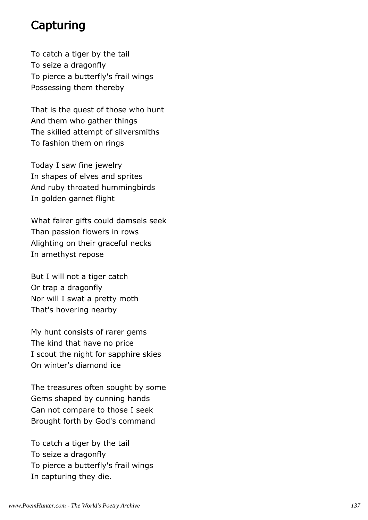### **Capturing**

To catch a tiger by the tail To seize a dragonfly To pierce a butterfly's frail wings Possessing them thereby

That is the quest of those who hunt And them who gather things The skilled attempt of silversmiths To fashion them on rings

Today I saw fine jewelry In shapes of elves and sprites And ruby throated hummingbirds In golden garnet flight

What fairer gifts could damsels seek Than passion flowers in rows Alighting on their graceful necks In amethyst repose

But I will not a tiger catch Or trap a dragonfly Nor will I swat a pretty moth That's hovering nearby

My hunt consists of rarer gems The kind that have no price I scout the night for sapphire skies On winter's diamond ice

The treasures often sought by some Gems shaped by cunning hands Can not compare to those I seek Brought forth by God's command

To catch a tiger by the tail To seize a dragonfly To pierce a butterfly's frail wings In capturing they die.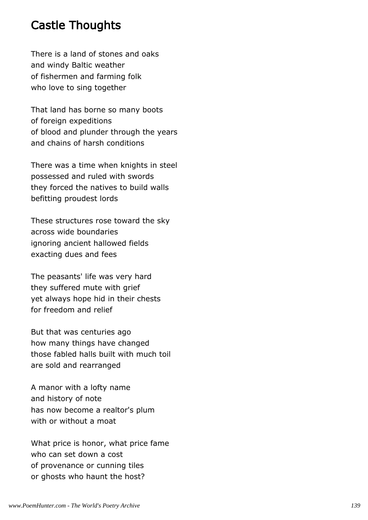#### Castle Thoughts

There is a land of stones and oaks and windy Baltic weather of fishermen and farming folk who love to sing together

That land has borne so many boots of foreign expeditions of blood and plunder through the years and chains of harsh conditions

There was a time when knights in steel possessed and ruled with swords they forced the natives to build walls befitting proudest lords

These structures rose toward the sky across wide boundaries ignoring ancient hallowed fields exacting dues and fees

The peasants' life was very hard they suffered mute with grief yet always hope hid in their chests for freedom and relief

But that was centuries ago how many things have changed those fabled halls built with much toil are sold and rearranged

A manor with a lofty name and history of note has now become a realtor's plum with or without a moat

What price is honor, what price fame who can set down a cost of provenance or cunning tiles or ghosts who haunt the host?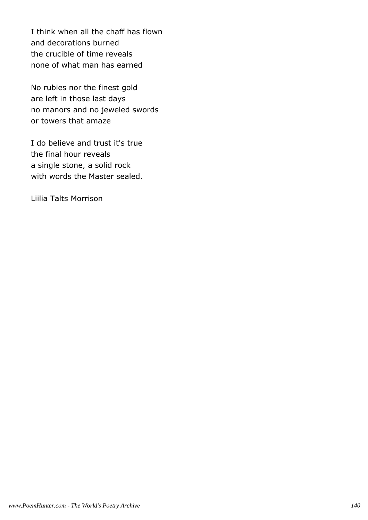I think when all the chaff has flown and decorations burned the crucible of time reveals none of what man has earned

No rubies nor the finest gold are left in those last days no manors and no jeweled swords or towers that amaze

I do believe and trust it's true the final hour reveals a single stone, a solid rock with words the Master sealed.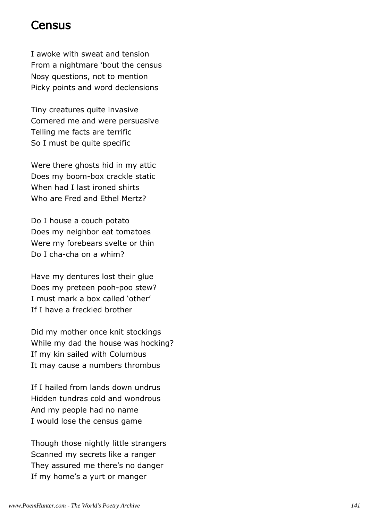#### Census

I awoke with sweat and tension From a nightmare 'bout the census Nosy questions, not to mention Picky points and word declensions

Tiny creatures quite invasive Cornered me and were persuasive Telling me facts are terrific So I must be quite specific

Were there ghosts hid in my attic Does my boom-box crackle static When had I last ironed shirts Who are Fred and Ethel Mertz?

Do I house a couch potato Does my neighbor eat tomatoes Were my forebears svelte or thin Do I cha-cha on a whim?

Have my dentures lost their glue Does my preteen pooh-poo stew? I must mark a box called 'other' If I have a freckled brother

Did my mother once knit stockings While my dad the house was hocking? If my kin sailed with Columbus It may cause a numbers thrombus

If I hailed from lands down undrus Hidden tundras cold and wondrous And my people had no name I would lose the census game

Though those nightly little strangers Scanned my secrets like a ranger They assured me there's no danger If my home's a yurt or manger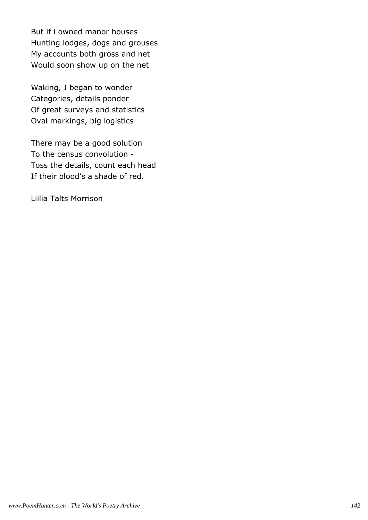But if i owned manor houses Hunting lodges, dogs and grouses My accounts both gross and net Would soon show up on the net

Waking, I began to wonder Categories, details ponder Of great surveys and statistics Oval markings, big logistics

There may be a good solution To the census convolution - Toss the details, count each head If their blood's a shade of red.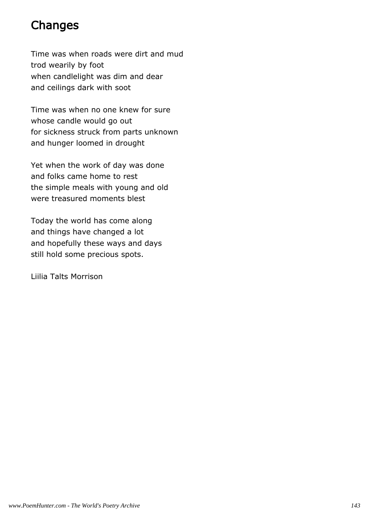## Changes

Time was when roads were dirt and mud trod wearily by foot when candlelight was dim and dear and ceilings dark with soot

Time was when no one knew for sure whose candle would go out for sickness struck from parts unknown and hunger loomed in drought

Yet when the work of day was done and folks came home to rest the simple meals with young and old were treasured moments blest

Today the world has come along and things have changed a lot and hopefully these ways and days still hold some precious spots.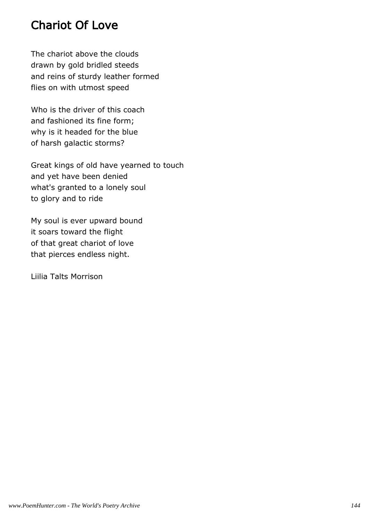# Chariot Of Love

The chariot above the clouds drawn by gold bridled steeds and reins of sturdy leather formed flies on with utmost speed

Who is the driver of this coach and fashioned its fine form; why is it headed for the blue of harsh galactic storms?

Great kings of old have yearned to touch and yet have been denied what's granted to a lonely soul to glory and to ride

My soul is ever upward bound it soars toward the flight of that great chariot of love that pierces endless night.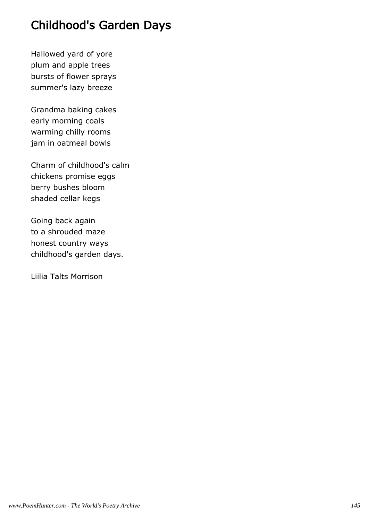# Childhood's Garden Days

Hallowed yard of yore plum and apple trees bursts of flower sprays summer's lazy breeze

Grandma baking cakes early morning coals warming chilly rooms jam in oatmeal bowls

Charm of childhood's calm chickens promise eggs berry bushes bloom shaded cellar kegs

Going back again to a shrouded maze honest country ways childhood's garden days.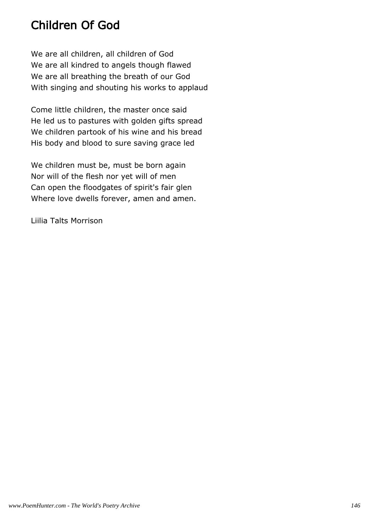# Children Of God

We are all children, all children of God We are all kindred to angels though flawed We are all breathing the breath of our God With singing and shouting his works to applaud

Come little children, the master once said He led us to pastures with golden gifts spread We children partook of his wine and his bread His body and blood to sure saving grace led

We children must be, must be born again Nor will of the flesh nor yet will of men Can open the floodgates of spirit's fair glen Where love dwells forever, amen and amen.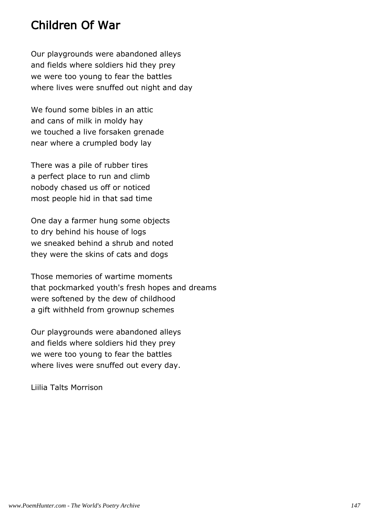### Children Of War

Our playgrounds were abandoned alleys and fields where soldiers hid they prey we were too young to fear the battles where lives were snuffed out night and day

We found some bibles in an attic and cans of milk in moldy hay we touched a live forsaken grenade near where a crumpled body lay

There was a pile of rubber tires a perfect place to run and climb nobody chased us off or noticed most people hid in that sad time

One day a farmer hung some objects to dry behind his house of logs we sneaked behind a shrub and noted they were the skins of cats and dogs

Those memories of wartime moments that pockmarked youth's fresh hopes and dreams were softened by the dew of childhood a gift withheld from grownup schemes

Our playgrounds were abandoned alleys and fields where soldiers hid they prey we were too young to fear the battles where lives were snuffed out every day.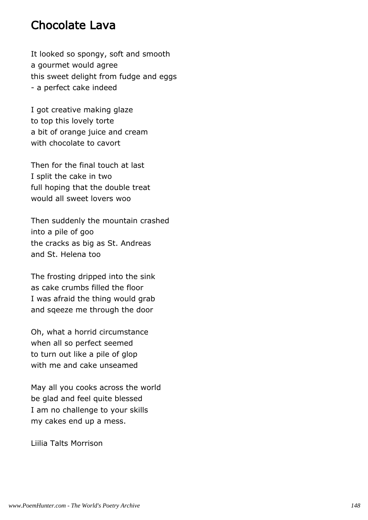### Chocolate Lava

It looked so spongy, soft and smooth a gourmet would agree this sweet delight from fudge and eggs - a perfect cake indeed

I got creative making glaze to top this lovely torte a bit of orange juice and cream with chocolate to cavort

Then for the final touch at last I split the cake in two full hoping that the double treat would all sweet lovers woo

Then suddenly the mountain crashed into a pile of goo the cracks as big as St. Andreas and St. Helena too

The frosting dripped into the sink as cake crumbs filled the floor I was afraid the thing would grab and sqeeze me through the door

Oh, what a horrid circumstance when all so perfect seemed to turn out like a pile of glop with me and cake unseamed

May all you cooks across the world be glad and feel quite blessed I am no challenge to your skills my cakes end up a mess.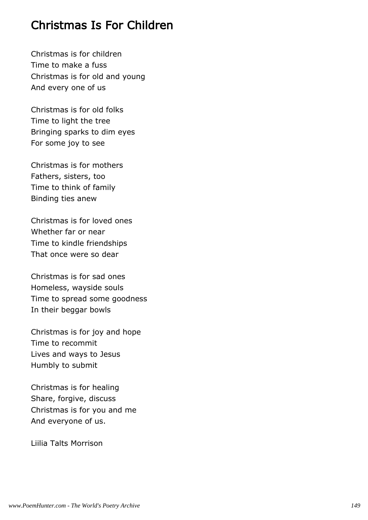### Christmas Is For Children

Christmas is for children Time to make a fuss Christmas is for old and young And every one of us

Christmas is for old folks Time to light the tree Bringing sparks to dim eyes For some joy to see

Christmas is for mothers Fathers, sisters, too Time to think of family Binding ties anew

Christmas is for loved ones Whether far or near Time to kindle friendships That once were so dear

Christmas is for sad ones Homeless, wayside souls Time to spread some goodness In their beggar bowls

Christmas is for joy and hope Time to recommit Lives and ways to Jesus Humbly to submit

Christmas is for healing Share, forgive, discuss Christmas is for you and me And everyone of us.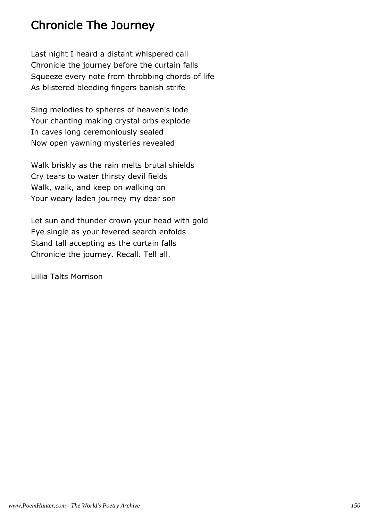# Chronicle The Journey

Last night I heard a distant whispered call Chronicle the journey before the curtain falls Squeeze every note from throbbing chords of life As blistered bleeding fingers banish strife

Sing melodies to spheres of heaven's lode Your chanting making crystal orbs explode In caves long ceremoniously sealed Now open yawning mysteries revealed

Walk briskly as the rain melts brutal shields Cry tears to water thirsty devil fields Walk, walk, and keep on walking on Your weary laden journey my dear son

Let sun and thunder crown your head with gold Eye single as your fevered search enfolds Stand tall accepting as the curtain falls Chronicle the journey. Recall. Tell all.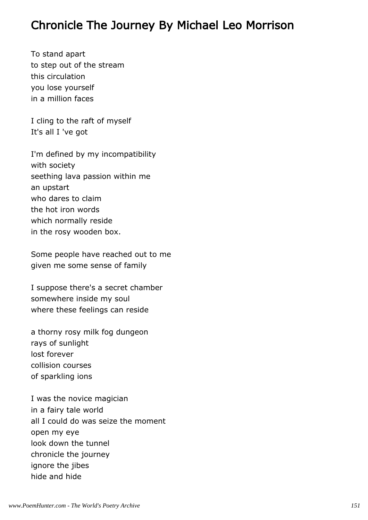### Chronicle The Journey By Michael Leo Morrison

To stand apart to step out of the stream this circulation you lose yourself in a million faces

I cling to the raft of myself It's all I 've got

I'm defined by my incompatibility with society seething lava passion within me an upstart who dares to claim the hot iron words which normally reside in the rosy wooden box.

Some people have reached out to me given me some sense of family

I suppose there's a secret chamber somewhere inside my soul where these feelings can reside

a thorny rosy milk fog dungeon rays of sunlight lost forever collision courses of sparkling ions

I was the novice magician in a fairy tale world all I could do was seize the moment open my eye look down the tunnel chronicle the journey ignore the jibes hide and hide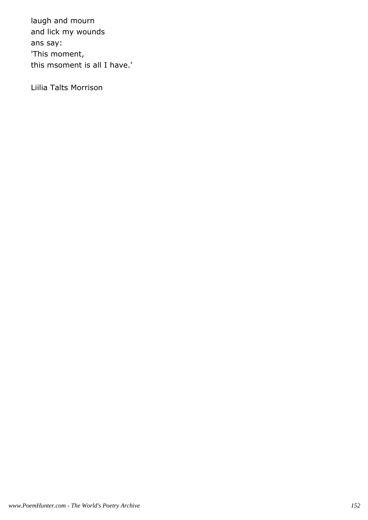laugh and mourn and lick my wounds ans say: 'This moment, this msoment is all I have.'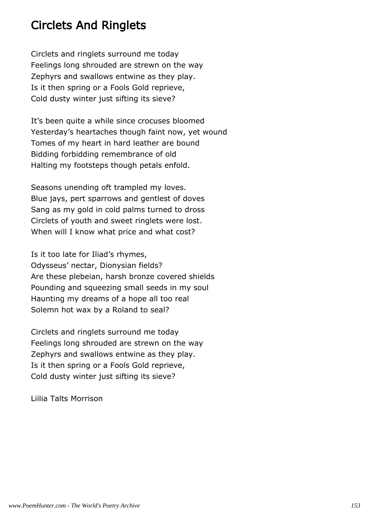# Circlets And Ringlets

Circlets and ringlets surround me today Feelings long shrouded are strewn on the way Zephyrs and swallows entwine as they play. Is it then spring or a Fools Gold reprieve, Cold dusty winter just sifting its sieve?

It's been quite a while since crocuses bloomed Yesterday's heartaches though faint now, yet wound Tomes of my heart in hard leather are bound Bidding forbidding remembrance of old Halting my footsteps though petals enfold.

Seasons unending oft trampled my loves. Blue jays, pert sparrows and gentlest of doves Sang as my gold in cold palms turned to dross Circlets of youth and sweet ringlets were lost. When will I know what price and what cost?

Is it too late for Iliad's rhymes, Odysseus' nectar, Dionysian fields? Are these plebeian, harsh bronze covered shields Pounding and squeezing small seeds in my soul Haunting my dreams of a hope all too real Solemn hot wax by a Roland to seal?

Circlets and ringlets surround me today Feelings long shrouded are strewn on the way Zephyrs and swallows entwine as they play. Is it then spring or a Fools Gold reprieve, Cold dusty winter just sifting its sieve?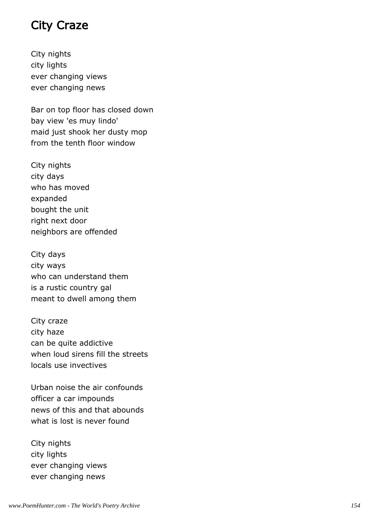### City Craze

City nights city lights ever changing views ever changing news

Bar on top floor has closed down bay view 'es muy lindo' maid just shook her dusty mop from the tenth floor window

City nights city days who has moved expanded bought the unit right next door neighbors are offended

City days city ways who can understand them is a rustic country gal meant to dwell among them

City craze city haze can be quite addictive when loud sirens fill the streets locals use invectives

Urban noise the air confounds officer a car impounds news of this and that abounds what is lost is never found

City nights city lights ever changing views ever changing news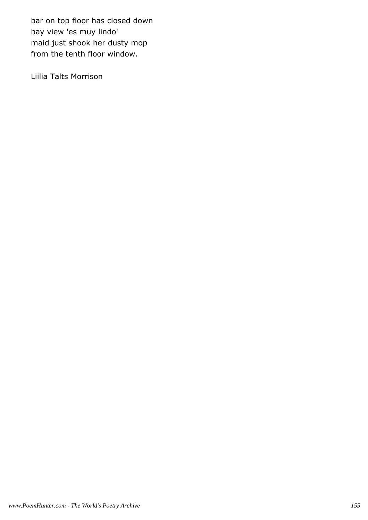bar on top floor has closed down bay view 'es muy lindo' maid just shook her dusty mop from the tenth floor window.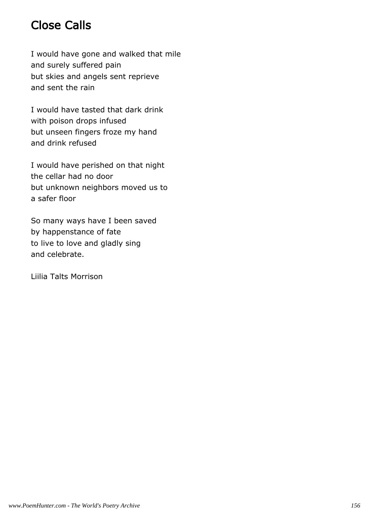# Close Calls

I would have gone and walked that mile and surely suffered pain but skies and angels sent reprieve and sent the rain

I would have tasted that dark drink with poison drops infused but unseen fingers froze my hand and drink refused

I would have perished on that night the cellar had no door but unknown neighbors moved us to a safer floor

So many ways have I been saved by happenstance of fate to live to love and gladly sing and celebrate.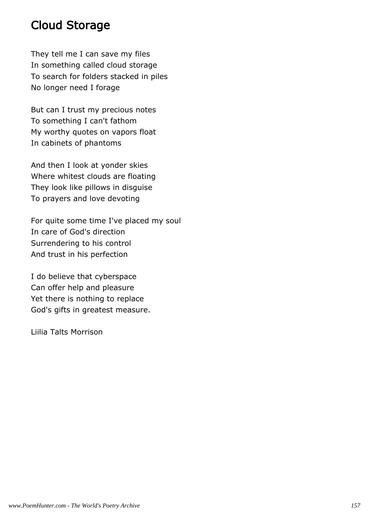# Cloud Storage

They tell me I can save my files In something called cloud storage To search for folders stacked in piles No longer need I forage

But can I trust my precious notes To something I can't fathom My worthy quotes on vapors float In cabinets of phantoms

And then I look at yonder skies Where whitest clouds are floating They look like pillows in disguise To prayers and love devoting

For quite some time I've placed my soul In care of God's direction Surrendering to his control And trust in his perfection

I do believe that cyberspace Can offer help and pleasure Yet there is nothing to replace God's gifts in greatest measure.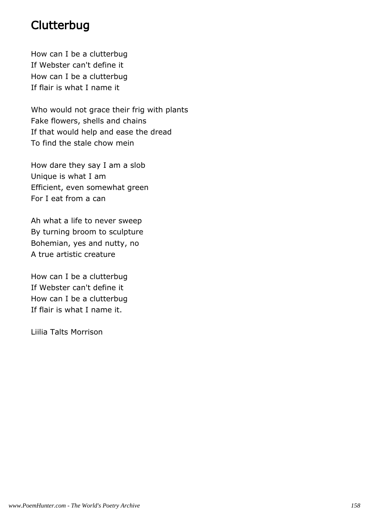# **Clutterbug**

How can I be a clutterbug If Webster can't define it How can I be a clutterbug If flair is what I name it

Who would not grace their frig with plants Fake flowers, shells and chains If that would help and ease the dread To find the stale chow mein

How dare they say I am a slob Unique is what I am Efficient, even somewhat green For I eat from a can

Ah what a life to never sweep By turning broom to sculpture Bohemian, yes and nutty, no A true artistic creature

How can I be a clutterbug If Webster can't define it How can I be a clutterbug If flair is what I name it.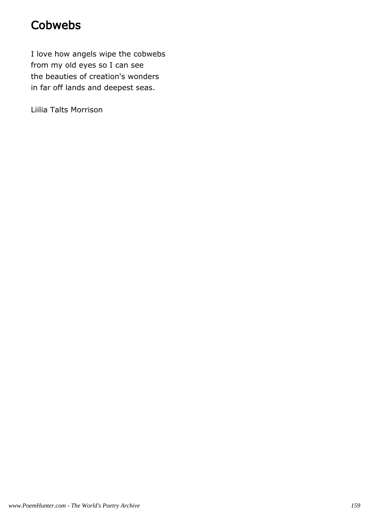# **Cobwebs**

I love how angels wipe the cobwebs from my old eyes so I can see the beauties of creation's wonders in far off lands and deepest seas.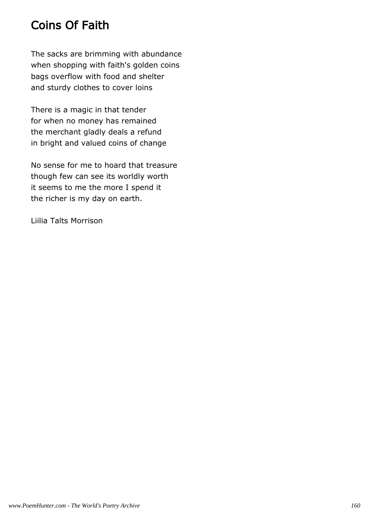# Coins Of Faith

The sacks are brimming with abundance when shopping with faith's golden coins bags overflow with food and shelter and sturdy clothes to cover loins

There is a magic in that tender for when no money has remained the merchant gladly deals a refund in bright and valued coins of change

No sense for me to hoard that treasure though few can see its worldly worth it seems to me the more I spend it the richer is my day on earth.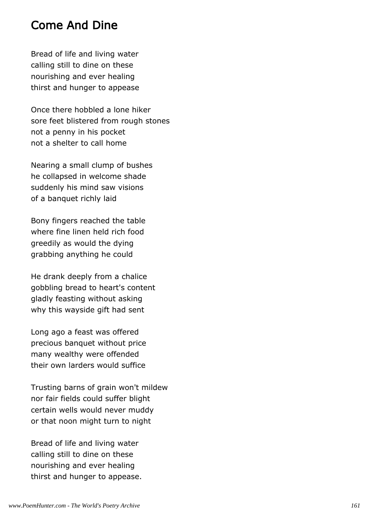### Come And Dine

Bread of life and living water calling still to dine on these nourishing and ever healing thirst and hunger to appease

Once there hobbled a lone hiker sore feet blistered from rough stones not a penny in his pocket not a shelter to call home

Nearing a small clump of bushes he collapsed in welcome shade suddenly his mind saw visions of a banquet richly laid

Bony fingers reached the table where fine linen held rich food greedily as would the dying grabbing anything he could

He drank deeply from a chalice gobbling bread to heart's content gladly feasting without asking why this wayside gift had sent

Long ago a feast was offered precious banquet without price many wealthy were offended their own larders would suffice

Trusting barns of grain won't mildew nor fair fields could suffer blight certain wells would never muddy or that noon might turn to night

Bread of life and living water calling still to dine on these nourishing and ever healing thirst and hunger to appease.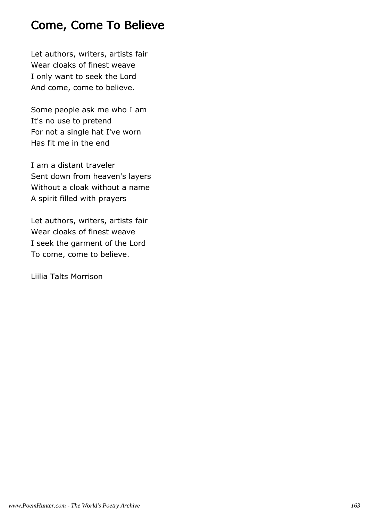### Come, Come To Believe

Let authors, writers, artists fair Wear cloaks of finest weave I only want to seek the Lord And come, come to believe.

Some people ask me who I am It's no use to pretend For not a single hat I've worn Has fit me in the end

I am a distant traveler Sent down from heaven's layers Without a cloak without a name A spirit filled with prayers

Let authors, writers, artists fair Wear cloaks of finest weave I seek the garment of the Lord To come, come to believe.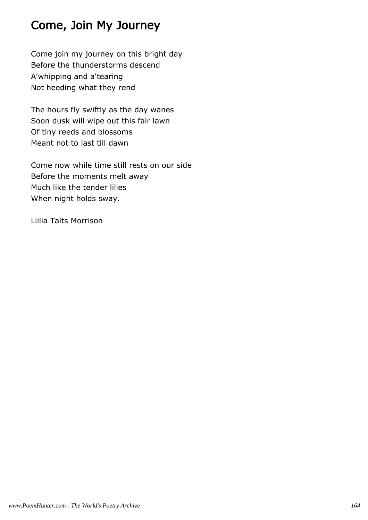# Come, Join My Journey

Come join my journey on this bright day Before the thunderstorms descend A'whipping and a'tearing Not heeding what they rend

The hours fly swiftly as the day wanes Soon dusk will wipe out this fair lawn Of tiny reeds and blossoms Meant not to last till dawn

Come now while time still rests on our side Before the moments melt away Much like the tender lilies When night holds sway.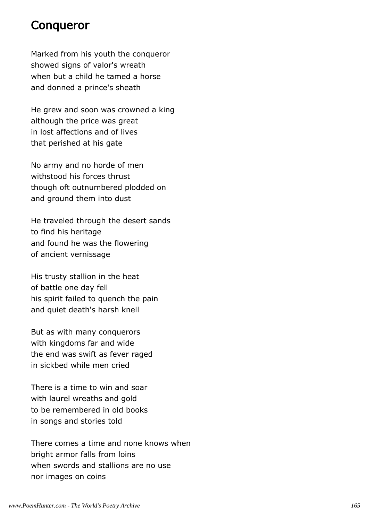#### Conqueror

Marked from his youth the conqueror showed signs of valor's wreath when but a child he tamed a horse and donned a prince's sheath

He grew and soon was crowned a king although the price was great in lost affections and of lives that perished at his gate

No army and no horde of men withstood his forces thrust though oft outnumbered plodded on and ground them into dust

He traveled through the desert sands to find his heritage and found he was the flowering of ancient vernissage

His trusty stallion in the heat of battle one day fell his spirit failed to quench the pain and quiet death's harsh knell

But as with many conquerors with kingdoms far and wide the end was swift as fever raged in sickbed while men cried

There is a time to win and soar with laurel wreaths and gold to be remembered in old books in songs and stories told

There comes a time and none knows when bright armor falls from loins when swords and stallions are no use nor images on coins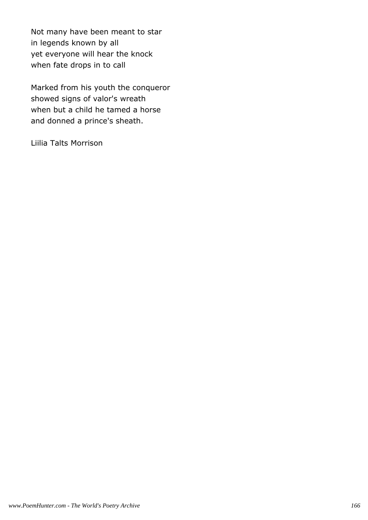Not many have been meant to star in legends known by all yet everyone will hear the knock when fate drops in to call

Marked from his youth the conqueror showed signs of valor's wreath when but a child he tamed a horse and donned a prince's sheath.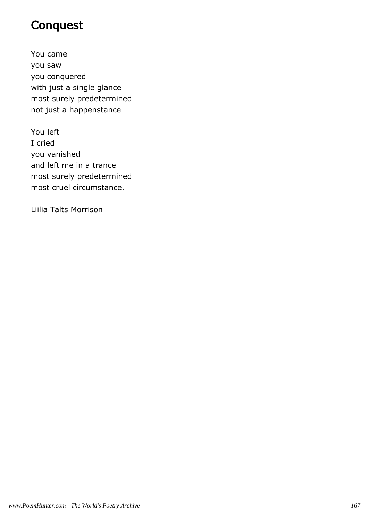# Conquest

You came you saw you conquered with just a single glance most surely predetermined not just a happenstance

You left I cried you vanished and left me in a trance most surely predetermined most cruel circumstance.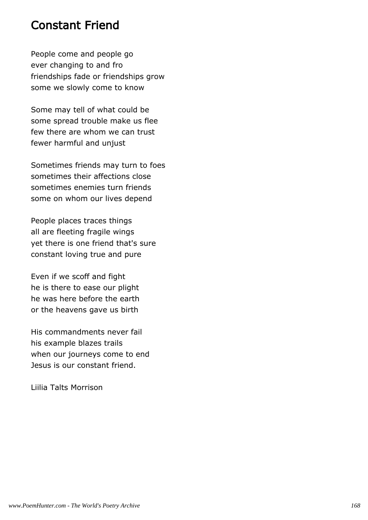### Constant Friend

People come and people go ever changing to and fro friendships fade or friendships grow some we slowly come to know

Some may tell of what could be some spread trouble make us flee few there are whom we can trust fewer harmful and unjust

Sometimes friends may turn to foes sometimes their affections close sometimes enemies turn friends some on whom our lives depend

People places traces things all are fleeting fragile wings yet there is one friend that's sure constant loving true and pure

Even if we scoff and fight he is there to ease our plight he was here before the earth or the heavens gave us birth

His commandments never fail his example blazes trails when our journeys come to end Jesus is our constant friend.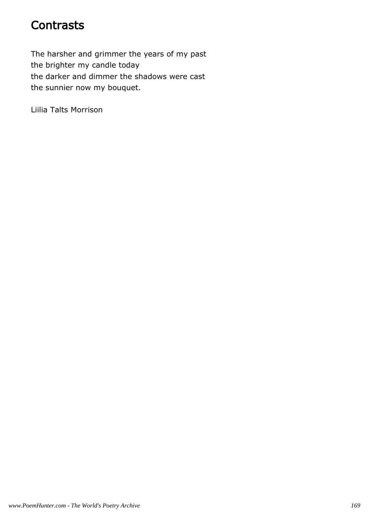### **Contrasts**

The harsher and grimmer the years of my past the brighter my candle today the darker and dimmer the shadows were cast the sunnier now my bouquet.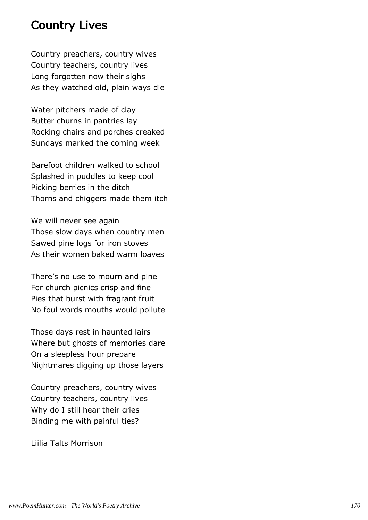### Country Lives

Country preachers, country wives Country teachers, country lives Long forgotten now their sighs As they watched old, plain ways die

Water pitchers made of clay Butter churns in pantries lay Rocking chairs and porches creaked Sundays marked the coming week

Barefoot children walked to school Splashed in puddles to keep cool Picking berries in the ditch Thorns and chiggers made them itch

We will never see again Those slow days when country men Sawed pine logs for iron stoves As their women baked warm loaves

There's no use to mourn and pine For church picnics crisp and fine Pies that burst with fragrant fruit No foul words mouths would pollute

Those days rest in haunted lairs Where but ghosts of memories dare On a sleepless hour prepare Nightmares digging up those layers

Country preachers, country wives Country teachers, country lives Why do I still hear their cries Binding me with painful ties?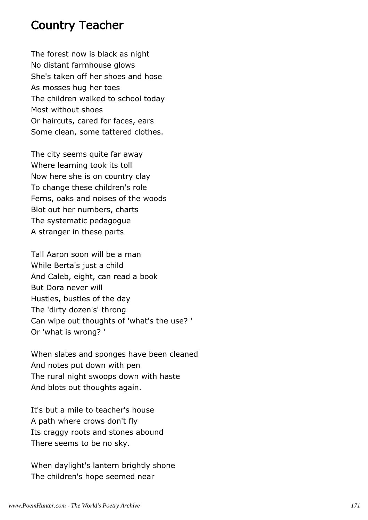### Country Teacher

The forest now is black as night No distant farmhouse glows She's taken off her shoes and hose As mosses hug her toes The children walked to school today Most without shoes Or haircuts, cared for faces, ears Some clean, some tattered clothes.

The city seems quite far away Where learning took its toll Now here she is on country clay To change these children's role Ferns, oaks and noises of the woods Blot out her numbers, charts The systematic pedagogue A stranger in these parts

Tall Aaron soon will be a man While Berta's just a child And Caleb, eight, can read a book But Dora never will Hustles, bustles of the day The 'dirty dozen's' throng Can wipe out thoughts of 'what's the use? ' Or 'what is wrong? '

When slates and sponges have been cleaned And notes put down with pen The rural night swoops down with haste And blots out thoughts again.

It's but a mile to teacher's house A path where crows don't fly Its craggy roots and stones abound There seems to be no sky.

When daylight's lantern brightly shone The children's hope seemed near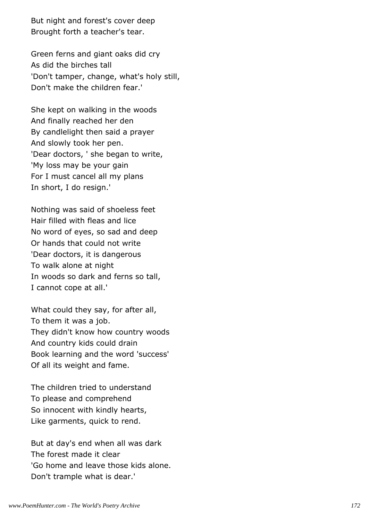But night and forest's cover deep Brought forth a teacher's tear.

Green ferns and giant oaks did cry As did the birches tall 'Don't tamper, change, what's holy still, Don't make the children fear.'

She kept on walking in the woods And finally reached her den By candlelight then said a prayer And slowly took her pen. 'Dear doctors, ' she began to write, 'My loss may be your gain For I must cancel all my plans In short, I do resign.'

Nothing was said of shoeless feet Hair filled with fleas and lice No word of eyes, so sad and deep Or hands that could not write 'Dear doctors, it is dangerous To walk alone at night In woods so dark and ferns so tall, I cannot cope at all.'

What could they say, for after all, To them it was a job. They didn't know how country woods And country kids could drain Book learning and the word 'success' Of all its weight and fame.

The children tried to understand To please and comprehend So innocent with kindly hearts, Like garments, quick to rend.

But at day's end when all was dark The forest made it clear 'Go home and leave those kids alone. Don't trample what is dear.'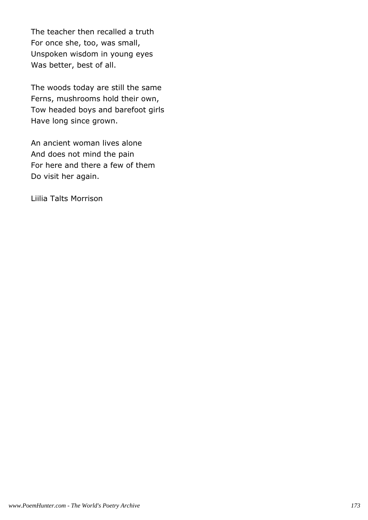The teacher then recalled a truth For once she, too, was small, Unspoken wisdom in young eyes Was better, best of all.

The woods today are still the same Ferns, mushrooms hold their own, Tow headed boys and barefoot girls Have long since grown.

An ancient woman lives alone And does not mind the pain For here and there a few of them Do visit her again.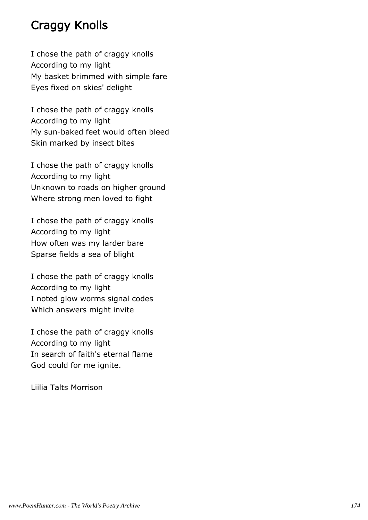# Craggy Knolls

I chose the path of craggy knolls According to my light My basket brimmed with simple fare Eyes fixed on skies' delight

I chose the path of craggy knolls According to my light My sun-baked feet would often bleed Skin marked by insect bites

I chose the path of craggy knolls According to my light Unknown to roads on higher ground Where strong men loved to fight

I chose the path of craggy knolls According to my light How often was my larder bare Sparse fields a sea of blight

I chose the path of craggy knolls According to my light I noted glow worms signal codes Which answers might invite

I chose the path of craggy knolls According to my light In search of faith's eternal flame God could for me ignite.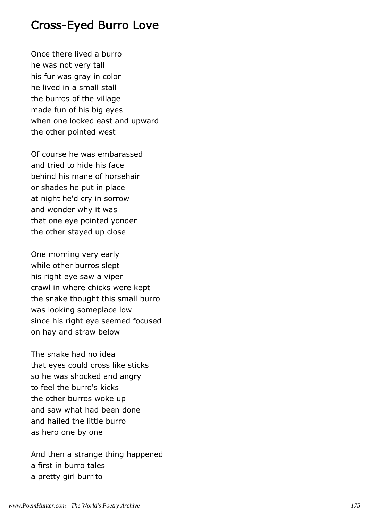### Cross-Eyed Burro Love

Once there lived a burro he was not very tall his fur was gray in color he lived in a small stall the burros of the village made fun of his big eyes when one looked east and upward the other pointed west

Of course he was embarassed and tried to hide his face behind his mane of horsehair or shades he put in place at night he'd cry in sorrow and wonder why it was that one eye pointed yonder the other stayed up close

One morning very early while other burros slept his right eye saw a viper crawl in where chicks were kept the snake thought this small burro was looking someplace low since his right eye seemed focused on hay and straw below

The snake had no idea that eyes could cross like sticks so he was shocked and angry to feel the burro's kicks the other burros woke up and saw what had been done and hailed the little burro as hero one by one

And then a strange thing happened a first in burro tales a pretty girl burrito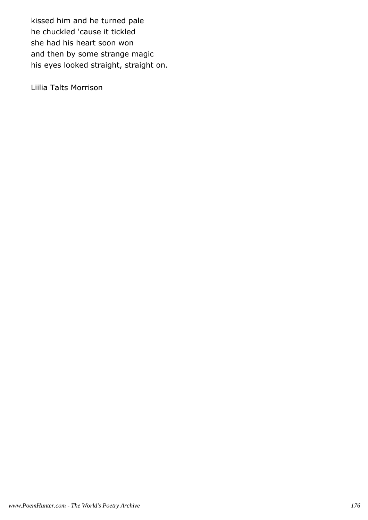kissed him and he turned pale he chuckled 'cause it tickled she had his heart soon won and then by some strange magic his eyes looked straight, straight on.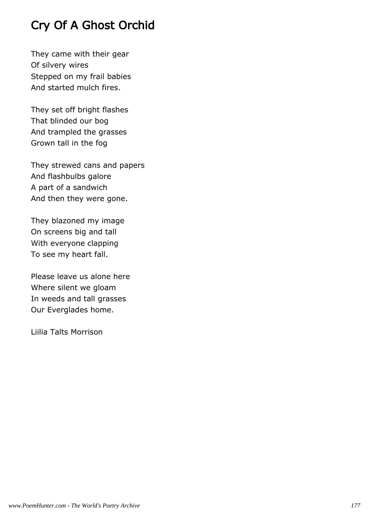# Cry Of A Ghost Orchid

They came with their gear Of silvery wires Stepped on my frail babies And started mulch fires.

They set off bright flashes That blinded our bog And trampled the grasses Grown tall in the fog

They strewed cans and papers And flashbulbs galore A part of a sandwich And then they were gone.

They blazoned my image On screens big and tall With everyone clapping To see my heart fall.

Please leave us alone here Where silent we gloam In weeds and tall grasses Our Everglades home.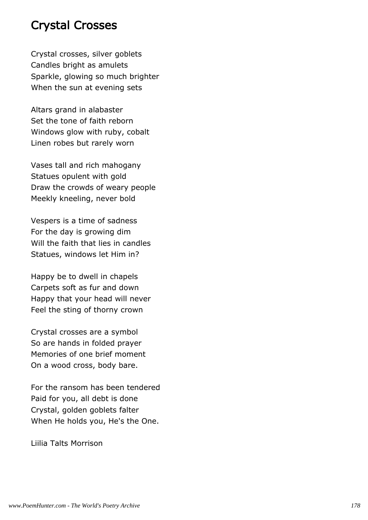### Crystal Crosses

Crystal crosses, silver goblets Candles bright as amulets Sparkle, glowing so much brighter When the sun at evening sets

Altars grand in alabaster Set the tone of faith reborn Windows glow with ruby, cobalt Linen robes but rarely worn

Vases tall and rich mahogany Statues opulent with gold Draw the crowds of weary people Meekly kneeling, never bold

Vespers is a time of sadness For the day is growing dim Will the faith that lies in candles Statues, windows let Him in?

Happy be to dwell in chapels Carpets soft as fur and down Happy that your head will never Feel the sting of thorny crown

Crystal crosses are a symbol So are hands in folded prayer Memories of one brief moment On a wood cross, body bare.

For the ransom has been tendered Paid for you, all debt is done Crystal, golden goblets falter When He holds you, He's the One.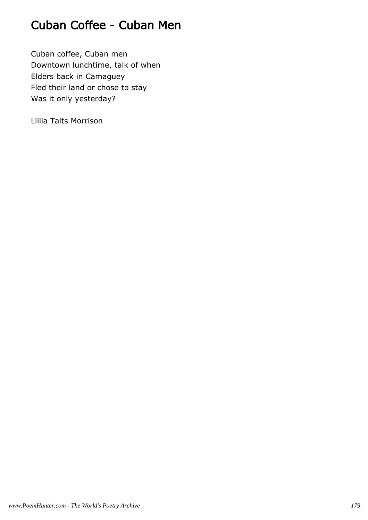# Cuban Coffee - Cuban Men

Cuban coffee, Cuban men Downtown lunchtime, talk of when Elders back in Camaguey Fled their land or chose to stay Was it only yesterday?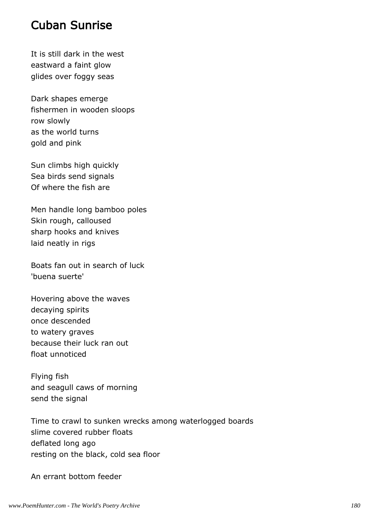## Cuban Sunrise

It is still dark in the west eastward a faint glow glides over foggy seas

Dark shapes emerge fishermen in wooden sloops row slowly as the world turns gold and pink

Sun climbs high quickly Sea birds send signals Of where the fish are

Men handle long bamboo poles Skin rough, calloused sharp hooks and knives laid neatly in rigs

Boats fan out in search of luck 'buena suerte'

Hovering above the waves decaying spirits once descended to watery graves because their luck ran out float unnoticed

Flying fish and seagull caws of morning send the signal

Time to crawl to sunken wrecks among waterlogged boards slime covered rubber floats deflated long ago resting on the black, cold sea floor

An errant bottom feeder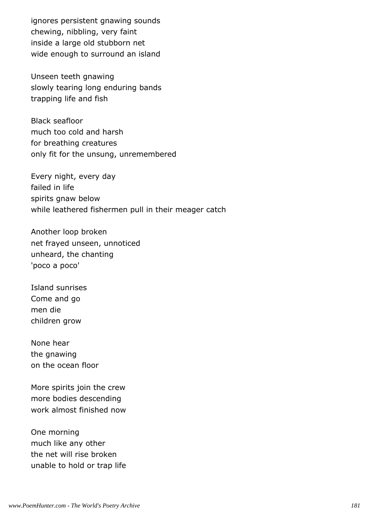ignores persistent gnawing sounds chewing, nibbling, very faint inside a large old stubborn net wide enough to surround an island

Unseen teeth gnawing slowly tearing long enduring bands trapping life and fish

Black seafloor much too cold and harsh for breathing creatures only fit for the unsung, unremembered

Every night, every day failed in life spirits gnaw below while leathered fishermen pull in their meager catch

Another loop broken net frayed unseen, unnoticed unheard, the chanting 'poco a poco'

Island sunrises Come and go men die children grow

None hear the gnawing on the ocean floor

More spirits join the crew more bodies descending work almost finished now

One morning much like any other the net will rise broken unable to hold or trap life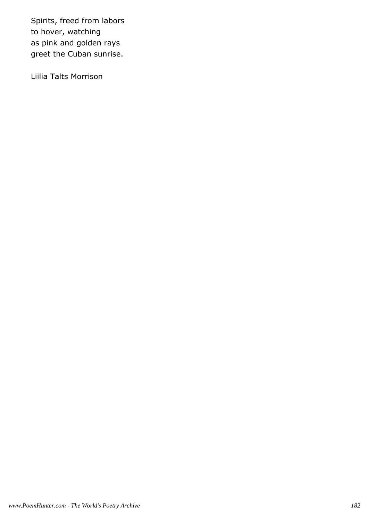Spirits, freed from labors to hover, watching as pink and golden rays greet the Cuban sunrise.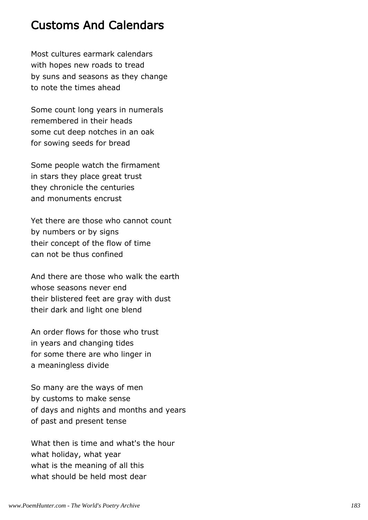# Customs And Calendars

Most cultures earmark calendars with hopes new roads to tread by suns and seasons as they change to note the times ahead

Some count long years in numerals remembered in their heads some cut deep notches in an oak for sowing seeds for bread

Some people watch the firmament in stars they place great trust they chronicle the centuries and monuments encrust

Yet there are those who cannot count by numbers or by signs their concept of the flow of time can not be thus confined

And there are those who walk the earth whose seasons never end their blistered feet are gray with dust their dark and light one blend

An order flows for those who trust in years and changing tides for some there are who linger in a meaningless divide

So many are the ways of men by customs to make sense of days and nights and months and years of past and present tense

What then is time and what's the hour what holiday, what year what is the meaning of all this what should be held most dear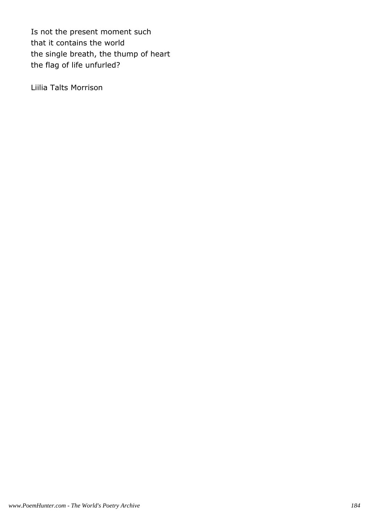Is not the present moment such that it contains the world the single breath, the thump of heart the flag of life unfurled?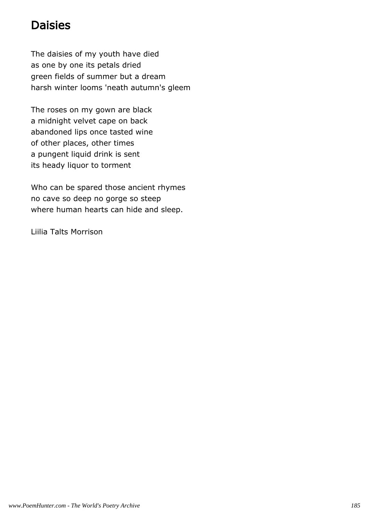# **Daisies**

The daisies of my youth have died as one by one its petals dried green fields of summer but a dream harsh winter looms 'neath autumn's gleem

The roses on my gown are black a midnight velvet cape on back abandoned lips once tasted wine of other places, other times a pungent liquid drink is sent its heady liquor to torment

Who can be spared those ancient rhymes no cave so deep no gorge so steep where human hearts can hide and sleep.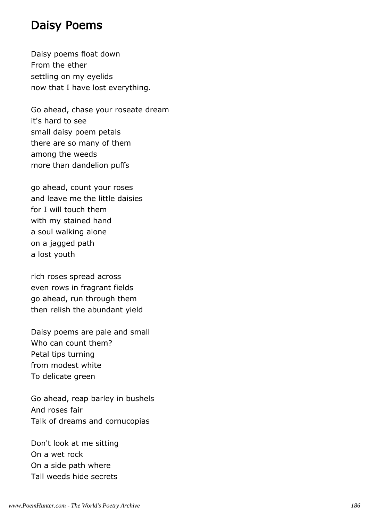#### Daisy Poems

Daisy poems float down From the ether settling on my eyelids now that I have lost everything.

Go ahead, chase your roseate dream it's hard to see small daisy poem petals there are so many of them among the weeds more than dandelion puffs

go ahead, count your roses and leave me the little daisies for I will touch them with my stained hand a soul walking alone on a jagged path a lost youth

rich roses spread across even rows in fragrant fields go ahead, run through them then relish the abundant yield

Daisy poems are pale and small Who can count them? Petal tips turning from modest white To delicate green

Go ahead, reap barley in bushels And roses fair Talk of dreams and cornucopias

Don't look at me sitting On a wet rock On a side path where Tall weeds hide secrets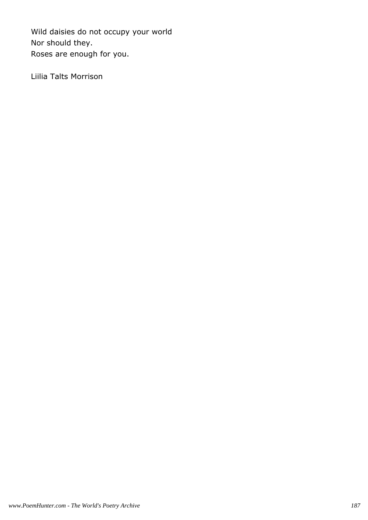Wild daisies do not occupy your world Nor should they. Roses are enough for you.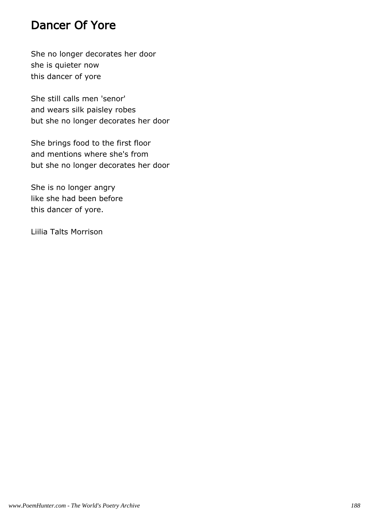# Dancer Of Yore

She no longer decorates her door she is quieter now this dancer of yore

She still calls men 'senor' and wears silk paisley robes but she no longer decorates her door

She brings food to the first floor and mentions where she's from but she no longer decorates her door

She is no longer angry like she had been before this dancer of yore.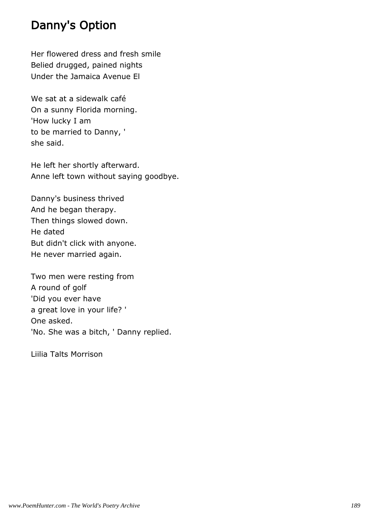# Danny's Option

Her flowered dress and fresh smile Belied drugged, pained nights Under the Jamaica Avenue El

We sat at a sidewalk café On a sunny Florida morning. 'How lucky I am to be married to Danny, ' she said.

He left her shortly afterward. Anne left town without saying goodbye.

Danny's business thrived And he began therapy. Then things slowed down. He dated But didn't click with anyone. He never married again.

Two men were resting from A round of golf 'Did you ever have a great love in your life? ' One asked. 'No. She was a bitch, ' Danny replied.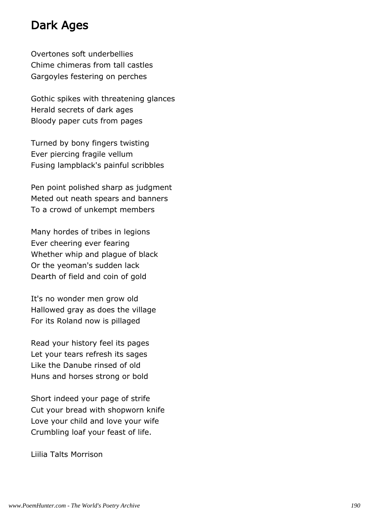# Dark Ages

Overtones soft underbellies Chime chimeras from tall castles Gargoyles festering on perches

Gothic spikes with threatening glances Herald secrets of dark ages Bloody paper cuts from pages

Turned by bony fingers twisting Ever piercing fragile vellum Fusing lampblack's painful scribbles

Pen point polished sharp as judgment Meted out neath spears and banners To a crowd of unkempt members

Many hordes of tribes in legions Ever cheering ever fearing Whether whip and plague of black Or the yeoman's sudden lack Dearth of field and coin of gold

It's no wonder men grow old Hallowed gray as does the village For its Roland now is pillaged

Read your history feel its pages Let your tears refresh its sages Like the Danube rinsed of old Huns and horses strong or bold

Short indeed your page of strife Cut your bread with shopworn knife Love your child and love your wife Crumbling loaf your feast of life.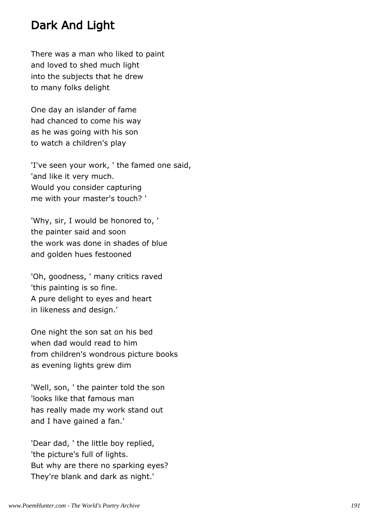# Dark And Light

There was a man who liked to paint and loved to shed much light into the subjects that he drew to many folks delight

One day an islander of fame had chanced to come his way as he was going with his son to watch a children's play

'I've seen your work, ' the famed one said, 'and like it very much. Would you consider capturing me with your master's touch? '

'Why, sir, I would be honored to, ' the painter said and soon the work was done in shades of blue and golden hues festooned

'Oh, goodness, ' many critics raved 'this painting is so fine. A pure delight to eyes and heart in likeness and design.'

One night the son sat on his bed when dad would read to him from children's wondrous picture books as evening lights grew dim

'Well, son, ' the painter told the son 'looks like that famous man has really made my work stand out and I have gained a fan.'

'Dear dad, ' the little boy replied, 'the picture's full of lights. But why are there no sparking eyes? They're blank and dark as night.'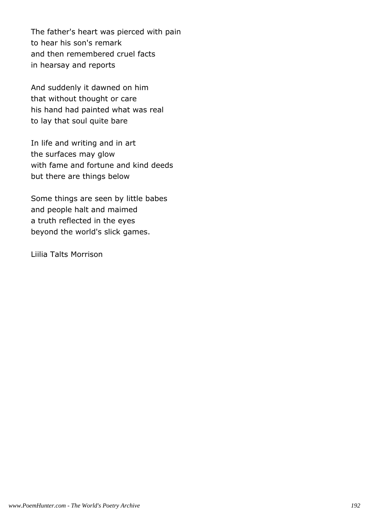The father's heart was pierced with pain to hear his son's remark and then remembered cruel facts in hearsay and reports

And suddenly it dawned on him that without thought or care his hand had painted what was real to lay that soul quite bare

In life and writing and in art the surfaces may glow with fame and fortune and kind deeds but there are things below

Some things are seen by little babes and people halt and maimed a truth reflected in the eyes beyond the world's slick games.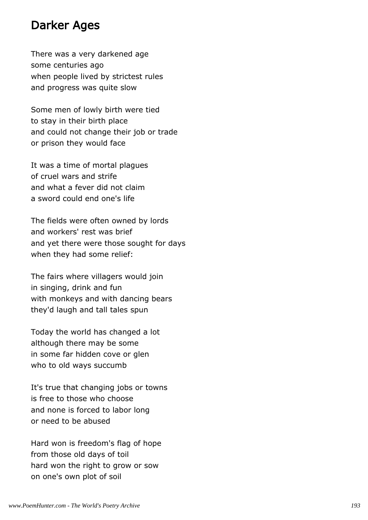#### Darker Ages

There was a very darkened age some centuries ago when people lived by strictest rules and progress was quite slow

Some men of lowly birth were tied to stay in their birth place and could not change their job or trade or prison they would face

It was a time of mortal plagues of cruel wars and strife and what a fever did not claim a sword could end one's life

The fields were often owned by lords and workers' rest was brief and yet there were those sought for days when they had some relief:

The fairs where villagers would join in singing, drink and fun with monkeys and with dancing bears they'd laugh and tall tales spun

Today the world has changed a lot although there may be some in some far hidden cove or glen who to old ways succumb

It's true that changing jobs or towns is free to those who choose and none is forced to labor long or need to be abused

Hard won is freedom's flag of hope from those old days of toil hard won the right to grow or sow on one's own plot of soil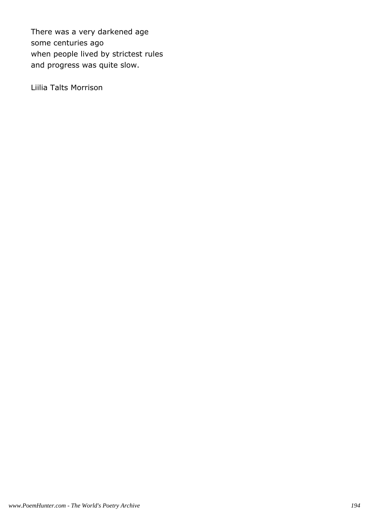There was a very darkened age some centuries ago when people lived by strictest rules and progress was quite slow.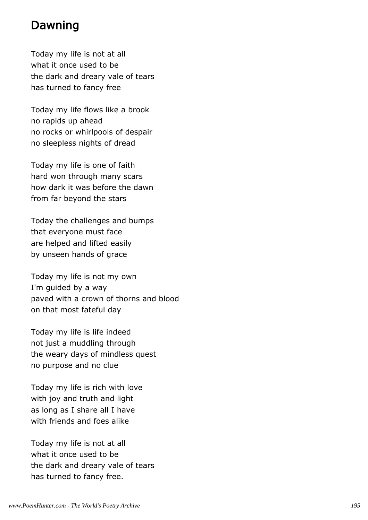# Dawning

Today my life is not at all what it once used to be the dark and dreary vale of tears has turned to fancy free

Today my life flows like a brook no rapids up ahead no rocks or whirlpools of despair no sleepless nights of dread

Today my life is one of faith hard won through many scars how dark it was before the dawn from far beyond the stars

Today the challenges and bumps that everyone must face are helped and lifted easily by unseen hands of grace

Today my life is not my own I'm guided by a way paved with a crown of thorns and blood on that most fateful day

Today my life is life indeed not just a muddling through the weary days of mindless quest no purpose and no clue

Today my life is rich with love with joy and truth and light as long as I share all I have with friends and foes alike

Today my life is not at all what it once used to be the dark and dreary vale of tears has turned to fancy free.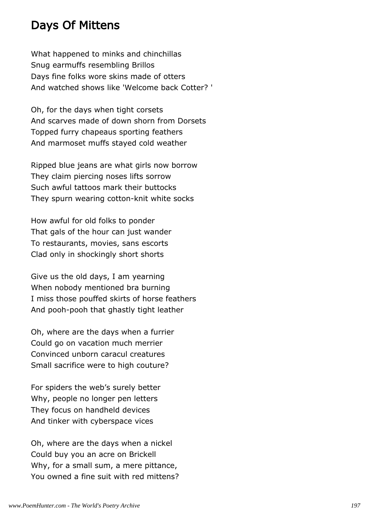# Days Of Mittens

What happened to minks and chinchillas Snug earmuffs resembling Brillos Days fine folks wore skins made of otters And watched shows like 'Welcome back Cotter? '

Oh, for the days when tight corsets And scarves made of down shorn from Dorsets Topped furry chapeaus sporting feathers And marmoset muffs stayed cold weather

Ripped blue jeans are what girls now borrow They claim piercing noses lifts sorrow Such awful tattoos mark their buttocks They spurn wearing cotton-knit white socks

How awful for old folks to ponder That gals of the hour can just wander To restaurants, movies, sans escorts Clad only in shockingly short shorts

Give us the old days, I am yearning When nobody mentioned bra burning I miss those pouffed skirts of horse feathers And pooh-pooh that ghastly tight leather

Oh, where are the days when a furrier Could go on vacation much merrier Convinced unborn caracul creatures Small sacrifice were to high couture?

For spiders the web's surely better Why, people no longer pen letters They focus on handheld devices And tinker with cyberspace vices

Oh, where are the days when a nickel Could buy you an acre on Brickell Why, for a small sum, a mere pittance, You owned a fine suit with red mittens?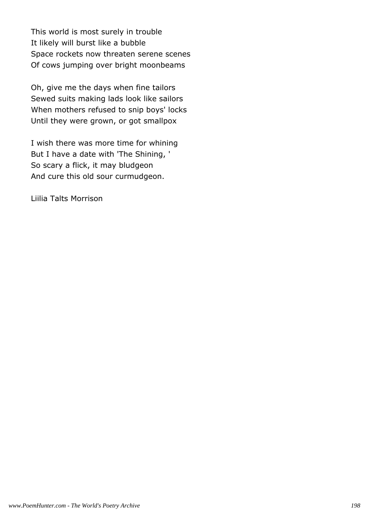This world is most surely in trouble It likely will burst like a bubble Space rockets now threaten serene scenes Of cows jumping over bright moonbeams

Oh, give me the days when fine tailors Sewed suits making lads look like sailors When mothers refused to snip boys' locks Until they were grown, or got smallpox

I wish there was more time for whining But I have a date with 'The Shining, ' So scary a flick, it may bludgeon And cure this old sour curmudgeon.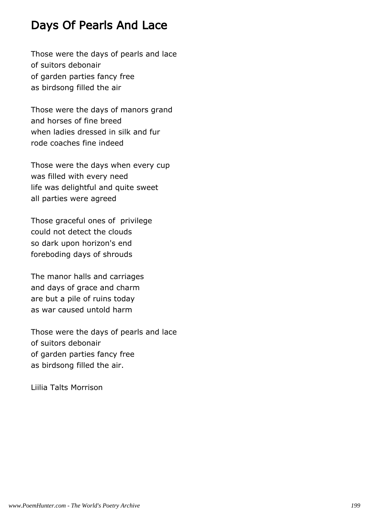# Days Of Pearls And Lace

Those were the days of pearls and lace of suitors debonair of garden parties fancy free as birdsong filled the air

Those were the days of manors grand and horses of fine breed when ladies dressed in silk and fur rode coaches fine indeed

Those were the days when every cup was filled with every need life was delightful and quite sweet all parties were agreed

Those graceful ones of privilege could not detect the clouds so dark upon horizon's end foreboding days of shrouds

The manor halls and carriages and days of grace and charm are but a pile of ruins today as war caused untold harm

Those were the days of pearls and lace of suitors debonair of garden parties fancy free as birdsong filled the air.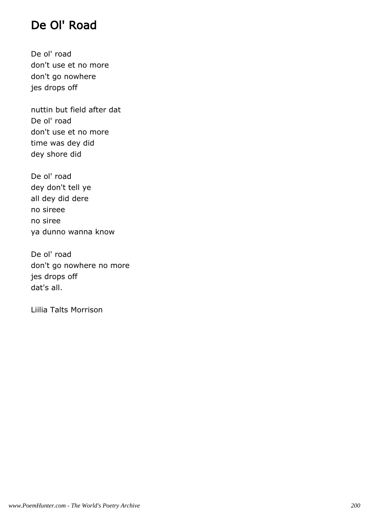# De Ol' Road

De ol' road don't use et no more don't go nowhere jes drops off

nuttin but field after dat De ol' road don't use et no more time was dey did dey shore did

De ol' road dey don't tell ye all dey did dere no sireee no siree ya dunno wanna know

De ol' road don't go nowhere no more jes drops off dat's all.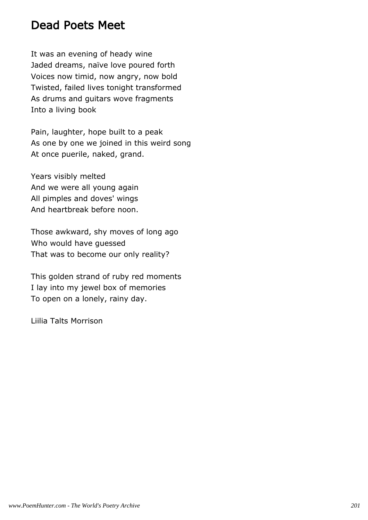# Dead Poets Meet

It was an evening of heady wine Jaded dreams, naïve love poured forth Voices now timid, now angry, now bold Twisted, failed lives tonight transformed As drums and guitars wove fragments Into a living book

Pain, laughter, hope built to a peak As one by one we joined in this weird song At once puerile, naked, grand.

Years visibly melted And we were all young again All pimples and doves' wings And heartbreak before noon.

Those awkward, shy moves of long ago Who would have guessed That was to become our only reality?

This golden strand of ruby red moments I lay into my jewel box of memories To open on a lonely, rainy day.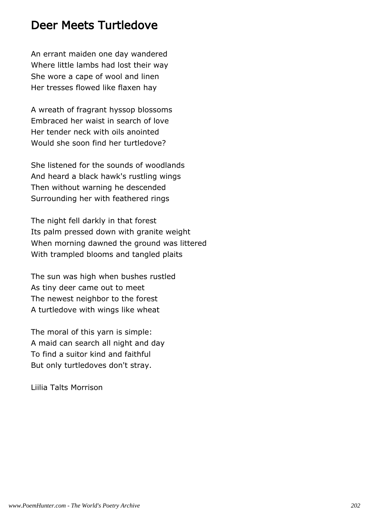# Deer Meets Turtledove

An errant maiden one day wandered Where little lambs had lost their way She wore a cape of wool and linen Her tresses flowed like flaxen hay

A wreath of fragrant hyssop blossoms Embraced her waist in search of love Her tender neck with oils anointed Would she soon find her turtledove?

She listened for the sounds of woodlands And heard a black hawk's rustling wings Then without warning he descended Surrounding her with feathered rings

The night fell darkly in that forest Its palm pressed down with granite weight When morning dawned the ground was littered With trampled blooms and tangled plaits

The sun was high when bushes rustled As tiny deer came out to meet The newest neighbor to the forest A turtledove with wings like wheat

The moral of this yarn is simple: A maid can search all night and day To find a suitor kind and faithful But only turtledoves don't stray.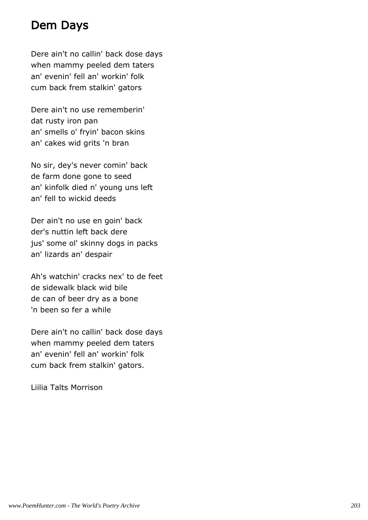# Dem Days

Dere ain't no callin' back dose days when mammy peeled dem taters an' evenin' fell an' workin' folk cum back frem stalkin' gators

Dere ain't no use rememberin' dat rusty iron pan an' smells o' fryin' bacon skins an' cakes wid grits 'n bran

No sir, dey's never comin' back de farm done gone to seed an' kinfolk died n' young uns left an' fell to wickid deeds

Der ain't no use en goin' back der's nuttin left back dere jus' some ol' skinny dogs in packs an' lizards an' despair

Ah's watchin' cracks nex' to de feet de sidewalk black wid bile de can of beer dry as a bone 'n been so fer a while

Dere ain't no callin' back dose days when mammy peeled dem taters an' evenin' fell an' workin' folk cum back frem stalkin' gators.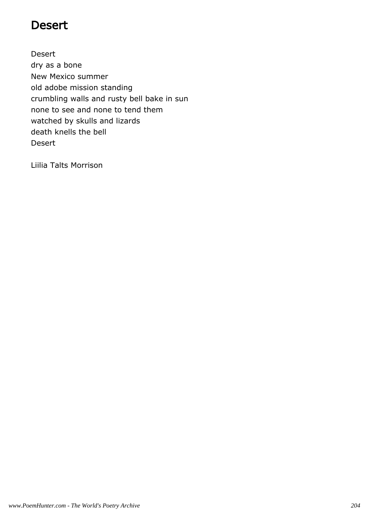# **Desert**

Desert dry as a bone New Mexico summer old adobe mission standing crumbling walls and rusty bell bake in sun none to see and none to tend them watched by skulls and lizards death knells the bell Desert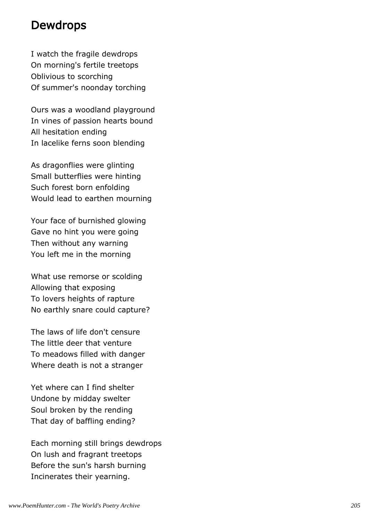#### Dewdrops

I watch the fragile dewdrops On morning's fertile treetops Oblivious to scorching Of summer's noonday torching

Ours was a woodland playground In vines of passion hearts bound All hesitation ending In lacelike ferns soon blending

As dragonflies were glinting Small butterflies were hinting Such forest born enfolding Would lead to earthen mourning

Your face of burnished glowing Gave no hint you were going Then without any warning You left me in the morning

What use remorse or scolding Allowing that exposing To lovers heights of rapture No earthly snare could capture?

The laws of life don't censure The little deer that venture To meadows filled with danger Where death is not a stranger

Yet where can I find shelter Undone by midday swelter Soul broken by the rending That day of baffling ending?

Each morning still brings dewdrops On lush and fragrant treetops Before the sun's harsh burning Incinerates their yearning.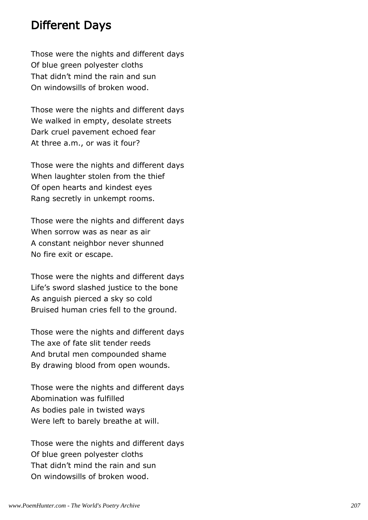# Different Days

Those were the nights and different days Of blue green polyester cloths That didn't mind the rain and sun On windowsills of broken wood.

Those were the nights and different days We walked in empty, desolate streets Dark cruel pavement echoed fear At three a.m., or was it four?

Those were the nights and different days When laughter stolen from the thief Of open hearts and kindest eyes Rang secretly in unkempt rooms.

Those were the nights and different days When sorrow was as near as air A constant neighbor never shunned No fire exit or escape.

Those were the nights and different days Life's sword slashed justice to the bone As anguish pierced a sky so cold Bruised human cries fell to the ground.

Those were the nights and different days The axe of fate slit tender reeds And brutal men compounded shame By drawing blood from open wounds.

Those were the nights and different days Abomination was fulfilled As bodies pale in twisted ways Were left to barely breathe at will.

Those were the nights and different days Of blue green polyester cloths That didn't mind the rain and sun On windowsills of broken wood.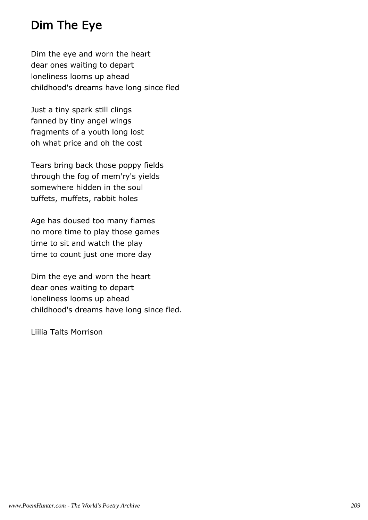# Dim The Eye

Dim the eye and worn the heart dear ones waiting to depart loneliness looms up ahead childhood's dreams have long since fled

Just a tiny spark still clings fanned by tiny angel wings fragments of a youth long lost oh what price and oh the cost

Tears bring back those poppy fields through the fog of mem'ry's yields somewhere hidden in the soul tuffets, muffets, rabbit holes

Age has doused too many flames no more time to play those games time to sit and watch the play time to count just one more day

Dim the eye and worn the heart dear ones waiting to depart loneliness looms up ahead childhood's dreams have long since fled.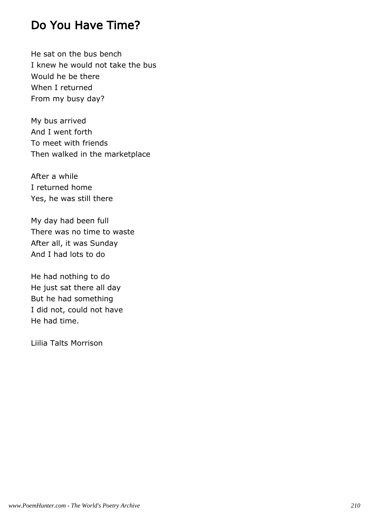# Do You Have Time?

He sat on the bus bench I knew he would not take the bus Would he be there When I returned From my busy day?

My bus arrived And I went forth To meet with friends Then walked in the marketplace

After a while I returned home Yes, he was still there

My day had been full There was no time to waste After all, it was Sunday And I had lots to do

He had nothing to do He just sat there all day But he had something I did not, could not have He had time.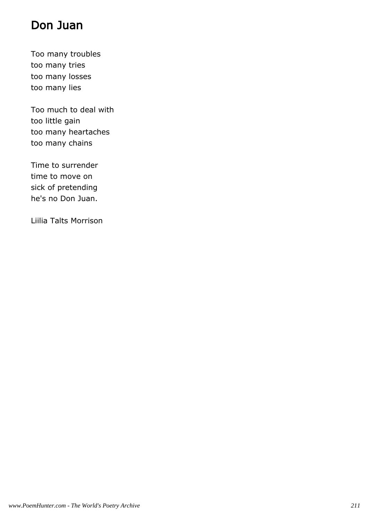# Don Juan

Too many troubles too many tries too many losses too many lies

Too much to deal with too little gain too many heartaches too many chains

Time to surrender time to move on sick of pretending he's no Don Juan.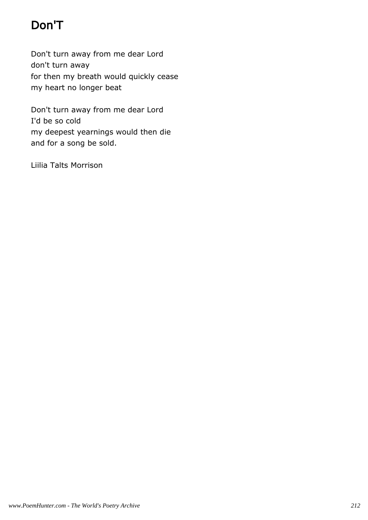# Don'T

Don't turn away from me dear Lord don't turn away for then my breath would quickly cease my heart no longer beat

Don't turn away from me dear Lord I'd be so cold my deepest yearnings would then die and for a song be sold.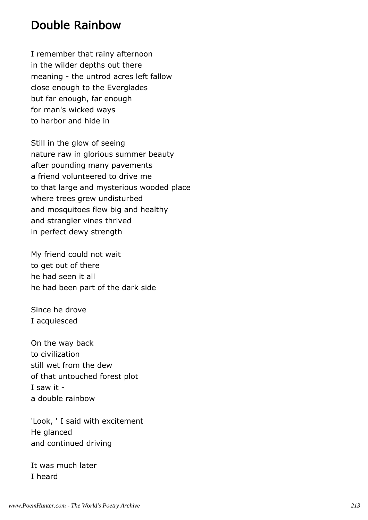# Double Rainbow

I remember that rainy afternoon in the wilder depths out there meaning - the untrod acres left fallow close enough to the Everglades but far enough, far enough for man's wicked ways to harbor and hide in

Still in the glow of seeing nature raw in glorious summer beauty after pounding many pavements a friend volunteered to drive me to that large and mysterious wooded place where trees grew undisturbed and mosquitoes flew big and healthy and strangler vines thrived in perfect dewy strength

My friend could not wait to get out of there he had seen it all he had been part of the dark side

Since he drove I acquiesced

On the way back to civilization still wet from the dew of that untouched forest plot I saw it a double rainbow

'Look, ' I said with excitement He glanced and continued driving

It was much later I heard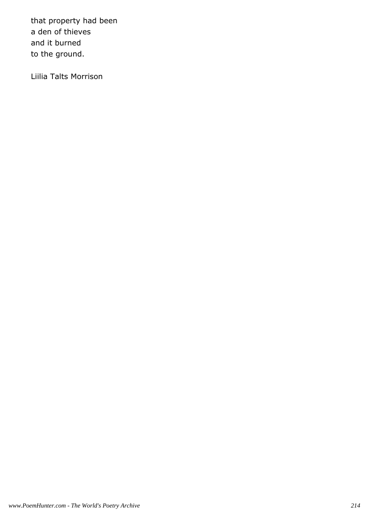that property had been a den of thieves and it burned to the ground.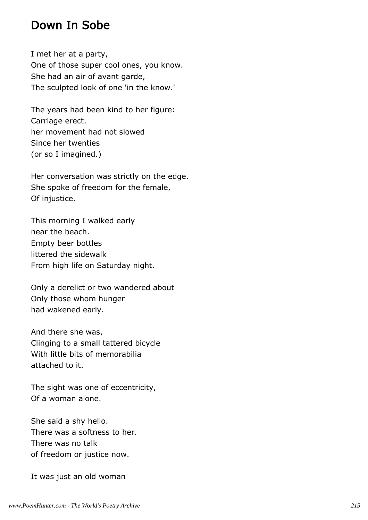#### Down In Sobe

I met her at a party, One of those super cool ones, you know. She had an air of avant garde, The sculpted look of one 'in the know.'

The years had been kind to her figure: Carriage erect. her movement had not slowed Since her twenties (or so I imagined.)

Her conversation was strictly on the edge. She spoke of freedom for the female, Of injustice.

This morning I walked early near the beach. Empty beer bottles littered the sidewalk From high life on Saturday night.

Only a derelict or two wandered about Only those whom hunger had wakened early.

And there she was, Clinging to a small tattered bicycle With little bits of memorabilia attached to it.

The sight was one of eccentricity, Of a woman alone.

She said a shy hello. There was a softness to her. There was no talk of freedom or justice now.

It was just an old woman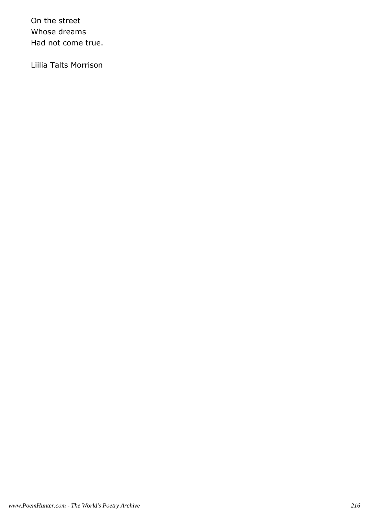On the street Whose dreams Had not come true.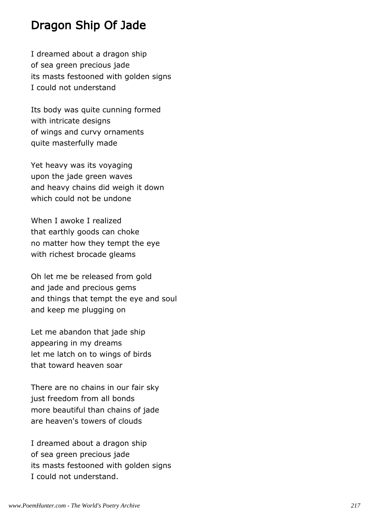# Dragon Ship Of Jade

I dreamed about a dragon ship of sea green precious jade its masts festooned with golden signs I could not understand

Its body was quite cunning formed with intricate designs of wings and curvy ornaments quite masterfully made

Yet heavy was its voyaging upon the jade green waves and heavy chains did weigh it down which could not be undone

When I awoke I realized that earthly goods can choke no matter how they tempt the eye with richest brocade gleams

Oh let me be released from gold and jade and precious gems and things that tempt the eye and soul and keep me plugging on

Let me abandon that jade ship appearing in my dreams let me latch on to wings of birds that toward heaven soar

There are no chains in our fair sky just freedom from all bonds more beautiful than chains of jade are heaven's towers of clouds

I dreamed about a dragon ship of sea green precious jade its masts festooned with golden signs I could not understand.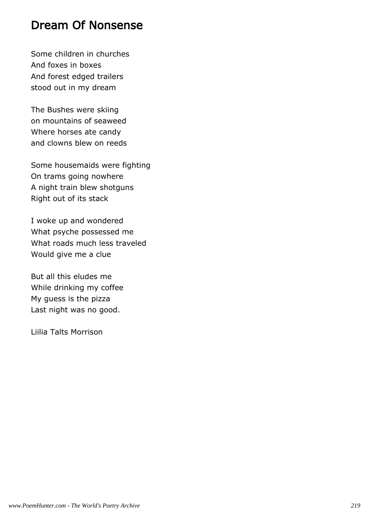### Dream Of Nonsense

Some children in churches And foxes in boxes And forest edged trailers stood out in my dream

The Bushes were skiing on mountains of seaweed Where horses ate candy and clowns blew on reeds

Some housemaids were fighting On trams going nowhere A night train blew shotguns Right out of its stack

I woke up and wondered What psyche possessed me What roads much less traveled Would give me a clue

But all this eludes me While drinking my coffee My guess is the pizza Last night was no good.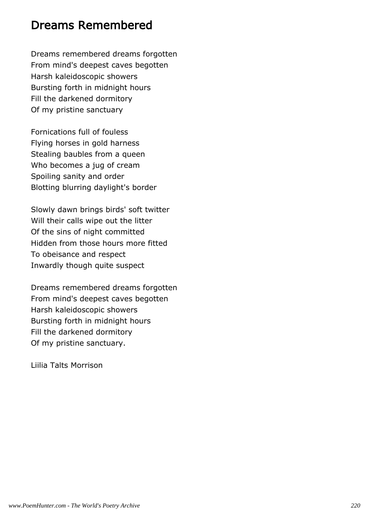### Dreams Remembered

Dreams remembered dreams forgotten From mind's deepest caves begotten Harsh kaleidoscopic showers Bursting forth in midnight hours Fill the darkened dormitory Of my pristine sanctuary

Fornications full of fouless Flying horses in gold harness Stealing baubles from a queen Who becomes a jug of cream Spoiling sanity and order Blotting blurring daylight's border

Slowly dawn brings birds' soft twitter Will their calls wipe out the litter Of the sins of night committed Hidden from those hours more fitted To obeisance and respect Inwardly though quite suspect

Dreams remembered dreams forgotten From mind's deepest caves begotten Harsh kaleidoscopic showers Bursting forth in midnight hours Fill the darkened dormitory Of my pristine sanctuary.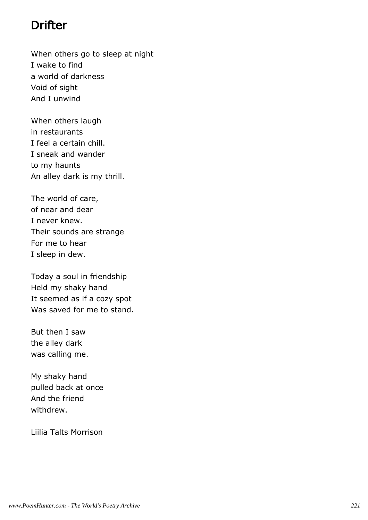# **Drifter**

When others go to sleep at night I wake to find a world of darkness Void of sight And I unwind

When others laugh in restaurants I feel a certain chill. I sneak and wander to my haunts An alley dark is my thrill.

The world of care, of near and dear I never knew. Their sounds are strange For me to hear I sleep in dew.

Today a soul in friendship Held my shaky hand It seemed as if a cozy spot Was saved for me to stand.

But then I saw the alley dark was calling me.

My shaky hand pulled back at once And the friend withdrew.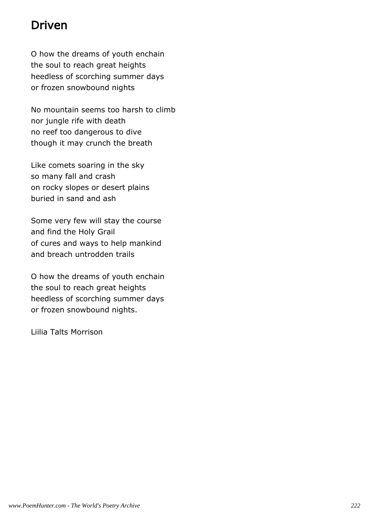# Driven

O how the dreams of youth enchain the soul to reach great heights heedless of scorching summer days or frozen snowbound nights

No mountain seems too harsh to climb nor jungle rife with death no reef too dangerous to dive though it may crunch the breath

Like comets soaring in the sky so many fall and crash on rocky slopes or desert plains buried in sand and ash

Some very few will stay the course and find the Holy Grail of cures and ways to help mankind and breach untrodden trails

O how the dreams of youth enchain the soul to reach great heights heedless of scorching summer days or frozen snowbound nights.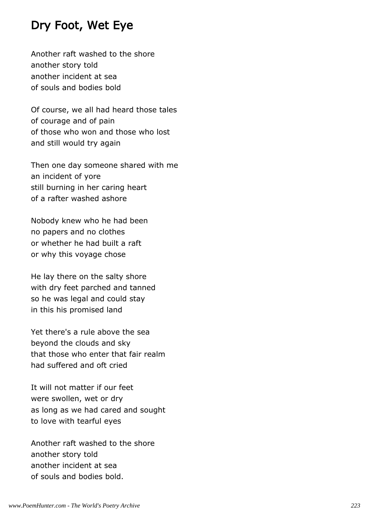### Dry Foot, Wet Eye

Another raft washed to the shore another story told another incident at sea of souls and bodies bold

Of course, we all had heard those tales of courage and of pain of those who won and those who lost and still would try again

Then one day someone shared with me an incident of yore still burning in her caring heart of a rafter washed ashore

Nobody knew who he had been no papers and no clothes or whether he had built a raft or why this voyage chose

He lay there on the salty shore with dry feet parched and tanned so he was legal and could stay in this his promised land

Yet there's a rule above the sea beyond the clouds and sky that those who enter that fair realm had suffered and oft cried

It will not matter if our feet were swollen, wet or dry as long as we had cared and sought to love with tearful eyes

Another raft washed to the shore another story told another incident at sea of souls and bodies bold.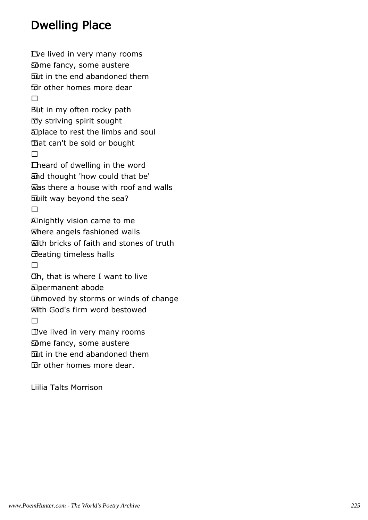### Dwelling Place

 I've lived in very many rooms some fancy, some austere but in the end abandoned them for other homes more dear

 But in my often rocky path my striving spirit sought a place to rest the limbs and soul that can't be sold or bought

 I heard of dwelling in the word and thought 'how could that be' was there a house with roof and walls built way beyond the sea?

 A nightly vision came to me where angels fashioned walls with bricks of faith and stones of truth creating timeless halls

 Oh, that is where I want to live a permanent abode unmoved by storms or winds of change with God's firm word bestowed

 I've lived in very many rooms some fancy, some austere but in the end abandoned them for other homes more dear.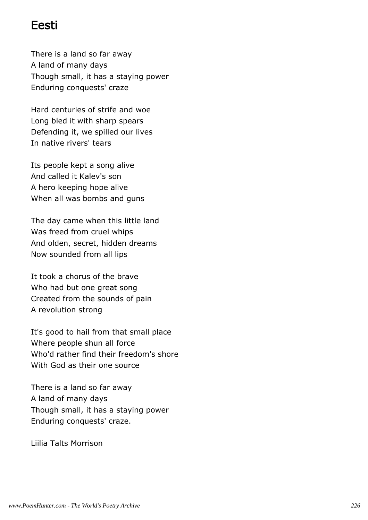#### Eesti

There is a land so far away A land of many days Though small, it has a staying power Enduring conquests' craze

Hard centuries of strife and woe Long bled it with sharp spears Defending it, we spilled our lives In native rivers' tears

Its people kept a song alive And called it Kalev's son A hero keeping hope alive When all was bombs and guns

The day came when this little land Was freed from cruel whips And olden, secret, hidden dreams Now sounded from all lips

It took a chorus of the brave Who had but one great song Created from the sounds of pain A revolution strong

It's good to hail from that small place Where people shun all force Who'd rather find their freedom's shore With God as their one source

There is a land so far away A land of many days Though small, it has a staying power Enduring conquests' craze.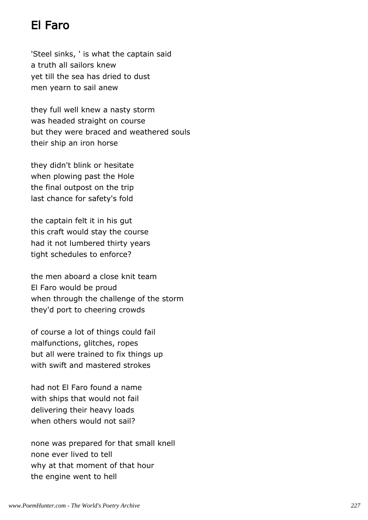# El Faro

'Steel sinks, ' is what the captain said a truth all sailors knew yet till the sea has dried to dust men yearn to sail anew

they full well knew a nasty storm was headed straight on course but they were braced and weathered souls their ship an iron horse

they didn't blink or hesitate when plowing past the Hole the final outpost on the trip last chance for safety's fold

the captain felt it in his gut this craft would stay the course had it not lumbered thirty years tight schedules to enforce?

the men aboard a close knit team El Faro would be proud when through the challenge of the storm they'd port to cheering crowds

of course a lot of things could fail malfunctions, glitches, ropes but all were trained to fix things up with swift and mastered strokes

had not El Faro found a name with ships that would not fail delivering their heavy loads when others would not sail?

none was prepared for that small knell none ever lived to tell why at that moment of that hour the engine went to hell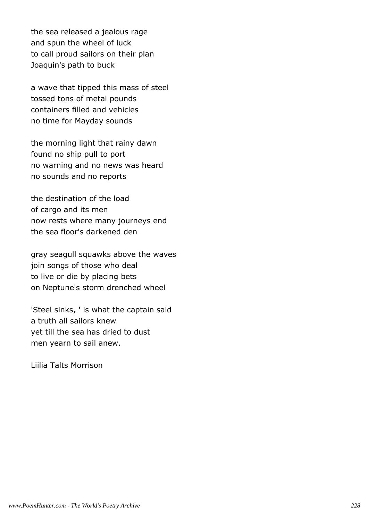the sea released a jealous rage and spun the wheel of luck to call proud sailors on their plan Joaquin's path to buck

a wave that tipped this mass of steel tossed tons of metal pounds containers filled and vehicles no time for Mayday sounds

the morning light that rainy dawn found no ship pull to port no warning and no news was heard no sounds and no reports

the destination of the load of cargo and its men now rests where many journeys end the sea floor's darkened den

gray seagull squawks above the waves join songs of those who deal to live or die by placing bets on Neptune's storm drenched wheel

'Steel sinks, ' is what the captain said a truth all sailors knew yet till the sea has dried to dust men yearn to sail anew.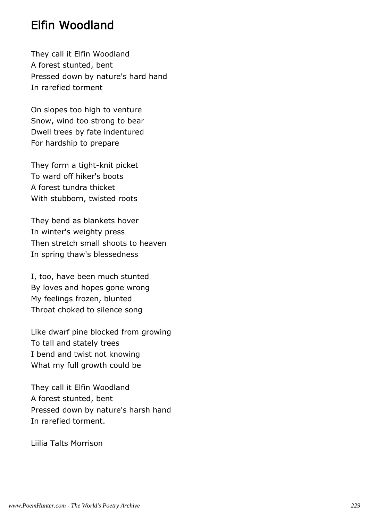# Elfin Woodland

They call it Elfin Woodland A forest stunted, bent Pressed down by nature's hard hand In rarefied torment

On slopes too high to venture Snow, wind too strong to bear Dwell trees by fate indentured For hardship to prepare

They form a tight-knit picket To ward off hiker's boots A forest tundra thicket With stubborn, twisted roots

They bend as blankets hover In winter's weighty press Then stretch small shoots to heaven In spring thaw's blessedness

I, too, have been much stunted By loves and hopes gone wrong My feelings frozen, blunted Throat choked to silence song

Like dwarf pine blocked from growing To tall and stately trees I bend and twist not knowing What my full growth could be

They call it Elfin Woodland A forest stunted, bent Pressed down by nature's harsh hand In rarefied torment.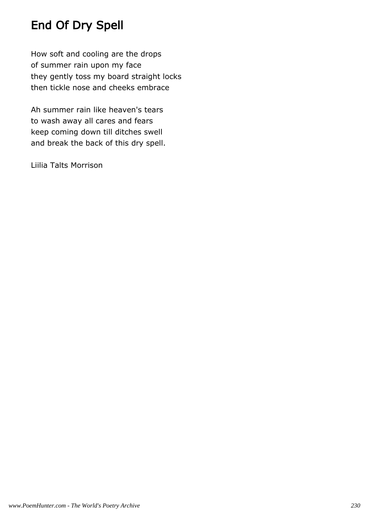# End Of Dry Spell

How soft and cooling are the drops of summer rain upon my face they gently toss my board straight locks then tickle nose and cheeks embrace

Ah summer rain like heaven's tears to wash away all cares and fears keep coming down till ditches swell and break the back of this dry spell.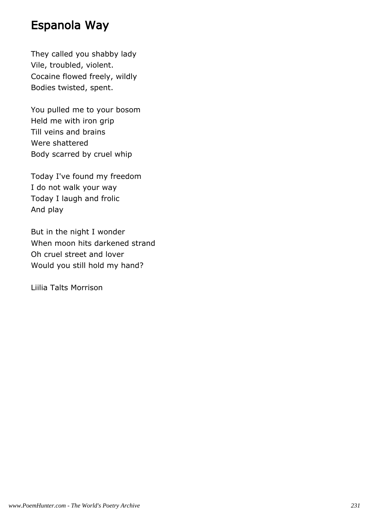# Espanola Way

They called you shabby lady Vile, troubled, violent. Cocaine flowed freely, wildly Bodies twisted, spent.

You pulled me to your bosom Held me with iron grip Till veins and brains Were shattered Body scarred by cruel whip

Today I've found my freedom I do not walk your way Today I laugh and frolic And play

But in the night I wonder When moon hits darkened strand Oh cruel street and lover Would you still hold my hand?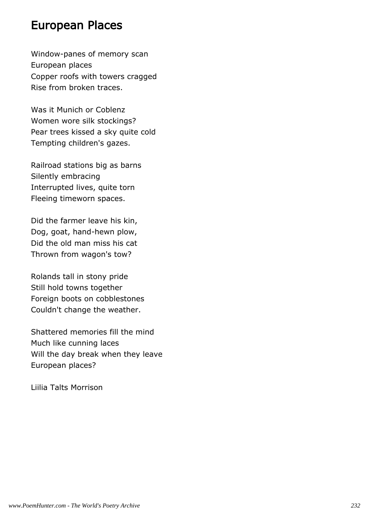#### European Places

Window-panes of memory scan European places Copper roofs with towers cragged Rise from broken traces.

Was it Munich or Coblenz Women wore silk stockings? Pear trees kissed a sky quite cold Tempting children's gazes.

Railroad stations big as barns Silently embracing Interrupted lives, quite torn Fleeing timeworn spaces.

Did the farmer leave his kin, Dog, goat, hand-hewn plow, Did the old man miss his cat Thrown from wagon's tow?

Rolands tall in stony pride Still hold towns together Foreign boots on cobblestones Couldn't change the weather.

Shattered memories fill the mind Much like cunning laces Will the day break when they leave European places?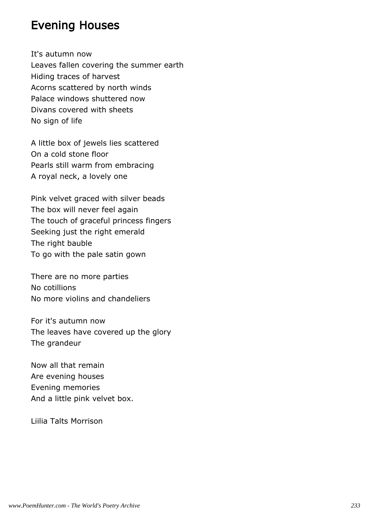### Evening Houses

It's autumn now Leaves fallen covering the summer earth Hiding traces of harvest Acorns scattered by north winds Palace windows shuttered now Divans covered with sheets No sign of life

A little box of jewels lies scattered On a cold stone floor Pearls still warm from embracing A royal neck, a lovely one

Pink velvet graced with silver beads The box will never feel again The touch of graceful princess fingers Seeking just the right emerald The right bauble To go with the pale satin gown

There are no more parties No cotillions No more violins and chandeliers

For it's autumn now The leaves have covered up the glory The grandeur

Now all that remain Are evening houses Evening memories And a little pink velvet box.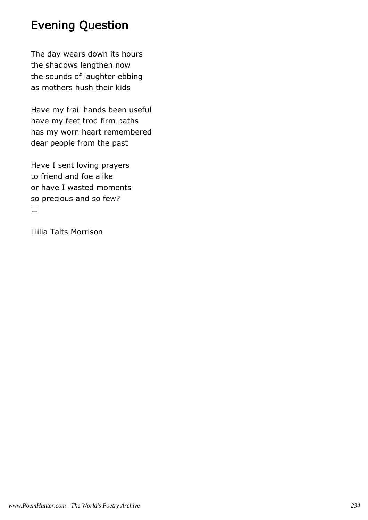## Evening Question

The day wears down its hours the shadows lengthen now the sounds of laughter ebbing as mothers hush their kids

Have my frail hands been useful have my feet trod firm paths has my worn heart remembered dear people from the past

Have I sent loving prayers to friend and foe alike or have I wasted moments so precious and so few?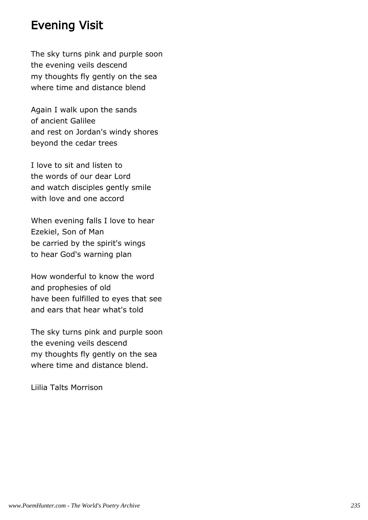### Evening Visit

The sky turns pink and purple soon the evening veils descend my thoughts fly gently on the sea where time and distance blend

Again I walk upon the sands of ancient Galilee and rest on Jordan's windy shores beyond the cedar trees

I love to sit and listen to the words of our dear Lord and watch disciples gently smile with love and one accord

When evening falls I love to hear Ezekiel, Son of Man be carried by the spirit's wings to hear God's warning plan

How wonderful to know the word and prophesies of old have been fulfilled to eyes that see and ears that hear what's told

The sky turns pink and purple soon the evening veils descend my thoughts fly gently on the sea where time and distance blend.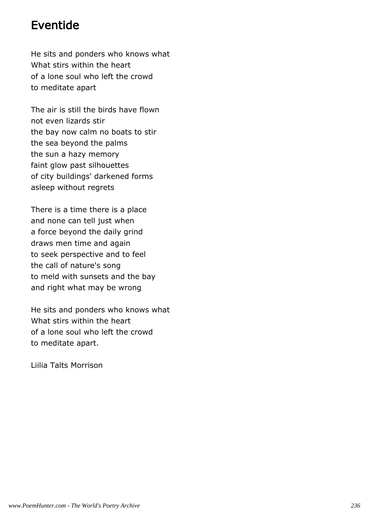# Eventide

He sits and ponders who knows what What stirs within the heart of a lone soul who left the crowd to meditate apart

The air is still the birds have flown not even lizards stir the bay now calm no boats to stir the sea beyond the palms the sun a hazy memory faint glow past silhouettes of city buildings' darkened forms asleep without regrets

There is a time there is a place and none can tell just when a force beyond the daily grind draws men time and again to seek perspective and to feel the call of nature's song to meld with sunsets and the bay and right what may be wrong

He sits and ponders who knows what What stirs within the heart of a lone soul who left the crowd to meditate apart.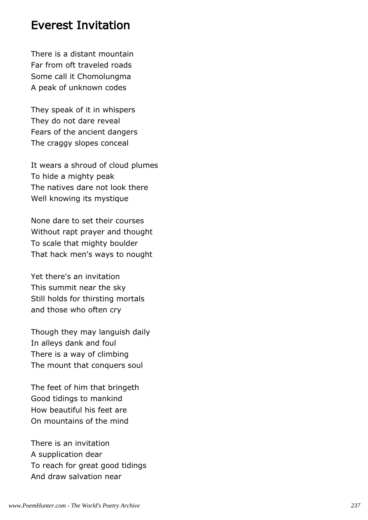#### Everest Invitation

There is a distant mountain Far from oft traveled roads Some call it Chomolungma A peak of unknown codes

They speak of it in whispers They do not dare reveal Fears of the ancient dangers The craggy slopes conceal

It wears a shroud of cloud plumes To hide a mighty peak The natives dare not look there Well knowing its mystique

None dare to set their courses Without rapt prayer and thought To scale that mighty boulder That hack men's ways to nought

Yet there's an invitation This summit near the sky Still holds for thirsting mortals and those who often cry

Though they may languish daily In alleys dank and foul There is a way of climbing The mount that conquers soul

The feet of him that bringeth Good tidings to mankind How beautiful his feet are On mountains of the mind

There is an invitation A supplication dear To reach for great good tidings And draw salvation near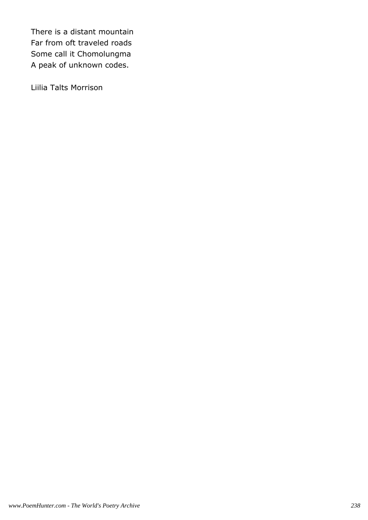There is a distant mountain Far from oft traveled roads Some call it Chomolungma A peak of unknown codes.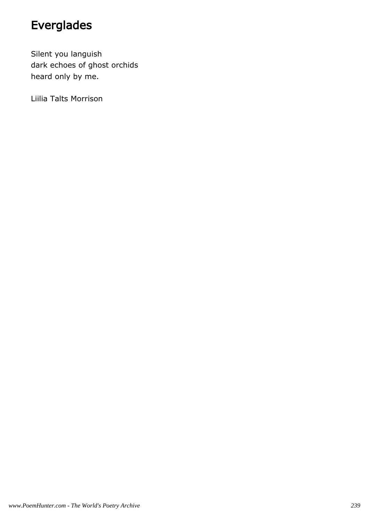# Everglades

Silent you languish dark echoes of ghost orchids heard only by me.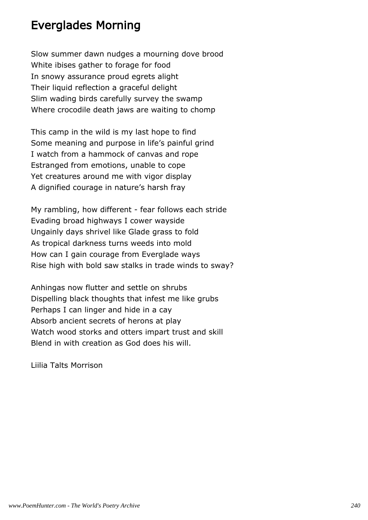# Everglades Morning

Slow summer dawn nudges a mourning dove brood White ibises gather to forage for food In snowy assurance proud egrets alight Their liquid reflection a graceful delight Slim wading birds carefully survey the swamp Where crocodile death jaws are waiting to chomp

This camp in the wild is my last hope to find Some meaning and purpose in life's painful grind I watch from a hammock of canvas and rope Estranged from emotions, unable to cope Yet creatures around me with vigor display A dignified courage in nature's harsh fray

My rambling, how different - fear follows each stride Evading broad highways I cower wayside Ungainly days shrivel like Glade grass to fold As tropical darkness turns weeds into mold How can I gain courage from Everglade ways Rise high with bold saw stalks in trade winds to sway?

Anhingas now flutter and settle on shrubs Dispelling black thoughts that infest me like grubs Perhaps I can linger and hide in a cay Absorb ancient secrets of herons at play Watch wood storks and otters impart trust and skill Blend in with creation as God does his will.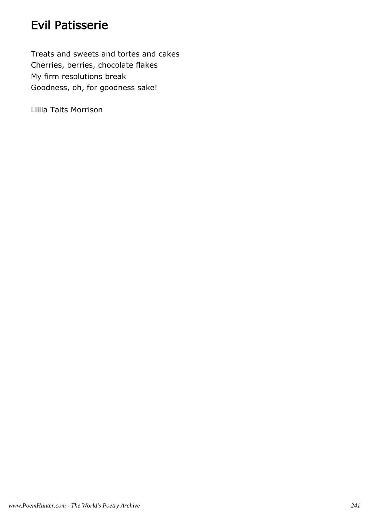# Evil Patisserie

Treats and sweets and tortes and cakes Cherries, berries, chocolate flakes My firm resolutions break Goodness, oh, for goodness sake!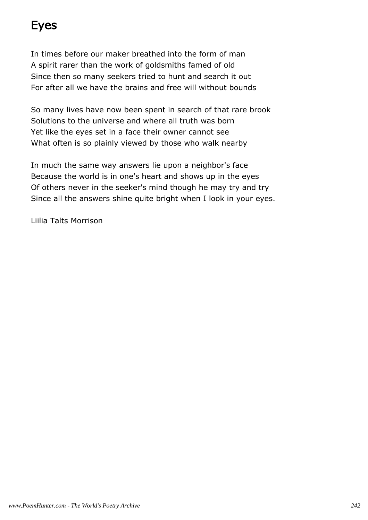# Eyes

In times before our maker breathed into the form of man A spirit rarer than the work of goldsmiths famed of old Since then so many seekers tried to hunt and search it out For after all we have the brains and free will without bounds

So many lives have now been spent in search of that rare brook Solutions to the universe and where all truth was born Yet like the eyes set in a face their owner cannot see What often is so plainly viewed by those who walk nearby

In much the same way answers lie upon a neighbor's face Because the world is in one's heart and shows up in the eyes Of others never in the seeker's mind though he may try and try Since all the answers shine quite bright when I look in your eyes.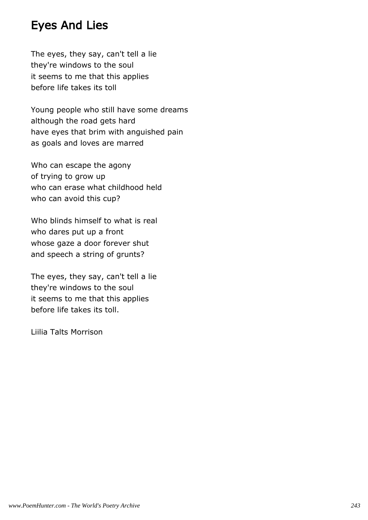# Eyes And Lies

The eyes, they say, can't tell a lie they're windows to the soul it seems to me that this applies before life takes its toll

Young people who still have some dreams although the road gets hard have eyes that brim with anguished pain as goals and loves are marred

Who can escape the agony of trying to grow up who can erase what childhood held who can avoid this cup?

Who blinds himself to what is real who dares put up a front whose gaze a door forever shut and speech a string of grunts?

The eyes, they say, can't tell a lie they're windows to the soul it seems to me that this applies before life takes its toll.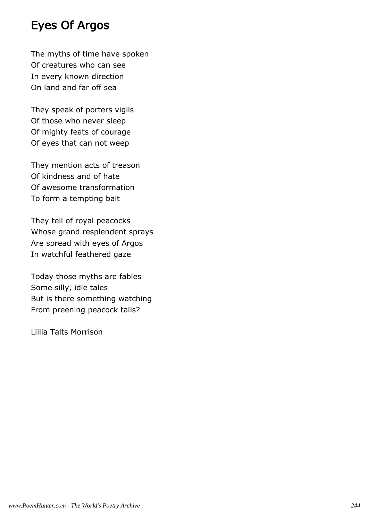# Eyes Of Argos

The myths of time have spoken Of creatures who can see In every known direction On land and far off sea

They speak of porters vigils Of those who never sleep Of mighty feats of courage Of eyes that can not weep

They mention acts of treason Of kindness and of hate Of awesome transformation To form a tempting bait

They tell of royal peacocks Whose grand resplendent sprays Are spread with eyes of Argos In watchful feathered gaze

Today those myths are fables Some silly, idle tales But is there something watching From preening peacock tails?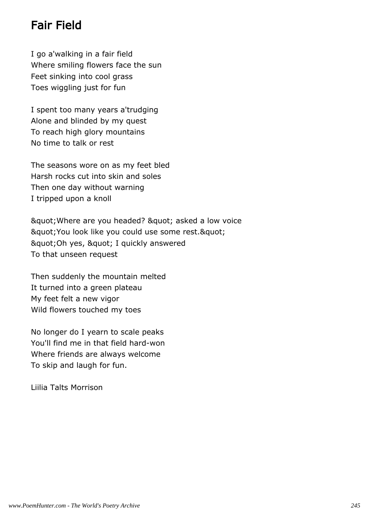# Fair Field

I go a'walking in a fair field Where smiling flowers face the sun Feet sinking into cool grass Toes wiggling just for fun

I spent too many years a'trudging Alone and blinded by my quest To reach high glory mountains No time to talk or rest

The seasons wore on as my feet bled Harsh rocks cut into skin and soles Then one day without warning I tripped upon a knoll

" Where are you headed? " asked a low voice & guot; You look like you could use some rest. & quot; & quot; Oh yes, & quot; I quickly answered To that unseen request

Then suddenly the mountain melted It turned into a green plateau My feet felt a new vigor Wild flowers touched my toes

No longer do I yearn to scale peaks You'll find me in that field hard-won Where friends are always welcome To skip and laugh for fun.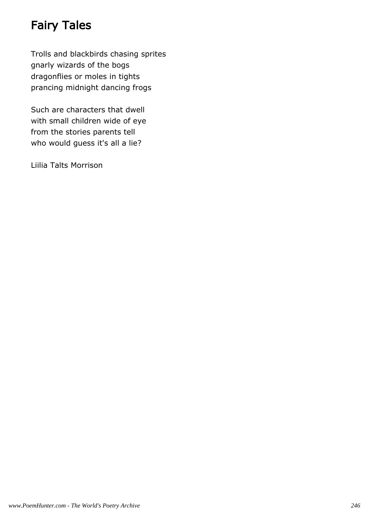# Fairy Tales

Trolls and blackbirds chasing sprites gnarly wizards of the bogs dragonflies or moles in tights prancing midnight dancing frogs

Such are characters that dwell with small children wide of eye from the stories parents tell who would guess it's all a lie?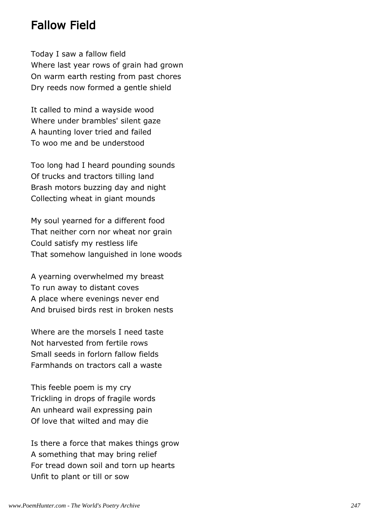### Fallow Field

Today I saw a fallow field Where last year rows of grain had grown On warm earth resting from past chores Dry reeds now formed a gentle shield

It called to mind a wayside wood Where under brambles' silent gaze A haunting lover tried and failed To woo me and be understood

Too long had I heard pounding sounds Of trucks and tractors tilling land Brash motors buzzing day and night Collecting wheat in giant mounds

My soul yearned for a different food That neither corn nor wheat nor grain Could satisfy my restless life That somehow languished in lone woods

A yearning overwhelmed my breast To run away to distant coves A place where evenings never end And bruised birds rest in broken nests

Where are the morsels I need taste Not harvested from fertile rows Small seeds in forlorn fallow fields Farmhands on tractors call a waste

This feeble poem is my cry Trickling in drops of fragile words An unheard wail expressing pain Of love that wilted and may die

Is there a force that makes things grow A something that may bring relief For tread down soil and torn up hearts Unfit to plant or till or sow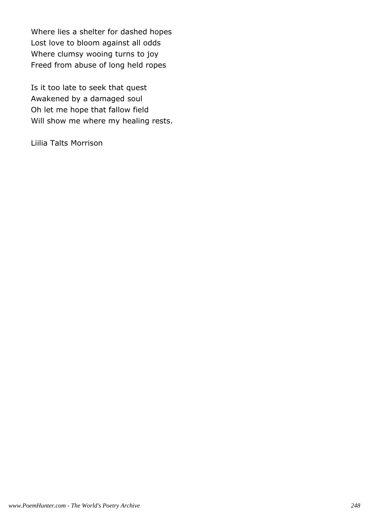Where lies a shelter for dashed hopes Lost love to bloom against all odds Where clumsy wooing turns to joy Freed from abuse of long held ropes

Is it too late to seek that quest Awakened by a damaged soul Oh let me hope that fallow field Will show me where my healing rests.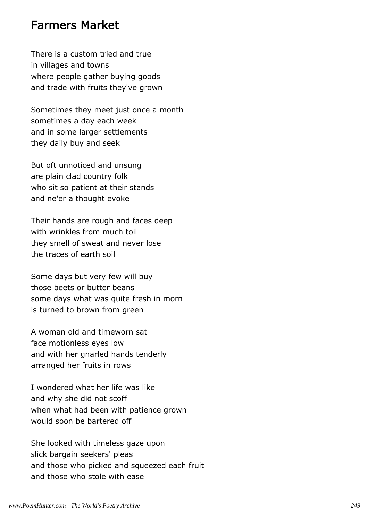#### Farmers Market

There is a custom tried and true in villages and towns where people gather buying goods and trade with fruits they've grown

Sometimes they meet just once a month sometimes a day each week and in some larger settlements they daily buy and seek

But oft unnoticed and unsung are plain clad country folk who sit so patient at their stands and ne'er a thought evoke

Their hands are rough and faces deep with wrinkles from much toil they smell of sweat and never lose the traces of earth soil

Some days but very few will buy those beets or butter beans some days what was quite fresh in morn is turned to brown from green

A woman old and timeworn sat face motionless eyes low and with her gnarled hands tenderly arranged her fruits in rows

I wondered what her life was like and why she did not scoff when what had been with patience grown would soon be bartered off

She looked with timeless gaze upon slick bargain seekers' pleas and those who picked and squeezed each fruit and those who stole with ease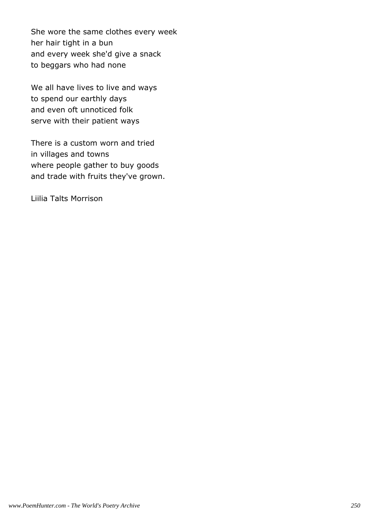She wore the same clothes every week her hair tight in a bun and every week she'd give a snack to beggars who had none

We all have lives to live and ways to spend our earthly days and even oft unnoticed folk serve with their patient ways

There is a custom worn and tried in villages and towns where people gather to buy goods and trade with fruits they've grown.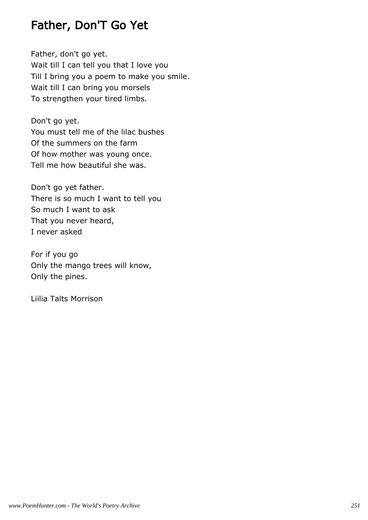# Father, Don'T Go Yet

Father, don't go yet. Wait till I can tell you that I love you Till I bring you a poem to make you smile. Wait till I can bring you morsels To strengthen your tired limbs.

Don't go yet. You must tell me of the lilac bushes Of the summers on the farm Of how mother was young once. Tell me how beautiful she was.

Don't go yet father. There is so much I want to tell you So much I want to ask That you never heard, I never asked

For if you go Only the mango trees will know, Only the pines.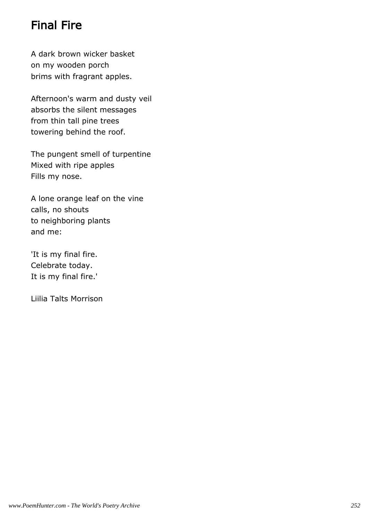# Final Fire

A dark brown wicker basket on my wooden porch brims with fragrant apples.

Afternoon's warm and dusty veil absorbs the silent messages from thin tall pine trees towering behind the roof.

The pungent smell of turpentine Mixed with ripe apples Fills my nose.

A lone orange leaf on the vine calls, no shouts to neighboring plants and me:

'It is my final fire. Celebrate today. It is my final fire.'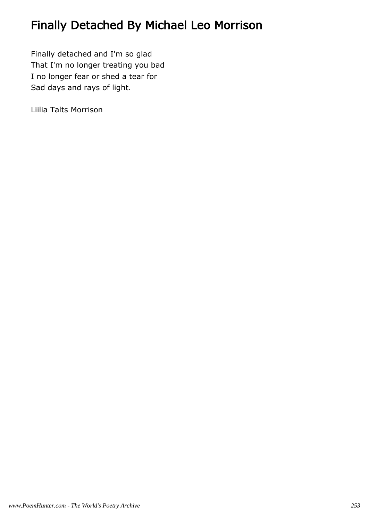# Finally Detached By Michael Leo Morrison

Finally detached and I'm so glad That I'm no longer treating you bad I no longer fear or shed a tear for Sad days and rays of light.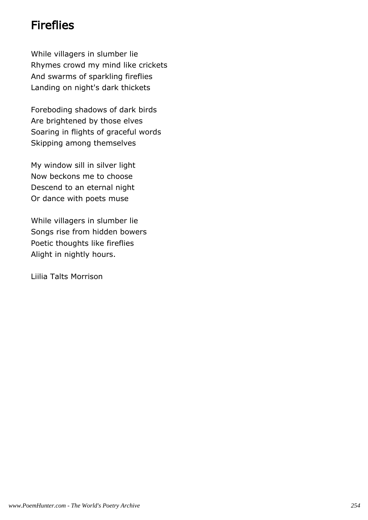# Fireflies

While villagers in slumber lie Rhymes crowd my mind like crickets And swarms of sparkling fireflies Landing on night's dark thickets

Foreboding shadows of dark birds Are brightened by those elves Soaring in flights of graceful words Skipping among themselves

My window sill in silver light Now beckons me to choose Descend to an eternal night Or dance with poets muse

While villagers in slumber lie Songs rise from hidden bowers Poetic thoughts like fireflies Alight in nightly hours.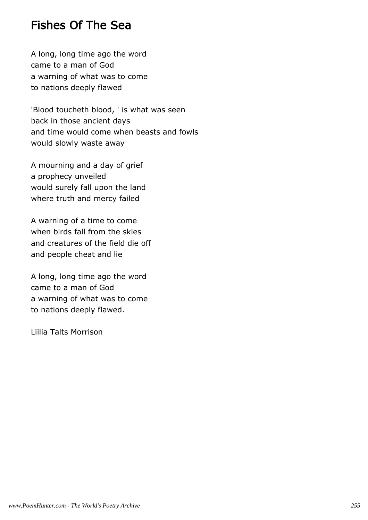### Fishes Of The Sea

A long, long time ago the word came to a man of God a warning of what was to come to nations deeply flawed

'Blood toucheth blood, ' is what was seen back in those ancient days and time would come when beasts and fowls would slowly waste away

A mourning and a day of grief a prophecy unveiled would surely fall upon the land where truth and mercy failed

A warning of a time to come when birds fall from the skies and creatures of the field die off and people cheat and lie

A long, long time ago the word came to a man of God a warning of what was to come to nations deeply flawed.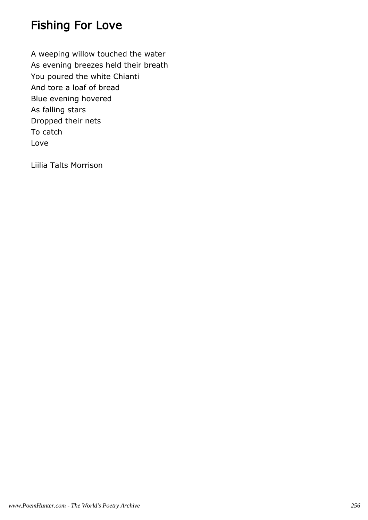# Fishing For Love

A weeping willow touched the water As evening breezes held their breath You poured the white Chianti And tore a loaf of bread Blue evening hovered As falling stars Dropped their nets To catch Love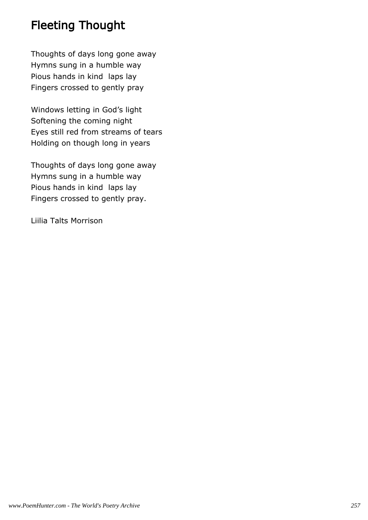# Fleeting Thought

Thoughts of days long gone away Hymns sung in a humble way Pious hands in kind laps lay Fingers crossed to gently pray

Windows letting in God's light Softening the coming night Eyes still red from streams of tears Holding on though long in years

Thoughts of days long gone away Hymns sung in a humble way Pious hands in kind laps lay Fingers crossed to gently pray.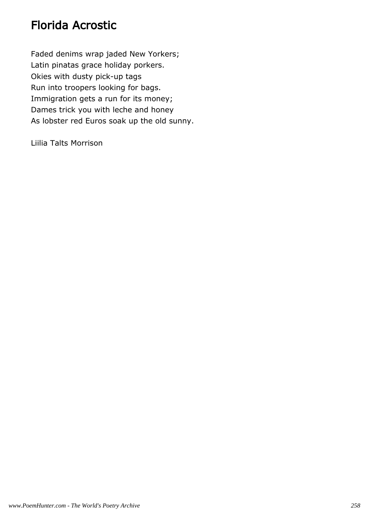# Florida Acrostic

Faded denims wrap jaded New Yorkers; Latin pinatas grace holiday porkers. Okies with dusty pick-up tags Run into troopers looking for bags. Immigration gets a run for its money; Dames trick you with leche and honey As lobster red Euros soak up the old sunny.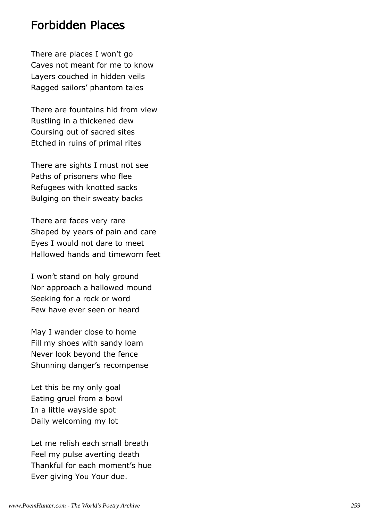#### Forbidden Places

There are places I won't go Caves not meant for me to know Layers couched in hidden veils Ragged sailors' phantom tales

There are fountains hid from view Rustling in a thickened dew Coursing out of sacred sites Etched in ruins of primal rites

There are sights I must not see Paths of prisoners who flee Refugees with knotted sacks Bulging on their sweaty backs

There are faces very rare Shaped by years of pain and care Eyes I would not dare to meet Hallowed hands and timeworn feet

I won't stand on holy ground Nor approach a hallowed mound Seeking for a rock or word Few have ever seen or heard

May I wander close to home Fill my shoes with sandy loam Never look beyond the fence Shunning danger's recompense

Let this be my only goal Eating gruel from a bowl In a little wayside spot Daily welcoming my lot

Let me relish each small breath Feel my pulse averting death Thankful for each moment's hue Ever giving You Your due.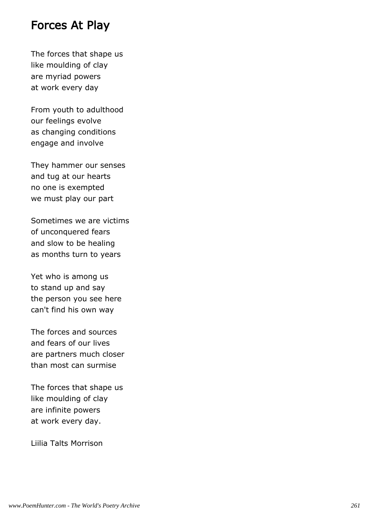#### Forces At Play

The forces that shape us like moulding of clay are myriad powers at work every day

From youth to adulthood our feelings evolve as changing conditions engage and involve

They hammer our senses and tug at our hearts no one is exempted we must play our part

Sometimes we are victims of unconquered fears and slow to be healing as months turn to years

Yet who is among us to stand up and say the person you see here can't find his own way

The forces and sources and fears of our lives are partners much closer than most can surmise

The forces that shape us like moulding of clay are infinite powers at work every day.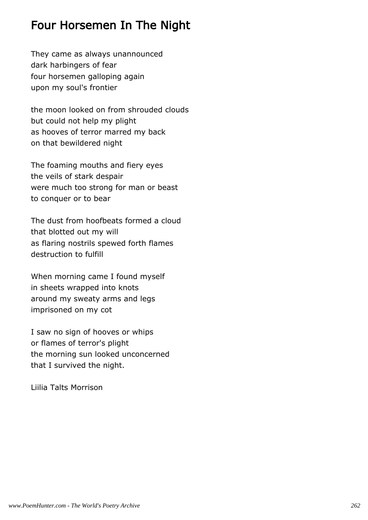# Four Horsemen In The Night

They came as always unannounced dark harbingers of fear four horsemen galloping again upon my soul's frontier

the moon looked on from shrouded clouds but could not help my plight as hooves of terror marred my back on that bewildered night

The foaming mouths and fiery eyes the veils of stark despair were much too strong for man or beast to conquer or to bear

The dust from hoofbeats formed a cloud that blotted out my will as flaring nostrils spewed forth flames destruction to fulfill

When morning came I found myself in sheets wrapped into knots around my sweaty arms and legs imprisoned on my cot

I saw no sign of hooves or whips or flames of terror's plight the morning sun looked unconcerned that I survived the night.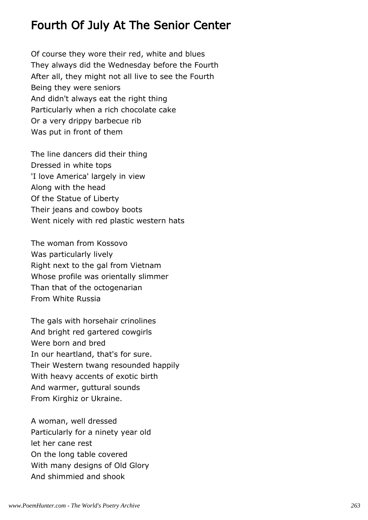## Fourth Of July At The Senior Center

Of course they wore their red, white and blues They always did the Wednesday before the Fourth After all, they might not all live to see the Fourth Being they were seniors And didn't always eat the right thing Particularly when a rich chocolate cake Or a very drippy barbecue rib Was put in front of them

The line dancers did their thing Dressed in white tops 'I love America' largely in view Along with the head Of the Statue of Liberty Their jeans and cowboy boots Went nicely with red plastic western hats

The woman from Kossovo Was particularly lively Right next to the gal from Vietnam Whose profile was orientally slimmer Than that of the octogenarian From White Russia

The gals with horsehair crinolines And bright red gartered cowgirls Were born and bred In our heartland, that's for sure. Their Western twang resounded happily With heavy accents of exotic birth And warmer, guttural sounds From Kirghiz or Ukraine.

A woman, well dressed Particularly for a ninety year old let her cane rest On the long table covered With many designs of Old Glory And shimmied and shook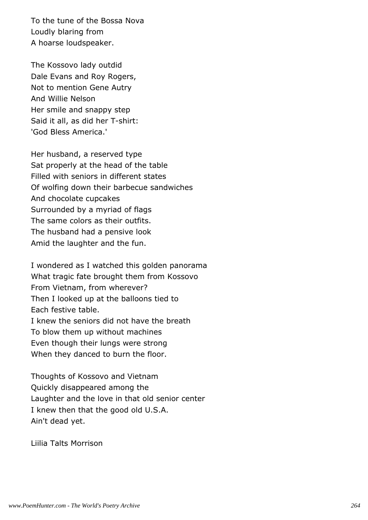To the tune of the Bossa Nova Loudly blaring from A hoarse loudspeaker.

The Kossovo lady outdid Dale Evans and Roy Rogers, Not to mention Gene Autry And Willie Nelson Her smile and snappy step Said it all, as did her T-shirt: 'God Bless America.'

Her husband, a reserved type Sat properly at the head of the table Filled with seniors in different states Of wolfing down their barbecue sandwiches And chocolate cupcakes Surrounded by a myriad of flags The same colors as their outfits. The husband had a pensive look Amid the laughter and the fun.

I wondered as I watched this golden panorama What tragic fate brought them from Kossovo From Vietnam, from wherever? Then I looked up at the balloons tied to Each festive table. I knew the seniors did not have the breath To blow them up without machines Even though their lungs were strong When they danced to burn the floor.

Thoughts of Kossovo and Vietnam Quickly disappeared among the Laughter and the love in that old senior center I knew then that the good old U.S.A. Ain't dead yet.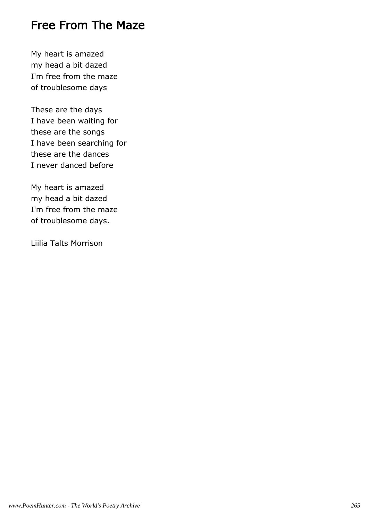## Free From The Maze

My heart is amazed my head a bit dazed I'm free from the maze of troublesome days

These are the days I have been waiting for these are the songs I have been searching for these are the dances I never danced before

My heart is amazed my head a bit dazed I'm free from the maze of troublesome days.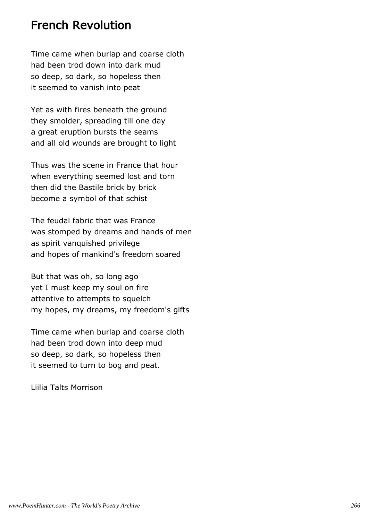### French Revolution

Time came when burlap and coarse cloth had been trod down into dark mud so deep, so dark, so hopeless then it seemed to vanish into peat

Yet as with fires beneath the ground they smolder, spreading till one day a great eruption bursts the seams and all old wounds are brought to light

Thus was the scene in France that hour when everything seemed lost and torn then did the Bastile brick by brick become a symbol of that schist

The feudal fabric that was France was stomped by dreams and hands of men as spirit vanquished privilege and hopes of mankind's freedom soared

But that was oh, so long ago yet I must keep my soul on fire attentive to attempts to squelch my hopes, my dreams, my freedom's gifts

Time came when burlap and coarse cloth had been trod down into deep mud so deep, so dark, so hopeless then it seemed to turn to bog and peat.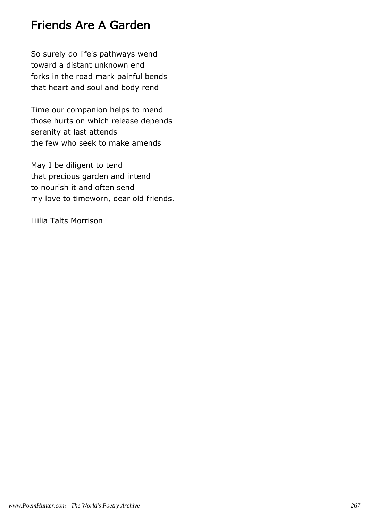## Friends Are A Garden

So surely do life's pathways wend toward a distant unknown end forks in the road mark painful bends that heart and soul and body rend

Time our companion helps to mend those hurts on which release depends serenity at last attends the few who seek to make amends

May I be diligent to tend that precious garden and intend to nourish it and often send my love to timeworn, dear old friends.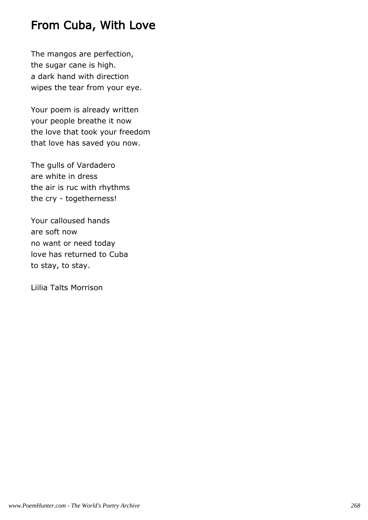# From Cuba, With Love

The mangos are perfection, the sugar cane is high. a dark hand with direction wipes the tear from your eye.

Your poem is already written your people breathe it now the love that took your freedom that love has saved you now.

The gulls of Vardadero are white in dress the air is ruc with rhythms the cry - togetherness!

Your calloused hands are soft now no want or need today love has returned to Cuba to stay, to stay.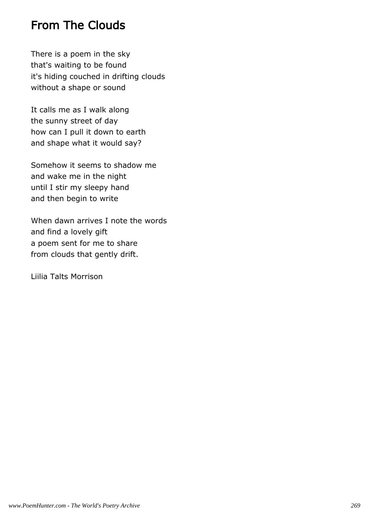## From The Clouds

There is a poem in the sky that's waiting to be found it's hiding couched in drifting clouds without a shape or sound

It calls me as I walk along the sunny street of day how can I pull it down to earth and shape what it would say?

Somehow it seems to shadow me and wake me in the night until I stir my sleepy hand and then begin to write

When dawn arrives I note the words and find a lovely gift a poem sent for me to share from clouds that gently drift.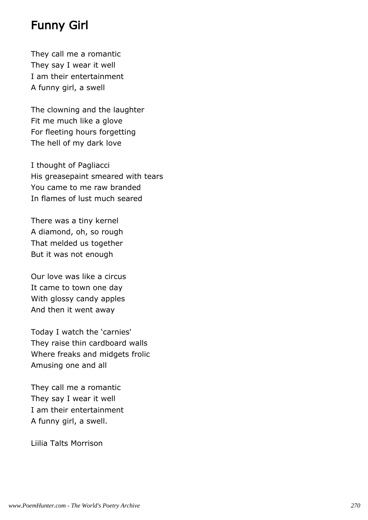## Funny Girl

They call me a romantic They say I wear it well I am their entertainment A funny girl, a swell

The clowning and the laughter Fit me much like a glove For fleeting hours forgetting The hell of my dark love

I thought of Pagliacci His greasepaint smeared with tears You came to me raw branded In flames of lust much seared

There was a tiny kernel A diamond, oh, so rough That melded us together But it was not enough

Our love was like a circus It came to town one day With glossy candy apples And then it went away

Today I watch the 'carnies' They raise thin cardboard walls Where freaks and midgets frolic Amusing one and all

They call me a romantic They say I wear it well I am their entertainment A funny girl, a swell.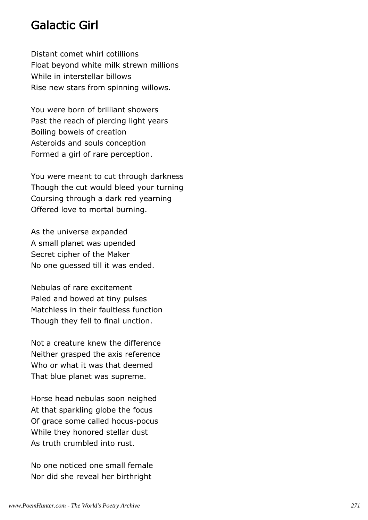### Galactic Girl

Distant comet whirl cotillions Float beyond white milk strewn millions While in interstellar billows Rise new stars from spinning willows.

You were born of brilliant showers Past the reach of piercing light years Boiling bowels of creation Asteroids and souls conception Formed a girl of rare perception.

You were meant to cut through darkness Though the cut would bleed your turning Coursing through a dark red yearning Offered love to mortal burning.

As the universe expanded A small planet was upended Secret cipher of the Maker No one guessed till it was ended.

Nebulas of rare excitement Paled and bowed at tiny pulses Matchless in their faultless function Though they fell to final unction.

Not a creature knew the difference Neither grasped the axis reference Who or what it was that deemed That blue planet was supreme.

Horse head nebulas soon neighed At that sparkling globe the focus Of grace some called hocus-pocus While they honored stellar dust As truth crumbled into rust.

No one noticed one small female Nor did she reveal her birthright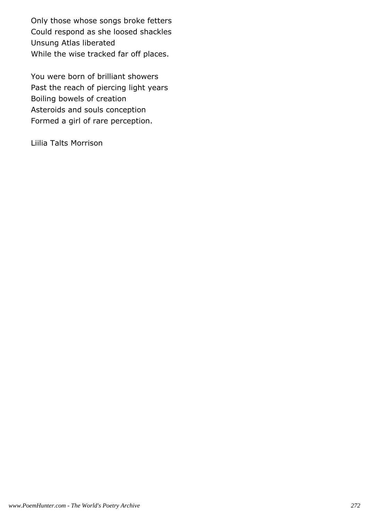Only those whose songs broke fetters Could respond as she loosed shackles Unsung Atlas liberated While the wise tracked far off places.

You were born of brilliant showers Past the reach of piercing light years Boiling bowels of creation Asteroids and souls conception Formed a girl of rare perception.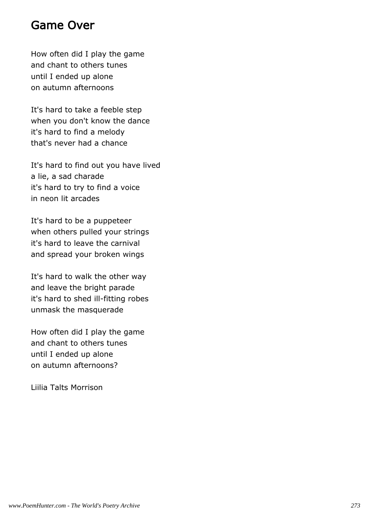#### Game Over

How often did I play the game and chant to others tunes until I ended up alone on autumn afternoons

It's hard to take a feeble step when you don't know the dance it's hard to find a melody that's never had a chance

It's hard to find out you have lived a lie, a sad charade it's hard to try to find a voice in neon lit arcades

It's hard to be a puppeteer when others pulled your strings it's hard to leave the carnival and spread your broken wings

It's hard to walk the other way and leave the bright parade it's hard to shed ill-fitting robes unmask the masquerade

How often did I play the game and chant to others tunes until I ended up alone on autumn afternoons?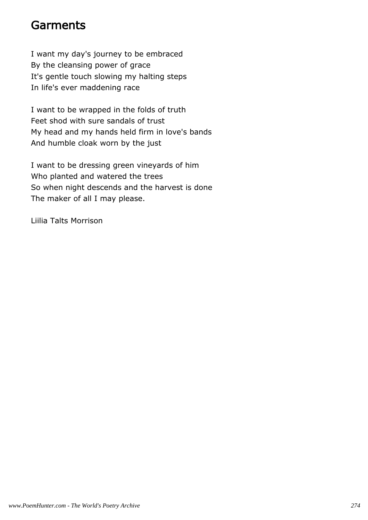### Garments

I want my day's journey to be embraced By the cleansing power of grace It's gentle touch slowing my halting steps In life's ever maddening race

I want to be wrapped in the folds of truth Feet shod with sure sandals of trust My head and my hands held firm in love's bands And humble cloak worn by the just

I want to be dressing green vineyards of him Who planted and watered the trees So when night descends and the harvest is done The maker of all I may please.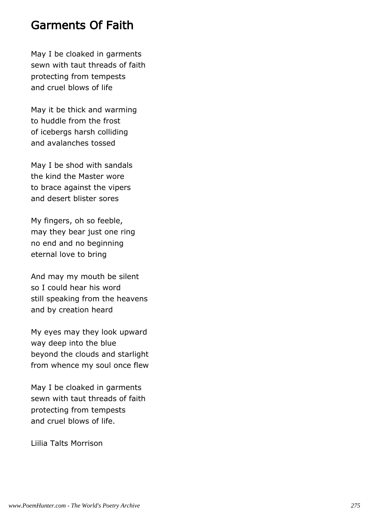### Garments Of Faith

May I be cloaked in garments sewn with taut threads of faith protecting from tempests and cruel blows of life

May it be thick and warming to huddle from the frost of icebergs harsh colliding and avalanches tossed

May I be shod with sandals the kind the Master wore to brace against the vipers and desert blister sores

My fingers, oh so feeble, may they bear just one ring no end and no beginning eternal love to bring

And may my mouth be silent so I could hear his word still speaking from the heavens and by creation heard

My eyes may they look upward way deep into the blue beyond the clouds and starlight from whence my soul once flew

May I be cloaked in garments sewn with taut threads of faith protecting from tempests and cruel blows of life.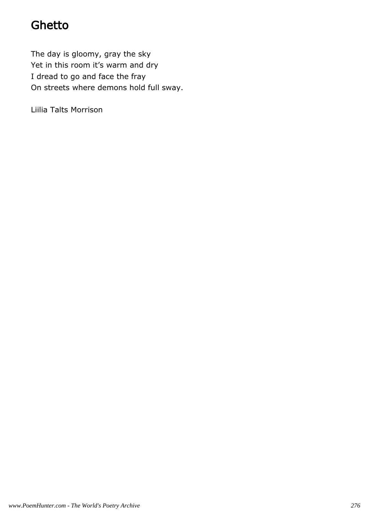# Ghetto

The day is gloomy, gray the sky Yet in this room it's warm and dry I dread to go and face the fray On streets where demons hold full sway.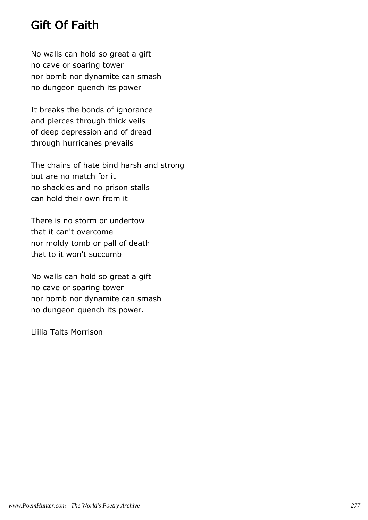## Gift Of Faith

No walls can hold so great a gift no cave or soaring tower nor bomb nor dynamite can smash no dungeon quench its power

It breaks the bonds of ignorance and pierces through thick veils of deep depression and of dread through hurricanes prevails

The chains of hate bind harsh and strong but are no match for it no shackles and no prison stalls can hold their own from it

There is no storm or undertow that it can't overcome nor moldy tomb or pall of death that to it won't succumb

No walls can hold so great a gift no cave or soaring tower nor bomb nor dynamite can smash no dungeon quench its power.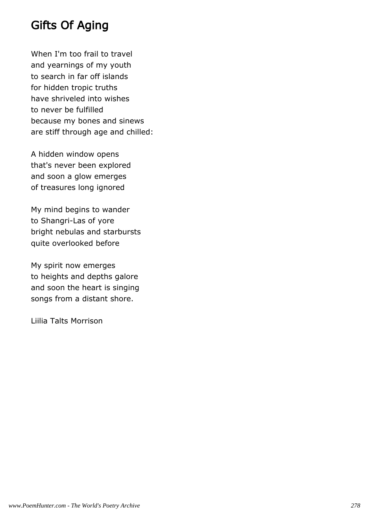# Gifts Of Aging

When I'm too frail to travel and yearnings of my youth to search in far off islands for hidden tropic truths have shriveled into wishes to never be fulfilled because my bones and sinews are stiff through age and chilled:

A hidden window opens that's never been explored and soon a glow emerges of treasures long ignored

My mind begins to wander to Shangri-Las of yore bright nebulas and starbursts quite overlooked before

My spirit now emerges to heights and depths galore and soon the heart is singing songs from a distant shore.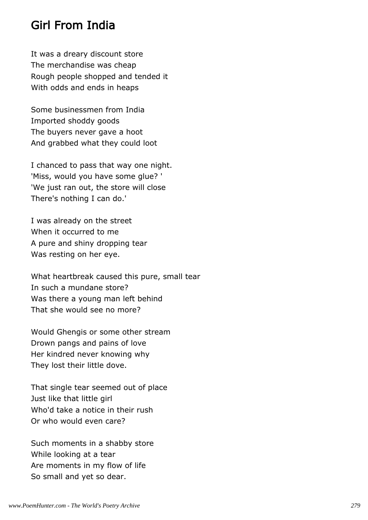## Girl From India

It was a dreary discount store The merchandise was cheap Rough people shopped and tended it With odds and ends in heaps

Some businessmen from India Imported shoddy goods The buyers never gave a hoot And grabbed what they could loot

I chanced to pass that way one night. 'Miss, would you have some glue? ' 'We just ran out, the store will close There's nothing I can do.'

I was already on the street When it occurred to me A pure and shiny dropping tear Was resting on her eye.

What heartbreak caused this pure, small tear In such a mundane store? Was there a young man left behind That she would see no more?

Would Ghengis or some other stream Drown pangs and pains of love Her kindred never knowing why They lost their little dove.

That single tear seemed out of place Just like that little girl Who'd take a notice in their rush Or who would even care?

Such moments in a shabby store While looking at a tear Are moments in my flow of life So small and yet so dear.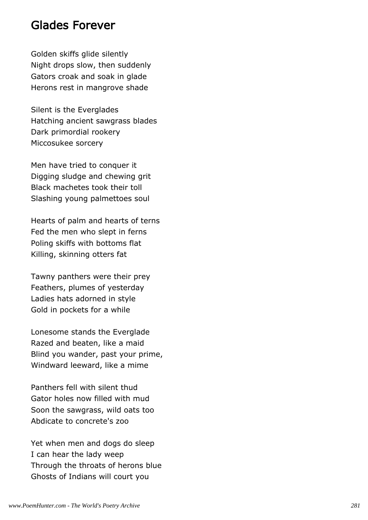#### Glades Forever

Golden skiffs glide silently Night drops slow, then suddenly Gators croak and soak in glade Herons rest in mangrove shade

Silent is the Everglades Hatching ancient sawgrass blades Dark primordial rookery Miccosukee sorcery

Men have tried to conquer it Digging sludge and chewing grit Black machetes took their toll Slashing young palmettoes soul

Hearts of palm and hearts of terns Fed the men who slept in ferns Poling skiffs with bottoms flat Killing, skinning otters fat

Tawny panthers were their prey Feathers, plumes of yesterday Ladies hats adorned in style Gold in pockets for a while

Lonesome stands the Everglade Razed and beaten, like a maid Blind you wander, past your prime, Windward leeward, like a mime

Panthers fell with silent thud Gator holes now filled with mud Soon the sawgrass, wild oats too Abdicate to concrete's zoo

Yet when men and dogs do sleep I can hear the lady weep Through the throats of herons blue Ghosts of Indians will court you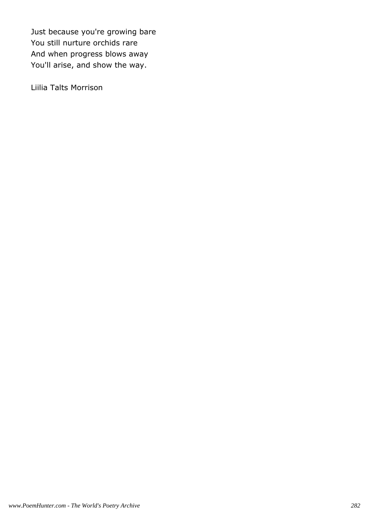Just because you're growing bare You still nurture orchids rare And when progress blows away You'll arise, and show the way.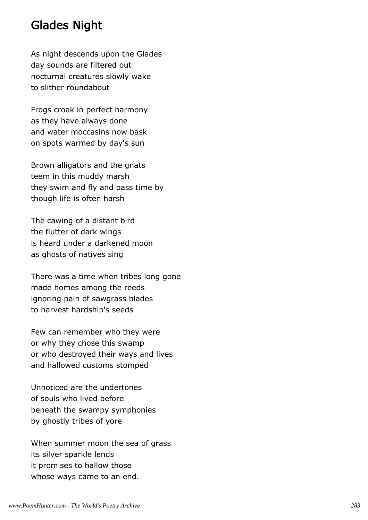#### Glades Night

As night descends upon the Glades day sounds are filtered out nocturnal creatures slowly wake to slither roundabout

Frogs croak in perfect harmony as they have always done and water moccasins now bask on spots warmed by day's sun

Brown alligators and the gnats teem in this muddy marsh they swim and fly and pass time by though life is often harsh

The cawing of a distant bird the flutter of dark wings is heard under a darkened moon as ghosts of natives sing

There was a time when tribes long gone made homes among the reeds ignoring pain of sawgrass blades to harvest hardship's seeds

Few can remember who they were or why they chose this swamp or who destroyed their ways and lives and hallowed customs stomped

Unnoticed are the undertones of souls who lived before beneath the swampy symphonies by ghostly tribes of yore

When summer moon the sea of grass its silver sparkle lends it promises to hallow those whose ways came to an end.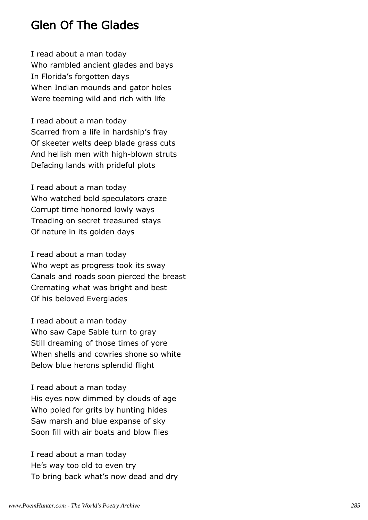## Glen Of The Glades

I read about a man today Who rambled ancient glades and bays In Florida's forgotten days When Indian mounds and gator holes Were teeming wild and rich with life

I read about a man today Scarred from a life in hardship's fray Of skeeter welts deep blade grass cuts And hellish men with high-blown struts Defacing lands with prideful plots

I read about a man today Who watched bold speculators craze Corrupt time honored lowly ways Treading on secret treasured stays Of nature in its golden days

I read about a man today Who wept as progress took its sway Canals and roads soon pierced the breast Cremating what was bright and best Of his beloved Everglades

I read about a man today Who saw Cape Sable turn to gray Still dreaming of those times of yore When shells and cowries shone so white Below blue herons splendid flight

I read about a man today His eyes now dimmed by clouds of age Who poled for grits by hunting hides Saw marsh and blue expanse of sky Soon fill with air boats and blow flies

I read about a man today He's way too old to even try To bring back what's now dead and dry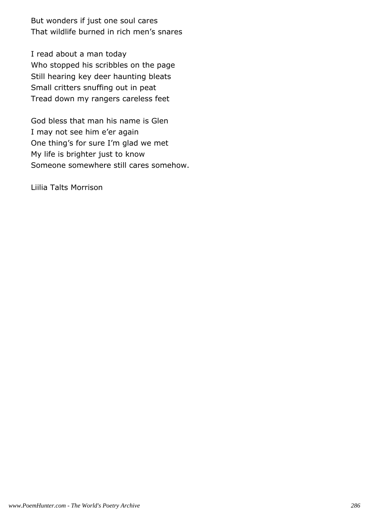But wonders if just one soul cares That wildlife burned in rich men's snares

I read about a man today Who stopped his scribbles on the page Still hearing key deer haunting bleats Small critters snuffing out in peat Tread down my rangers careless feet

God bless that man his name is Glen I may not see him e'er again One thing's for sure I'm glad we met My life is brighter just to know Someone somewhere still cares somehow.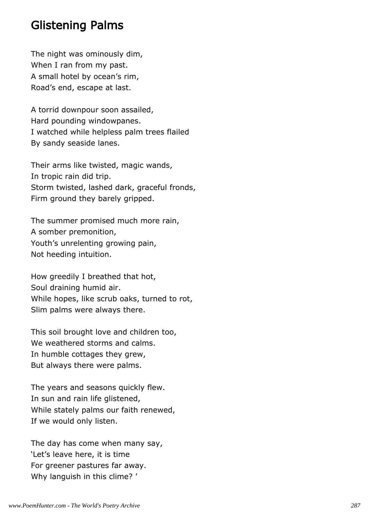### Glistening Palms

The night was ominously dim, When I ran from my past. A small hotel by ocean's rim, Road's end, escape at last.

A torrid downpour soon assailed, Hard pounding windowpanes. I watched while helpless palm trees flailed By sandy seaside lanes.

Their arms like twisted, magic wands, In tropic rain did trip. Storm twisted, lashed dark, graceful fronds, Firm ground they barely gripped.

The summer promised much more rain, A somber premonition, Youth's unrelenting growing pain, Not heeding intuition.

How greedily I breathed that hot, Soul draining humid air. While hopes, like scrub oaks, turned to rot, Slim palms were always there.

This soil brought love and children too, We weathered storms and calms. In humble cottages they grew, But always there were palms.

The years and seasons quickly flew. In sun and rain life glistened, While stately palms our faith renewed, If we would only listen.

The day has come when many say, 'Let's leave here, it is time For greener pastures far away. Why languish in this clime? '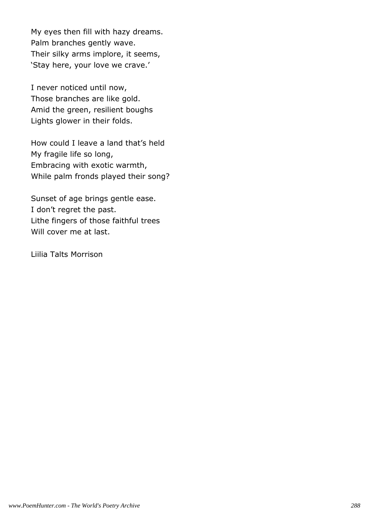My eyes then fill with hazy dreams. Palm branches gently wave. Their silky arms implore, it seems, 'Stay here, your love we crave.'

I never noticed until now, Those branches are like gold. Amid the green, resilient boughs Lights glower in their folds.

How could I leave a land that's held My fragile life so long, Embracing with exotic warmth, While palm fronds played their song?

Sunset of age brings gentle ease. I don't regret the past. Lithe fingers of those faithful trees Will cover me at last.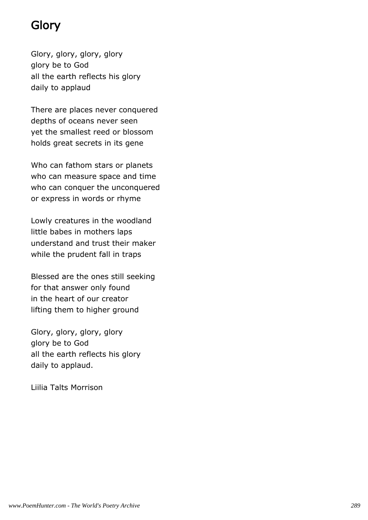# Glory

Glory, glory, glory, glory glory be to God all the earth reflects his glory daily to applaud

There are places never conquered depths of oceans never seen yet the smallest reed or blossom holds great secrets in its gene

Who can fathom stars or planets who can measure space and time who can conquer the unconquered or express in words or rhyme

Lowly creatures in the woodland little babes in mothers laps understand and trust their maker while the prudent fall in traps

Blessed are the ones still seeking for that answer only found in the heart of our creator lifting them to higher ground

Glory, glory, glory, glory glory be to God all the earth reflects his glory daily to applaud.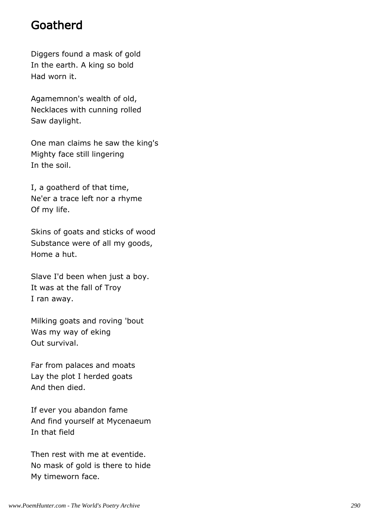### Goatherd

Diggers found a mask of gold In the earth. A king so bold Had worn it.

Agamemnon's wealth of old, Necklaces with cunning rolled Saw daylight.

One man claims he saw the king's Mighty face still lingering In the soil.

I, a goatherd of that time, Ne'er a trace left nor a rhyme Of my life.

Skins of goats and sticks of wood Substance were of all my goods, Home a hut.

Slave I'd been when just a boy. It was at the fall of Troy I ran away.

Milking goats and roving 'bout Was my way of eking Out survival.

Far from palaces and moats Lay the plot I herded goats And then died.

If ever you abandon fame And find yourself at Mycenaeum In that field

Then rest with me at eventide. No mask of gold is there to hide My timeworn face.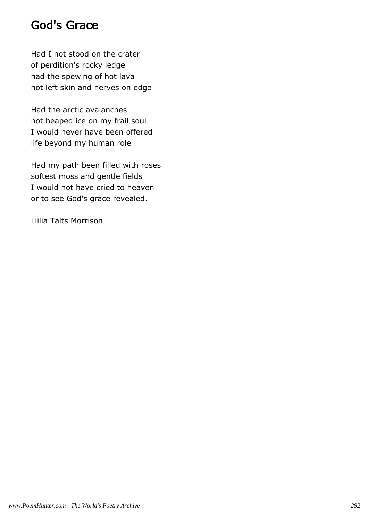## God's Grace

Had I not stood on the crater of perdition's rocky ledge had the spewing of hot lava not left skin and nerves on edge

Had the arctic avalanches not heaped ice on my frail soul I would never have been offered life beyond my human role

Had my path been filled with roses softest moss and gentle fields I would not have cried to heaven or to see God's grace revealed.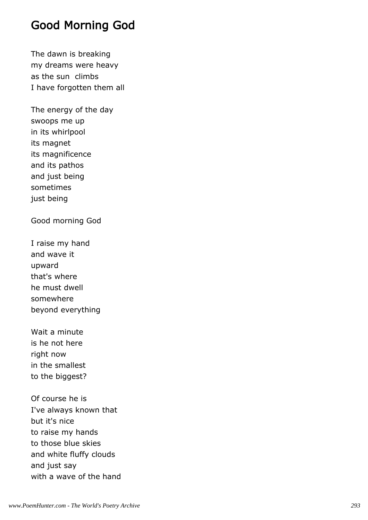### Good Morning God

The dawn is breaking my dreams were heavy as the sun climbs I have forgotten them all

The energy of the day swoops me up in its whirlpool its magnet its magnificence and its pathos and just being sometimes just being

Good morning God

I raise my hand and wave it upward that's where he must dwell somewhere beyond everything

Wait a minute is he not here right now in the smallest to the biggest?

Of course he is I've always known that but it's nice to raise my hands to those blue skies and white fluffy clouds and just say with a wave of the hand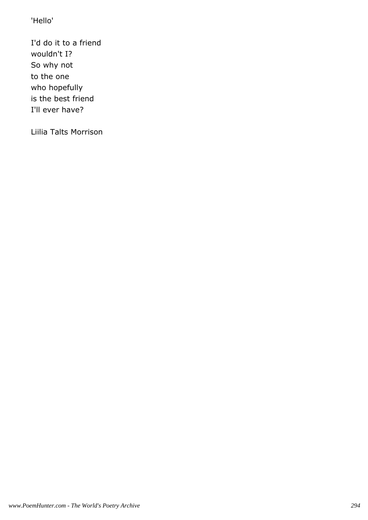'Hello'

I'd do it to a friend wouldn't I? So why not to the one who hopefully is the best friend I'll ever have?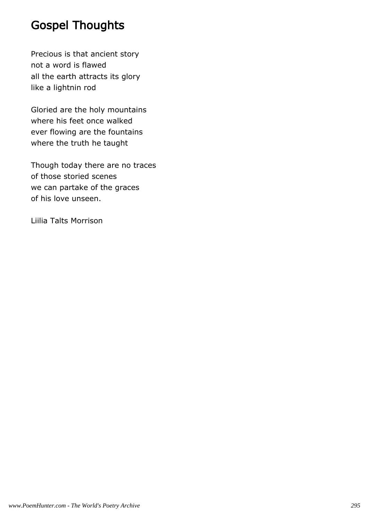# Gospel Thoughts

Precious is that ancient story not a word is flawed all the earth attracts its glory like a lightnin rod

Gloried are the holy mountains where his feet once walked ever flowing are the fountains where the truth he taught

Though today there are no traces of those storied scenes we can partake of the graces of his love unseen.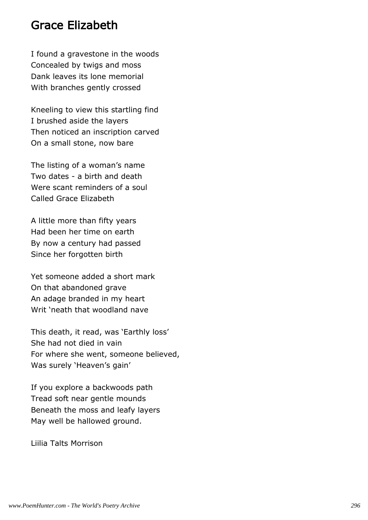#### Grace Elizabeth

I found a gravestone in the woods Concealed by twigs and moss Dank leaves its lone memorial With branches gently crossed

Kneeling to view this startling find I brushed aside the layers Then noticed an inscription carved On a small stone, now bare

The listing of a woman's name Two dates - a birth and death Were scant reminders of a soul Called Grace Elizabeth

A little more than fifty years Had been her time on earth By now a century had passed Since her forgotten birth

Yet someone added a short mark On that abandoned grave An adage branded in my heart Writ 'neath that woodland nave

This death, it read, was 'Earthly loss' She had not died in vain For where she went, someone believed, Was surely 'Heaven's gain'

If you explore a backwoods path Tread soft near gentle mounds Beneath the moss and leafy layers May well be hallowed ground.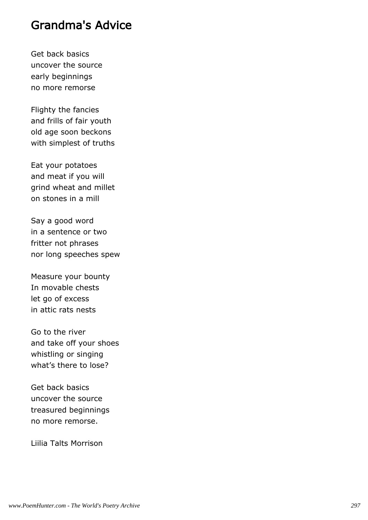### Grandma's Advice

Get back basics uncover the source early beginnings no more remorse

Flighty the fancies and frills of fair youth old age soon beckons with simplest of truths

Eat your potatoes and meat if you will grind wheat and millet on stones in a mill

Say a good word in a sentence or two fritter not phrases nor long speeches spew

Measure your bounty In movable chests let go of excess in attic rats nests

Go to the river and take off your shoes whistling or singing what's there to lose?

Get back basics uncover the source treasured beginnings no more remorse.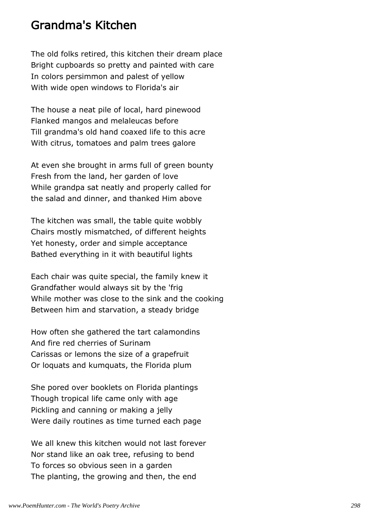### Grandma's Kitchen

The old folks retired, this kitchen their dream place Bright cupboards so pretty and painted with care In colors persimmon and palest of yellow With wide open windows to Florida's air

The house a neat pile of local, hard pinewood Flanked mangos and melaleucas before Till grandma's old hand coaxed life to this acre With citrus, tomatoes and palm trees galore

At even she brought in arms full of green bounty Fresh from the land, her garden of love While grandpa sat neatly and properly called for the salad and dinner, and thanked Him above

The kitchen was small, the table quite wobbly Chairs mostly mismatched, of different heights Yet honesty, order and simple acceptance Bathed everything in it with beautiful lights

Each chair was quite special, the family knew it Grandfather would always sit by the 'frig While mother was close to the sink and the cooking Between him and starvation, a steady bridge

How often she gathered the tart calamondins And fire red cherries of Surinam Carissas or lemons the size of a grapefruit Or loquats and kumquats, the Florida plum

She pored over booklets on Florida plantings Though tropical life came only with age Pickling and canning or making a jelly Were daily routines as time turned each page

We all knew this kitchen would not last forever Nor stand like an oak tree, refusing to bend To forces so obvious seen in a garden The planting, the growing and then, the end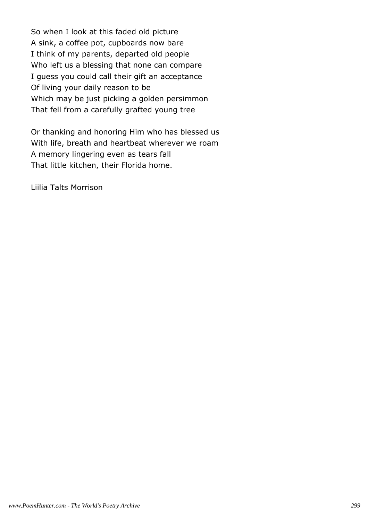So when I look at this faded old picture A sink, a coffee pot, cupboards now bare I think of my parents, departed old people Who left us a blessing that none can compare I guess you could call their gift an acceptance Of living your daily reason to be Which may be just picking a golden persimmon That fell from a carefully grafted young tree

Or thanking and honoring Him who has blessed us With life, breath and heartbeat wherever we roam A memory lingering even as tears fall That little kitchen, their Florida home.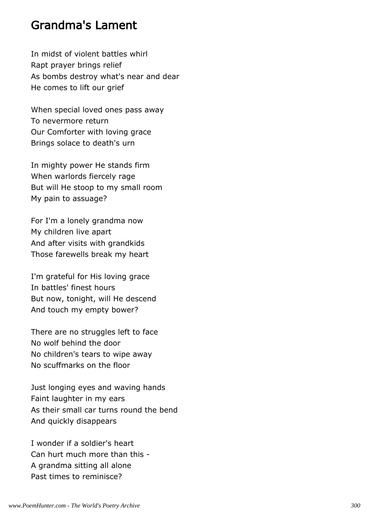### Grandma's Lament

In midst of violent battles whirl Rapt prayer brings relief As bombs destroy what's near and dear He comes to lift our grief

When special loved ones pass away To nevermore return Our Comforter with loving grace Brings solace to death's urn

In mighty power He stands firm When warlords fiercely rage But will He stoop to my small room My pain to assuage?

For I'm a lonely grandma now My children live apart And after visits with grandkids Those farewells break my heart

I'm grateful for His loving grace In battles' finest hours But now, tonight, will He descend And touch my empty bower?

There are no struggles left to face No wolf behind the door No children's tears to wipe away No scuffmarks on the floor

Just longing eyes and waving hands Faint laughter in my ears As their small car turns round the bend And quickly disappears

I wonder if a soldier's heart Can hurt much more than this - A grandma sitting all alone Past times to reminisce?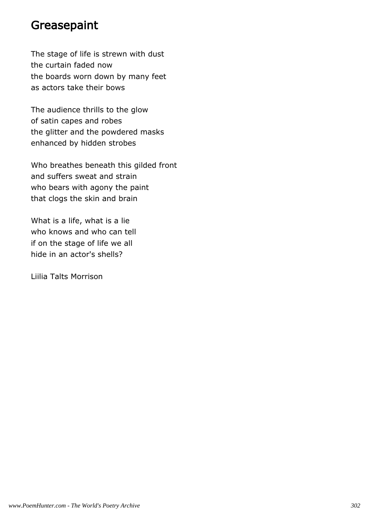### **Greasepaint**

The stage of life is strewn with dust the curtain faded now the boards worn down by many feet as actors take their bows

The audience thrills to the glow of satin capes and robes the glitter and the powdered masks enhanced by hidden strobes

Who breathes beneath this gilded front and suffers sweat and strain who bears with agony the paint that clogs the skin and brain

What is a life, what is a lie who knows and who can tell if on the stage of life we all hide in an actor's shells?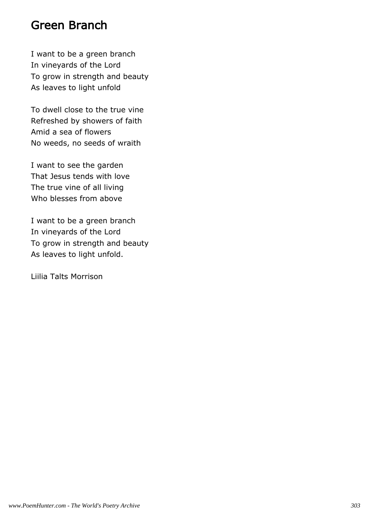### Green Branch

I want to be a green branch In vineyards of the Lord To grow in strength and beauty As leaves to light unfold

To dwell close to the true vine Refreshed by showers of faith Amid a sea of flowers No weeds, no seeds of wraith

I want to see the garden That Jesus tends with love The true vine of all living Who blesses from above

I want to be a green branch In vineyards of the Lord To grow in strength and beauty As leaves to light unfold.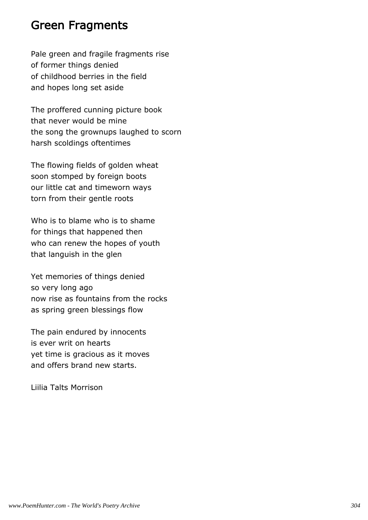#### Green Fragments

Pale green and fragile fragments rise of former things denied of childhood berries in the field and hopes long set aside

The proffered cunning picture book that never would be mine the song the grownups laughed to scorn harsh scoldings oftentimes

The flowing fields of golden wheat soon stomped by foreign boots our little cat and timeworn ways torn from their gentle roots

Who is to blame who is to shame for things that happened then who can renew the hopes of youth that languish in the glen

Yet memories of things denied so very long ago now rise as fountains from the rocks as spring green blessings flow

The pain endured by innocents is ever writ on hearts yet time is gracious as it moves and offers brand new starts.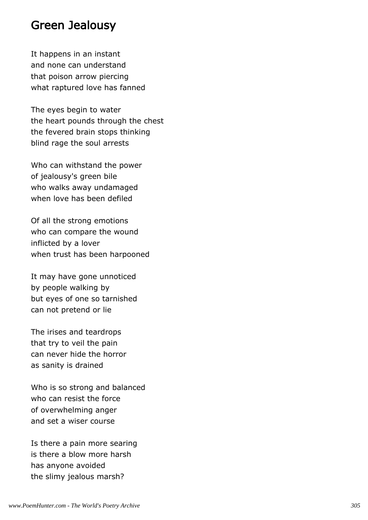#### Green Jealousy

It happens in an instant and none can understand that poison arrow piercing what raptured love has fanned

The eyes begin to water the heart pounds through the chest the fevered brain stops thinking blind rage the soul arrests

Who can withstand the power of jealousy's green bile who walks away undamaged when love has been defiled

Of all the strong emotions who can compare the wound inflicted by a lover when trust has been harpooned

It may have gone unnoticed by people walking by but eyes of one so tarnished can not pretend or lie

The irises and teardrops that try to veil the pain can never hide the horror as sanity is drained

Who is so strong and balanced who can resist the force of overwhelming anger and set a wiser course

Is there a pain more searing is there a blow more harsh has anyone avoided the slimy jealous marsh?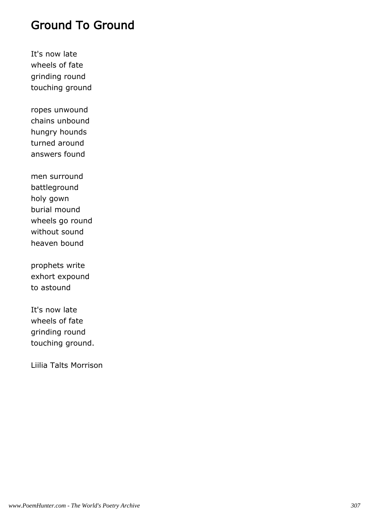### Ground To Ground

It's now late wheels of fate grinding round touching ground

ropes unwound chains unbound hungry hounds turned around answers found

men surround battleground holy gown burial mound wheels go round without sound heaven bound

prophets write exhort expound to astound

It's now late wheels of fate grinding round touching ground.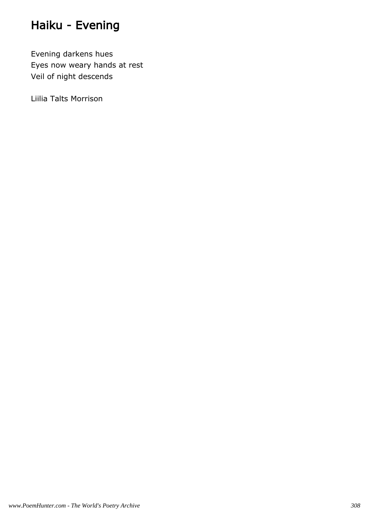# Haiku - Evening

Evening darkens hues Eyes now weary hands at rest Veil of night descends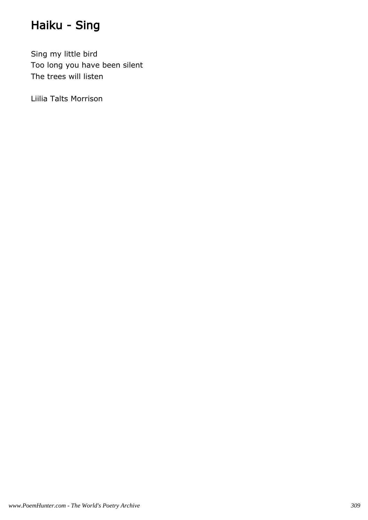# Haiku - Sing

Sing my little bird Too long you have been silent The trees will listen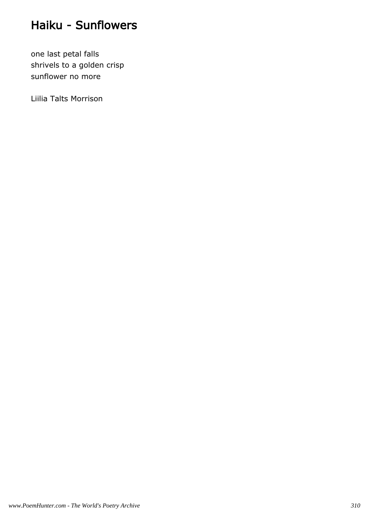# Haiku - Sunflowers

one last petal falls shrivels to a golden crisp sunflower no more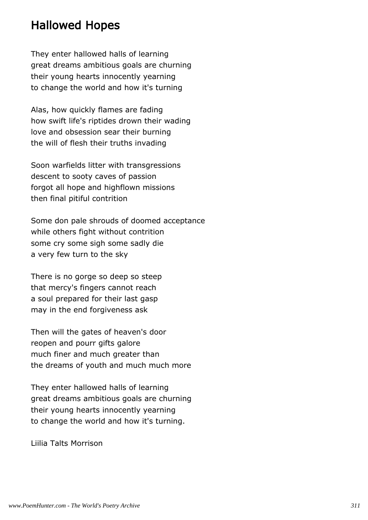### Hallowed Hopes

They enter hallowed halls of learning great dreams ambitious goals are churning their young hearts innocently yearning to change the world and how it's turning

Alas, how quickly flames are fading how swift life's riptides drown their wading love and obsession sear their burning the will of flesh their truths invading

Soon warfields litter with transgressions descent to sooty caves of passion forgot all hope and highflown missions then final pitiful contrition

Some don pale shrouds of doomed acceptance while others fight without contrition some cry some sigh some sadly die a very few turn to the sky

There is no gorge so deep so steep that mercy's fingers cannot reach a soul prepared for their last gasp may in the end forgiveness ask

Then will the gates of heaven's door reopen and pourr gifts galore much finer and much greater than the dreams of youth and much much more

They enter hallowed halls of learning great dreams ambitious goals are churning their young hearts innocently yearning to change the world and how it's turning.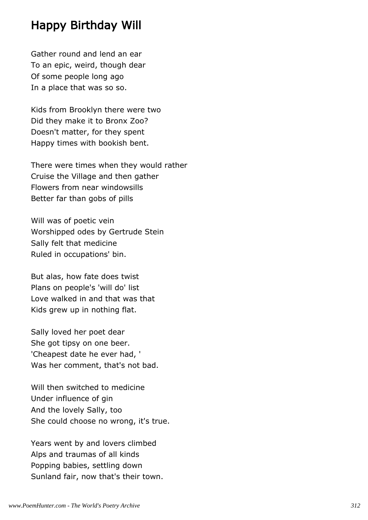### Happy Birthday Will

Gather round and lend an ear To an epic, weird, though dear Of some people long ago In a place that was so so.

Kids from Brooklyn there were two Did they make it to Bronx Zoo? Doesn't matter, for they spent Happy times with bookish bent.

There were times when they would rather Cruise the Village and then gather Flowers from near windowsills Better far than gobs of pills

Will was of poetic vein Worshipped odes by Gertrude Stein Sally felt that medicine Ruled in occupations' bin.

But alas, how fate does twist Plans on people's 'will do' list Love walked in and that was that Kids grew up in nothing flat.

Sally loved her poet dear She got tipsy on one beer. 'Cheapest date he ever had, ' Was her comment, that's not bad.

Will then switched to medicine Under influence of gin And the lovely Sally, too She could choose no wrong, it's true.

Years went by and lovers climbed Alps and traumas of all kinds Popping babies, settling down Sunland fair, now that's their town.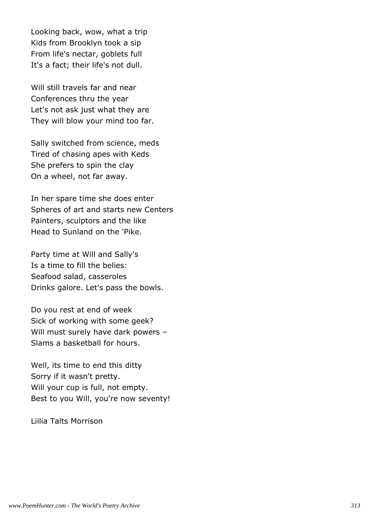Looking back, wow, what a trip Kids from Brooklyn took a sip From life's nectar, goblets full It's a fact; their life's not dull.

Will still travels far and near Conferences thru the year Let's not ask just what they are They will blow your mind too far.

Sally switched from science, meds Tired of chasing apes with Keds She prefers to spin the clay On a wheel, not far away.

In her spare time she does enter Spheres of art and starts new Centers Painters, sculptors and the like Head to Sunland on the 'Pike.

Party time at Will and Sally's Is a time to fill the belies: Seafood salad, casseroles Drinks galore. Let's pass the bowls.

Do you rest at end of week Sick of working with some geek? Will must surely have dark powers -Slams a basketball for hours.

Well, its time to end this ditty Sorry if it wasn't pretty. Will your cup is full, not empty. Best to you Will, you're now seventy!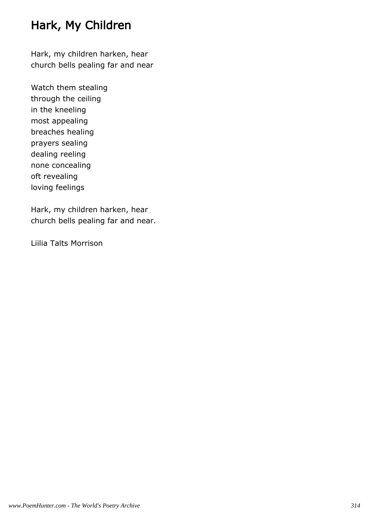# Hark, My Children

Hark, my children harken, hear church bells pealing far and near

Watch them stealing through the ceiling in the kneeling most appealing breaches healing prayers sealing dealing reeling none concealing oft revealing loving feelings

Hark, my children harken, hear church bells pealing far and near.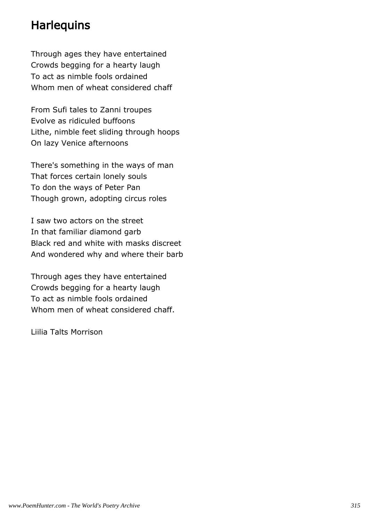## **Harlequins**

Through ages they have entertained Crowds begging for a hearty laugh To act as nimble fools ordained Whom men of wheat considered chaff

From Sufi tales to Zanni troupes Evolve as ridiculed buffoons Lithe, nimble feet sliding through hoops On lazy Venice afternoons

There's something in the ways of man That forces certain lonely souls To don the ways of Peter Pan Though grown, adopting circus roles

I saw two actors on the street In that familiar diamond garb Black red and white with masks discreet And wondered why and where their barb

Through ages they have entertained Crowds begging for a hearty laugh To act as nimble fools ordained Whom men of wheat considered chaff.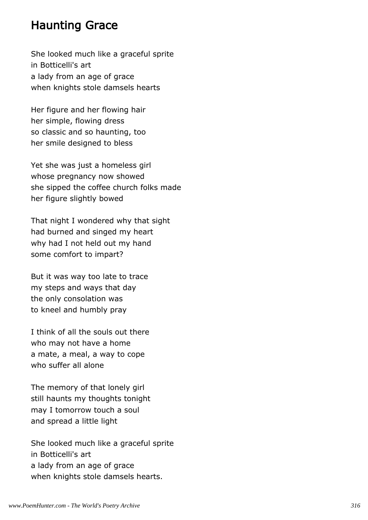### Haunting Grace

She looked much like a graceful sprite in Botticelli's art a lady from an age of grace when knights stole damsels hearts

Her figure and her flowing hair her simple, flowing dress so classic and so haunting, too her smile designed to bless

Yet she was just a homeless girl whose pregnancy now showed she sipped the coffee church folks made her figure slightly bowed

That night I wondered why that sight had burned and singed my heart why had I not held out my hand some comfort to impart?

But it was way too late to trace my steps and ways that day the only consolation was to kneel and humbly pray

I think of all the souls out there who may not have a home a mate, a meal, a way to cope who suffer all alone

The memory of that lonely girl still haunts my thoughts tonight may I tomorrow touch a soul and spread a little light

She looked much like a graceful sprite in Botticelli's art a lady from an age of grace when knights stole damsels hearts.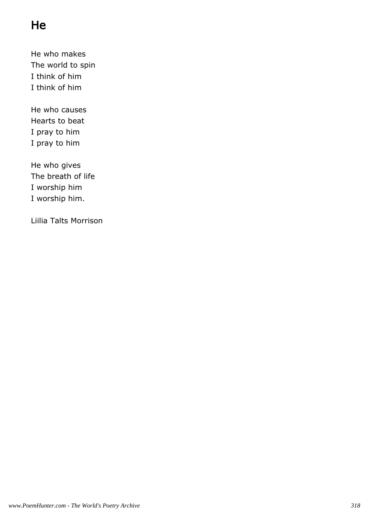# **He**

He who makes The world to spin I think of him I think of him

He who causes Hearts to beat I pray to him I pray to him

He who gives The breath of life I worship him I worship him.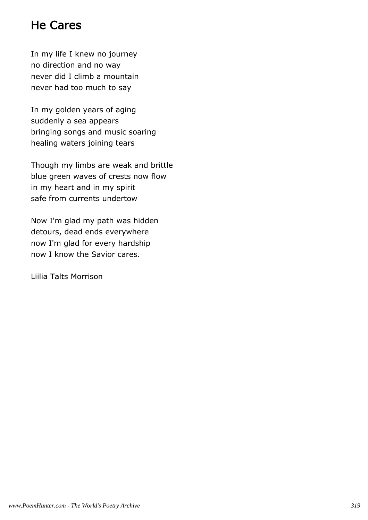# He Cares

In my life I knew no journey no direction and no way never did I climb a mountain never had too much to say

In my golden years of aging suddenly a sea appears bringing songs and music soaring healing waters joining tears

Though my limbs are weak and brittle blue green waves of crests now flow in my heart and in my spirit safe from currents undertow

Now I'm glad my path was hidden detours, dead ends everywhere now I'm glad for every hardship now I know the Savior cares.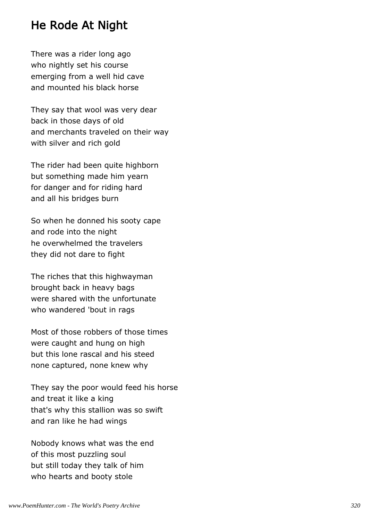### He Rode At Night

There was a rider long ago who nightly set his course emerging from a well hid cave and mounted his black horse

They say that wool was very dear back in those days of old and merchants traveled on their way with silver and rich gold

The rider had been quite highborn but something made him yearn for danger and for riding hard and all his bridges burn

So when he donned his sooty cape and rode into the night he overwhelmed the travelers they did not dare to fight

The riches that this highwayman brought back in heavy bags were shared with the unfortunate who wandered 'bout in rags

Most of those robbers of those times were caught and hung on high but this lone rascal and his steed none captured, none knew why

They say the poor would feed his horse and treat it like a king that's why this stallion was so swift and ran like he had wings

Nobody knows what was the end of this most puzzling soul but still today they talk of him who hearts and booty stole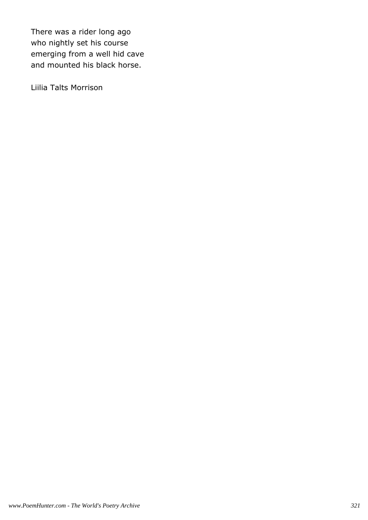There was a rider long ago who nightly set his course emerging from a well hid cave and mounted his black horse.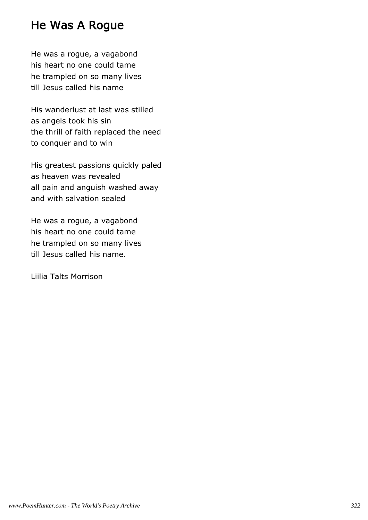### He Was A Rogue

He was a rogue, a vagabond his heart no one could tame he trampled on so many lives till Jesus called his name

His wanderlust at last was stilled as angels took his sin the thrill of faith replaced the need to conquer and to win

His greatest passions quickly paled as heaven was revealed all pain and anguish washed away and with salvation sealed

He was a rogue, a vagabond his heart no one could tame he trampled on so many lives till Jesus called his name.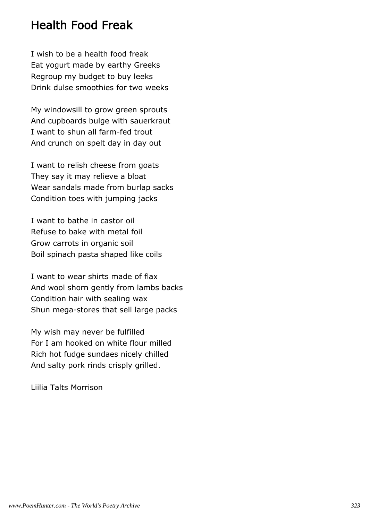### Health Food Freak

I wish to be a health food freak Eat yogurt made by earthy Greeks Regroup my budget to buy leeks Drink dulse smoothies for two weeks

My windowsill to grow green sprouts And cupboards bulge with sauerkraut I want to shun all farm-fed trout And crunch on spelt day in day out

I want to relish cheese from goats They say it may relieve a bloat Wear sandals made from burlap sacks Condition toes with jumping jacks

I want to bathe in castor oil Refuse to bake with metal foil Grow carrots in organic soil Boil spinach pasta shaped like coils

I want to wear shirts made of flax And wool shorn gently from lambs backs Condition hair with sealing wax Shun mega-stores that sell large packs

My wish may never be fulfilled For I am hooked on white flour milled Rich hot fudge sundaes nicely chilled And salty pork rinds crisply grilled.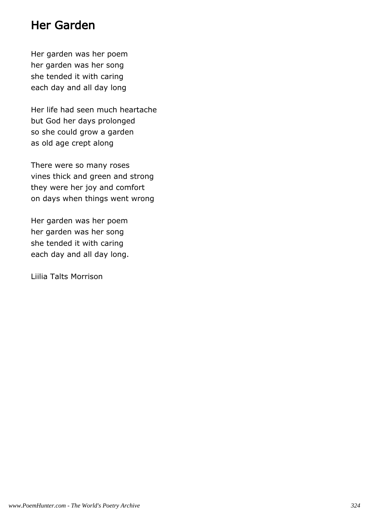#### Her Garden

Her garden was her poem her garden was her song she tended it with caring each day and all day long

Her life had seen much heartache but God her days prolonged so she could grow a garden as old age crept along

There were so many roses vines thick and green and strong they were her joy and comfort on days when things went wrong

Her garden was her poem her garden was her song she tended it with caring each day and all day long.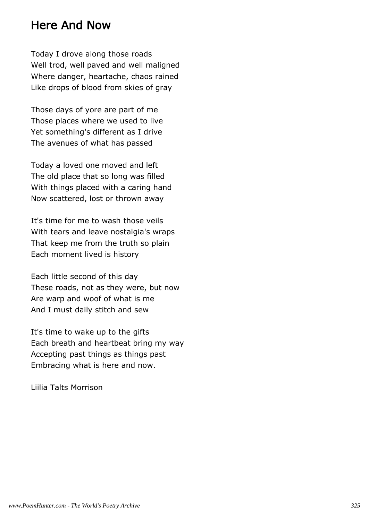#### Here And Now

Today I drove along those roads Well trod, well paved and well maligned Where danger, heartache, chaos rained Like drops of blood from skies of gray

Those days of yore are part of me Those places where we used to live Yet something's different as I drive The avenues of what has passed

Today a loved one moved and left The old place that so long was filled With things placed with a caring hand Now scattered, lost or thrown away

It's time for me to wash those veils With tears and leave nostalgia's wraps That keep me from the truth so plain Each moment lived is history

Each little second of this day These roads, not as they were, but now Are warp and woof of what is me And I must daily stitch and sew

It's time to wake up to the gifts Each breath and heartbeat bring my way Accepting past things as things past Embracing what is here and now.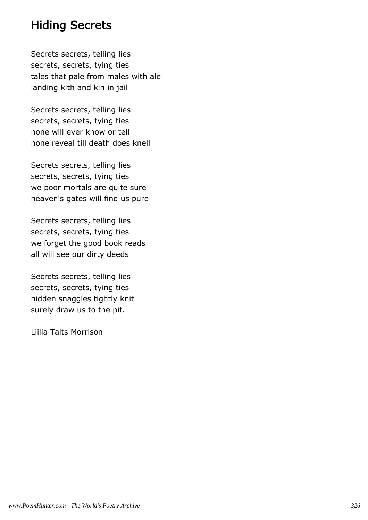#### Hiding Secrets

Secrets secrets, telling lies secrets, secrets, tying ties tales that pale from males with ale landing kith and kin in jail

Secrets secrets, telling lies secrets, secrets, tying ties none will ever know or tell none reveal till death does knell

Secrets secrets, telling lies secrets, secrets, tying ties we poor mortals are quite sure heaven's gates will find us pure

Secrets secrets, telling lies secrets, secrets, tying ties we forget the good book reads all will see our dirty deeds

Secrets secrets, telling lies secrets, secrets, tying ties hidden snaggles tightly knit surely draw us to the pit.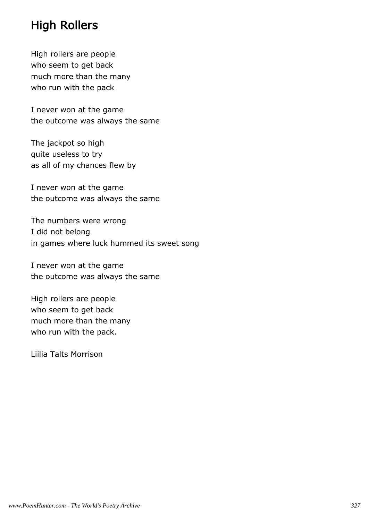## High Rollers

High rollers are people who seem to get back much more than the many who run with the pack

I never won at the game the outcome was always the same

The jackpot so high quite useless to try as all of my chances flew by

I never won at the game the outcome was always the same

The numbers were wrong I did not belong in games where luck hummed its sweet song

I never won at the game the outcome was always the same

High rollers are people who seem to get back much more than the many who run with the pack.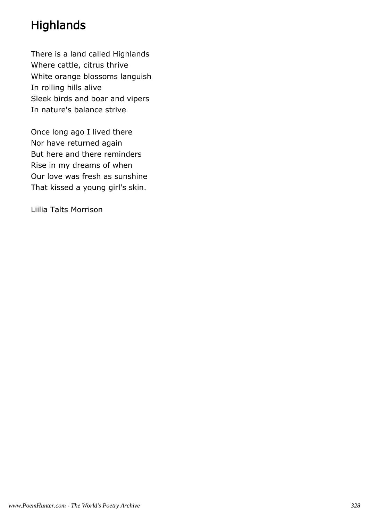# **Highlands**

There is a land called Highlands Where cattle, citrus thrive White orange blossoms languish In rolling hills alive Sleek birds and boar and vipers In nature's balance strive

Once long ago I lived there Nor have returned again But here and there reminders Rise in my dreams of when Our love was fresh as sunshine That kissed a young girl's skin.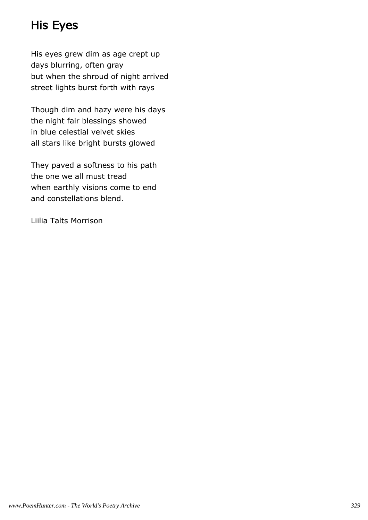# His Eyes

His eyes grew dim as age crept up days blurring, often gray but when the shroud of night arrived street lights burst forth with rays

Though dim and hazy were his days the night fair blessings showed in blue celestial velvet skies all stars like bright bursts glowed

They paved a softness to his path the one we all must tread when earthly visions come to end and constellations blend.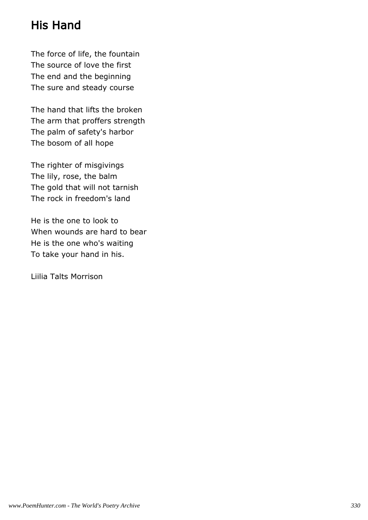# His Hand

The force of life, the fountain The source of love the first The end and the beginning The sure and steady course

The hand that lifts the broken The arm that proffers strength The palm of safety's harbor The bosom of all hope

The righter of misgivings The lily, rose, the balm The gold that will not tarnish The rock in freedom's land

He is the one to look to When wounds are hard to bear He is the one who's waiting To take your hand in his.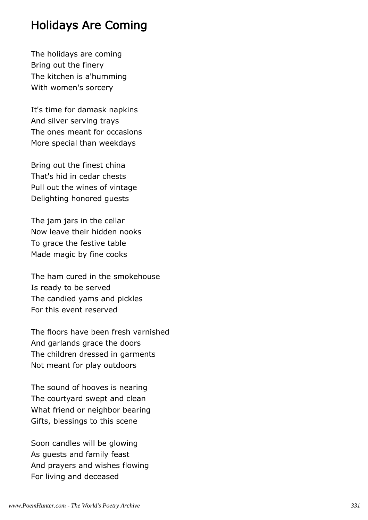#### Holidays Are Coming

The holidays are coming Bring out the finery The kitchen is a'humming With women's sorcery

It's time for damask napkins And silver serving trays The ones meant for occasions More special than weekdays

Bring out the finest china That's hid in cedar chests Pull out the wines of vintage Delighting honored guests

The jam jars in the cellar Now leave their hidden nooks To grace the festive table Made magic by fine cooks

The ham cured in the smokehouse Is ready to be served The candied yams and pickles For this event reserved

The floors have been fresh varnished And garlands grace the doors The children dressed in garments Not meant for play outdoors

The sound of hooves is nearing The courtyard swept and clean What friend or neighbor bearing Gifts, blessings to this scene

Soon candles will be glowing As guests and family feast And prayers and wishes flowing For living and deceased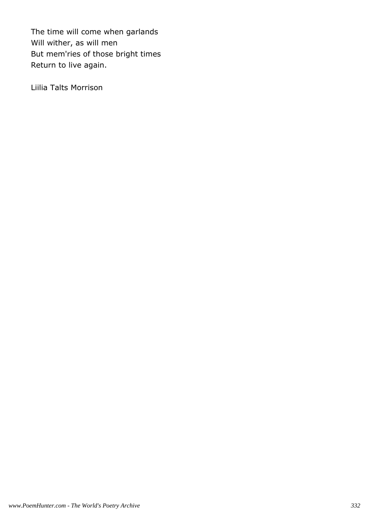The time will come when garlands Will wither, as will men But mem'ries of those bright times Return to live again.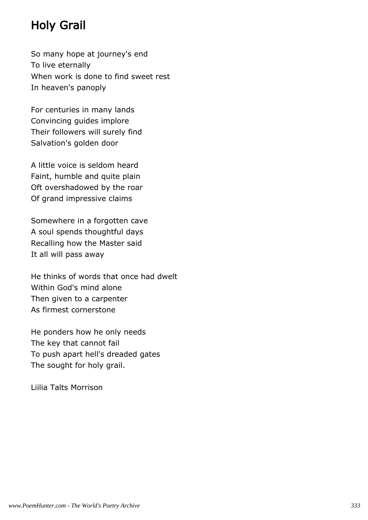## Holy Grail

So many hope at journey's end To live eternally When work is done to find sweet rest In heaven's panoply

For centuries in many lands Convincing guides implore Their followers will surely find Salvation's golden door

A little voice is seldom heard Faint, humble and quite plain Oft overshadowed by the roar Of grand impressive claims

Somewhere in a forgotten cave A soul spends thoughtful days Recalling how the Master said It all will pass away

He thinks of words that once had dwelt Within God's mind alone Then given to a carpenter As firmest cornerstone

He ponders how he only needs The key that cannot fail To push apart hell's dreaded gates The sought for holy grail.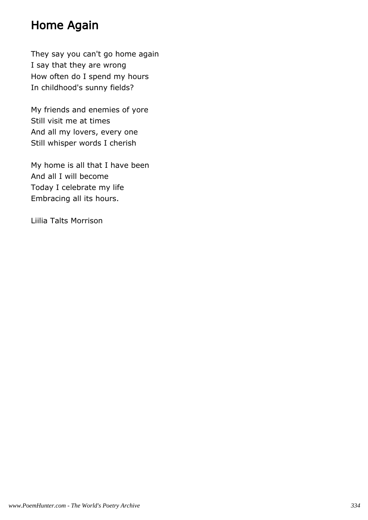## Home Again

They say you can't go home again I say that they are wrong How often do I spend my hours In childhood's sunny fields?

My friends and enemies of yore Still visit me at times And all my lovers, every one Still whisper words I cherish

My home is all that I have been And all I will become Today I celebrate my life Embracing all its hours.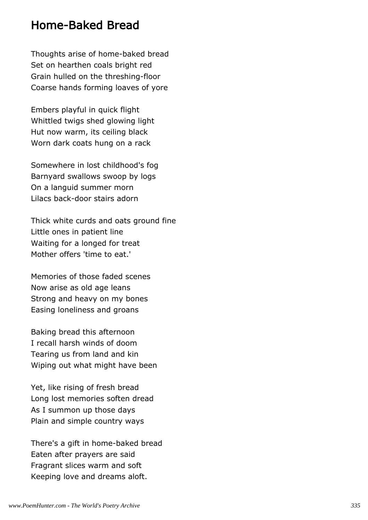#### Home-Baked Bread

Thoughts arise of home-baked bread Set on hearthen coals bright red Grain hulled on the threshing-floor Coarse hands forming loaves of yore

Embers playful in quick flight Whittled twigs shed glowing light Hut now warm, its ceiling black Worn dark coats hung on a rack

Somewhere in lost childhood's fog Barnyard swallows swoop by logs On a languid summer morn Lilacs back-door stairs adorn

Thick white curds and oats ground fine Little ones in patient line Waiting for a longed for treat Mother offers 'time to eat.'

Memories of those faded scenes Now arise as old age leans Strong and heavy on my bones Easing loneliness and groans

Baking bread this afternoon I recall harsh winds of doom Tearing us from land and kin Wiping out what might have been

Yet, like rising of fresh bread Long lost memories soften dread As I summon up those days Plain and simple country ways

There's a gift in home-baked bread Eaten after prayers are said Fragrant slices warm and soft Keeping love and dreams aloft.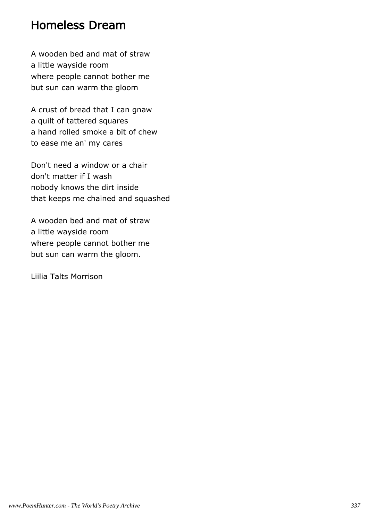#### Homeless Dream

A wooden bed and mat of straw a little wayside room where people cannot bother me but sun can warm the gloom

A crust of bread that I can gnaw a quilt of tattered squares a hand rolled smoke a bit of chew to ease me an' my cares

Don't need a window or a chair don't matter if I wash nobody knows the dirt inside that keeps me chained and squashed

A wooden bed and mat of straw a little wayside room where people cannot bother me but sun can warm the gloom.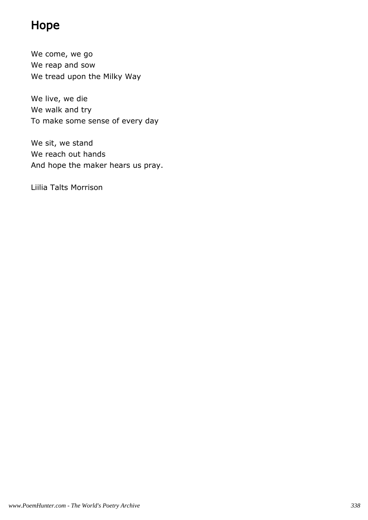# Hope

We come, we go We reap and sow We tread upon the Milky Way

We live, we die We walk and try To make some sense of every day

We sit, we stand We reach out hands And hope the maker hears us pray.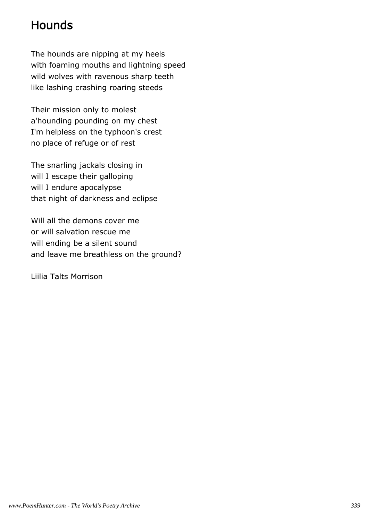# Hounds

The hounds are nipping at my heels with foaming mouths and lightning speed wild wolves with ravenous sharp teeth like lashing crashing roaring steeds

Their mission only to molest a'hounding pounding on my chest I'm helpless on the typhoon's crest no place of refuge or of rest

The snarling jackals closing in will I escape their galloping will I endure apocalypse that night of darkness and eclipse

Will all the demons cover me or will salvation rescue me will ending be a silent sound and leave me breathless on the ground?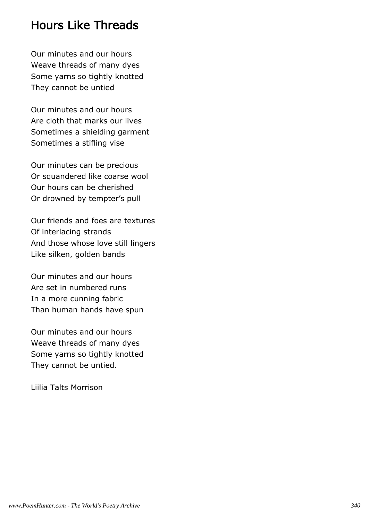#### Hours Like Threads

Our minutes and our hours Weave threads of many dyes Some yarns so tightly knotted They cannot be untied

Our minutes and our hours Are cloth that marks our lives Sometimes a shielding garment Sometimes a stifling vise

Our minutes can be precious Or squandered like coarse wool Our hours can be cherished Or drowned by tempter's pull

Our friends and foes are textures Of interlacing strands And those whose love still lingers Like silken, golden bands

Our minutes and our hours Are set in numbered runs In a more cunning fabric Than human hands have spun

Our minutes and our hours Weave threads of many dyes Some yarns so tightly knotted They cannot be untied.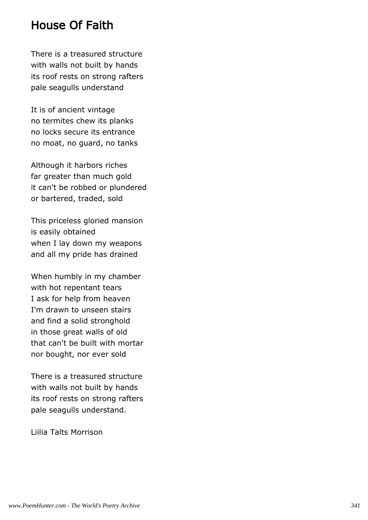#### House Of Faith

There is a treasured structure with walls not built by hands its roof rests on strong rafters pale seagulls understand

It is of ancient vintage no termites chew its planks no locks secure its entrance no moat, no guard, no tanks

Although it harbors riches far greater than much gold it can't be robbed or plundered or bartered, traded, sold

This priceless gloried mansion is easily obtained when I lay down my weapons and all my pride has drained

When humbly in my chamber with hot repentant tears I ask for help from heaven I'm drawn to unseen stairs and find a solid stronghold in those great walls of old that can't be built with mortar nor bought, nor ever sold

There is a treasured structure with walls not built by hands its roof rests on strong rafters pale seagulls understand.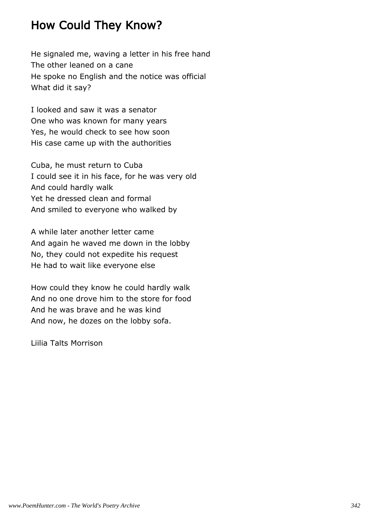### How Could They Know?

He signaled me, waving a letter in his free hand The other leaned on a cane He spoke no English and the notice was official What did it say?

I looked and saw it was a senator One who was known for many years Yes, he would check to see how soon His case came up with the authorities

Cuba, he must return to Cuba I could see it in his face, for he was very old And could hardly walk Yet he dressed clean and formal And smiled to everyone who walked by

A while later another letter came And again he waved me down in the lobby No, they could not expedite his request He had to wait like everyone else

How could they know he could hardly walk And no one drove him to the store for food And he was brave and he was kind And now, he dozes on the lobby sofa.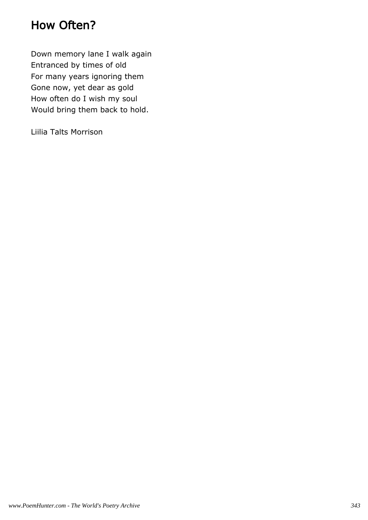### How Often?

Down memory lane I walk again Entranced by times of old For many years ignoring them Gone now, yet dear as gold How often do I wish my soul Would bring them back to hold.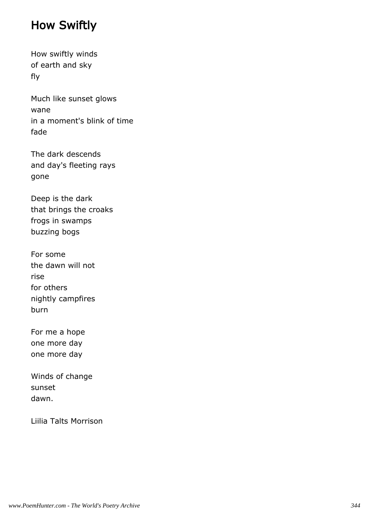### How Swiftly

How swiftly winds of earth and sky fly

Much like sunset glows wane in a moment's blink of time fade

The dark descends and day's fleeting rays gone

Deep is the dark that brings the croaks frogs in swamps buzzing bogs

For some the dawn will not rise for others nightly campfires burn

For me a hope one more day one more day

Winds of change sunset dawn.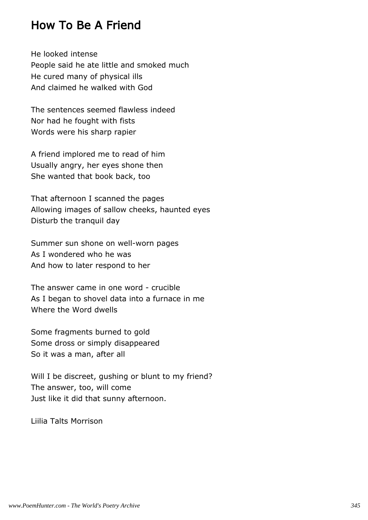#### How To Be A Friend

He looked intense People said he ate little and smoked much He cured many of physical ills And claimed he walked with God

The sentences seemed flawless indeed Nor had he fought with fists Words were his sharp rapier

A friend implored me to read of him Usually angry, her eyes shone then She wanted that book back, too

That afternoon I scanned the pages Allowing images of sallow cheeks, haunted eyes Disturb the tranquil day

Summer sun shone on well-worn pages As I wondered who he was And how to later respond to her

The answer came in one word - crucible As I began to shovel data into a furnace in me Where the Word dwells

Some fragments burned to gold Some dross or simply disappeared So it was a man, after all

Will I be discreet, gushing or blunt to my friend? The answer, too, will come Just like it did that sunny afternoon.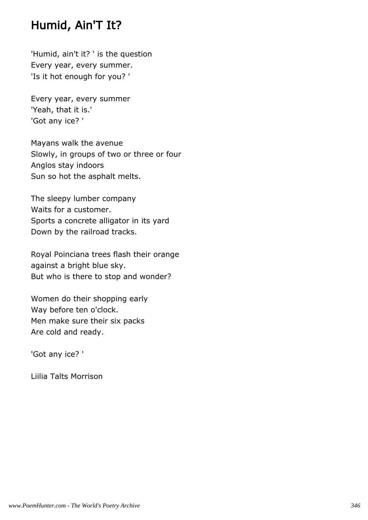### Humid, Ain'T It?

'Humid, ain't it? ' is the question Every year, every summer. 'Is it hot enough for you? '

Every year, every summer 'Yeah, that it is.' 'Got any ice? '

Mayans walk the avenue Slowly, in groups of two or three or four Anglos stay indoors Sun so hot the asphalt melts.

The sleepy lumber company Waits for a customer. Sports a concrete alligator in its yard Down by the railroad tracks.

Royal Poinciana trees flash their orange against a bright blue sky. But who is there to stop and wonder?

Women do their shopping early Way before ten o'clock. Men make sure their six packs Are cold and ready.

'Got any ice? '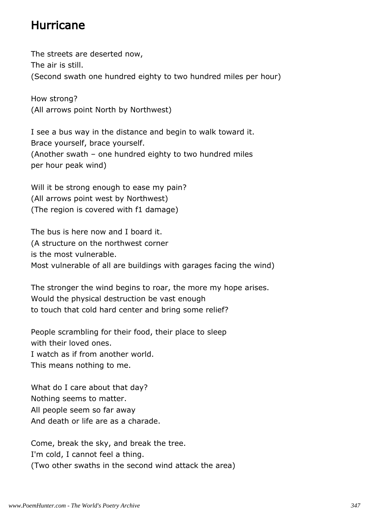### Hurricane

The streets are deserted now, The air is still. (Second swath one hundred eighty to two hundred miles per hour)

How strong? (All arrows point North by Northwest)

I see a bus way in the distance and begin to walk toward it. Brace yourself, brace yourself. (Another swath – one hundred eighty to two hundred miles per hour peak wind)

Will it be strong enough to ease my pain? (All arrows point west by Northwest) (The region is covered with f1 damage)

The bus is here now and I board it. (A structure on the northwest corner is the most vulnerable. Most vulnerable of all are buildings with garages facing the wind)

The stronger the wind begins to roar, the more my hope arises. Would the physical destruction be vast enough to touch that cold hard center and bring some relief?

People scrambling for their food, their place to sleep with their loved ones. I watch as if from another world. This means nothing to me.

What do I care about that day? Nothing seems to matter. All people seem so far away And death or life are as a charade.

Come, break the sky, and break the tree. I'm cold, I cannot feel a thing. (Two other swaths in the second wind attack the area)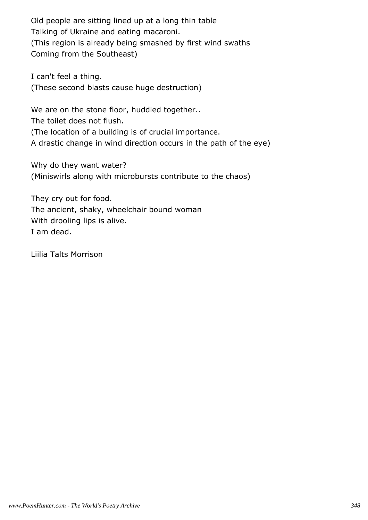Old people are sitting lined up at a long thin table Talking of Ukraine and eating macaroni. (This region is already being smashed by first wind swaths Coming from the Southeast)

I can't feel a thing. (These second blasts cause huge destruction)

We are on the stone floor, huddled together.. The toilet does not flush. (The location of a building is of crucial importance. A drastic change in wind direction occurs in the path of the eye)

Why do they want water? (Miniswirls along with microbursts contribute to the chaos)

They cry out for food. The ancient, shaky, wheelchair bound woman With drooling lips is alive. I am dead.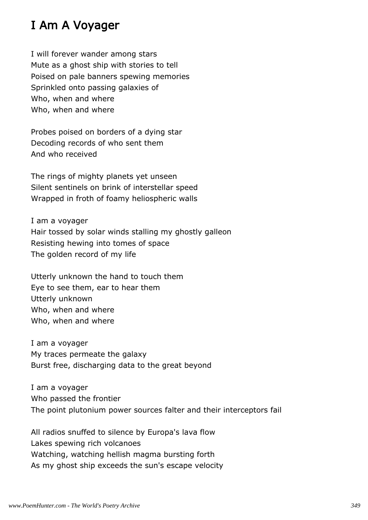## I Am A Voyager

I will forever wander among stars Mute as a ghost ship with stories to tell Poised on pale banners spewing memories Sprinkled onto passing galaxies of Who, when and where Who, when and where

Probes poised on borders of a dying star Decoding records of who sent them And who received

The rings of mighty planets yet unseen Silent sentinels on brink of interstellar speed Wrapped in froth of foamy heliospheric walls

I am a voyager Hair tossed by solar winds stalling my ghostly galleon Resisting hewing into tomes of space The golden record of my life

Utterly unknown the hand to touch them Eye to see them, ear to hear them Utterly unknown Who, when and where Who, when and where

I am a voyager My traces permeate the galaxy Burst free, discharging data to the great beyond

I am a voyager Who passed the frontier The point plutonium power sources falter and their interceptors fail

All radios snuffed to silence by Europa's lava flow Lakes spewing rich volcanoes Watching, watching hellish magma bursting forth As my ghost ship exceeds the sun's escape velocity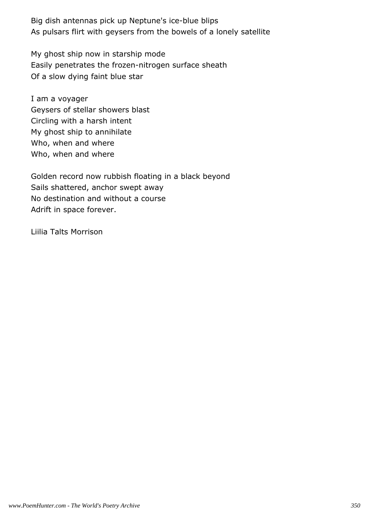Big dish antennas pick up Neptune's ice-blue blips As pulsars flirt with geysers from the bowels of a lonely satellite

My ghost ship now in starship mode Easily penetrates the frozen-nitrogen surface sheath Of a slow dying faint blue star

I am a voyager Geysers of stellar showers blast Circling with a harsh intent My ghost ship to annihilate Who, when and where Who, when and where

Golden record now rubbish floating in a black beyond Sails shattered, anchor swept away No destination and without a course Adrift in space forever.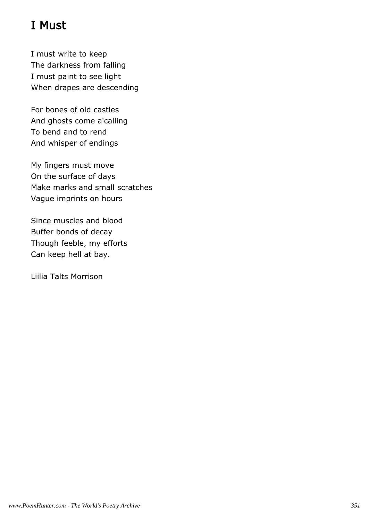# I Must

I must write to keep The darkness from falling I must paint to see light When drapes are descending

For bones of old castles And ghosts come a'calling To bend and to rend And whisper of endings

My fingers must move On the surface of days Make marks and small scratches Vague imprints on hours

Since muscles and blood Buffer bonds of decay Though feeble, my efforts Can keep hell at bay.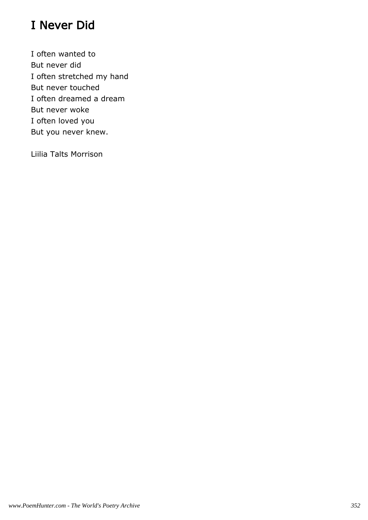# I Never Did

I often wanted to But never did I often stretched my hand But never touched I often dreamed a dream But never woke I often loved you But you never knew.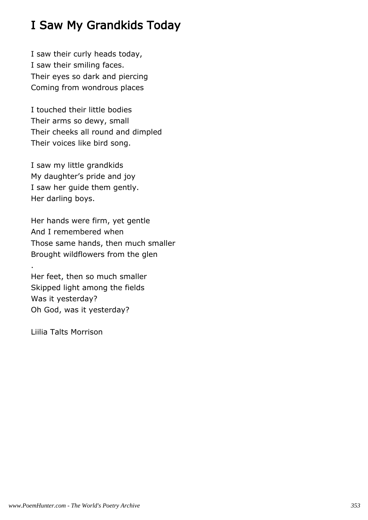# I Saw My Grandkids Today

I saw their curly heads today, I saw their smiling faces. Their eyes so dark and piercing Coming from wondrous places

I touched their little bodies Their arms so dewy, small Their cheeks all round and dimpled Their voices like bird song.

I saw my little grandkids My daughter's pride and joy I saw her guide them gently. Her darling boys.

Her hands were firm, yet gentle And I remembered when Those same hands, then much smaller Brought wildflowers from the glen

Her feet, then so much smaller Skipped light among the fields Was it yesterday? Oh God, was it yesterday?

Liilia Talts Morrison

.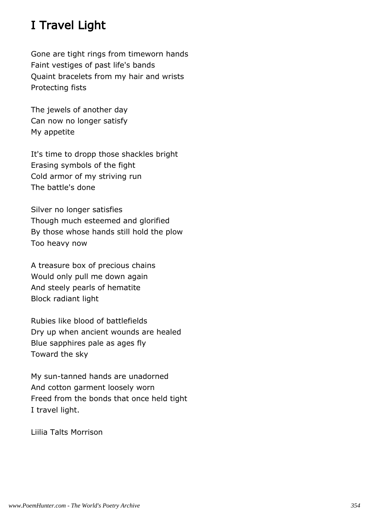# I Travel Light

Gone are tight rings from timeworn hands Faint vestiges of past life's bands Quaint bracelets from my hair and wrists Protecting fists

The jewels of another day Can now no longer satisfy My appetite

It's time to dropp those shackles bright Erasing symbols of the fight Cold armor of my striving run The battle's done

Silver no longer satisfies Though much esteemed and glorified By those whose hands still hold the plow Too heavy now

A treasure box of precious chains Would only pull me down again And steely pearls of hematite Block radiant light

Rubies like blood of battlefields Dry up when ancient wounds are healed Blue sapphires pale as ages fly Toward the sky

My sun-tanned hands are unadorned And cotton garment loosely worn Freed from the bonds that once held tight I travel light.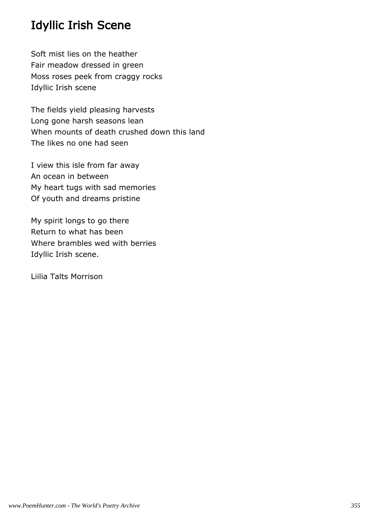## Idyllic Irish Scene

Soft mist lies on the heather Fair meadow dressed in green Moss roses peek from craggy rocks Idyllic Irish scene

The fields yield pleasing harvests Long gone harsh seasons lean When mounts of death crushed down this land The likes no one had seen

I view this isle from far away An ocean in between My heart tugs with sad memories Of youth and dreams pristine

My spirit longs to go there Return to what has been Where brambles wed with berries Idyllic Irish scene.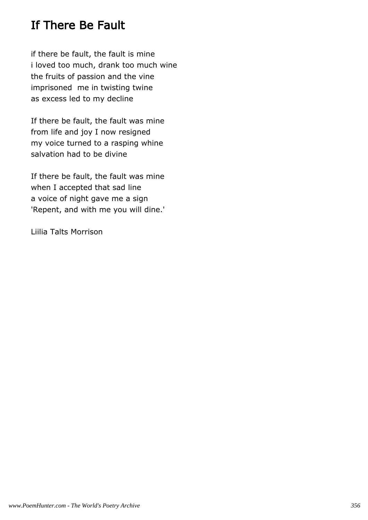## If There Be Fault

if there be fault, the fault is mine i loved too much, drank too much wine the fruits of passion and the vine imprisoned me in twisting twine as excess led to my decline

If there be fault, the fault was mine from life and joy I now resigned my voice turned to a rasping whine salvation had to be divine

If there be fault, the fault was mine when I accepted that sad line a voice of night gave me a sign 'Repent, and with me you will dine.'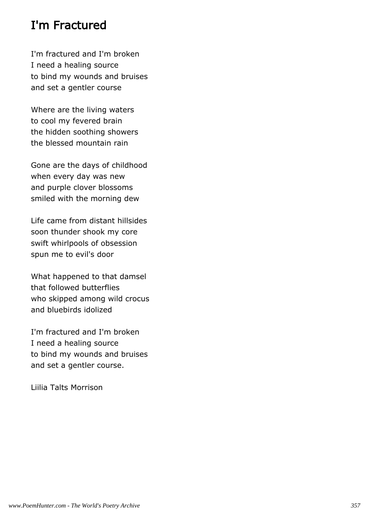## I'm Fractured

I'm fractured and I'm broken I need a healing source to bind my wounds and bruises and set a gentler course

Where are the living waters to cool my fevered brain the hidden soothing showers the blessed mountain rain

Gone are the days of childhood when every day was new and purple clover blossoms smiled with the morning dew

Life came from distant hillsides soon thunder shook my core swift whirlpools of obsession spun me to evil's door

What happened to that damsel that followed butterflies who skipped among wild crocus and bluebirds idolized

I'm fractured and I'm broken I need a healing source to bind my wounds and bruises and set a gentler course.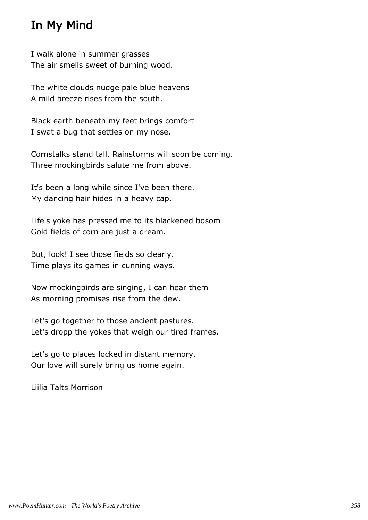## In My Mind

I walk alone in summer grasses The air smells sweet of burning wood.

The white clouds nudge pale blue heavens A mild breeze rises from the south.

Black earth beneath my feet brings comfort I swat a bug that settles on my nose.

Cornstalks stand tall. Rainstorms will soon be coming. Three mockingbirds salute me from above.

It's been a long while since I've been there. My dancing hair hides in a heavy cap.

Life's yoke has pressed me to its blackened bosom Gold fields of corn are just a dream.

But, look! I see those fields so clearly. Time plays its games in cunning ways.

Now mockingbirds are singing, I can hear them As morning promises rise from the dew.

Let's go together to those ancient pastures. Let's dropp the yokes that weigh our tired frames.

Let's go to places locked in distant memory. Our love will surely bring us home again.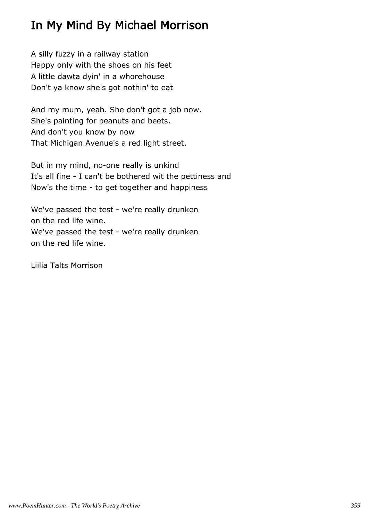# In My Mind By Michael Morrison

A silly fuzzy in a railway station Happy only with the shoes on his feet A little dawta dyin' in a whorehouse Don't ya know she's got nothin' to eat

And my mum, yeah. She don't got a job now. She's painting for peanuts and beets. And don't you know by now That Michigan Avenue's a red light street.

But in my mind, no-one really is unkind It's all fine - I can't be bothered wit the pettiness and Now's the time - to get together and happiness

We've passed the test - we're really drunken on the red life wine. We've passed the test - we're really drunken on the red life wine.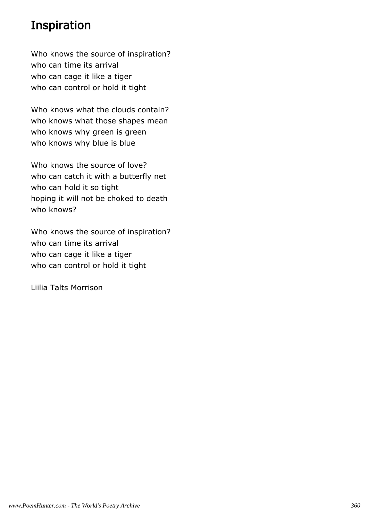## Inspiration

Who knows the source of inspiration? who can time its arrival who can cage it like a tiger who can control or hold it tight

Who knows what the clouds contain? who knows what those shapes mean who knows why green is green who knows why blue is blue

Who knows the source of love? who can catch it with a butterfly net who can hold it so tight hoping it will not be choked to death who knows?

Who knows the source of inspiration? who can time its arrival who can cage it like a tiger who can control or hold it tight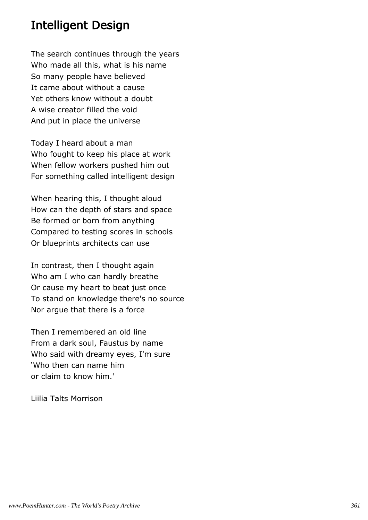#### Intelligent Design

The search continues through the years Who made all this, what is his name So many people have believed It came about without a cause Yet others know without a doubt A wise creator filled the void And put in place the universe

Today I heard about a man Who fought to keep his place at work When fellow workers pushed him out For something called intelligent design

When hearing this, I thought aloud How can the depth of stars and space Be formed or born from anything Compared to testing scores in schools Or blueprints architects can use

In contrast, then I thought again Who am I who can hardly breathe Or cause my heart to beat just once To stand on knowledge there's no source Nor argue that there is a force

Then I remembered an old line From a dark soul, Faustus by name Who said with dreamy eyes, I'm sure 'Who then can name him or claim to know him.'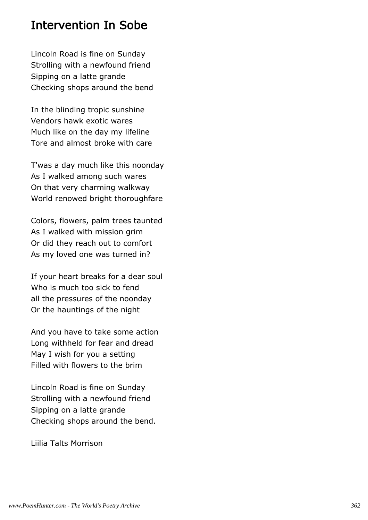#### Intervention In Sobe

Lincoln Road is fine on Sunday Strolling with a newfound friend Sipping on a latte grande Checking shops around the bend

In the blinding tropic sunshine Vendors hawk exotic wares Much like on the day my lifeline Tore and almost broke with care

T'was a day much like this noonday As I walked among such wares On that very charming walkway World renowed bright thoroughfare

Colors, flowers, palm trees taunted As I walked with mission grim Or did they reach out to comfort As my loved one was turned in?

If your heart breaks for a dear soul Who is much too sick to fend all the pressures of the noonday Or the hauntings of the night

And you have to take some action Long withheld for fear and dread May I wish for you a setting Filled with flowers to the brim

Lincoln Road is fine on Sunday Strolling with a newfound friend Sipping on a latte grande Checking shops around the bend.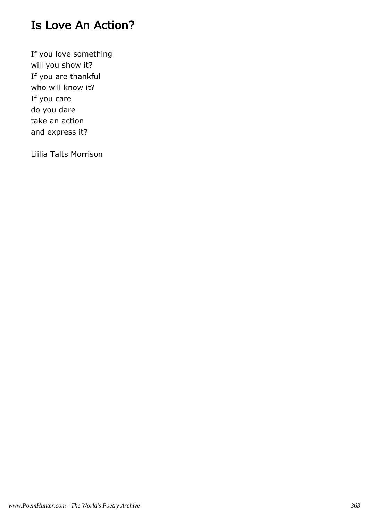## Is Love An Action?

If you love something will you show it? If you are thankful who will know it? If you care do you dare take an action and express it?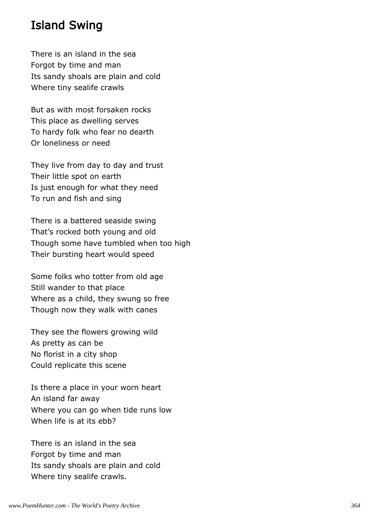#### Island Swing

There is an island in the sea Forgot by time and man Its sandy shoals are plain and cold Where tiny sealife crawls

But as with most forsaken rocks This place as dwelling serves To hardy folk who fear no dearth Or loneliness or need

They live from day to day and trust Their little spot on earth Is just enough for what they need To run and fish and sing

There is a battered seaside swing That's rocked both young and old Though some have tumbled when too high Their bursting heart would speed

Some folks who totter from old age Still wander to that place Where as a child, they swung so free Though now they walk with canes

They see the flowers growing wild As pretty as can be No florist in a city shop Could replicate this scene

Is there a place in your worn heart An island far away Where you can go when tide runs low When life is at its ebb?

There is an island in the sea Forgot by time and man Its sandy shoals are plain and cold Where tiny sealife crawls.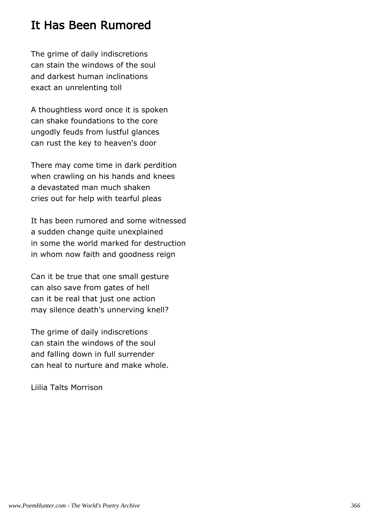## It Has Been Rumored

The grime of daily indiscretions can stain the windows of the soul and darkest human inclinations exact an unrelenting toll

A thoughtless word once it is spoken can shake foundations to the core ungodly feuds from lustful glances can rust the key to heaven's door

There may come time in dark perdition when crawling on his hands and knees a devastated man much shaken cries out for help with tearful pleas

It has been rumored and some witnessed a sudden change quite unexplained in some the world marked for destruction in whom now faith and goodness reign

Can it be true that one small gesture can also save from gates of hell can it be real that just one action may silence death's unnerving knell?

The grime of daily indiscretions can stain the windows of the soul and falling down in full surrender can heal to nurture and make whole.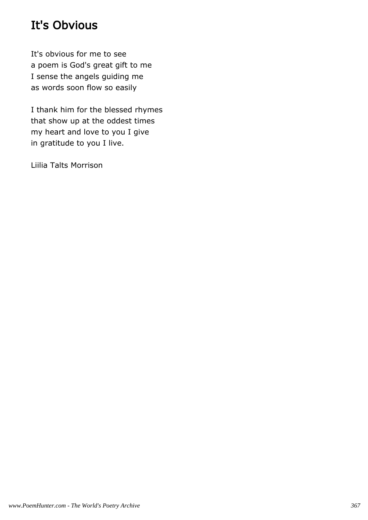# It's Obvious

It's obvious for me to see a poem is God's great gift to me I sense the angels guiding me as words soon flow so easily

I thank him for the blessed rhymes that show up at the oddest times my heart and love to you I give in gratitude to you I live.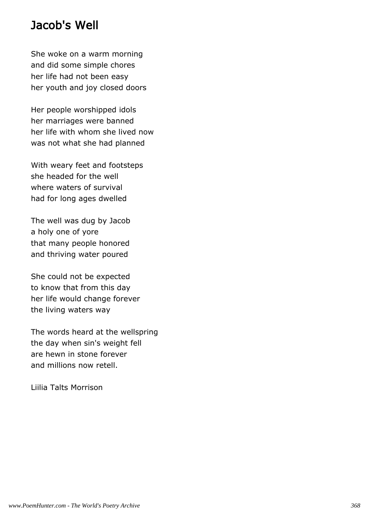### Jacob's Well

She woke on a warm morning and did some simple chores her life had not been easy her youth and joy closed doors

Her people worshipped idols her marriages were banned her life with whom she lived now was not what she had planned

With weary feet and footsteps she headed for the well where waters of survival had for long ages dwelled

The well was dug by Jacob a holy one of yore that many people honored and thriving water poured

She could not be expected to know that from this day her life would change forever the living waters way

The words heard at the wellspring the day when sin's weight fell are hewn in stone forever and millions now retell.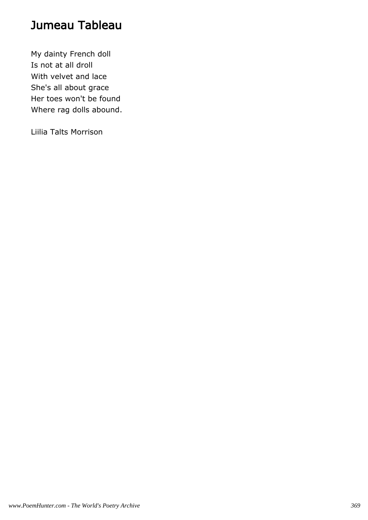## Jumeau Tableau

My dainty French doll Is not at all droll With velvet and lace She's all about grace Her toes won't be found Where rag dolls abound.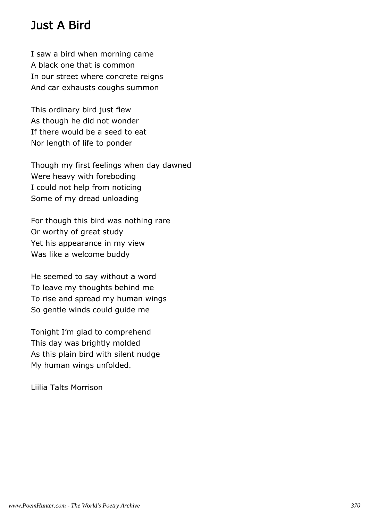## Just A Bird

I saw a bird when morning came A black one that is common In our street where concrete reigns And car exhausts coughs summon

This ordinary bird just flew As though he did not wonder If there would be a seed to eat Nor length of life to ponder

Though my first feelings when day dawned Were heavy with foreboding I could not help from noticing Some of my dread unloading

For though this bird was nothing rare Or worthy of great study Yet his appearance in my view Was like a welcome buddy

He seemed to say without a word To leave my thoughts behind me To rise and spread my human wings So gentle winds could guide me

Tonight I'm glad to comprehend This day was brightly molded As this plain bird with silent nudge My human wings unfolded.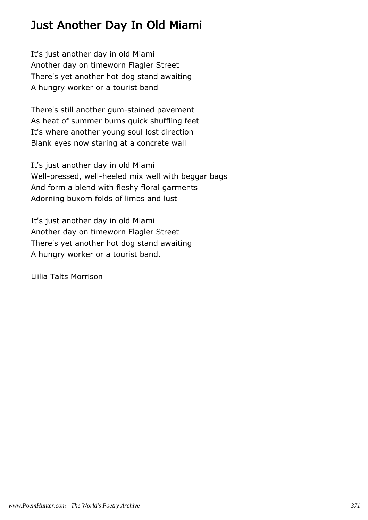# Just Another Day In Old Miami

It's just another day in old Miami Another day on timeworn Flagler Street There's yet another hot dog stand awaiting A hungry worker or a tourist band

There's still another gum-stained pavement As heat of summer burns quick shuffling feet It's where another young soul lost direction Blank eyes now staring at a concrete wall

It's just another day in old Miami Well-pressed, well-heeled mix well with beggar bags And form a blend with fleshy floral garments Adorning buxom folds of limbs and lust

It's just another day in old Miami Another day on timeworn Flagler Street There's yet another hot dog stand awaiting A hungry worker or a tourist band.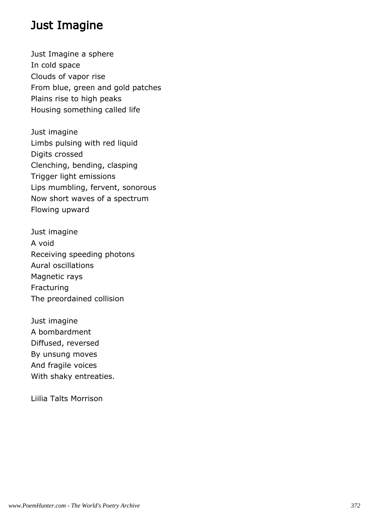#### Just Imagine

Just Imagine a sphere In cold space Clouds of vapor rise From blue, green and gold patches Plains rise to high peaks Housing something called life

Just imagine Limbs pulsing with red liquid Digits crossed Clenching, bending, clasping Trigger light emissions Lips mumbling, fervent, sonorous Now short waves of a spectrum Flowing upward

Just imagine A void Receiving speeding photons Aural oscillations Magnetic rays Fracturing The preordained collision

Just imagine A bombardment Diffused, reversed By unsung moves And fragile voices With shaky entreaties.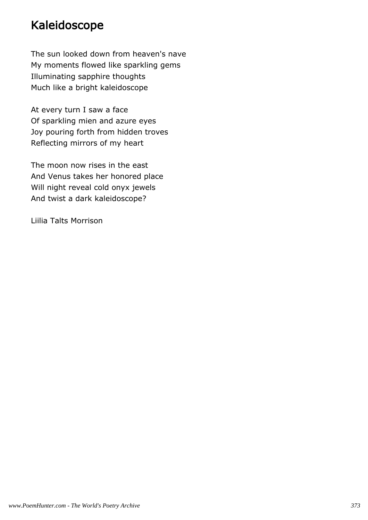## Kaleidoscope

The sun looked down from heaven's nave My moments flowed like sparkling gems Illuminating sapphire thoughts Much like a bright kaleidoscope

At every turn I saw a face Of sparkling mien and azure eyes Joy pouring forth from hidden troves Reflecting mirrors of my heart

The moon now rises in the east And Venus takes her honored place Will night reveal cold onyx jewels And twist a dark kaleidoscope?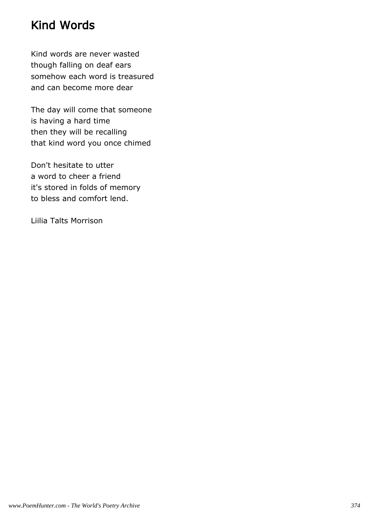# Kind Words

Kind words are never wasted though falling on deaf ears somehow each word is treasured and can become more dear

The day will come that someone is having a hard time then they will be recalling that kind word you once chimed

Don't hesitate to utter a word to cheer a friend it's stored in folds of memory to bless and comfort lend.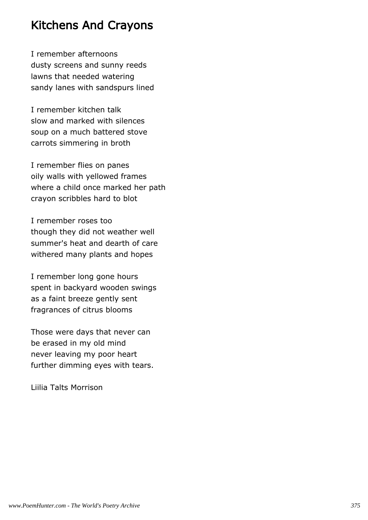#### Kitchens And Crayons

I remember afternoons dusty screens and sunny reeds lawns that needed watering sandy lanes with sandspurs lined

I remember kitchen talk slow and marked with silences soup on a much battered stove carrots simmering in broth

I remember flies on panes oily walls with yellowed frames where a child once marked her path crayon scribbles hard to blot

I remember roses too though they did not weather well summer's heat and dearth of care withered many plants and hopes

I remember long gone hours spent in backyard wooden swings as a faint breeze gently sent fragrances of citrus blooms

Those were days that never can be erased in my old mind never leaving my poor heart further dimming eyes with tears.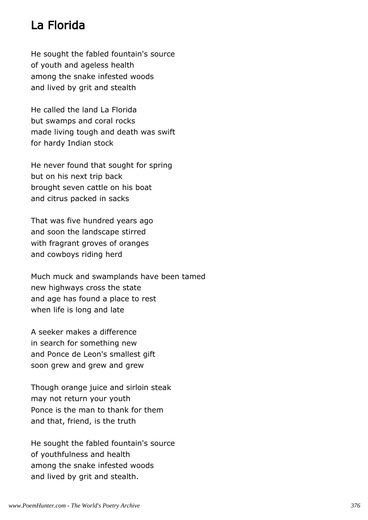# La Florida

He sought the fabled fountain's source of youth and ageless health among the snake infested woods and lived by grit and stealth

He called the land La Florida but swamps and coral rocks made living tough and death was swift for hardy Indian stock

He never found that sought for spring but on his next trip back brought seven cattle on his boat and citrus packed in sacks

That was five hundred years ago and soon the landscape stirred with fragrant groves of oranges and cowboys riding herd

Much muck and swamplands have been tamed new highways cross the state and age has found a place to rest when life is long and late

A seeker makes a difference in search for something new and Ponce de Leon's smallest gift soon grew and grew and grew

Though orange juice and sirloin steak may not return your youth Ponce is the man to thank for them and that, friend, is the truth

He sought the fabled fountain's source of youthfulness and health among the snake infested woods and lived by grit and stealth.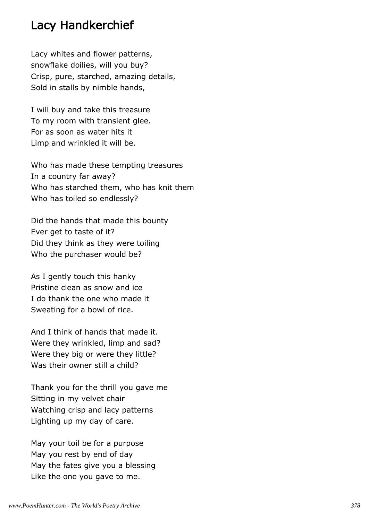## Lacy Handkerchief

Lacy whites and flower patterns, snowflake doilies, will you buy? Crisp, pure, starched, amazing details, Sold in stalls by nimble hands,

I will buy and take this treasure To my room with transient glee. For as soon as water hits it Limp and wrinkled it will be.

Who has made these tempting treasures In a country far away? Who has starched them, who has knit them Who has toiled so endlessly?

Did the hands that made this bounty Ever get to taste of it? Did they think as they were toiling Who the purchaser would be?

As I gently touch this hanky Pristine clean as snow and ice I do thank the one who made it Sweating for a bowl of rice.

And I think of hands that made it. Were they wrinkled, limp and sad? Were they big or were they little? Was their owner still a child?

Thank you for the thrill you gave me Sitting in my velvet chair Watching crisp and lacy patterns Lighting up my day of care.

May your toil be for a purpose May you rest by end of day May the fates give you a blessing Like the one you gave to me.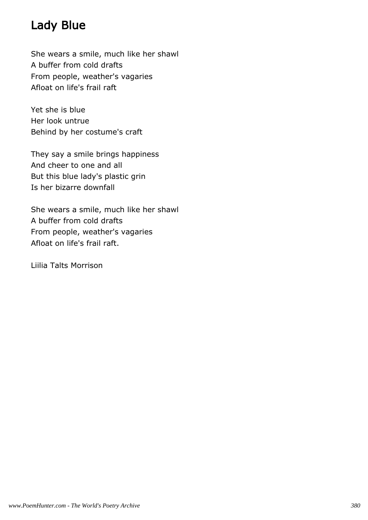# Lady Blue

She wears a smile, much like her shawl A buffer from cold drafts From people, weather's vagaries Afloat on life's frail raft

Yet she is blue Her look untrue Behind by her costume's craft

They say a smile brings happiness And cheer to one and all But this blue lady's plastic grin Is her bizarre downfall

She wears a smile, much like her shawl A buffer from cold drafts From people, weather's vagaries Afloat on life's frail raft.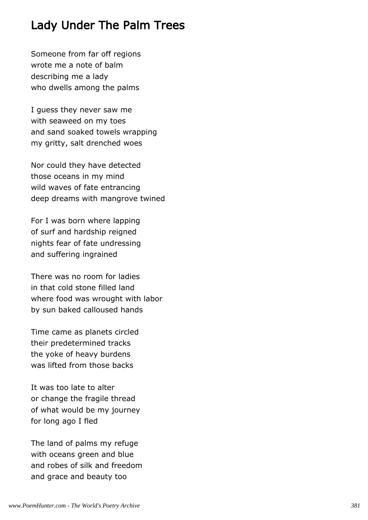# Lady Under The Palm Trees

Someone from far off regions wrote me a note of balm describing me a lady who dwells among the palms

I guess they never saw me with seaweed on my toes and sand soaked towels wrapping my gritty, salt drenched woes

Nor could they have detected those oceans in my mind wild waves of fate entrancing deep dreams with mangrove twined

For I was born where lapping of surf and hardship reigned nights fear of fate undressing and suffering ingrained

There was no room for ladies in that cold stone filled land where food was wrought with labor by sun baked calloused hands

Time came as planets circled their predetermined tracks the yoke of heavy burdens was lifted from those backs

It was too late to alter or change the fragile thread of what would be my journey for long ago I fled

The land of palms my refuge with oceans green and blue and robes of silk and freedom and grace and beauty too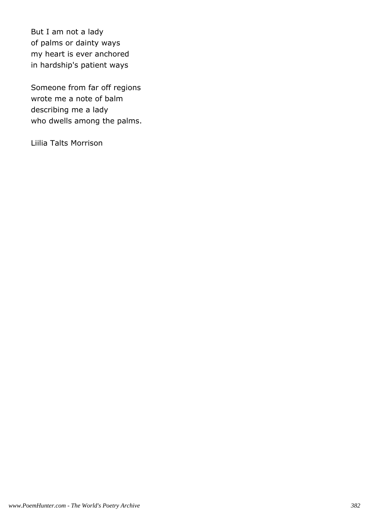But I am not a lady of palms or dainty ways my heart is ever anchored in hardship's patient ways

Someone from far off regions wrote me a note of balm describing me a lady who dwells among the palms.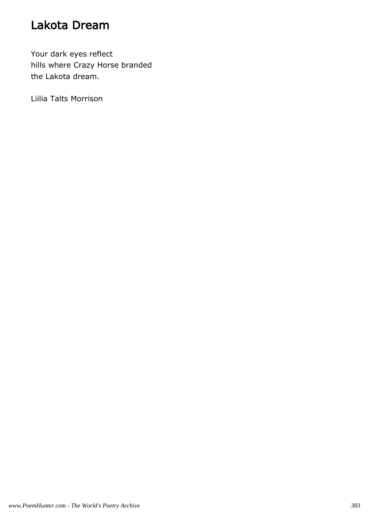## Lakota Dream

Your dark eyes reflect hills where Crazy Horse branded the Lakota dream.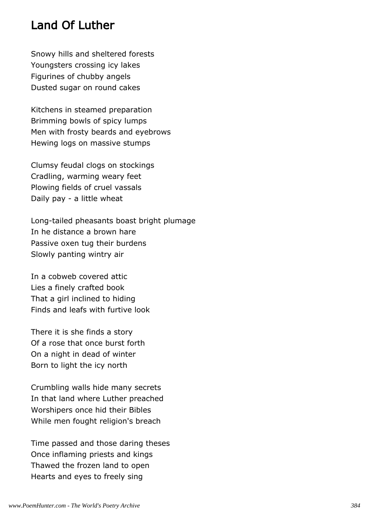## Land Of Luther

Snowy hills and sheltered forests Youngsters crossing icy lakes Figurines of chubby angels Dusted sugar on round cakes

Kitchens in steamed preparation Brimming bowls of spicy lumps Men with frosty beards and eyebrows Hewing logs on massive stumps

Clumsy feudal clogs on stockings Cradling, warming weary feet Plowing fields of cruel vassals Daily pay - a little wheat

Long-tailed pheasants boast bright plumage In he distance a brown hare Passive oxen tug their burdens Slowly panting wintry air

In a cobweb covered attic Lies a finely crafted book That a girl inclined to hiding Finds and leafs with furtive look

There it is she finds a story Of a rose that once burst forth On a night in dead of winter Born to light the icy north

Crumbling walls hide many secrets In that land where Luther preached Worshipers once hid their Bibles While men fought religion's breach

Time passed and those daring theses Once inflaming priests and kings Thawed the frozen land to open Hearts and eyes to freely sing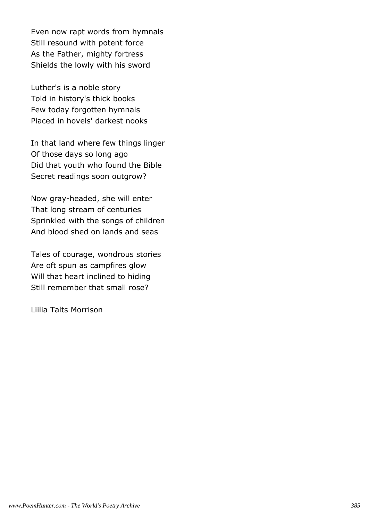Even now rapt words from hymnals Still resound with potent force As the Father, mighty fortress Shields the lowly with his sword

Luther's is a noble story Told in history's thick books Few today forgotten hymnals Placed in hovels' darkest nooks

In that land where few things linger Of those days so long ago Did that youth who found the Bible Secret readings soon outgrow?

Now gray-headed, she will enter That long stream of centuries Sprinkled with the songs of children And blood shed on lands and seas

Tales of courage, wondrous stories Are oft spun as campfires glow Will that heart inclined to hiding Still remember that small rose?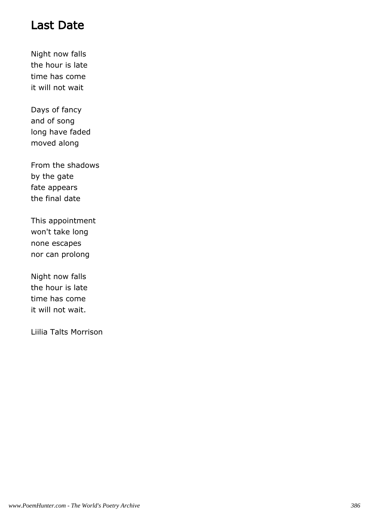## Last Date

Night now falls the hour is late time has come it will not wait

Days of fancy and of song long have faded moved along

From the shadows by the gate fate appears the final date

This appointment won't take long none escapes nor can prolong

Night now falls the hour is late time has come it will not wait.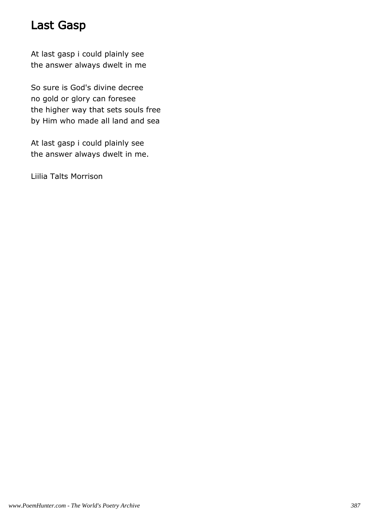## Last Gasp

At last gasp i could plainly see the answer always dwelt in me

So sure is God's divine decree no gold or glory can foresee the higher way that sets souls free by Him who made all land and sea

At last gasp i could plainly see the answer always dwelt in me.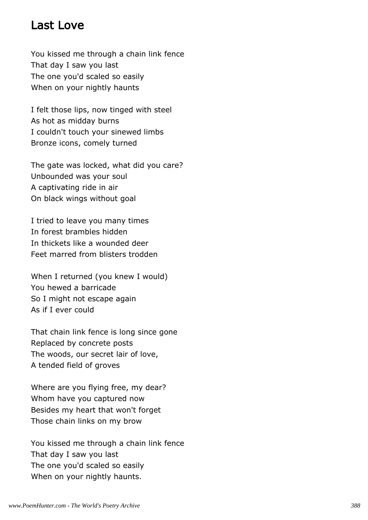#### Last Love

You kissed me through a chain link fence That day I saw you last The one you'd scaled so easily When on your nightly haunts

I felt those lips, now tinged with steel As hot as midday burns I couldn't touch your sinewed limbs Bronze icons, comely turned

The gate was locked, what did you care? Unbounded was your soul A captivating ride in air On black wings without goal

I tried to leave you many times In forest brambles hidden In thickets like a wounded deer Feet marred from blisters trodden

When I returned (you knew I would) You hewed a barricade So I might not escape again As if I ever could

That chain link fence is long since gone Replaced by concrete posts The woods, our secret lair of love, A tended field of groves

Where are you flying free, my dear? Whom have you captured now Besides my heart that won't forget Those chain links on my brow

You kissed me through a chain link fence That day I saw you last The one you'd scaled so easily When on your nightly haunts.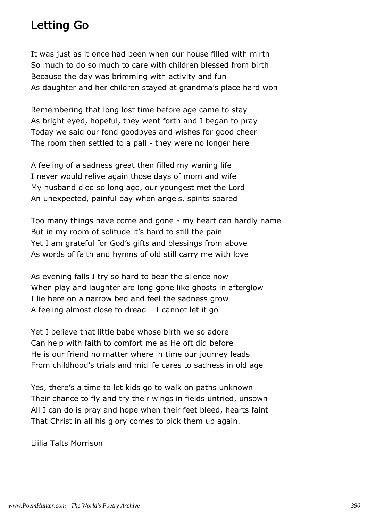## Letting Go

It was just as it once had been when our house filled with mirth So much to do so much to care with children blessed from birth Because the day was brimming with activity and fun As daughter and her children stayed at grandma's place hard won

Remembering that long lost time before age came to stay As bright eyed, hopeful, they went forth and I began to pray Today we said our fond goodbyes and wishes for good cheer The room then settled to a pall - they were no longer here

A feeling of a sadness great then filled my waning life I never would relive again those days of mom and wife My husband died so long ago, our youngest met the Lord An unexpected, painful day when angels, spirits soared

Too many things have come and gone - my heart can hardly name But in my room of solitude it's hard to still the pain Yet I am grateful for God's gifts and blessings from above As words of faith and hymns of old still carry me with love

As evening falls I try so hard to bear the silence now When play and laughter are long gone like ghosts in afterglow I lie here on a narrow bed and feel the sadness grow A feeling almost close to dread – I cannot let it go

Yet I believe that little babe whose birth we so adore Can help with faith to comfort me as He oft did before He is our friend no matter where in time our journey leads From childhood's trials and midlife cares to sadness in old age

Yes, there's a time to let kids go to walk on paths unknown Their chance to fly and try their wings in fields untried, unsown All I can do is pray and hope when their feet bleed, hearts faint That Christ in all his glory comes to pick them up again.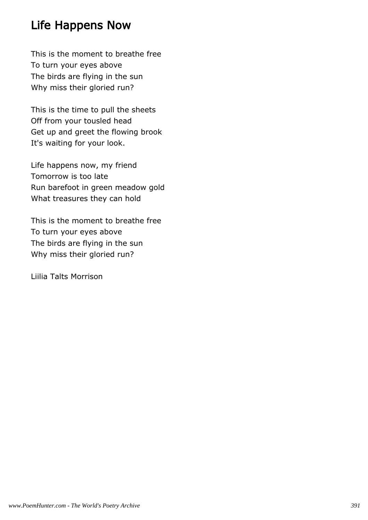## Life Happens Now

This is the moment to breathe free To turn your eyes above The birds are flying in the sun Why miss their gloried run?

This is the time to pull the sheets Off from your tousled head Get up and greet the flowing brook It's waiting for your look.

Life happens now, my friend Tomorrow is too late Run barefoot in green meadow gold What treasures they can hold

This is the moment to breathe free To turn your eyes above The birds are flying in the sun Why miss their gloried run?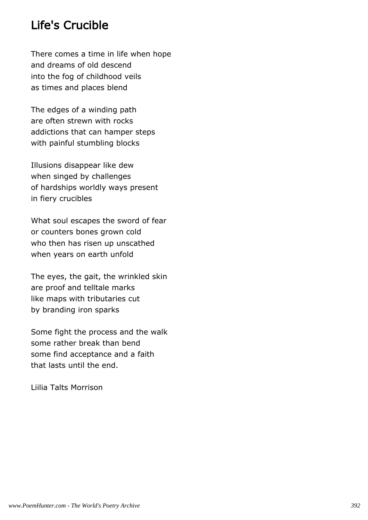## Life's Crucible

There comes a time in life when hope and dreams of old descend into the fog of childhood veils as times and places blend

The edges of a winding path are often strewn with rocks addictions that can hamper steps with painful stumbling blocks

Illusions disappear like dew when singed by challenges of hardships worldly ways present in fiery crucibles

What soul escapes the sword of fear or counters bones grown cold who then has risen up unscathed when years on earth unfold

The eyes, the gait, the wrinkled skin are proof and telltale marks like maps with tributaries cut by branding iron sparks

Some fight the process and the walk some rather break than bend some find acceptance and a faith that lasts until the end.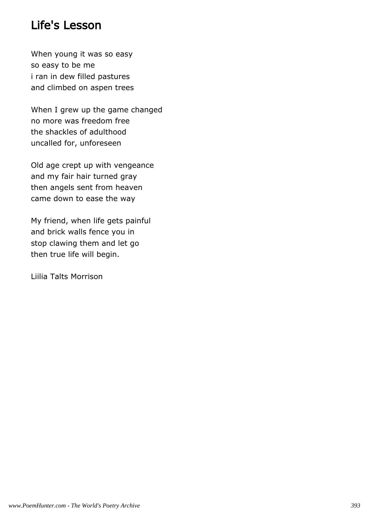#### Life's Lesson

When young it was so easy so easy to be me i ran in dew filled pastures and climbed on aspen trees

When I grew up the game changed no more was freedom free the shackles of adulthood uncalled for, unforeseen

Old age crept up with vengeance and my fair hair turned gray then angels sent from heaven came down to ease the way

My friend, when life gets painful and brick walls fence you in stop clawing them and let go then true life will begin.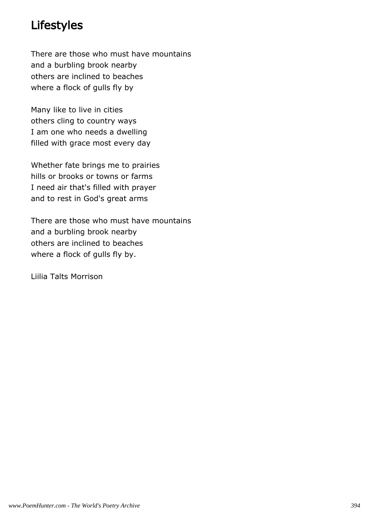## Lifestyles

There are those who must have mountains and a burbling brook nearby others are inclined to beaches where a flock of gulls fly by

Many like to live in cities others cling to country ways I am one who needs a dwelling filled with grace most every day

Whether fate brings me to prairies hills or brooks or towns or farms I need air that's filled with prayer and to rest in God's great arms

There are those who must have mountains and a burbling brook nearby others are inclined to beaches where a flock of gulls fly by.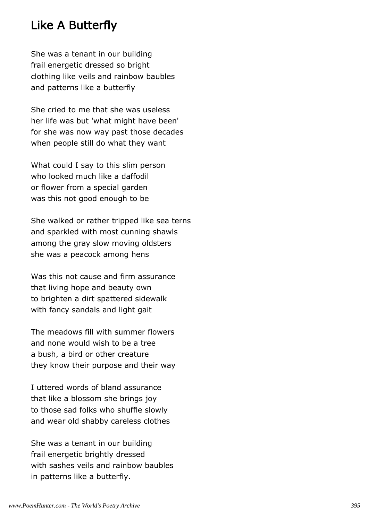#### Like A Butterfly

She was a tenant in our building frail energetic dressed so bright clothing like veils and rainbow baubles and patterns like a butterfly

She cried to me that she was useless her life was but 'what might have been' for she was now way past those decades when people still do what they want

What could I say to this slim person who looked much like a daffodil or flower from a special garden was this not good enough to be

She walked or rather tripped like sea terns and sparkled with most cunning shawls among the gray slow moving oldsters she was a peacock among hens

Was this not cause and firm assurance that living hope and beauty own to brighten a dirt spattered sidewalk with fancy sandals and light gait

The meadows fill with summer flowers and none would wish to be a tree a bush, a bird or other creature they know their purpose and their way

I uttered words of bland assurance that like a blossom she brings joy to those sad folks who shuffle slowly and wear old shabby careless clothes

She was a tenant in our building frail energetic brightly dressed with sashes veils and rainbow baubles in patterns like a butterfly.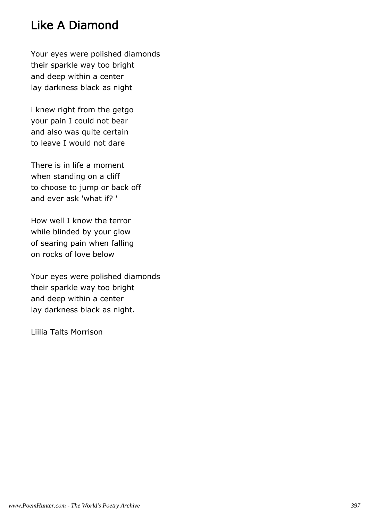# Like A Diamond

Your eyes were polished diamonds their sparkle way too bright and deep within a center lay darkness black as night

i knew right from the getgo your pain I could not bear and also was quite certain to leave I would not dare

There is in life a moment when standing on a cliff to choose to jump or back off and ever ask 'what if? '

How well I know the terror while blinded by your glow of searing pain when falling on rocks of love below

Your eyes were polished diamonds their sparkle way too bright and deep within a center lay darkness black as night.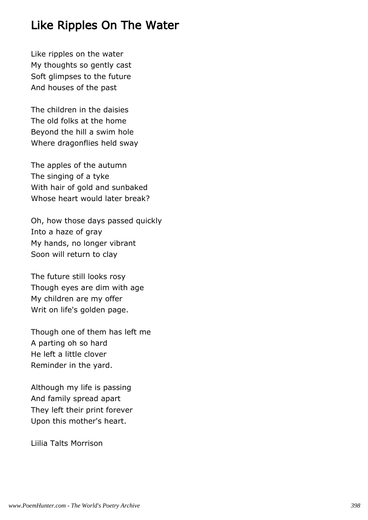## Like Ripples On The Water

Like ripples on the water My thoughts so gently cast Soft glimpses to the future And houses of the past

The children in the daisies The old folks at the home Beyond the hill a swim hole Where dragonflies held sway

The apples of the autumn The singing of a tyke With hair of gold and sunbaked Whose heart would later break?

Oh, how those days passed quickly Into a haze of gray My hands, no longer vibrant Soon will return to clay

The future still looks rosy Though eyes are dim with age My children are my offer Writ on life's golden page.

Though one of them has left me A parting oh so hard He left a little clover Reminder in the yard.

Although my life is passing And family spread apart They left their print forever Upon this mother's heart.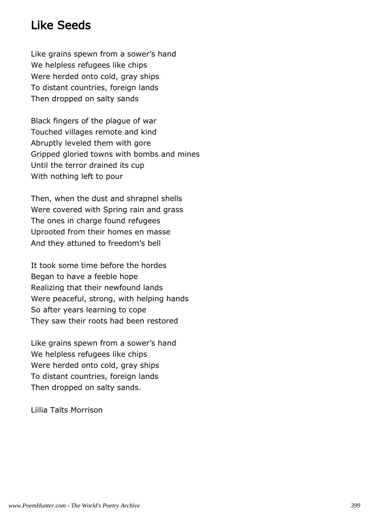#### Like Seeds

Like grains spewn from a sower's hand We helpless refugees like chips Were herded onto cold, gray ships To distant countries, foreign lands Then dropped on salty sands

Black fingers of the plague of war Touched villages remote and kind Abruptly leveled them with gore Gripped gloried towns with bombs and mines Until the terror drained its cup With nothing left to pour

Then, when the dust and shrapnel shells Were covered with Spring rain and grass The ones in charge found refugees Uprooted from their homes en masse And they attuned to freedom's bell

It took some time before the hordes Began to have a feeble hope Realizing that their newfound lands Were peaceful, strong, with helping hands So after years learning to cope They saw their roots had been restored

Like grains spewn from a sower's hand We helpless refugees like chips Were herded onto cold, gray ships To distant countries, foreign lands Then dropped on salty sands.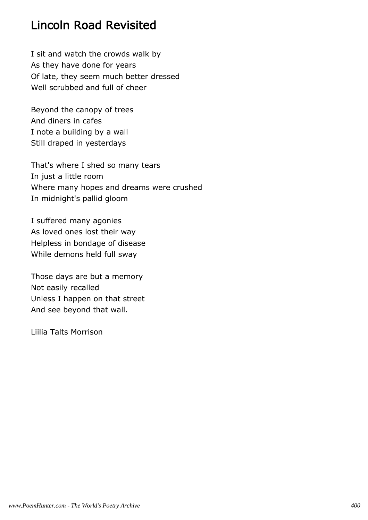# Lincoln Road Revisited

I sit and watch the crowds walk by As they have done for years Of late, they seem much better dressed Well scrubbed and full of cheer

Beyond the canopy of trees And diners in cafes I note a building by a wall Still draped in yesterdays

That's where I shed so many tears In just a little room Where many hopes and dreams were crushed In midnight's pallid gloom

I suffered many agonies As loved ones lost their way Helpless in bondage of disease While demons held full sway

Those days are but a memory Not easily recalled Unless I happen on that street And see beyond that wall.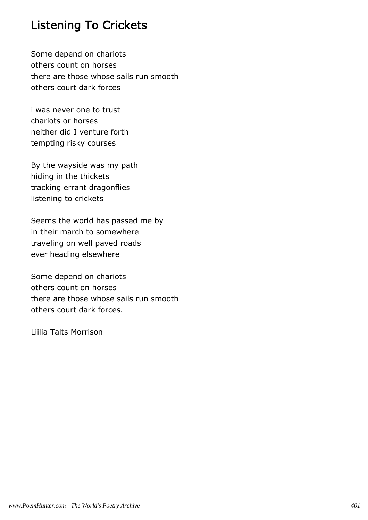# Listening To Crickets

Some depend on chariots others count on horses there are those whose sails run smooth others court dark forces

i was never one to trust chariots or horses neither did I venture forth tempting risky courses

By the wayside was my path hiding in the thickets tracking errant dragonflies listening to crickets

Seems the world has passed me by in their march to somewhere traveling on well paved roads ever heading elsewhere

Some depend on chariots others count on horses there are those whose sails run smooth others court dark forces.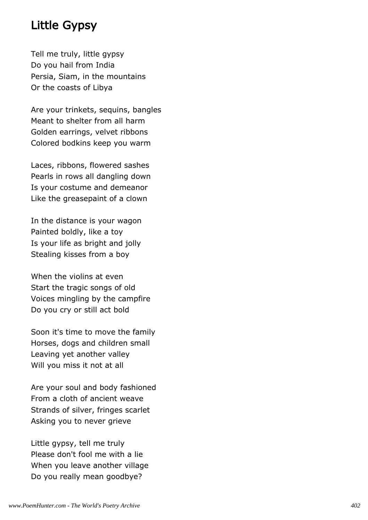### Little Gypsy

Tell me truly, little gypsy Do you hail from India Persia, Siam, in the mountains Or the coasts of Libya

Are your trinkets, sequins, bangles Meant to shelter from all harm Golden earrings, velvet ribbons Colored bodkins keep you warm

Laces, ribbons, flowered sashes Pearls in rows all dangling down Is your costume and demeanor Like the greasepaint of a clown

In the distance is your wagon Painted boldly, like a toy Is your life as bright and jolly Stealing kisses from a boy

When the violins at even Start the tragic songs of old Voices mingling by the campfire Do you cry or still act bold

Soon it's time to move the family Horses, dogs and children small Leaving yet another valley Will you miss it not at all

Are your soul and body fashioned From a cloth of ancient weave Strands of silver, fringes scarlet Asking you to never grieve

Little gypsy, tell me truly Please don't fool me with a lie When you leave another village Do you really mean goodbye?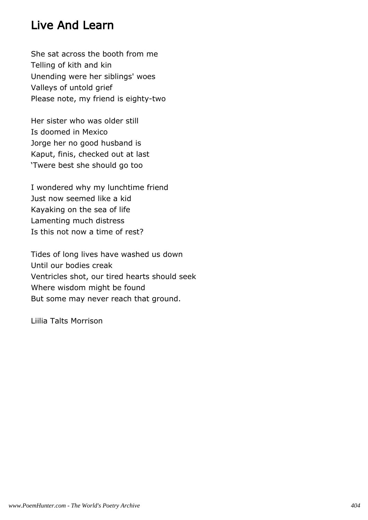# Live And Learn

She sat across the booth from me Telling of kith and kin Unending were her siblings' woes Valleys of untold grief Please note, my friend is eighty-two

Her sister who was older still Is doomed in Mexico Jorge her no good husband is Kaput, finis, checked out at last 'Twere best she should go too

I wondered why my lunchtime friend Just now seemed like a kid Kayaking on the sea of life Lamenting much distress Is this not now a time of rest?

Tides of long lives have washed us down Until our bodies creak Ventricles shot, our tired hearts should seek Where wisdom might be found But some may never reach that ground.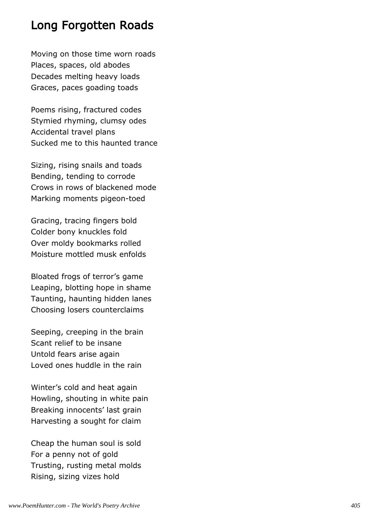### Long Forgotten Roads

Moving on those time worn roads Places, spaces, old abodes Decades melting heavy loads Graces, paces goading toads

Poems rising, fractured codes Stymied rhyming, clumsy odes Accidental travel plans Sucked me to this haunted trance

Sizing, rising snails and toads Bending, tending to corrode Crows in rows of blackened mode Marking moments pigeon-toed

Gracing, tracing fingers bold Colder bony knuckles fold Over moldy bookmarks rolled Moisture mottled musk enfolds

Bloated frogs of terror's game Leaping, blotting hope in shame Taunting, haunting hidden lanes Choosing losers counterclaims

Seeping, creeping in the brain Scant relief to be insane Untold fears arise again Loved ones huddle in the rain

Winter's cold and heat again Howling, shouting in white pain Breaking innocents' last grain Harvesting a sought for claim

Cheap the human soul is sold For a penny not of gold Trusting, rusting metal molds Rising, sizing vizes hold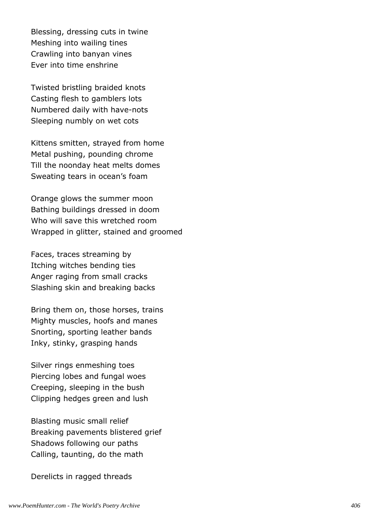Blessing, dressing cuts in twine Meshing into wailing tines Crawling into banyan vines Ever into time enshrine

Twisted bristling braided knots Casting flesh to gamblers lots Numbered daily with have-nots Sleeping numbly on wet cots

Kittens smitten, strayed from home Metal pushing, pounding chrome Till the noonday heat melts domes Sweating tears in ocean's foam

Orange glows the summer moon Bathing buildings dressed in doom Who will save this wretched room Wrapped in glitter, stained and groomed

Faces, traces streaming by Itching witches bending ties Anger raging from small cracks Slashing skin and breaking backs

Bring them on, those horses, trains Mighty muscles, hoofs and manes Snorting, sporting leather bands Inky, stinky, grasping hands

Silver rings enmeshing toes Piercing lobes and fungal woes Creeping, sleeping in the bush Clipping hedges green and lush

Blasting music small relief Breaking pavements blistered grief Shadows following our paths Calling, taunting, do the math

Derelicts in ragged threads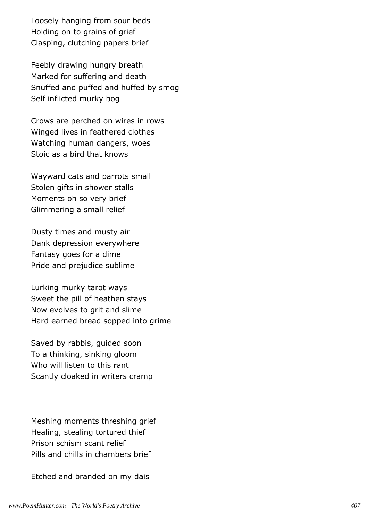Loosely hanging from sour beds Holding on to grains of grief Clasping, clutching papers brief

Feebly drawing hungry breath Marked for suffering and death Snuffed and puffed and huffed by smog Self inflicted murky bog

Crows are perched on wires in rows Winged lives in feathered clothes Watching human dangers, woes Stoic as a bird that knows

Wayward cats and parrots small Stolen gifts in shower stalls Moments oh so very brief Glimmering a small relief

Dusty times and musty air Dank depression everywhere Fantasy goes for a dime Pride and prejudice sublime

Lurking murky tarot ways Sweet the pill of heathen stays Now evolves to grit and slime Hard earned bread sopped into grime

Saved by rabbis, guided soon To a thinking, sinking gloom Who will listen to this rant Scantly cloaked in writers cramp

Meshing moments threshing grief Healing, stealing tortured thief Prison schism scant relief Pills and chills in chambers brief

Etched and branded on my dais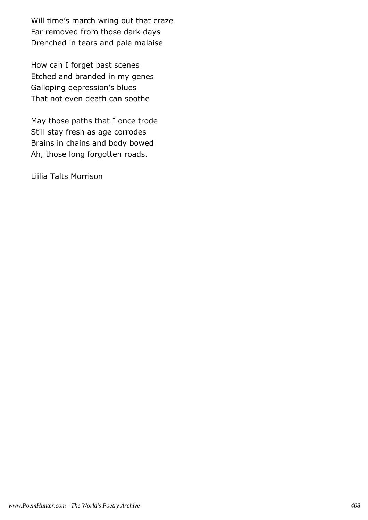Will time's march wring out that craze Far removed from those dark days Drenched in tears and pale malaise

How can I forget past scenes Etched and branded in my genes Galloping depression's blues That not even death can soothe

May those paths that I once trode Still stay fresh as age corrodes Brains in chains and body bowed Ah, those long forgotten roads.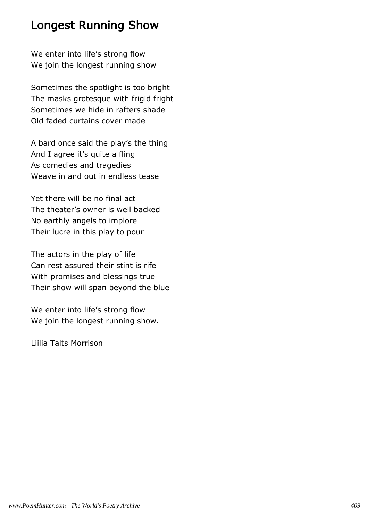### Longest Running Show

We enter into life's strong flow We join the longest running show

Sometimes the spotlight is too bright The masks grotesque with frigid fright Sometimes we hide in rafters shade Old faded curtains cover made

A bard once said the play's the thing And I agree it's quite a fling As comedies and tragedies Weave in and out in endless tease

Yet there will be no final act The theater's owner is well backed No earthly angels to implore Their lucre in this play to pour

The actors in the play of life Can rest assured their stint is rife With promises and blessings true Their show will span beyond the blue

We enter into life's strong flow We join the longest running show.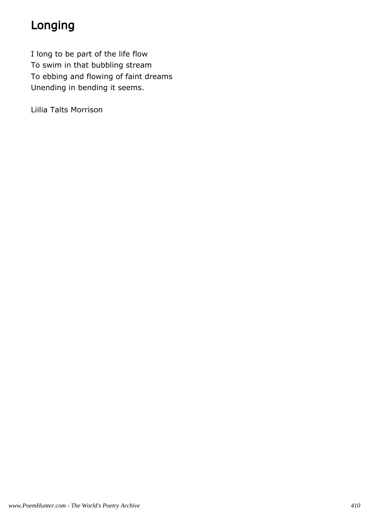# Longing

I long to be part of the life flow To swim in that bubbling stream To ebbing and flowing of faint dreams Unending in bending it seems.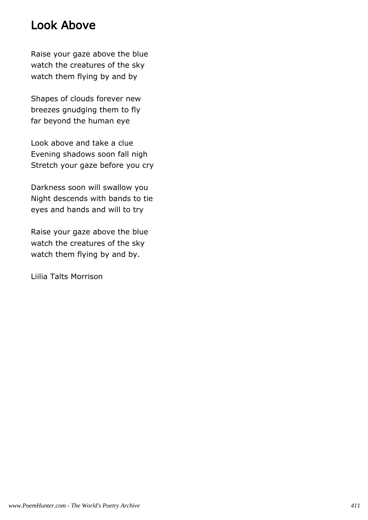### Look Above

Raise your gaze above the blue watch the creatures of the sky watch them flying by and by

Shapes of clouds forever new breezes gnudging them to fly far beyond the human eye

Look above and take a clue Evening shadows soon fall nigh Stretch your gaze before you cry

Darkness soon will swallow you Night descends with bands to tie eyes and hands and will to try

Raise your gaze above the blue watch the creatures of the sky watch them flying by and by.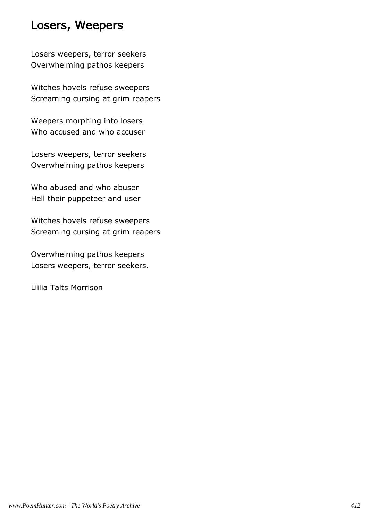#### Losers, Weepers

Losers weepers, terror seekers Overwhelming pathos keepers

Witches hovels refuse sweepers Screaming cursing at grim reapers

Weepers morphing into losers Who accused and who accuser

Losers weepers, terror seekers Overwhelming pathos keepers

Who abused and who abuser Hell their puppeteer and user

Witches hovels refuse sweepers Screaming cursing at grim reapers

Overwhelming pathos keepers Losers weepers, terror seekers.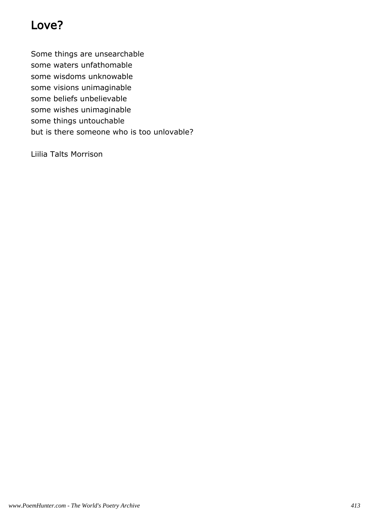# Love?

Some things are unsearchable some waters unfathomable some wisdoms unknowable some visions unimaginable some beliefs unbelievable some wishes unimaginable some things untouchable but is there someone who is too unlovable?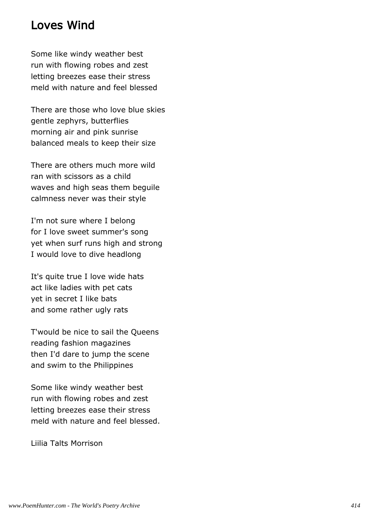#### Loves Wind

Some like windy weather best run with flowing robes and zest letting breezes ease their stress meld with nature and feel blessed

There are those who love blue skies gentle zephyrs, butterflies morning air and pink sunrise balanced meals to keep their size

There are others much more wild ran with scissors as a child waves and high seas them beguile calmness never was their style

I'm not sure where I belong for I love sweet summer's song yet when surf runs high and strong I would love to dive headlong

It's quite true I love wide hats act like ladies with pet cats yet in secret I like bats and some rather ugly rats

T'would be nice to sail the Queens reading fashion magazines then I'd dare to jump the scene and swim to the Philippines

Some like windy weather best run with flowing robes and zest letting breezes ease their stress meld with nature and feel blessed.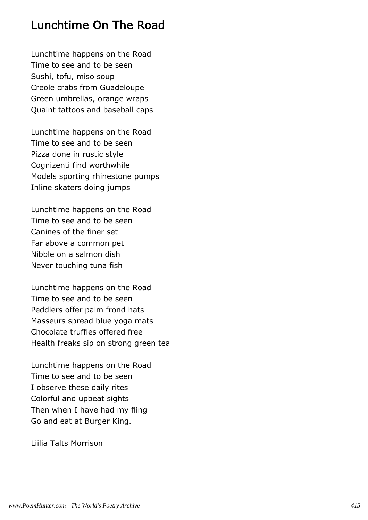### Lunchtime On The Road

Lunchtime happens on the Road Time to see and to be seen Sushi, tofu, miso soup Creole crabs from Guadeloupe Green umbrellas, orange wraps Quaint tattoos and baseball caps

Lunchtime happens on the Road Time to see and to be seen Pizza done in rustic style Cognizenti find worthwhile Models sporting rhinestone pumps Inline skaters doing jumps

Lunchtime happens on the Road Time to see and to be seen Canines of the finer set Far above a common pet Nibble on a salmon dish Never touching tuna fish

Lunchtime happens on the Road Time to see and to be seen Peddlers offer palm frond hats Masseurs spread blue yoga mats Chocolate truffles offered free Health freaks sip on strong green tea

Lunchtime happens on the Road Time to see and to be seen I observe these daily rites Colorful and upbeat sights Then when I have had my fling Go and eat at Burger King.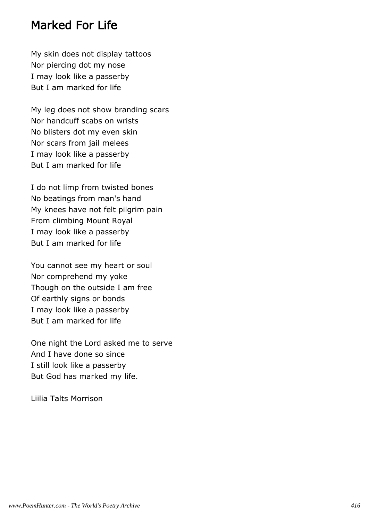#### Marked For Life

My skin does not display tattoos Nor piercing dot my nose I may look like a passerby But I am marked for life

My leg does not show branding scars Nor handcuff scabs on wrists No blisters dot my even skin Nor scars from jail melees I may look like a passerby But I am marked for life

I do not limp from twisted bones No beatings from man's hand My knees have not felt pilgrim pain From climbing Mount Royal I may look like a passerby But I am marked for life

You cannot see my heart or soul Nor comprehend my yoke Though on the outside I am free Of earthly signs or bonds I may look like a passerby But I am marked for life

One night the Lord asked me to serve And I have done so since I still look like a passerby But God has marked my life.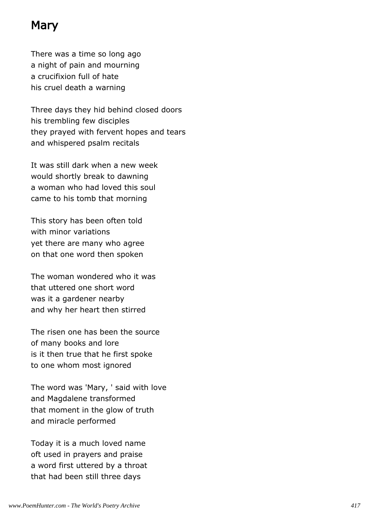# Mary

There was a time so long ago a night of pain and mourning a crucifixion full of hate his cruel death a warning

Three days they hid behind closed doors his trembling few disciples they prayed with fervent hopes and tears and whispered psalm recitals

It was still dark when a new week would shortly break to dawning a woman who had loved this soul came to his tomb that morning

This story has been often told with minor variations yet there are many who agree on that one word then spoken

The woman wondered who it was that uttered one short word was it a gardener nearby and why her heart then stirred

The risen one has been the source of many books and lore is it then true that he first spoke to one whom most ignored

The word was 'Mary, ' said with love and Magdalene transformed that moment in the glow of truth and miracle performed

Today it is a much loved name oft used in prayers and praise a word first uttered by a throat that had been still three days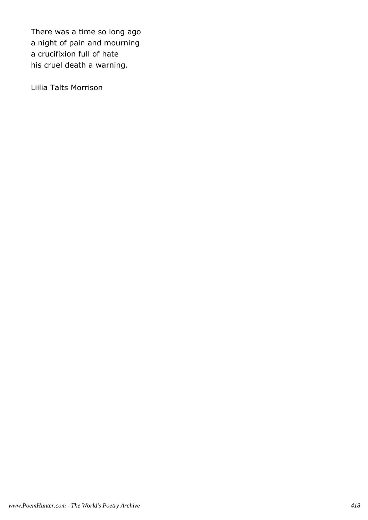There was a time so long ago a night of pain and mourning a crucifixion full of hate his cruel death a warning.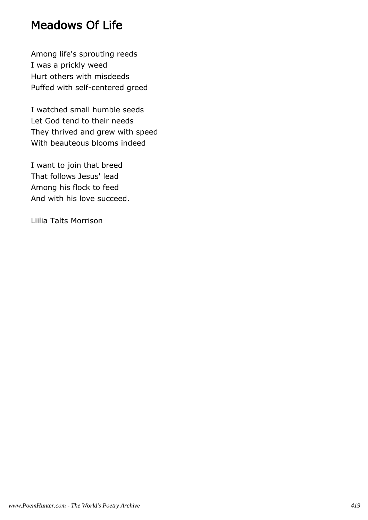### Meadows Of Life

Among life's sprouting reeds I was a prickly weed Hurt others with misdeeds Puffed with self-centered greed

I watched small humble seeds Let God tend to their needs They thrived and grew with speed With beauteous blooms indeed

I want to join that breed That follows Jesus' lead Among his flock to feed And with his love succeed.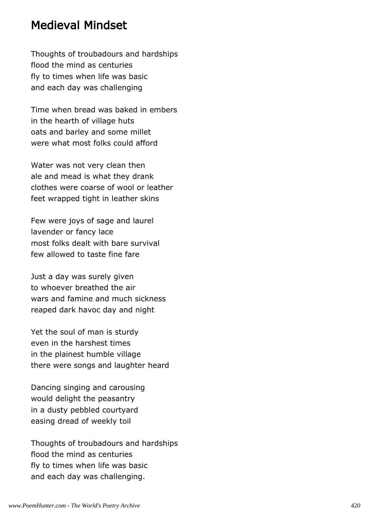#### Medieval Mindset

Thoughts of troubadours and hardships flood the mind as centuries fly to times when life was basic and each day was challenging

Time when bread was baked in embers in the hearth of village huts oats and barley and some millet were what most folks could afford

Water was not very clean then ale and mead is what they drank clothes were coarse of wool or leather feet wrapped tight in leather skins

Few were joys of sage and laurel lavender or fancy lace most folks dealt with bare survival few allowed to taste fine fare

Just a day was surely given to whoever breathed the air wars and famine and much sickness reaped dark havoc day and night

Yet the soul of man is sturdy even in the harshest times in the plainest humble village there were songs and laughter heard

Dancing singing and carousing would delight the peasantry in a dusty pebbled courtyard easing dread of weekly toil

Thoughts of troubadours and hardships flood the mind as centuries fly to times when life was basic and each day was challenging.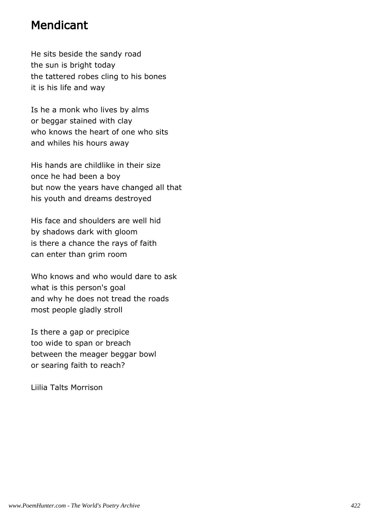#### Mendicant

He sits beside the sandy road the sun is bright today the tattered robes cling to his bones it is his life and way

Is he a monk who lives by alms or beggar stained with clay who knows the heart of one who sits and whiles his hours away

His hands are childlike in their size once he had been a boy but now the years have changed all that his youth and dreams destroyed

His face and shoulders are well hid by shadows dark with gloom is there a chance the rays of faith can enter than grim room

Who knows and who would dare to ask what is this person's goal and why he does not tread the roads most people gladly stroll

Is there a gap or precipice too wide to span or breach between the meager beggar bowl or searing faith to reach?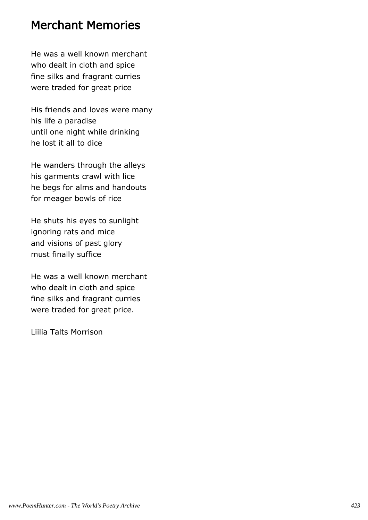### Merchant Memories

He was a well known merchant who dealt in cloth and spice fine silks and fragrant curries were traded for great price

His friends and loves were many his life a paradise until one night while drinking he lost it all to dice

He wanders through the alleys his garments crawl with lice he begs for alms and handouts for meager bowls of rice

He shuts his eyes to sunlight ignoring rats and mice and visions of past glory must finally suffice

He was a well known merchant who dealt in cloth and spice fine silks and fragrant curries were traded for great price.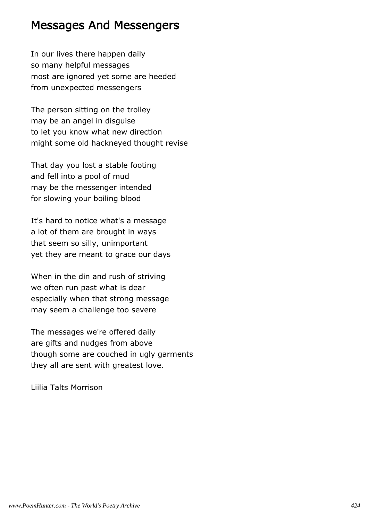#### Messages And Messengers

In our lives there happen daily so many helpful messages most are ignored yet some are heeded from unexpected messengers

The person sitting on the trolley may be an angel in disguise to let you know what new direction might some old hackneyed thought revise

That day you lost a stable footing and fell into a pool of mud may be the messenger intended for slowing your boiling blood

It's hard to notice what's a message a lot of them are brought in ways that seem so silly, unimportant yet they are meant to grace our days

When in the din and rush of striving we often run past what is dear especially when that strong message may seem a challenge too severe

The messages we're offered daily are gifts and nudges from above though some are couched in ugly garments they all are sent with greatest love.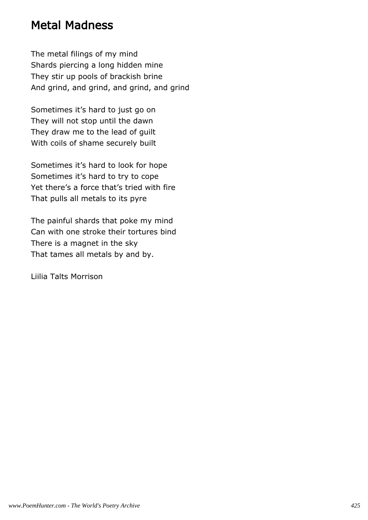### Metal Madness

The metal filings of my mind Shards piercing a long hidden mine They stir up pools of brackish brine And grind, and grind, and grind, and grind

Sometimes it's hard to just go on They will not stop until the dawn They draw me to the lead of guilt With coils of shame securely built

Sometimes it's hard to look for hope Sometimes it's hard to try to cope Yet there's a force that's tried with fire That pulls all metals to its pyre

The painful shards that poke my mind Can with one stroke their tortures bind There is a magnet in the sky That tames all metals by and by.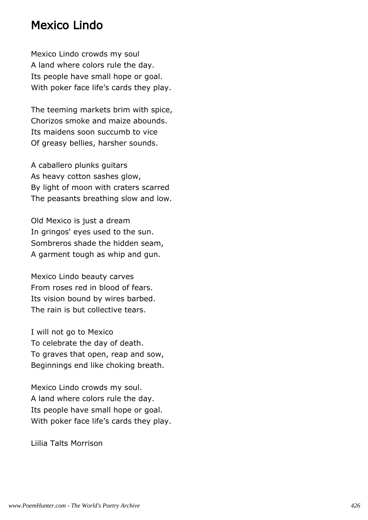### Mexico Lindo

Mexico Lindo crowds my soul A land where colors rule the day. Its people have small hope or goal. With poker face life's cards they play.

The teeming markets brim with spice, Chorizos smoke and maize abounds. Its maidens soon succumb to vice Of greasy bellies, harsher sounds.

A caballero plunks guitars As heavy cotton sashes glow, By light of moon with craters scarred The peasants breathing slow and low.

Old Mexico is just a dream In gringos' eyes used to the sun. Sombreros shade the hidden seam, A garment tough as whip and gun.

Mexico Lindo beauty carves From roses red in blood of fears. Its vision bound by wires barbed. The rain is but collective tears.

I will not go to Mexico To celebrate the day of death. To graves that open, reap and sow, Beginnings end like choking breath.

Mexico Lindo crowds my soul. A land where colors rule the day. Its people have small hope or goal. With poker face life's cards they play.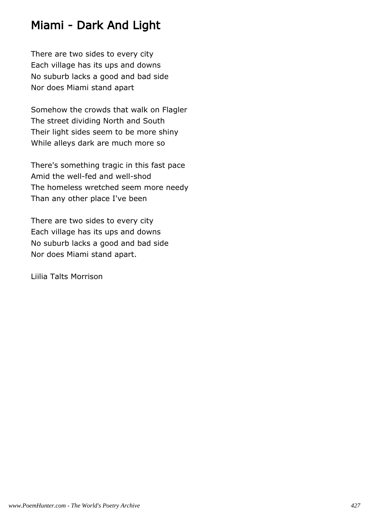# Miami - Dark And Light

There are two sides to every city Each village has its ups and downs No suburb lacks a good and bad side Nor does Miami stand apart

Somehow the crowds that walk on Flagler The street dividing North and South Their light sides seem to be more shiny While alleys dark are much more so

There's something tragic in this fast pace Amid the well-fed and well-shod The homeless wretched seem more needy Than any other place I've been

There are two sides to every city Each village has its ups and downs No suburb lacks a good and bad side Nor does Miami stand apart.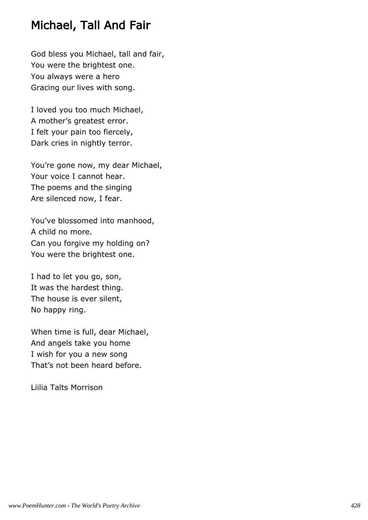### Michael, Tall And Fair

God bless you Michael, tall and fair, You were the brightest one. You always were a hero Gracing our lives with song.

I loved you too much Michael, A mother's greatest error. I felt your pain too fiercely, Dark cries in nightly terror.

You're gone now, my dear Michael, Your voice I cannot hear. The poems and the singing Are silenced now, I fear.

You've blossomed into manhood, A child no more. Can you forgive my holding on? You were the brightest one.

I had to let you go, son, It was the hardest thing. The house is ever silent, No happy ring.

When time is full, dear Michael, And angels take you home I wish for you a new song That's not been heard before.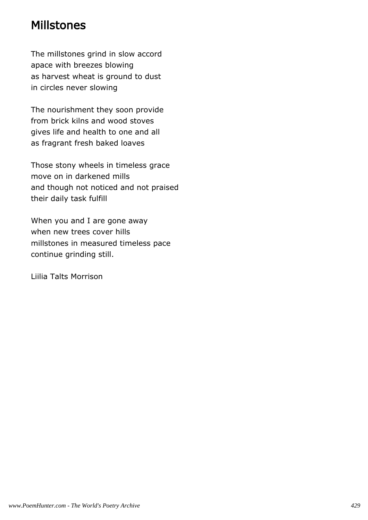#### Millstones

The millstones grind in slow accord apace with breezes blowing as harvest wheat is ground to dust in circles never slowing

The nourishment they soon provide from brick kilns and wood stoves gives life and health to one and all as fragrant fresh baked loaves

Those stony wheels in timeless grace move on in darkened mills and though not noticed and not praised their daily task fulfill

When you and I are gone away when new trees cover hills millstones in measured timeless pace continue grinding still.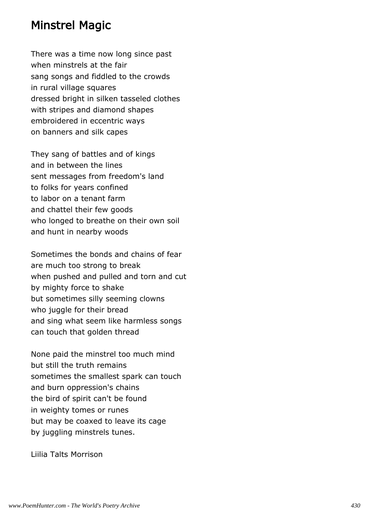#### Minstrel Magic

There was a time now long since past when minstrels at the fair sang songs and fiddled to the crowds in rural village squares dressed bright in silken tasseled clothes with stripes and diamond shapes embroidered in eccentric ways on banners and silk capes

They sang of battles and of kings and in between the lines sent messages from freedom's land to folks for years confined to labor on a tenant farm and chattel their few goods who longed to breathe on their own soil and hunt in nearby woods

Sometimes the bonds and chains of fear are much too strong to break when pushed and pulled and torn and cut by mighty force to shake but sometimes silly seeming clowns who juggle for their bread and sing what seem like harmless songs can touch that golden thread

None paid the minstrel too much mind but still the truth remains sometimes the smallest spark can touch and burn oppression's chains the bird of spirit can't be found in weighty tomes or runes but may be coaxed to leave its cage by juggling minstrels tunes.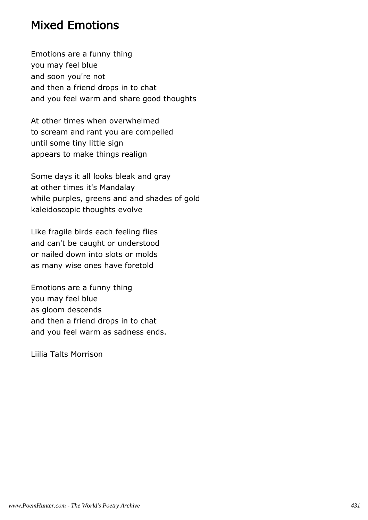### Mixed Emotions

Emotions are a funny thing you may feel blue and soon you're not and then a friend drops in to chat and you feel warm and share good thoughts

At other times when overwhelmed to scream and rant you are compelled until some tiny little sign appears to make things realign

Some days it all looks bleak and gray at other times it's Mandalay while purples, greens and and shades of gold kaleidoscopic thoughts evolve

Like fragile birds each feeling flies and can't be caught or understood or nailed down into slots or molds as many wise ones have foretold

Emotions are a funny thing you may feel blue as gloom descends and then a friend drops in to chat and you feel warm as sadness ends.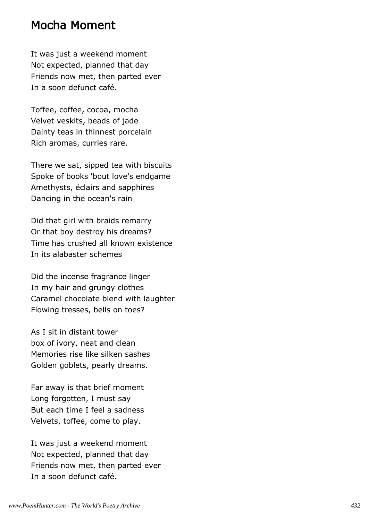#### Mocha Moment

It was just a weekend moment Not expected, planned that day Friends now met, then parted ever In a soon defunct café.

Toffee, coffee, cocoa, mocha Velvet veskits, beads of jade Dainty teas in thinnest porcelain Rich aromas, curries rare.

There we sat, sipped tea with biscuits Spoke of books 'bout love's endgame Amethysts, éclairs and sapphires Dancing in the ocean's rain

Did that girl with braids remarry Or that boy destroy his dreams? Time has crushed all known existence In its alabaster schemes

Did the incense fragrance linger In my hair and grungy clothes Caramel chocolate blend with laughter Flowing tresses, bells on toes?

As I sit in distant tower box of ivory, neat and clean Memories rise like silken sashes Golden goblets, pearly dreams.

Far away is that brief moment Long forgotten, I must say But each time I feel a sadness Velvets, toffee, come to play.

It was just a weekend moment Not expected, planned that day Friends now met, then parted ever In a soon defunct café.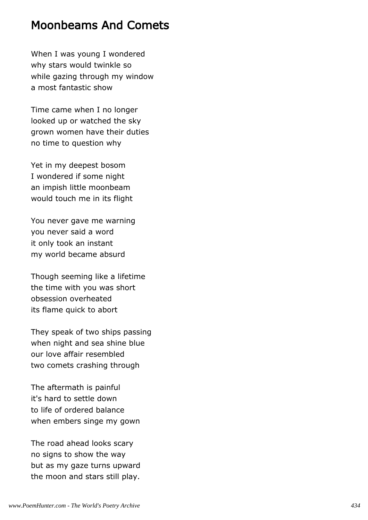### Moonbeams And Comets

When I was young I wondered why stars would twinkle so while gazing through my window a most fantastic show

Time came when I no longer looked up or watched the sky grown women have their duties no time to question why

Yet in my deepest bosom I wondered if some night an impish little moonbeam would touch me in its flight

You never gave me warning you never said a word it only took an instant my world became absurd

Though seeming like a lifetime the time with you was short obsession overheated its flame quick to abort

They speak of two ships passing when night and sea shine blue our love affair resembled two comets crashing through

The aftermath is painful it's hard to settle down to life of ordered balance when embers singe my gown

The road ahead looks scary no signs to show the way but as my gaze turns upward the moon and stars still play.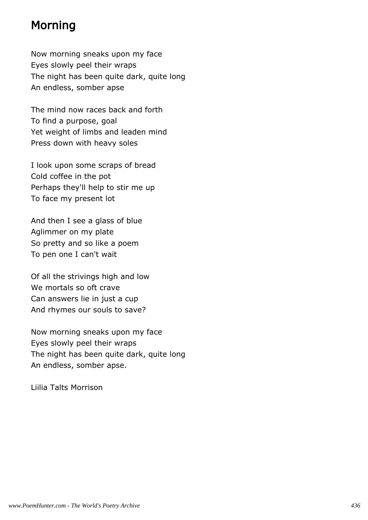## Morning

Now morning sneaks upon my face Eyes slowly peel their wraps The night has been quite dark, quite long An endless, somber apse

The mind now races back and forth To find a purpose, goal Yet weight of limbs and leaden mind Press down with heavy soles

I look upon some scraps of bread Cold coffee in the pot Perhaps they'll help to stir me up To face my present lot

And then I see a glass of blue Aglimmer on my plate So pretty and so like a poem To pen one I can't wait

Of all the strivings high and low We mortals so oft crave Can answers lie in just a cup And rhymes our souls to save?

Now morning sneaks upon my face Eyes slowly peel their wraps The night has been quite dark, quite long An endless, somber apse.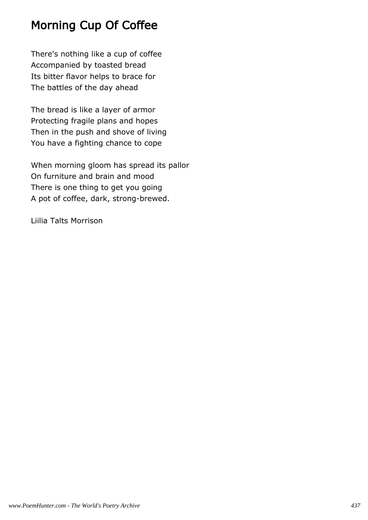# Morning Cup Of Coffee

There's nothing like a cup of coffee Accompanied by toasted bread Its bitter flavor helps to brace for The battles of the day ahead

The bread is like a layer of armor Protecting fragile plans and hopes Then in the push and shove of living You have a fighting chance to cope

When morning gloom has spread its pallor On furniture and brain and mood There is one thing to get you going A pot of coffee, dark, strong-brewed.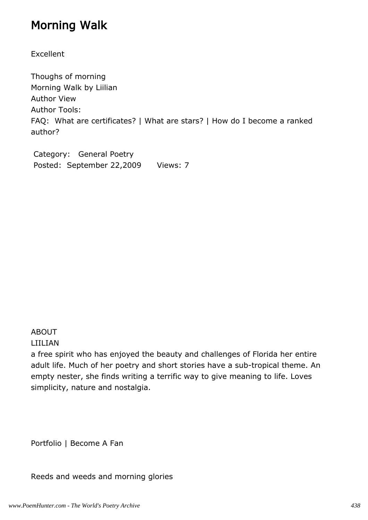## Morning Walk

Excellent

Thoughs of morning Morning Walk by Liilian Author View Author Tools: FAQ: What are certificates? | What are stars? | How do I become a ranked author?

 Category: General Poetry Posted: September 22,2009 Views: 7

### ABOUT

LIILIAN

a free spirit who has enjoyed the beauty and challenges of Florida her entire adult life. Much of her poetry and short stories have a sub-tropical theme. An empty nester, she finds writing a terrific way to give meaning to life. Loves simplicity, nature and nostalgia.

Portfolio | Become A Fan

Reeds and weeds and morning glories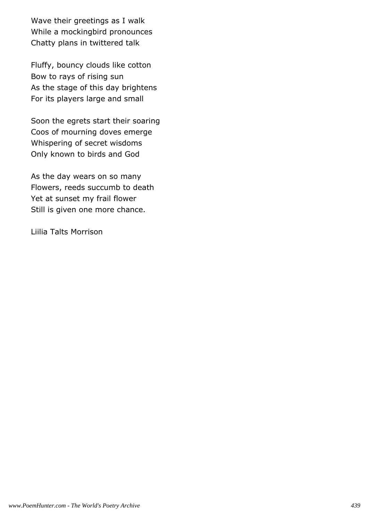Wave their greetings as I walk While a mockingbird pronounces Chatty plans in twittered talk

Fluffy, bouncy clouds like cotton Bow to rays of rising sun As the stage of this day brightens For its players large and small

Soon the egrets start their soaring Coos of mourning doves emerge Whispering of secret wisdoms Only known to birds and God

As the day wears on so many Flowers, reeds succumb to death Yet at sunset my frail flower Still is given one more chance.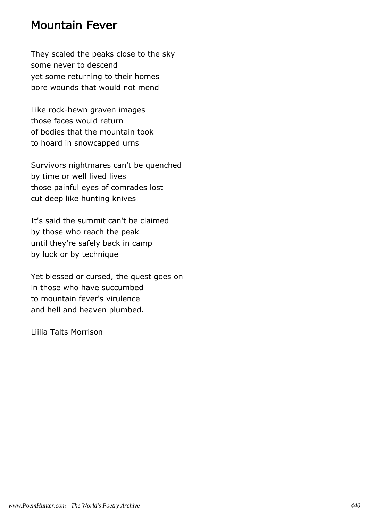### Mountain Fever

They scaled the peaks close to the sky some never to descend yet some returning to their homes bore wounds that would not mend

Like rock-hewn graven images those faces would return of bodies that the mountain took to hoard in snowcapped urns

Survivors nightmares can't be quenched by time or well lived lives those painful eyes of comrades lost cut deep like hunting knives

It's said the summit can't be claimed by those who reach the peak until they're safely back in camp by luck or by technique

Yet blessed or cursed, the quest goes on in those who have succumbed to mountain fever's virulence and hell and heaven plumbed.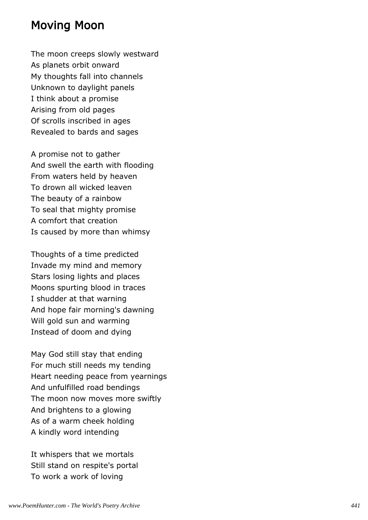### Moving Moon

The moon creeps slowly westward As planets orbit onward My thoughts fall into channels Unknown to daylight panels I think about a promise Arising from old pages Of scrolls inscribed in ages Revealed to bards and sages

A promise not to gather And swell the earth with flooding From waters held by heaven To drown all wicked leaven The beauty of a rainbow To seal that mighty promise A comfort that creation Is caused by more than whimsy

Thoughts of a time predicted Invade my mind and memory Stars losing lights and places Moons spurting blood in traces I shudder at that warning And hope fair morning's dawning Will gold sun and warming Instead of doom and dying

May God still stay that ending For much still needs my tending Heart needing peace from yearnings And unfulfilled road bendings The moon now moves more swiftly And brightens to a glowing As of a warm cheek holding A kindly word intending

It whispers that we mortals Still stand on respite's portal To work a work of loving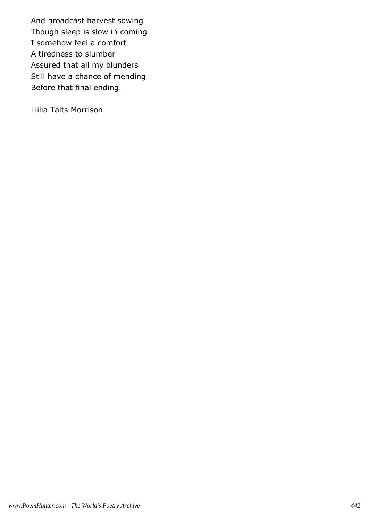And broadcast harvest sowing Though sleep is slow in coming I somehow feel a comfort A tiredness to slumber Assured that all my blunders Still have a chance of mending Before that final ending.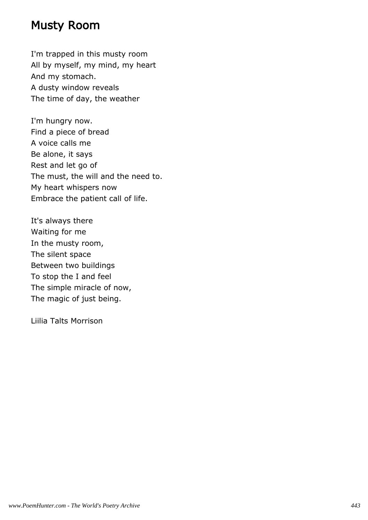## Musty Room

I'm trapped in this musty room All by myself, my mind, my heart And my stomach. A dusty window reveals The time of day, the weather

I'm hungry now. Find a piece of bread A voice calls me Be alone, it says Rest and let go of The must, the will and the need to. My heart whispers now Embrace the patient call of life.

It's always there Waiting for me In the musty room, The silent space Between two buildings To stop the I and feel The simple miracle of now, The magic of just being.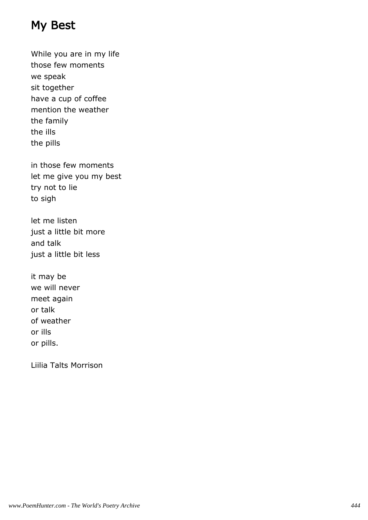# My Best

While you are in my life those few moments we speak sit together have a cup of coffee mention the weather the family the ills the pills

in those few moments let me give you my best try not to lie to sigh

let me listen just a little bit more and talk just a little bit less

it may be we will never meet again or talk of weather or ills or pills.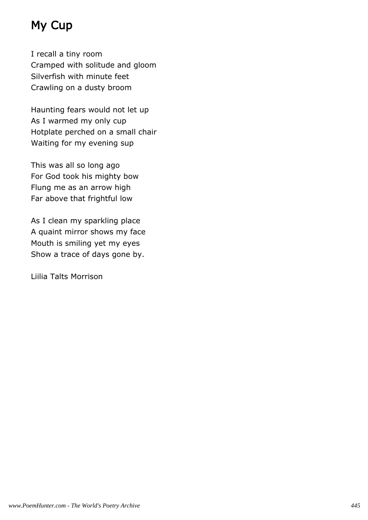# My Cup

I recall a tiny room Cramped with solitude and gloom Silverfish with minute feet Crawling on a dusty broom

Haunting fears would not let up As I warmed my only cup Hotplate perched on a small chair Waiting for my evening sup

This was all so long ago For God took his mighty bow Flung me as an arrow high Far above that frightful low

As I clean my sparkling place A quaint mirror shows my face Mouth is smiling yet my eyes Show a trace of days gone by.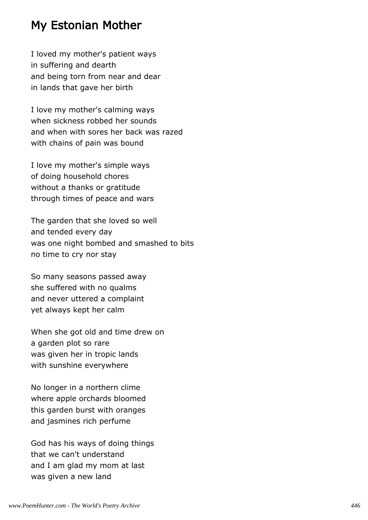## My Estonian Mother

I loved my mother's patient ways in suffering and dearth and being torn from near and dear in lands that gave her birth

I love my mother's calming ways when sickness robbed her sounds and when with sores her back was razed with chains of pain was bound

I love my mother's simple ways of doing household chores without a thanks or gratitude through times of peace and wars

The garden that she loved so well and tended every day was one night bombed and smashed to bits no time to cry nor stay

So many seasons passed away she suffered with no qualms and never uttered a complaint yet always kept her calm

When she got old and time drew on a garden plot so rare was given her in tropic lands with sunshine everywhere

No longer in a northern clime where apple orchards bloomed this garden burst with oranges and jasmines rich perfume

God has his ways of doing things that we can't understand and I am glad my mom at last was given a new land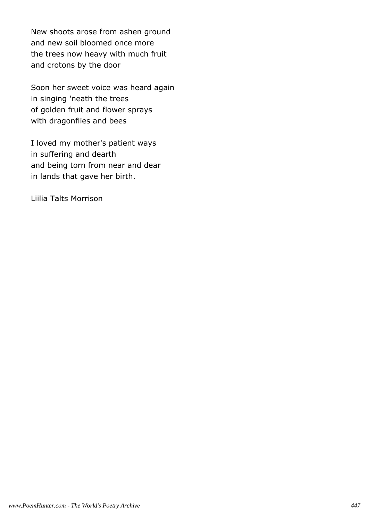New shoots arose from ashen ground and new soil bloomed once more the trees now heavy with much fruit and crotons by the door

Soon her sweet voice was heard again in singing 'neath the trees of golden fruit and flower sprays with dragonflies and bees

I loved my mother's patient ways in suffering and dearth and being torn from near and dear in lands that gave her birth.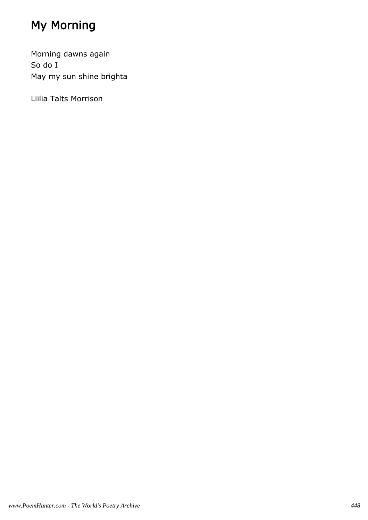# My Morning

Morning dawns again So do I May my sun shine brighta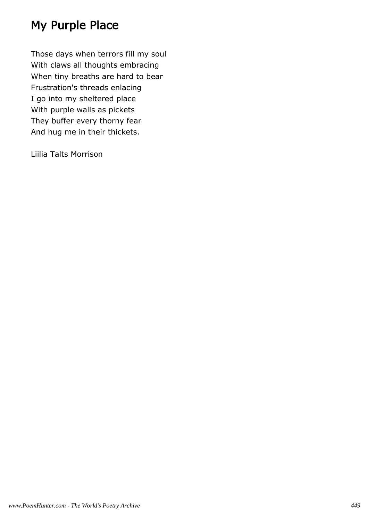# My Purple Place

Those days when terrors fill my soul With claws all thoughts embracing When tiny breaths are hard to bear Frustration's threads enlacing I go into my sheltered place With purple walls as pickets They buffer every thorny fear And hug me in their thickets.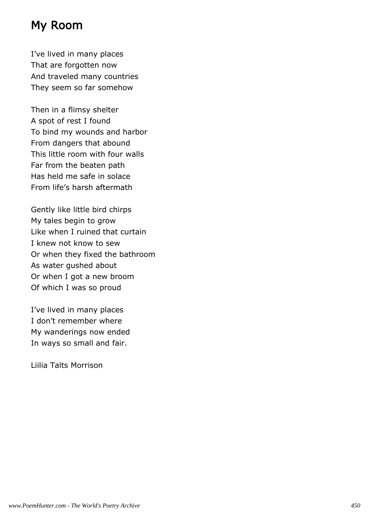# My Room

I've lived in many places That are forgotten now And traveled many countries They seem so far somehow

Then in a flimsy shelter A spot of rest I found To bind my wounds and harbor From dangers that abound This little room with four walls Far from the beaten path Has held me safe in solace From life's harsh aftermath

Gently like little bird chirps My tales begin to grow Like when I ruined that curtain I knew not know to sew Or when they fixed the bathroom As water gushed about Or when I got a new broom Of which I was so proud

I've lived in many places I don't remember where My wanderings now ended In ways so small and fair.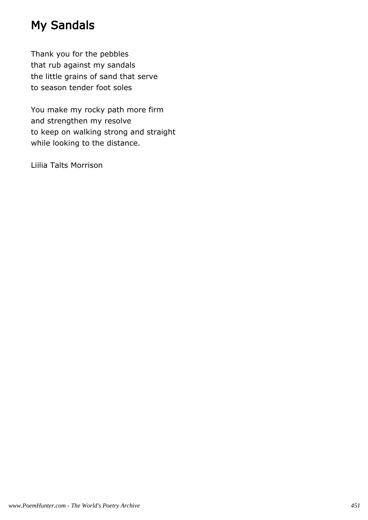# My Sandals

Thank you for the pebbles that rub against my sandals the little grains of sand that serve to season tender foot soles

You make my rocky path more firm and strengthen my resolve to keep on walking strong and straight while looking to the distance.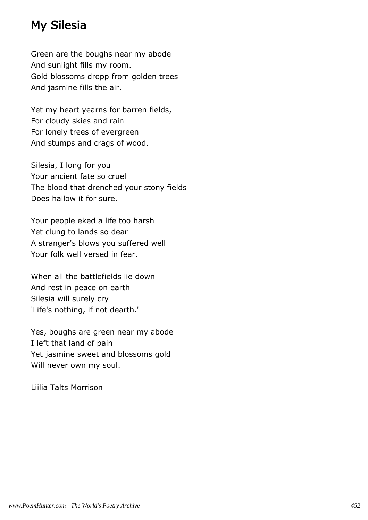## My Silesia

Green are the boughs near my abode And sunlight fills my room. Gold blossoms dropp from golden trees And jasmine fills the air.

Yet my heart yearns for barren fields, For cloudy skies and rain For lonely trees of evergreen And stumps and crags of wood.

Silesia, I long for you Your ancient fate so cruel The blood that drenched your stony fields Does hallow it for sure.

Your people eked a life too harsh Yet clung to lands so dear A stranger's blows you suffered well Your folk well versed in fear.

When all the battlefields lie down And rest in peace on earth Silesia will surely cry 'Life's nothing, if not dearth.'

Yes, boughs are green near my abode I left that land of pain Yet jasmine sweet and blossoms gold Will never own my soul.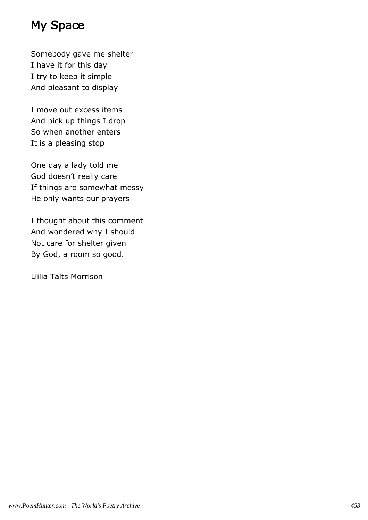# My Space

Somebody gave me shelter I have it for this day I try to keep it simple And pleasant to display

I move out excess items And pick up things I drop So when another enters It is a pleasing stop

One day a lady told me God doesn't really care If things are somewhat messy He only wants our prayers

I thought about this comment And wondered why I should Not care for shelter given By God, a room so good.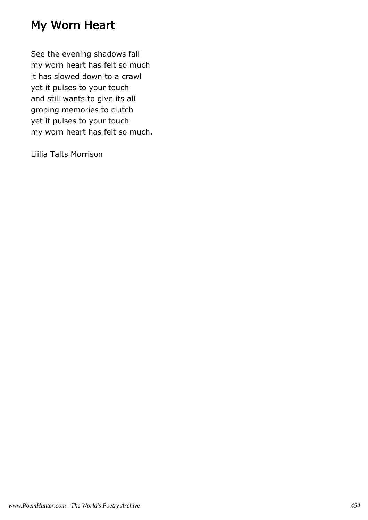## My Worn Heart

See the evening shadows fall my worn heart has felt so much it has slowed down to a crawl yet it pulses to your touch and still wants to give its all groping memories to clutch yet it pulses to your touch my worn heart has felt so much.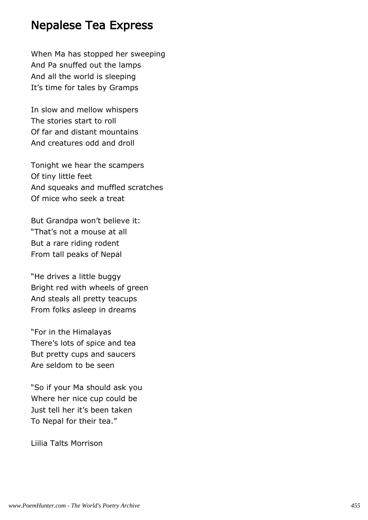### Nepalese Tea Express

When Ma has stopped her sweeping And Pa snuffed out the lamps And all the world is sleeping It's time for tales by Gramps

In slow and mellow whispers The stories start to roll Of far and distant mountains And creatures odd and droll

Tonight we hear the scampers Of tiny little feet And squeaks and muffled scratches Of mice who seek a treat

But Grandpa won't believe it: "That's not a mouse at all But a rare riding rodent From tall peaks of Nepal

"He drives a little buggy Bright red with wheels of green And steals all pretty teacups From folks asleep in dreams

"For in the Himalayas There's lots of spice and tea But pretty cups and saucers Are seldom to be seen

"So if your Ma should ask you Where her nice cup could be Just tell her it's been taken To Nepal for their tea."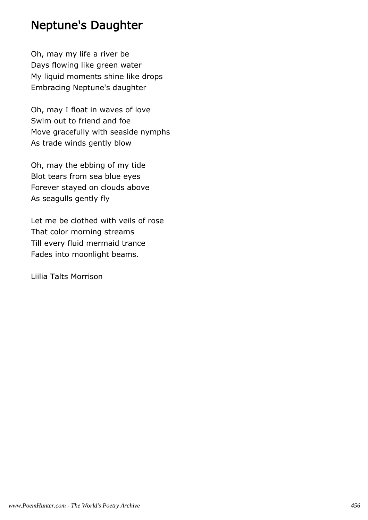## Neptune's Daughter

Oh, may my life a river be Days flowing like green water My liquid moments shine like drops Embracing Neptune's daughter

Oh, may I float in waves of love Swim out to friend and foe Move gracefully with seaside nymphs As trade winds gently blow

Oh, may the ebbing of my tide Blot tears from sea blue eyes Forever stayed on clouds above As seagulls gently fly

Let me be clothed with veils of rose That color morning streams Till every fluid mermaid trance Fades into moonlight beams.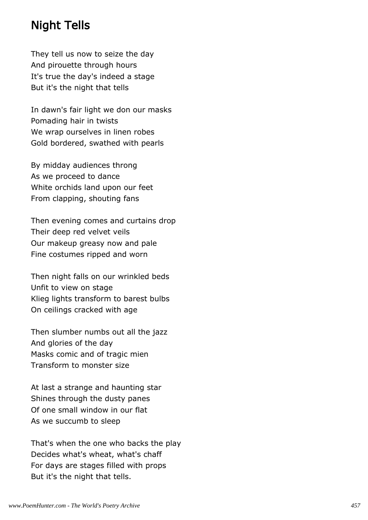## Night Tells

They tell us now to seize the day And pirouette through hours It's true the day's indeed a stage But it's the night that tells

In dawn's fair light we don our masks Pomading hair in twists We wrap ourselves in linen robes Gold bordered, swathed with pearls

By midday audiences throng As we proceed to dance White orchids land upon our feet From clapping, shouting fans

Then evening comes and curtains drop Their deep red velvet veils Our makeup greasy now and pale Fine costumes ripped and worn

Then night falls on our wrinkled beds Unfit to view on stage Klieg lights transform to barest bulbs On ceilings cracked with age

Then slumber numbs out all the jazz And glories of the day Masks comic and of tragic mien Transform to monster size

At last a strange and haunting star Shines through the dusty panes Of one small window in our flat As we succumb to sleep

That's when the one who backs the play Decides what's wheat, what's chaff For days are stages filled with props But it's the night that tells.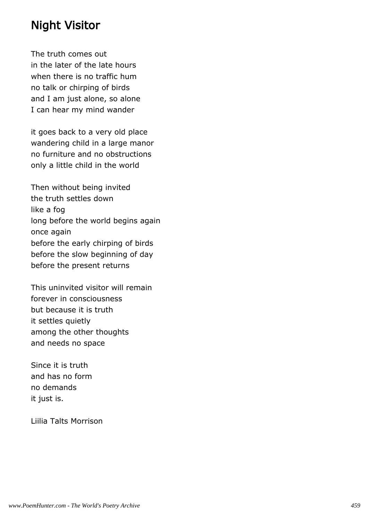### Night Visitor

The truth comes out in the later of the late hours when there is no traffic hum no talk or chirping of birds and I am just alone, so alone I can hear my mind wander

it goes back to a very old place wandering child in a large manor no furniture and no obstructions only a little child in the world

Then without being invited the truth settles down like a fog long before the world begins again once again before the early chirping of birds before the slow beginning of day before the present returns

This uninvited visitor will remain forever in consciousness but because it is truth it settles quietly among the other thoughts and needs no space

Since it is truth and has no form no demands it just is.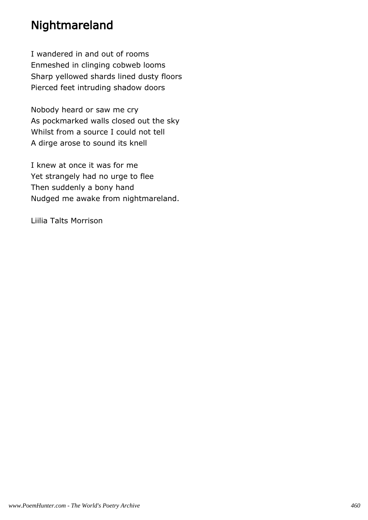## Nightmareland

I wandered in and out of rooms Enmeshed in clinging cobweb looms Sharp yellowed shards lined dusty floors Pierced feet intruding shadow doors

Nobody heard or saw me cry As pockmarked walls closed out the sky Whilst from a source I could not tell A dirge arose to sound its knell

I knew at once it was for me Yet strangely had no urge to flee Then suddenly a bony hand Nudged me awake from nightmareland.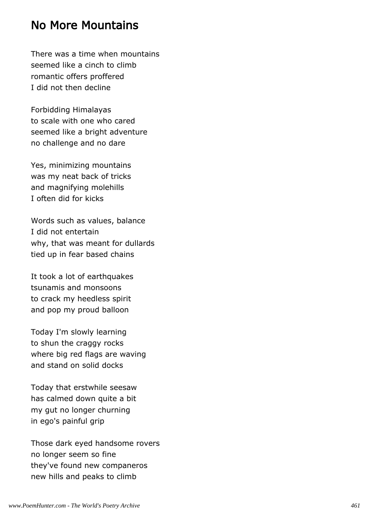### No More Mountains

There was a time when mountains seemed like a cinch to climb romantic offers proffered I did not then decline

Forbidding Himalayas to scale with one who cared seemed like a bright adventure no challenge and no dare

Yes, minimizing mountains was my neat back of tricks and magnifying molehills I often did for kicks

Words such as values, balance I did not entertain why, that was meant for dullards tied up in fear based chains

It took a lot of earthquakes tsunamis and monsoons to crack my heedless spirit and pop my proud balloon

Today I'm slowly learning to shun the craggy rocks where big red flags are waving and stand on solid docks

Today that erstwhile seesaw has calmed down quite a bit my gut no longer churning in ego's painful grip

Those dark eyed handsome rovers no longer seem so fine they've found new companeros new hills and peaks to climb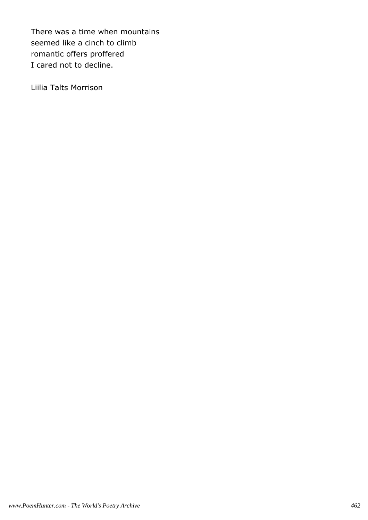There was a time when mountains seemed like a cinch to climb romantic offers proffered I cared not to decline.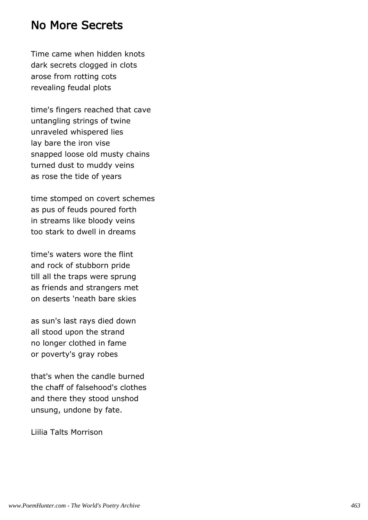#### No More Secrets

Time came when hidden knots dark secrets clogged in clots arose from rotting cots revealing feudal plots

time's fingers reached that cave untangling strings of twine unraveled whispered lies lay bare the iron vise snapped loose old musty chains turned dust to muddy veins as rose the tide of years

time stomped on covert schemes as pus of feuds poured forth in streams like bloody veins too stark to dwell in dreams

time's waters wore the flint and rock of stubborn pride till all the traps were sprung as friends and strangers met on deserts 'neath bare skies

as sun's last rays died down all stood upon the strand no longer clothed in fame or poverty's gray robes

that's when the candle burned the chaff of falsehood's clothes and there they stood unshod unsung, undone by fate.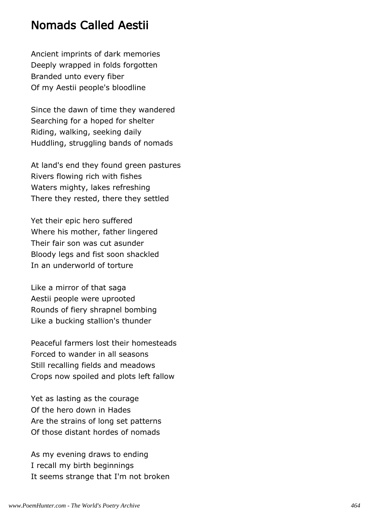### Nomads Called Aestii

Ancient imprints of dark memories Deeply wrapped in folds forgotten Branded unto every fiber Of my Aestii people's bloodline

Since the dawn of time they wandered Searching for a hoped for shelter Riding, walking, seeking daily Huddling, struggling bands of nomads

At land's end they found green pastures Rivers flowing rich with fishes Waters mighty, lakes refreshing There they rested, there they settled

Yet their epic hero suffered Where his mother, father lingered Their fair son was cut asunder Bloody legs and fist soon shackled In an underworld of torture

Like a mirror of that saga Aestii people were uprooted Rounds of fiery shrapnel bombing Like a bucking stallion's thunder

Peaceful farmers lost their homesteads Forced to wander in all seasons Still recalling fields and meadows Crops now spoiled and plots left fallow

Yet as lasting as the courage Of the hero down in Hades Are the strains of long set patterns Of those distant hordes of nomads

As my evening draws to ending I recall my birth beginnings It seems strange that I'm not broken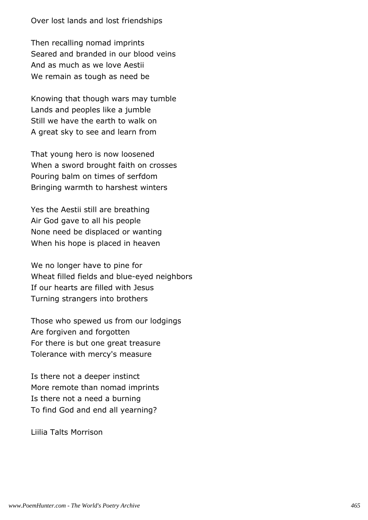Over lost lands and lost friendships

Then recalling nomad imprints Seared and branded in our blood veins And as much as we love Aestii We remain as tough as need be

Knowing that though wars may tumble Lands and peoples like a jumble Still we have the earth to walk on A great sky to see and learn from

That young hero is now loosened When a sword brought faith on crosses Pouring balm on times of serfdom Bringing warmth to harshest winters

Yes the Aestii still are breathing Air God gave to all his people None need be displaced or wanting When his hope is placed in heaven

We no longer have to pine for Wheat filled fields and blue-eyed neighbors If our hearts are filled with Jesus Turning strangers into brothers

Those who spewed us from our lodgings Are forgiven and forgotten For there is but one great treasure Tolerance with mercy's measure

Is there not a deeper instinct More remote than nomad imprints Is there not a need a burning To find God and end all yearning?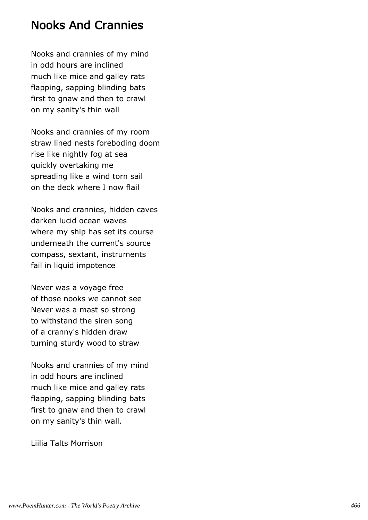### Nooks And Crannies

Nooks and crannies of my mind in odd hours are inclined much like mice and galley rats flapping, sapping blinding bats first to gnaw and then to crawl on my sanity's thin wall

Nooks and crannies of my room straw lined nests foreboding doom rise like nightly fog at sea quickly overtaking me spreading like a wind torn sail on the deck where I now flail

Nooks and crannies, hidden caves darken lucid ocean waves where my ship has set its course underneath the current's source compass, sextant, instruments fail in liquid impotence

Never was a voyage free of those nooks we cannot see Never was a mast so strong to withstand the siren song of a cranny's hidden draw turning sturdy wood to straw

Nooks and crannies of my mind in odd hours are inclined much like mice and galley rats flapping, sapping blinding bats first to gnaw and then to crawl on my sanity's thin wall.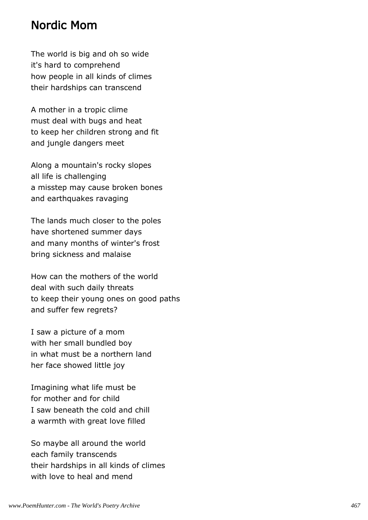### Nordic Mom

The world is big and oh so wide it's hard to comprehend how people in all kinds of climes their hardships can transcend

A mother in a tropic clime must deal with bugs and heat to keep her children strong and fit and jungle dangers meet

Along a mountain's rocky slopes all life is challenging a misstep may cause broken bones and earthquakes ravaging

The lands much closer to the poles have shortened summer days and many months of winter's frost bring sickness and malaise

How can the mothers of the world deal with such daily threats to keep their young ones on good paths and suffer few regrets?

I saw a picture of a mom with her small bundled boy in what must be a northern land her face showed little joy

Imagining what life must be for mother and for child I saw beneath the cold and chill a warmth with great love filled

So maybe all around the world each family transcends their hardships in all kinds of climes with love to heal and mend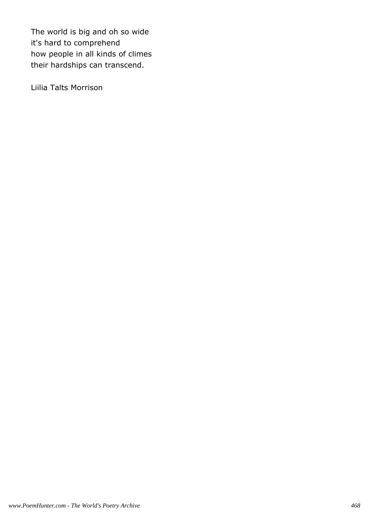The world is big and oh so wide it's hard to comprehend how people in all kinds of climes their hardships can transcend.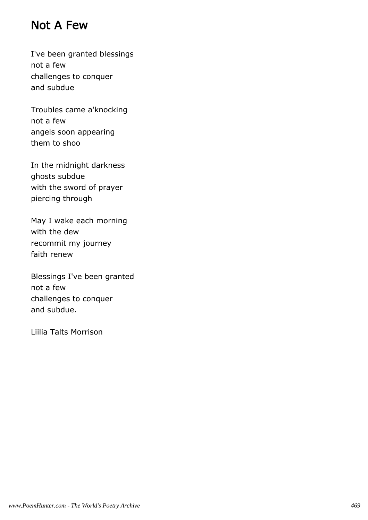#### Not A Few

I've been granted blessings not a few challenges to conquer and subdue

Troubles came a'knocking not a few angels soon appearing them to shoo

In the midnight darkness ghosts subdue with the sword of prayer piercing through

May I wake each morning with the dew recommit my journey faith renew

Blessings I've been granted not a few challenges to conquer and subdue.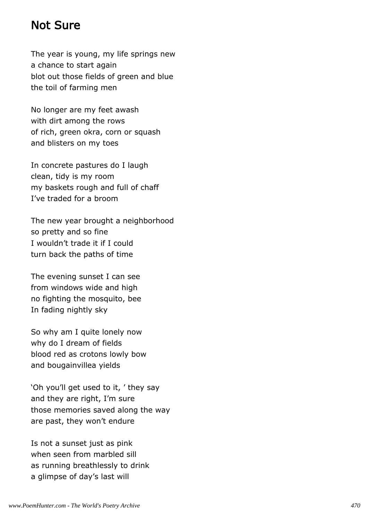#### Not Sure

The year is young, my life springs new a chance to start again blot out those fields of green and blue the toil of farming men

No longer are my feet awash with dirt among the rows of rich, green okra, corn or squash and blisters on my toes

In concrete pastures do I laugh clean, tidy is my room my baskets rough and full of chaff I've traded for a broom

The new year brought a neighborhood so pretty and so fine I wouldn't trade it if I could turn back the paths of time

The evening sunset I can see from windows wide and high no fighting the mosquito, bee In fading nightly sky

So why am I quite lonely now why do I dream of fields blood red as crotons lowly bow and bougainvillea yields

'Oh you'll get used to it, ' they say and they are right, I'm sure those memories saved along the way are past, they won't endure

Is not a sunset just as pink when seen from marbled sill as running breathlessly to drink a glimpse of day's last will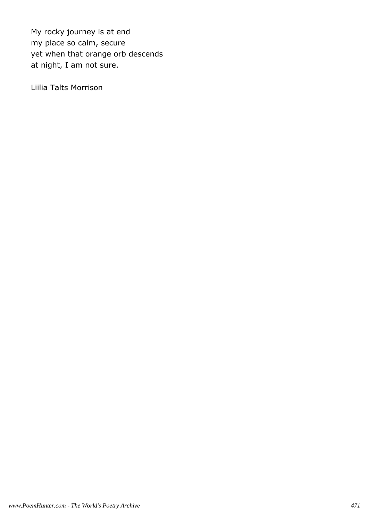My rocky journey is at end my place so calm, secure yet when that orange orb descends at night, I am not sure.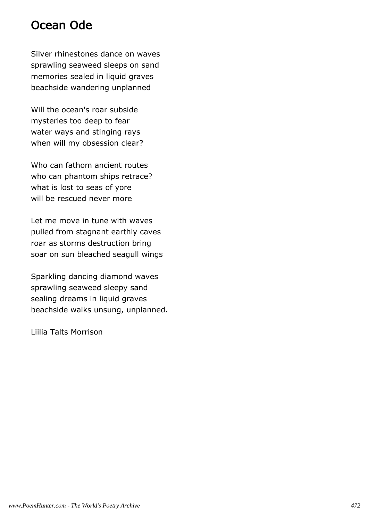### Ocean Ode

Silver rhinestones dance on waves sprawling seaweed sleeps on sand memories sealed in liquid graves beachside wandering unplanned

Will the ocean's roar subside mysteries too deep to fear water ways and stinging rays when will my obsession clear?

Who can fathom ancient routes who can phantom ships retrace? what is lost to seas of yore will be rescued never more

Let me move in tune with waves pulled from stagnant earthly caves roar as storms destruction bring soar on sun bleached seagull wings

Sparkling dancing diamond waves sprawling seaweed sleepy sand sealing dreams in liquid graves beachside walks unsung, unplanned.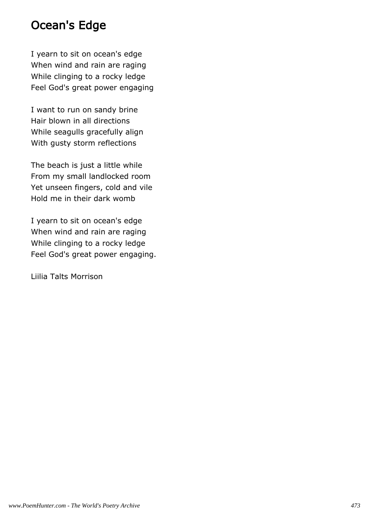### Ocean's Edge

I yearn to sit on ocean's edge When wind and rain are raging While clinging to a rocky ledge Feel God's great power engaging

I want to run on sandy brine Hair blown in all directions While seagulls gracefully align With gusty storm reflections

The beach is just a little while From my small landlocked room Yet unseen fingers, cold and vile Hold me in their dark womb

I yearn to sit on ocean's edge When wind and rain are raging While clinging to a rocky ledge Feel God's great power engaging.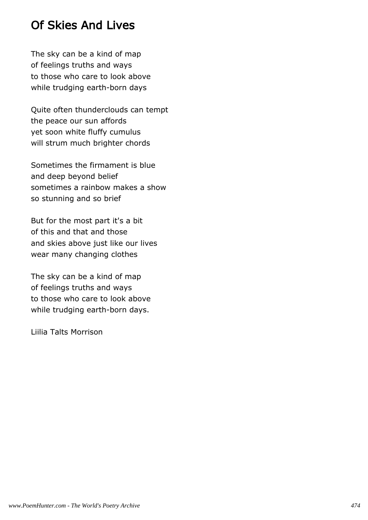# Of Skies And Lives

The sky can be a kind of map of feelings truths and ways to those who care to look above while trudging earth-born days

Quite often thunderclouds can tempt the peace our sun affords yet soon white fluffy cumulus will strum much brighter chords

Sometimes the firmament is blue and deep beyond belief sometimes a rainbow makes a show so stunning and so brief

But for the most part it's a bit of this and that and those and skies above just like our lives wear many changing clothes

The sky can be a kind of map of feelings truths and ways to those who care to look above while trudging earth-born days.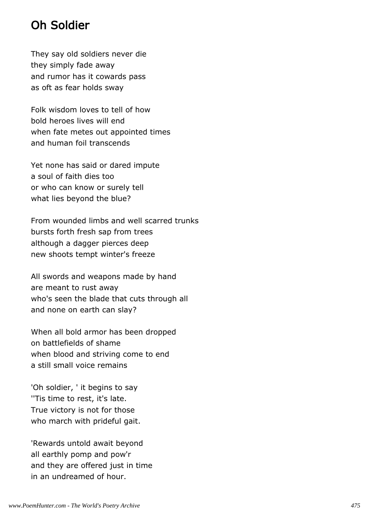# Oh Soldier

They say old soldiers never die they simply fade away and rumor has it cowards pass as oft as fear holds sway

Folk wisdom loves to tell of how bold heroes lives will end when fate metes out appointed times and human foil transcends

Yet none has said or dared impute a soul of faith dies too or who can know or surely tell what lies beyond the blue?

From wounded limbs and well scarred trunks bursts forth fresh sap from trees although a dagger pierces deep new shoots tempt winter's freeze

All swords and weapons made by hand are meant to rust away who's seen the blade that cuts through all and none on earth can slay?

When all bold armor has been dropped on battlefields of shame when blood and striving come to end a still small voice remains

'Oh soldier, ' it begins to say ''Tis time to rest, it's late. True victory is not for those who march with prideful gait.

'Rewards untold await beyond all earthly pomp and pow'r and they are offered just in time in an undreamed of hour.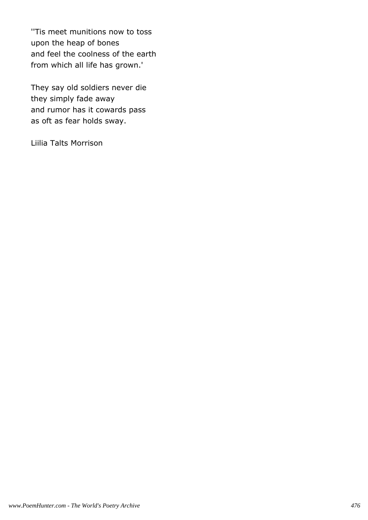''Tis meet munitions now to toss upon the heap of bones and feel the coolness of the earth from which all life has grown.'

They say old soldiers never die they simply fade away and rumor has it cowards pass as oft as fear holds sway.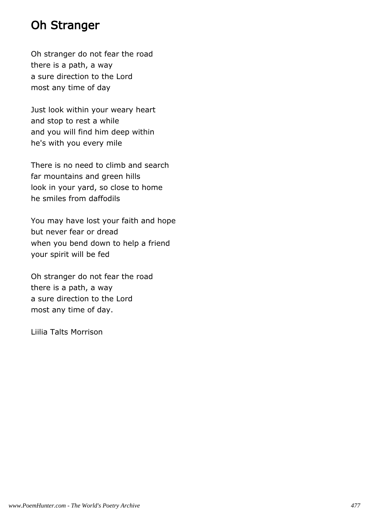# Oh Stranger

Oh stranger do not fear the road there is a path, a way a sure direction to the Lord most any time of day

Just look within your weary heart and stop to rest a while and you will find him deep within he's with you every mile

There is no need to climb and search far mountains and green hills look in your yard, so close to home he smiles from daffodils

You may have lost your faith and hope but never fear or dread when you bend down to help a friend your spirit will be fed

Oh stranger do not fear the road there is a path, a way a sure direction to the Lord most any time of day.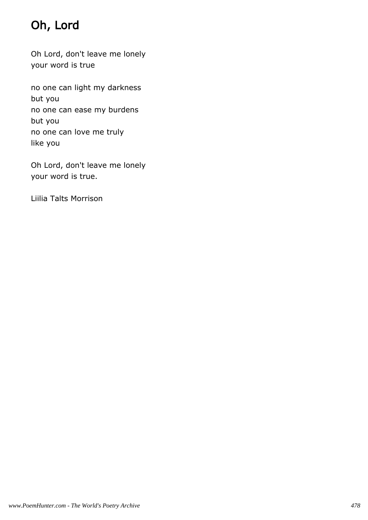# Oh, Lord

Oh Lord, don't leave me lonely your word is true

no one can light my darkness but you no one can ease my burdens but you no one can love me truly like you

Oh Lord, don't leave me lonely your word is true.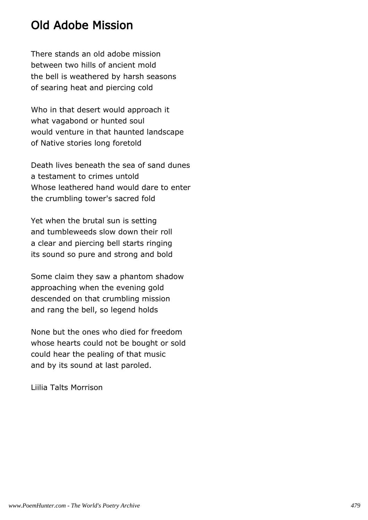### Old Adobe Mission

There stands an old adobe mission between two hills of ancient mold the bell is weathered by harsh seasons of searing heat and piercing cold

Who in that desert would approach it what vagabond or hunted soul would venture in that haunted landscape of Native stories long foretold

Death lives beneath the sea of sand dunes a testament to crimes untold Whose leathered hand would dare to enter the crumbling tower's sacred fold

Yet when the brutal sun is setting and tumbleweeds slow down their roll a clear and piercing bell starts ringing its sound so pure and strong and bold

Some claim they saw a phantom shadow approaching when the evening gold descended on that crumbling mission and rang the bell, so legend holds

None but the ones who died for freedom whose hearts could not be bought or sold could hear the pealing of that music and by its sound at last paroled.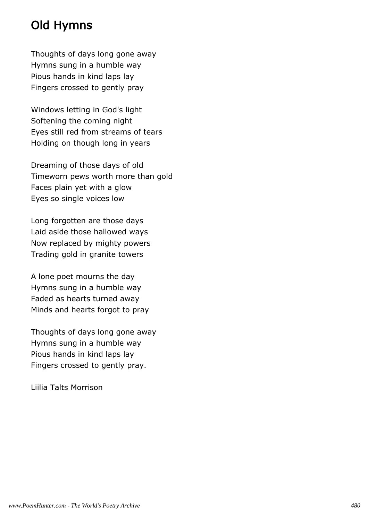# Old Hymns

Thoughts of days long gone away Hymns sung in a humble way Pious hands in kind laps lay Fingers crossed to gently pray

Windows letting in God's light Softening the coming night Eyes still red from streams of tears Holding on though long in years

Dreaming of those days of old Timeworn pews worth more than gold Faces plain yet with a glow Eyes so single voices low

Long forgotten are those days Laid aside those hallowed ways Now replaced by mighty powers Trading gold in granite towers

A lone poet mourns the day Hymns sung in a humble way Faded as hearts turned away Minds and hearts forgot to pray

Thoughts of days long gone away Hymns sung in a humble way Pious hands in kind laps lay Fingers crossed to gently pray.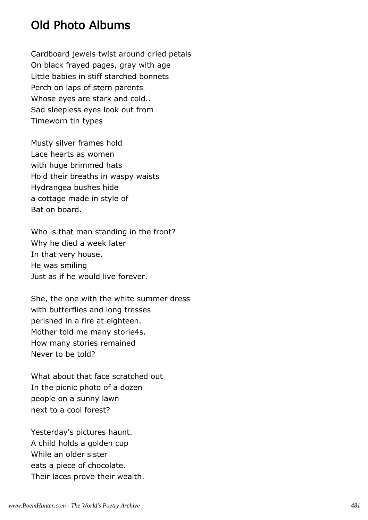# Old Photo Albums

Cardboard jewels twist around dried petals On black frayed pages, gray with age Little babies in stiff starched bonnets Perch on laps of stern parents Whose eyes are stark and cold.. Sad sleepless eyes look out from Timeworn tin types

Musty silver frames hold Lace hearts as women with huge brimmed hats Hold their breaths in waspy waists Hydrangea bushes hide a cottage made in style of Bat on board.

Who is that man standing in the front? Why he died a week later In that very house. He was smiling Just as if he would live forever.

She, the one with the white summer dress with butterflies and long tresses perished in a fire at eighteen. Mother told me many storie4s. How many stories remained Never to be told?

What about that face scratched out In the picnic photo of a dozen people on a sunny lawn next to a cool forest?

Yesterday's pictures haunt. A child holds a golden cup While an older sister eats a piece of chocolate. Their laces prove their wealth.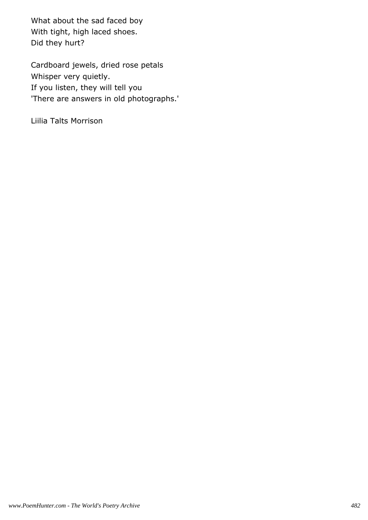What about the sad faced boy With tight, high laced shoes. Did they hurt?

Cardboard jewels, dried rose petals Whisper very quietly. If you listen, they will tell you 'There are answers in old photographs.'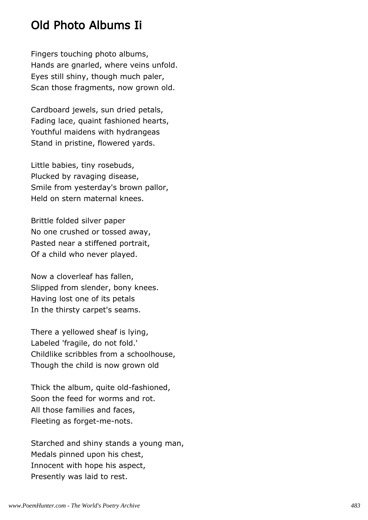## Old Photo Albums Ii

Fingers touching photo albums, Hands are gnarled, where veins unfold. Eyes still shiny, though much paler, Scan those fragments, now grown old.

Cardboard jewels, sun dried petals, Fading lace, quaint fashioned hearts, Youthful maidens with hydrangeas Stand in pristine, flowered yards.

Little babies, tiny rosebuds, Plucked by ravaging disease, Smile from yesterday's brown pallor, Held on stern maternal knees.

Brittle folded silver paper No one crushed or tossed away, Pasted near a stiffened portrait, Of a child who never played.

Now a cloverleaf has fallen, Slipped from slender, bony knees. Having lost one of its petals In the thirsty carpet's seams.

There a yellowed sheaf is lying, Labeled 'fragile, do not fold.' Childlike scribbles from a schoolhouse, Though the child is now grown old

Thick the album, quite old-fashioned, Soon the feed for worms and rot. All those families and faces, Fleeting as forget-me-nots.

Starched and shiny stands a young man, Medals pinned upon his chest, Innocent with hope his aspect, Presently was laid to rest.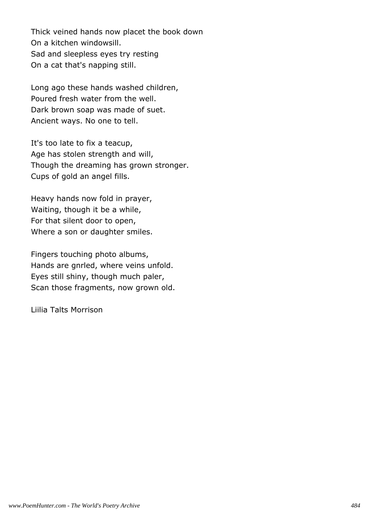Thick veined hands now placet the book down On a kitchen windowsill. Sad and sleepless eyes try resting On a cat that's napping still.

Long ago these hands washed children, Poured fresh water from the well. Dark brown soap was made of suet. Ancient ways. No one to tell.

It's too late to fix a teacup, Age has stolen strength and will, Though the dreaming has grown stronger. Cups of gold an angel fills.

Heavy hands now fold in prayer, Waiting, though it be a while, For that silent door to open, Where a son or daughter smiles.

Fingers touching photo albums, Hands are gnrled, where veins unfold. Eyes still shiny, though much paler, Scan those fragments, now grown old.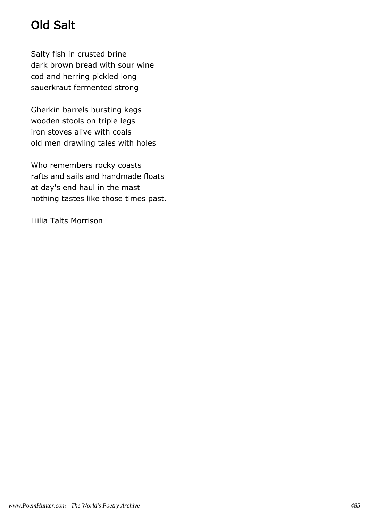# Old Salt

Salty fish in crusted brine dark brown bread with sour wine cod and herring pickled long sauerkraut fermented strong

Gherkin barrels bursting kegs wooden stools on triple legs iron stoves alive with coals old men drawling tales with holes

Who remembers rocky coasts rafts and sails and handmade floats at day's end haul in the mast nothing tastes like those times past.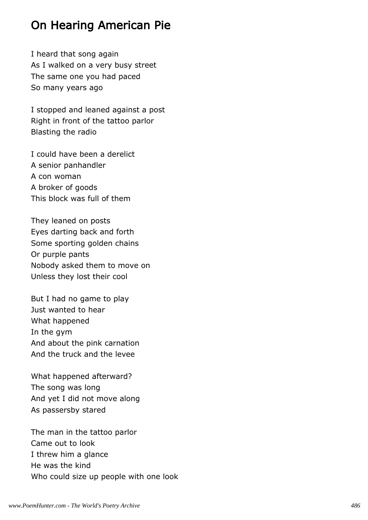# On Hearing American Pie

I heard that song again As I walked on a very busy street The same one you had paced So many years ago

I stopped and leaned against a post Right in front of the tattoo parlor Blasting the radio

I could have been a derelict A senior panhandler A con woman A broker of goods This block was full of them

They leaned on posts Eyes darting back and forth Some sporting golden chains Or purple pants Nobody asked them to move on Unless they lost their cool

But I had no game to play Just wanted to hear What happened In the gym And about the pink carnation And the truck and the levee

What happened afterward? The song was long And yet I did not move along As passersby stared

The man in the tattoo parlor Came out to look I threw him a glance He was the kind Who could size up people with one look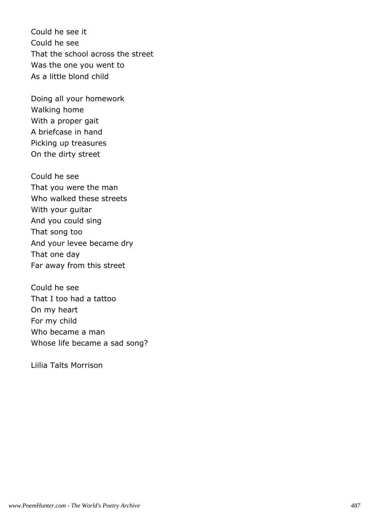Could he see it Could he see That the school across the street Was the one you went to As a little blond child

Doing all your homework Walking home With a proper gait A briefcase in hand Picking up treasures On the dirty street

Could he see That you were the man Who walked these streets With your guitar And you could sing That song too And your levee became dry That one day Far away from this street

Could he see That I too had a tattoo On my heart For my child Who became a man Whose life became a sad song?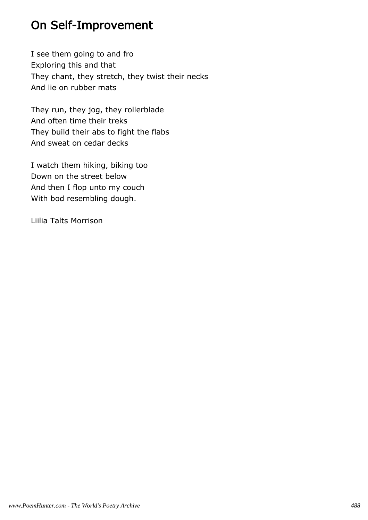# On Self-Improvement

I see them going to and fro Exploring this and that They chant, they stretch, they twist their necks And lie on rubber mats

They run, they jog, they rollerblade And often time their treks They build their abs to fight the flabs And sweat on cedar decks

I watch them hiking, biking too Down on the street below And then I flop unto my couch With bod resembling dough.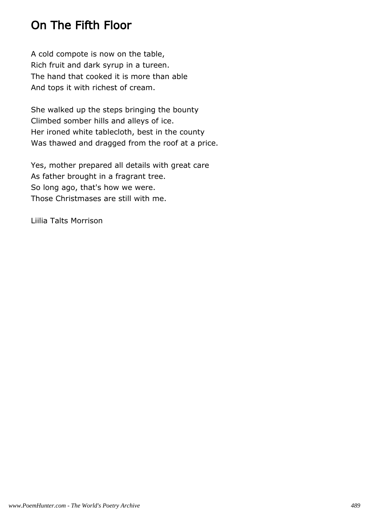# On The Fifth Floor

A cold compote is now on the table, Rich fruit and dark syrup in a tureen. The hand that cooked it is more than able And tops it with richest of cream.

She walked up the steps bringing the bounty Climbed somber hills and alleys of ice. Her ironed white tablecloth, best in the county Was thawed and dragged from the roof at a price.

Yes, mother prepared all details with great care As father brought in a fragrant tree. So long ago, that's how we were. Those Christmases are still with me.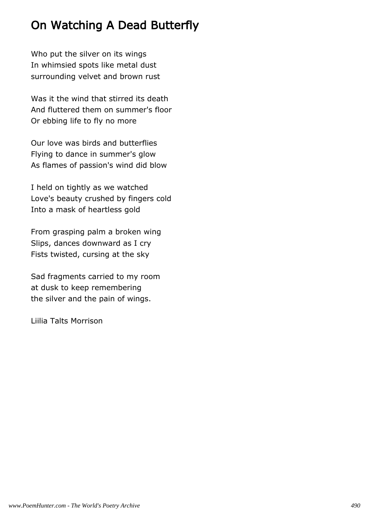# On Watching A Dead Butterfly

Who put the silver on its wings In whimsied spots like metal dust surrounding velvet and brown rust

Was it the wind that stirred its death And fluttered them on summer's floor Or ebbing life to fly no more

Our love was birds and butterflies Flying to dance in summer's glow As flames of passion's wind did blow

I held on tightly as we watched Love's beauty crushed by fingers cold Into a mask of heartless gold

From grasping palm a broken wing Slips, dances downward as I cry Fists twisted, cursing at the sky

Sad fragments carried to my room at dusk to keep remembering the silver and the pain of wings.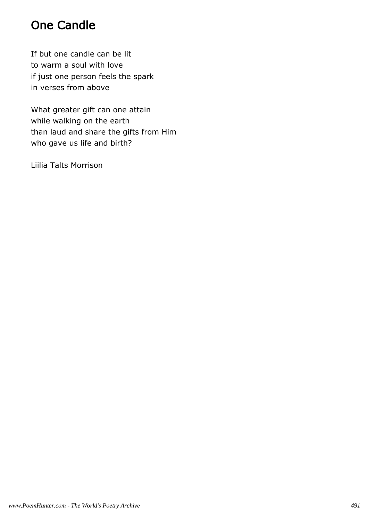# One Candle

If but one candle can be lit to warm a soul with love if just one person feels the spark in verses from above

What greater gift can one attain while walking on the earth than laud and share the gifts from Him who gave us life and birth?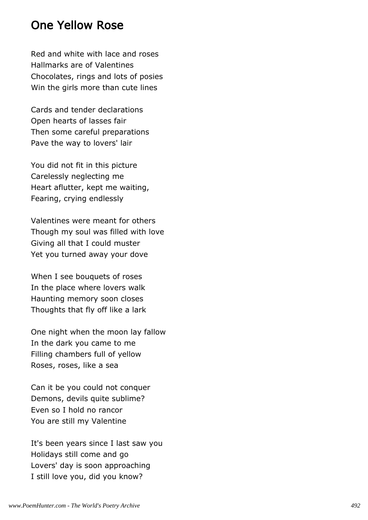#### One Yellow Rose

Red and white with lace and roses Hallmarks are of Valentines Chocolates, rings and lots of posies Win the girls more than cute lines

Cards and tender declarations Open hearts of lasses fair Then some careful preparations Pave the way to lovers' lair

You did not fit in this picture Carelessly neglecting me Heart aflutter, kept me waiting, Fearing, crying endlessly

Valentines were meant for others Though my soul was filled with love Giving all that I could muster Yet you turned away your dove

When I see bouquets of roses In the place where lovers walk Haunting memory soon closes Thoughts that fly off like a lark

One night when the moon lay fallow In the dark you came to me Filling chambers full of yellow Roses, roses, like a sea

Can it be you could not conquer Demons, devils quite sublime? Even so I hold no rancor You are still my Valentine

It's been years since I last saw you Holidays still come and go Lovers' day is soon approaching I still love you, did you know?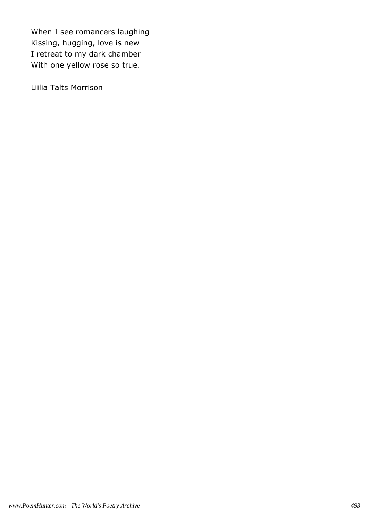When I see romancers laughing Kissing, hugging, love is new I retreat to my dark chamber With one yellow rose so true.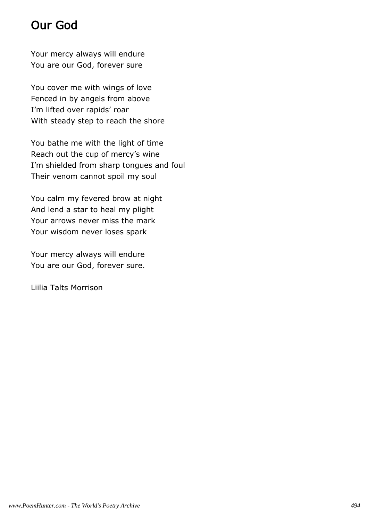# Our God

Your mercy always will endure You are our God, forever sure

You cover me with wings of love Fenced in by angels from above I'm lifted over rapids' roar With steady step to reach the shore

You bathe me with the light of time Reach out the cup of mercy's wine I'm shielded from sharp tongues and foul Their venom cannot spoil my soul

You calm my fevered brow at night And lend a star to heal my plight Your arrows never miss the mark Your wisdom never loses spark

Your mercy always will endure You are our God, forever sure.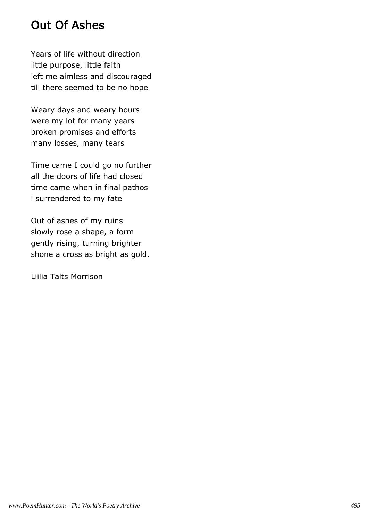### Out Of Ashes

Years of life without direction little purpose, little faith left me aimless and discouraged till there seemed to be no hope

Weary days and weary hours were my lot for many years broken promises and efforts many losses, many tears

Time came I could go no further all the doors of life had closed time came when in final pathos i surrendered to my fate

Out of ashes of my ruins slowly rose a shape, a form gently rising, turning brighter shone a cross as bright as gold.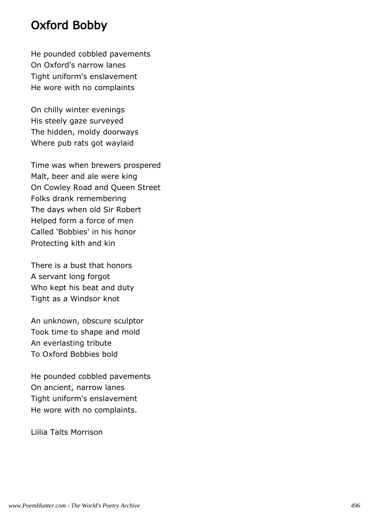# Oxford Bobby

He pounded cobbled pavements On Oxford's narrow lanes Tight uniform's enslavement He wore with no complaints

On chilly winter evenings His steely gaze surveyed The hidden, moldy doorways Where pub rats got waylaid

Time was when brewers prospered Malt, beer and ale were king On Cowley Road and Queen Street Folks drank remembering The days when old Sir Robert Helped form a force of men Called 'Bobbies' in his honor Protecting kith and kin

There is a bust that honors A servant long forgot Who kept his beat and duty Tight as a Windsor knot

An unknown, obscure sculptor Took time to shape and mold An everlasting tribute To Oxford Bobbies bold

He pounded cobbled pavements On ancient, narrow lanes Tight uniform's enslavement He wore with no complaints.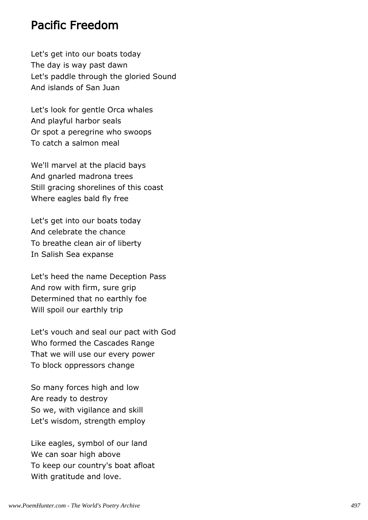#### Pacific Freedom

Let's get into our boats today The day is way past dawn Let's paddle through the gloried Sound And islands of San Juan

Let's look for gentle Orca whales And playful harbor seals Or spot a peregrine who swoops To catch a salmon meal

We'll marvel at the placid bays And gnarled madrona trees Still gracing shorelines of this coast Where eagles bald fly free

Let's get into our boats today And celebrate the chance To breathe clean air of liberty In Salish Sea expanse

Let's heed the name Deception Pass And row with firm, sure grip Determined that no earthly foe Will spoil our earthly trip

Let's vouch and seal our pact with God Who formed the Cascades Range That we will use our every power To block oppressors change

So many forces high and low Are ready to destroy So we, with vigilance and skill Let's wisdom, strength employ

Like eagles, symbol of our land We can soar high above To keep our country's boat afloat With gratitude and love.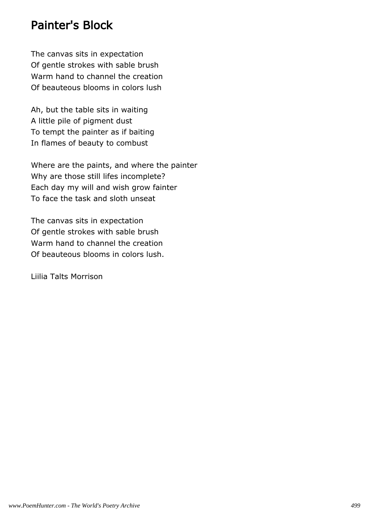#### Painter's Block

The canvas sits in expectation Of gentle strokes with sable brush Warm hand to channel the creation Of beauteous blooms in colors lush

Ah, but the table sits in waiting A little pile of pigment dust To tempt the painter as if baiting In flames of beauty to combust

Where are the paints, and where the painter Why are those still lifes incomplete? Each day my will and wish grow fainter To face the task and sloth unseat

The canvas sits in expectation Of gentle strokes with sable brush Warm hand to channel the creation Of beauteous blooms in colors lush.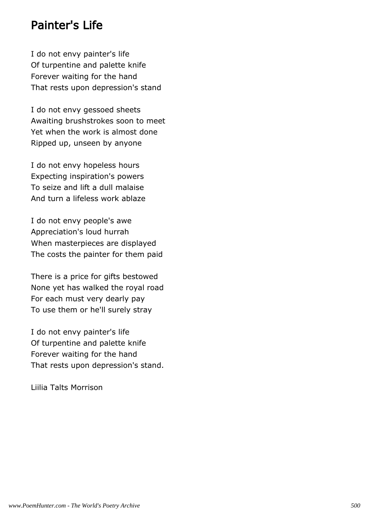#### Painter's Life

I do not envy painter's life Of turpentine and palette knife Forever waiting for the hand That rests upon depression's stand

I do not envy gessoed sheets Awaiting brushstrokes soon to meet Yet when the work is almost done Ripped up, unseen by anyone

I do not envy hopeless hours Expecting inspiration's powers To seize and lift a dull malaise And turn a lifeless work ablaze

I do not envy people's awe Appreciation's loud hurrah When masterpieces are displayed The costs the painter for them paid

There is a price for gifts bestowed None yet has walked the royal road For each must very dearly pay To use them or he'll surely stray

I do not envy painter's life Of turpentine and palette knife Forever waiting for the hand That rests upon depression's stand.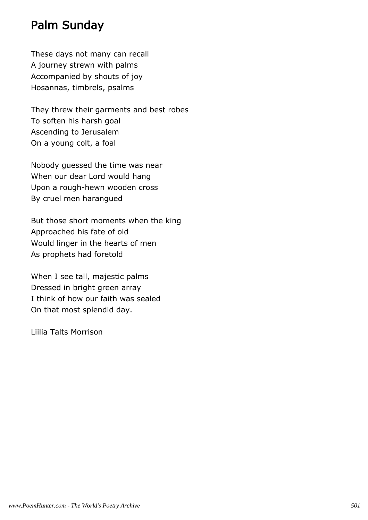# Palm Sunday

These days not many can recall A journey strewn with palms Accompanied by shouts of joy Hosannas, timbrels, psalms

They threw their garments and best robes To soften his harsh goal Ascending to Jerusalem On a young colt, a foal

Nobody guessed the time was near When our dear Lord would hang Upon a rough-hewn wooden cross By cruel men harangued

But those short moments when the king Approached his fate of old Would linger in the hearts of men As prophets had foretold

When I see tall, majestic palms Dressed in bright green array I think of how our faith was sealed On that most splendid day.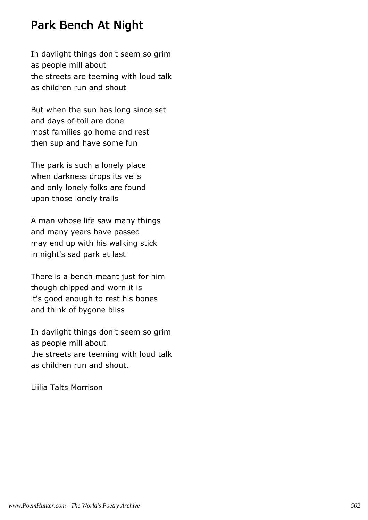#### Park Bench At Night

In daylight things don't seem so grim as people mill about the streets are teeming with loud talk as children run and shout

But when the sun has long since set and days of toil are done most families go home and rest then sup and have some fun

The park is such a lonely place when darkness drops its veils and only lonely folks are found upon those lonely trails

A man whose life saw many things and many years have passed may end up with his walking stick in night's sad park at last

There is a bench meant just for him though chipped and worn it is it's good enough to rest his bones and think of bygone bliss

In daylight things don't seem so grim as people mill about the streets are teeming with loud talk as children run and shout.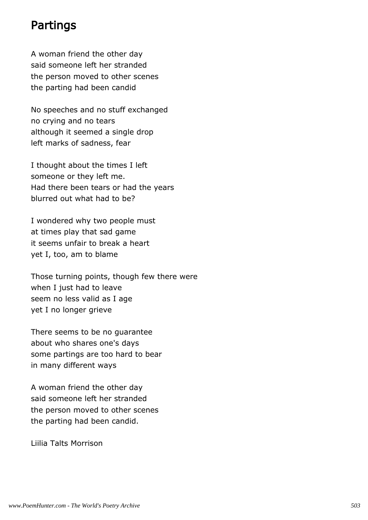### Partings

A woman friend the other day said someone left her stranded the person moved to other scenes the parting had been candid

No speeches and no stuff exchanged no crying and no tears although it seemed a single drop left marks of sadness, fear

I thought about the times I left someone or they left me. Had there been tears or had the years blurred out what had to be?

I wondered why two people must at times play that sad game it seems unfair to break a heart yet I, too, am to blame

Those turning points, though few there were when I just had to leave seem no less valid as I age yet I no longer grieve

There seems to be no guarantee about who shares one's days some partings are too hard to bear in many different ways

A woman friend the other day said someone left her stranded the person moved to other scenes the parting had been candid.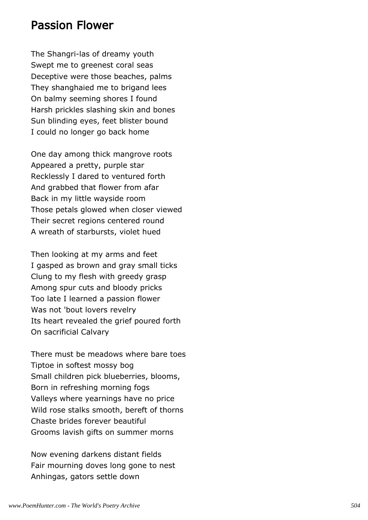#### Passion Flower

The Shangri-las of dreamy youth Swept me to greenest coral seas Deceptive were those beaches, palms They shanghaied me to brigand lees On balmy seeming shores I found Harsh prickles slashing skin and bones Sun blinding eyes, feet blister bound I could no longer go back home

One day among thick mangrove roots Appeared a pretty, purple star Recklessly I dared to ventured forth And grabbed that flower from afar Back in my little wayside room Those petals glowed when closer viewed Their secret regions centered round A wreath of starbursts, violet hued

Then looking at my arms and feet I gasped as brown and gray small ticks Clung to my flesh with greedy grasp Among spur cuts and bloody pricks Too late I learned a passion flower Was not 'bout lovers revelry Its heart revealed the grief poured forth On sacrificial Calvary

There must be meadows where bare toes Tiptoe in softest mossy bog Small children pick blueberries, blooms, Born in refreshing morning fogs Valleys where yearnings have no price Wild rose stalks smooth, bereft of thorns Chaste brides forever beautiful Grooms lavish gifts on summer morns

Now evening darkens distant fields Fair mourning doves long gone to nest Anhingas, gators settle down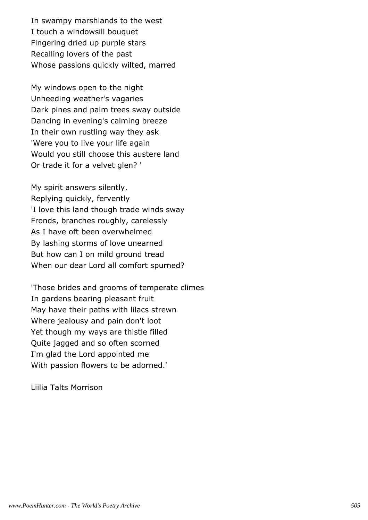In swampy marshlands to the west I touch a windowsill bouquet Fingering dried up purple stars Recalling lovers of the past Whose passions quickly wilted, marred

My windows open to the night Unheeding weather's vagaries Dark pines and palm trees sway outside Dancing in evening's calming breeze In their own rustling way they ask 'Were you to live your life again Would you still choose this austere land Or trade it for a velvet glen? '

My spirit answers silently, Replying quickly, fervently 'I love this land though trade winds sway Fronds, branches roughly, carelessly As I have oft been overwhelmed By lashing storms of love unearned But how can I on mild ground tread When our dear Lord all comfort spurned?

'Those brides and grooms of temperate climes In gardens bearing pleasant fruit May have their paths with lilacs strewn Where jealousy and pain don't loot Yet though my ways are thistle filled Quite jagged and so often scorned I'm glad the Lord appointed me With passion flowers to be adorned.'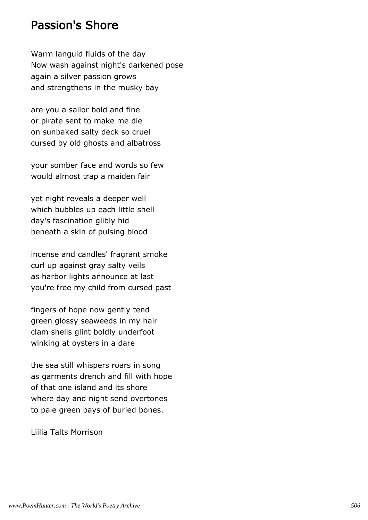#### Passion's Shore

Warm languid fluids of the day Now wash against night's darkened pose again a silver passion grows and strengthens in the musky bay

are you a sailor bold and fine or pirate sent to make me die on sunbaked salty deck so cruel cursed by old ghosts and albatross

your somber face and words so few would almost trap a maiden fair

yet night reveals a deeper well which bubbles up each little shell day's fascination glibly hid beneath a skin of pulsing blood

incense and candles' fragrant smoke curl up against gray salty veils as harbor lights announce at last you're free my child from cursed past

fingers of hope now gently tend green glossy seaweeds in my hair clam shells glint boldly underfoot winking at oysters in a dare

the sea still whispers roars in song as garments drench and fill with hope of that one island and its shore where day and night send overtones to pale green bays of buried bones.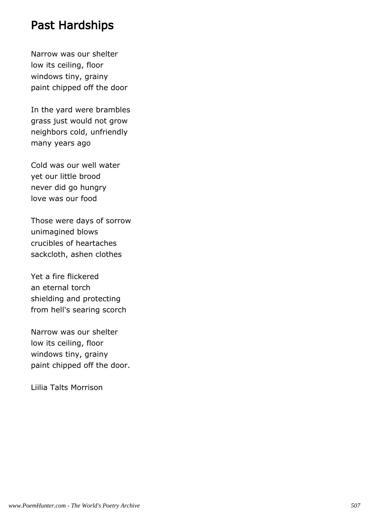#### Past Hardships

Narrow was our shelter low its ceiling, floor windows tiny, grainy paint chipped off the door

In the yard were brambles grass just would not grow neighbors cold, unfriendly many years ago

Cold was our well water yet our little brood never did go hungry love was our food

Those were days of sorrow unimagined blows crucibles of heartaches sackcloth, ashen clothes

Yet a fire flickered an eternal torch shielding and protecting from hell's searing scorch

Narrow was our shelter low its ceiling, floor windows tiny, grainy paint chipped off the door.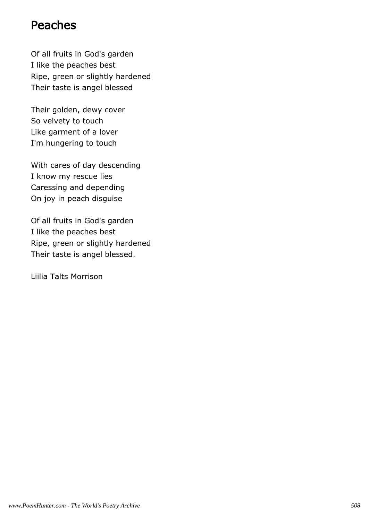#### Peaches

Of all fruits in God's garden I like the peaches best Ripe, green or slightly hardened Their taste is angel blessed

Their golden, dewy cover So velvety to touch Like garment of a lover I'm hungering to touch

With cares of day descending I know my rescue lies Caressing and depending On joy in peach disguise

Of all fruits in God's garden I like the peaches best Ripe, green or slightly hardened Their taste is angel blessed.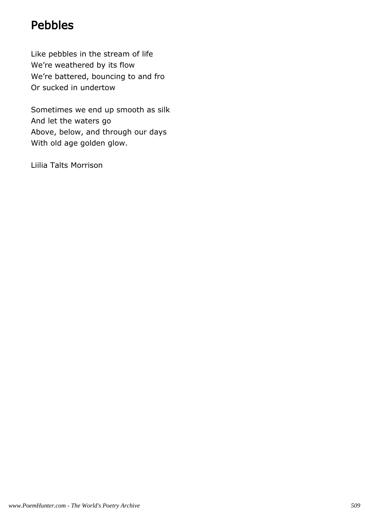# Pebbles

Like pebbles in the stream of life We're weathered by its flow We're battered, bouncing to and fro Or sucked in undertow

Sometimes we end up smooth as silk And let the waters go Above, below, and through our days With old age golden glow.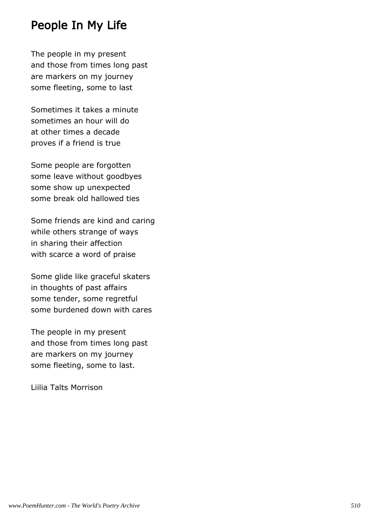### People In My Life

The people in my present and those from times long past are markers on my journey some fleeting, some to last

Sometimes it takes a minute sometimes an hour will do at other times a decade proves if a friend is true

Some people are forgotten some leave without goodbyes some show up unexpected some break old hallowed ties

Some friends are kind and caring while others strange of ways in sharing their affection with scarce a word of praise

Some glide like graceful skaters in thoughts of past affairs some tender, some regretful some burdened down with cares

The people in my present and those from times long past are markers on my journey some fleeting, some to last.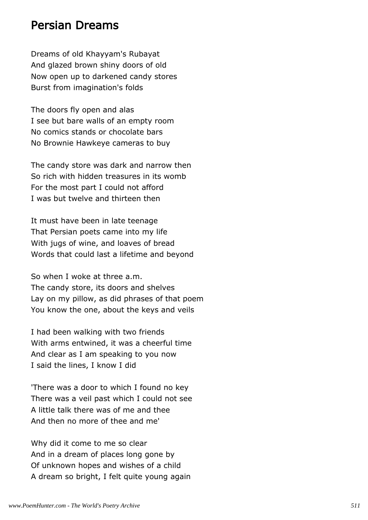#### Persian Dreams

Dreams of old Khayyam's Rubayat And glazed brown shiny doors of old Now open up to darkened candy stores Burst from imagination's folds

The doors fly open and alas I see but bare walls of an empty room No comics stands or chocolate bars No Brownie Hawkeye cameras to buy

The candy store was dark and narrow then So rich with hidden treasures in its womb For the most part I could not afford I was but twelve and thirteen then

It must have been in late teenage That Persian poets came into my life With jugs of wine, and loaves of bread Words that could last a lifetime and beyond

So when I woke at three a.m. The candy store, its doors and shelves Lay on my pillow, as did phrases of that poem You know the one, about the keys and veils

I had been walking with two friends With arms entwined, it was a cheerful time And clear as I am speaking to you now I said the lines, I know I did

'There was a door to which I found no key There was a veil past which I could not see A little talk there was of me and thee And then no more of thee and me'

Why did it come to me so clear And in a dream of places long gone by Of unknown hopes and wishes of a child A dream so bright, I felt quite young again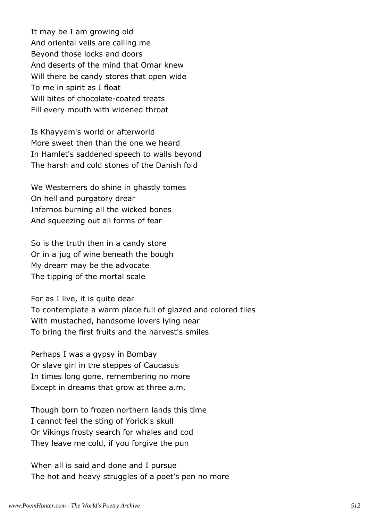It may be I am growing old And oriental veils are calling me Beyond those locks and doors And deserts of the mind that Omar knew Will there be candy stores that open wide To me in spirit as I float Will bites of chocolate-coated treats Fill every mouth with widened throat

Is Khayyam's world or afterworld More sweet then than the one we heard In Hamlet's saddened speech to walls beyond The harsh and cold stones of the Danish fold

We Westerners do shine in ghastly tomes On hell and purgatory drear Infernos burning all the wicked bones And squeezing out all forms of fear

So is the truth then in a candy store Or in a jug of wine beneath the bough My dream may be the advocate The tipping of the mortal scale

For as I live, it is quite dear To contemplate a warm place full of glazed and colored tiles With mustached, handsome lovers lying near To bring the first fruits and the harvest's smiles

Perhaps I was a gypsy in Bombay Or slave girl in the steppes of Caucasus In times long gone, remembering no more Except in dreams that grow at three a.m.

Though born to frozen northern lands this time I cannot feel the sting of Yorick's skull Or Vikings frosty search for whales and cod They leave me cold, if you forgive the pun

When all is said and done and I pursue The hot and heavy struggles of a poet's pen no more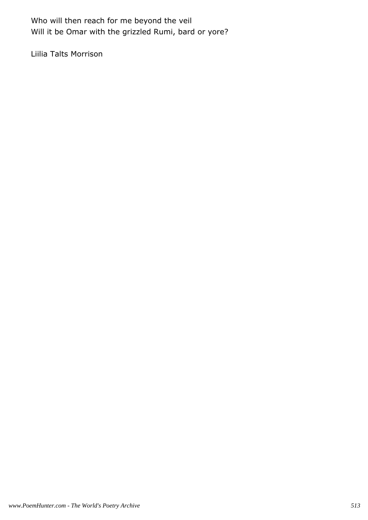Who will then reach for me beyond the veil Will it be Omar with the grizzled Rumi, bard or yore?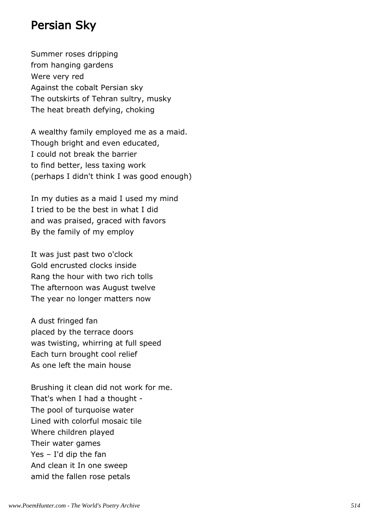#### Persian Sky

Summer roses dripping from hanging gardens Were very red Against the cobalt Persian sky The outskirts of Tehran sultry, musky The heat breath defying, choking

A wealthy family employed me as a maid. Though bright and even educated, I could not break the barrier to find better, less taxing work (perhaps I didn't think I was good enough)

In my duties as a maid I used my mind I tried to be the best in what I did and was praised, graced with favors By the family of my employ

It was just past two o'clock Gold encrusted clocks inside Rang the hour with two rich tolls The afternoon was August twelve The year no longer matters now

A dust fringed fan placed by the terrace doors was twisting, whirring at full speed Each turn brought cool relief As one left the main house

Brushing it clean did not work for me. That's when I had a thought - The pool of turquoise water Lined with colorful mosaic tile Where children played Their water games Yes – I'd dip the fan And clean it In one sweep amid the fallen rose petals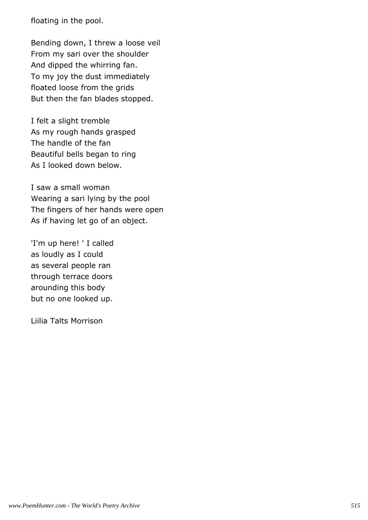floating in the pool.

Bending down, I threw a loose veil From my sari over the shoulder And dipped the whirring fan. To my joy the dust immediately floated loose from the grids But then the fan blades stopped.

I felt a slight tremble As my rough hands grasped The handle of the fan Beautiful bells began to ring As I looked down below.

I saw a small woman Wearing a sari lying by the pool The fingers of her hands were open As if having let go of an object.

'I'm up here! ' I called as loudly as I could as several people ran through terrace doors arounding this body but no one looked up.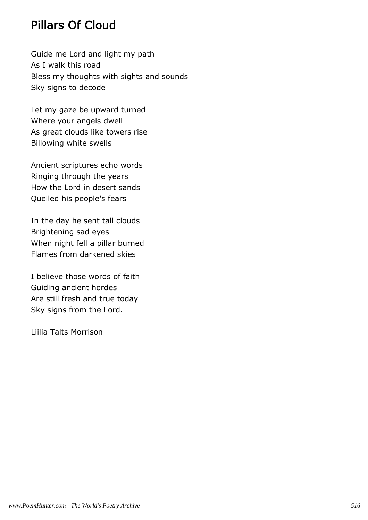# Pillars Of Cloud

Guide me Lord and light my path As I walk this road Bless my thoughts with sights and sounds Sky signs to decode

Let my gaze be upward turned Where your angels dwell As great clouds like towers rise Billowing white swells

Ancient scriptures echo words Ringing through the years How the Lord in desert sands Quelled his people's fears

In the day he sent tall clouds Brightening sad eyes When night fell a pillar burned Flames from darkened skies

I believe those words of faith Guiding ancient hordes Are still fresh and true today Sky signs from the Lord.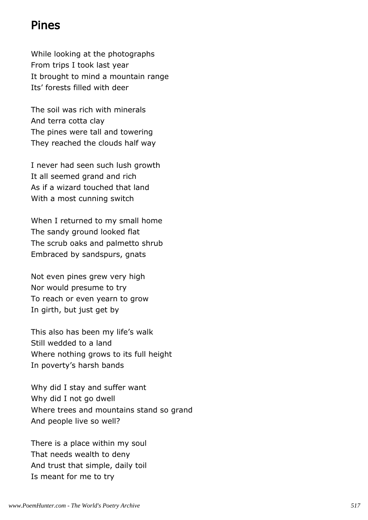#### Pines

While looking at the photographs From trips I took last year It brought to mind a mountain range Its' forests filled with deer

The soil was rich with minerals And terra cotta clay The pines were tall and towering They reached the clouds half way

I never had seen such lush growth It all seemed grand and rich As if a wizard touched that land With a most cunning switch

When I returned to my small home The sandy ground looked flat The scrub oaks and palmetto shrub Embraced by sandspurs, gnats

Not even pines grew very high Nor would presume to try To reach or even yearn to grow In girth, but just get by

This also has been my life's walk Still wedded to a land Where nothing grows to its full height In poverty's harsh bands

Why did I stay and suffer want Why did I not go dwell Where trees and mountains stand so grand And people live so well?

There is a place within my soul That needs wealth to deny And trust that simple, daily toil Is meant for me to try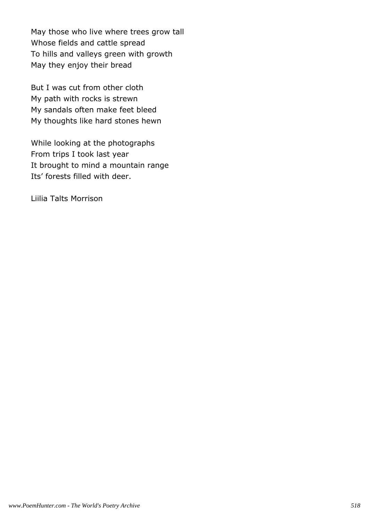May those who live where trees grow tall Whose fields and cattle spread To hills and valleys green with growth May they enjoy their bread

But I was cut from other cloth My path with rocks is strewn My sandals often make feet bleed My thoughts like hard stones hewn

While looking at the photographs From trips I took last year It brought to mind a mountain range Its' forests filled with deer.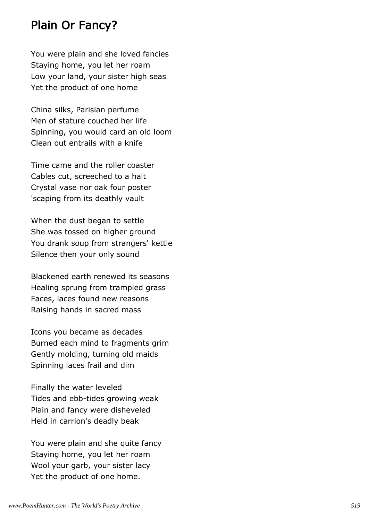#### Plain Or Fancy?

You were plain and she loved fancies Staying home, you let her roam Low your land, your sister high seas Yet the product of one home

China silks, Parisian perfume Men of stature couched her life Spinning, you would card an old loom Clean out entrails with a knife

Time came and the roller coaster Cables cut, screeched to a halt Crystal vase nor oak four poster 'scaping from its deathly vault

When the dust began to settle She was tossed on higher ground You drank soup from strangers' kettle Silence then your only sound

Blackened earth renewed its seasons Healing sprung from trampled grass Faces, laces found new reasons Raising hands in sacred mass

Icons you became as decades Burned each mind to fragments grim Gently molding, turning old maids Spinning laces frail and dim

Finally the water leveled Tides and ebb-tides growing weak Plain and fancy were disheveled Held in carrion's deadly beak

You were plain and she quite fancy Staying home, you let her roam Wool your garb, your sister lacy Yet the product of one home.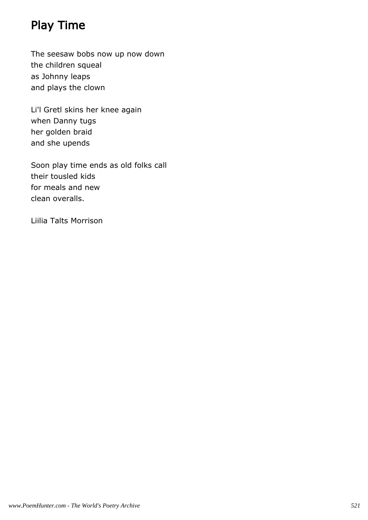# Play Time

The seesaw bobs now up now down the children squeal as Johnny leaps and plays the clown

Li'l Gretl skins her knee again when Danny tugs her golden braid and she upends

Soon play time ends as old folks call their tousled kids for meals and new clean overalls.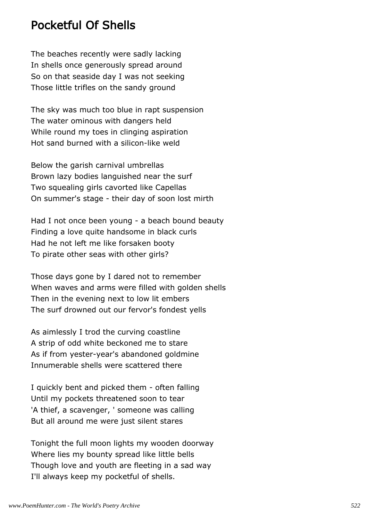#### Pocketful Of Shells

The beaches recently were sadly lacking In shells once generously spread around So on that seaside day I was not seeking Those little trifles on the sandy ground

The sky was much too blue in rapt suspension The water ominous with dangers held While round my toes in clinging aspiration Hot sand burned with a silicon-like weld

Below the garish carnival umbrellas Brown lazy bodies languished near the surf Two squealing girls cavorted like Capellas On summer's stage - their day of soon lost mirth

Had I not once been young - a beach bound beauty Finding a love quite handsome in black curls Had he not left me like forsaken booty To pirate other seas with other girls?

Those days gone by I dared not to remember When waves and arms were filled with golden shells Then in the evening next to low lit embers The surf drowned out our fervor's fondest yells

As aimlessly I trod the curving coastline A strip of odd white beckoned me to stare As if from yester-year's abandoned goldmine Innumerable shells were scattered there

I quickly bent and picked them - often falling Until my pockets threatened soon to tear 'A thief, a scavenger, ' someone was calling But all around me were just silent stares

Tonight the full moon lights my wooden doorway Where lies my bounty spread like little bells Though love and youth are fleeting in a sad way I'll always keep my pocketful of shells.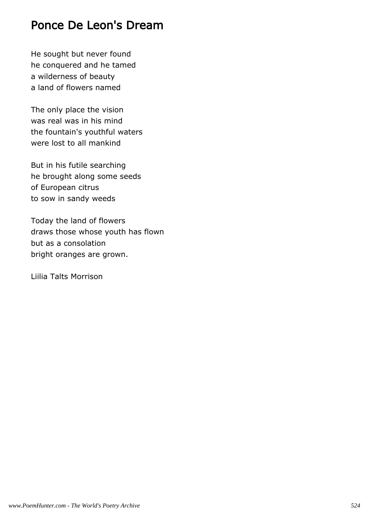#### Ponce De Leon's Dream

He sought but never found he conquered and he tamed a wilderness of beauty a land of flowers named

The only place the vision was real was in his mind the fountain's youthful waters were lost to all mankind

But in his futile searching he brought along some seeds of European citrus to sow in sandy weeds

Today the land of flowers draws those whose youth has flown but as a consolation bright oranges are grown.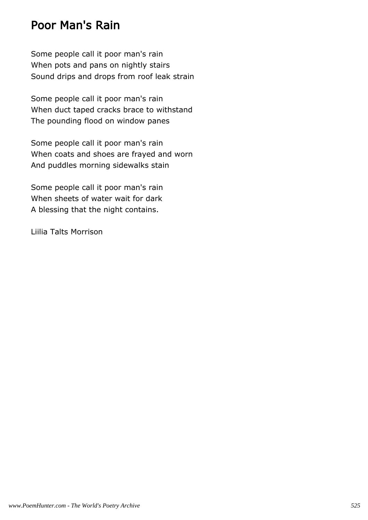### Poor Man's Rain

Some people call it poor man's rain When pots and pans on nightly stairs Sound drips and drops from roof leak strain

Some people call it poor man's rain When duct taped cracks brace to withstand The pounding flood on window panes

Some people call it poor man's rain When coats and shoes are frayed and worn And puddles morning sidewalks stain

Some people call it poor man's rain When sheets of water wait for dark A blessing that the night contains.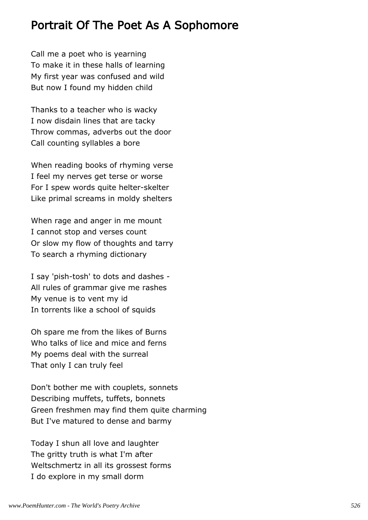### Portrait Of The Poet As A Sophomore

Call me a poet who is yearning To make it in these halls of learning My first year was confused and wild But now I found my hidden child

Thanks to a teacher who is wacky I now disdain lines that are tacky Throw commas, adverbs out the door Call counting syllables a bore

When reading books of rhyming verse I feel my nerves get terse or worse For I spew words quite helter-skelter Like primal screams in moldy shelters

When rage and anger in me mount I cannot stop and verses count Or slow my flow of thoughts and tarry To search a rhyming dictionary

I say 'pish-tosh' to dots and dashes - All rules of grammar give me rashes My venue is to vent my id In torrents like a school of squids

Oh spare me from the likes of Burns Who talks of lice and mice and ferns My poems deal with the surreal That only I can truly feel

Don't bother me with couplets, sonnets Describing muffets, tuffets, bonnets Green freshmen may find them quite charming But I've matured to dense and barmy

Today I shun all love and laughter The gritty truth is what I'm after Weltschmertz in all its grossest forms I do explore in my small dorm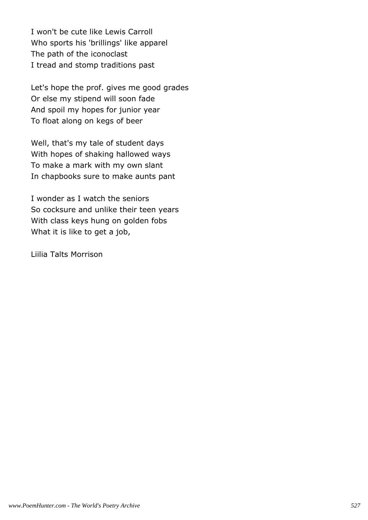I won't be cute like Lewis Carroll Who sports his 'brillings' like apparel The path of the iconoclast I tread and stomp traditions past

Let's hope the prof. gives me good grades Or else my stipend will soon fade And spoil my hopes for junior year To float along on kegs of beer

Well, that's my tale of student days With hopes of shaking hallowed ways To make a mark with my own slant In chapbooks sure to make aunts pant

I wonder as I watch the seniors So cocksure and unlike their teen years With class keys hung on golden fobs What it is like to get a job,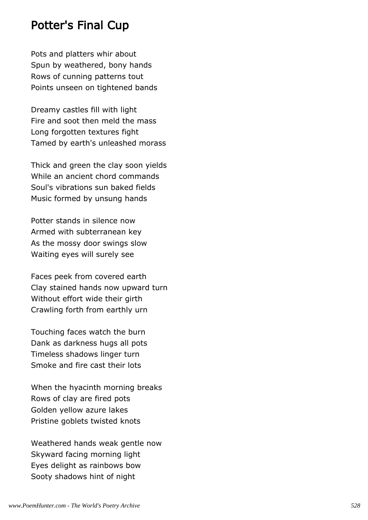#### Potter's Final Cup

Pots and platters whir about Spun by weathered, bony hands Rows of cunning patterns tout Points unseen on tightened bands

Dreamy castles fill with light Fire and soot then meld the mass Long forgotten textures fight Tamed by earth's unleashed morass

Thick and green the clay soon yields While an ancient chord commands Soul's vibrations sun baked fields Music formed by unsung hands

Potter stands in silence now Armed with subterranean key As the mossy door swings slow Waiting eyes will surely see

Faces peek from covered earth Clay stained hands now upward turn Without effort wide their girth Crawling forth from earthly urn

Touching faces watch the burn Dank as darkness hugs all pots Timeless shadows linger turn Smoke and fire cast their lots

When the hyacinth morning breaks Rows of clay are fired pots Golden yellow azure lakes Pristine goblets twisted knots

Weathered hands weak gentle now Skyward facing morning light Eyes delight as rainbows bow Sooty shadows hint of night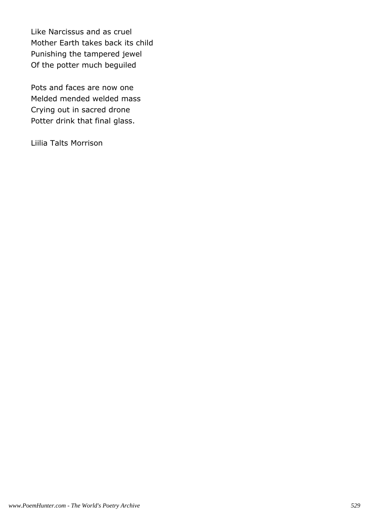Like Narcissus and as cruel Mother Earth takes back its child Punishing the tampered jewel Of the potter much beguiled

Pots and faces are now one Melded mended welded mass Crying out in sacred drone Potter drink that final glass.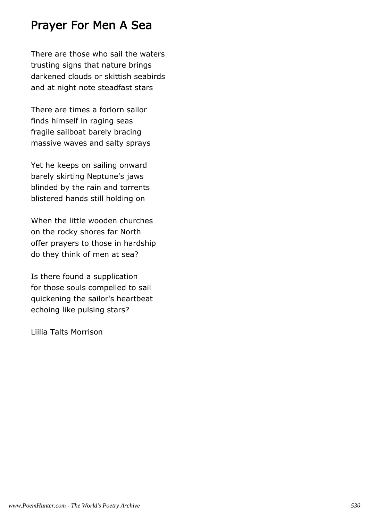#### Prayer For Men A Sea

There are those who sail the waters trusting signs that nature brings darkened clouds or skittish seabirds and at night note steadfast stars

There are times a forlorn sailor finds himself in raging seas fragile sailboat barely bracing massive waves and salty sprays

Yet he keeps on sailing onward barely skirting Neptune's jaws blinded by the rain and torrents blistered hands still holding on

When the little wooden churches on the rocky shores far North offer prayers to those in hardship do they think of men at sea?

Is there found a supplication for those souls compelled to sail quickening the sailor's heartbeat echoing like pulsing stars?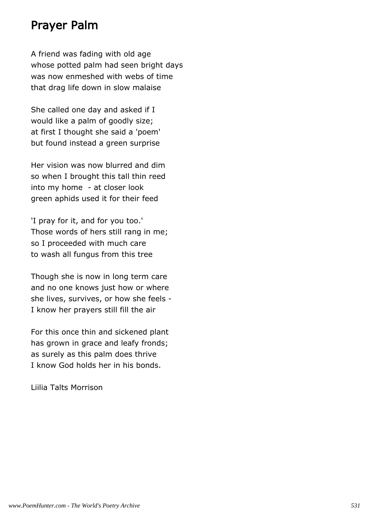#### Prayer Palm

A friend was fading with old age whose potted palm had seen bright days was now enmeshed with webs of time that drag life down in slow malaise

She called one day and asked if I would like a palm of goodly size; at first I thought she said a 'poem' but found instead a green surprise

Her vision was now blurred and dim so when I brought this tall thin reed into my home - at closer look green aphids used it for their feed

'I pray for it, and for you too.' Those words of hers still rang in me; so I proceeded with much care to wash all fungus from this tree

Though she is now in long term care and no one knows just how or where she lives, survives, or how she feels - I know her prayers still fill the air

For this once thin and sickened plant has grown in grace and leafy fronds; as surely as this palm does thrive I know God holds her in his bonds.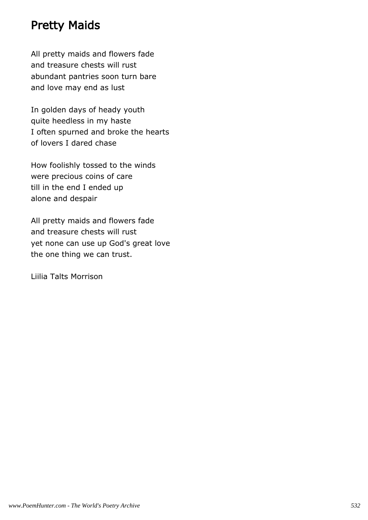### Pretty Maids

All pretty maids and flowers fade and treasure chests will rust abundant pantries soon turn bare and love may end as lust

In golden days of heady youth quite heedless in my haste I often spurned and broke the hearts of lovers I dared chase

How foolishly tossed to the winds were precious coins of care till in the end I ended up alone and despair

All pretty maids and flowers fade and treasure chests will rust yet none can use up God's great love the one thing we can trust.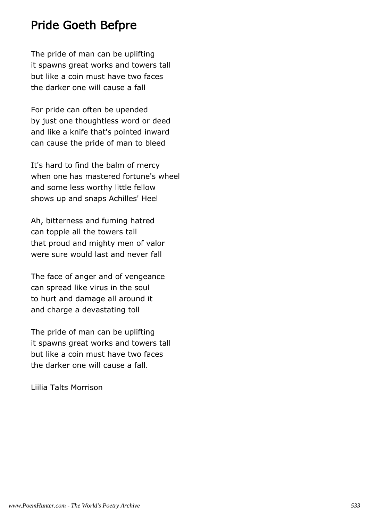### Pride Goeth Befpre

The pride of man can be uplifting it spawns great works and towers tall but like a coin must have two faces the darker one will cause a fall

For pride can often be upended by just one thoughtless word or deed and like a knife that's pointed inward can cause the pride of man to bleed

It's hard to find the balm of mercy when one has mastered fortune's wheel and some less worthy little fellow shows up and snaps Achilles' Heel

Ah, bitterness and fuming hatred can topple all the towers tall that proud and mighty men of valor were sure would last and never fall

The face of anger and of vengeance can spread like virus in the soul to hurt and damage all around it and charge a devastating toll

The pride of man can be uplifting it spawns great works and towers tall but like a coin must have two faces the darker one will cause a fall.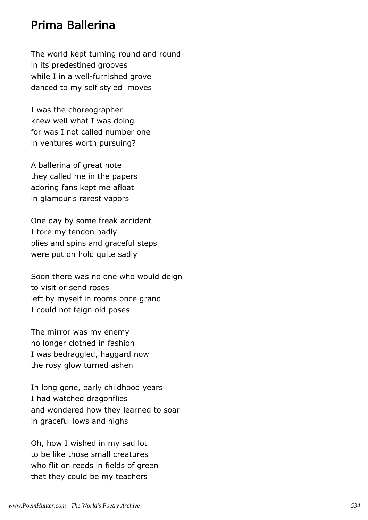#### Prima Ballerina

The world kept turning round and round in its predestined grooves while I in a well-furnished grove danced to my self styled moves

I was the choreographer knew well what I was doing for was I not called number one in ventures worth pursuing?

A ballerina of great note they called me in the papers adoring fans kept me afloat in glamour's rarest vapors

One day by some freak accident I tore my tendon badly plies and spins and graceful steps were put on hold quite sadly

Soon there was no one who would deign to visit or send roses left by myself in rooms once grand I could not feign old poses

The mirror was my enemy no longer clothed in fashion I was bedraggled, haggard now the rosy glow turned ashen

In long gone, early childhood years I had watched dragonflies and wondered how they learned to soar in graceful lows and highs

Oh, how I wished in my sad lot to be like those small creatures who flit on reeds in fields of green that they could be my teachers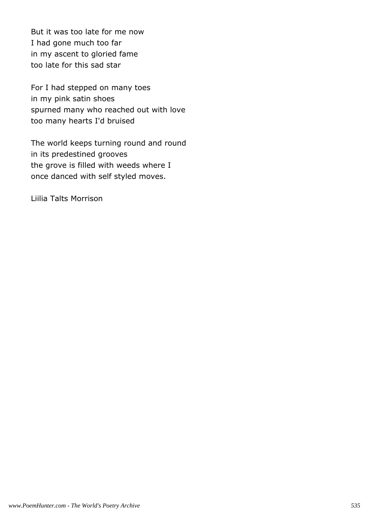But it was too late for me now I had gone much too far in my ascent to gloried fame too late for this sad star

For I had stepped on many toes in my pink satin shoes spurned many who reached out with love too many hearts I'd bruised

The world keeps turning round and round in its predestined grooves the grove is filled with weeds where I once danced with self styled moves.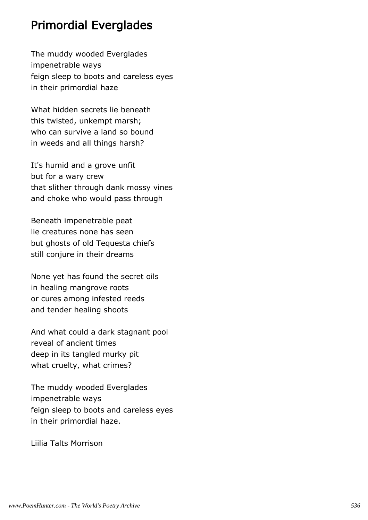# Primordial Everglades

The muddy wooded Everglades impenetrable ways feign sleep to boots and careless eyes in their primordial haze

What hidden secrets lie beneath this twisted, unkempt marsh; who can survive a land so bound in weeds and all things harsh?

It's humid and a grove unfit but for a wary crew that slither through dank mossy vines and choke who would pass through

Beneath impenetrable peat lie creatures none has seen but ghosts of old Tequesta chiefs still conjure in their dreams

None yet has found the secret oils in healing mangrove roots or cures among infested reeds and tender healing shoots

And what could a dark stagnant pool reveal of ancient times deep in its tangled murky pit what cruelty, what crimes?

The muddy wooded Everglades impenetrable ways feign sleep to boots and careless eyes in their primordial haze.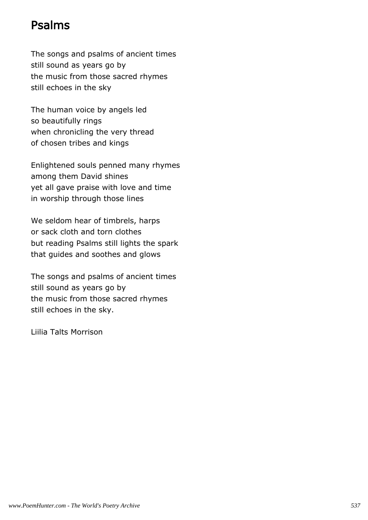# Psalms

The songs and psalms of ancient times still sound as years go by the music from those sacred rhymes still echoes in the sky

The human voice by angels led so beautifully rings when chronicling the very thread of chosen tribes and kings

Enlightened souls penned many rhymes among them David shines yet all gave praise with love and time in worship through those lines

We seldom hear of timbrels, harps or sack cloth and torn clothes but reading Psalms still lights the spark that guides and soothes and glows

The songs and psalms of ancient times still sound as years go by the music from those sacred rhymes still echoes in the sky.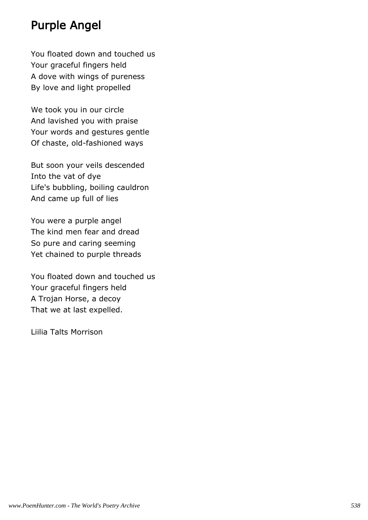### Purple Angel

You floated down and touched us Your graceful fingers held A dove with wings of pureness By love and light propelled

We took you in our circle And lavished you with praise Your words and gestures gentle Of chaste, old-fashioned ways

But soon your veils descended Into the vat of dye Life's bubbling, boiling cauldron And came up full of lies

You were a purple angel The kind men fear and dread So pure and caring seeming Yet chained to purple threads

You floated down and touched us Your graceful fingers held A Trojan Horse, a decoy That we at last expelled.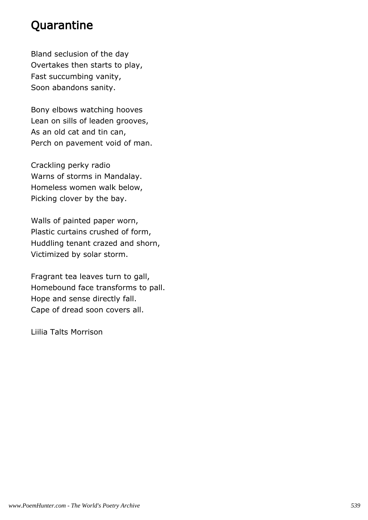# **Quarantine**

Bland seclusion of the day Overtakes then starts to play, Fast succumbing vanity, Soon abandons sanity.

Bony elbows watching hooves Lean on sills of leaden grooves, As an old cat and tin can, Perch on pavement void of man.

Crackling perky radio Warns of storms in Mandalay. Homeless women walk below, Picking clover by the bay.

Walls of painted paper worn, Plastic curtains crushed of form, Huddling tenant crazed and shorn, Victimized by solar storm.

Fragrant tea leaves turn to gall, Homebound face transforms to pall. Hope and sense directly fall. Cape of dread soon covers all.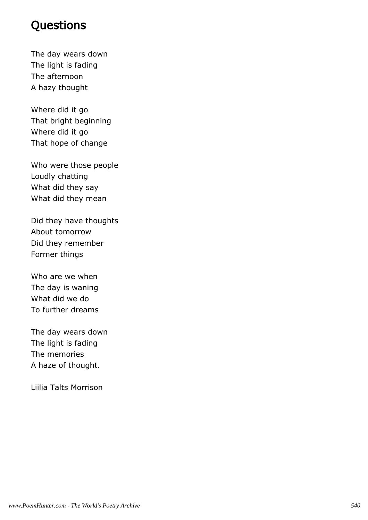## **Questions**

The day wears down The light is fading The afternoon A hazy thought

Where did it go That bright beginning Where did it go That hope of change

Who were those people Loudly chatting What did they say What did they mean

Did they have thoughts About tomorrow Did they remember Former things

Who are we when The day is waning What did we do To further dreams

The day wears down The light is fading The memories A haze of thought.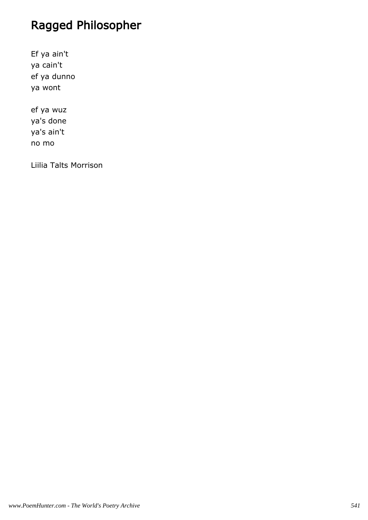# Ragged Philosopher

Ef ya ain't ya cain't ef ya dunno ya wont

ef ya wuz ya's done ya's ain't no mo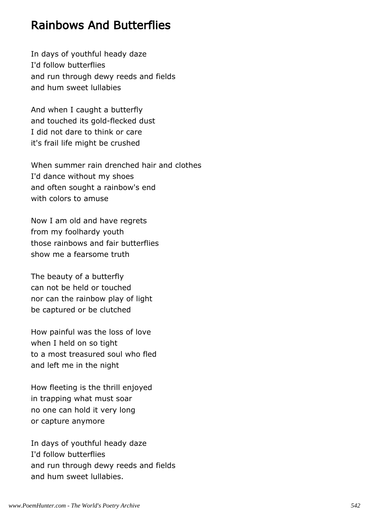## Rainbows And Butterflies

In days of youthful heady daze I'd follow butterflies and run through dewy reeds and fields and hum sweet lullabies

And when I caught a butterfly and touched its gold-flecked dust I did not dare to think or care it's frail life might be crushed

When summer rain drenched hair and clothes I'd dance without my shoes and often sought a rainbow's end with colors to amuse

Now I am old and have regrets from my foolhardy youth those rainbows and fair butterflies show me a fearsome truth

The beauty of a butterfly can not be held or touched nor can the rainbow play of light be captured or be clutched

How painful was the loss of love when I held on so tight to a most treasured soul who fled and left me in the night

How fleeting is the thrill enjoyed in trapping what must soar no one can hold it very long or capture anymore

In days of youthful heady daze I'd follow butterflies and run through dewy reeds and fields and hum sweet lullabies.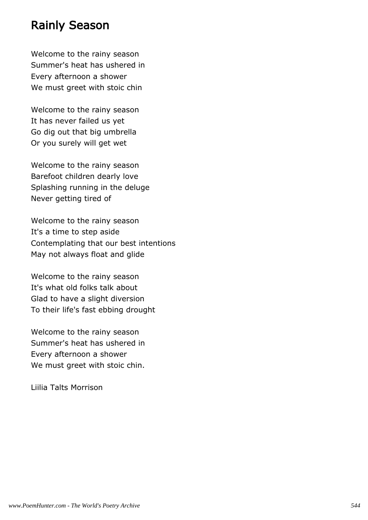#### Rainly Season

Welcome to the rainy season Summer's heat has ushered in Every afternoon a shower We must greet with stoic chin

Welcome to the rainy season It has never failed us yet Go dig out that big umbrella Or you surely will get wet

Welcome to the rainy season Barefoot children dearly love Splashing running in the deluge Never getting tired of

Welcome to the rainy season It's a time to step aside Contemplating that our best intentions May not always float and glide

Welcome to the rainy season It's what old folks talk about Glad to have a slight diversion To their life's fast ebbing drought

Welcome to the rainy season Summer's heat has ushered in Every afternoon a shower We must greet with stoic chin.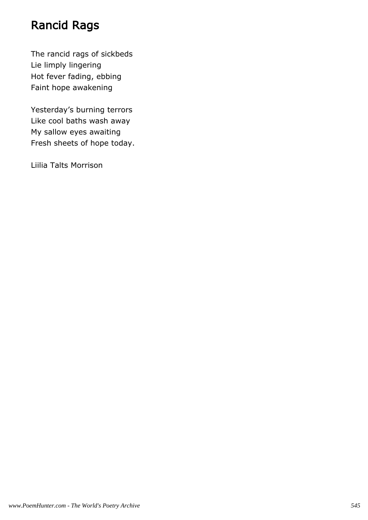# Rancid Rags

The rancid rags of sickbeds Lie limply lingering Hot fever fading, ebbing Faint hope awakening

Yesterday's burning terrors Like cool baths wash away My sallow eyes awaiting Fresh sheets of hope today.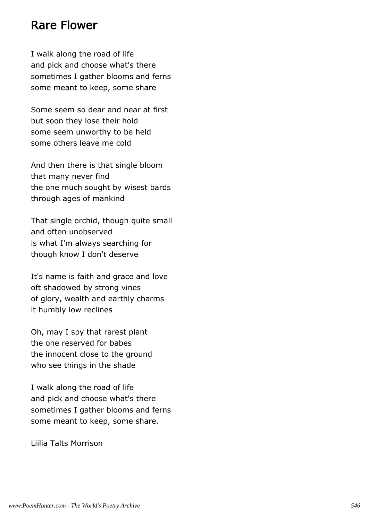#### Rare Flower

I walk along the road of life and pick and choose what's there sometimes I gather blooms and ferns some meant to keep, some share

Some seem so dear and near at first but soon they lose their hold some seem unworthy to be held some others leave me cold

And then there is that single bloom that many never find the one much sought by wisest bards through ages of mankind

That single orchid, though quite small and often unobserved is what I'm always searching for though know I don't deserve

It's name is faith and grace and love oft shadowed by strong vines of glory, wealth and earthly charms it humbly low reclines

Oh, may I spy that rarest plant the one reserved for babes the innocent close to the ground who see things in the shade

I walk along the road of life and pick and choose what's there sometimes I gather blooms and ferns some meant to keep, some share.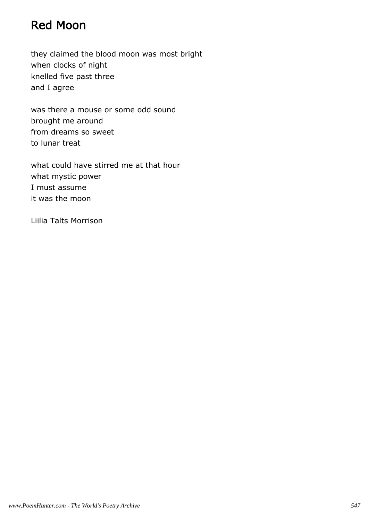## Red Moon

they claimed the blood moon was most bright when clocks of night knelled five past three and I agree

was there a mouse or some odd sound brought me around from dreams so sweet to lunar treat

what could have stirred me at that hour what mystic power I must assume it was the moon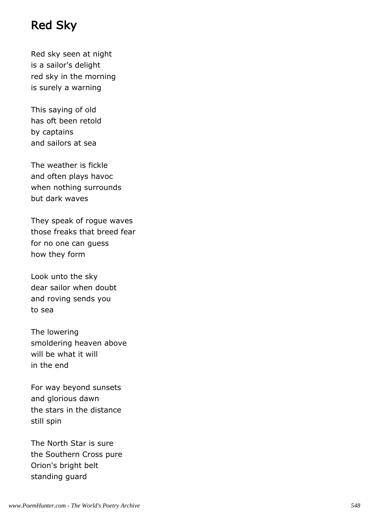# Red Sky

Red sky seen at night is a sailor's delight red sky in the morning is surely a warning

This saying of old has oft been retold by captains and sailors at sea

The weather is fickle and often plays havoc when nothing surrounds but dark waves

They speak of rogue waves those freaks that breed fear for no one can guess how they form

Look unto the sky dear sailor when doubt and roving sends you to sea

The lowering smoldering heaven above will be what it will in the end

For way beyond sunsets and glorious dawn the stars in the distance still spin

The North Star is sure the Southern Cross pure Orion's bright belt standing guard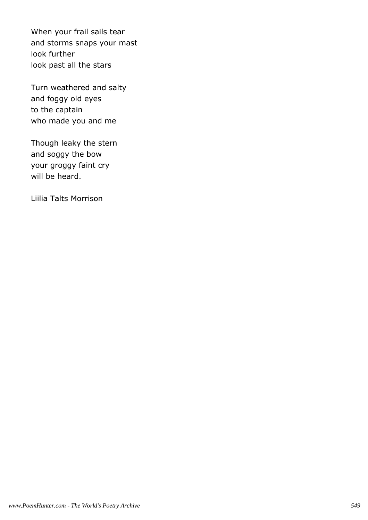When your frail sails tear and storms snaps your mast look further look past all the stars

Turn weathered and salty and foggy old eyes to the captain who made you and me

Though leaky the stern and soggy the bow your groggy faint cry will be heard.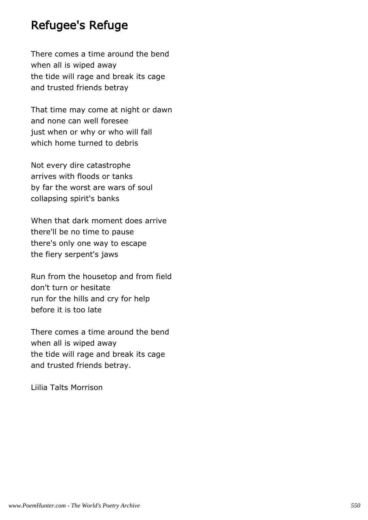## Refugee's Refuge

There comes a time around the bend when all is wiped away the tide will rage and break its cage and trusted friends betray

That time may come at night or dawn and none can well foresee just when or why or who will fall which home turned to debris

Not every dire catastrophe arrives with floods or tanks by far the worst are wars of soul collapsing spirit's banks

When that dark moment does arrive there'll be no time to pause there's only one way to escape the fiery serpent's jaws

Run from the housetop and from field don't turn or hesitate run for the hills and cry for help before it is too late

There comes a time around the bend when all is wiped away the tide will rage and break its cage and trusted friends betray.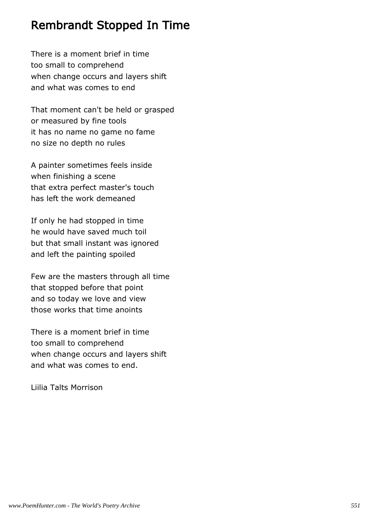## Rembrandt Stopped In Time

There is a moment brief in time too small to comprehend when change occurs and layers shift and what was comes to end

That moment can't be held or grasped or measured by fine tools it has no name no game no fame no size no depth no rules

A painter sometimes feels inside when finishing a scene that extra perfect master's touch has left the work demeaned

If only he had stopped in time he would have saved much toil but that small instant was ignored and left the painting spoiled

Few are the masters through all time that stopped before that point and so today we love and view those works that time anoints

There is a moment brief in time too small to comprehend when change occurs and layers shift and what was comes to end.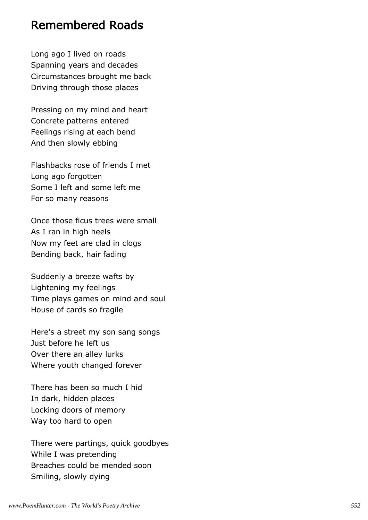#### Remembered Roads

Long ago I lived on roads Spanning years and decades Circumstances brought me back Driving through those places

Pressing on my mind and heart Concrete patterns entered Feelings rising at each bend And then slowly ebbing

Flashbacks rose of friends I met Long ago forgotten Some I left and some left me For so many reasons

Once those ficus trees were small As I ran in high heels Now my feet are clad in clogs Bending back, hair fading

Suddenly a breeze wafts by Lightening my feelings Time plays games on mind and soul House of cards so fragile

Here's a street my son sang songs Just before he left us Over there an alley lurks Where youth changed forever

There has been so much I hid In dark, hidden places Locking doors of memory Way too hard to open

There were partings, quick goodbyes While I was pretending Breaches could be mended soon Smiling, slowly dying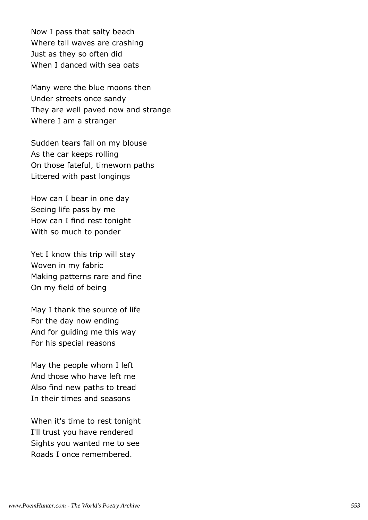Now I pass that salty beach Where tall waves are crashing Just as they so often did When I danced with sea oats

Many were the blue moons then Under streets once sandy They are well paved now and strange Where I am a stranger

Sudden tears fall on my blouse As the car keeps rolling On those fateful, timeworn paths Littered with past longings

How can I bear in one day Seeing life pass by me How can I find rest tonight With so much to ponder

Yet I know this trip will stay Woven in my fabric Making patterns rare and fine On my field of being

May I thank the source of life For the day now ending And for guiding me this way For his special reasons

May the people whom I left And those who have left me Also find new paths to tread In their times and seasons

When it's time to rest tonight I'll trust you have rendered Sights you wanted me to see Roads I once remembered.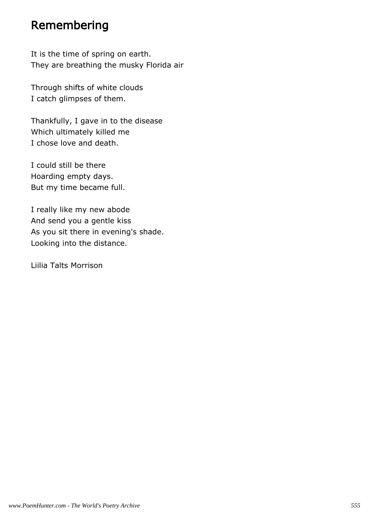## Remembering

It is the time of spring on earth. They are breathing the musky Florida air

Through shifts of white clouds I catch glimpses of them.

Thankfully, I gave in to the disease Which ultimately killed me I chose love and death.

I could still be there Hoarding empty days. But my time became full.

I really like my new abode And send you a gentle kiss As you sit there in evening's shade. Looking into the distance.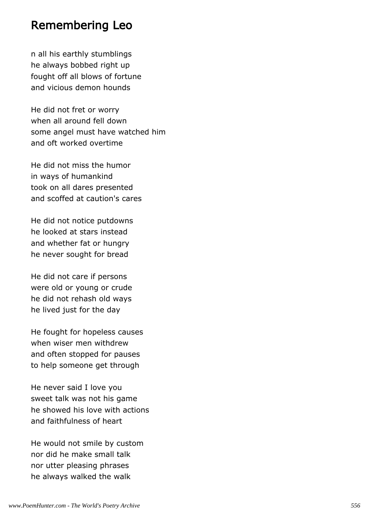#### Remembering Leo

n all his earthly stumblings he always bobbed right up fought off all blows of fortune and vicious demon hounds

He did not fret or worry when all around fell down some angel must have watched him and oft worked overtime

He did not miss the humor in ways of humankind took on all dares presented and scoffed at caution's cares

He did not notice putdowns he looked at stars instead and whether fat or hungry he never sought for bread

He did not care if persons were old or young or crude he did not rehash old ways he lived just for the day

He fought for hopeless causes when wiser men withdrew and often stopped for pauses to help someone get through

He never said I love you sweet talk was not his game he showed his love with actions and faithfulness of heart

He would not smile by custom nor did he make small talk nor utter pleasing phrases he always walked the walk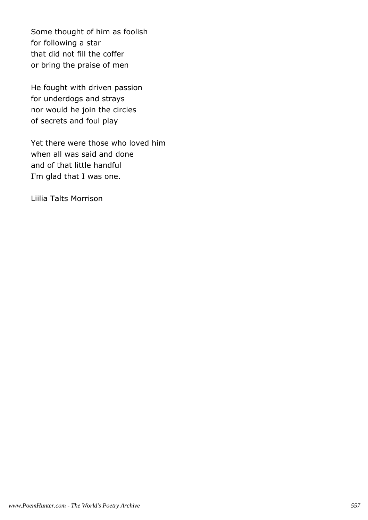Some thought of him as foolish for following a star that did not fill the coffer or bring the praise of men

He fought with driven passion for underdogs and strays nor would he join the circles of secrets and foul play

Yet there were those who loved him when all was said and done and of that little handful I'm glad that I was one.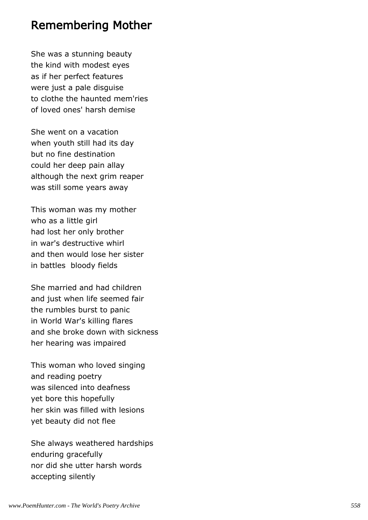#### Remembering Mother

She was a stunning beauty the kind with modest eyes as if her perfect features were just a pale disguise to clothe the haunted mem'ries of loved ones' harsh demise

She went on a vacation when youth still had its day but no fine destination could her deep pain allay although the next grim reaper was still some years away

This woman was my mother who as a little girl had lost her only brother in war's destructive whirl and then would lose her sister in battles bloody fields

She married and had children and just when life seemed fair the rumbles burst to panic in World War's killing flares and she broke down with sickness her hearing was impaired

This woman who loved singing and reading poetry was silenced into deafness yet bore this hopefully her skin was filled with lesions yet beauty did not flee

She always weathered hardships enduring gracefully nor did she utter harsh words accepting silently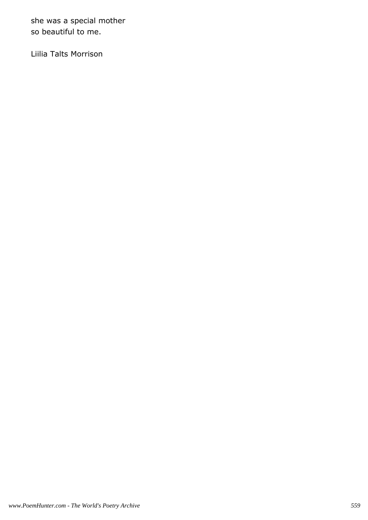she was a special mother so beautiful to me.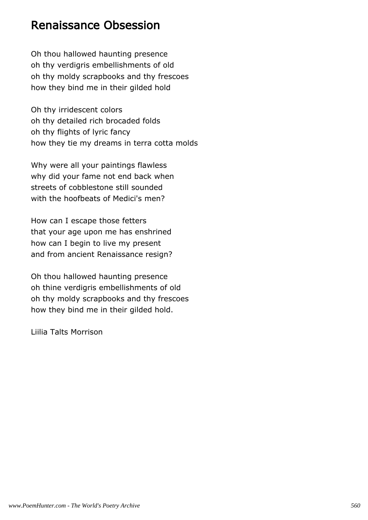#### Renaissance Obsession

Oh thou hallowed haunting presence oh thy verdigris embellishments of old oh thy moldy scrapbooks and thy frescoes how they bind me in their gilded hold

Oh thy irridescent colors oh thy detailed rich brocaded folds oh thy flights of lyric fancy how they tie my dreams in terra cotta molds

Why were all your paintings flawless why did your fame not end back when streets of cobblestone still sounded with the hoofbeats of Medici's men?

How can I escape those fetters that your age upon me has enshrined how can I begin to live my present and from ancient Renaissance resign?

Oh thou hallowed haunting presence oh thine verdigris embellishments of old oh thy moldy scrapbooks and thy frescoes how they bind me in their gilded hold.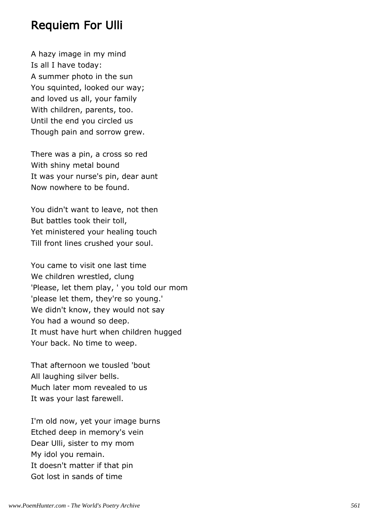#### Requiem For Ulli

A hazy image in my mind Is all I have today: A summer photo in the sun You squinted, looked our way; and loved us all, your family With children, parents, too. Until the end you circled us Though pain and sorrow grew.

There was a pin, a cross so red With shiny metal bound It was your nurse's pin, dear aunt Now nowhere to be found.

You didn't want to leave, not then But battles took their toll, Yet ministered your healing touch Till front lines crushed your soul.

You came to visit one last time We children wrestled, clung 'Please, let them play, ' you told our mom 'please let them, they're so young.' We didn't know, they would not say You had a wound so deep. It must have hurt when children hugged Your back. No time to weep.

That afternoon we tousled 'bout All laughing silver bells. Much later mom revealed to us It was your last farewell.

I'm old now, yet your image burns Etched deep in memory's vein Dear Ulli, sister to my mom My idol you remain. It doesn't matter if that pin Got lost in sands of time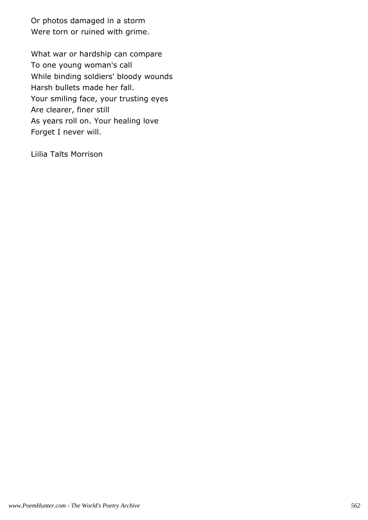Or photos damaged in a storm Were torn or ruined with grime.

What war or hardship can compare To one young woman's call While binding soldiers' bloody wounds Harsh bullets made her fall. Your smiling face, your trusting eyes Are clearer, finer still As years roll on. Your healing love Forget I never will.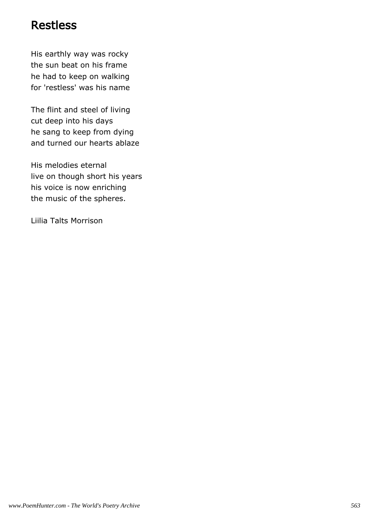## Restless

His earthly way was rocky the sun beat on his frame he had to keep on walking for 'restless' was his name

The flint and steel of living cut deep into his days he sang to keep from dying and turned our hearts ablaze

His melodies eternal live on though short his years his voice is now enriching the music of the spheres.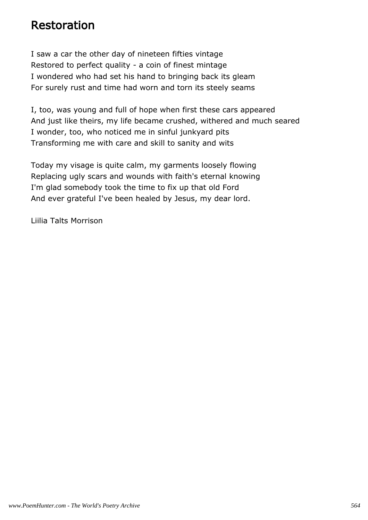### Restoration

I saw a car the other day of nineteen fifties vintage Restored to perfect quality - a coin of finest mintage I wondered who had set his hand to bringing back its gleam For surely rust and time had worn and torn its steely seams

I, too, was young and full of hope when first these cars appeared And just like theirs, my life became crushed, withered and much seared I wonder, too, who noticed me in sinful junkyard pits Transforming me with care and skill to sanity and wits

Today my visage is quite calm, my garments loosely flowing Replacing ugly scars and wounds with faith's eternal knowing I'm glad somebody took the time to fix up that old Ford And ever grateful I've been healed by Jesus, my dear lord.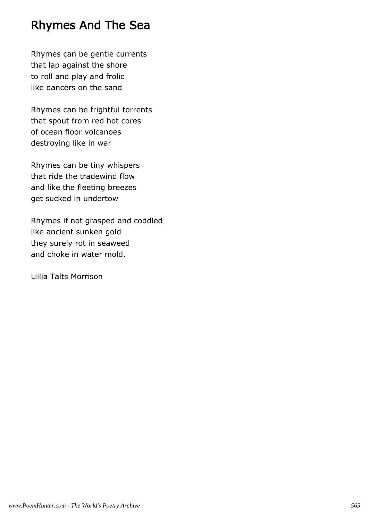## Rhymes And The Sea

Rhymes can be gentle currents that lap against the shore to roll and play and frolic like dancers on the sand

Rhymes can be frightful torrents that spout from red hot cores of ocean floor volcanoes destroying like in war

Rhymes can be tiny whispers that ride the tradewind flow and like the fleeting breezes get sucked in undertow

Rhymes if not grasped and coddled like ancient sunken gold they surely rot in seaweed and choke in water mold.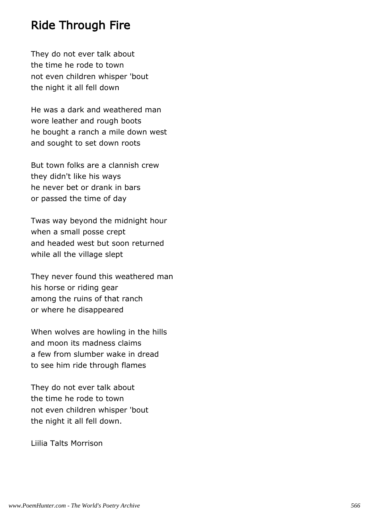## Ride Through Fire

They do not ever talk about the time he rode to town not even children whisper 'bout the night it all fell down

He was a dark and weathered man wore leather and rough boots he bought a ranch a mile down west and sought to set down roots

But town folks are a clannish crew they didn't like his ways he never bet or drank in bars or passed the time of day

Twas way beyond the midnight hour when a small posse crept and headed west but soon returned while all the village slept

They never found this weathered man his horse or riding gear among the ruins of that ranch or where he disappeared

When wolves are howling in the hills and moon its madness claims a few from slumber wake in dread to see him ride through flames

They do not ever talk about the time he rode to town not even children whisper 'bout the night it all fell down.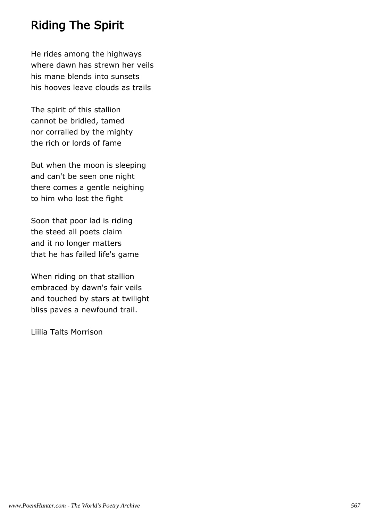## Riding The Spirit

He rides among the highways where dawn has strewn her veils his mane blends into sunsets his hooves leave clouds as trails

The spirit of this stallion cannot be bridled, tamed nor corralled by the mighty the rich or lords of fame

But when the moon is sleeping and can't be seen one night there comes a gentle neighing to him who lost the fight

Soon that poor lad is riding the steed all poets claim and it no longer matters that he has failed life's game

When riding on that stallion embraced by dawn's fair veils and touched by stars at twilight bliss paves a newfound trail.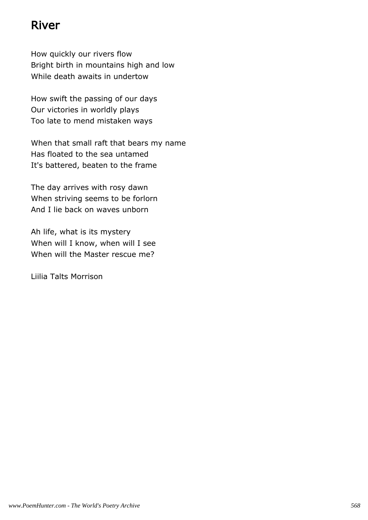## River

How quickly our rivers flow Bright birth in mountains high and low While death awaits in undertow

How swift the passing of our days Our victories in worldly plays Too late to mend mistaken ways

When that small raft that bears my name Has floated to the sea untamed It's battered, beaten to the frame

The day arrives with rosy dawn When striving seems to be forlorn And I lie back on waves unborn

Ah life, what is its mystery When will I know, when will I see When will the Master rescue me?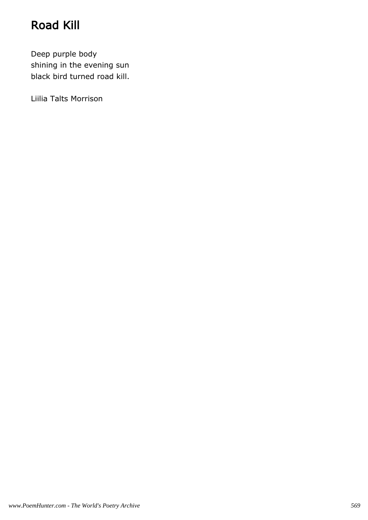# Road Kill

Deep purple body shining in the evening sun black bird turned road kill.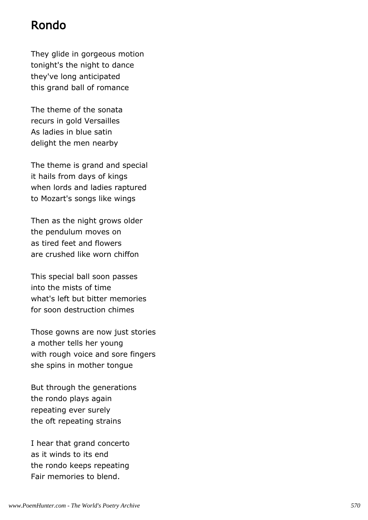## Rondo

They glide in gorgeous motion tonight's the night to dance they've long anticipated this grand ball of romance

The theme of the sonata recurs in gold Versailles As ladies in blue satin delight the men nearby

The theme is grand and special it hails from days of kings when lords and ladies raptured to Mozart's songs like wings

Then as the night grows older the pendulum moves on as tired feet and flowers are crushed like worn chiffon

This special ball soon passes into the mists of time what's left but bitter memories for soon destruction chimes

Those gowns are now just stories a mother tells her young with rough voice and sore fingers she spins in mother tongue

But through the generations the rondo plays again repeating ever surely the oft repeating strains

I hear that grand concerto as it winds to its end the rondo keeps repeating Fair memories to blend.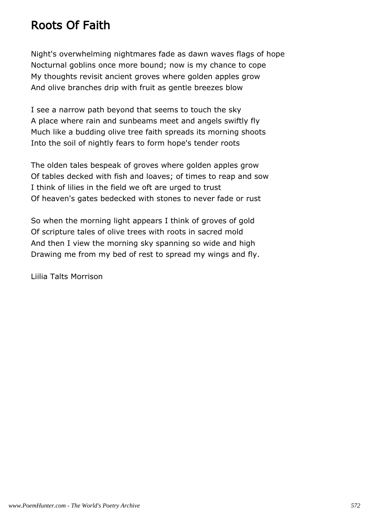## Roots Of Faith

Night's overwhelming nightmares fade as dawn waves flags of hope Nocturnal goblins once more bound; now is my chance to cope My thoughts revisit ancient groves where golden apples grow And olive branches drip with fruit as gentle breezes blow

I see a narrow path beyond that seems to touch the sky A place where rain and sunbeams meet and angels swiftly fly Much like a budding olive tree faith spreads its morning shoots Into the soil of nightly fears to form hope's tender roots

The olden tales bespeak of groves where golden apples grow Of tables decked with fish and loaves; of times to reap and sow I think of lilies in the field we oft are urged to trust Of heaven's gates bedecked with stones to never fade or rust

So when the morning light appears I think of groves of gold Of scripture tales of olive trees with roots in sacred mold And then I view the morning sky spanning so wide and high Drawing me from my bed of rest to spread my wings and fly.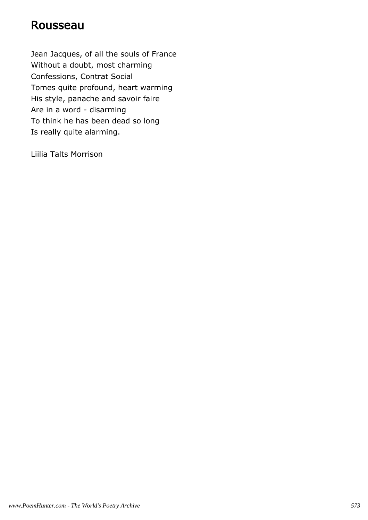### Rousseau

Jean Jacques, of all the souls of France Without a doubt, most charming Confessions, Contrat Social Tomes quite profound, heart warming His style, panache and savoir faire Are in a word - disarming To think he has been dead so long Is really quite alarming.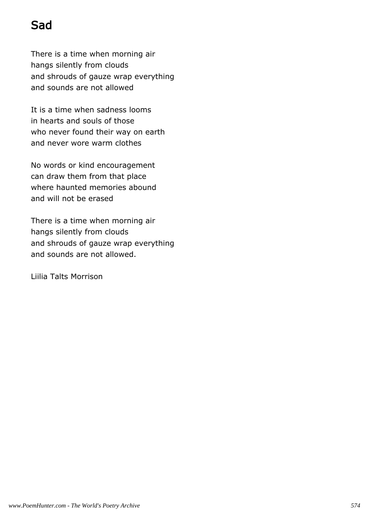# Sad

There is a time when morning air hangs silently from clouds and shrouds of gauze wrap everything and sounds are not allowed

It is a time when sadness looms in hearts and souls of those who never found their way on earth and never wore warm clothes

No words or kind encouragement can draw them from that place where haunted memories abound and will not be erased

There is a time when morning air hangs silently from clouds and shrouds of gauze wrap everything and sounds are not allowed.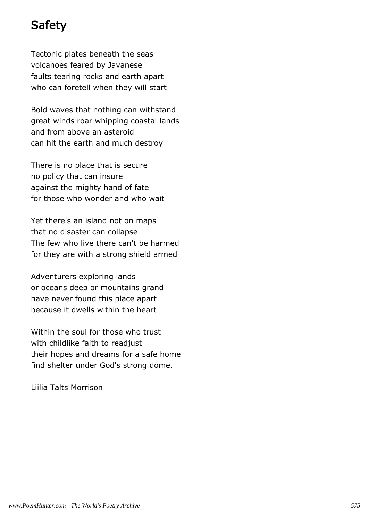## Safety

Tectonic plates beneath the seas volcanoes feared by Javanese faults tearing rocks and earth apart who can foretell when they will start

Bold waves that nothing can withstand great winds roar whipping coastal lands and from above an asteroid can hit the earth and much destroy

There is no place that is secure no policy that can insure against the mighty hand of fate for those who wonder and who wait

Yet there's an island not on maps that no disaster can collapse The few who live there can't be harmed for they are with a strong shield armed

Adventurers exploring lands or oceans deep or mountains grand have never found this place apart because it dwells within the heart

Within the soul for those who trust with childlike faith to readjust their hopes and dreams for a safe home find shelter under God's strong dome.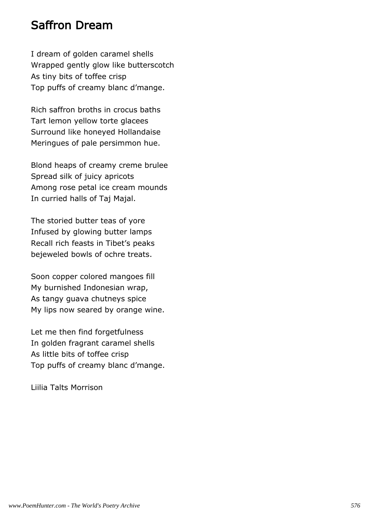### Saffron Dream

I dream of golden caramel shells Wrapped gently glow like butterscotch As tiny bits of toffee crisp Top puffs of creamy blanc d'mange.

Rich saffron broths in crocus baths Tart lemon yellow torte glacees Surround like honeyed Hollandaise Meringues of pale persimmon hue.

Blond heaps of creamy creme brulee Spread silk of juicy apricots Among rose petal ice cream mounds In curried halls of Taj Majal.

The storied butter teas of yore Infused by glowing butter lamps Recall rich feasts in Tibet's peaks bejeweled bowls of ochre treats.

Soon copper colored mangoes fill My burnished Indonesian wrap, As tangy guava chutneys spice My lips now seared by orange wine.

Let me then find forgetfulness In golden fragrant caramel shells As little bits of toffee crisp Top puffs of creamy blanc d'mange.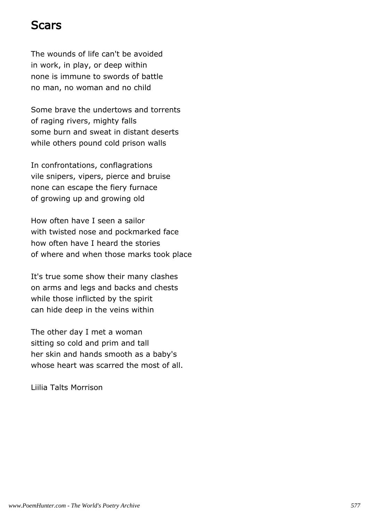## Scars

The wounds of life can't be avoided in work, in play, or deep within none is immune to swords of battle no man, no woman and no child

Some brave the undertows and torrents of raging rivers, mighty falls some burn and sweat in distant deserts while others pound cold prison walls

In confrontations, conflagrations vile snipers, vipers, pierce and bruise none can escape the fiery furnace of growing up and growing old

How often have I seen a sailor with twisted nose and pockmarked face how often have I heard the stories of where and when those marks took place

It's true some show their many clashes on arms and legs and backs and chests while those inflicted by the spirit can hide deep in the veins within

The other day I met a woman sitting so cold and prim and tall her skin and hands smooth as a baby's whose heart was scarred the most of all.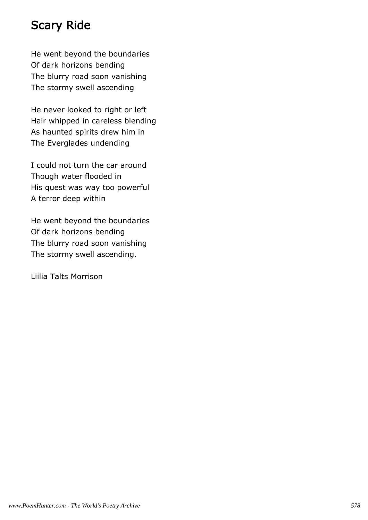# Scary Ride

He went beyond the boundaries Of dark horizons bending The blurry road soon vanishing The stormy swell ascending

He never looked to right or left Hair whipped in careless blending As haunted spirits drew him in The Everglades undending

I could not turn the car around Though water flooded in His quest was way too powerful A terror deep within

He went beyond the boundaries Of dark horizons bending The blurry road soon vanishing The stormy swell ascending.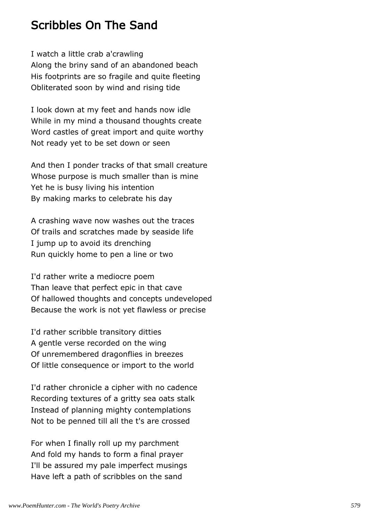### Scribbles On The Sand

I watch a little crab a'crawling Along the briny sand of an abandoned beach His footprints are so fragile and quite fleeting Obliterated soon by wind and rising tide

I look down at my feet and hands now idle While in my mind a thousand thoughts create Word castles of great import and quite worthy Not ready yet to be set down or seen

And then I ponder tracks of that small creature Whose purpose is much smaller than is mine Yet he is busy living his intention By making marks to celebrate his day

A crashing wave now washes out the traces Of trails and scratches made by seaside life I jump up to avoid its drenching Run quickly home to pen a line or two

I'd rather write a mediocre poem Than leave that perfect epic in that cave Of hallowed thoughts and concepts undeveloped Because the work is not yet flawless or precise

I'd rather scribble transitory ditties A gentle verse recorded on the wing Of unremembered dragonflies in breezes Of little consequence or import to the world

I'd rather chronicle a cipher with no cadence Recording textures of a gritty sea oats stalk Instead of planning mighty contemplations Not to be penned till all the t's are crossed

For when I finally roll up my parchment And fold my hands to form a final prayer I'll be assured my pale imperfect musings Have left a path of scribbles on the sand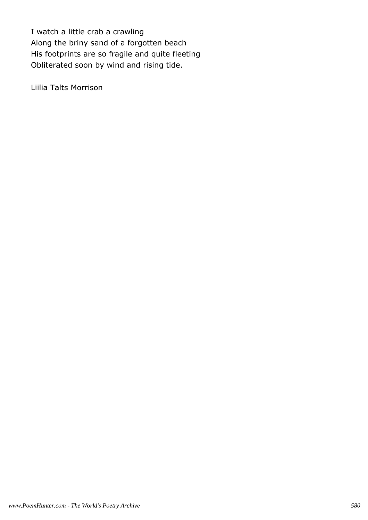I watch a little crab a crawling Along the briny sand of a forgotten beach His footprints are so fragile and quite fleeting Obliterated soon by wind and rising tide.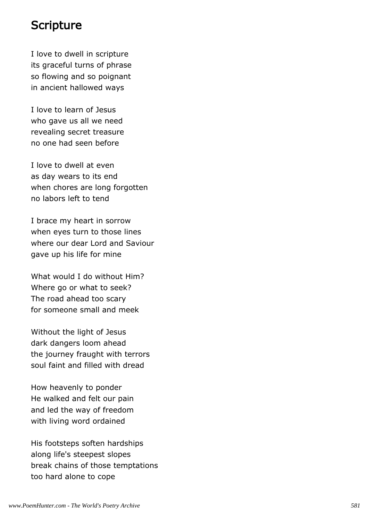### **Scripture**

I love to dwell in scripture its graceful turns of phrase so flowing and so poignant in ancient hallowed ways

I love to learn of Jesus who gave us all we need revealing secret treasure no one had seen before

I love to dwell at even as day wears to its end when chores are long forgotten no labors left to tend

I brace my heart in sorrow when eyes turn to those lines where our dear Lord and Saviour gave up his life for mine

What would I do without Him? Where go or what to seek? The road ahead too scary for someone small and meek

Without the light of Jesus dark dangers loom ahead the journey fraught with terrors soul faint and filled with dread

How heavenly to ponder He walked and felt our pain and led the way of freedom with living word ordained

His footsteps soften hardships along life's steepest slopes break chains of those temptations too hard alone to cope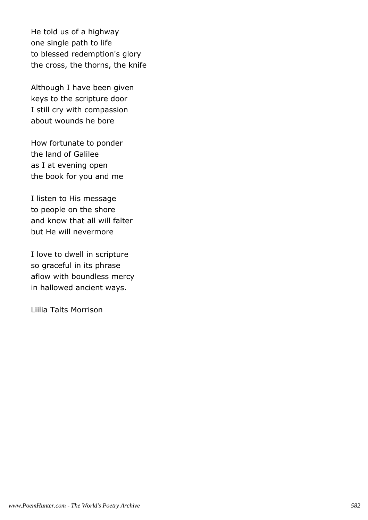He told us of a highway one single path to life to blessed redemption's glory the cross, the thorns, the knife

Although I have been given keys to the scripture door I still cry with compassion about wounds he bore

How fortunate to ponder the land of Galilee as I at evening open the book for you and me

I listen to His message to people on the shore and know that all will falter but He will nevermore

I love to dwell in scripture so graceful in its phrase aflow with boundless mercy in hallowed ancient ways.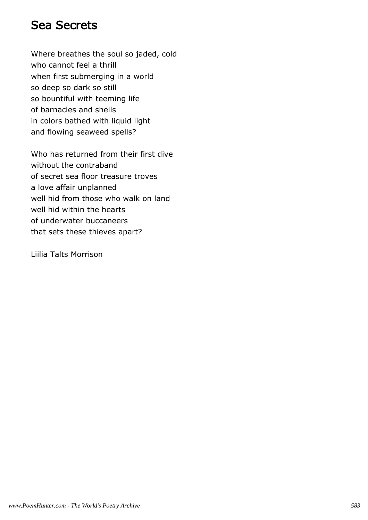# Sea Secrets

Where breathes the soul so jaded, cold who cannot feel a thrill when first submerging in a world so deep so dark so still so bountiful with teeming life of barnacles and shells in colors bathed with liquid light and flowing seaweed spells?

Who has returned from their first dive without the contraband of secret sea floor treasure troves a love affair unplanned well hid from those who walk on land well hid within the hearts of underwater buccaneers that sets these thieves apart?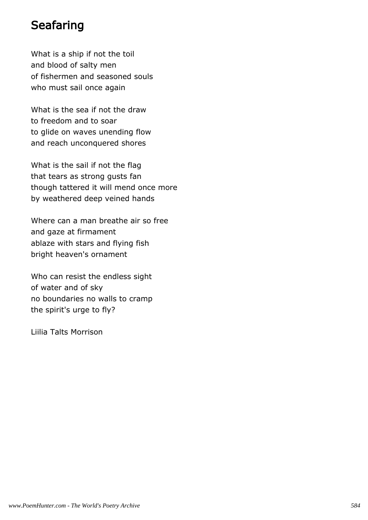# Seafaring

What is a ship if not the toil and blood of salty men of fishermen and seasoned souls who must sail once again

What is the sea if not the draw to freedom and to soar to glide on waves unending flow and reach unconquered shores

What is the sail if not the flag that tears as strong gusts fan though tattered it will mend once more by weathered deep veined hands

Where can a man breathe air so free and gaze at firmament ablaze with stars and flying fish bright heaven's ornament

Who can resist the endless sight of water and of sky no boundaries no walls to cramp the spirit's urge to fly?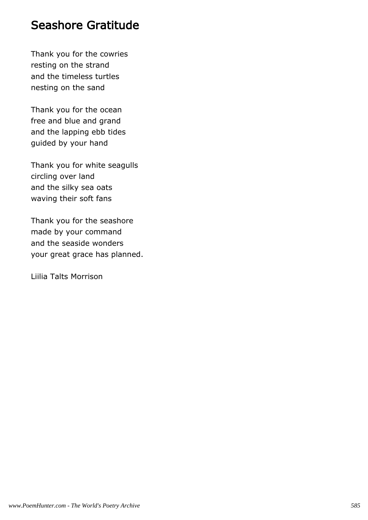### Seashore Gratitude

Thank you for the cowries resting on the strand and the timeless turtles nesting on the sand

Thank you for the ocean free and blue and grand and the lapping ebb tides guided by your hand

Thank you for white seagulls circling over land and the silky sea oats waving their soft fans

Thank you for the seashore made by your command and the seaside wonders your great grace has planned.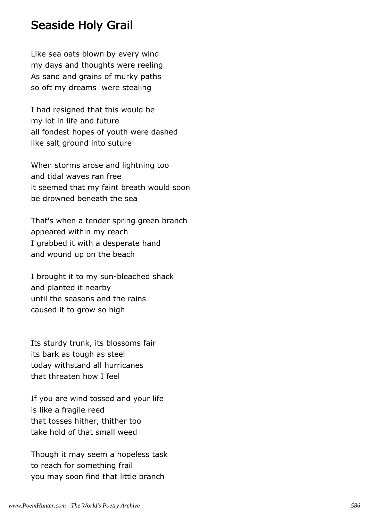## Seaside Holy Grail

Like sea oats blown by every wind my days and thoughts were reeling As sand and grains of murky paths so oft my dreams were stealing

I had resigned that this would be my lot in life and future all fondest hopes of youth were dashed like salt ground into suture

When storms arose and lightning too and tidal waves ran free it seemed that my faint breath would soon be drowned beneath the sea

That's when a tender spring green branch appeared within my reach I grabbed it with a desperate hand and wound up on the beach

I brought it to my sun-bleached shack and planted it nearby until the seasons and the rains caused it to grow so high

Its sturdy trunk, its blossoms fair its bark as tough as steel today withstand all hurricanes that threaten how I feel

If you are wind tossed and your life is like a fragile reed that tosses hither, thither too take hold of that small weed

Though it may seem a hopeless task to reach for something frail you may soon find that little branch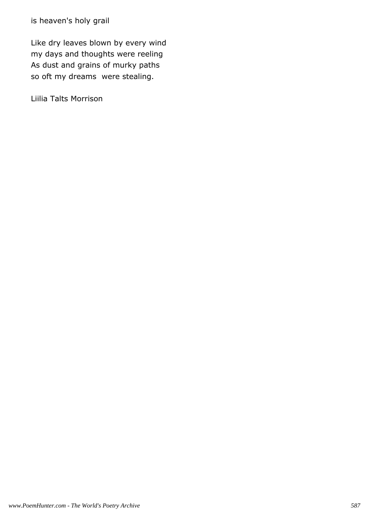is heaven's holy grail

Like dry leaves blown by every wind my days and thoughts were reeling As dust and grains of murky paths so oft my dreams were stealing.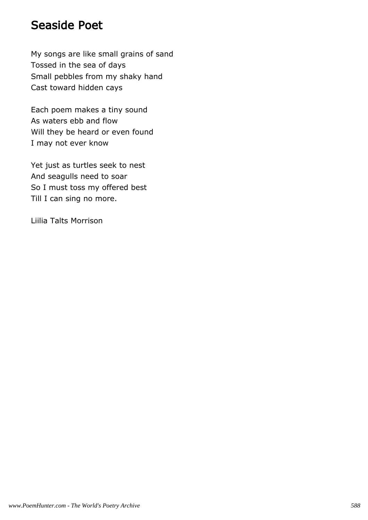# Seaside Poet

My songs are like small grains of sand Tossed in the sea of days Small pebbles from my shaky hand Cast toward hidden cays

Each poem makes a tiny sound As waters ebb and flow Will they be heard or even found I may not ever know

Yet just as turtles seek to nest And seagulls need to soar So I must toss my offered best Till I can sing no more.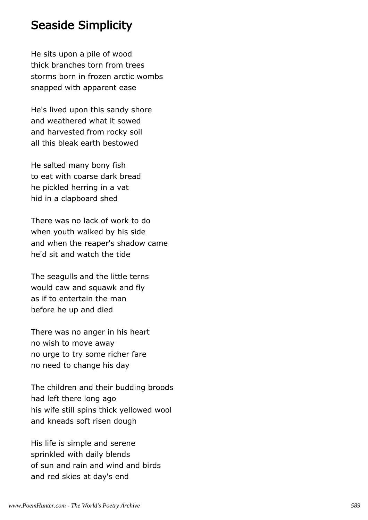#### Seaside Simplicity

He sits upon a pile of wood thick branches torn from trees storms born in frozen arctic wombs snapped with apparent ease

He's lived upon this sandy shore and weathered what it sowed and harvested from rocky soil all this bleak earth bestowed

He salted many bony fish to eat with coarse dark bread he pickled herring in a vat hid in a clapboard shed

There was no lack of work to do when youth walked by his side and when the reaper's shadow came he'd sit and watch the tide

The seagulls and the little terns would caw and squawk and fly as if to entertain the man before he up and died

There was no anger in his heart no wish to move away no urge to try some richer fare no need to change his day

The children and their budding broods had left there long ago his wife still spins thick yellowed wool and kneads soft risen dough

His life is simple and serene sprinkled with daily blends of sun and rain and wind and birds and red skies at day's end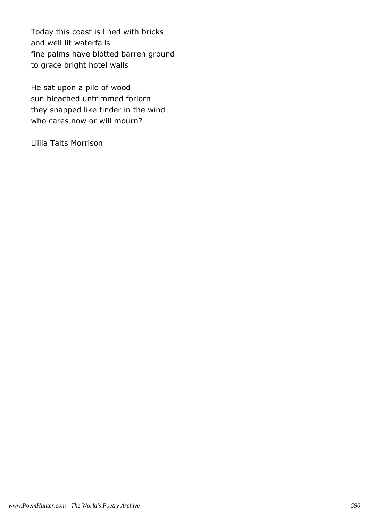Today this coast is lined with bricks and well lit waterfalls fine palms have blotted barren ground to grace bright hotel walls

He sat upon a pile of wood sun bleached untrimmed forlorn they snapped like tinder in the wind who cares now or will mourn?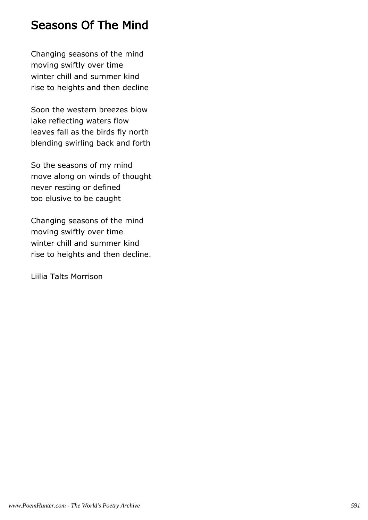# Seasons Of The Mind

Changing seasons of the mind moving swiftly over time winter chill and summer kind rise to heights and then decline

Soon the western breezes blow lake reflecting waters flow leaves fall as the birds fly north blending swirling back and forth

So the seasons of my mind move along on winds of thought never resting or defined too elusive to be caught

Changing seasons of the mind moving swiftly over time winter chill and summer kind rise to heights and then decline.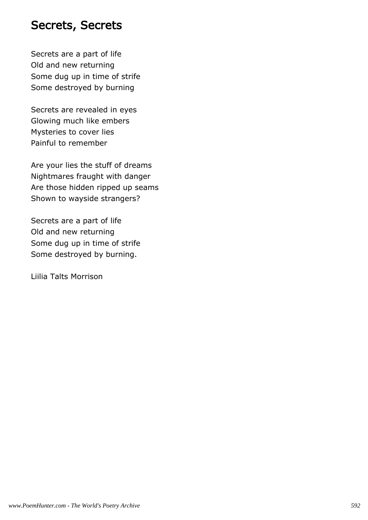#### Secrets, Secrets

Secrets are a part of life Old and new returning Some dug up in time of strife Some destroyed by burning

Secrets are revealed in eyes Glowing much like embers Mysteries to cover lies Painful to remember

Are your lies the stuff of dreams Nightmares fraught with danger Are those hidden ripped up seams Shown to wayside strangers?

Secrets are a part of life Old and new returning Some dug up in time of strife Some destroyed by burning.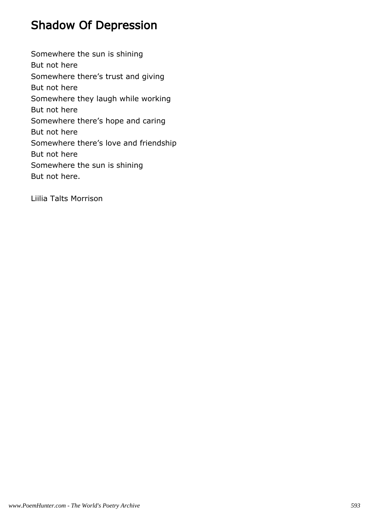# Shadow Of Depression

Somewhere the sun is shining But not here Somewhere there's trust and giving But not here Somewhere they laugh while working But not here Somewhere there's hope and caring But not here Somewhere there's love and friendship But not here Somewhere the sun is shining But not here.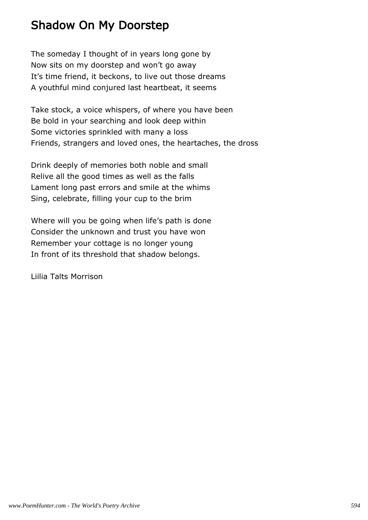# Shadow On My Doorstep

The someday I thought of in years long gone by Now sits on my doorstep and won't go away It's time friend, it beckons, to live out those dreams A youthful mind conjured last heartbeat, it seems

Take stock, a voice whispers, of where you have been Be bold in your searching and look deep within Some victories sprinkled with many a loss Friends, strangers and loved ones, the heartaches, the dross

Drink deeply of memories both noble and small Relive all the good times as well as the falls Lament long past errors and smile at the whims Sing, celebrate, filling your cup to the brim

Where will you be going when life's path is done Consider the unknown and trust you have won Remember your cottage is no longer young In front of its threshold that shadow belongs.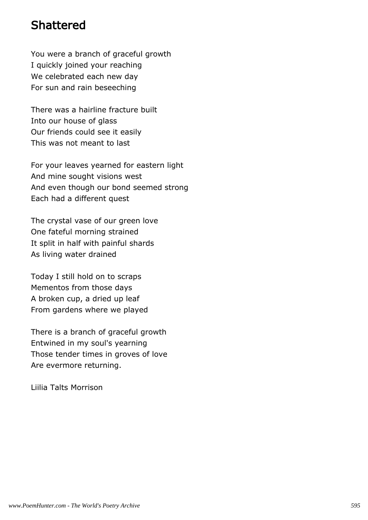#### Shattered

You were a branch of graceful growth I quickly joined your reaching We celebrated each new day For sun and rain beseeching

There was a hairline fracture built Into our house of glass Our friends could see it easily This was not meant to last

For your leaves yearned for eastern light And mine sought visions west And even though our bond seemed strong Each had a different quest

The crystal vase of our green love One fateful morning strained It split in half with painful shards As living water drained

Today I still hold on to scraps Mementos from those days A broken cup, a dried up leaf From gardens where we played

There is a branch of graceful growth Entwined in my soul's yearning Those tender times in groves of love Are evermore returning.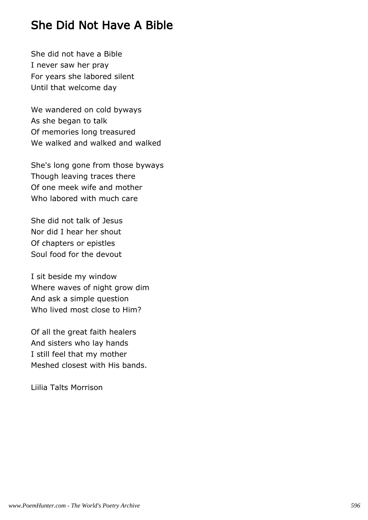# She Did Not Have A Bible

She did not have a Bible I never saw her pray For years she labored silent Until that welcome day

We wandered on cold byways As she began to talk Of memories long treasured We walked and walked and walked

She's long gone from those byways Though leaving traces there Of one meek wife and mother Who labored with much care

She did not talk of Jesus Nor did I hear her shout Of chapters or epistles Soul food for the devout

I sit beside my window Where waves of night grow dim And ask a simple question Who lived most close to Him?

Of all the great faith healers And sisters who lay hands I still feel that my mother Meshed closest with His bands.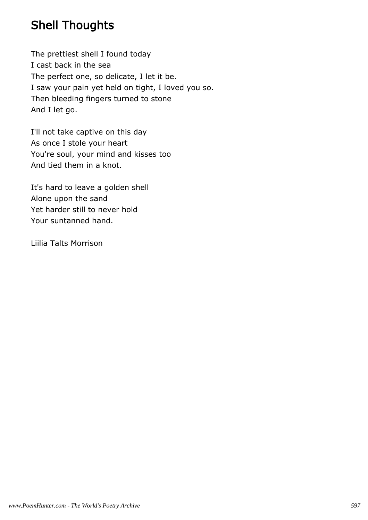# Shell Thoughts

The prettiest shell I found today I cast back in the sea The perfect one, so delicate, I let it be. I saw your pain yet held on tight, I loved you so. Then bleeding fingers turned to stone And I let go.

I'll not take captive on this day As once I stole your heart You're soul, your mind and kisses too And tied them in a knot.

It's hard to leave a golden shell Alone upon the sand Yet harder still to never hold Your suntanned hand.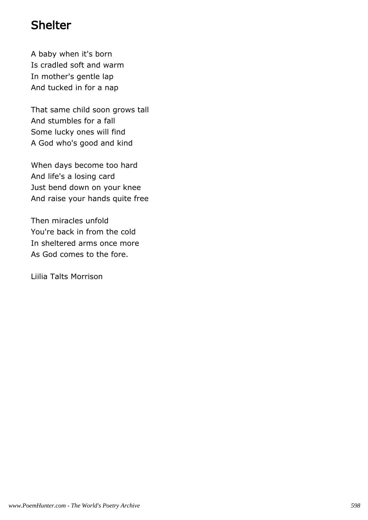# Shelter

A baby when it's born Is cradled soft and warm In mother's gentle lap And tucked in for a nap

That same child soon grows tall And stumbles for a fall Some lucky ones will find A God who's good and kind

When days become too hard And life's a losing card Just bend down on your knee And raise your hands quite free

Then miracles unfold You're back in from the cold In sheltered arms once more As God comes to the fore.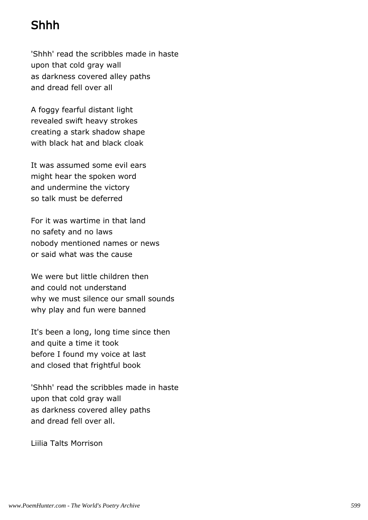# Shhh

'Shhh' read the scribbles made in haste upon that cold gray wall as darkness covered alley paths and dread fell over all

A foggy fearful distant light revealed swift heavy strokes creating a stark shadow shape with black hat and black cloak

It was assumed some evil ears might hear the spoken word and undermine the victory so talk must be deferred

For it was wartime in that land no safety and no laws nobody mentioned names or news or said what was the cause

We were but little children then and could not understand why we must silence our small sounds why play and fun were banned

It's been a long, long time since then and quite a time it took before I found my voice at last and closed that frightful book

'Shhh' read the scribbles made in haste upon that cold gray wall as darkness covered alley paths and dread fell over all.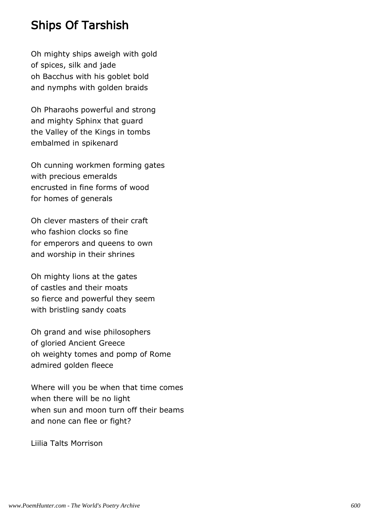# Ships Of Tarshish

Oh mighty ships aweigh with gold of spices, silk and jade oh Bacchus with his goblet bold and nymphs with golden braids

Oh Pharaohs powerful and strong and mighty Sphinx that guard the Valley of the Kings in tombs embalmed in spikenard

Oh cunning workmen forming gates with precious emeralds encrusted in fine forms of wood for homes of generals

Oh clever masters of their craft who fashion clocks so fine for emperors and queens to own and worship in their shrines

Oh mighty lions at the gates of castles and their moats so fierce and powerful they seem with bristling sandy coats

Oh grand and wise philosophers of gloried Ancient Greece oh weighty tomes and pomp of Rome admired golden fleece

Where will you be when that time comes when there will be no light when sun and moon turn off their beams and none can flee or fight?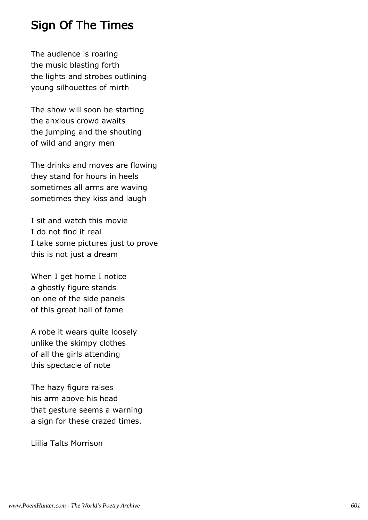# Sign Of The Times

The audience is roaring the music blasting forth the lights and strobes outlining young silhouettes of mirth

The show will soon be starting the anxious crowd awaits the jumping and the shouting of wild and angry men

The drinks and moves are flowing they stand for hours in heels sometimes all arms are waving sometimes they kiss and laugh

I sit and watch this movie I do not find it real I take some pictures just to prove this is not just a dream

When I get home I notice a ghostly figure stands on one of the side panels of this great hall of fame

A robe it wears quite loosely unlike the skimpy clothes of all the girls attending this spectacle of note

The hazy figure raises his arm above his head that gesture seems a warning a sign for these crazed times.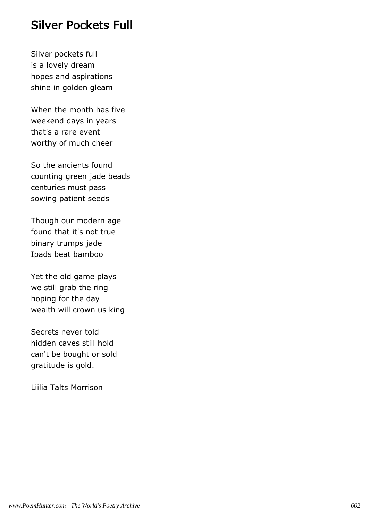#### Silver Pockets Full

Silver pockets full is a lovely dream hopes and aspirations shine in golden gleam

When the month has five weekend days in years that's a rare event worthy of much cheer

So the ancients found counting green jade beads centuries must pass sowing patient seeds

Though our modern age found that it's not true binary trumps jade Ipads beat bamboo

Yet the old game plays we still grab the ring hoping for the day wealth will crown us king

Secrets never told hidden caves still hold can't be bought or sold gratitude is gold.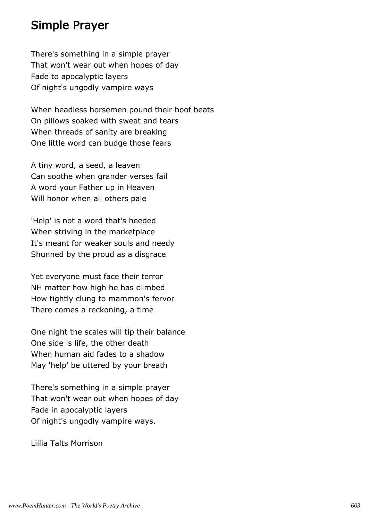### Simple Prayer

There's something in a simple prayer That won't wear out when hopes of day Fade to apocalyptic layers Of night's ungodly vampire ways

When headless horsemen pound their hoof beats On pillows soaked with sweat and tears When threads of sanity are breaking One little word can budge those fears

A tiny word, a seed, a leaven Can soothe when grander verses fail A word your Father up in Heaven Will honor when all others pale

'Help' is not a word that's heeded When striving in the marketplace It's meant for weaker souls and needy Shunned by the proud as a disgrace

Yet everyone must face their terror NH matter how high he has climbed How tightly clung to mammon's fervor There comes a reckoning, a time

One night the scales will tip their balance One side is life, the other death When human aid fades to a shadow May 'help' be uttered by your breath

There's something in a simple prayer That won't wear out when hopes of day Fade in apocalyptic layers Of night's ungodly vampire ways.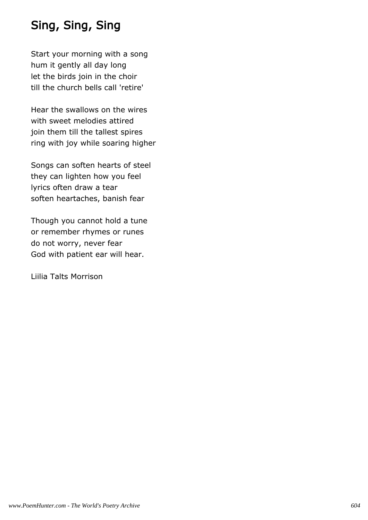# Sing, Sing, Sing

Start your morning with a song hum it gently all day long let the birds join in the choir till the church bells call 'retire'

Hear the swallows on the wires with sweet melodies attired join them till the tallest spires ring with joy while soaring higher

Songs can soften hearts of steel they can lighten how you feel lyrics often draw a tear soften heartaches, banish fear

Though you cannot hold a tune or remember rhymes or runes do not worry, never fear God with patient ear will hear.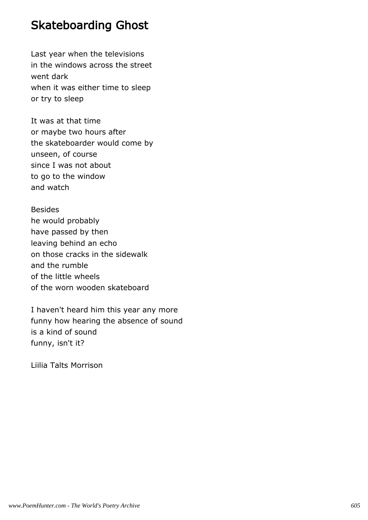# Skateboarding Ghost

Last year when the televisions in the windows across the street went dark when it was either time to sleep or try to sleep

It was at that time or maybe two hours after the skateboarder would come by unseen, of course since I was not about to go to the window and watch

Besides he would probably have passed by then leaving behind an echo on those cracks in the sidewalk and the rumble of the little wheels of the worn wooden skateboard

I haven't heard him this year any more funny how hearing the absence of sound is a kind of sound funny, isn't it?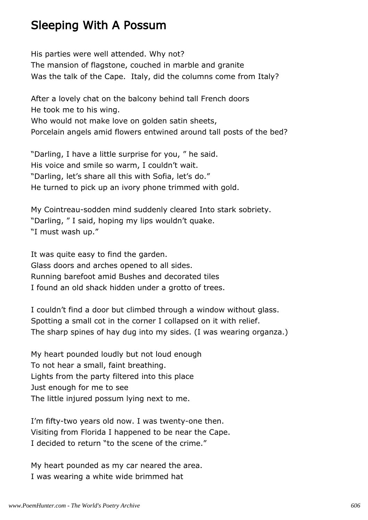# Sleeping With A Possum

His parties were well attended. Why not? The mansion of flagstone, couched in marble and granite Was the talk of the Cape. Italy, did the columns come from Italy?

After a lovely chat on the balcony behind tall French doors He took me to his wing. Who would not make love on golden satin sheets, Porcelain angels amid flowers entwined around tall posts of the bed?

"Darling, I have a little surprise for you, " he said. His voice and smile so warm, I couldn't wait. "Darling, let's share all this with Sofia, let's do." He turned to pick up an ivory phone trimmed with gold.

My Cointreau-sodden mind suddenly cleared Into stark sobriety. "Darling, " I said, hoping my lips wouldn't quake. "I must wash up."

It was quite easy to find the garden. Glass doors and arches opened to all sides. Running barefoot amid Bushes and decorated tiles I found an old shack hidden under a grotto of trees.

I couldn't find a door but climbed through a window without glass. Spotting a small cot in the corner I collapsed on it with relief. The sharp spines of hay dug into my sides. (I was wearing organza.)

My heart pounded loudly but not loud enough To not hear a small, faint breathing. Lights from the party filtered into this place Just enough for me to see The little injured possum lying next to me.

I'm fifty-two years old now. I was twenty-one then. Visiting from Florida I happened to be near the Cape. I decided to return "to the scene of the crime."

My heart pounded as my car neared the area. I was wearing a white wide brimmed hat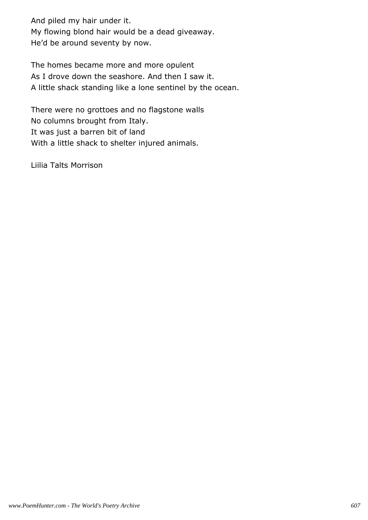And piled my hair under it. My flowing blond hair would be a dead giveaway. He'd be around seventy by now.

The homes became more and more opulent As I drove down the seashore. And then I saw it. A little shack standing like a lone sentinel by the ocean.

There were no grottoes and no flagstone walls No columns brought from Italy. It was just a barren bit of land With a little shack to shelter injured animals.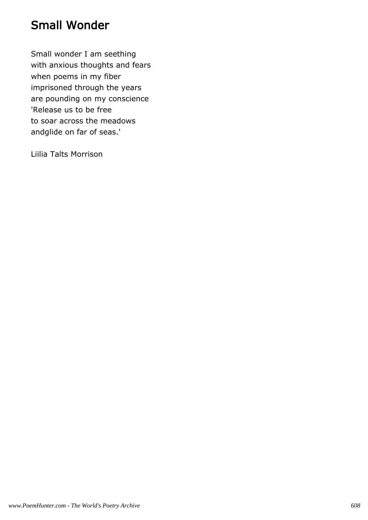# Small Wonder

Small wonder I am seething with anxious thoughts and fears when poems in my fiber imprisoned through the years are pounding on my conscience 'Release us to be free to soar across the meadows andglide on far of seas.'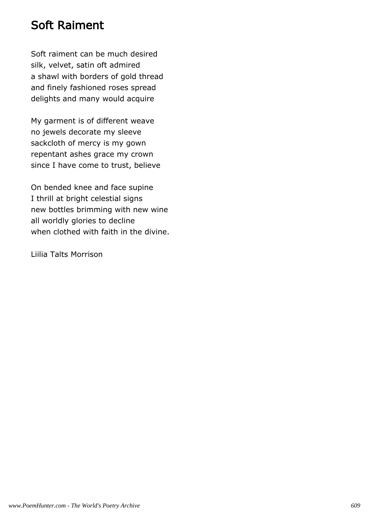# Soft Raiment

Soft raiment can be much desired silk, velvet, satin oft admired a shawl with borders of gold thread and finely fashioned roses spread delights and many would acquire

My garment is of different weave no jewels decorate my sleeve sackcloth of mercy is my gown repentant ashes grace my crown since I have come to trust, believe

On bended knee and face supine I thrill at bright celestial signs new bottles brimming with new wine all worldly glories to decline when clothed with faith in the divine.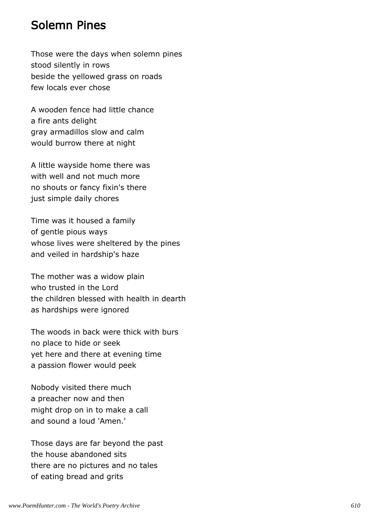#### Solemn Pines

Those were the days when solemn pines stood silently in rows beside the yellowed grass on roads few locals ever chose

A wooden fence had little chance a fire ants delight gray armadillos slow and calm would burrow there at night

A little wayside home there was with well and not much more no shouts or fancy fixin's there just simple daily chores

Time was it housed a family of gentle pious ways whose lives were sheltered by the pines and veiled in hardship's haze

The mother was a widow plain who trusted in the Lord the children blessed with health in dearth as hardships were ignored

The woods in back were thick with burs no place to hide or seek yet here and there at evening time a passion flower would peek

Nobody visited there much a preacher now and then might drop on in to make a call and sound a loud 'Amen.'

Those days are far beyond the past the house abandoned sits there are no pictures and no tales of eating bread and grits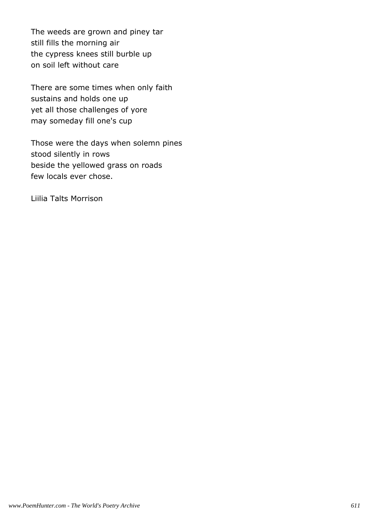The weeds are grown and piney tar still fills the morning air the cypress knees still burble up on soil left without care

There are some times when only faith sustains and holds one up yet all those challenges of yore may someday fill one's cup

Those were the days when solemn pines stood silently in rows beside the yellowed grass on roads few locals ever chose.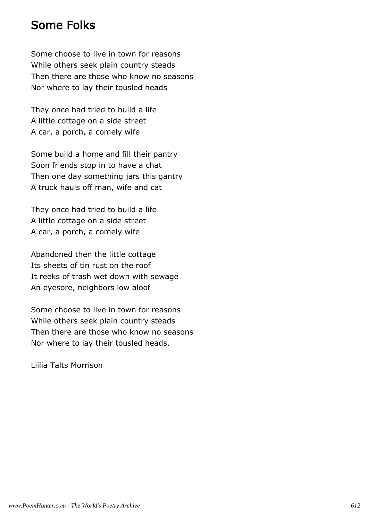## Some Folks

Some choose to live in town for reasons While others seek plain country steads Then there are those who know no seasons Nor where to lay their tousled heads

They once had tried to build a life A little cottage on a side street A car, a porch, a comely wife

Some build a home and fill their pantry Soon friends stop in to have a chat Then one day something jars this gantry A truck hauls off man, wife and cat

They once had tried to build a life A little cottage on a side street A car, a porch, a comely wife

Abandoned then the little cottage Its sheets of tin rust on the roof It reeks of trash wet down with sewage An eyesore, neighbors low aloof

Some choose to live in town for reasons While others seek plain country steads Then there are those who know no seasons Nor where to lay their tousled heads.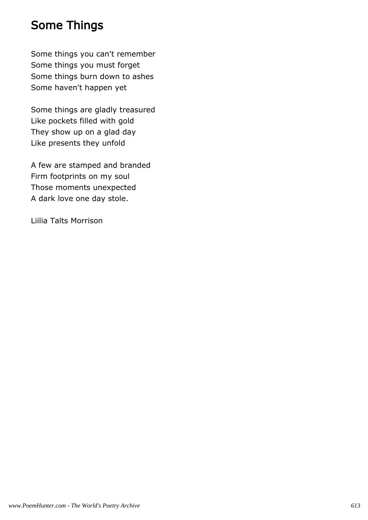## Some Things

Some things you can't remember Some things you must forget Some things burn down to ashes Some haven't happen yet

Some things are gladly treasured Like pockets filled with gold They show up on a glad day Like presents they unfold

A few are stamped and branded Firm footprints on my soul Those moments unexpected A dark love one day stole.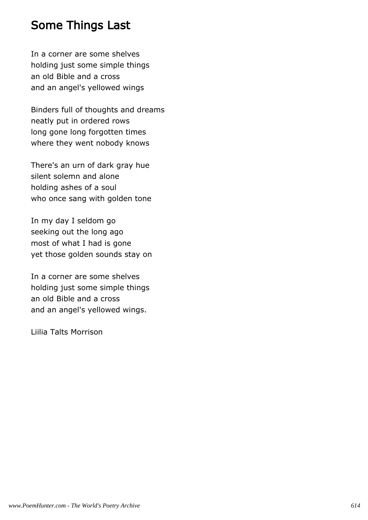### Some Things Last

In a corner are some shelves holding just some simple things an old Bible and a cross and an angel's yellowed wings

Binders full of thoughts and dreams neatly put in ordered rows long gone long forgotten times where they went nobody knows

There's an urn of dark gray hue silent solemn and alone holding ashes of a soul who once sang with golden tone

In my day I seldom go seeking out the long ago most of what I had is gone yet those golden sounds stay on

In a corner are some shelves holding just some simple things an old Bible and a cross and an angel's yellowed wings.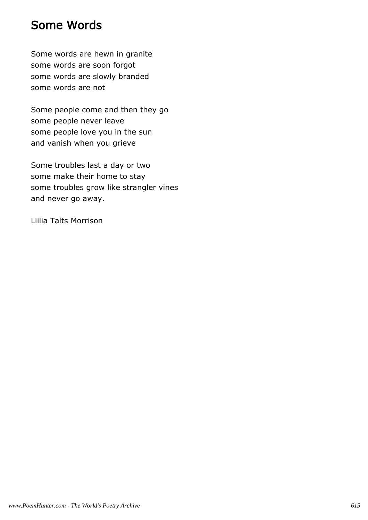### Some Words

Some words are hewn in granite some words are soon forgot some words are slowly branded some words are not

Some people come and then they go some people never leave some people love you in the sun and vanish when you grieve

Some troubles last a day or two some make their home to stay some troubles grow like strangler vines and never go away.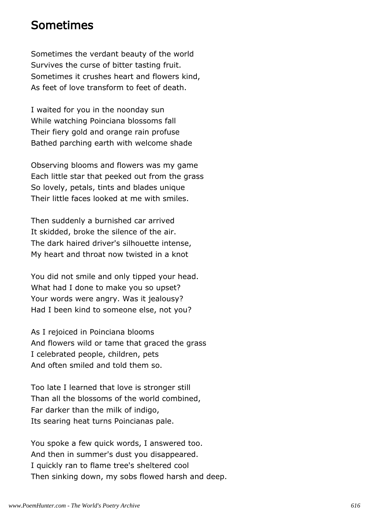#### Sometimes

Sometimes the verdant beauty of the world Survives the curse of bitter tasting fruit. Sometimes it crushes heart and flowers kind, As feet of love transform to feet of death.

I waited for you in the noonday sun While watching Poinciana blossoms fall Their fiery gold and orange rain profuse Bathed parching earth with welcome shade

Observing blooms and flowers was my game Each little star that peeked out from the grass So lovely, petals, tints and blades unique Their little faces looked at me with smiles.

Then suddenly a burnished car arrived It skidded, broke the silence of the air. The dark haired driver's silhouette intense, My heart and throat now twisted in a knot

You did not smile and only tipped your head. What had I done to make you so upset? Your words were angry. Was it jealousy? Had I been kind to someone else, not you?

As I rejoiced in Poinciana blooms And flowers wild or tame that graced the grass I celebrated people, children, pets And often smiled and told them so.

Too late I learned that love is stronger still Than all the blossoms of the world combined, Far darker than the milk of indigo, Its searing heat turns Poincianas pale.

You spoke a few quick words, I answered too. And then in summer's dust you disappeared. I quickly ran to flame tree's sheltered cool Then sinking down, my sobs flowed harsh and deep.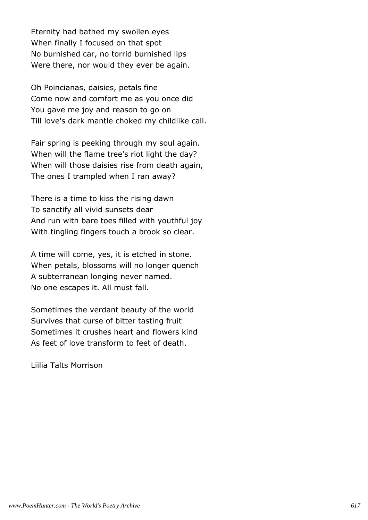Eternity had bathed my swollen eyes When finally I focused on that spot No burnished car, no torrid burnished lips Were there, nor would they ever be again.

Oh Poincianas, daisies, petals fine Come now and comfort me as you once did You gave me joy and reason to go on Till love's dark mantle choked my childlike call.

Fair spring is peeking through my soul again. When will the flame tree's riot light the day? When will those daisies rise from death again, The ones I trampled when I ran away?

There is a time to kiss the rising dawn To sanctify all vivid sunsets dear And run with bare toes filled with youthful joy With tingling fingers touch a brook so clear.

A time will come, yes, it is etched in stone. When petals, blossoms will no longer quench A subterranean longing never named. No one escapes it. All must fall.

Sometimes the verdant beauty of the world Survives that curse of bitter tasting fruit Sometimes it crushes heart and flowers kind As feet of love transform to feet of death.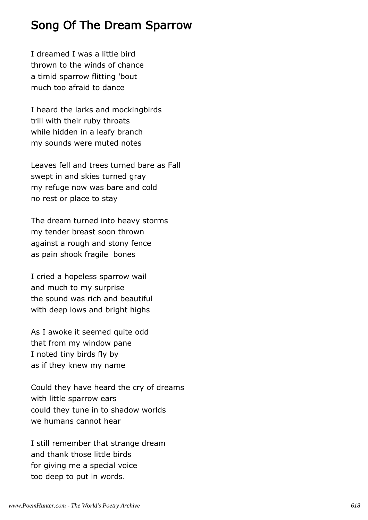## Song Of The Dream Sparrow

I dreamed I was a little bird thrown to the winds of chance a timid sparrow flitting 'bout much too afraid to dance

I heard the larks and mockingbirds trill with their ruby throats while hidden in a leafy branch my sounds were muted notes

Leaves fell and trees turned bare as Fall swept in and skies turned gray my refuge now was bare and cold no rest or place to stay

The dream turned into heavy storms my tender breast soon thrown against a rough and stony fence as pain shook fragile bones

I cried a hopeless sparrow wail and much to my surprise the sound was rich and beautiful with deep lows and bright highs

As I awoke it seemed quite odd that from my window pane I noted tiny birds fly by as if they knew my name

Could they have heard the cry of dreams with little sparrow ears could they tune in to shadow worlds we humans cannot hear

I still remember that strange dream and thank those little birds for giving me a special voice too deep to put in words.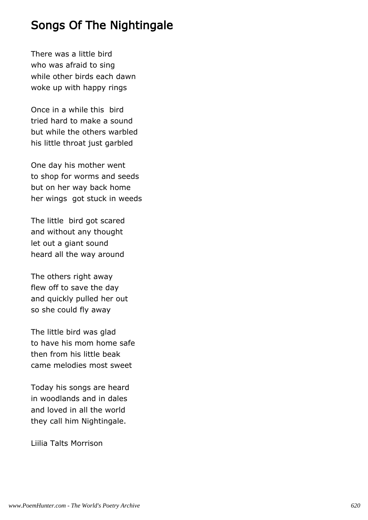# Songs Of The Nightingale

There was a little bird who was afraid to sing while other birds each dawn woke up with happy rings

Once in a while this bird tried hard to make a sound but while the others warbled his little throat just garbled

One day his mother went to shop for worms and seeds but on her way back home her wings got stuck in weeds

The little bird got scared and without any thought let out a giant sound heard all the way around

The others right away flew off to save the day and quickly pulled her out so she could fly away

The little bird was glad to have his mom home safe then from his little beak came melodies most sweet

Today his songs are heard in woodlands and in dales and loved in all the world they call him Nightingale.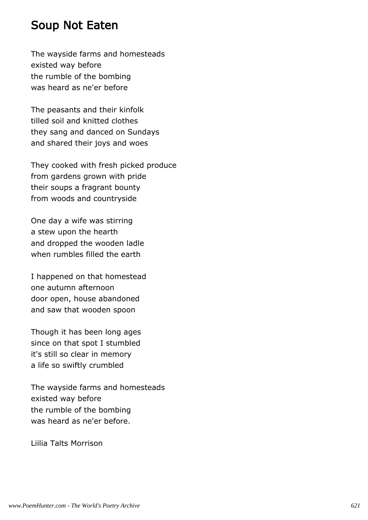### Soup Not Eaten

The wayside farms and homesteads existed way before the rumble of the bombing was heard as ne'er before

The peasants and their kinfolk tilled soil and knitted clothes they sang and danced on Sundays and shared their joys and woes

They cooked with fresh picked produce from gardens grown with pride their soups a fragrant bounty from woods and countryside

One day a wife was stirring a stew upon the hearth and dropped the wooden ladle when rumbles filled the earth

I happened on that homestead one autumn afternoon door open, house abandoned and saw that wooden spoon

Though it has been long ages since on that spot I stumbled it's still so clear in memory a life so swiftly crumbled

The wayside farms and homesteads existed way before the rumble of the bombing was heard as ne'er before.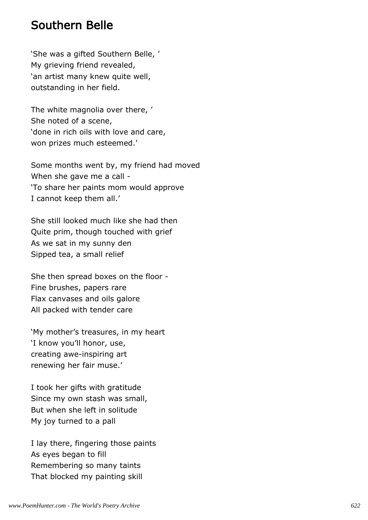#### Southern Belle

'She was a gifted Southern Belle, ' My grieving friend revealed, 'an artist many knew quite well, outstanding in her field.

The white magnolia over there, ' She noted of a scene, 'done in rich oils with love and care, won prizes much esteemed.'

Some months went by, my friend had moved When she gave me a call - 'To share her paints mom would approve I cannot keep them all.'

She still looked much like she had then Quite prim, though touched with grief As we sat in my sunny den Sipped tea, a small relief

She then spread boxes on the floor - Fine brushes, papers rare Flax canvases and oils galore All packed with tender care

'My mother's treasures, in my heart 'I know you'll honor, use, creating awe-inspiring art renewing her fair muse.'

I took her gifts with gratitude Since my own stash was small, But when she left in solitude My joy turned to a pall

I lay there, fingering those paints As eyes began to fill Remembering so many taints That blocked my painting skill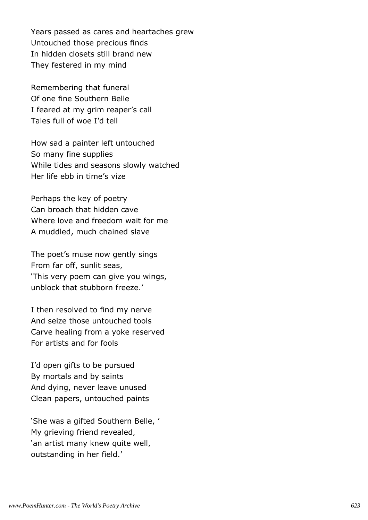Years passed as cares and heartaches grew Untouched those precious finds In hidden closets still brand new They festered in my mind

Remembering that funeral Of one fine Southern Belle I feared at my grim reaper's call Tales full of woe I'd tell

How sad a painter left untouched So many fine supplies While tides and seasons slowly watched Her life ebb in time's vize

Perhaps the key of poetry Can broach that hidden cave Where love and freedom wait for me A muddled, much chained slave

The poet's muse now gently sings From far off, sunlit seas, 'This very poem can give you wings, unblock that stubborn freeze.'

I then resolved to find my nerve And seize those untouched tools Carve healing from a yoke reserved For artists and for fools

I'd open gifts to be pursued By mortals and by saints And dying, never leave unused Clean papers, untouched paints

'She was a gifted Southern Belle, ' My grieving friend revealed, 'an artist many knew quite well, outstanding in her field.'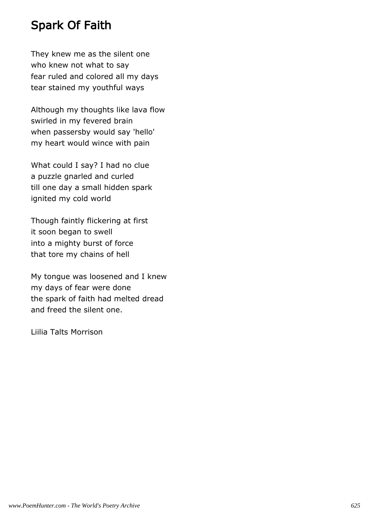## Spark Of Faith

They knew me as the silent one who knew not what to say fear ruled and colored all my days tear stained my youthful ways

Although my thoughts like lava flow swirled in my fevered brain when passersby would say 'hello' my heart would wince with pain

What could I say? I had no clue a puzzle gnarled and curled till one day a small hidden spark ignited my cold world

Though faintly flickering at first it soon began to swell into a mighty burst of force that tore my chains of hell

My tongue was loosened and I knew my days of fear were done the spark of faith had melted dread and freed the silent one.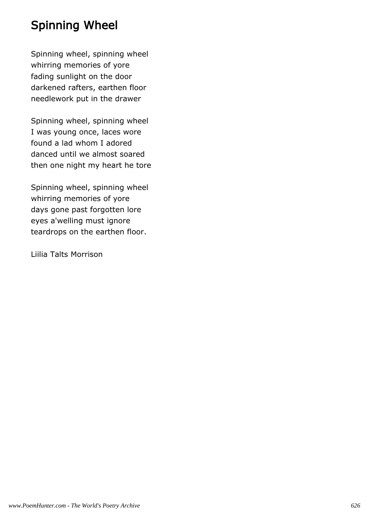## Spinning Wheel

Spinning wheel, spinning wheel whirring memories of yore fading sunlight on the door darkened rafters, earthen floor needlework put in the drawer

Spinning wheel, spinning wheel I was young once, laces wore found a lad whom I adored danced until we almost soared then one night my heart he tore

Spinning wheel, spinning wheel whirring memories of yore days gone past forgotten lore eyes a'welling must ignore teardrops on the earthen floor.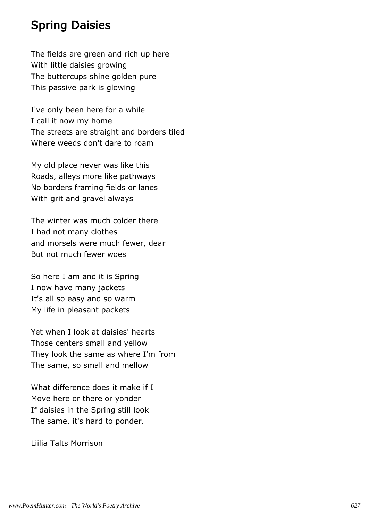## Spring Daisies

The fields are green and rich up here With little daisies growing The buttercups shine golden pure This passive park is glowing

I've only been here for a while I call it now my home The streets are straight and borders tiled Where weeds don't dare to roam

My old place never was like this Roads, alleys more like pathways No borders framing fields or lanes With grit and gravel always

The winter was much colder there I had not many clothes and morsels were much fewer, dear But not much fewer woes

So here I am and it is Spring I now have many jackets It's all so easy and so warm My life in pleasant packets

Yet when I look at daisies' hearts Those centers small and yellow They look the same as where I'm from The same, so small and mellow

What difference does it make if I Move here or there or yonder If daisies in the Spring still look The same, it's hard to ponder.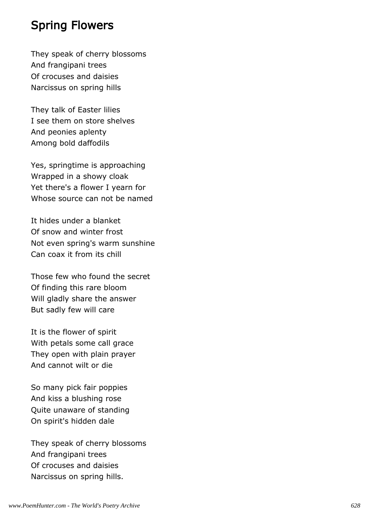#### Spring Flowers

They speak of cherry blossoms And frangipani trees Of crocuses and daisies Narcissus on spring hills

They talk of Easter lilies I see them on store shelves And peonies aplenty Among bold daffodils

Yes, springtime is approaching Wrapped in a showy cloak Yet there's a flower I yearn for Whose source can not be named

It hides under a blanket Of snow and winter frost Not even spring's warm sunshine Can coax it from its chill

Those few who found the secret Of finding this rare bloom Will gladly share the answer But sadly few will care

It is the flower of spirit With petals some call grace They open with plain prayer And cannot wilt or die

So many pick fair poppies And kiss a blushing rose Quite unaware of standing On spirit's hidden dale

They speak of cherry blossoms And frangipani trees Of crocuses and daisies Narcissus on spring hills.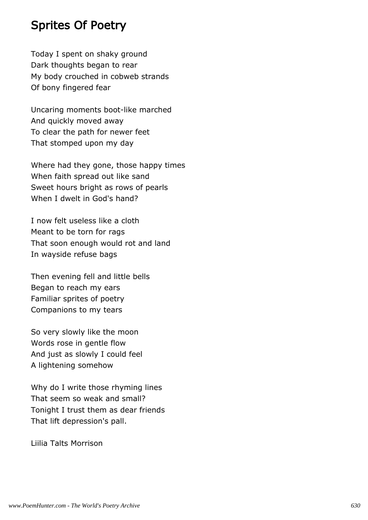## Sprites Of Poetry

Today I spent on shaky ground Dark thoughts began to rear My body crouched in cobweb strands Of bony fingered fear

Uncaring moments boot-like marched And quickly moved away To clear the path for newer feet That stomped upon my day

Where had they gone, those happy times When faith spread out like sand Sweet hours bright as rows of pearls When I dwelt in God's hand?

I now felt useless like a cloth Meant to be torn for rags That soon enough would rot and land In wayside refuse bags

Then evening fell and little bells Began to reach my ears Familiar sprites of poetry Companions to my tears

So very slowly like the moon Words rose in gentle flow And just as slowly I could feel A lightening somehow

Why do I write those rhyming lines That seem so weak and small? Tonight I trust them as dear friends That lift depression's pall.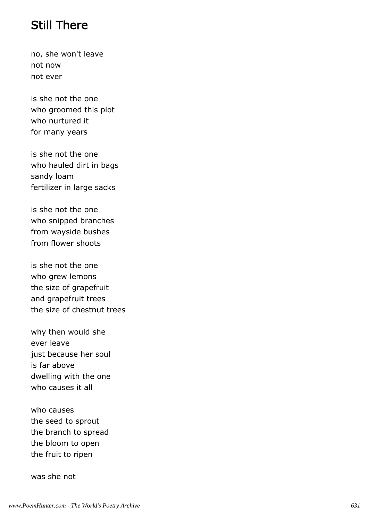### Still There

no, she won't leave not now not ever

is she not the one who groomed this plot who nurtured it for many years

is she not the one who hauled dirt in bags sandy loam fertilizer in large sacks

is she not the one who snipped branches from wayside bushes from flower shoots

is she not the one who grew lemons the size of grapefruit and grapefruit trees the size of chestnut trees

why then would she ever leave just because her soul is far above dwelling with the one who causes it all

who causes the seed to sprout the branch to spread the bloom to open the fruit to ripen

was she not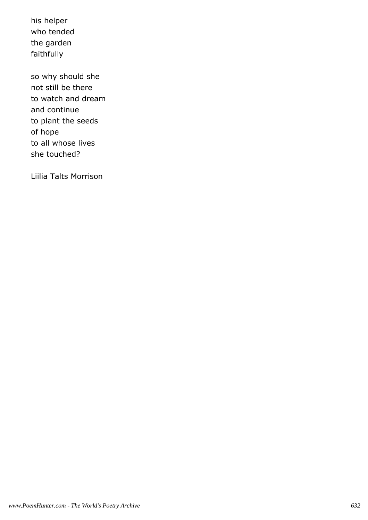his helper who tended the garden faithfully

so why should she not still be there to watch and dream and continue to plant the seeds of hope to all whose lives she touched?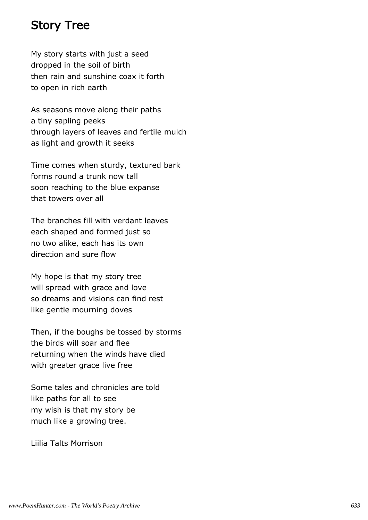## Story Tree

My story starts with just a seed dropped in the soil of birth then rain and sunshine coax it forth to open in rich earth

As seasons move along their paths a tiny sapling peeks through layers of leaves and fertile mulch as light and growth it seeks

Time comes when sturdy, textured bark forms round a trunk now tall soon reaching to the blue expanse that towers over all

The branches fill with verdant leaves each shaped and formed just so no two alike, each has its own direction and sure flow

My hope is that my story tree will spread with grace and love so dreams and visions can find rest like gentle mourning doves

Then, if the boughs be tossed by storms the birds will soar and flee returning when the winds have died with greater grace live free

Some tales and chronicles are told like paths for all to see my wish is that my story be much like a growing tree.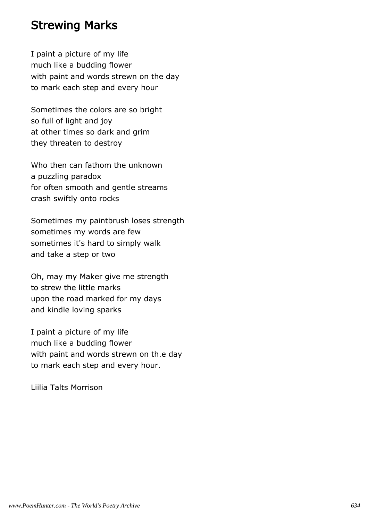#### Strewing Marks

I paint a picture of my life much like a budding flower with paint and words strewn on the day to mark each step and every hour

Sometimes the colors are so bright so full of light and joy at other times so dark and grim they threaten to destroy

Who then can fathom the unknown a puzzling paradox for often smooth and gentle streams crash swiftly onto rocks

Sometimes my paintbrush loses strength sometimes my words are few sometimes it's hard to simply walk and take a step or two

Oh, may my Maker give me strength to strew the little marks upon the road marked for my days and kindle loving sparks

I paint a picture of my life much like a budding flower with paint and words strewn on th.e day to mark each step and every hour.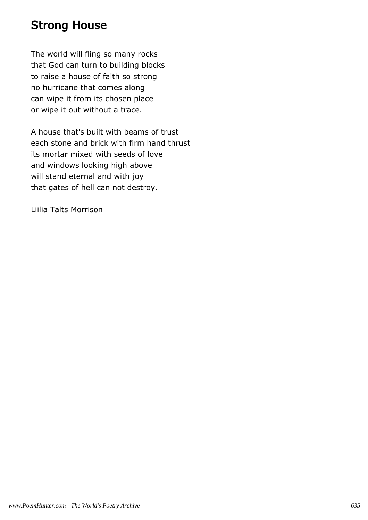## Strong House

The world will fling so many rocks that God can turn to building blocks to raise a house of faith so strong no hurricane that comes along can wipe it from its chosen place or wipe it out without a trace.

A house that's built with beams of trust each stone and brick with firm hand thrust its mortar mixed with seeds of love and windows looking high above will stand eternal and with joy that gates of hell can not destroy.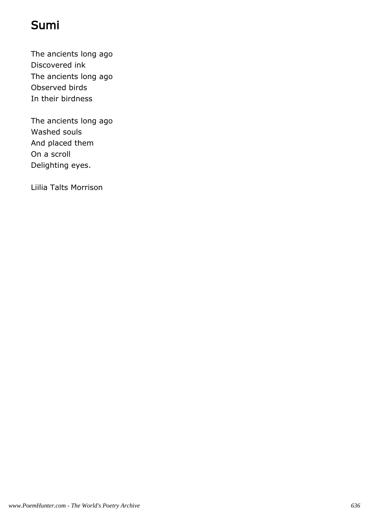# Sumi

The ancients long ago Discovered ink The ancients long ago Observed birds In their birdness

The ancients long ago Washed souls And placed them On a scroll Delighting eyes.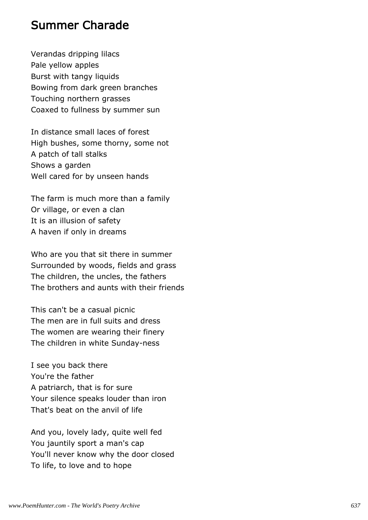#### Summer Charade

Verandas dripping lilacs Pale yellow apples Burst with tangy liquids Bowing from dark green branches Touching northern grasses Coaxed to fullness by summer sun

In distance small laces of forest High bushes, some thorny, some not A patch of tall stalks Shows a garden Well cared for by unseen hands

The farm is much more than a family Or village, or even a clan It is an illusion of safety A haven if only in dreams

Who are you that sit there in summer Surrounded by woods, fields and grass The children, the uncles, the fathers The brothers and aunts with their friends

This can't be a casual picnic The men are in full suits and dress The women are wearing their finery The children in white Sunday-ness

I see you back there You're the father A patriarch, that is for sure Your silence speaks louder than iron That's beat on the anvil of life

And you, lovely lady, quite well fed You jauntily sport a man's cap You'll never know why the door closed To life, to love and to hope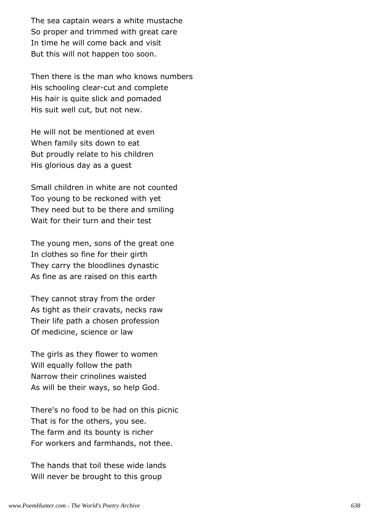The sea captain wears a white mustache So proper and trimmed with great care In time he will come back and visit But this will not happen too soon.

Then there is the man who knows numbers His schooling clear-cut and complete His hair is quite slick and pomaded His suit well cut, but not new.

He will not be mentioned at even When family sits down to eat But proudly relate to his children His glorious day as a guest

Small children in white are not counted Too young to be reckoned with yet They need but to be there and smiling Wait for their turn and their test

The young men, sons of the great one In clothes so fine for their girth They carry the bloodlines dynastic As fine as are raised on this earth

They cannot stray from the order As tight as their cravats, necks raw Their life path a chosen profession Of medicine, science or law

The girls as they flower to women Will equally follow the path Narrow their crinolines waisted As will be their ways, so help God.

There's no food to be had on this picnic That is for the others, you see. The farm and its bounty is richer For workers and farmhands, not thee.

The hands that toil these wide lands Will never be brought to this group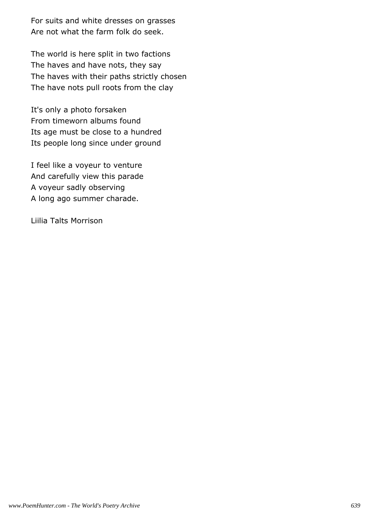For suits and white dresses on grasses Are not what the farm folk do seek.

The world is here split in two factions The haves and have nots, they say The haves with their paths strictly chosen The have nots pull roots from the clay

It's only a photo forsaken From timeworn albums found Its age must be close to a hundred Its people long since under ground

I feel like a voyeur to venture And carefully view this parade A voyeur sadly observing A long ago summer charade.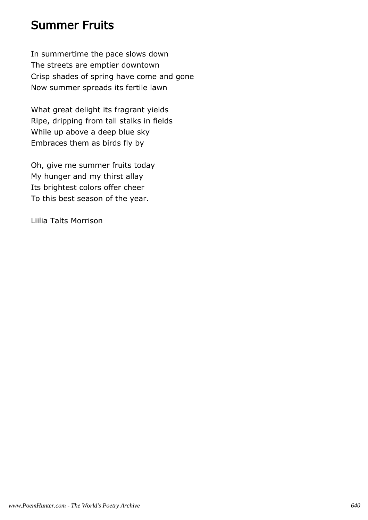## Summer Fruits

In summertime the pace slows down The streets are emptier downtown Crisp shades of spring have come and gone Now summer spreads its fertile lawn

What great delight its fragrant yields Ripe, dripping from tall stalks in fields While up above a deep blue sky Embraces them as birds fly by

Oh, give me summer fruits today My hunger and my thirst allay Its brightest colors offer cheer To this best season of the year.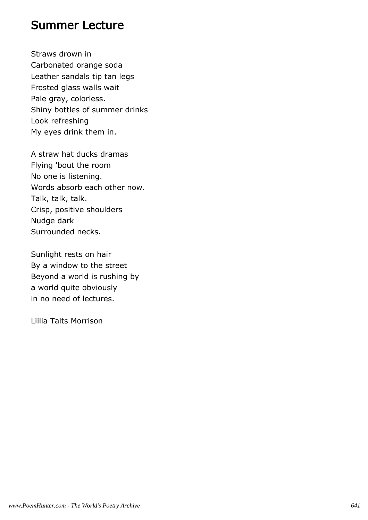### Summer Lecture

Straws drown in Carbonated orange soda Leather sandals tip tan legs Frosted glass walls wait Pale gray, colorless. Shiny bottles of summer drinks Look refreshing My eyes drink them in.

A straw hat ducks dramas Flying 'bout the room No one is listening. Words absorb each other now. Talk, talk, talk. Crisp, positive shoulders Nudge dark Surrounded necks.

Sunlight rests on hair By a window to the street Beyond a world is rushing by a world quite obviously in no need of lectures.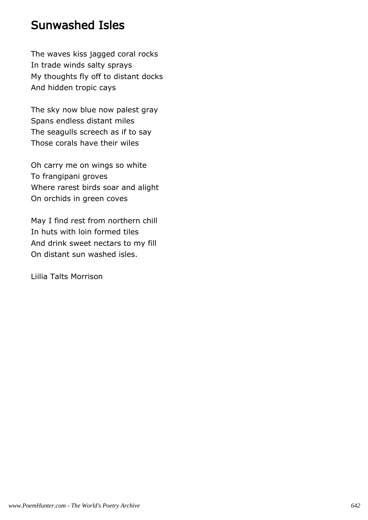#### Sunwashed Isles

The waves kiss jagged coral rocks In trade winds salty sprays My thoughts fly off to distant docks And hidden tropic cays

The sky now blue now palest gray Spans endless distant miles The seagulls screech as if to say Those corals have their wiles

Oh carry me on wings so white To frangipani groves Where rarest birds soar and alight On orchids in green coves

May I find rest from northern chill In huts with loin formed tiles And drink sweet nectars to my fill On distant sun washed isles.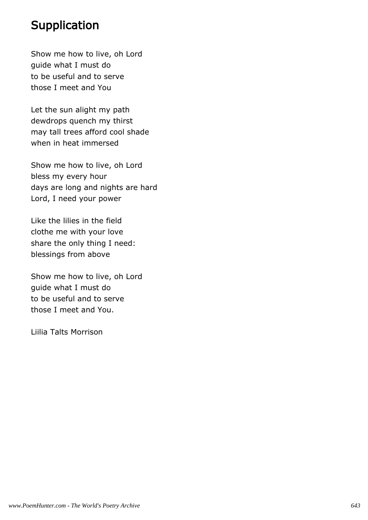## **Supplication**

Show me how to live, oh Lord guide what I must do to be useful and to serve those I meet and You

Let the sun alight my path dewdrops quench my thirst may tall trees afford cool shade when in heat immersed

Show me how to live, oh Lord bless my every hour days are long and nights are hard Lord, I need your power

Like the lilies in the field clothe me with your love share the only thing I need: blessings from above

Show me how to live, oh Lord guide what I must do to be useful and to serve those I meet and You.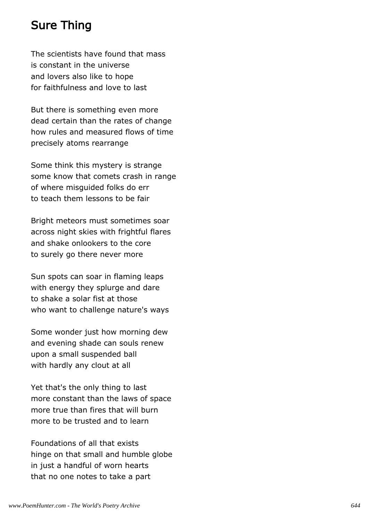## Sure Thing

The scientists have found that mass is constant in the universe and lovers also like to hope for faithfulness and love to last

But there is something even more dead certain than the rates of change how rules and measured flows of time precisely atoms rearrange

Some think this mystery is strange some know that comets crash in range of where misguided folks do err to teach them lessons to be fair

Bright meteors must sometimes soar across night skies with frightful flares and shake onlookers to the core to surely go there never more

Sun spots can soar in flaming leaps with energy they splurge and dare to shake a solar fist at those who want to challenge nature's ways

Some wonder just how morning dew and evening shade can souls renew upon a small suspended ball with hardly any clout at all

Yet that's the only thing to last more constant than the laws of space more true than fires that will burn more to be trusted and to learn

Foundations of all that exists hinge on that small and humble globe in just a handful of worn hearts that no one notes to take a part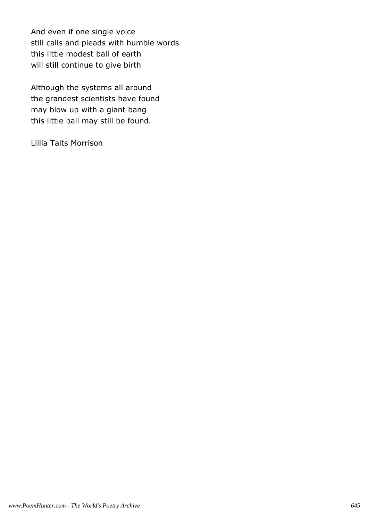And even if one single voice still calls and pleads with humble words this little modest ball of earth will still continue to give birth

Although the systems all around the grandest scientists have found may blow up with a giant bang this little ball may still be found.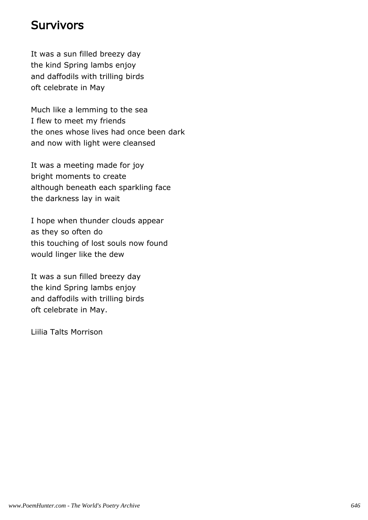## Survivors

It was a sun filled breezy day the kind Spring lambs enjoy and daffodils with trilling birds oft celebrate in May

Much like a lemming to the sea I flew to meet my friends the ones whose lives had once been dark and now with light were cleansed

It was a meeting made for joy bright moments to create although beneath each sparkling face the darkness lay in wait

I hope when thunder clouds appear as they so often do this touching of lost souls now found would linger like the dew

It was a sun filled breezy day the kind Spring lambs enjoy and daffodils with trilling birds oft celebrate in May.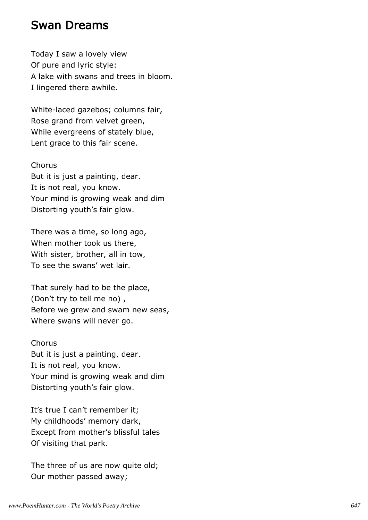#### Swan Dreams

Today I saw a lovely view Of pure and lyric style: A lake with swans and trees in bloom. I lingered there awhile.

White-laced gazebos; columns fair, Rose grand from velvet green, While evergreens of stately blue, Lent grace to this fair scene.

Chorus But it is just a painting, dear. It is not real, you know. Your mind is growing weak and dim Distorting youth's fair glow.

There was a time, so long ago, When mother took us there, With sister, brother, all in tow, To see the swans' wet lair.

That surely had to be the place, (Don't try to tell me no) , Before we grew and swam new seas, Where swans will never go.

Chorus But it is just a painting, dear. It is not real, you know. Your mind is growing weak and dim Distorting youth's fair glow.

It's true I can't remember it; My childhoods' memory dark, Except from mother's blissful tales Of visiting that park.

The three of us are now quite old; Our mother passed away;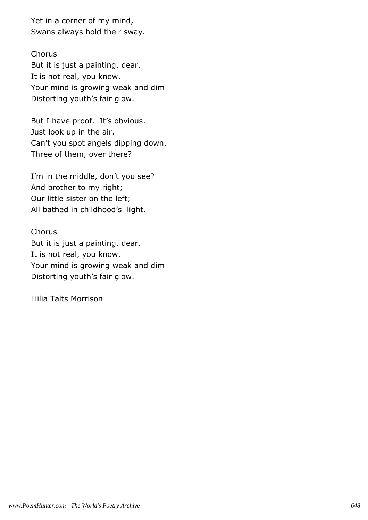Yet in a corner of my mind, Swans always hold their sway.

Chorus But it is just a painting, dear. It is not real, you know. Your mind is growing weak and dim Distorting youth's fair glow.

But I have proof. It's obvious. Just look up in the air. Can't you spot angels dipping down, Three of them, over there?

I'm in the middle, don't you see? And brother to my right; Our little sister on the left; All bathed in childhood's light.

Chorus But it is just a painting, dear. It is not real, you know. Your mind is growing weak and dim Distorting youth's fair glow.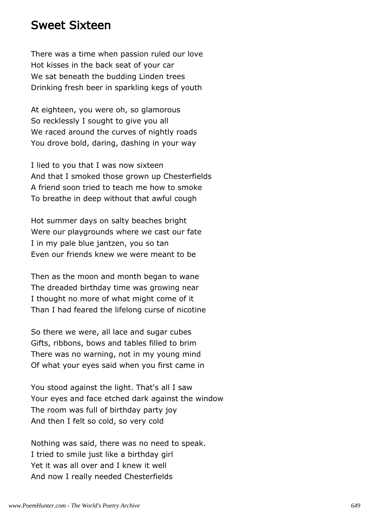#### Sweet Sixteen

There was a time when passion ruled our love Hot kisses in the back seat of your car We sat beneath the budding Linden trees Drinking fresh beer in sparkling kegs of youth

At eighteen, you were oh, so glamorous So recklessly I sought to give you all We raced around the curves of nightly roads You drove bold, daring, dashing in your way

I lied to you that I was now sixteen And that I smoked those grown up Chesterfields A friend soon tried to teach me how to smoke To breathe in deep without that awful cough

Hot summer days on salty beaches bright Were our playgrounds where we cast our fate I in my pale blue jantzen, you so tan Even our friends knew we were meant to be

Then as the moon and month began to wane The dreaded birthday time was growing near I thought no more of what might come of it Than I had feared the lifelong curse of nicotine

So there we were, all lace and sugar cubes Gifts, ribbons, bows and tables filled to brim There was no warning, not in my young mind Of what your eyes said when you first came in

You stood against the light. That's all I saw Your eyes and face etched dark against the window The room was full of birthday party joy And then I felt so cold, so very cold

Nothing was said, there was no need to speak. I tried to smile just like a birthday girl Yet it was all over and I knew it well And now I really needed Chesterfields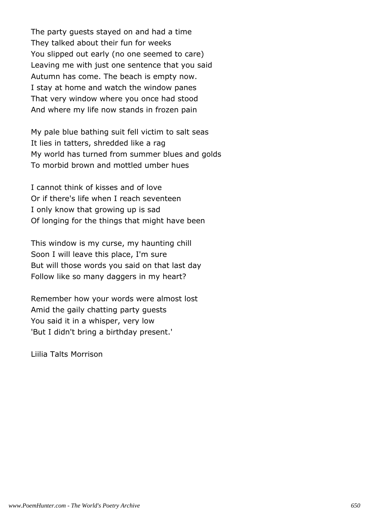The party guests stayed on and had a time They talked about their fun for weeks You slipped out early (no one seemed to care) Leaving me with just one sentence that you said Autumn has come. The beach is empty now. I stay at home and watch the window panes That very window where you once had stood And where my life now stands in frozen pain

My pale blue bathing suit fell victim to salt seas It lies in tatters, shredded like a rag My world has turned from summer blues and golds To morbid brown and mottled umber hues

I cannot think of kisses and of love Or if there's life when I reach seventeen I only know that growing up is sad Of longing for the things that might have been

This window is my curse, my haunting chill Soon I will leave this place, I'm sure But will those words you said on that last day Follow like so many daggers in my heart?

Remember how your words were almost lost Amid the gaily chatting party guests You said it in a whisper, very low 'But I didn't bring a birthday present.'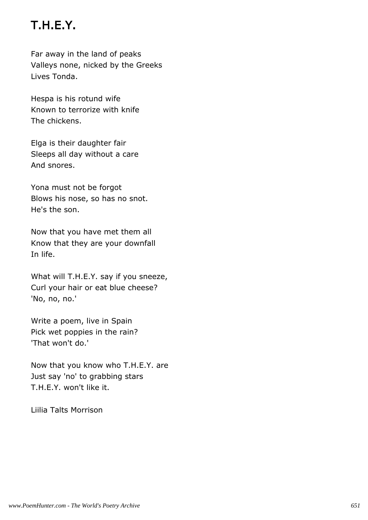# T.H.E.Y.

Far away in the land of peaks Valleys none, nicked by the Greeks Lives Tonda.

Hespa is his rotund wife Known to terrorize with knife The chickens.

Elga is their daughter fair Sleeps all day without a care And snores.

Yona must not be forgot Blows his nose, so has no snot. He's the son.

Now that you have met them all Know that they are your downfall In life.

What will T.H.E.Y. say if you sneeze, Curl your hair or eat blue cheese? 'No, no, no.'

Write a poem, live in Spain Pick wet poppies in the rain? 'That won't do.'

Now that you know who T.H.E.Y. are Just say 'no' to grabbing stars T.H.E.Y. won't like it.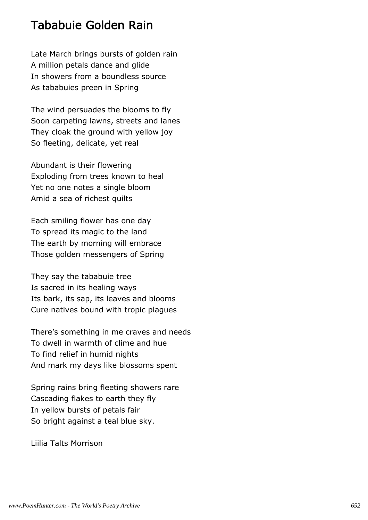#### Tababuie Golden Rain

Late March brings bursts of golden rain A million petals dance and glide In showers from a boundless source As tababuies preen in Spring

The wind persuades the blooms to fly Soon carpeting lawns, streets and lanes They cloak the ground with yellow joy So fleeting, delicate, yet real

Abundant is their flowering Exploding from trees known to heal Yet no one notes a single bloom Amid a sea of richest quilts

Each smiling flower has one day To spread its magic to the land The earth by morning will embrace Those golden messengers of Spring

They say the tababuie tree Is sacred in its healing ways Its bark, its sap, its leaves and blooms Cure natives bound with tropic plagues

There's something in me craves and needs To dwell in warmth of clime and hue To find relief in humid nights And mark my days like blossoms spent

Spring rains bring fleeting showers rare Cascading flakes to earth they fly In yellow bursts of petals fair So bright against a teal blue sky.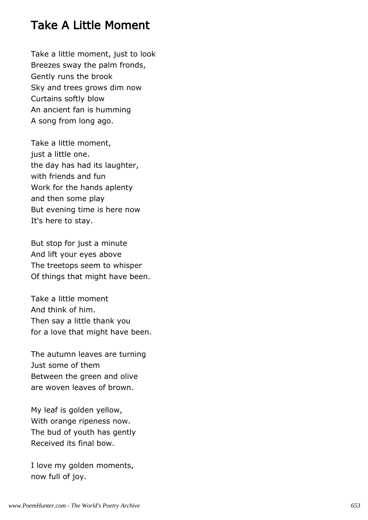### Take A Little Moment

Take a little moment, just to look Breezes sway the palm fronds, Gently runs the brook Sky and trees grows dim now Curtains softly blow An ancient fan is humming A song from long ago.

Take a little moment, just a little one. the day has had its laughter, with friends and fun Work for the hands aplenty and then some play But evening time is here now It's here to stay.

But stop for just a minute And lift your eyes above The treetops seem to whisper Of things that might have been.

Take a little moment And think of him. Then say a little thank you for a love that might have been.

The autumn leaves are turning Just some of them Between the green and olive are woven leaves of brown.

My leaf is golden yellow, With orange ripeness now. The bud of youth has gently Received its final bow.

I love my golden moments, now full of joy.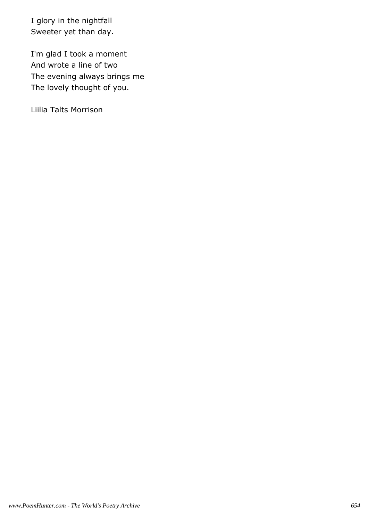I glory in the nightfall Sweeter yet than day.

I'm glad I took a moment And wrote a line of two The evening always brings me The lovely thought of you.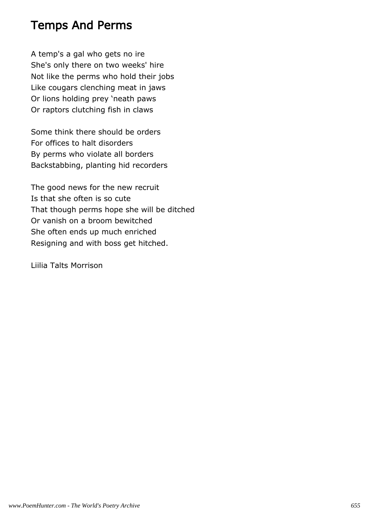#### Temps And Perms

A temp's a gal who gets no ire She's only there on two weeks' hire Not like the perms who hold their jobs Like cougars clenching meat in jaws Or lions holding prey 'neath paws Or raptors clutching fish in claws

Some think there should be orders For offices to halt disorders By perms who violate all borders Backstabbing, planting hid recorders

The good news for the new recruit Is that she often is so cute That though perms hope she will be ditched Or vanish on a broom bewitched She often ends up much enriched Resigning and with boss get hitched.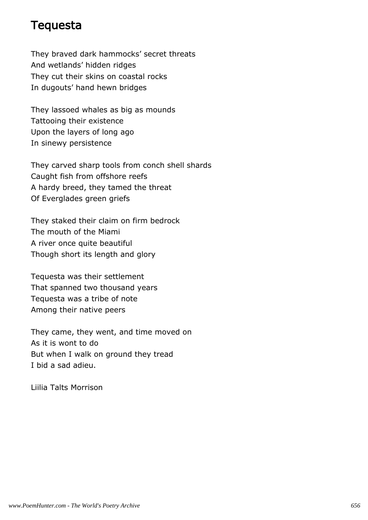#### **Tequesta**

They braved dark hammocks' secret threats And wetlands' hidden ridges They cut their skins on coastal rocks In dugouts' hand hewn bridges

They lassoed whales as big as mounds Tattooing their existence Upon the layers of long ago In sinewy persistence

They carved sharp tools from conch shell shards Caught fish from offshore reefs A hardy breed, they tamed the threat Of Everglades green griefs

They staked their claim on firm bedrock The mouth of the Miami A river once quite beautiful Though short its length and glory

Tequesta was their settlement That spanned two thousand years Tequesta was a tribe of note Among their native peers

They came, they went, and time moved on As it is wont to do But when I walk on ground they tread I bid a sad adieu.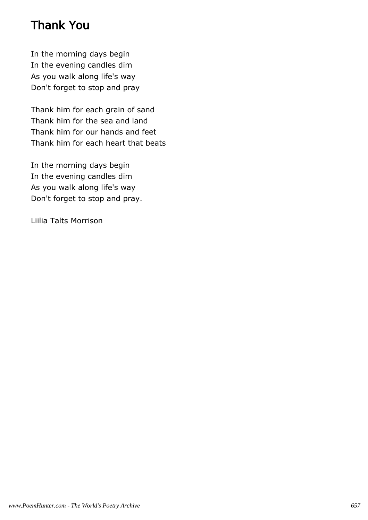## Thank You

In the morning days begin In the evening candles dim As you walk along life's way Don't forget to stop and pray

Thank him for each grain of sand Thank him for the sea and land Thank him for our hands and feet Thank him for each heart that beats

In the morning days begin In the evening candles dim As you walk along life's way Don't forget to stop and pray.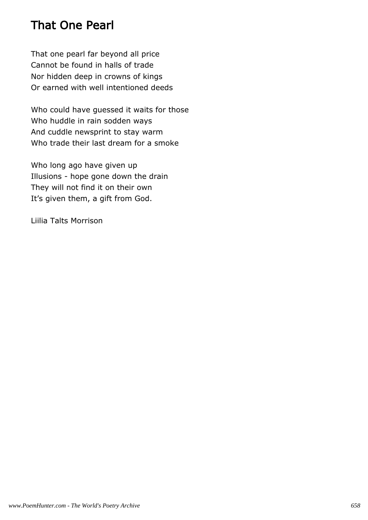#### That One Pearl

That one pearl far beyond all price Cannot be found in halls of trade Nor hidden deep in crowns of kings Or earned with well intentioned deeds

Who could have guessed it waits for those Who huddle in rain sodden ways And cuddle newsprint to stay warm Who trade their last dream for a smoke

Who long ago have given up Illusions - hope gone down the drain They will not find it on their own It's given them, a gift from God.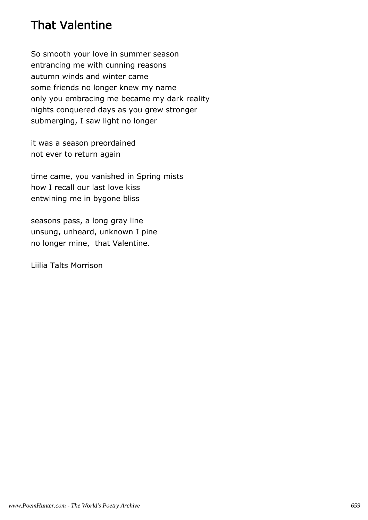## That Valentine

So smooth your love in summer season entrancing me with cunning reasons autumn winds and winter came some friends no longer knew my name only you embracing me became my dark reality nights conquered days as you grew stronger submerging, I saw light no longer

it was a season preordained not ever to return again

time came, you vanished in Spring mists how I recall our last love kiss entwining me in bygone bliss

seasons pass, a long gray line unsung, unheard, unknown I pine no longer mine, that Valentine.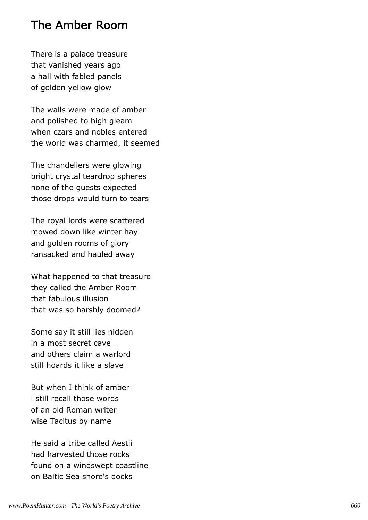#### The Amber Room

There is a palace treasure that vanished years ago a hall with fabled panels of golden yellow glow

The walls were made of amber and polished to high gleam when czars and nobles entered the world was charmed, it seemed

The chandeliers were glowing bright crystal teardrop spheres none of the guests expected those drops would turn to tears

The royal lords were scattered mowed down like winter hay and golden rooms of glory ransacked and hauled away

What happened to that treasure they called the Amber Room that fabulous illusion that was so harshly doomed?

Some say it still lies hidden in a most secret cave and others claim a warlord still hoards it like a slave

But when I think of amber i still recall those words of an old Roman writer wise Tacitus by name

He said a tribe called Aestii had harvested those rocks found on a windswept coastline on Baltic Sea shore's docks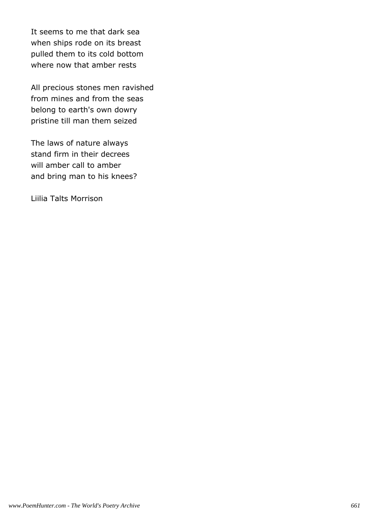It seems to me that dark sea when ships rode on its breast pulled them to its cold bottom where now that amber rests

All precious stones men ravished from mines and from the seas belong to earth's own dowry pristine till man them seized

The laws of nature always stand firm in their decrees will amber call to amber and bring man to his knees?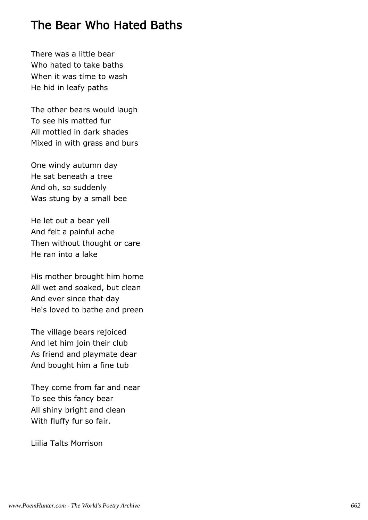#### The Bear Who Hated Baths

There was a little bear Who hated to take baths When it was time to wash He hid in leafy paths

The other bears would laugh To see his matted fur All mottled in dark shades Mixed in with grass and burs

One windy autumn day He sat beneath a tree And oh, so suddenly Was stung by a small bee

He let out a bear yell And felt a painful ache Then without thought or care He ran into a lake

His mother brought him home All wet and soaked, but clean And ever since that day He's loved to bathe and preen

The village bears rejoiced And let him join their club As friend and playmate dear And bought him a fine tub

They come from far and near To see this fancy bear All shiny bright and clean With fluffy fur so fair.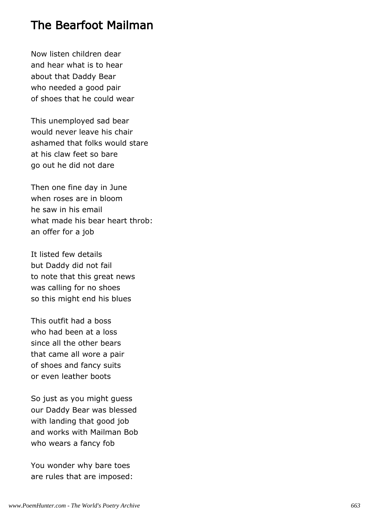#### The Bearfoot Mailman

Now listen children dear and hear what is to hear about that Daddy Bear who needed a good pair of shoes that he could wear

This unemployed sad bear would never leave his chair ashamed that folks would stare at his claw feet so bare go out he did not dare

Then one fine day in June when roses are in bloom he saw in his email what made his bear heart throb: an offer for a job

It listed few details but Daddy did not fail to note that this great news was calling for no shoes so this might end his blues

This outfit had a boss who had been at a loss since all the other bears that came all wore a pair of shoes and fancy suits or even leather boots

So just as you might guess our Daddy Bear was blessed with landing that good job and works with Mailman Bob who wears a fancy fob

You wonder why bare toes are rules that are imposed: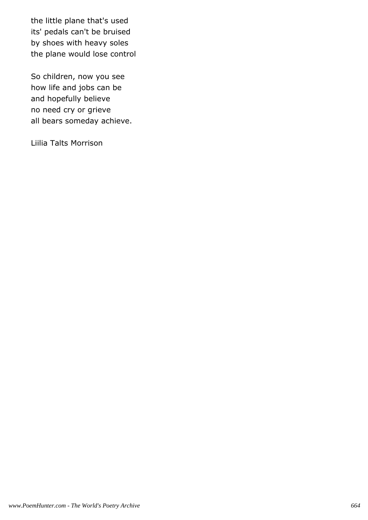the little plane that's used its' pedals can't be bruised by shoes with heavy soles the plane would lose control

So children, now you see how life and jobs can be and hopefully believe no need cry or grieve all bears someday achieve.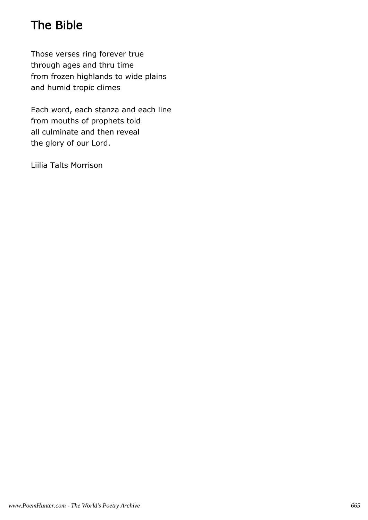## The Bible

Those verses ring forever true through ages and thru time from frozen highlands to wide plains and humid tropic climes

Each word, each stanza and each line from mouths of prophets told all culminate and then reveal the glory of our Lord.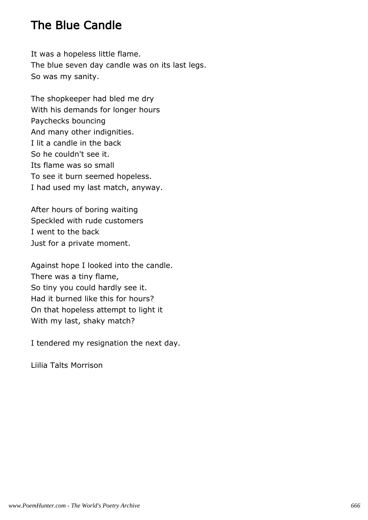## The Blue Candle

It was a hopeless little flame. The blue seven day candle was on its last legs. So was my sanity.

The shopkeeper had bled me dry With his demands for longer hours Paychecks bouncing And many other indignities. I lit a candle in the back So he couldn't see it. Its flame was so small To see it burn seemed hopeless. I had used my last match, anyway.

After hours of boring waiting Speckled with rude customers I went to the back Just for a private moment.

Against hope I looked into the candle. There was a tiny flame, So tiny you could hardly see it. Had it burned like this for hours? On that hopeless attempt to light it With my last, shaky match?

I tendered my resignation the next day.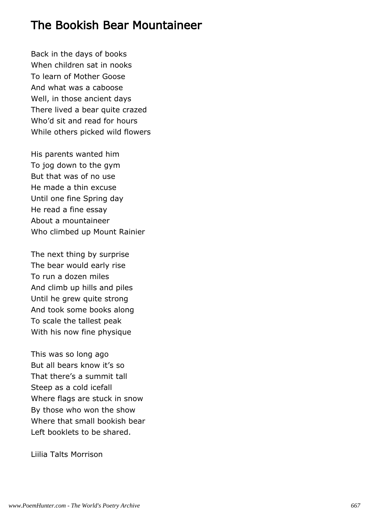#### The Bookish Bear Mountaineer

Back in the days of books When children sat in nooks To learn of Mother Goose And what was a caboose Well, in those ancient days There lived a bear quite crazed Who'd sit and read for hours While others picked wild flowers

His parents wanted him To jog down to the gym But that was of no use He made a thin excuse Until one fine Spring day He read a fine essay About a mountaineer Who climbed up Mount Rainier

The next thing by surprise The bear would early rise To run a dozen miles And climb up hills and piles Until he grew quite strong And took some books along To scale the tallest peak With his now fine physique

This was so long ago But all bears know it's so That there's a summit tall Steep as a cold icefall Where flags are stuck in snow By those who won the show Where that small bookish bear Left booklets to be shared.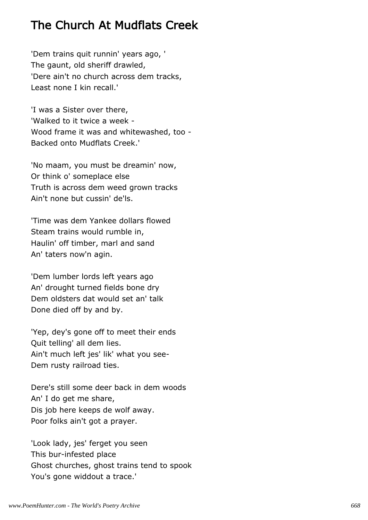#### The Church At Mudflats Creek

'Dem trains quit runnin' years ago, ' The gaunt, old sheriff drawled, 'Dere ain't no church across dem tracks, Least none I kin recall.'

'I was a Sister over there, 'Walked to it twice a week - Wood frame it was and whitewashed, too - Backed onto Mudflats Creek.'

'No maam, you must be dreamin' now, Or think o' someplace else Truth is across dem weed grown tracks Ain't none but cussin' de'ls.

'Time was dem Yankee dollars flowed Steam trains would rumble in, Haulin' off timber, marl and sand An' taters now'n agin.

'Dem lumber lords left years ago An' drought turned fields bone dry Dem oldsters dat would set an' talk Done died off by and by.

'Yep, dey's gone off to meet their ends Quit telling' all dem lies. Ain't much left jes' lik' what you see-Dem rusty railroad ties.

Dere's still some deer back in dem woods An' I do get me share, Dis job here keeps de wolf away. Poor folks ain't got a prayer.

'Look lady, jes' ferget you seen This bur-infested place Ghost churches, ghost trains tend to spook You's gone widdout a trace.'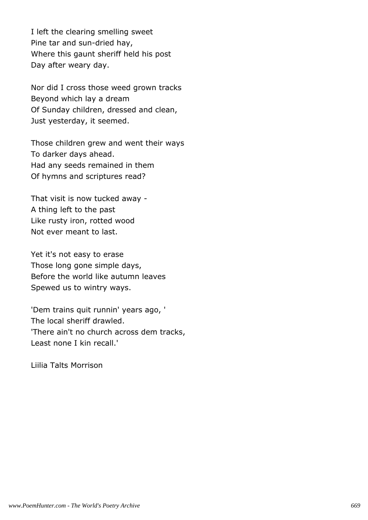I left the clearing smelling sweet Pine tar and sun-dried hay, Where this gaunt sheriff held his post Day after weary day.

Nor did I cross those weed grown tracks Beyond which lay a dream Of Sunday children, dressed and clean, Just yesterday, it seemed.

Those children grew and went their ways To darker days ahead. Had any seeds remained in them Of hymns and scriptures read?

That visit is now tucked away - A thing left to the past Like rusty iron, rotted wood Not ever meant to last.

Yet it's not easy to erase Those long gone simple days, Before the world like autumn leaves Spewed us to wintry ways.

'Dem trains quit runnin' years ago, ' The local sheriff drawled. 'There ain't no church across dem tracks, Least none I kin recall.'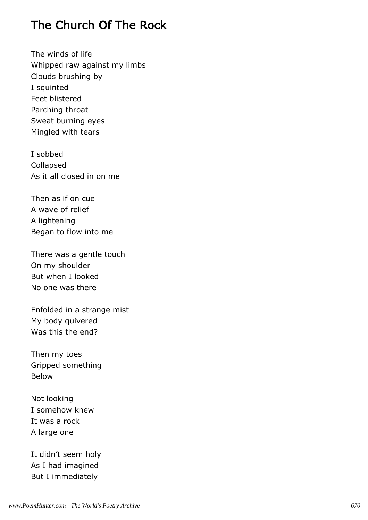## The Church Of The Rock

The winds of life Whipped raw against my limbs Clouds brushing by I squinted Feet blistered Parching throat Sweat burning eyes Mingled with tears

I sobbed Collapsed As it all closed in on me

Then as if on cue A wave of relief A lightening Began to flow into me

There was a gentle touch On my shoulder But when I looked No one was there

Enfolded in a strange mist My body quivered Was this the end?

Then my toes Gripped something Below

Not looking I somehow knew It was a rock A large one

It didn't seem holy As I had imagined But I immediately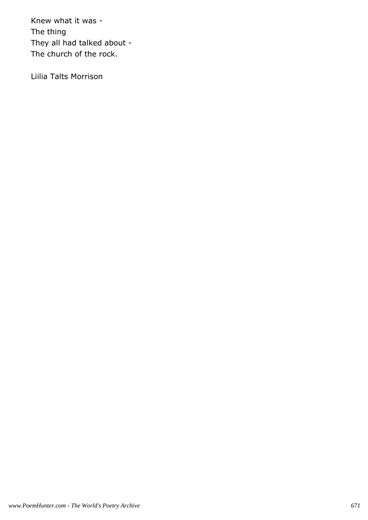Knew what it was - The thing They all had talked about - The church of the rock.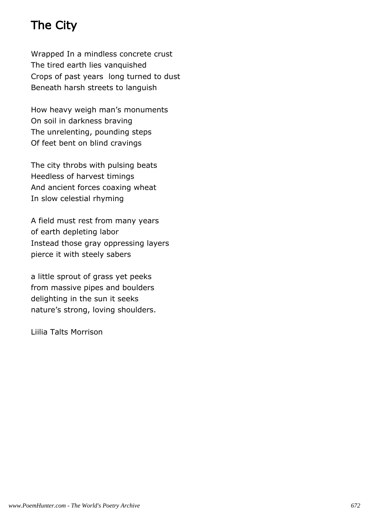## The City

Wrapped In a mindless concrete crust The tired earth lies vanquished Crops of past years long turned to dust Beneath harsh streets to languish

How heavy weigh man's monuments On soil in darkness braving The unrelenting, pounding steps Of feet bent on blind cravings

The city throbs with pulsing beats Heedless of harvest timings And ancient forces coaxing wheat In slow celestial rhyming

A field must rest from many years of earth depleting labor Instead those gray oppressing layers pierce it with steely sabers

a little sprout of grass yet peeks from massive pipes and boulders delighting in the sun it seeks nature's strong, loving shoulders.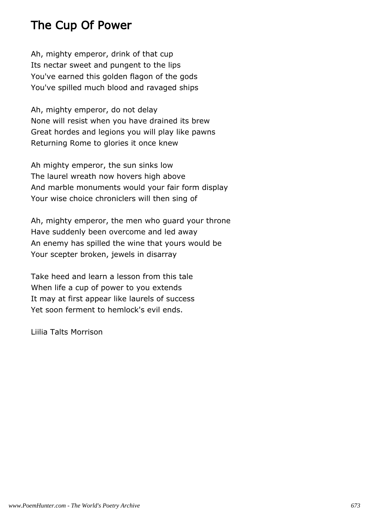#### The Cup Of Power

Ah, mighty emperor, drink of that cup Its nectar sweet and pungent to the lips You've earned this golden flagon of the gods You've spilled much blood and ravaged ships

Ah, mighty emperor, do not delay None will resist when you have drained its brew Great hordes and legions you will play like pawns Returning Rome to glories it once knew

Ah mighty emperor, the sun sinks low The laurel wreath now hovers high above And marble monuments would your fair form display Your wise choice chroniclers will then sing of

Ah, mighty emperor, the men who guard your throne Have suddenly been overcome and led away An enemy has spilled the wine that yours would be Your scepter broken, jewels in disarray

Take heed and learn a lesson from this tale When life a cup of power to you extends It may at first appear like laurels of success Yet soon ferment to hemlock's evil ends.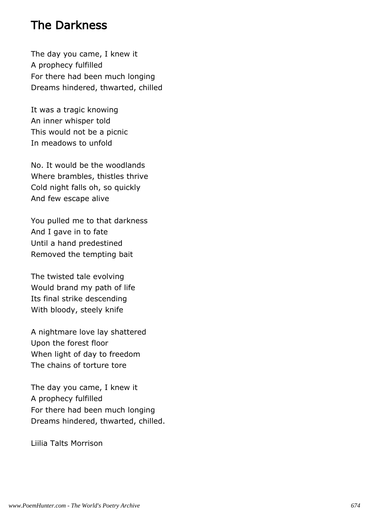#### The Darkness

The day you came, I knew it A prophecy fulfilled For there had been much longing Dreams hindered, thwarted, chilled

It was a tragic knowing An inner whisper told This would not be a picnic In meadows to unfold

No. It would be the woodlands Where brambles, thistles thrive Cold night falls oh, so quickly And few escape alive

You pulled me to that darkness And I gave in to fate Until a hand predestined Removed the tempting bait

The twisted tale evolving Would brand my path of life Its final strike descending With bloody, steely knife

A nightmare love lay shattered Upon the forest floor When light of day to freedom The chains of torture tore

The day you came, I knew it A prophecy fulfilled For there had been much longing Dreams hindered, thwarted, chilled.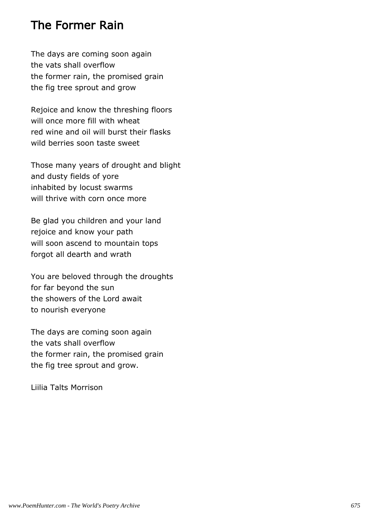#### The Former Rain

The days are coming soon again the vats shall overflow the former rain, the promised grain the fig tree sprout and grow

Rejoice and know the threshing floors will once more fill with wheat red wine and oil will burst their flasks wild berries soon taste sweet

Those many years of drought and blight and dusty fields of yore inhabited by locust swarms will thrive with corn once more

Be glad you children and your land rejoice and know your path will soon ascend to mountain tops forgot all dearth and wrath

You are beloved through the droughts for far beyond the sun the showers of the Lord await to nourish everyone

The days are coming soon again the vats shall overflow the former rain, the promised grain the fig tree sprout and grow.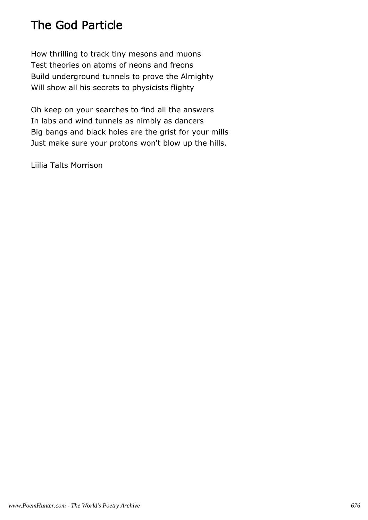## The God Particle

How thrilling to track tiny mesons and muons Test theories on atoms of neons and freons Build underground tunnels to prove the Almighty Will show all his secrets to physicists flighty

Oh keep on your searches to find all the answers In labs and wind tunnels as nimbly as dancers Big bangs and black holes are the grist for your mills Just make sure your protons won't blow up the hills.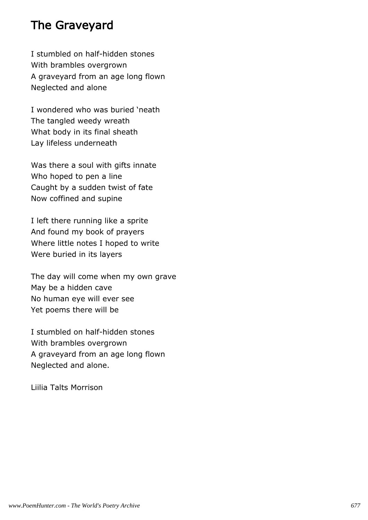#### The Graveyard

I stumbled on half-hidden stones With brambles overgrown A graveyard from an age long flown Neglected and alone

I wondered who was buried 'neath The tangled weedy wreath What body in its final sheath Lay lifeless underneath

Was there a soul with gifts innate Who hoped to pen a line Caught by a sudden twist of fate Now coffined and supine

I left there running like a sprite And found my book of prayers Where little notes I hoped to write Were buried in its layers

The day will come when my own grave May be a hidden cave No human eye will ever see Yet poems there will be

I stumbled on half-hidden stones With brambles overgrown A graveyard from an age long flown Neglected and alone.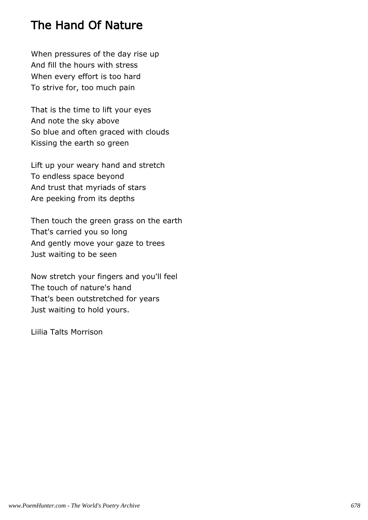## The Hand Of Nature

When pressures of the day rise up And fill the hours with stress When every effort is too hard To strive for, too much pain

That is the time to lift your eyes And note the sky above So blue and often graced with clouds Kissing the earth so green

Lift up your weary hand and stretch To endless space beyond And trust that myriads of stars Are peeking from its depths

Then touch the green grass on the earth That's carried you so long And gently move your gaze to trees Just waiting to be seen

Now stretch your fingers and you'll feel The touch of nature's hand That's been outstretched for years Just waiting to hold yours.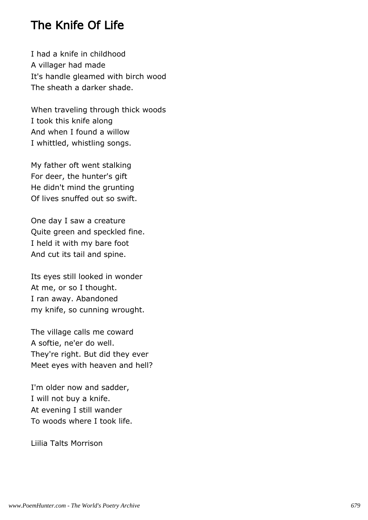#### The Knife Of Life

I had a knife in childhood A villager had made It's handle gleamed with birch wood The sheath a darker shade.

When traveling through thick woods I took this knife along And when I found a willow I whittled, whistling songs.

My father oft went stalking For deer, the hunter's gift He didn't mind the grunting Of lives snuffed out so swift.

One day I saw a creature Quite green and speckled fine. I held it with my bare foot And cut its tail and spine.

Its eyes still looked in wonder At me, or so I thought. I ran away. Abandoned my knife, so cunning wrought.

The village calls me coward A softie, ne'er do well. They're right. But did they ever Meet eyes with heaven and hell?

I'm older now and sadder, I will not buy a knife. At evening I still wander To woods where I took life.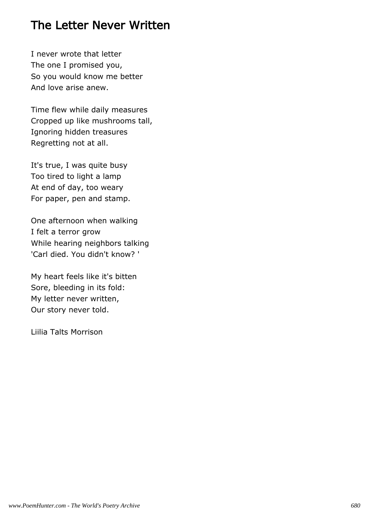#### The Letter Never Written

I never wrote that letter The one I promised you, So you would know me better And love arise anew.

Time flew while daily measures Cropped up like mushrooms tall, Ignoring hidden treasures Regretting not at all.

It's true, I was quite busy Too tired to light a lamp At end of day, too weary For paper, pen and stamp.

One afternoon when walking I felt a terror grow While hearing neighbors talking 'Carl died. You didn't know? '

My heart feels like it's bitten Sore, bleeding in its fold: My letter never written, Our story never told.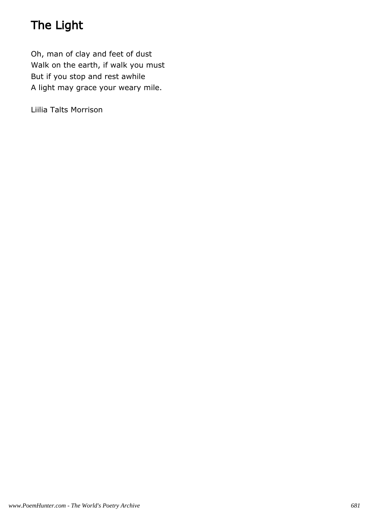# The Light

Oh, man of clay and feet of dust Walk on the earth, if walk you must But if you stop and rest awhile A light may grace your weary mile.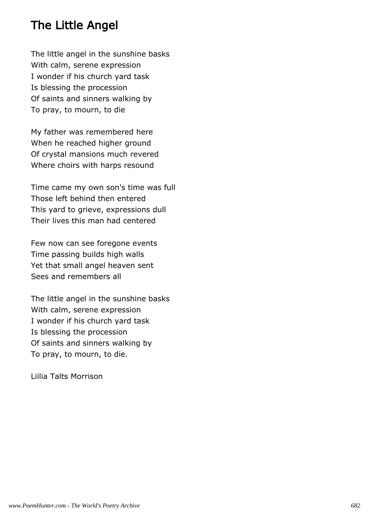#### The Little Angel

The little angel in the sunshine basks With calm, serene expression I wonder if his church yard task Is blessing the procession Of saints and sinners walking by To pray, to mourn, to die

My father was remembered here When he reached higher ground Of crystal mansions much revered Where choirs with harps resound

Time came my own son's time was full Those left behind then entered This yard to grieve, expressions dull Their lives this man had centered

Few now can see foregone events Time passing builds high walls Yet that small angel heaven sent Sees and remembers all

The little angel in the sunshine basks With calm, serene expression I wonder if his church yard task Is blessing the procession Of saints and sinners walking by To pray, to mourn, to die.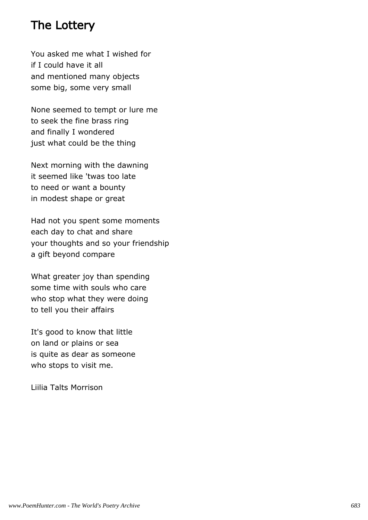#### The Lottery

You asked me what I wished for if I could have it all and mentioned many objects some big, some very small

None seemed to tempt or lure me to seek the fine brass ring and finally I wondered just what could be the thing

Next morning with the dawning it seemed like 'twas too late to need or want a bounty in modest shape or great

Had not you spent some moments each day to chat and share your thoughts and so your friendship a gift beyond compare

What greater joy than spending some time with souls who care who stop what they were doing to tell you their affairs

It's good to know that little on land or plains or sea is quite as dear as someone who stops to visit me.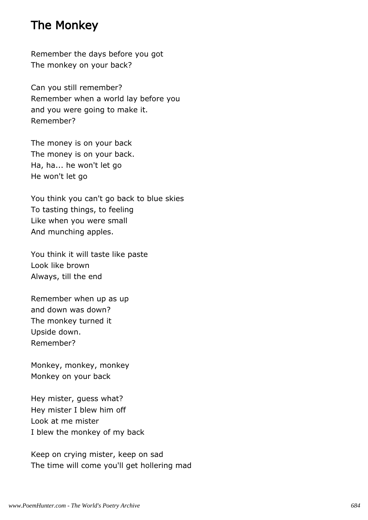### The Monkey

Remember the days before you got The monkey on your back?

Can you still remember? Remember when a world lay before you and you were going to make it. Remember?

The money is on your back The money is on your back. Ha, ha... he won't let go He won't let go

You think you can't go back to blue skies To tasting things, to feeling Like when you were small And munching apples.

You think it will taste like paste Look like brown Always, till the end

Remember when up as up and down was down? The monkey turned it Upside down. Remember?

Monkey, monkey, monkey Monkey on your back

Hey mister, guess what? Hey mister I blew him off Look at me mister I blew the monkey of my back

Keep on crying mister, keep on sad The time will come you'll get hollering mad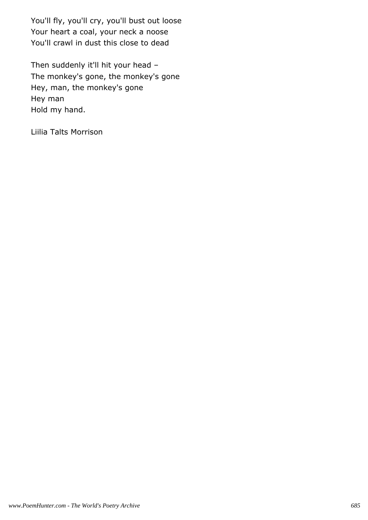You'll fly, you'll cry, you'll bust out loose Your heart a coal, your neck a noose You'll crawl in dust this close to dead

Then suddenly it'll hit your head – The monkey's gone, the monkey's gone Hey, man, the monkey's gone Hey man Hold my hand.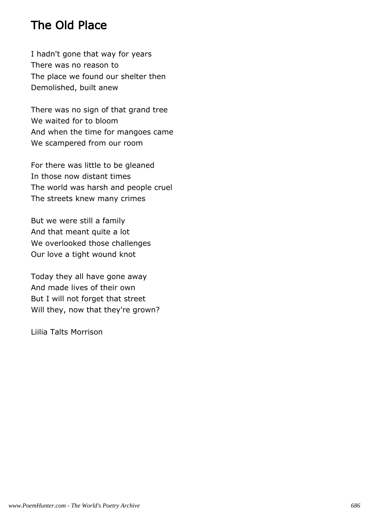## The Old Place

I hadn't gone that way for years There was no reason to The place we found our shelter then Demolished, built anew

There was no sign of that grand tree We waited for to bloom And when the time for mangoes came We scampered from our room

For there was little to be gleaned In those now distant times The world was harsh and people cruel The streets knew many crimes

But we were still a family And that meant quite a lot We overlooked those challenges Our love a tight wound knot

Today they all have gone away And made lives of their own But I will not forget that street Will they, now that they're grown?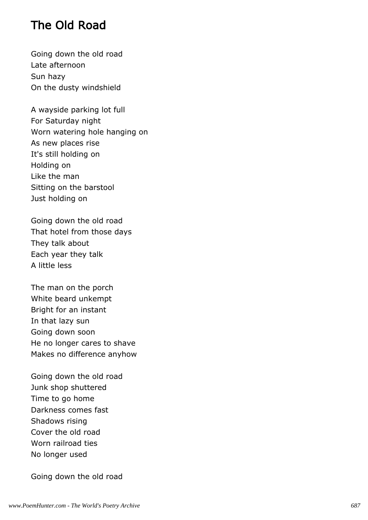### The Old Road

Going down the old road Late afternoon Sun hazy On the dusty windshield

A wayside parking lot full For Saturday night Worn watering hole hanging on As new places rise It's still holding on Holding on Like the man Sitting on the barstool Just holding on

Going down the old road That hotel from those days They talk about Each year they talk A little less

The man on the porch White beard unkempt Bright for an instant In that lazy sun Going down soon He no longer cares to shave Makes no difference anyhow

Going down the old road Junk shop shuttered Time to go home Darkness comes fast Shadows rising Cover the old road Worn railroad ties No longer used

Going down the old road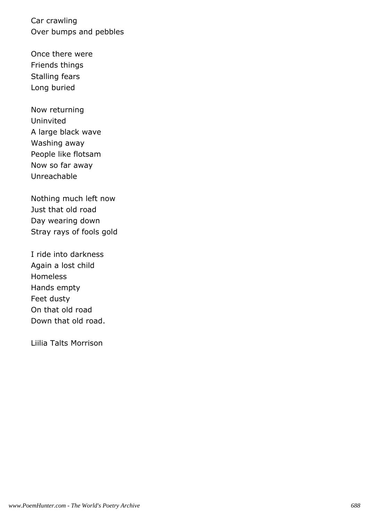Car crawling Over bumps and pebbles

Once there were Friends things Stalling fears Long buried

Now returning Uninvited A large black wave Washing away People like flotsam Now so far away Unreachable

Nothing much left now Just that old road Day wearing down Stray rays of fools gold

I ride into darkness Again a lost child Homeless Hands empty Feet dusty On that old road Down that old road.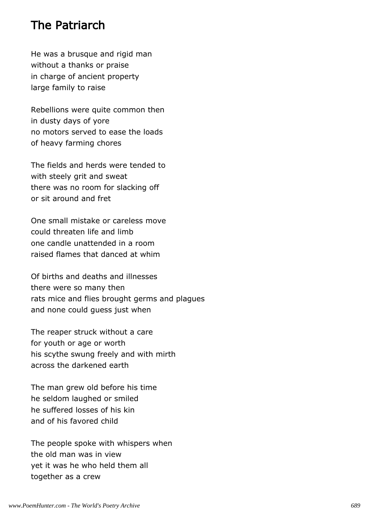### The Patriarch

He was a brusque and rigid man without a thanks or praise in charge of ancient property large family to raise

Rebellions were quite common then in dusty days of yore no motors served to ease the loads of heavy farming chores

The fields and herds were tended to with steely grit and sweat there was no room for slacking off or sit around and fret

One small mistake or careless move could threaten life and limb one candle unattended in a room raised flames that danced at whim

Of births and deaths and illnesses there were so many then rats mice and flies brought germs and plagues and none could guess just when

The reaper struck without a care for youth or age or worth his scythe swung freely and with mirth across the darkened earth

The man grew old before his time he seldom laughed or smiled he suffered losses of his kin and of his favored child

The people spoke with whispers when the old man was in view yet it was he who held them all together as a crew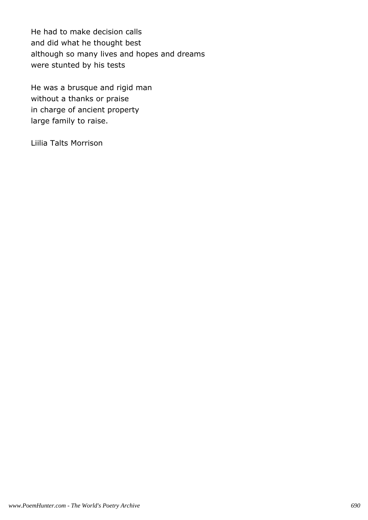He had to make decision calls and did what he thought best although so many lives and hopes and dreams were stunted by his tests

He was a brusque and rigid man without a thanks or praise in charge of ancient property large family to raise.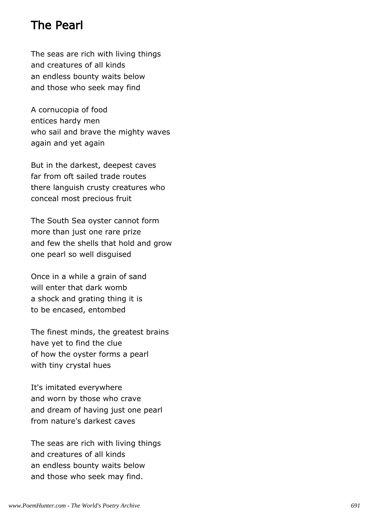## The Pearl

The seas are rich with living things and creatures of all kinds an endless bounty waits below and those who seek may find

A cornucopia of food entices hardy men who sail and brave the mighty waves again and yet again

But in the darkest, deepest caves far from oft sailed trade routes there languish crusty creatures who conceal most precious fruit

The South Sea oyster cannot form more than just one rare prize and few the shells that hold and grow one pearl so well disguised

Once in a while a grain of sand will enter that dark womb a shock and grating thing it is to be encased, entombed

The finest minds, the greatest brains have yet to find the clue of how the oyster forms a pearl with tiny crystal hues

It's imitated everywhere and worn by those who crave and dream of having just one pearl from nature's darkest caves

The seas are rich with living things and creatures of all kinds an endless bounty waits below and those who seek may find.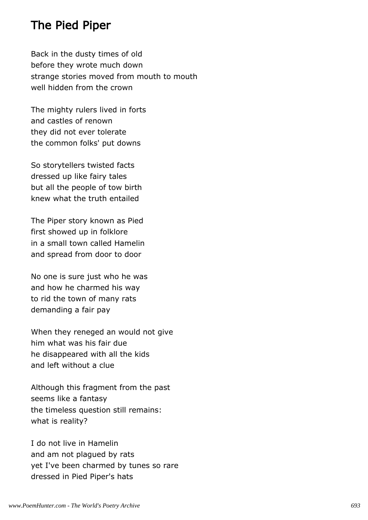### The Pied Piper

Back in the dusty times of old before they wrote much down strange stories moved from mouth to mouth well hidden from the crown

The mighty rulers lived in forts and castles of renown they did not ever tolerate the common folks' put downs

So storytellers twisted facts dressed up like fairy tales but all the people of tow birth knew what the truth entailed

The Piper story known as Pied first showed up in folklore in a small town called Hamelin and spread from door to door

No one is sure just who he was and how he charmed his way to rid the town of many rats demanding a fair pay

When they reneged an would not give him what was his fair due he disappeared with all the kids and left without a clue

Although this fragment from the past seems like a fantasy the timeless question still remains: what is reality?

I do not live in Hamelin and am not plagued by rats yet I've been charmed by tunes so rare dressed in Pied Piper's hats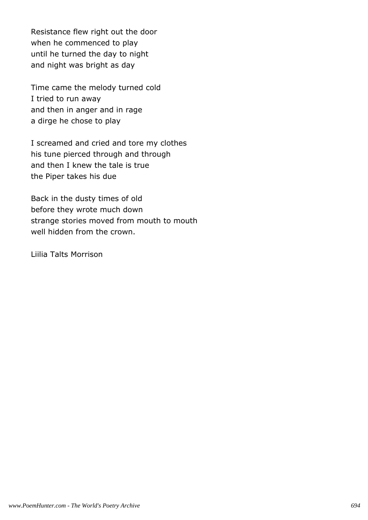Resistance flew right out the door when he commenced to play until he turned the day to night and night was bright as day

Time came the melody turned cold I tried to run away and then in anger and in rage a dirge he chose to play

I screamed and cried and tore my clothes his tune pierced through and through and then I knew the tale is true the Piper takes his due

Back in the dusty times of old before they wrote much down strange stories moved from mouth to mouth well hidden from the crown.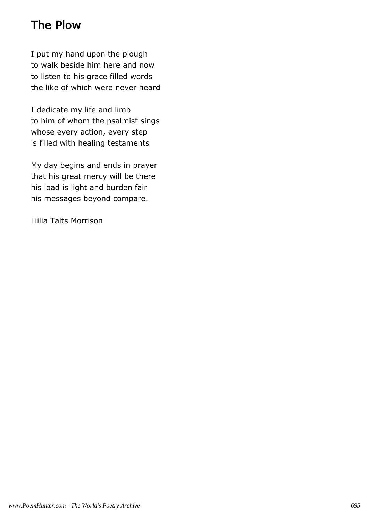# The Plow

I put my hand upon the plough to walk beside him here and now to listen to his grace filled words the like of which were never heard

I dedicate my life and limb to him of whom the psalmist sings whose every action, every step is filled with healing testaments

My day begins and ends in prayer that his great mercy will be there his load is light and burden fair his messages beyond compare.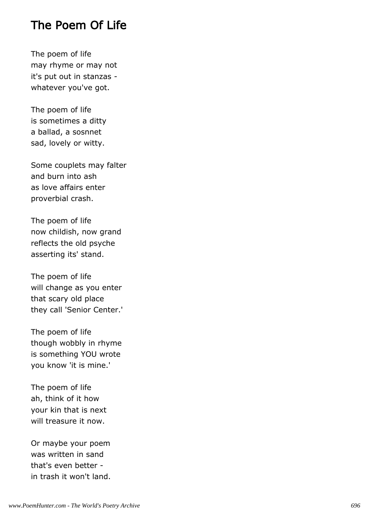#### The Poem Of Life

The poem of life may rhyme or may not it's put out in stanzas whatever you've got.

The poem of life is sometimes a ditty a ballad, a sosnnet sad, lovely or witty.

Some couplets may falter and burn into ash as love affairs enter proverbial crash.

The poem of life now childish, now grand reflects the old psyche asserting its' stand.

The poem of life will change as you enter that scary old place they call 'Senior Center.'

The poem of life though wobbly in rhyme is something YOU wrote you know 'it is mine.'

The poem of life ah, think of it how your kin that is next will treasure it now.

Or maybe your poem was written in sand that's even better in trash it won't land.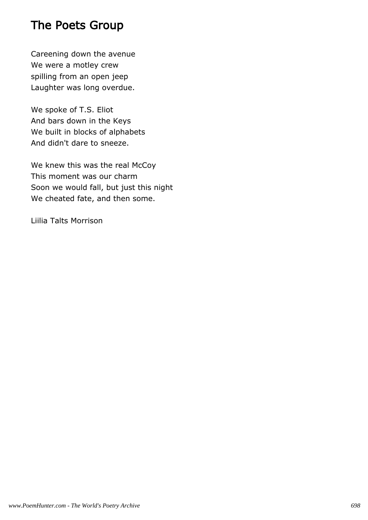## The Poets Group

Careening down the avenue We were a motley crew spilling from an open jeep Laughter was long overdue.

We spoke of T.S. Eliot And bars down in the Keys We built in blocks of alphabets And didn't dare to sneeze.

We knew this was the real McCoy This moment was our charm Soon we would fall, but just this night We cheated fate, and then some.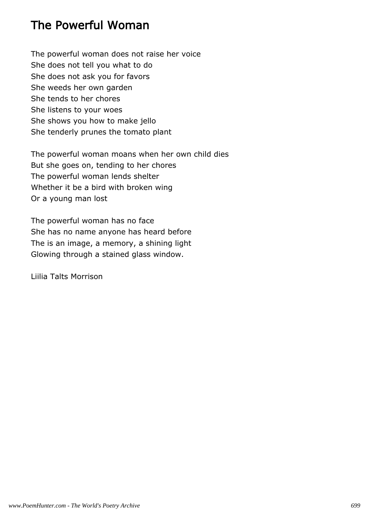# The Powerful Woman

The powerful woman does not raise her voice She does not tell you what to do She does not ask you for favors She weeds her own garden She tends to her chores She listens to your woes She shows you how to make jello She tenderly prunes the tomato plant

The powerful woman moans when her own child dies But she goes on, tending to her chores The powerful woman lends shelter Whether it be a bird with broken wing Or a young man lost

The powerful woman has no face She has no name anyone has heard before The is an image, a memory, a shining light Glowing through a stained glass window.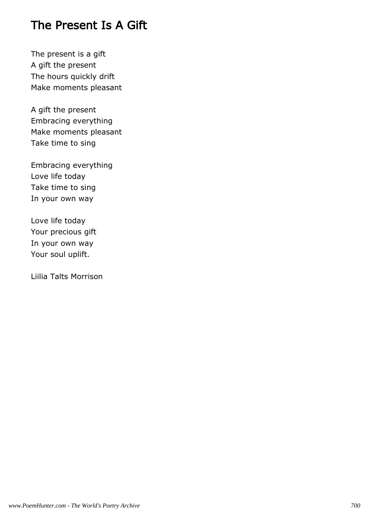### The Present Is A Gift

The present is a gift A gift the present The hours quickly drift Make moments pleasant

A gift the present Embracing everything Make moments pleasant Take time to sing

Embracing everything Love life today Take time to sing In your own way

Love life today Your precious gift In your own way Your soul uplift.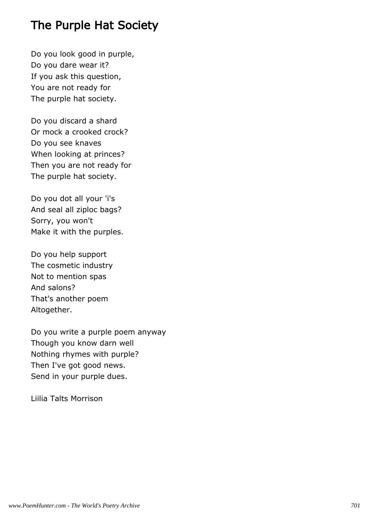# The Purple Hat Society

Do you look good in purple, Do you dare wear it? If you ask this question, You are not ready for The purple hat society.

Do you discard a shard Or mock a crooked crock? Do you see knaves When looking at princes? Then you are not ready for The purple hat society.

Do you dot all your 'i's And seal all ziploc bags? Sorry, you won't Make it with the purples.

Do you help support The cosmetic industry Not to mention spas And salons? That's another poem Altogether.

Do you write a purple poem anyway Though you know darn well Nothing rhymes with purple? Then I've got good news. Send in your purple dues.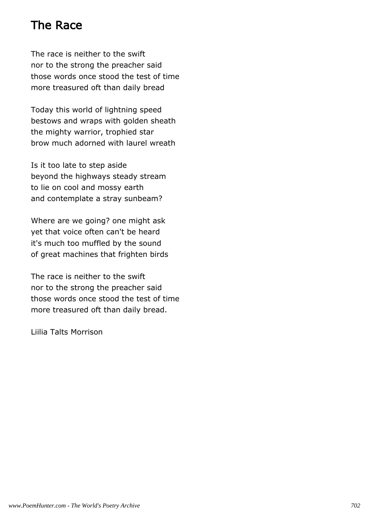# The Race

The race is neither to the swift nor to the strong the preacher said those words once stood the test of time more treasured oft than daily bread

Today this world of lightning speed bestows and wraps with golden sheath the mighty warrior, trophied star brow much adorned with laurel wreath

Is it too late to step aside beyond the highways steady stream to lie on cool and mossy earth and contemplate a stray sunbeam?

Where are we going? one might ask yet that voice often can't be heard it's much too muffled by the sound of great machines that frighten birds

The race is neither to the swift nor to the strong the preacher said those words once stood the test of time more treasured oft than daily bread.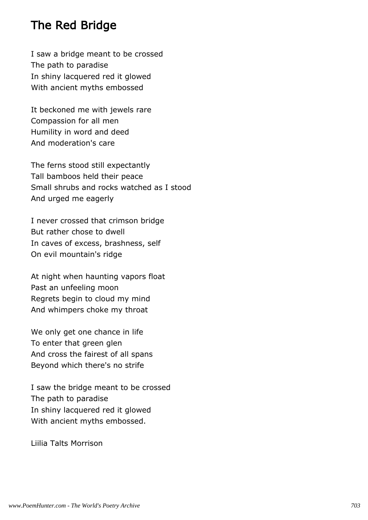### The Red Bridge

I saw a bridge meant to be crossed The path to paradise In shiny lacquered red it glowed With ancient myths embossed

It beckoned me with jewels rare Compassion for all men Humility in word and deed And moderation's care

The ferns stood still expectantly Tall bamboos held their peace Small shrubs and rocks watched as I stood And urged me eagerly

I never crossed that crimson bridge But rather chose to dwell In caves of excess, brashness, self On evil mountain's ridge

At night when haunting vapors float Past an unfeeling moon Regrets begin to cloud my mind And whimpers choke my throat

We only get one chance in life To enter that green glen And cross the fairest of all spans Beyond which there's no strife

I saw the bridge meant to be crossed The path to paradise In shiny lacquered red it glowed With ancient myths embossed.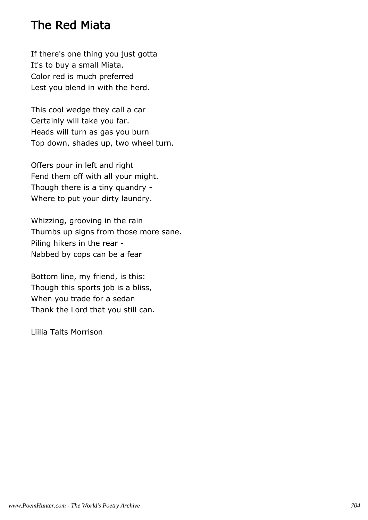### The Red Miata

If there's one thing you just gotta It's to buy a small Miata. Color red is much preferred Lest you blend in with the herd.

This cool wedge they call a car Certainly will take you far. Heads will turn as gas you burn Top down, shades up, two wheel turn.

Offers pour in left and right Fend them off with all your might. Though there is a tiny quandry - Where to put your dirty laundry.

Whizzing, grooving in the rain Thumbs up signs from those more sane. Piling hikers in the rear - Nabbed by cops can be a fear

Bottom line, my friend, is this: Though this sports job is a bliss, When you trade for a sedan Thank the Lord that you still can.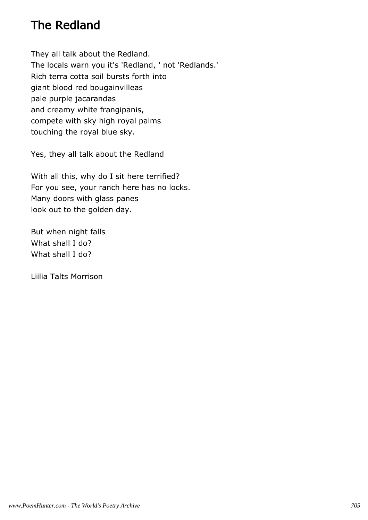# The Redland

They all talk about the Redland. The locals warn you it's 'Redland, ' not 'Redlands.' Rich terra cotta soil bursts forth into giant blood red bougainvilleas pale purple jacarandas and creamy white frangipanis, compete with sky high royal palms touching the royal blue sky.

Yes, they all talk about the Redland

With all this, why do I sit here terrified? For you see, your ranch here has no locks. Many doors with glass panes look out to the golden day.

But when night falls What shall I do? What shall I do?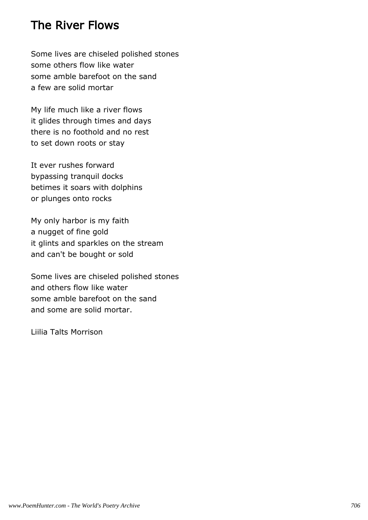### The River Flows

Some lives are chiseled polished stones some others flow like water some amble barefoot on the sand a few are solid mortar

My life much like a river flows it glides through times and days there is no foothold and no rest to set down roots or stay

It ever rushes forward bypassing tranquil docks betimes it soars with dolphins or plunges onto rocks

My only harbor is my faith a nugget of fine gold it glints and sparkles on the stream and can't be bought or sold

Some lives are chiseled polished stones and others flow like water some amble barefoot on the sand and some are solid mortar.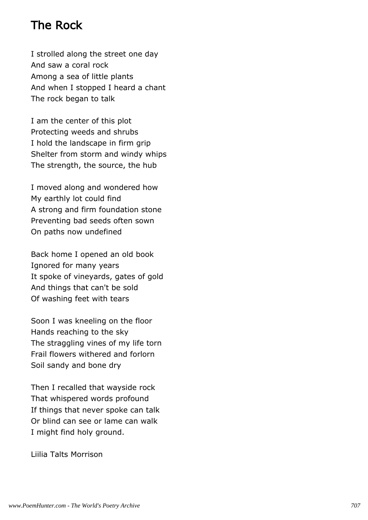## The Rock

I strolled along the street one day And saw a coral rock Among a sea of little plants And when I stopped I heard a chant The rock began to talk

I am the center of this plot Protecting weeds and shrubs I hold the landscape in firm grip Shelter from storm and windy whips The strength, the source, the hub

I moved along and wondered how My earthly lot could find A strong and firm foundation stone Preventing bad seeds often sown On paths now undefined

Back home I opened an old book Ignored for many years It spoke of vineyards, gates of gold And things that can't be sold Of washing feet with tears

Soon I was kneeling on the floor Hands reaching to the sky The straggling vines of my life torn Frail flowers withered and forlorn Soil sandy and bone dry

Then I recalled that wayside rock That whispered words profound If things that never spoke can talk Or blind can see or lame can walk I might find holy ground.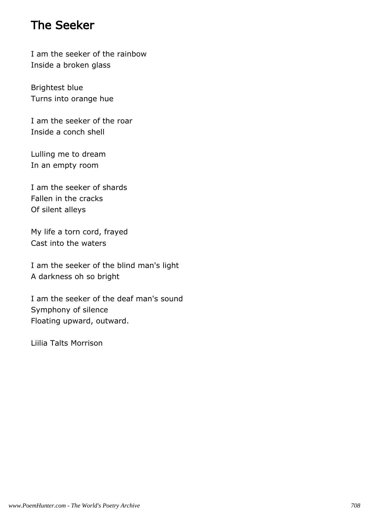### The Seeker

I am the seeker of the rainbow Inside a broken glass

Brightest blue Turns into orange hue

I am the seeker of the roar Inside a conch shell

Lulling me to dream In an empty room

I am the seeker of shards Fallen in the cracks Of silent alleys

My life a torn cord, frayed Cast into the waters

I am the seeker of the blind man's light A darkness oh so bright

I am the seeker of the deaf man's sound Symphony of silence Floating upward, outward.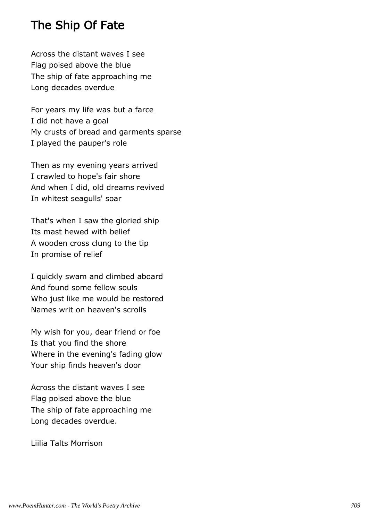### The Ship Of Fate

Across the distant waves I see Flag poised above the blue The ship of fate approaching me Long decades overdue

For years my life was but a farce I did not have a goal My crusts of bread and garments sparse I played the pauper's role

Then as my evening years arrived I crawled to hope's fair shore And when I did, old dreams revived In whitest seagulls' soar

That's when I saw the gloried ship Its mast hewed with belief A wooden cross clung to the tip In promise of relief

I quickly swam and climbed aboard And found some fellow souls Who just like me would be restored Names writ on heaven's scrolls

My wish for you, dear friend or foe Is that you find the shore Where in the evening's fading glow Your ship finds heaven's door

Across the distant waves I see Flag poised above the blue The ship of fate approaching me Long decades overdue.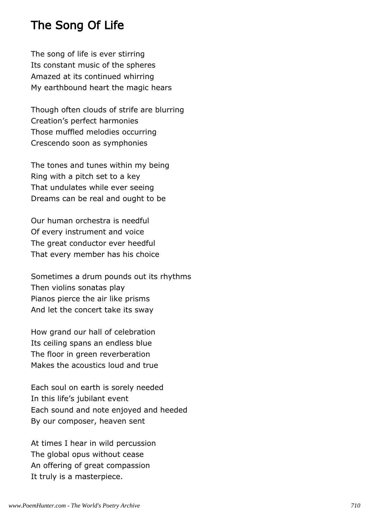### The Song Of Life

The song of life is ever stirring Its constant music of the spheres Amazed at its continued whirring My earthbound heart the magic hears

Though often clouds of strife are blurring Creation's perfect harmonies Those muffled melodies occurring Crescendo soon as symphonies

The tones and tunes within my being Ring with a pitch set to a key That undulates while ever seeing Dreams can be real and ought to be

Our human orchestra is needful Of every instrument and voice The great conductor ever heedful That every member has his choice

Sometimes a drum pounds out its rhythms Then violins sonatas play Pianos pierce the air like prisms And let the concert take its sway

How grand our hall of celebration Its ceiling spans an endless blue The floor in green reverberation Makes the acoustics loud and true

Each soul on earth is sorely needed In this life's jubilant event Each sound and note enjoyed and heeded By our composer, heaven sent

At times I hear in wild percussion The global opus without cease An offering of great compassion It truly is a masterpiece.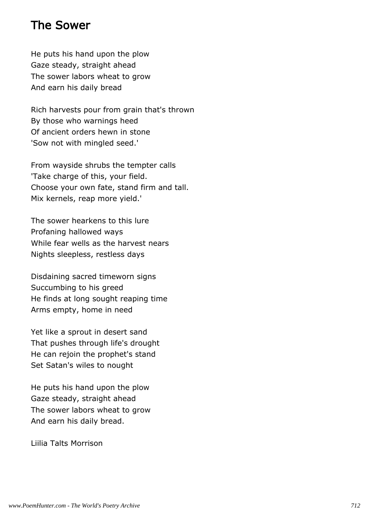#### The Sower

He puts his hand upon the plow Gaze steady, straight ahead The sower labors wheat to grow And earn his daily bread

Rich harvests pour from grain that's thrown By those who warnings heed Of ancient orders hewn in stone 'Sow not with mingled seed.'

From wayside shrubs the tempter calls 'Take charge of this, your field. Choose your own fate, stand firm and tall. Mix kernels, reap more yield.'

The sower hearkens to this lure Profaning hallowed ways While fear wells as the harvest nears Nights sleepless, restless days

Disdaining sacred timeworn signs Succumbing to his greed He finds at long sought reaping time Arms empty, home in need

Yet like a sprout in desert sand That pushes through life's drought He can rejoin the prophet's stand Set Satan's wiles to nought

He puts his hand upon the plow Gaze steady, straight ahead The sower labors wheat to grow And earn his daily bread.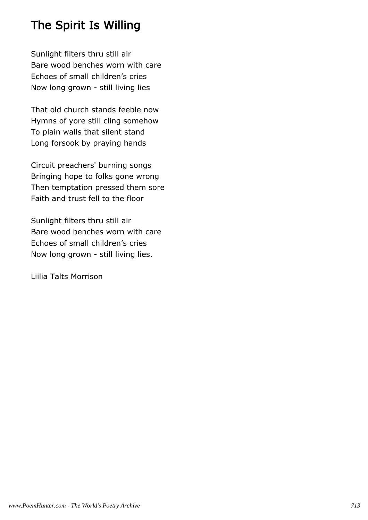# The Spirit Is Willing

Sunlight filters thru still air Bare wood benches worn with care Echoes of small children's cries Now long grown - still living lies

That old church stands feeble now Hymns of yore still cling somehow To plain walls that silent stand Long forsook by praying hands

Circuit preachers' burning songs Bringing hope to folks gone wrong Then temptation pressed them sore Faith and trust fell to the floor

Sunlight filters thru still air Bare wood benches worn with care Echoes of small children's cries Now long grown - still living lies.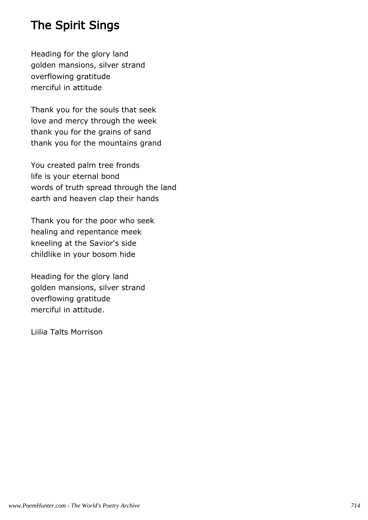# The Spirit Sings

Heading for the glory land golden mansions, silver strand overflowing gratitude merciful in attitude

Thank you for the souls that seek love and mercy through the week thank you for the grains of sand thank you for the mountains grand

You created palm tree fronds life is your eternal bond words of truth spread through the land earth and heaven clap their hands

Thank you for the poor who seek healing and repentance meek kneeling at the Savior's side childlike in your bosom hide

Heading for the glory land golden mansions, silver strand overflowing gratitude merciful in attitude.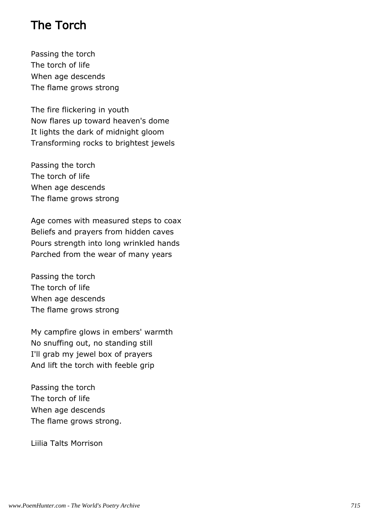### The Torch

Passing the torch The torch of life When age descends The flame grows strong

The fire flickering in youth Now flares up toward heaven's dome It lights the dark of midnight gloom Transforming rocks to brightest jewels

Passing the torch The torch of life When age descends The flame grows strong

Age comes with measured steps to coax Beliefs and prayers from hidden caves Pours strength into long wrinkled hands Parched from the wear of many years

Passing the torch The torch of life When age descends The flame grows strong

My campfire glows in embers' warmth No snuffing out, no standing still I'll grab my jewel box of prayers And lift the torch with feeble grip

Passing the torch The torch of life When age descends The flame grows strong.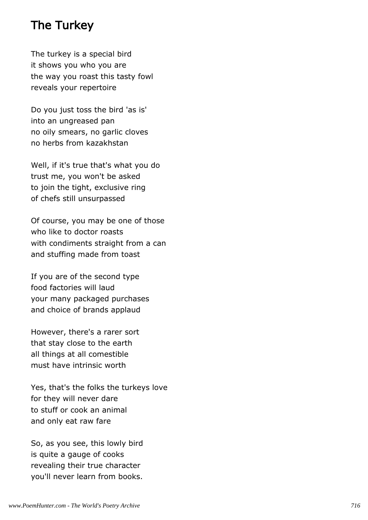### The Turkey

The turkey is a special bird it shows you who you are the way you roast this tasty fowl reveals your repertoire

Do you just toss the bird 'as is' into an ungreased pan no oily smears, no garlic cloves no herbs from kazakhstan

Well, if it's true that's what you do trust me, you won't be asked to join the tight, exclusive ring of chefs still unsurpassed

Of course, you may be one of those who like to doctor roasts with condiments straight from a can and stuffing made from toast

If you are of the second type food factories will laud your many packaged purchases and choice of brands applaud

However, there's a rarer sort that stay close to the earth all things at all comestible must have intrinsic worth

Yes, that's the folks the turkeys love for they will never dare to stuff or cook an animal and only eat raw fare

So, as you see, this lowly bird is quite a gauge of cooks revealing their true character you'll never learn from books.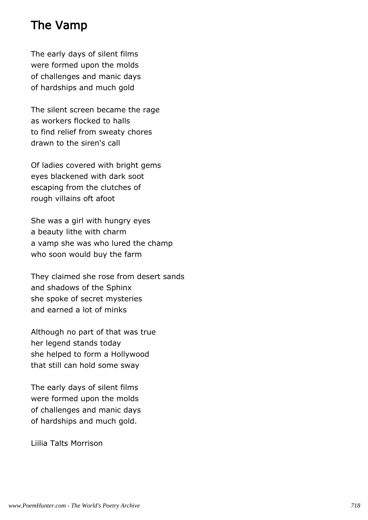### The Vamp

The early days of silent films were formed upon the molds of challenges and manic days of hardships and much gold

The silent screen became the rage as workers flocked to halls to find relief from sweaty chores drawn to the siren's call

Of ladies covered with bright gems eyes blackened with dark soot escaping from the clutches of rough villains oft afoot

She was a girl with hungry eyes a beauty lithe with charm a vamp she was who lured the champ who soon would buy the farm

They claimed she rose from desert sands and shadows of the Sphinx she spoke of secret mysteries and earned a lot of minks

Although no part of that was true her legend stands today she helped to form a Hollywood that still can hold some sway

The early days of silent films were formed upon the molds of challenges and manic days of hardships and much gold.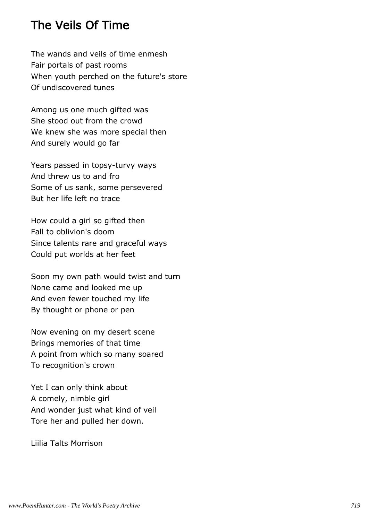### The Veils Of Time

The wands and veils of time enmesh Fair portals of past rooms When youth perched on the future's store Of undiscovered tunes

Among us one much gifted was She stood out from the crowd We knew she was more special then And surely would go far

Years passed in topsy-turvy ways And threw us to and fro Some of us sank, some persevered But her life left no trace

How could a girl so gifted then Fall to oblivion's doom Since talents rare and graceful ways Could put worlds at her feet

Soon my own path would twist and turn None came and looked me up And even fewer touched my life By thought or phone or pen

Now evening on my desert scene Brings memories of that time A point from which so many soared To recognition's crown

Yet I can only think about A comely, nimble girl And wonder just what kind of veil Tore her and pulled her down.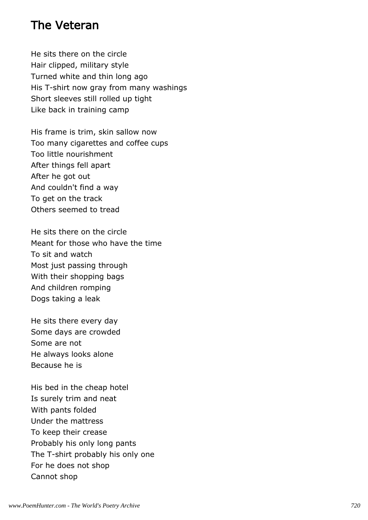#### The Veteran

He sits there on the circle Hair clipped, military style Turned white and thin long ago His T-shirt now gray from many washings Short sleeves still rolled up tight Like back in training camp

His frame is trim, skin sallow now Too many cigarettes and coffee cups Too little nourishment After things fell apart After he got out And couldn't find a way To get on the track Others seemed to tread

He sits there on the circle Meant for those who have the time To sit and watch Most just passing through With their shopping bags And children romping Dogs taking a leak

He sits there every day Some days are crowded Some are not He always looks alone Because he is

His bed in the cheap hotel Is surely trim and neat With pants folded Under the mattress To keep their crease Probably his only long pants The T-shirt probably his only one For he does not shop Cannot shop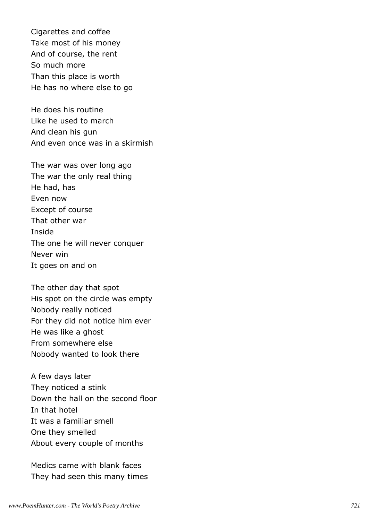Cigarettes and coffee Take most of his money And of course, the rent So much more Than this place is worth He has no where else to go

He does his routine Like he used to march And clean his gun And even once was in a skirmish

The war was over long ago The war the only real thing He had, has Even now Except of course That other war Inside The one he will never conquer Never win It goes on and on

The other day that spot His spot on the circle was empty Nobody really noticed For they did not notice him ever He was like a ghost From somewhere else Nobody wanted to look there

A few days later They noticed a stink Down the hall on the second floor In that hotel It was a familiar smell One they smelled About every couple of months

Medics came with blank faces They had seen this many times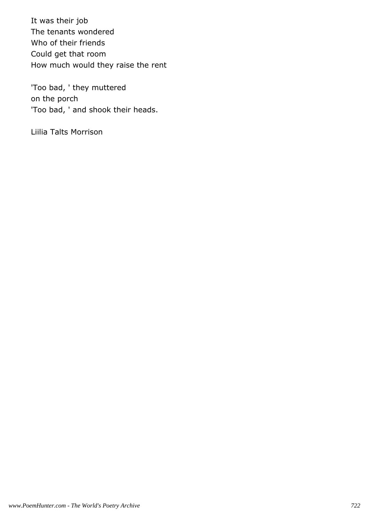It was their job The tenants wondered Who of their friends Could get that room How much would they raise the rent

'Too bad, ' they muttered on the porch 'Too bad, ' and shook their heads.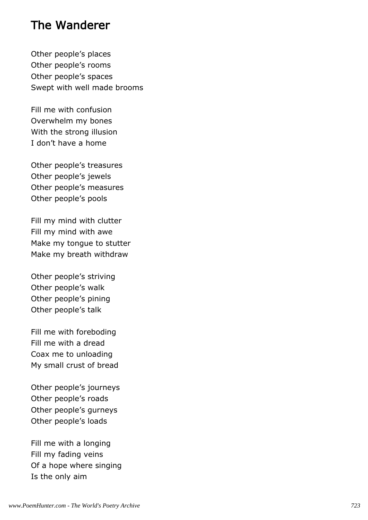#### The Wanderer

Other people's places Other people's rooms Other people's spaces Swept with well made brooms

Fill me with confusion Overwhelm my bones With the strong illusion I don't have a home

Other people's treasures Other people's jewels Other people's measures Other people's pools

Fill my mind with clutter Fill my mind with awe Make my tongue to stutter Make my breath withdraw

Other people's striving Other people's walk Other people's pining Other people's talk

Fill me with foreboding Fill me with a dread Coax me to unloading My small crust of bread

Other people's journeys Other people's roads Other people's gurneys Other people's loads

Fill me with a longing Fill my fading veins Of a hope where singing Is the only aim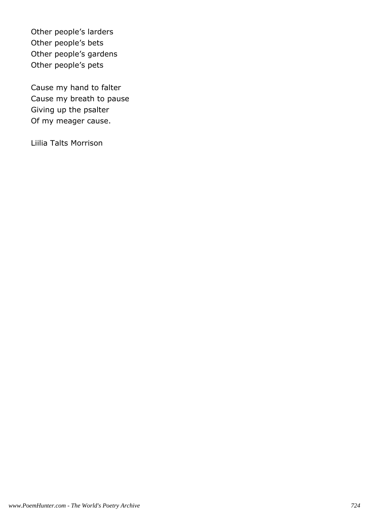Other people's larders Other people's bets Other people's gardens Other people's pets

Cause my hand to falter Cause my breath to pause Giving up the psalter Of my meager cause.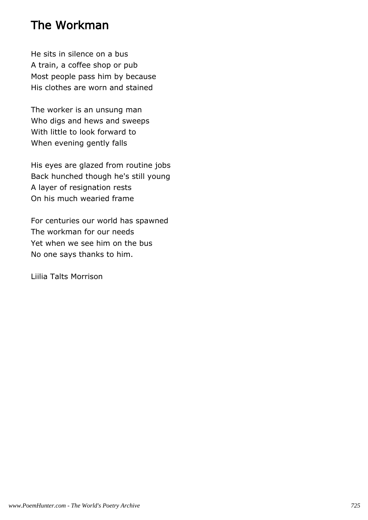# The Workman

He sits in silence on a bus A train, a coffee shop or pub Most people pass him by because His clothes are worn and stained

The worker is an unsung man Who digs and hews and sweeps With little to look forward to When evening gently falls

His eyes are glazed from routine jobs Back hunched though he's still young A layer of resignation rests On his much wearied frame

For centuries our world has spawned The workman for our needs Yet when we see him on the bus No one says thanks to him.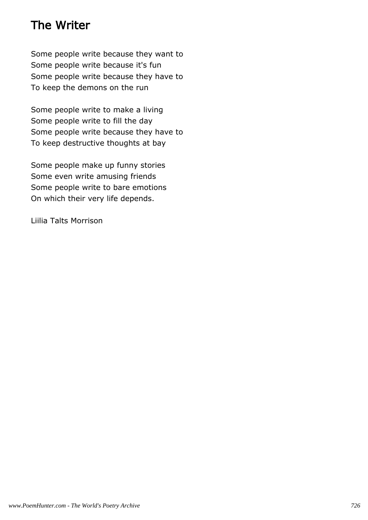# The Writer

Some people write because they want to Some people write because it's fun Some people write because they have to To keep the demons on the run

Some people write to make a living Some people write to fill the day Some people write because they have to To keep destructive thoughts at bay

Some people make up funny stories Some even write amusing friends Some people write to bare emotions On which their very life depends.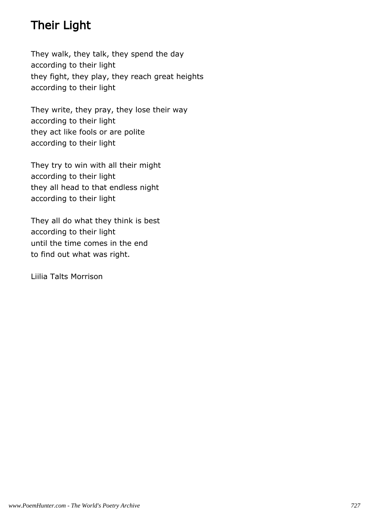# Their Light

They walk, they talk, they spend the day according to their light they fight, they play, they reach great heights according to their light

They write, they pray, they lose their way according to their light they act like fools or are polite according to their light

They try to win with all their might according to their light they all head to that endless night according to their light

They all do what they think is best according to their light until the time comes in the end to find out what was right.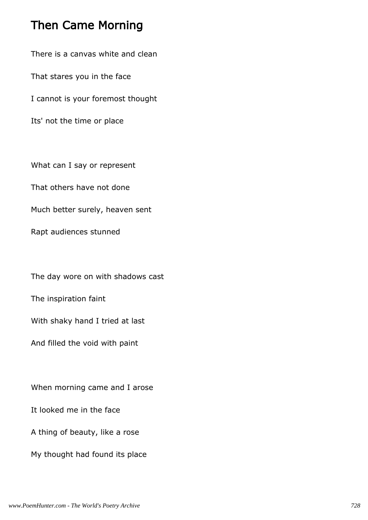# Then Came Morning

There is a canvas white and clean

That stares you in the face

I cannot is your foremost thought

Its' not the time or place

What can I say or represent

That others have not done

Much better surely, heaven sent

Rapt audiences stunned

The day wore on with shadows cast

The inspiration faint

With shaky hand I tried at last

And filled the void with paint

When morning came and I arose

It looked me in the face

A thing of beauty, like a rose

My thought had found its place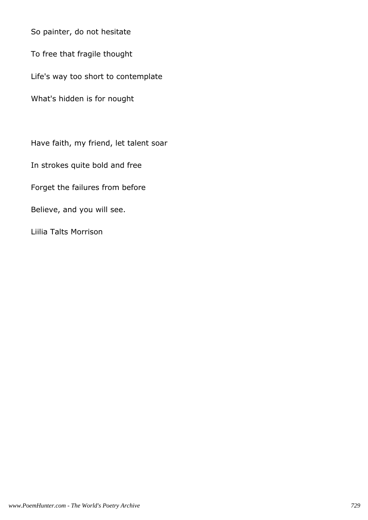So painter, do not hesitate

To free that fragile thought

Life's way too short to contemplate

What's hidden is for nought

Have faith, my friend, let talent soar In strokes quite bold and free Forget the failures from before Believe, and you will see.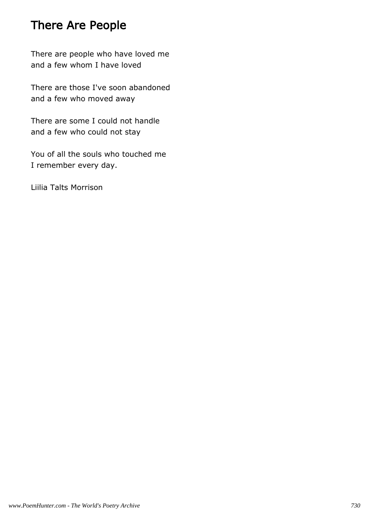# There Are People

There are people who have loved me and a few whom I have loved

There are those I've soon abandoned and a few who moved away

There are some I could not handle and a few who could not stay

You of all the souls who touched me I remember every day.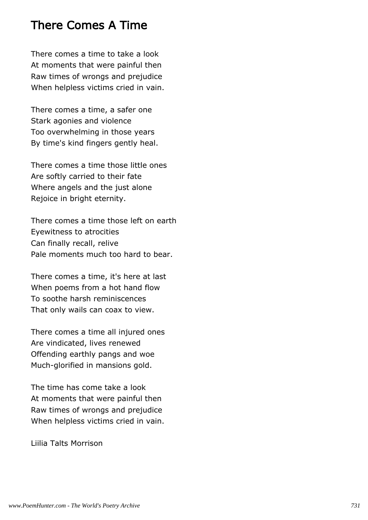#### There Comes A Time

There comes a time to take a look At moments that were painful then Raw times of wrongs and prejudice When helpless victims cried in vain.

There comes a time, a safer one Stark agonies and violence Too overwhelming in those years By time's kind fingers gently heal.

There comes a time those little ones Are softly carried to their fate Where angels and the just alone Rejoice in bright eternity.

There comes a time those left on earth Eyewitness to atrocities Can finally recall, relive Pale moments much too hard to bear.

There comes a time, it's here at last When poems from a hot hand flow To soothe harsh reminiscences That only wails can coax to view.

There comes a time all injured ones Are vindicated, lives renewed Offending earthly pangs and woe Much-glorified in mansions gold.

The time has come take a look At moments that were painful then Raw times of wrongs and prejudice When helpless victims cried in vain.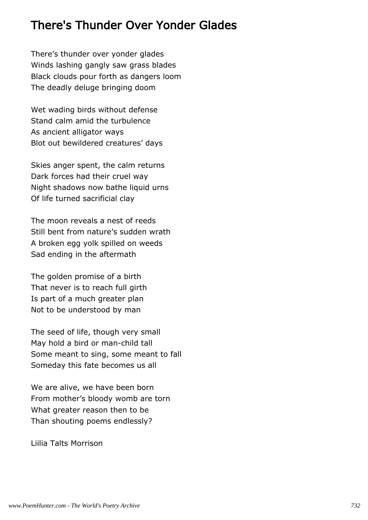### There's Thunder Over Yonder Glades

There's thunder over yonder glades Winds lashing gangly saw grass blades Black clouds pour forth as dangers loom The deadly deluge bringing doom

Wet wading birds without defense Stand calm amid the turbulence As ancient alligator ways Blot out bewildered creatures' days

Skies anger spent, the calm returns Dark forces had their cruel way Night shadows now bathe liquid urns Of life turned sacrificial clay

The moon reveals a nest of reeds Still bent from nature's sudden wrath A broken egg yolk spilled on weeds Sad ending in the aftermath

The golden promise of a birth That never is to reach full girth Is part of a much greater plan Not to be understood by man

The seed of life, though very small May hold a bird or man-child tall Some meant to sing, some meant to fall Someday this fate becomes us all

We are alive, we have been born From mother's bloody womb are torn What greater reason then to be Than shouting poems endlessly?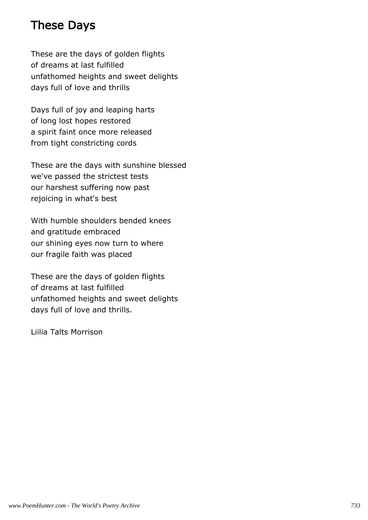### These Days

These are the days of golden flights of dreams at last fulfilled unfathomed heights and sweet delights days full of love and thrills

Days full of joy and leaping harts of long lost hopes restored a spirit faint once more released from tight constricting cords

These are the days with sunshine blessed we've passed the strictest tests our harshest suffering now past rejoicing in what's best

With humble shoulders bended knees and gratitude embraced our shining eyes now turn to where our fragile faith was placed

These are the days of golden flights of dreams at last fulfilled unfathomed heights and sweet delights days full of love and thrills.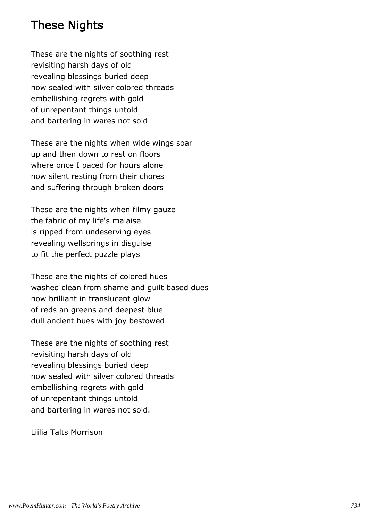### These Nights

These are the nights of soothing rest revisiting harsh days of old revealing blessings buried deep now sealed with silver colored threads embellishing regrets with gold of unrepentant things untold and bartering in wares not sold

These are the nights when wide wings soar up and then down to rest on floors where once I paced for hours alone now silent resting from their chores and suffering through broken doors

These are the nights when filmy gauze the fabric of my life's malaise is ripped from undeserving eyes revealing wellsprings in disguise to fit the perfect puzzle plays

These are the nights of colored hues washed clean from shame and guilt based dues now brilliant in translucent glow of reds an greens and deepest blue dull ancient hues with joy bestowed

These are the nights of soothing rest revisiting harsh days of old revealing blessings buried deep now sealed with silver colored threads embellishing regrets with gold of unrepentant things untold and bartering in wares not sold.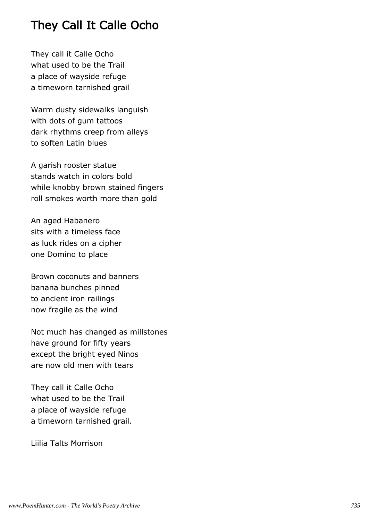# They Call It Calle Ocho

They call it Calle Ocho what used to be the Trail a place of wayside refuge a timeworn tarnished grail

Warm dusty sidewalks languish with dots of gum tattoos dark rhythms creep from alleys to soften Latin blues

A garish rooster statue stands watch in colors bold while knobby brown stained fingers roll smokes worth more than gold

An aged Habanero sits with a timeless face as luck rides on a cipher one Domino to place

Brown coconuts and banners banana bunches pinned to ancient iron railings now fragile as the wind

Not much has changed as millstones have ground for fifty years except the bright eyed Ninos are now old men with tears

They call it Calle Ocho what used to be the Trail a place of wayside refuge a timeworn tarnished grail.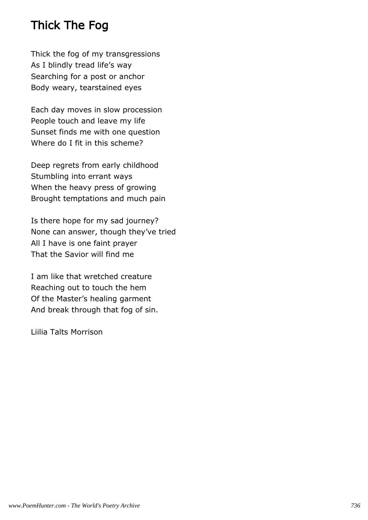# Thick The Fog

Thick the fog of my transgressions As I blindly tread life's way Searching for a post or anchor Body weary, tearstained eyes

Each day moves in slow procession People touch and leave my life Sunset finds me with one question Where do I fit in this scheme?

Deep regrets from early childhood Stumbling into errant ways When the heavy press of growing Brought temptations and much pain

Is there hope for my sad journey? None can answer, though they've tried All I have is one faint prayer That the Savior will find me

I am like that wretched creature Reaching out to touch the hem Of the Master's healing garment And break through that fog of sin.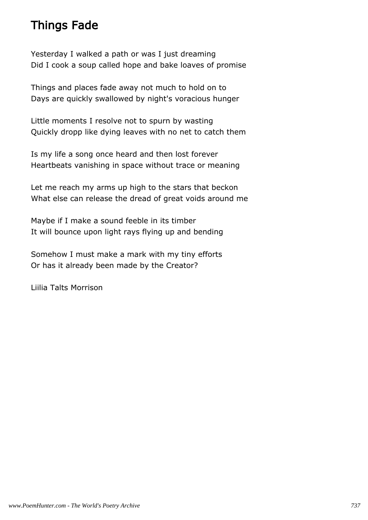# Things Fade

Yesterday I walked a path or was I just dreaming Did I cook a soup called hope and bake loaves of promise

Things and places fade away not much to hold on to Days are quickly swallowed by night's voracious hunger

Little moments I resolve not to spurn by wasting Quickly dropp like dying leaves with no net to catch them

Is my life a song once heard and then lost forever Heartbeats vanishing in space without trace or meaning

Let me reach my arms up high to the stars that beckon What else can release the dread of great voids around me

Maybe if I make a sound feeble in its timber It will bounce upon light rays flying up and bending

Somehow I must make a mark with my tiny efforts Or has it already been made by the Creator?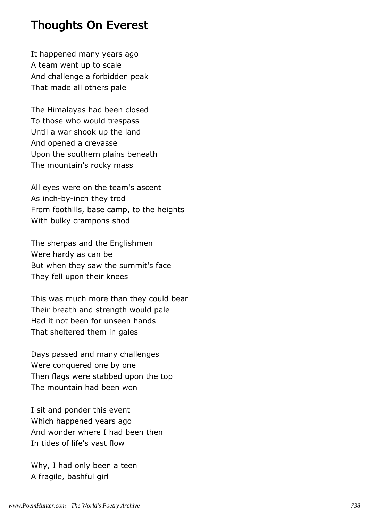#### Thoughts On Everest

It happened many years ago A team went up to scale And challenge a forbidden peak That made all others pale

The Himalayas had been closed To those who would trespass Until a war shook up the land And opened a crevasse Upon the southern plains beneath The mountain's rocky mass

All eyes were on the team's ascent As inch-by-inch they trod From foothills, base camp, to the heights With bulky crampons shod

The sherpas and the Englishmen Were hardy as can be But when they saw the summit's face They fell upon their knees

This was much more than they could bear Their breath and strength would pale Had it not been for unseen hands That sheltered them in gales

Days passed and many challenges Were conquered one by one Then flags were stabbed upon the top The mountain had been won

I sit and ponder this event Which happened years ago And wonder where I had been then In tides of life's vast flow

Why, I had only been a teen A fragile, bashful girl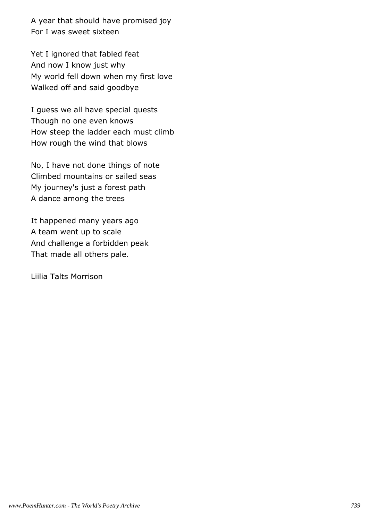A year that should have promised joy For I was sweet sixteen

Yet I ignored that fabled feat And now I know just why My world fell down when my first love Walked off and said goodbye

I guess we all have special quests Though no one even knows How steep the ladder each must climb How rough the wind that blows

No, I have not done things of note Climbed mountains or sailed seas My journey's just a forest path A dance among the trees

It happened many years ago A team went up to scale And challenge a forbidden peak That made all others pale.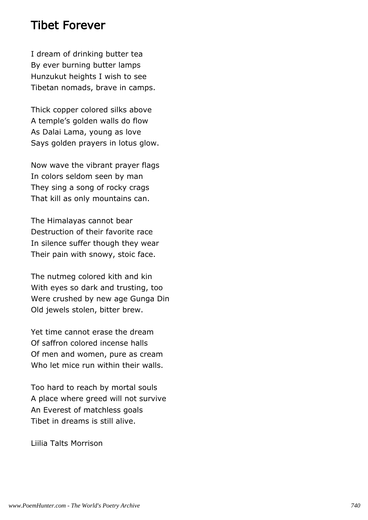#### Tibet Forever

I dream of drinking butter tea By ever burning butter lamps Hunzukut heights I wish to see Tibetan nomads, brave in camps.

Thick copper colored silks above A temple's golden walls do flow As Dalai Lama, young as love Says golden prayers in lotus glow.

Now wave the vibrant prayer flags In colors seldom seen by man They sing a song of rocky crags That kill as only mountains can.

The Himalayas cannot bear Destruction of their favorite race In silence suffer though they wear Their pain with snowy, stoic face.

The nutmeg colored kith and kin With eyes so dark and trusting, too Were crushed by new age Gunga Din Old jewels stolen, bitter brew.

Yet time cannot erase the dream Of saffron colored incense halls Of men and women, pure as cream Who let mice run within their walls.

Too hard to reach by mortal souls A place where greed will not survive An Everest of matchless goals Tibet in dreams is still alive.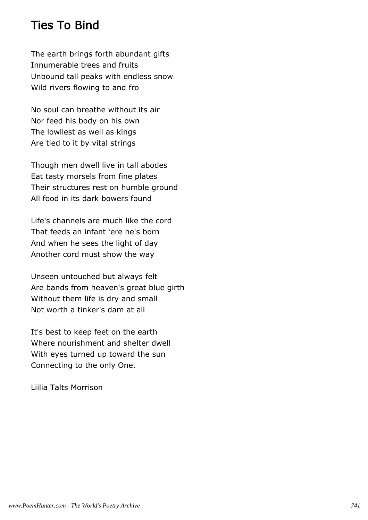### Ties To Bind

The earth brings forth abundant gifts Innumerable trees and fruits Unbound tall peaks with endless snow Wild rivers flowing to and fro

No soul can breathe without its air Nor feed his body on his own The lowliest as well as kings Are tied to it by vital strings

Though men dwell live in tall abodes Eat tasty morsels from fine plates Their structures rest on humble ground All food in its dark bowers found

Life's channels are much like the cord That feeds an infant 'ere he's born And when he sees the light of day Another cord must show the way

Unseen untouched but always felt Are bands from heaven's great blue girth Without them life is dry and small Not worth a tinker's dam at all

It's best to keep feet on the earth Where nourishment and shelter dwell With eyes turned up toward the sun Connecting to the only One.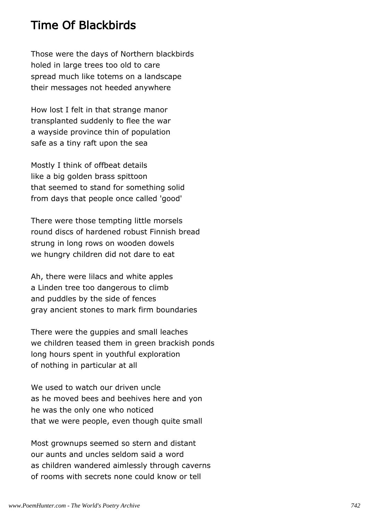### Time Of Blackbirds

Those were the days of Northern blackbirds holed in large trees too old to care spread much like totems on a landscape their messages not heeded anywhere

How lost I felt in that strange manor transplanted suddenly to flee the war a wayside province thin of population safe as a tiny raft upon the sea

Mostly I think of offbeat details like a big golden brass spittoon that seemed to stand for something solid from days that people once called 'good'

There were those tempting little morsels round discs of hardened robust Finnish bread strung in long rows on wooden dowels we hungry children did not dare to eat

Ah, there were lilacs and white apples a Linden tree too dangerous to climb and puddles by the side of fences gray ancient stones to mark firm boundaries

There were the guppies and small leaches we children teased them in green brackish ponds long hours spent in youthful exploration of nothing in particular at all

We used to watch our driven uncle as he moved bees and beehives here and yon he was the only one who noticed that we were people, even though quite small

Most grownups seemed so stern and distant our aunts and uncles seldom said a word as children wandered aimlessly through caverns of rooms with secrets none could know or tell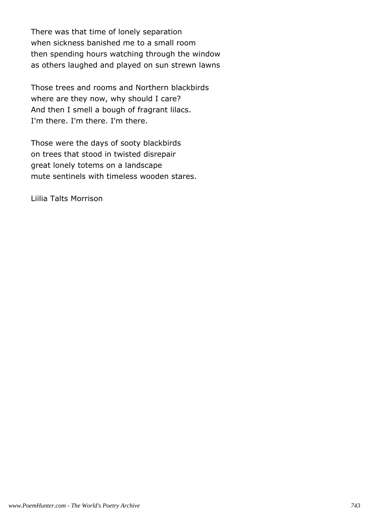There was that time of lonely separation when sickness banished me to a small room then spending hours watching through the window as others laughed and played on sun strewn lawns

Those trees and rooms and Northern blackbirds where are they now, why should I care? And then I smell a bough of fragrant lilacs. I'm there. I'm there. I'm there.

Those were the days of sooty blackbirds on trees that stood in twisted disrepair great lonely totems on a landscape mute sentinels with timeless wooden stares.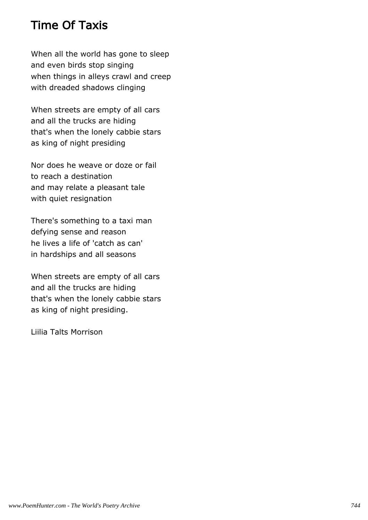# Time Of Taxis

When all the world has gone to sleep and even birds stop singing when things in alleys crawl and creep with dreaded shadows clinging

When streets are empty of all cars and all the trucks are hiding that's when the lonely cabbie stars as king of night presiding

Nor does he weave or doze or fail to reach a destination and may relate a pleasant tale with quiet resignation

There's something to a taxi man defying sense and reason he lives a life of 'catch as can' in hardships and all seasons

When streets are empty of all cars and all the trucks are hiding that's when the lonely cabbie stars as king of night presiding.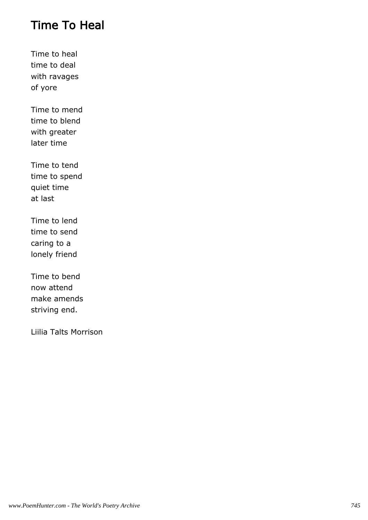# Time To Heal

Time to heal time to deal with ravages of yore

Time to mend time to blend with greater later time

Time to tend time to spend quiet time at last

Time to lend time to send caring to a lonely friend

Time to bend now attend make amends striving end.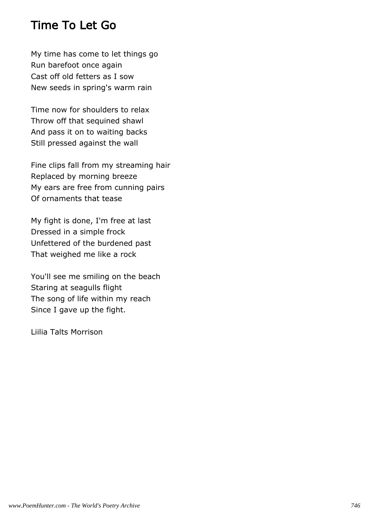### Time To Let Go

My time has come to let things go Run barefoot once again Cast off old fetters as I sow New seeds in spring's warm rain

Time now for shoulders to relax Throw off that sequined shawl And pass it on to waiting backs Still pressed against the wall

Fine clips fall from my streaming hair Replaced by morning breeze My ears are free from cunning pairs Of ornaments that tease

My fight is done, I'm free at last Dressed in a simple frock Unfettered of the burdened past That weighed me like a rock

You'll see me smiling on the beach Staring at seagulls flight The song of life within my reach Since I gave up the fight.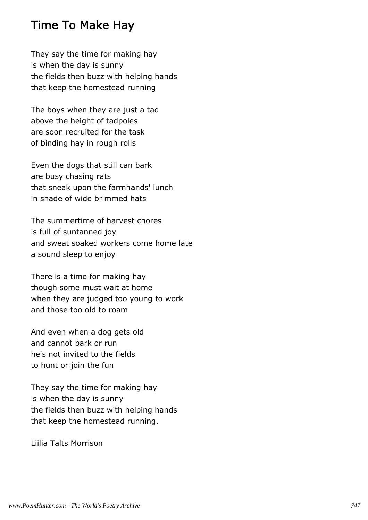# Time To Make Hay

They say the time for making hay is when the day is sunny the fields then buzz with helping hands that keep the homestead running

The boys when they are just a tad above the height of tadpoles are soon recruited for the task of binding hay in rough rolls

Even the dogs that still can bark are busy chasing rats that sneak upon the farmhands' lunch in shade of wide brimmed hats

The summertime of harvest chores is full of suntanned joy and sweat soaked workers come home late a sound sleep to enjoy

There is a time for making hay though some must wait at home when they are judged too young to work and those too old to roam

And even when a dog gets old and cannot bark or run he's not invited to the fields to hunt or join the fun

They say the time for making hay is when the day is sunny the fields then buzz with helping hands that keep the homestead running.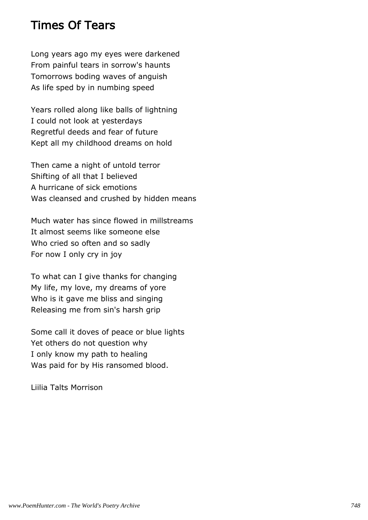#### Times Of Tears

Long years ago my eyes were darkened From painful tears in sorrow's haunts Tomorrows boding waves of anguish As life sped by in numbing speed

Years rolled along like balls of lightning I could not look at yesterdays Regretful deeds and fear of future Kept all my childhood dreams on hold

Then came a night of untold terror Shifting of all that I believed A hurricane of sick emotions Was cleansed and crushed by hidden means

Much water has since flowed in millstreams It almost seems like someone else Who cried so often and so sadly For now I only cry in joy

To what can I give thanks for changing My life, my love, my dreams of yore Who is it gave me bliss and singing Releasing me from sin's harsh grip

Some call it doves of peace or blue lights Yet others do not question why I only know my path to healing Was paid for by His ransomed blood.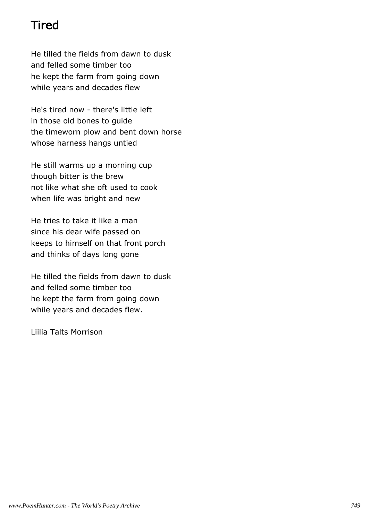# **Tired**

He tilled the fields from dawn to dusk and felled some timber too he kept the farm from going down while years and decades flew

He's tired now - there's little left in those old bones to guide the timeworn plow and bent down horse whose harness hangs untied

He still warms up a morning cup though bitter is the brew not like what she oft used to cook when life was bright and new

He tries to take it like a man since his dear wife passed on keeps to himself on that front porch and thinks of days long gone

He tilled the fields from dawn to dusk and felled some timber too he kept the farm from going down while years and decades flew.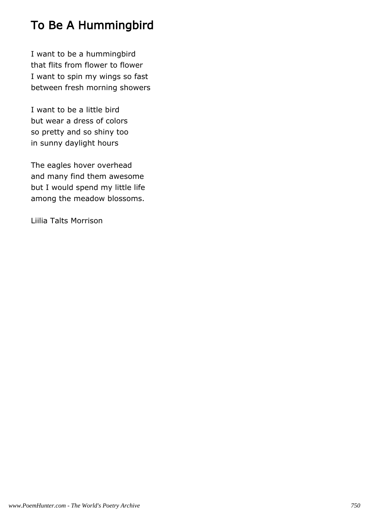# To Be A Hummingbird

I want to be a hummingbird that flits from flower to flower I want to spin my wings so fast between fresh morning showers

I want to be a little bird but wear a dress of colors so pretty and so shiny too in sunny daylight hours

The eagles hover overhead and many find them awesome but I would spend my little life among the meadow blossoms.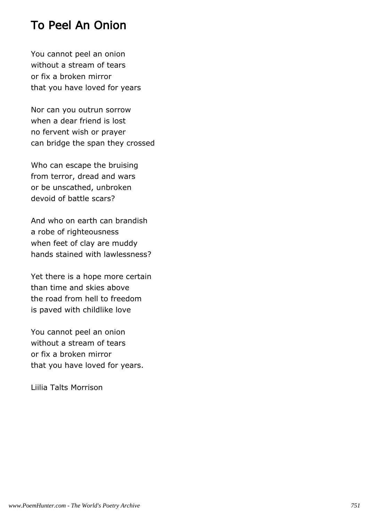### To Peel An Onion

You cannot peel an onion without a stream of tears or fix a broken mirror that you have loved for years

Nor can you outrun sorrow when a dear friend is lost no fervent wish or prayer can bridge the span they crossed

Who can escape the bruising from terror, dread and wars or be unscathed, unbroken devoid of battle scars?

And who on earth can brandish a robe of righteousness when feet of clay are muddy hands stained with lawlessness?

Yet there is a hope more certain than time and skies above the road from hell to freedom is paved with childlike love

You cannot peel an onion without a stream of tears or fix a broken mirror that you have loved for years.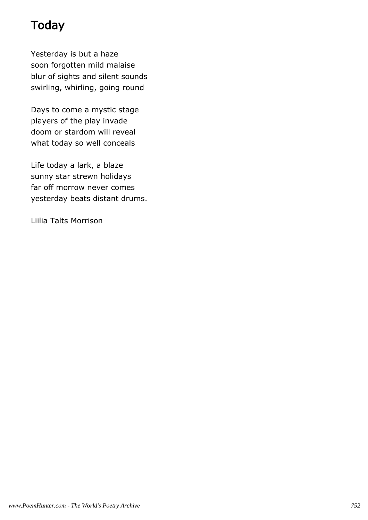# **Today**

Yesterday is but a haze soon forgotten mild malaise blur of sights and silent sounds swirling, whirling, going round

Days to come a mystic stage players of the play invade doom or stardom will reveal what today so well conceals

Life today a lark, a blaze sunny star strewn holidays far off morrow never comes yesterday beats distant drums.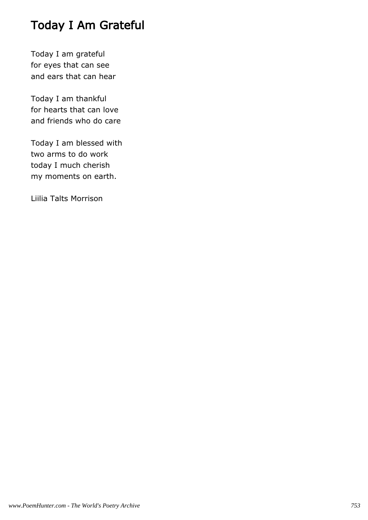# Today I Am Grateful

Today I am grateful for eyes that can see and ears that can hear

Today I am thankful for hearts that can love and friends who do care

Today I am blessed with two arms to do work today I much cherish my moments on earth.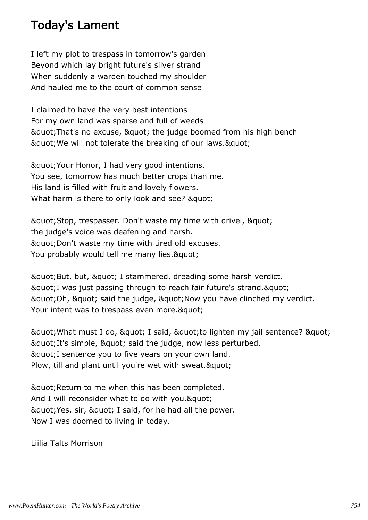# Today's Lament

I left my plot to trespass in tomorrow's garden Beyond which lay bright future's silver strand When suddenly a warden touched my shoulder And hauled me to the court of common sense

I claimed to have the very best intentions For my own land was sparse and full of weeds & auot; That's no excuse, & quot; the judge boomed from his high bench & quot; We will not tolerate the breaking of our laws. & quot;

& guot; Your Honor, I had very good intentions. You see, tomorrow has much better crops than me. His land is filled with fruit and lovely flowers. What harm is there to only look and see? & quot;

" Stop, trespasser. Don't waste my time with drivel, " the judge's voice was deafening and harsh. & quot; Don't waste my time with tired old excuses. You probably would tell me many lies. & quot;

" But, but, " I stammered, dreading some harsh verdict. & guot; I was just passing through to reach fair future's strand. & quot; & guot; Oh, & guot; said the judge, & guot; Now you have clinched my verdict. Your intent was to trespass even more. & quot;

& auot; What must I do, & quot; I said, & quot; to lighten my jail sentence? & quot; & quot; It's simple, & quot; said the judge, now less perturbed. & guot; I sentence you to five years on your own land. Plow, till and plant until you're wet with sweat. & quot;

& aupt; Return to me when this has been completed. And I will reconsider what to do with you. & quot; & guot; Yes, sir, & guot; I said, for he had all the power. Now I was doomed to living in today.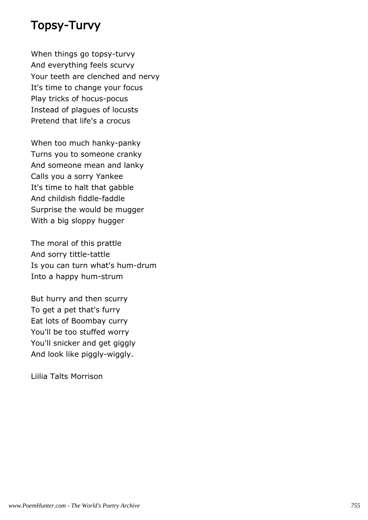### Topsy-Turvy

When things go topsy-turvy And everything feels scurvy Your teeth are clenched and nervy It's time to change your focus Play tricks of hocus-pocus Instead of plagues of locusts Pretend that life's a crocus

When too much hanky-panky Turns you to someone cranky And someone mean and lanky Calls you a sorry Yankee It's time to halt that gabble And childish fiddle-faddle Surprise the would be mugger With a big sloppy hugger

The moral of this prattle And sorry tittle-tattle Is you can turn what's hum-drum Into a happy hum-strum

But hurry and then scurry To get a pet that's furry Eat lots of Boombay curry You'll be too stuffed worry You'll snicker and get giggly And look like piggly-wiggly.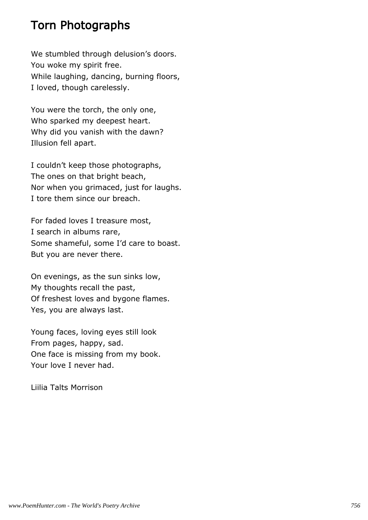## Torn Photographs

We stumbled through delusion's doors. You woke my spirit free. While laughing, dancing, burning floors, I loved, though carelessly.

You were the torch, the only one, Who sparked my deepest heart. Why did you vanish with the dawn? Illusion fell apart.

I couldn't keep those photographs, The ones on that bright beach, Nor when you grimaced, just for laughs. I tore them since our breach.

For faded loves I treasure most, I search in albums rare, Some shameful, some I'd care to boast. But you are never there.

On evenings, as the sun sinks low, My thoughts recall the past, Of freshest loves and bygone flames. Yes, you are always last.

Young faces, loving eyes still look From pages, happy, sad. One face is missing from my book. Your love I never had.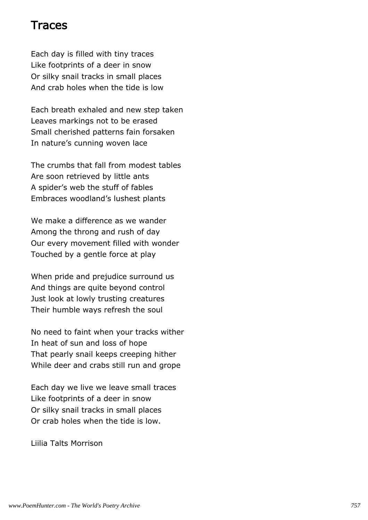#### Traces

Each day is filled with tiny traces Like footprints of a deer in snow Or silky snail tracks in small places And crab holes when the tide is low

Each breath exhaled and new step taken Leaves markings not to be erased Small cherished patterns fain forsaken In nature's cunning woven lace

The crumbs that fall from modest tables Are soon retrieved by little ants A spider's web the stuff of fables Embraces woodland's lushest plants

We make a difference as we wander Among the throng and rush of day Our every movement filled with wonder Touched by a gentle force at play

When pride and prejudice surround us And things are quite beyond control Just look at lowly trusting creatures Their humble ways refresh the soul

No need to faint when your tracks wither In heat of sun and loss of hope That pearly snail keeps creeping hither While deer and crabs still run and grope

Each day we live we leave small traces Like footprints of a deer in snow Or silky snail tracks in small places Or crab holes when the tide is low.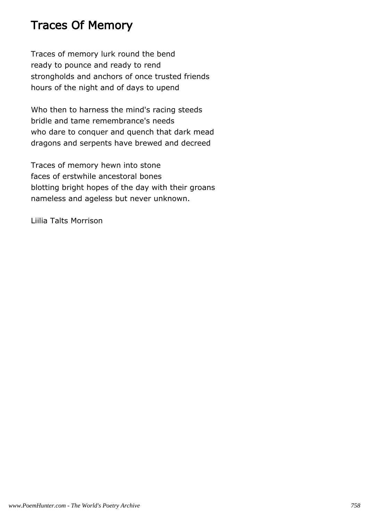### Traces Of Memory

Traces of memory lurk round the bend ready to pounce and ready to rend strongholds and anchors of once trusted friends hours of the night and of days to upend

Who then to harness the mind's racing steeds bridle and tame remembrance's needs who dare to conquer and quench that dark mead dragons and serpents have brewed and decreed

Traces of memory hewn into stone faces of erstwhile ancestoral bones blotting bright hopes of the day with their groans nameless and ageless but never unknown.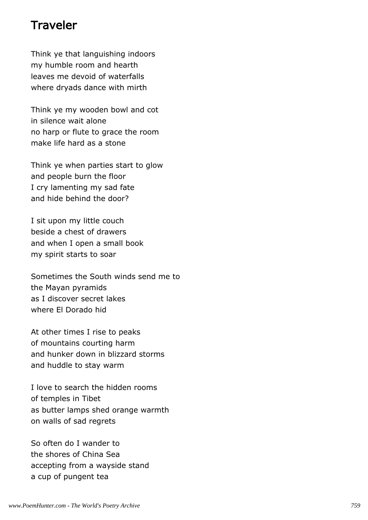#### Traveler

Think ye that languishing indoors my humble room and hearth leaves me devoid of waterfalls where dryads dance with mirth

Think ye my wooden bowl and cot in silence wait alone no harp or flute to grace the room make life hard as a stone

Think ye when parties start to glow and people burn the floor I cry lamenting my sad fate and hide behind the door?

I sit upon my little couch beside a chest of drawers and when I open a small book my spirit starts to soar

Sometimes the South winds send me to the Mayan pyramids as I discover secret lakes where El Dorado hid

At other times I rise to peaks of mountains courting harm and hunker down in blizzard storms and huddle to stay warm

I love to search the hidden rooms of temples in Tibet as butter lamps shed orange warmth on walls of sad regrets

So often do I wander to the shores of China Sea accepting from a wayside stand a cup of pungent tea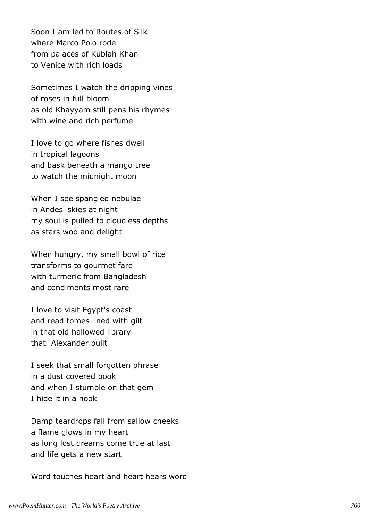Soon I am led to Routes of Silk where Marco Polo rode from palaces of Kublah Khan to Venice with rich loads

Sometimes I watch the dripping vines of roses in full bloom as old Khayyam still pens his rhymes with wine and rich perfume

I love to go where fishes dwell in tropical lagoons and bask beneath a mango tree to watch the midnight moon

When I see spangled nebulae in Andes' skies at night my soul is pulled to cloudless depths as stars woo and delight

When hungry, my small bowl of rice transforms to gourmet fare with turmeric from Bangladesh and condiments most rare

I love to visit Egypt's coast and read tomes lined with gilt in that old hallowed library that Alexander built

I seek that small forgotten phrase in a dust covered book and when I stumble on that gem I hide it in a nook

Damp teardrops fall from sallow cheeks a flame glows in my heart as long lost dreams come true at last and life gets a new start

Word touches heart and heart hears word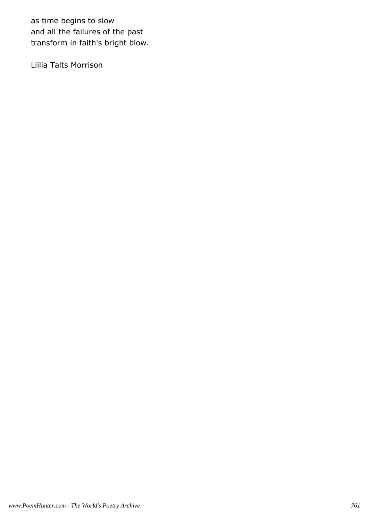as time begins to slow and all the failures of the past transform in faith's bright blow.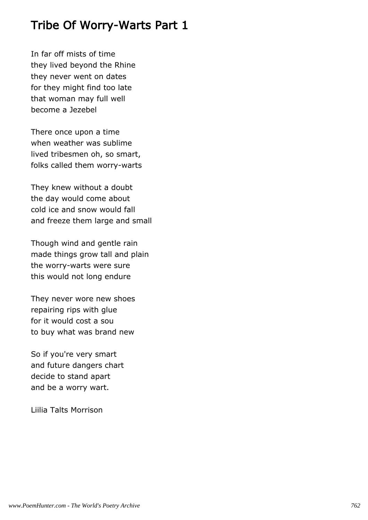## Tribe Of Worry-Warts Part 1

In far off mists of time they lived beyond the Rhine they never went on dates for they might find too late that woman may full well become a Jezebel

There once upon a time when weather was sublime lived tribesmen oh, so smart, folks called them worry-warts

They knew without a doubt the day would come about cold ice and snow would fall and freeze them large and small

Though wind and gentle rain made things grow tall and plain the worry-warts were sure this would not long endure

They never wore new shoes repairing rips with glue for it would cost a sou to buy what was brand new

So if you're very smart and future dangers chart decide to stand apart and be a worry wart.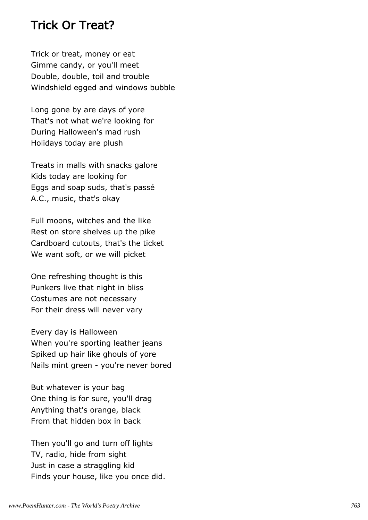#### Trick Or Treat?

Trick or treat, money or eat Gimme candy, or you'll meet Double, double, toil and trouble Windshield egged and windows bubble

Long gone by are days of yore That's not what we're looking for During Halloween's mad rush Holidays today are plush

Treats in malls with snacks galore Kids today are looking for Eggs and soap suds, that's passé A.C., music, that's okay

Full moons, witches and the like Rest on store shelves up the pike Cardboard cutouts, that's the ticket We want soft, or we will picket

One refreshing thought is this Punkers live that night in bliss Costumes are not necessary For their dress will never vary

Every day is Halloween When you're sporting leather jeans Spiked up hair like ghouls of yore Nails mint green - you're never bored

But whatever is your bag One thing is for sure, you'll drag Anything that's orange, black From that hidden box in back

Then you'll go and turn off lights TV, radio, hide from sight Just in case a straggling kid Finds your house, like you once did.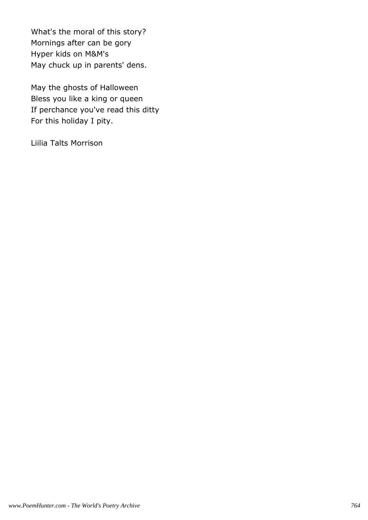What's the moral of this story? Mornings after can be gory Hyper kids on M&M's May chuck up in parents' dens.

May the ghosts of Halloween Bless you like a king or queen If perchance you've read this ditty For this holiday I pity.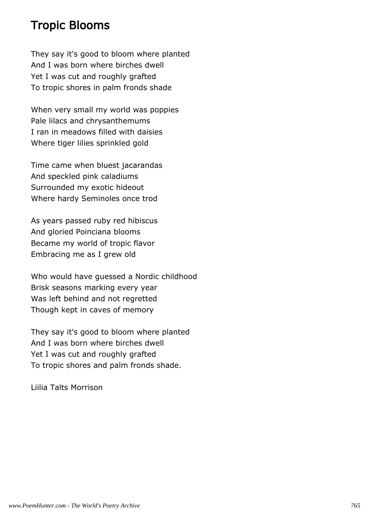### Tropic Blooms

They say it's good to bloom where planted And I was born where birches dwell Yet I was cut and roughly grafted To tropic shores in palm fronds shade

When very small my world was poppies Pale lilacs and chrysanthemums I ran in meadows filled with daisies Where tiger lilies sprinkled gold

Time came when bluest jacarandas And speckled pink caladiums Surrounded my exotic hideout Where hardy Seminoles once trod

As years passed ruby red hibiscus And gloried Poinciana blooms Became my world of tropic flavor Embracing me as I grew old

Who would have guessed a Nordic childhood Brisk seasons marking every year Was left behind and not regretted Though kept in caves of memory

They say it's good to bloom where planted And I was born where birches dwell Yet I was cut and roughly grafted To tropic shores and palm fronds shade.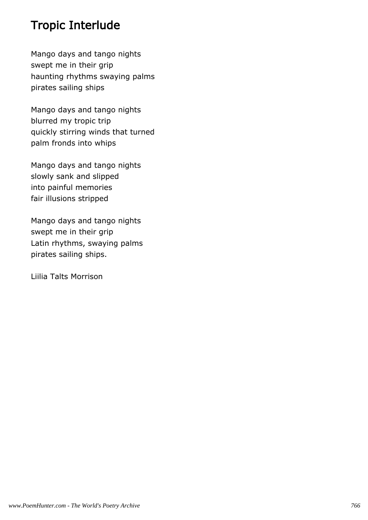# Tropic Interlude

Mango days and tango nights swept me in their grip haunting rhythms swaying palms pirates sailing ships

Mango days and tango nights blurred my tropic trip quickly stirring winds that turned palm fronds into whips

Mango days and tango nights slowly sank and slipped into painful memories fair illusions stripped

Mango days and tango nights swept me in their grip Latin rhythms, swaying palms pirates sailing ships.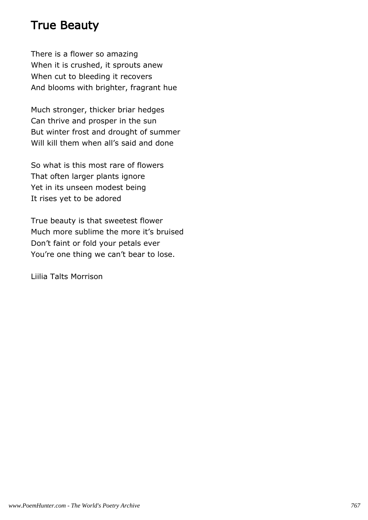## True Beauty

There is a flower so amazing When it is crushed, it sprouts anew When cut to bleeding it recovers And blooms with brighter, fragrant hue

Much stronger, thicker briar hedges Can thrive and prosper in the sun But winter frost and drought of summer Will kill them when all's said and done

So what is this most rare of flowers That often larger plants ignore Yet in its unseen modest being It rises yet to be adored

True beauty is that sweetest flower Much more sublime the more it's bruised Don't faint or fold your petals ever You're one thing we can't bear to lose.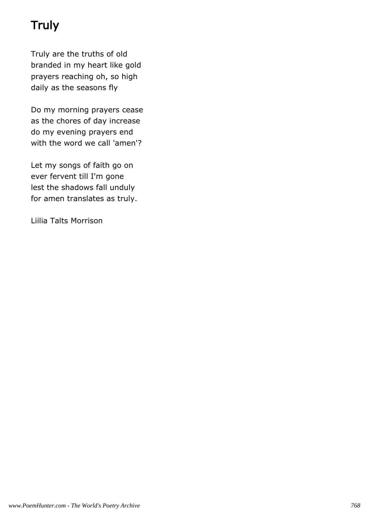# **Truly**

Truly are the truths of old branded in my heart like gold prayers reaching oh, so high daily as the seasons fly

Do my morning prayers cease as the chores of day increase do my evening prayers end with the word we call 'amen'?

Let my songs of faith go on ever fervent till I'm gone lest the shadows fall unduly for amen translates as truly.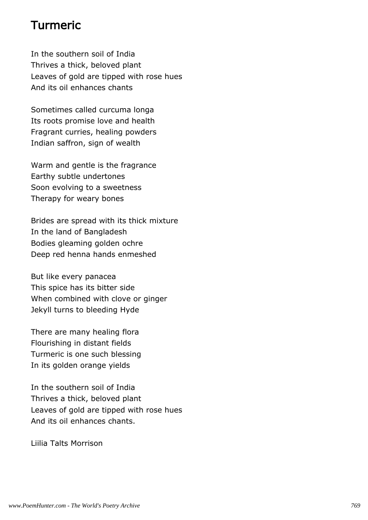## Turmeric

In the southern soil of India Thrives a thick, beloved plant Leaves of gold are tipped with rose hues And its oil enhances chants

Sometimes called curcuma longa Its roots promise love and health Fragrant curries, healing powders Indian saffron, sign of wealth

Warm and gentle is the fragrance Earthy subtle undertones Soon evolving to a sweetness Therapy for weary bones

Brides are spread with its thick mixture In the land of Bangladesh Bodies gleaming golden ochre Deep red henna hands enmeshed

But like every panacea This spice has its bitter side When combined with clove or ginger Jekyll turns to bleeding Hyde

There are many healing flora Flourishing in distant fields Turmeric is one such blessing In its golden orange yields

In the southern soil of India Thrives a thick, beloved plant Leaves of gold are tipped with rose hues And its oil enhances chants.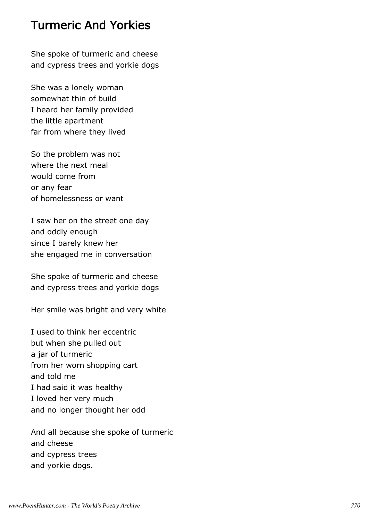### Turmeric And Yorkies

She spoke of turmeric and cheese and cypress trees and yorkie dogs

She was a lonely woman somewhat thin of build I heard her family provided the little apartment far from where they lived

So the problem was not where the next meal would come from or any fear of homelessness or want

I saw her on the street one day and oddly enough since I barely knew her she engaged me in conversation

She spoke of turmeric and cheese and cypress trees and yorkie dogs

Her smile was bright and very white

I used to think her eccentric but when she pulled out a jar of turmeric from her worn shopping cart and told me I had said it was healthy I loved her very much and no longer thought her odd

And all because she spoke of turmeric and cheese and cypress trees and yorkie dogs.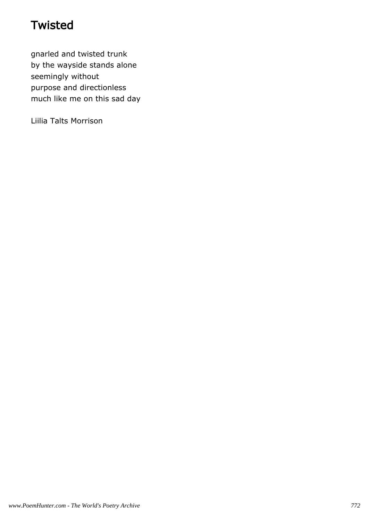# **Twisted**

gnarled and twisted trunk by the wayside stands alone seemingly without purpose and directionless much like me on this sad day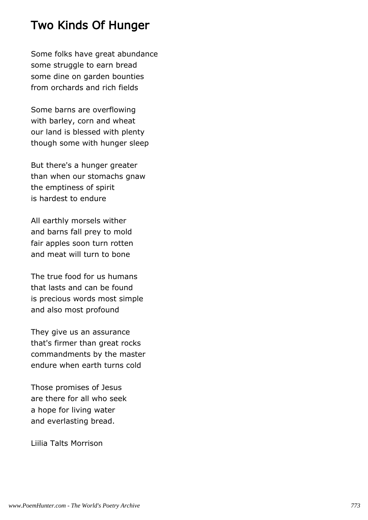## Two Kinds Of Hunger

Some folks have great abundance some struggle to earn bread some dine on garden bounties from orchards and rich fields

Some barns are overflowing with barley, corn and wheat our land is blessed with plenty though some with hunger sleep

But there's a hunger greater than when our stomachs gnaw the emptiness of spirit is hardest to endure

All earthly morsels wither and barns fall prey to mold fair apples soon turn rotten and meat will turn to bone

The true food for us humans that lasts and can be found is precious words most simple and also most profound

They give us an assurance that's firmer than great rocks commandments by the master endure when earth turns cold

Those promises of Jesus are there for all who seek a hope for living water and everlasting bread.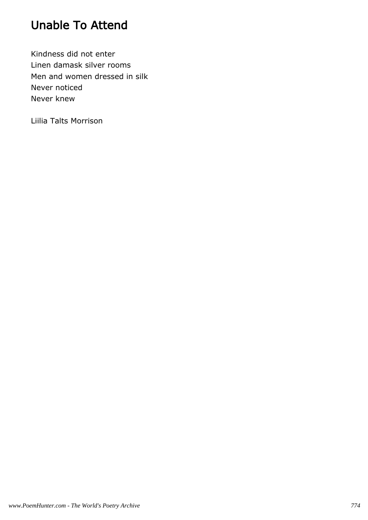# Unable To Attend

Kindness did not enter Linen damask silver rooms Men and women dressed in silk Never noticed Never knew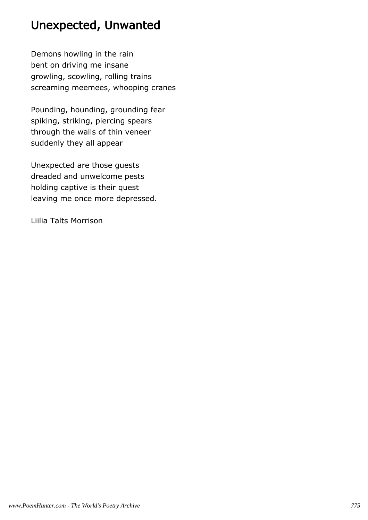# Unexpected, Unwanted

Demons howling in the rain bent on driving me insane growling, scowling, rolling trains screaming meemees, whooping cranes

Pounding, hounding, grounding fear spiking, striking, piercing spears through the walls of thin veneer suddenly they all appear

Unexpected are those guests dreaded and unwelcome pests holding captive is their quest leaving me once more depressed.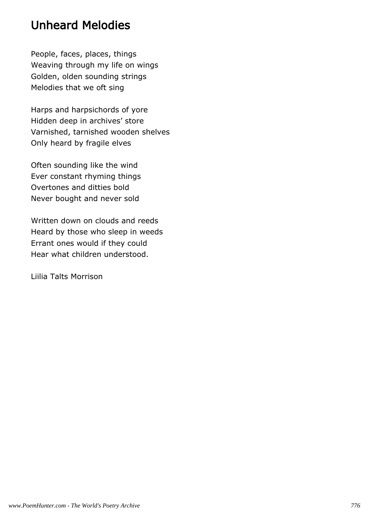## Unheard Melodies

People, faces, places, things Weaving through my life on wings Golden, olden sounding strings Melodies that we oft sing

Harps and harpsichords of yore Hidden deep in archives' store Varnished, tarnished wooden shelves Only heard by fragile elves

Often sounding like the wind Ever constant rhyming things Overtones and ditties bold Never bought and never sold

Written down on clouds and reeds Heard by those who sleep in weeds Errant ones would if they could Hear what children understood.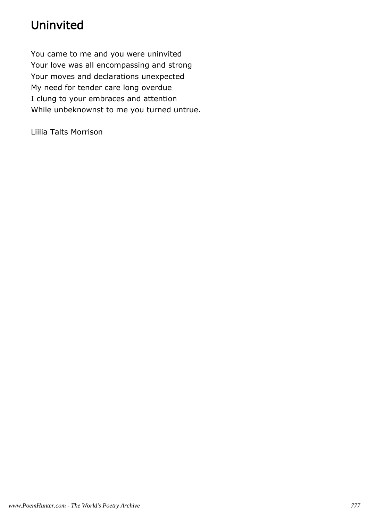# Uninvited

You came to me and you were uninvited Your love was all encompassing and strong Your moves and declarations unexpected My need for tender care long overdue I clung to your embraces and attention While unbeknownst to me you turned untrue.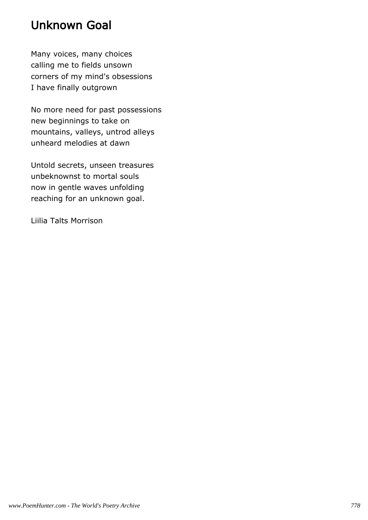# Unknown Goal

Many voices, many choices calling me to fields unsown corners of my mind's obsessions I have finally outgrown

No more need for past possessions new beginnings to take on mountains, valleys, untrod alleys unheard melodies at dawn

Untold secrets, unseen treasures unbeknownst to mortal souls now in gentle waves unfolding reaching for an unknown goal.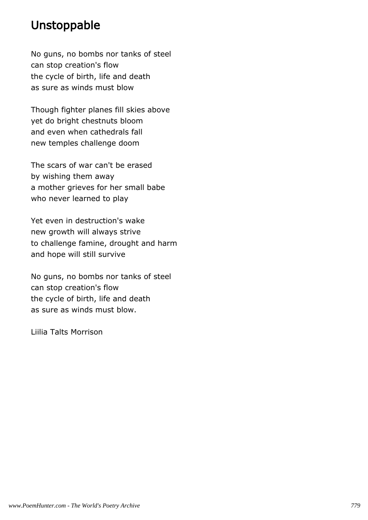# Unstoppable

No guns, no bombs nor tanks of steel can stop creation's flow the cycle of birth, life and death as sure as winds must blow

Though fighter planes fill skies above yet do bright chestnuts bloom and even when cathedrals fall new temples challenge doom

The scars of war can't be erased by wishing them away a mother grieves for her small babe who never learned to play

Yet even in destruction's wake new growth will always strive to challenge famine, drought and harm and hope will still survive

No guns, no bombs nor tanks of steel can stop creation's flow the cycle of birth, life and death as sure as winds must blow.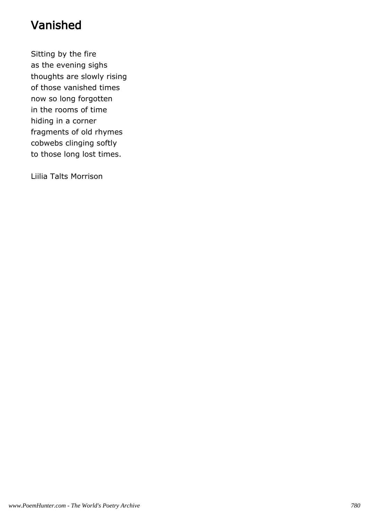# Vanished

Sitting by the fire as the evening sighs thoughts are slowly rising of those vanished times now so long forgotten in the rooms of time hiding in a corner fragments of old rhymes cobwebs clinging softly to those long lost times.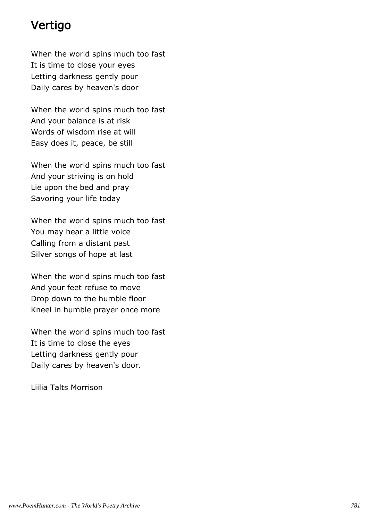## Vertigo

When the world spins much too fast It is time to close your eyes Letting darkness gently pour Daily cares by heaven's door

When the world spins much too fast And your balance is at risk Words of wisdom rise at will Easy does it, peace, be still

When the world spins much too fast And your striving is on hold Lie upon the bed and pray Savoring your life today

When the world spins much too fast You may hear a little voice Calling from a distant past Silver songs of hope at last

When the world spins much too fast And your feet refuse to move Drop down to the humble floor Kneel in humble prayer once more

When the world spins much too fast It is time to close the eyes Letting darkness gently pour Daily cares by heaven's door.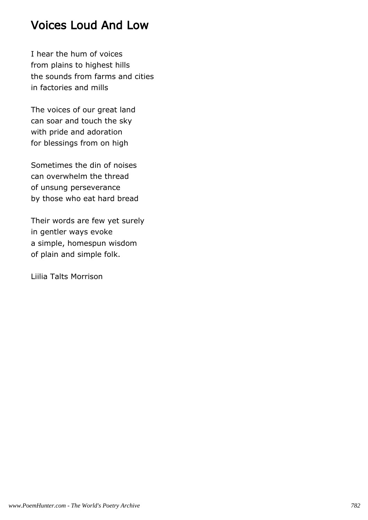### Voices Loud And Low

I hear the hum of voices from plains to highest hills the sounds from farms and cities in factories and mills

The voices of our great land can soar and touch the sky with pride and adoration for blessings from on high

Sometimes the din of noises can overwhelm the thread of unsung perseverance by those who eat hard bread

Their words are few yet surely in gentler ways evoke a simple, homespun wisdom of plain and simple folk.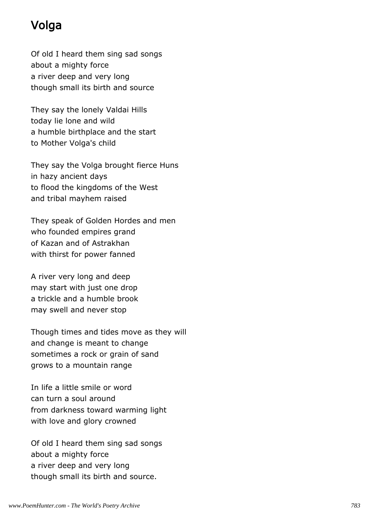# Volga

Of old I heard them sing sad songs about a mighty force a river deep and very long though small its birth and source

They say the lonely Valdai Hills today lie lone and wild a humble birthplace and the start to Mother Volga's child

They say the Volga brought fierce Huns in hazy ancient days to flood the kingdoms of the West and tribal mayhem raised

They speak of Golden Hordes and men who founded empires grand of Kazan and of Astrakhan with thirst for power fanned

A river very long and deep may start with just one drop a trickle and a humble brook may swell and never stop

Though times and tides move as they will and change is meant to change sometimes a rock or grain of sand grows to a mountain range

In life a little smile or word can turn a soul around from darkness toward warming light with love and glory crowned

Of old I heard them sing sad songs about a mighty force a river deep and very long though small its birth and source.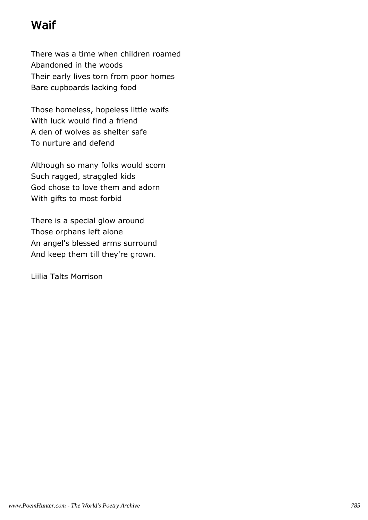# **Waif**

There was a time when children roamed Abandoned in the woods Their early lives torn from poor homes Bare cupboards lacking food

Those homeless, hopeless little waifs With luck would find a friend A den of wolves as shelter safe To nurture and defend

Although so many folks would scorn Such ragged, straggled kids God chose to love them and adorn With gifts to most forbid

There is a special glow around Those orphans left alone An angel's blessed arms surround And keep them till they're grown.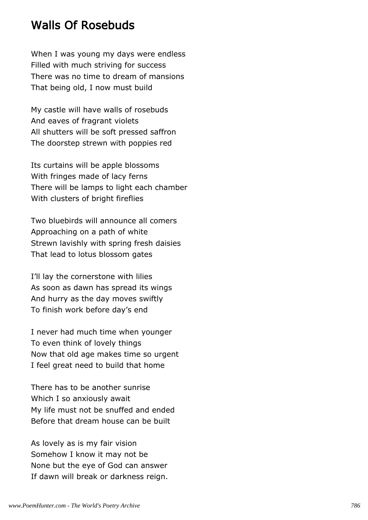#### Walls Of Rosebuds

When I was young my days were endless Filled with much striving for success There was no time to dream of mansions That being old, I now must build

My castle will have walls of rosebuds And eaves of fragrant violets All shutters will be soft pressed saffron The doorstep strewn with poppies red

Its curtains will be apple blossoms With fringes made of lacy ferns There will be lamps to light each chamber With clusters of bright fireflies

Two bluebirds will announce all comers Approaching on a path of white Strewn lavishly with spring fresh daisies That lead to lotus blossom gates

I'll lay the cornerstone with lilies As soon as dawn has spread its wings And hurry as the day moves swiftly To finish work before day's end

I never had much time when younger To even think of lovely things Now that old age makes time so urgent I feel great need to build that home

There has to be another sunrise Which I so anxiously await My life must not be snuffed and ended Before that dream house can be built

As lovely as is my fair vision Somehow I know it may not be None but the eye of God can answer If dawn will break or darkness reign.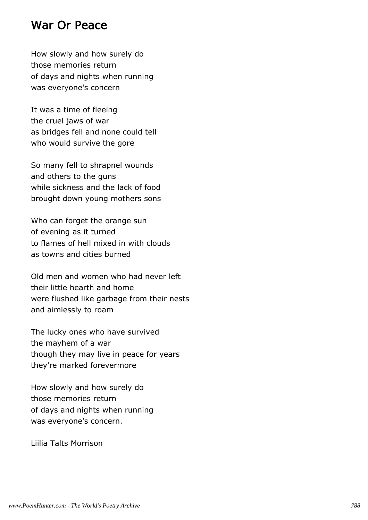#### War Or Peace

How slowly and how surely do those memories return of days and nights when running was everyone's concern

It was a time of fleeing the cruel jaws of war as bridges fell and none could tell who would survive the gore

So many fell to shrapnel wounds and others to the guns while sickness and the lack of food brought down young mothers sons

Who can forget the orange sun of evening as it turned to flames of hell mixed in with clouds as towns and cities burned

Old men and women who had never left their little hearth and home were flushed like garbage from their nests and aimlessly to roam

The lucky ones who have survived the mayhem of a war though they may live in peace for years they're marked forevermore

How slowly and how surely do those memories return of days and nights when running was everyone's concern.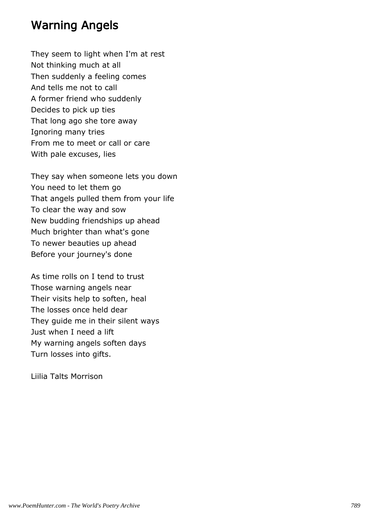#### Warning Angels

They seem to light when I'm at rest Not thinking much at all Then suddenly a feeling comes And tells me not to call A former friend who suddenly Decides to pick up ties That long ago she tore away Ignoring many tries From me to meet or call or care With pale excuses, lies

They say when someone lets you down You need to let them go That angels pulled them from your life To clear the way and sow New budding friendships up ahead Much brighter than what's gone To newer beauties up ahead Before your journey's done

As time rolls on I tend to trust Those warning angels near Their visits help to soften, heal The losses once held dear They guide me in their silent ways Just when I need a lift My warning angels soften days Turn losses into gifts.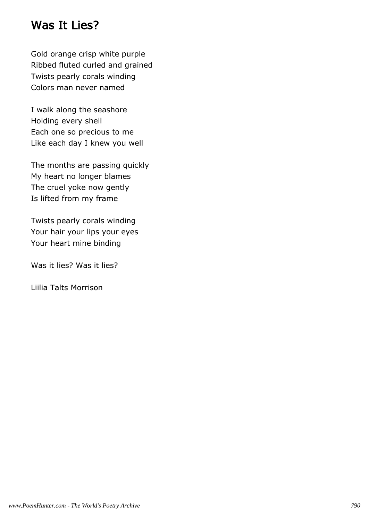## Was It Lies?

Gold orange crisp white purple Ribbed fluted curled and grained Twists pearly corals winding Colors man never named

I walk along the seashore Holding every shell Each one so precious to me Like each day I knew you well

The months are passing quickly My heart no longer blames The cruel yoke now gently Is lifted from my frame

Twists pearly corals winding Your hair your lips your eyes Your heart mine binding

Was it lies? Was it lies?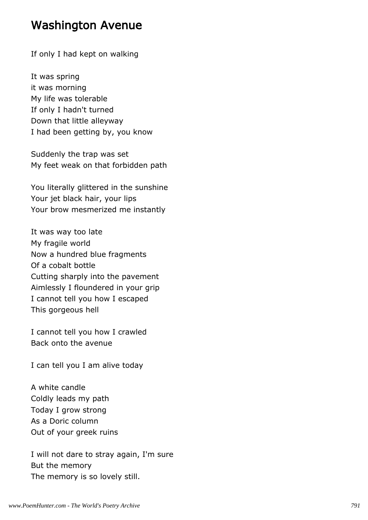#### Washington Avenue

If only I had kept on walking

It was spring it was morning My life was tolerable If only I hadn't turned Down that little alleyway I had been getting by, you know

Suddenly the trap was set My feet weak on that forbidden path

You literally glittered in the sunshine Your jet black hair, your lips Your brow mesmerized me instantly

It was way too late My fragile world Now a hundred blue fragments Of a cobalt bottle Cutting sharply into the pavement Aimlessly I floundered in your grip I cannot tell you how I escaped This gorgeous hell

I cannot tell you how I crawled Back onto the avenue

I can tell you I am alive today

A white candle Coldly leads my path Today I grow strong As a Doric column Out of your greek ruins

I will not dare to stray again, I'm sure But the memory The memory is so lovely still.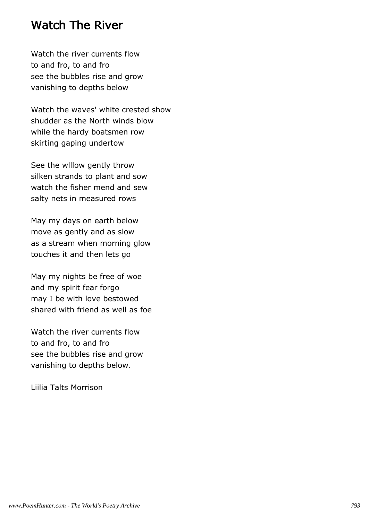### Watch The River

Watch the river currents flow to and fro, to and fro see the bubbles rise and grow vanishing to depths below

Watch the waves' white crested show shudder as the North winds blow while the hardy boatsmen row skirting gaping undertow

See the wlllow gently throw silken strands to plant and sow watch the fisher mend and sew salty nets in measured rows

May my days on earth below move as gently and as slow as a stream when morning glow touches it and then lets go

May my nights be free of woe and my spirit fear forgo may I be with love bestowed shared with friend as well as foe

Watch the river currents flow to and fro, to and fro see the bubbles rise and grow vanishing to depths below.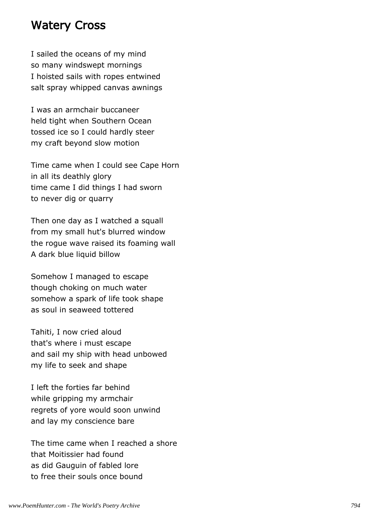#### Watery Cross

I sailed the oceans of my mind so many windswept mornings I hoisted sails with ropes entwined salt spray whipped canvas awnings

I was an armchair buccaneer held tight when Southern Ocean tossed ice so I could hardly steer my craft beyond slow motion

Time came when I could see Cape Horn in all its deathly glory time came I did things I had sworn to never dig or quarry

Then one day as I watched a squall from my small hut's blurred window the rogue wave raised its foaming wall A dark blue liquid billow

Somehow I managed to escape though choking on much water somehow a spark of life took shape as soul in seaweed tottered

Tahiti, I now cried aloud that's where i must escape and sail my ship with head unbowed my life to seek and shape

I left the forties far behind while gripping my armchair regrets of yore would soon unwind and lay my conscience bare

The time came when I reached a shore that Moitissier had found as did Gauguin of fabled lore to free their souls once bound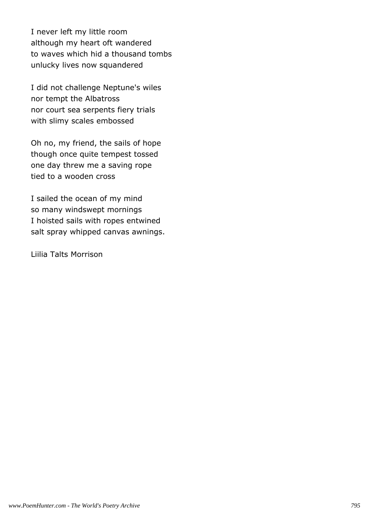I never left my little room although my heart oft wandered to waves which hid a thousand tombs unlucky lives now squandered

I did not challenge Neptune's wiles nor tempt the Albatross nor court sea serpents fiery trials with slimy scales embossed

Oh no, my friend, the sails of hope though once quite tempest tossed one day threw me a saving rope tied to a wooden cross

I sailed the ocean of my mind so many windswept mornings I hoisted sails with ropes entwined salt spray whipped canvas awnings.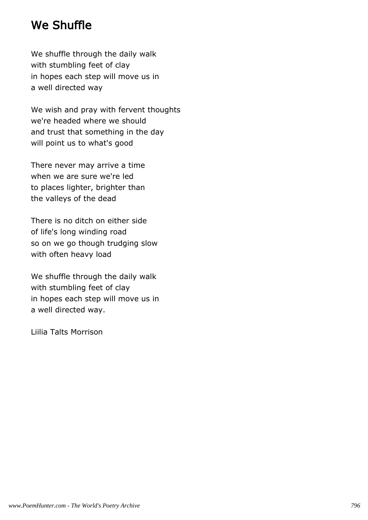# We Shuffle

We shuffle through the daily walk with stumbling feet of clay in hopes each step will move us in a well directed way

We wish and pray with fervent thoughts we're headed where we should and trust that something in the day will point us to what's good

There never may arrive a time when we are sure we're led to places lighter, brighter than the valleys of the dead

There is no ditch on either side of life's long winding road so on we go though trudging slow with often heavy load

We shuffle through the daily walk with stumbling feet of clay in hopes each step will move us in a well directed way.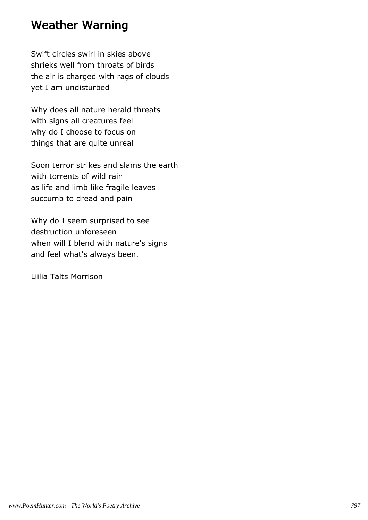## Weather Warning

Swift circles swirl in skies above shrieks well from throats of birds the air is charged with rags of clouds yet I am undisturbed

Why does all nature herald threats with signs all creatures feel why do I choose to focus on things that are quite unreal

Soon terror strikes and slams the earth with torrents of wild rain as life and limb like fragile leaves succumb to dread and pain

Why do I seem surprised to see destruction unforeseen when will I blend with nature's signs and feel what's always been.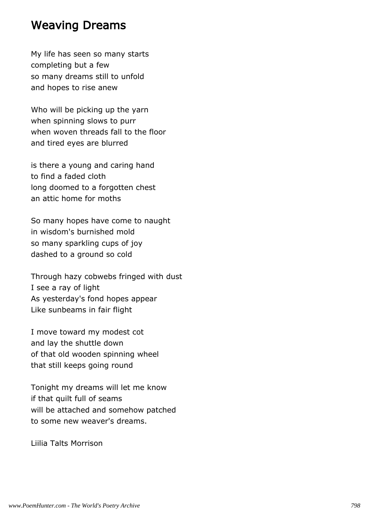#### Weaving Dreams

My life has seen so many starts completing but a few so many dreams still to unfold and hopes to rise anew

Who will be picking up the yarn when spinning slows to purr when woven threads fall to the floor and tired eyes are blurred

is there a young and caring hand to find a faded cloth long doomed to a forgotten chest an attic home for moths

So many hopes have come to naught in wisdom's burnished mold so many sparkling cups of joy dashed to a ground so cold

Through hazy cobwebs fringed with dust I see a ray of light As yesterday's fond hopes appear Like sunbeams in fair flight

I move toward my modest cot and lay the shuttle down of that old wooden spinning wheel that still keeps going round

Tonight my dreams will let me know if that quilt full of seams will be attached and somehow patched to some new weaver's dreams.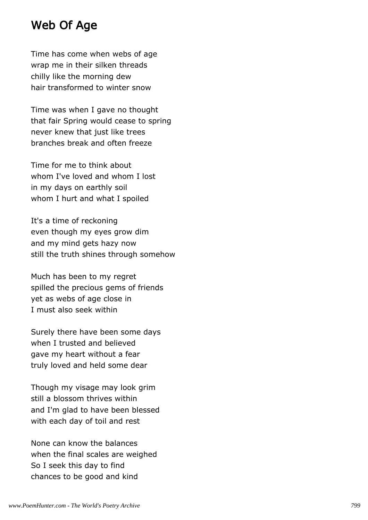## Web Of Age

Time has come when webs of age wrap me in their silken threads chilly like the morning dew hair transformed to winter snow

Time was when I gave no thought that fair Spring would cease to spring never knew that just like trees branches break and often freeze

Time for me to think about whom I've loved and whom I lost in my days on earthly soil whom I hurt and what I spoiled

It's a time of reckoning even though my eyes grow dim and my mind gets hazy now still the truth shines through somehow

Much has been to my regret spilled the precious gems of friends yet as webs of age close in I must also seek within

Surely there have been some days when I trusted and believed gave my heart without a fear truly loved and held some dear

Though my visage may look grim still a blossom thrives within and I'm glad to have been blessed with each day of toil and rest

None can know the balances when the final scales are weighed So I seek this day to find chances to be good and kind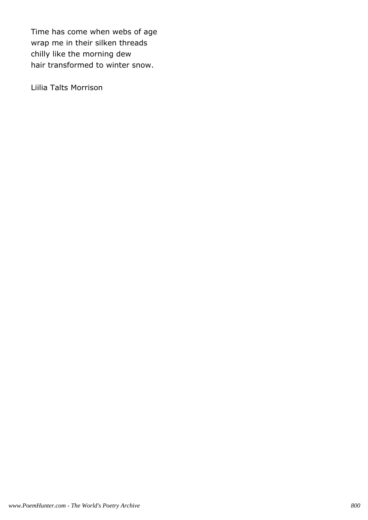Time has come when webs of age wrap me in their silken threads chilly like the morning dew hair transformed to winter snow.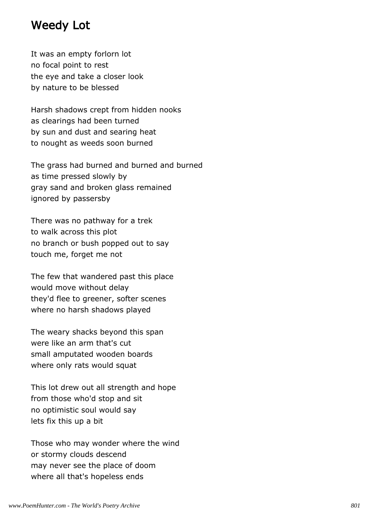### Weedy Lot

It was an empty forlorn lot no focal point to rest the eye and take a closer look by nature to be blessed

Harsh shadows crept from hidden nooks as clearings had been turned by sun and dust and searing heat to nought as weeds soon burned

The grass had burned and burned and burned as time pressed slowly by gray sand and broken glass remained ignored by passersby

There was no pathway for a trek to walk across this plot no branch or bush popped out to say touch me, forget me not

The few that wandered past this place would move without delay they'd flee to greener, softer scenes where no harsh shadows played

The weary shacks beyond this span were like an arm that's cut small amputated wooden boards where only rats would squat

This lot drew out all strength and hope from those who'd stop and sit no optimistic soul would say lets fix this up a bit

Those who may wonder where the wind or stormy clouds descend may never see the place of doom where all that's hopeless ends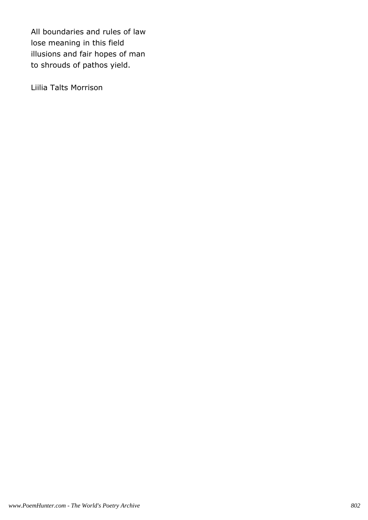All boundaries and rules of law lose meaning in this field illusions and fair hopes of man to shrouds of pathos yield.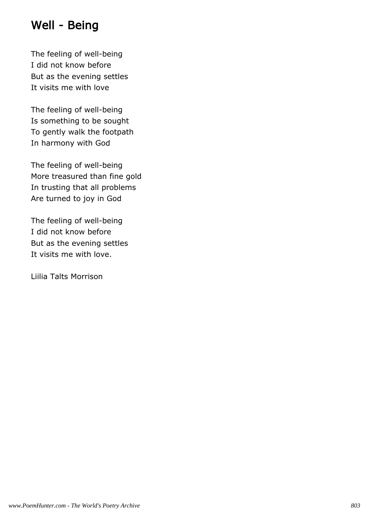## Well - Being

The feeling of well-being I did not know before But as the evening settles It visits me with love

The feeling of well-being Is something to be sought To gently walk the footpath In harmony with God

The feeling of well-being More treasured than fine gold In trusting that all problems Are turned to joy in God

The feeling of well-being I did not know before But as the evening settles It visits me with love.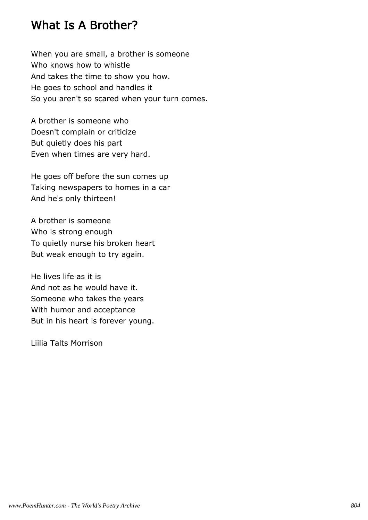## What Is A Brother?

When you are small, a brother is someone Who knows how to whistle And takes the time to show you how. He goes to school and handles it So you aren't so scared when your turn comes.

A brother is someone who Doesn't complain or criticize But quietly does his part Even when times are very hard.

He goes off before the sun comes up Taking newspapers to homes in a car And he's only thirteen!

A brother is someone Who is strong enough To quietly nurse his broken heart But weak enough to try again.

He lives life as it is And not as he would have it. Someone who takes the years With humor and acceptance But in his heart is forever young.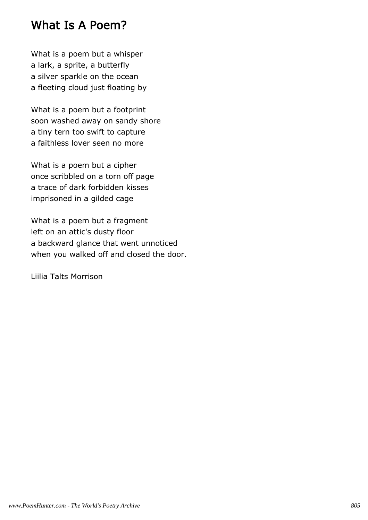### What Is A Poem?

What is a poem but a whisper a lark, a sprite, a butterfly a silver sparkle on the ocean a fleeting cloud just floating by

What is a poem but a footprint soon washed away on sandy shore a tiny tern too swift to capture a faithless lover seen no more

What is a poem but a cipher once scribbled on a torn off page a trace of dark forbidden kisses imprisoned in a gilded cage

What is a poem but a fragment left on an attic's dusty floor a backward glance that went unnoticed when you walked off and closed the door.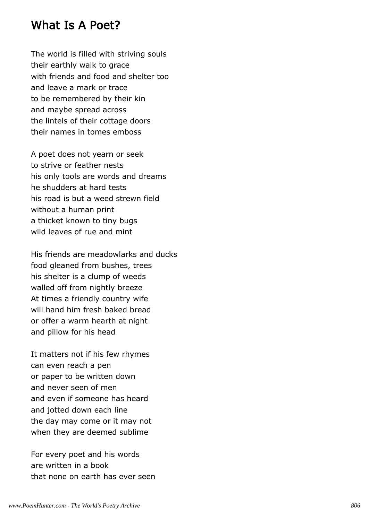#### What Is A Poet?

The world is filled with striving souls their earthly walk to grace with friends and food and shelter too and leave a mark or trace to be remembered by their kin and maybe spread across the lintels of their cottage doors their names in tomes emboss

A poet does not yearn or seek to strive or feather nests his only tools are words and dreams he shudders at hard tests his road is but a weed strewn field without a human print a thicket known to tiny bugs wild leaves of rue and mint

His friends are meadowlarks and ducks food gleaned from bushes, trees his shelter is a clump of weeds walled off from nightly breeze At times a friendly country wife will hand him fresh baked bread or offer a warm hearth at night and pillow for his head

It matters not if his few rhymes can even reach a pen or paper to be written down and never seen of men and even if someone has heard and jotted down each line the day may come or it may not when they are deemed sublime

For every poet and his words are written in a book that none on earth has ever seen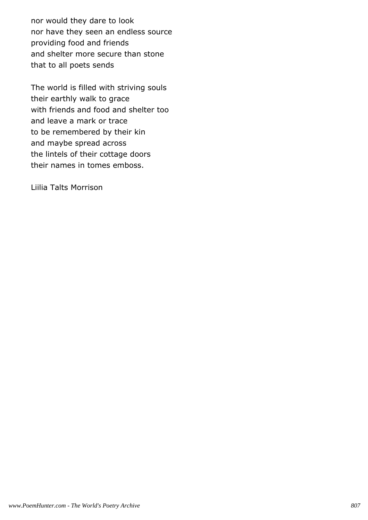nor would they dare to look nor have they seen an endless source providing food and friends and shelter more secure than stone that to all poets sends

The world is filled with striving souls their earthly walk to grace with friends and food and shelter too and leave a mark or trace to be remembered by their kin and maybe spread across the lintels of their cottage doors their names in tomes emboss.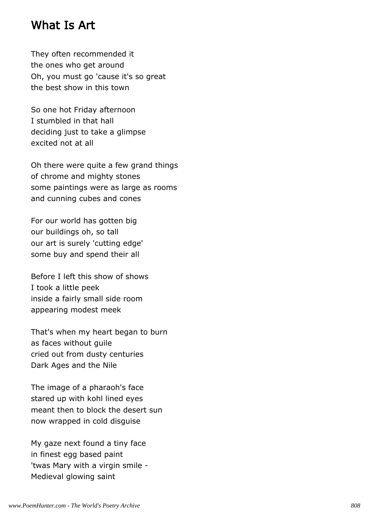#### What Is Art

They often recommended it the ones who get around Oh, you must go 'cause it's so great the best show in this town

So one hot Friday afternoon I stumbled in that hall deciding just to take a glimpse excited not at all

Oh there were quite a few grand things of chrome and mighty stones some paintings were as large as rooms and cunning cubes and cones

For our world has gotten big our buildings oh, so tall our art is surely 'cutting edge' some buy and spend their all

Before I left this show of shows I took a little peek inside a fairly small side room appearing modest meek

That's when my heart began to burn as faces without guile cried out from dusty centuries Dark Ages and the Nile

The image of a pharaoh's face stared up with kohl lined eyes meant then to block the desert sun now wrapped in cold disguise

My gaze next found a tiny face in finest egg based paint 'twas Mary with a virgin smile - Medieval glowing saint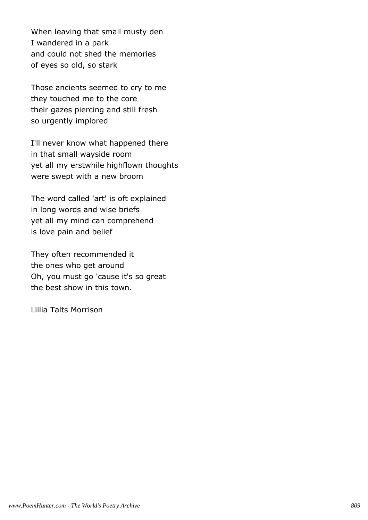When leaving that small musty den I wandered in a park and could not shed the memories of eyes so old, so stark

Those ancients seemed to cry to me they touched me to the core their gazes piercing and still fresh so urgently implored

I'll never know what happened there in that small wayside room yet all my erstwhile highflown thoughts were swept with a new broom

The word called 'art' is oft explained in long words and wise briefs yet all my mind can comprehend is love pain and belief

They often recommended it the ones who get around Oh, you must go 'cause it's so great the best show in this town.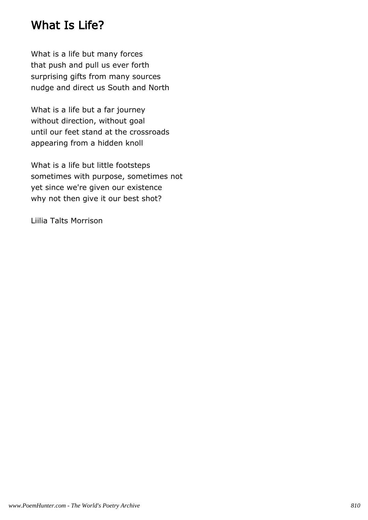## What Is Life?

What is a life but many forces that push and pull us ever forth surprising gifts from many sources nudge and direct us South and North

What is a life but a far journey without direction, without goal until our feet stand at the crossroads appearing from a hidden knoll

What is a life but little footsteps sometimes with purpose, sometimes not yet since we're given our existence why not then give it our best shot?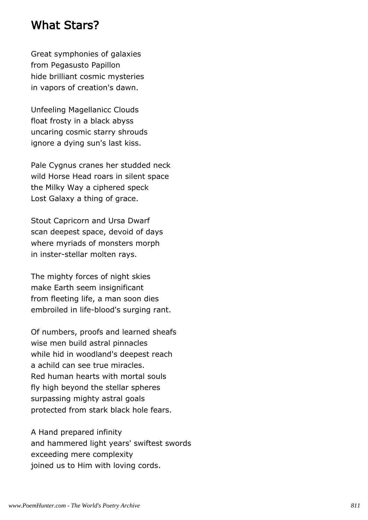#### What Stars?

Great symphonies of galaxies from Pegasusto Papillon hide brilliant cosmic mysteries in vapors of creation's dawn.

Unfeeling Magellanicc Clouds float frosty in a black abyss uncaring cosmic starry shrouds ignore a dying sun's last kiss.

Pale Cygnus cranes her studded neck wild Horse Head roars in silent space the Milky Way a ciphered speck Lost Galaxy a thing of grace.

Stout Capricorn and Ursa Dwarf scan deepest space, devoid of days where myriads of monsters morph in inster-stellar molten rays.

The mighty forces of night skies make Earth seem insignificant from fleeting life, a man soon dies embroiled in life-blood's surging rant.

Of numbers, proofs and learned sheafs wise men build astral pinnacles while hid in woodland's deepest reach a achild can see true miracles. Red human hearts with mortal souls fly high beyond the stellar spheres surpassing mighty astral goals protected from stark black hole fears.

A Hand prepared infinity and hammered light years' swiftest swords exceeding mere complexity joined us to Him with loving cords.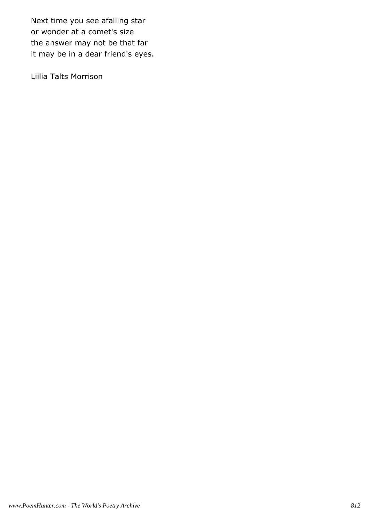Next time you see afalling star or wonder at a comet's size the answer may not be that far it may be in a dear friend's eyes.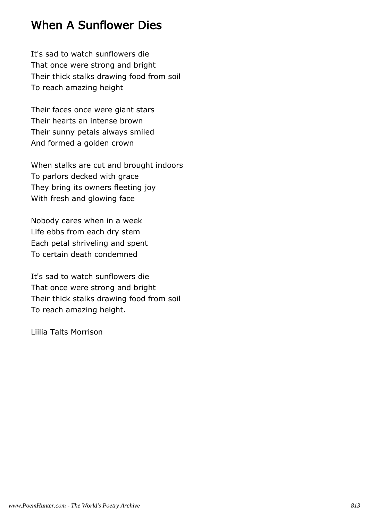## When A Sunflower Dies

It's sad to watch sunflowers die That once were strong and bright Their thick stalks drawing food from soil To reach amazing height

Their faces once were giant stars Their hearts an intense brown Their sunny petals always smiled And formed a golden crown

When stalks are cut and brought indoors To parlors decked with grace They bring its owners fleeting joy With fresh and glowing face

Nobody cares when in a week Life ebbs from each dry stem Each petal shriveling and spent To certain death condemned

It's sad to watch sunflowers die That once were strong and bright Their thick stalks drawing food from soil To reach amazing height.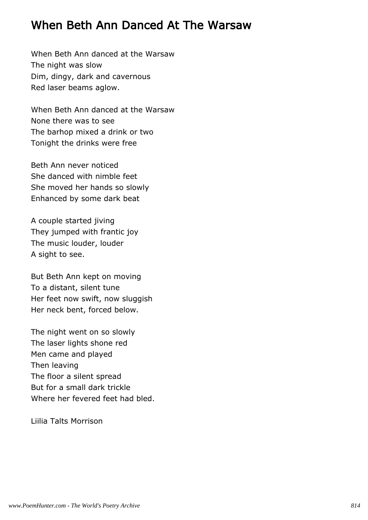## When Beth Ann Danced At The Warsaw

When Beth Ann danced at the Warsaw The night was slow Dim, dingy, dark and cavernous Red laser beams aglow.

When Beth Ann danced at the Warsaw None there was to see The barhop mixed a drink or two Tonight the drinks were free

Beth Ann never noticed She danced with nimble feet She moved her hands so slowly Enhanced by some dark beat

A couple started jiving They jumped with frantic joy The music louder, louder A sight to see.

But Beth Ann kept on moving To a distant, silent tune Her feet now swift, now sluggish Her neck bent, forced below.

The night went on so slowly The laser lights shone red Men came and played Then leaving The floor a silent spread But for a small dark trickle Where her fevered feet had bled.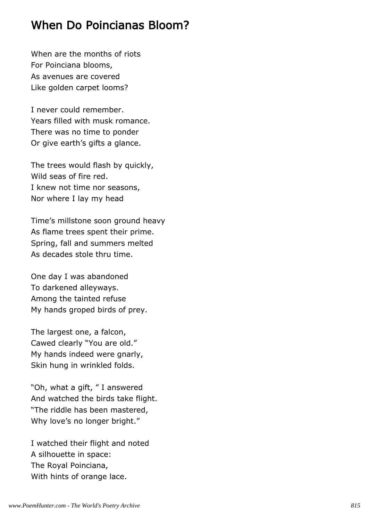## When Do Poincianas Bloom?

When are the months of riots For Poinciana blooms, As avenues are covered Like golden carpet looms?

I never could remember. Years filled with musk romance. There was no time to ponder Or give earth's gifts a glance.

The trees would flash by quickly, Wild seas of fire red. I knew not time nor seasons, Nor where I lay my head

Time's millstone soon ground heavy As flame trees spent their prime. Spring, fall and summers melted As decades stole thru time.

One day I was abandoned To darkened alleyways. Among the tainted refuse My hands groped birds of prey.

The largest one, a falcon, Cawed clearly "You are old." My hands indeed were gnarly, Skin hung in wrinkled folds.

"Oh, what a gift, " I answered And watched the birds take flight. "The riddle has been mastered, Why love's no longer bright."

I watched their flight and noted A silhouette in space: The Royal Poinciana, With hints of orange lace.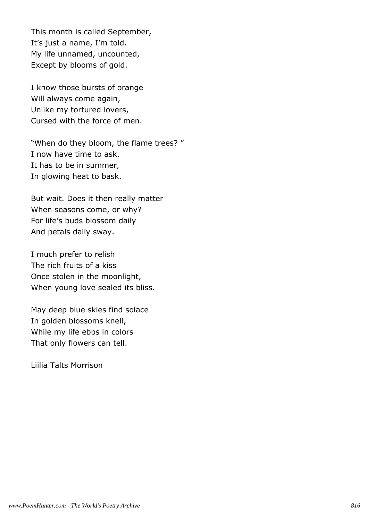This month is called September, It's just a name, I'm told. My life unnamed, uncounted, Except by blooms of gold.

I know those bursts of orange Will always come again, Unlike my tortured lovers, Cursed with the force of men.

"When do they bloom, the flame trees? " I now have time to ask. It has to be in summer, In glowing heat to bask.

But wait. Does it then really matter When seasons come, or why? For life's buds blossom daily And petals daily sway.

I much prefer to relish The rich fruits of a kiss Once stolen in the moonlight, When young love sealed its bliss.

May deep blue skies find solace In golden blossoms knell, While my life ebbs in colors That only flowers can tell.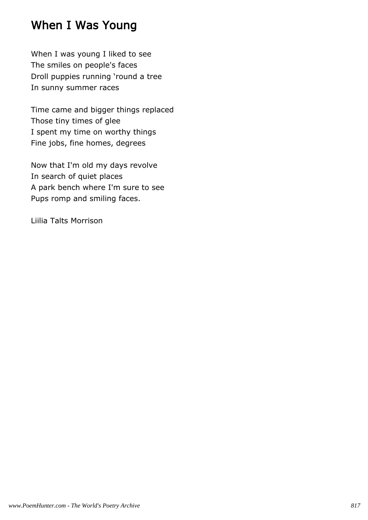# When I Was Young

When I was young I liked to see The smiles on people's faces Droll puppies running 'round a tree In sunny summer races

Time came and bigger things replaced Those tiny times of glee I spent my time on worthy things Fine jobs, fine homes, degrees

Now that I'm old my days revolve In search of quiet places A park bench where I'm sure to see Pups romp and smiling faces.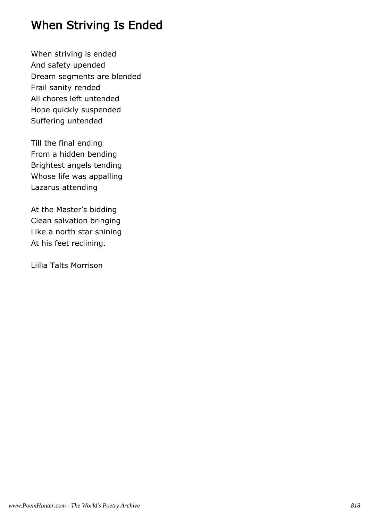# When Striving Is Ended

When striving is ended And safety upended Dream segments are blended Frail sanity rended All chores left untended Hope quickly suspended Suffering untended

Till the final ending From a hidden bending Brightest angels tending Whose life was appalling Lazarus attending

At the Master's bidding Clean salvation bringing Like a north star shining At his feet reclining.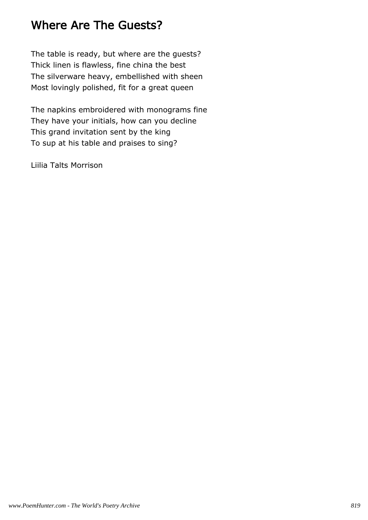# Where Are The Guests?

The table is ready, but where are the guests? Thick linen is flawless, fine china the best The silverware heavy, embellished with sheen Most lovingly polished, fit for a great queen

The napkins embroidered with monograms fine They have your initials, how can you decline This grand invitation sent by the king To sup at his table and praises to sing?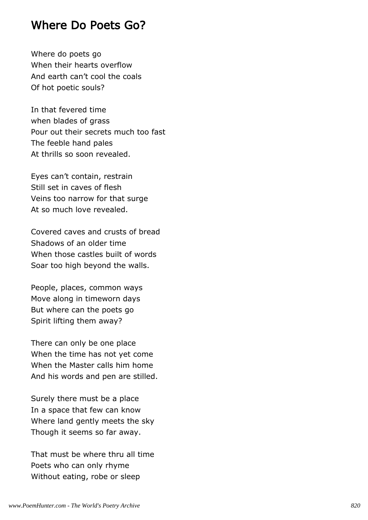#### Where Do Poets Go?

Where do poets go When their hearts overflow And earth can't cool the coals Of hot poetic souls?

In that fevered time when blades of grass Pour out their secrets much too fast The feeble hand pales At thrills so soon revealed.

Eyes can't contain, restrain Still set in caves of flesh Veins too narrow for that surge At so much love revealed.

Covered caves and crusts of bread Shadows of an older time When those castles built of words Soar too high beyond the walls.

People, places, common ways Move along in timeworn days But where can the poets go Spirit lifting them away?

There can only be one place When the time has not yet come When the Master calls him home And his words and pen are stilled.

Surely there must be a place In a space that few can know Where land gently meets the sky Though it seems so far away.

That must be where thru all time Poets who can only rhyme Without eating, robe or sleep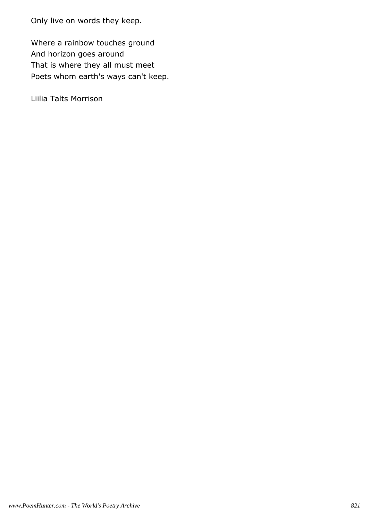Only live on words they keep.

Where a rainbow touches ground And horizon goes around That is where they all must meet Poets whom earth's ways can't keep.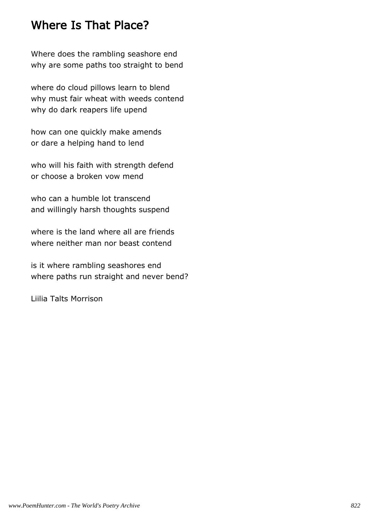## Where Is That Place?

Where does the rambling seashore end why are some paths too straight to bend

where do cloud pillows learn to blend why must fair wheat with weeds contend why do dark reapers life upend

how can one quickly make amends or dare a helping hand to lend

who will his faith with strength defend or choose a broken vow mend

who can a humble lot transcend and willingly harsh thoughts suspend

where is the land where all are friends where neither man nor beast contend

is it where rambling seashores end where paths run straight and never bend?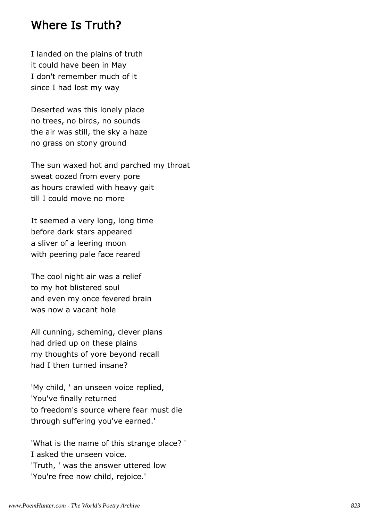#### Where Is Truth?

I landed on the plains of truth it could have been in May I don't remember much of it since I had lost my way

Deserted was this lonely place no trees, no birds, no sounds the air was still, the sky a haze no grass on stony ground

The sun waxed hot and parched my throat sweat oozed from every pore as hours crawled with heavy gait till I could move no more

It seemed a very long, long time before dark stars appeared a sliver of a leering moon with peering pale face reared

The cool night air was a relief to my hot blistered soul and even my once fevered brain was now a vacant hole

All cunning, scheming, clever plans had dried up on these plains my thoughts of yore beyond recall had I then turned insane?

'My child, ' an unseen voice replied, 'You've finally returned to freedom's source where fear must die through suffering you've earned.'

'What is the name of this strange place? ' I asked the unseen voice. 'Truth, ' was the answer uttered low 'You're free now child, rejoice.'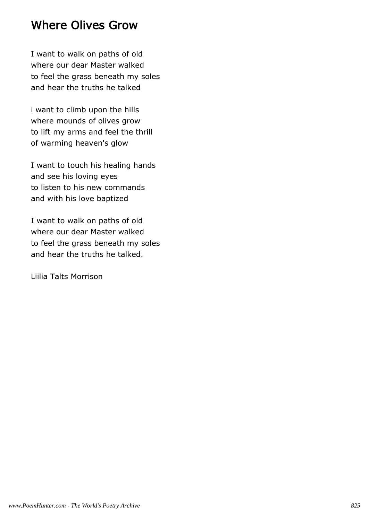### Where Olives Grow

I want to walk on paths of old where our dear Master walked to feel the grass beneath my soles and hear the truths he talked

i want to climb upon the hills where mounds of olives grow to lift my arms and feel the thrill of warming heaven's glow

I want to touch his healing hands and see his loving eyes to listen to his new commands and with his love baptized

I want to walk on paths of old where our dear Master walked to feel the grass beneath my soles and hear the truths he talked.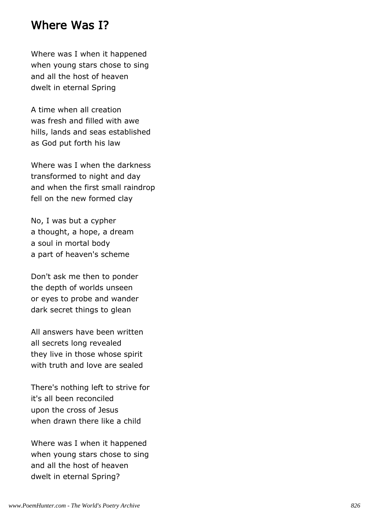#### Where Was I?

Where was I when it happened when young stars chose to sing and all the host of heaven dwelt in eternal Spring

A time when all creation was fresh and filled with awe hills, lands and seas established as God put forth his law

Where was I when the darkness transformed to night and day and when the first small raindrop fell on the new formed clay

No, I was but a cypher a thought, a hope, a dream a soul in mortal body a part of heaven's scheme

Don't ask me then to ponder the depth of worlds unseen or eyes to probe and wander dark secret things to glean

All answers have been written all secrets long revealed they live in those whose spirit with truth and love are sealed

There's nothing left to strive for it's all been reconciled upon the cross of Jesus when drawn there like a child

Where was I when it happened when young stars chose to sing and all the host of heaven dwelt in eternal Spring?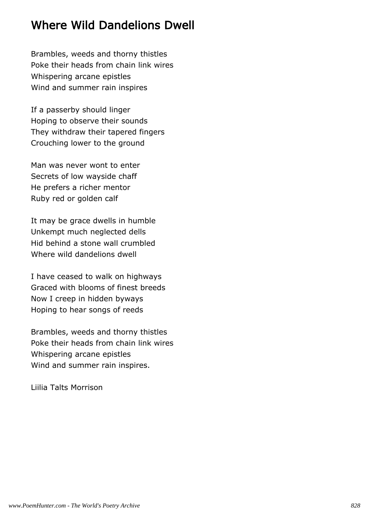# Where Wild Dandelions Dwell

Brambles, weeds and thorny thistles Poke their heads from chain link wires Whispering arcane epistles Wind and summer rain inspires

If a passerby should linger Hoping to observe their sounds They withdraw their tapered fingers Crouching lower to the ground

Man was never wont to enter Secrets of low wayside chaff He prefers a richer mentor Ruby red or golden calf

It may be grace dwells in humble Unkempt much neglected dells Hid behind a stone wall crumbled Where wild dandelions dwell

I have ceased to walk on highways Graced with blooms of finest breeds Now I creep in hidden byways Hoping to hear songs of reeds

Brambles, weeds and thorny thistles Poke their heads from chain link wires Whispering arcane epistles Wind and summer rain inspires.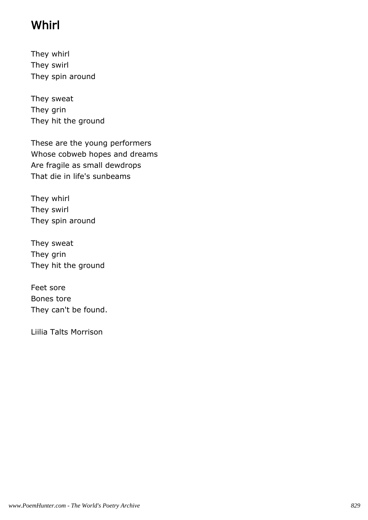# **Whirl**

They whirl They swirl They spin around

They sweat They grin They hit the ground

These are the young performers Whose cobweb hopes and dreams Are fragile as small dewdrops That die in life's sunbeams

They whirl They swirl They spin around

They sweat They grin They hit the ground

Feet sore Bones tore They can't be found.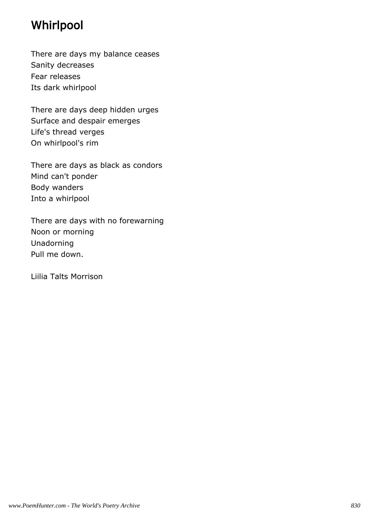# **Whirlpool**

There are days my balance ceases Sanity decreases Fear releases Its dark whirlpool

There are days deep hidden urges Surface and despair emerges Life's thread verges On whirlpool's rim

There are days as black as condors Mind can't ponder Body wanders Into a whirlpool

There are days with no forewarning Noon or morning Unadorning Pull me down.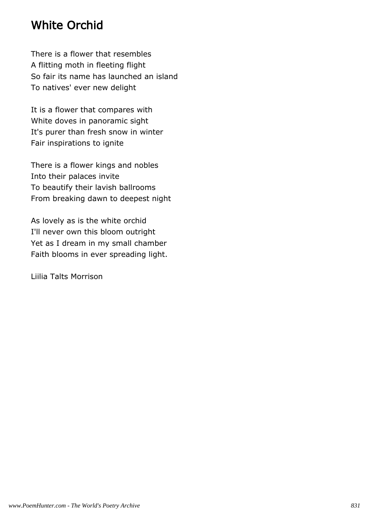## White Orchid

There is a flower that resembles A flitting moth in fleeting flight So fair its name has launched an island To natives' ever new delight

It is a flower that compares with White doves in panoramic sight It's purer than fresh snow in winter Fair inspirations to ignite

There is a flower kings and nobles Into their palaces invite To beautify their lavish ballrooms From breaking dawn to deepest night

As lovely as is the white orchid I'll never own this bloom outright Yet as I dream in my small chamber Faith blooms in ever spreading light.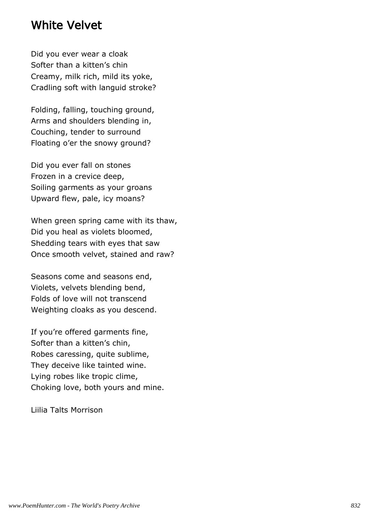#### White Velvet

Did you ever wear a cloak Softer than a kitten's chin Creamy, milk rich, mild its yoke, Cradling soft with languid stroke?

Folding, falling, touching ground, Arms and shoulders blending in, Couching, tender to surround Floating o'er the snowy ground?

Did you ever fall on stones Frozen in a crevice deep, Soiling garments as your groans Upward flew, pale, icy moans?

When green spring came with its thaw, Did you heal as violets bloomed, Shedding tears with eyes that saw Once smooth velvet, stained and raw?

Seasons come and seasons end, Violets, velvets blending bend, Folds of love will not transcend Weighting cloaks as you descend.

If you're offered garments fine, Softer than a kitten's chin, Robes caressing, quite sublime, They deceive like tainted wine. Lying robes like tropic clime, Choking love, both yours and mine.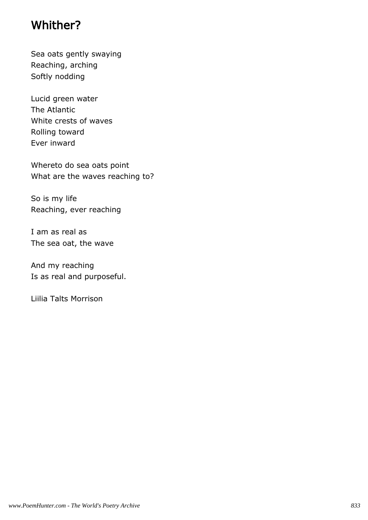### Whither?

Sea oats gently swaying Reaching, arching Softly nodding

Lucid green water The Atlantic White crests of waves Rolling toward Ever inward

Whereto do sea oats point What are the waves reaching to?

So is my life Reaching, ever reaching

I am as real as The sea oat, the wave

And my reaching Is as real and purposeful.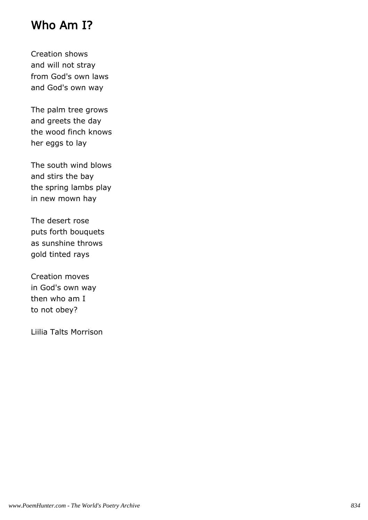## Who Am I?

Creation shows and will not stray from God's own laws and God's own way

The palm tree grows and greets the day the wood finch knows her eggs to lay

The south wind blows and stirs the bay the spring lambs play in new mown hay

The desert rose puts forth bouquets as sunshine throws gold tinted rays

Creation moves in God's own way then who am I to not obey?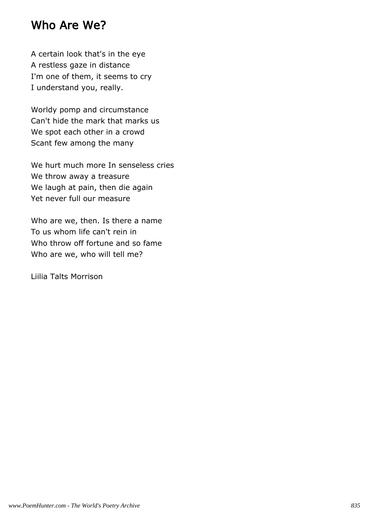#### Who Are We?

A certain look that's in the eye A restless gaze in distance I'm one of them, it seems to cry I understand you, really.

Worldy pomp and circumstance Can't hide the mark that marks us We spot each other in a crowd Scant few among the many

We hurt much more In senseless cries We throw away a treasure We laugh at pain, then die again Yet never full our measure

Who are we, then. Is there a name To us whom life can't rein in Who throw off fortune and so fame Who are we, who will tell me?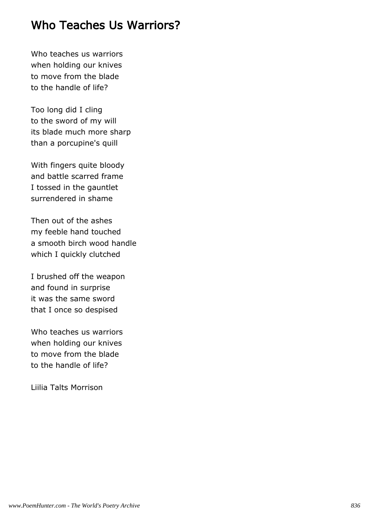## Who Teaches Us Warriors?

Who teaches us warriors when holding our knives to move from the blade to the handle of life?

Too long did I cling to the sword of my will its blade much more sharp than a porcupine's quill

With fingers quite bloody and battle scarred frame I tossed in the gauntlet surrendered in shame

Then out of the ashes my feeble hand touched a smooth birch wood handle which I quickly clutched

I brushed off the weapon and found in surprise it was the same sword that I once so despised

Who teaches us warriors when holding our knives to move from the blade to the handle of life?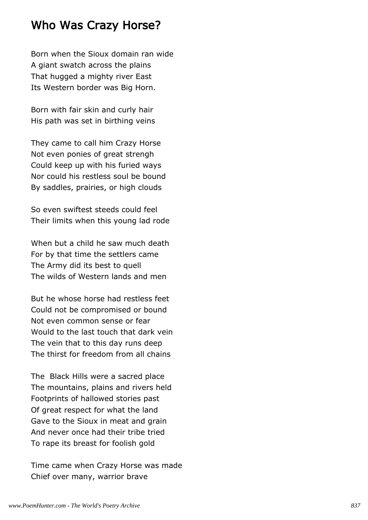#### Who Was Crazy Horse?

Born when the Sioux domain ran wide A giant swatch across the plains That hugged a mighty river East Its Western border was Big Horn.

Born with fair skin and curly hair His path was set in birthing veins

They came to call him Crazy Horse Not even ponies of great strengh Could keep up with his furied ways Nor could his restless soul be bound By saddles, prairies, or high clouds

So even swiftest steeds could feel Their limits when this young lad rode

When but a child he saw much death For by that time the settlers came The Army did its best to quell The wilds of Western lands and men

But he whose horse had restless feet Could not be compromised or bound Not even common sense or fear Would to the last touch that dark vein The vein that to this day runs deep The thirst for freedom from all chains

The Black Hills were a sacred place The mountains, plains and rivers held Footprints of hallowed stories past Of great respect for what the land Gave to the Sioux in meat and grain And never once had their tribe tried To rape its breast for foolish gold

Time came when Crazy Horse was made Chief over many, warrior brave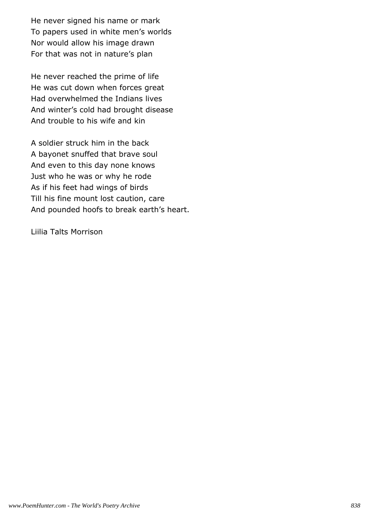He never signed his name or mark To papers used in white men's worlds Nor would allow his image drawn For that was not in nature's plan

He never reached the prime of life He was cut down when forces great Had overwhelmed the Indians lives And winter's cold had brought disease And trouble to his wife and kin

A soldier struck him in the back A bayonet snuffed that brave soul And even to this day none knows Just who he was or why he rode As if his feet had wings of birds Till his fine mount lost caution, care And pounded hoofs to break earth's heart.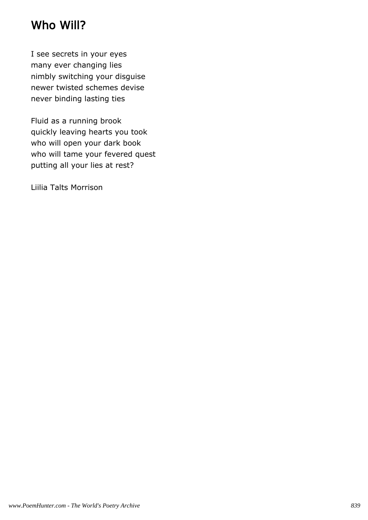# Who Will?

I see secrets in your eyes many ever changing lies nimbly switching your disguise newer twisted schemes devise never binding lasting ties

Fluid as a running brook quickly leaving hearts you took who will open your dark book who will tame your fevered quest putting all your lies at rest?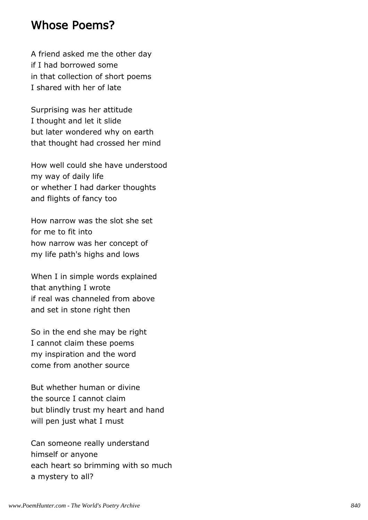#### Whose Poems?

A friend asked me the other day if I had borrowed some in that collection of short poems I shared with her of late

Surprising was her attitude I thought and let it slide but later wondered why on earth that thought had crossed her mind

How well could she have understood my way of daily life or whether I had darker thoughts and flights of fancy too

How narrow was the slot she set for me to fit into how narrow was her concept of my life path's highs and lows

When I in simple words explained that anything I wrote if real was channeled from above and set in stone right then

So in the end she may be right I cannot claim these poems my inspiration and the word come from another source

But whether human or divine the source I cannot claim but blindly trust my heart and hand will pen just what I must

Can someone really understand himself or anyone each heart so brimming with so much a mystery to all?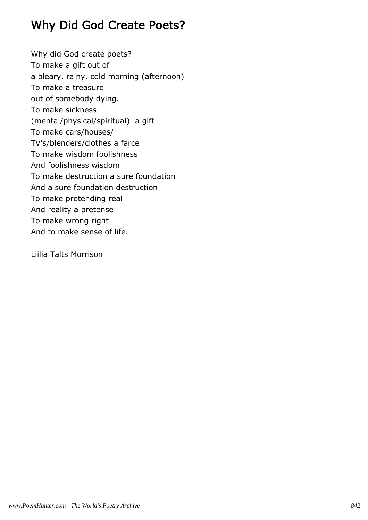# Why Did God Create Poets?

Why did God create poets? To make a gift out of a bleary, rainy, cold morning (afternoon) To make a treasure out of somebody dying. To make sickness (mental/physical/spiritual) a gift To make cars/houses/ TV's/blenders/clothes a farce To make wisdom foolishness And foolishness wisdom To make destruction a sure foundation And a sure foundation destruction To make pretending real And reality a pretense To make wrong right And to make sense of life.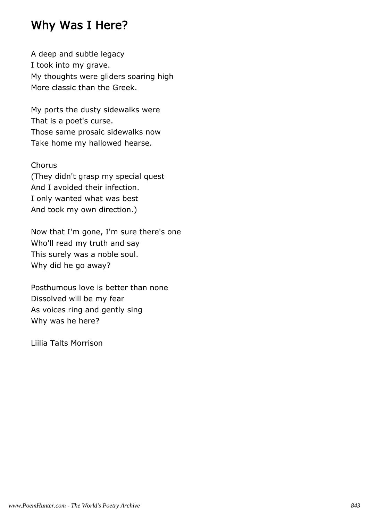#### Why Was I Here?

A deep and subtle legacy I took into my grave. My thoughts were gliders soaring high More classic than the Greek.

My ports the dusty sidewalks were That is a poet's curse. Those same prosaic sidewalks now Take home my hallowed hearse.

Chorus (They didn't grasp my special quest And I avoided their infection. I only wanted what was best And took my own direction.)

Now that I'm gone, I'm sure there's one Who'll read my truth and say This surely was a noble soul. Why did he go away?

Posthumous love is better than none Dissolved will be my fear As voices ring and gently sing Why was he here?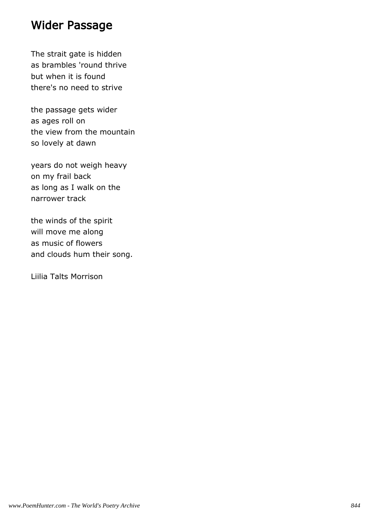## Wider Passage

The strait gate is hidden as brambles 'round thrive but when it is found there's no need to strive

the passage gets wider as ages roll on the view from the mountain so lovely at dawn

years do not weigh heavy on my frail back as long as I walk on the narrower track

the winds of the spirit will move me along as music of flowers and clouds hum their song.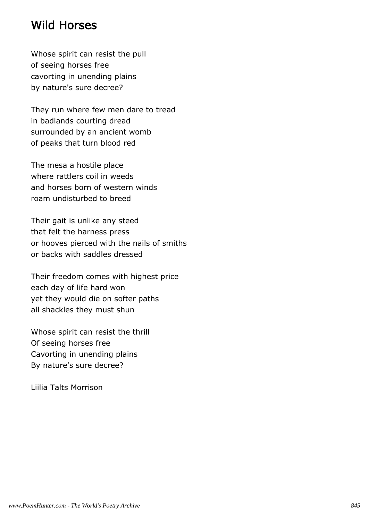#### Wild Horses

Whose spirit can resist the pull of seeing horses free cavorting in unending plains by nature's sure decree?

They run where few men dare to tread in badlands courting dread surrounded by an ancient womb of peaks that turn blood red

The mesa a hostile place where rattlers coil in weeds and horses born of western winds roam undisturbed to breed

Their gait is unlike any steed that felt the harness press or hooves pierced with the nails of smiths or backs with saddles dressed

Their freedom comes with highest price each day of life hard won yet they would die on softer paths all shackles they must shun

Whose spirit can resist the thrill Of seeing horses free Cavorting in unending plains By nature's sure decree?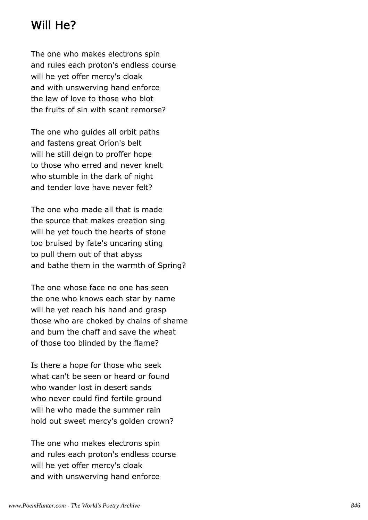# Will He?

The one who makes electrons spin and rules each proton's endless course will he yet offer mercy's cloak and with unswerving hand enforce the law of love to those who blot the fruits of sin with scant remorse?

The one who guides all orbit paths and fastens great Orion's belt will he still deign to proffer hope to those who erred and never knelt who stumble in the dark of night and tender love have never felt?

The one who made all that is made the source that makes creation sing will he yet touch the hearts of stone too bruised by fate's uncaring sting to pull them out of that abyss and bathe them in the warmth of Spring?

The one whose face no one has seen the one who knows each star by name will he yet reach his hand and grasp those who are choked by chains of shame and burn the chaff and save the wheat of those too blinded by the flame?

Is there a hope for those who seek what can't be seen or heard or found who wander lost in desert sands who never could find fertile ground will he who made the summer rain hold out sweet mercy's golden crown?

The one who makes electrons spin and rules each proton's endless course will he yet offer mercy's cloak and with unswerving hand enforce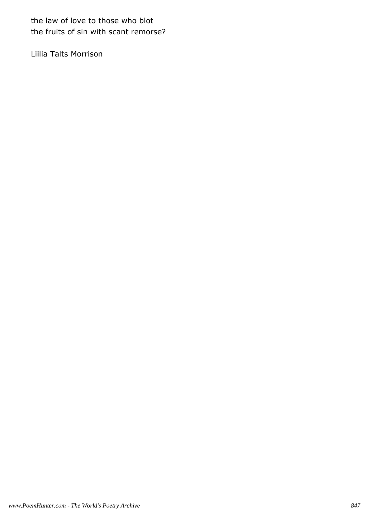the law of love to those who blot the fruits of sin with scant remorse?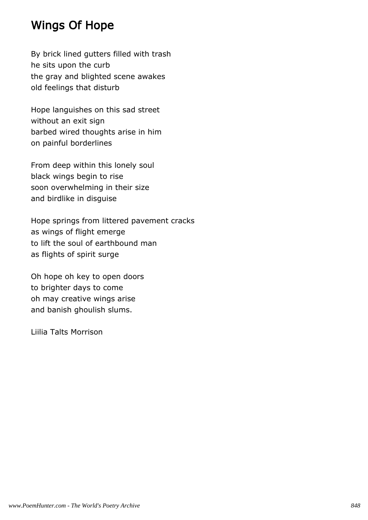## Wings Of Hope

By brick lined gutters filled with trash he sits upon the curb the gray and blighted scene awakes old feelings that disturb

Hope languishes on this sad street without an exit sign barbed wired thoughts arise in him on painful borderlines

From deep within this lonely soul black wings begin to rise soon overwhelming in their size and birdlike in disguise

Hope springs from littered pavement cracks as wings of flight emerge to lift the soul of earthbound man as flights of spirit surge

Oh hope oh key to open doors to brighter days to come oh may creative wings arise and banish ghoulish slums.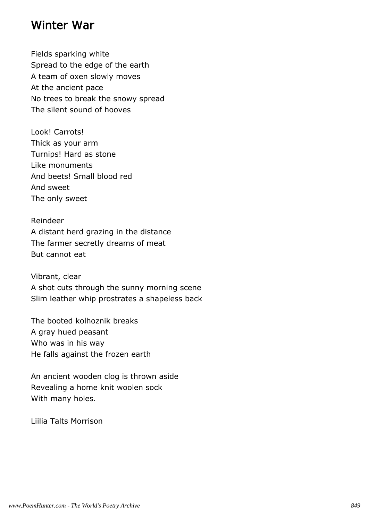#### Winter War

Fields sparking white Spread to the edge of the earth A team of oxen slowly moves At the ancient pace No trees to break the snowy spread The silent sound of hooves

Look! Carrots! Thick as your arm Turnips! Hard as stone Like monuments And beets! Small blood red And sweet The only sweet

Reindeer A distant herd grazing in the distance The farmer secretly dreams of meat But cannot eat

Vibrant, clear A shot cuts through the sunny morning scene Slim leather whip prostrates a shapeless back

The booted kolhoznik breaks A gray hued peasant Who was in his way He falls against the frozen earth

An ancient wooden clog is thrown aside Revealing a home knit woolen sock With many holes.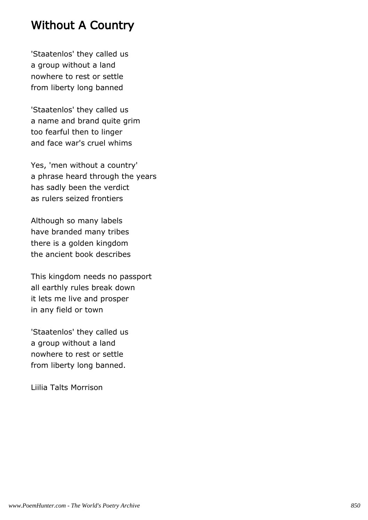#### Without A Country

'Staatenlos' they called us a group without a land nowhere to rest or settle from liberty long banned

'Staatenlos' they called us a name and brand quite grim too fearful then to linger and face war's cruel whims

Yes, 'men without a country' a phrase heard through the years has sadly been the verdict as rulers seized frontiers

Although so many labels have branded many tribes there is a golden kingdom the ancient book describes

This kingdom needs no passport all earthly rules break down it lets me live and prosper in any field or town

'Staatenlos' they called us a group without a land nowhere to rest or settle from liberty long banned.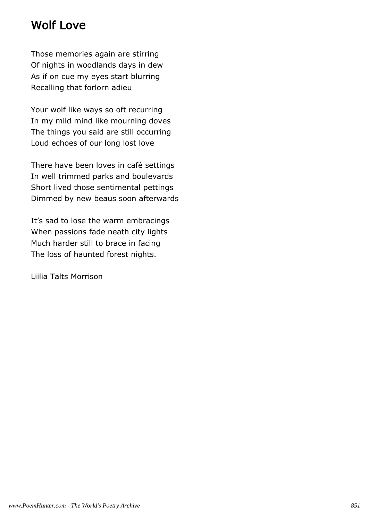## Wolf Love

Those memories again are stirring Of nights in woodlands days in dew As if on cue my eyes start blurring Recalling that forlorn adieu

Your wolf like ways so oft recurring In my mild mind like mourning doves The things you said are still occurring Loud echoes of our long lost love

There have been loves in café settings In well trimmed parks and boulevards Short lived those sentimental pettings Dimmed by new beaus soon afterwards

It's sad to lose the warm embracings When passions fade neath city lights Much harder still to brace in facing The loss of haunted forest nights.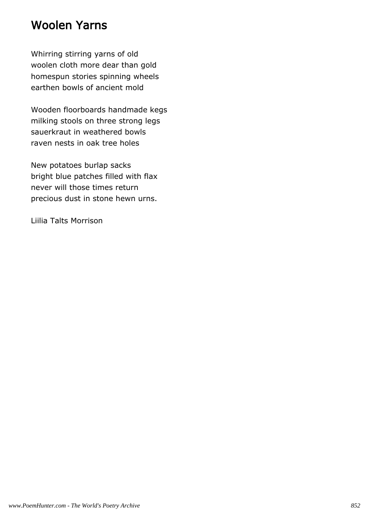### Woolen Yarns

Whirring stirring yarns of old woolen cloth more dear than gold homespun stories spinning wheels earthen bowls of ancient mold

Wooden floorboards handmade kegs milking stools on three strong legs sauerkraut in weathered bowls raven nests in oak tree holes

New potatoes burlap sacks bright blue patches filled with flax never will those times return precious dust in stone hewn urns.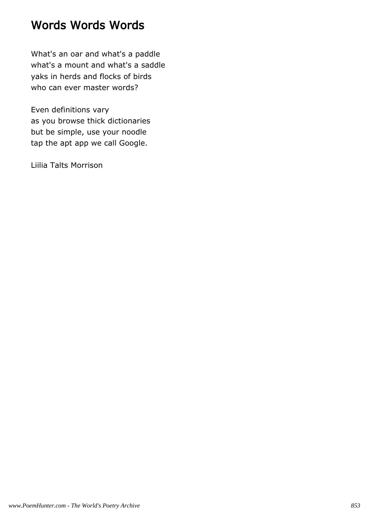### Words Words Words

What's an oar and what's a paddle what's a mount and what's a saddle yaks in herds and flocks of birds who can ever master words?

Even definitions vary as you browse thick dictionaries but be simple, use your noodle tap the apt app we call Google.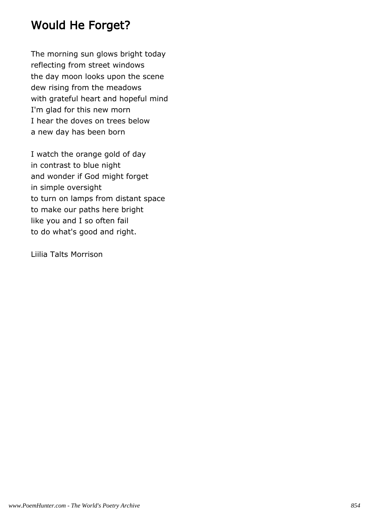# Would He Forget?

The morning sun glows bright today reflecting from street windows the day moon looks upon the scene dew rising from the meadows with grateful heart and hopeful mind I'm glad for this new morn I hear the doves on trees below a new day has been born

I watch the orange gold of day in contrast to blue night and wonder if God might forget in simple oversight to turn on lamps from distant space to make our paths here bright like you and I so often fail to do what's good and right.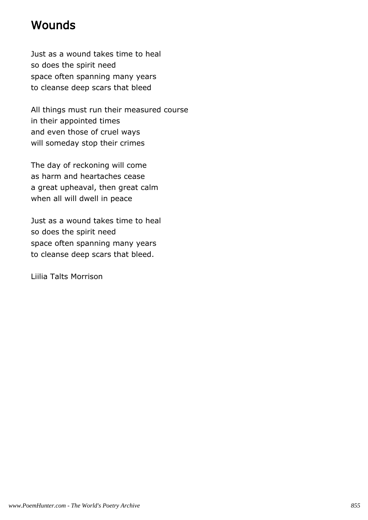# Wounds

Just as a wound takes time to heal so does the spirit need space often spanning many years to cleanse deep scars that bleed

All things must run their measured course in their appointed times and even those of cruel ways will someday stop their crimes

The day of reckoning will come as harm and heartaches cease a great upheaval, then great calm when all will dwell in peace

Just as a wound takes time to heal so does the spirit need space often spanning many years to cleanse deep scars that bleed.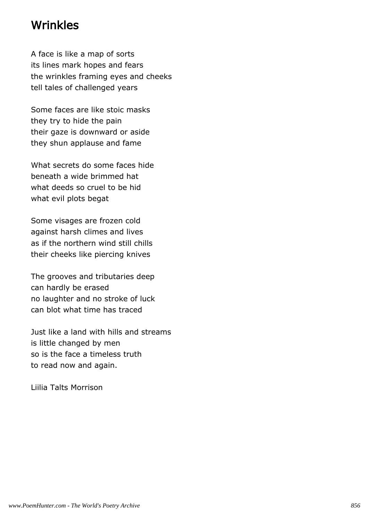### Wrinkles

A face is like a map of sorts its lines mark hopes and fears the wrinkles framing eyes and cheeks tell tales of challenged years

Some faces are like stoic masks they try to hide the pain their gaze is downward or aside they shun applause and fame

What secrets do some faces hide beneath a wide brimmed hat what deeds so cruel to be hid what evil plots begat

Some visages are frozen cold against harsh climes and lives as if the northern wind still chills their cheeks like piercing knives

The grooves and tributaries deep can hardly be erased no laughter and no stroke of luck can blot what time has traced

Just like a land with hills and streams is little changed by men so is the face a timeless truth to read now and again.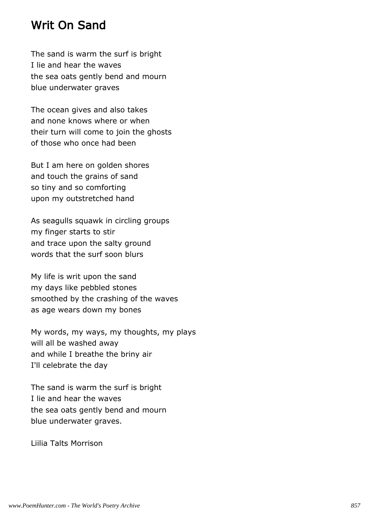### Writ On Sand

The sand is warm the surf is bright I lie and hear the waves the sea oats gently bend and mourn blue underwater graves

The ocean gives and also takes and none knows where or when their turn will come to join the ghosts of those who once had been

But I am here on golden shores and touch the grains of sand so tiny and so comforting upon my outstretched hand

As seagulls squawk in circling groups my finger starts to stir and trace upon the salty ground words that the surf soon blurs

My life is writ upon the sand my days like pebbled stones smoothed by the crashing of the waves as age wears down my bones

My words, my ways, my thoughts, my plays will all be washed away and while I breathe the briny air I'll celebrate the day

The sand is warm the surf is bright I lie and hear the waves the sea oats gently bend and mourn blue underwater graves.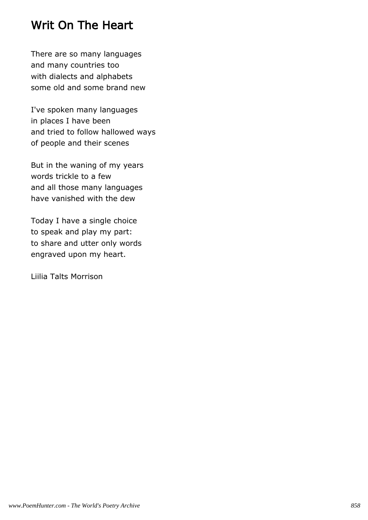## Writ On The Heart

There are so many languages and many countries too with dialects and alphabets some old and some brand new

I've spoken many languages in places I have been and tried to follow hallowed ways of people and their scenes

But in the waning of my years words trickle to a few and all those many languages have vanished with the dew

Today I have a single choice to speak and play my part: to share and utter only words engraved upon my heart.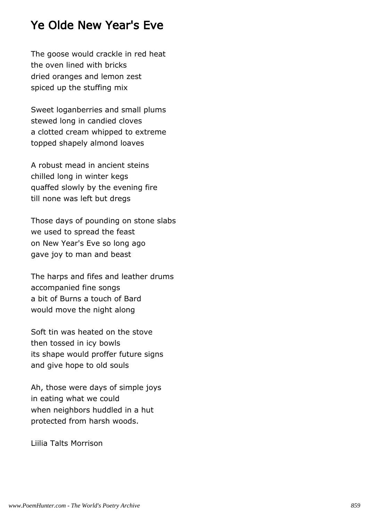### Ye Olde New Year's Eve

The goose would crackle in red heat the oven lined with bricks dried oranges and lemon zest spiced up the stuffing mix

Sweet loganberries and small plums stewed long in candied cloves a clotted cream whipped to extreme topped shapely almond loaves

A robust mead in ancient steins chilled long in winter kegs quaffed slowly by the evening fire till none was left but dregs

Those days of pounding on stone slabs we used to spread the feast on New Year's Eve so long ago gave joy to man and beast

The harps and fifes and leather drums accompanied fine songs a bit of Burns a touch of Bard would move the night along

Soft tin was heated on the stove then tossed in icy bowls its shape would proffer future signs and give hope to old souls

Ah, those were days of simple joys in eating what we could when neighbors huddled in a hut protected from harsh woods.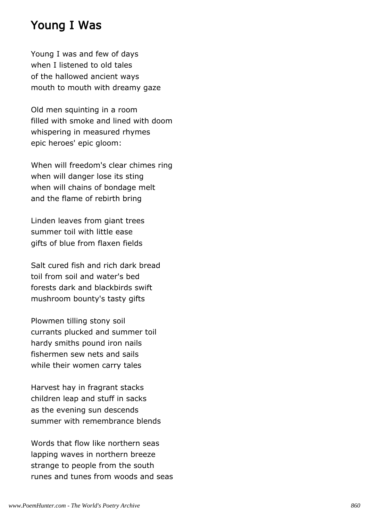#### Young I Was

Young I was and few of days when I listened to old tales of the hallowed ancient ways mouth to mouth with dreamy gaze

Old men squinting in a room filled with smoke and lined with doom whispering in measured rhymes epic heroes' epic gloom:

When will freedom's clear chimes ring when will danger lose its sting when will chains of bondage melt and the flame of rebirth bring

Linden leaves from giant trees summer toil with little ease gifts of blue from flaxen fields

Salt cured fish and rich dark bread toil from soil and water's bed forests dark and blackbirds swift mushroom bounty's tasty gifts

Plowmen tilling stony soil currants plucked and summer toil hardy smiths pound iron nails fishermen sew nets and sails while their women carry tales

Harvest hay in fragrant stacks children leap and stuff in sacks as the evening sun descends summer with remembrance blends

Words that flow like northern seas lapping waves in northern breeze strange to people from the south runes and tunes from woods and seas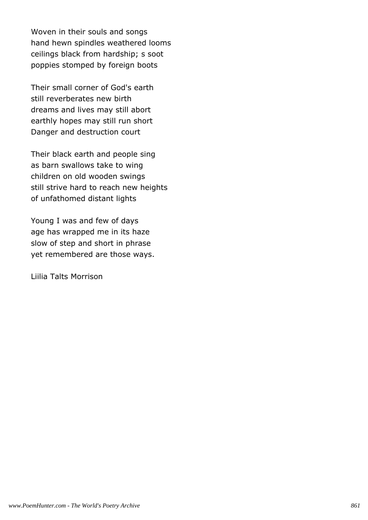Woven in their souls and songs hand hewn spindles weathered looms ceilings black from hardship; s soot poppies stomped by foreign boots

Their small corner of God's earth still reverberates new birth dreams and lives may still abort earthly hopes may still run short Danger and destruction court

Their black earth and people sing as barn swallows take to wing children on old wooden swings still strive hard to reach new heights of unfathomed distant lights

Young I was and few of days age has wrapped me in its haze slow of step and short in phrase yet remembered are those ways.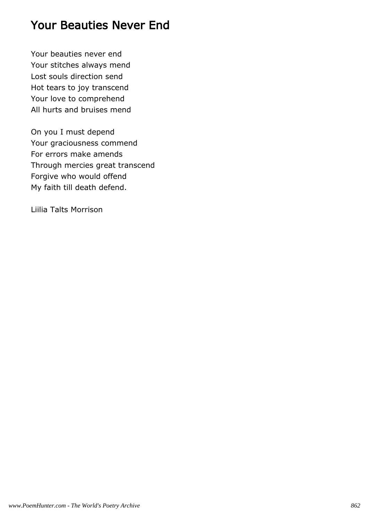# Your Beauties Never End

Your beauties never end Your stitches always mend Lost souls direction send Hot tears to joy transcend Your love to comprehend All hurts and bruises mend

On you I must depend Your graciousness commend For errors make amends Through mercies great transcend Forgive who would offend My faith till death defend.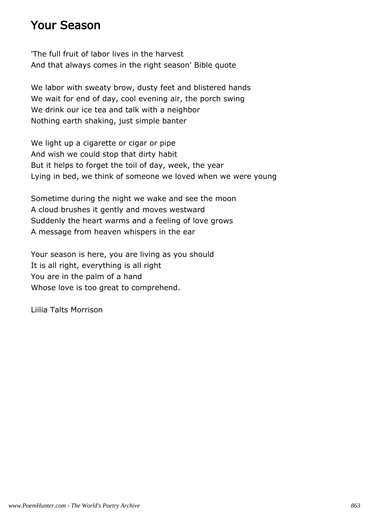#### Your Season

'The full fruit of labor lives in the harvest And that always comes in the right season' Bible quote

We labor with sweaty brow, dusty feet and blistered hands We wait for end of day, cool evening air, the porch swing We drink our ice tea and talk with a neighbor Nothing earth shaking, just simple banter

We light up a cigarette or cigar or pipe And wish we could stop that dirty habit But it helps to forget the toil of day, week, the year Lying in bed, we think of someone we loved when we were young

Sometime during the night we wake and see the moon A cloud brushes it gently and moves westward Suddenly the heart warms and a feeling of love grows A message from heaven whispers in the ear

Your season is here, you are living as you should It is all right, everything is all right You are in the palm of a hand Whose love is too great to comprehend.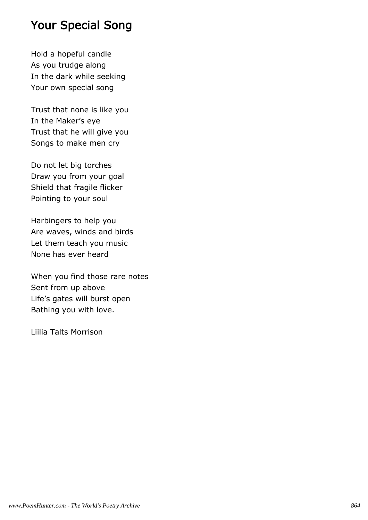# Your Special Song

Hold a hopeful candle As you trudge along In the dark while seeking Your own special song

Trust that none is like you In the Maker's eye Trust that he will give you Songs to make men cry

Do not let big torches Draw you from your goal Shield that fragile flicker Pointing to your soul

Harbingers to help you Are waves, winds and birds Let them teach you music None has ever heard

When you find those rare notes Sent from up above Life's gates will burst open Bathing you with love.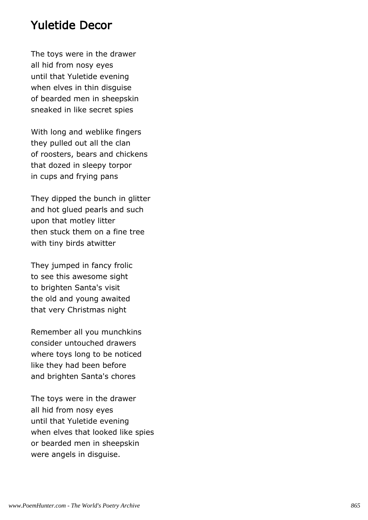#### Yuletide Decor

The toys were in the drawer all hid from nosy eyes until that Yuletide evening when elves in thin disguise of bearded men in sheepskin sneaked in like secret spies

With long and weblike fingers they pulled out all the clan of roosters, bears and chickens that dozed in sleepy torpor in cups and frying pans

They dipped the bunch in glitter and hot glued pearls and such upon that motley litter then stuck them on a fine tree with tiny birds atwitter

They jumped in fancy frolic to see this awesome sight to brighten Santa's visit the old and young awaited that very Christmas night

Remember all you munchkins consider untouched drawers where toys long to be noticed like they had been before and brighten Santa's chores

The toys were in the drawer all hid from nosy eyes until that Yuletide evening when elves that looked like spies or bearded men in sheepskin were angels in disguise.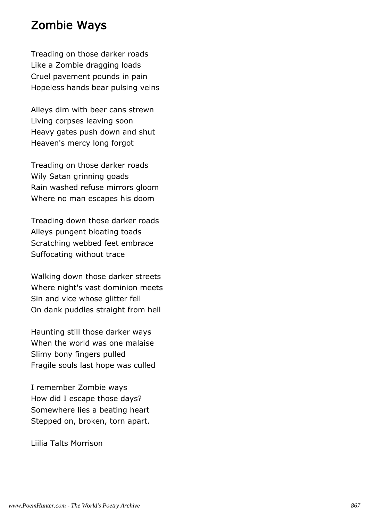## Zombie Ways

Treading on those darker roads Like a Zombie dragging loads Cruel pavement pounds in pain Hopeless hands bear pulsing veins

Alleys dim with beer cans strewn Living corpses leaving soon Heavy gates push down and shut Heaven's mercy long forgot

Treading on those darker roads Wily Satan grinning goads Rain washed refuse mirrors gloom Where no man escapes his doom

Treading down those darker roads Alleys pungent bloating toads Scratching webbed feet embrace Suffocating without trace

Walking down those darker streets Where night's vast dominion meets Sin and vice whose glitter fell On dank puddles straight from hell

Haunting still those darker ways When the world was one malaise Slimy bony fingers pulled Fragile souls last hope was culled

I remember Zombie ways How did I escape those days? Somewhere lies a beating heart Stepped on, broken, torn apart.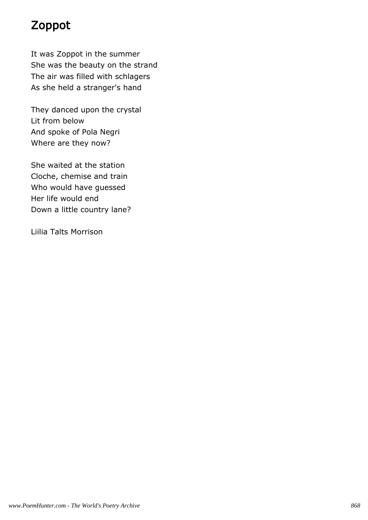# Zoppot

It was Zoppot in the summer She was the beauty on the strand The air was filled with schlagers As she held a stranger's hand

They danced upon the crystal Lit from below And spoke of Pola Negri Where are they now?

She waited at the station Cloche, chemise and train Who would have guessed Her life would end Down a little country lane?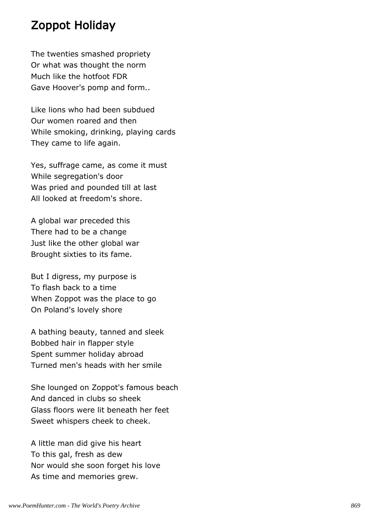# Zoppot Holiday

The twenties smashed propriety Or what was thought the norm Much like the hotfoot FDR Gave Hoover's pomp and form..

Like lions who had been subdued Our women roared and then While smoking, drinking, playing cards They came to life again.

Yes, suffrage came, as come it must While segregation's door Was pried and pounded till at last All looked at freedom's shore.

A global war preceded this There had to be a change Just like the other global war Brought sixties to its fame.

But I digress, my purpose is To flash back to a time When Zoppot was the place to go On Poland's lovely shore

A bathing beauty, tanned and sleek Bobbed hair in flapper style Spent summer holiday abroad Turned men's heads with her smile

She lounged on Zoppot's famous beach And danced in clubs so sheek Glass floors were lit beneath her feet Sweet whispers cheek to cheek.

A little man did give his heart To this gal, fresh as dew Nor would she soon forget his love As time and memories grew.